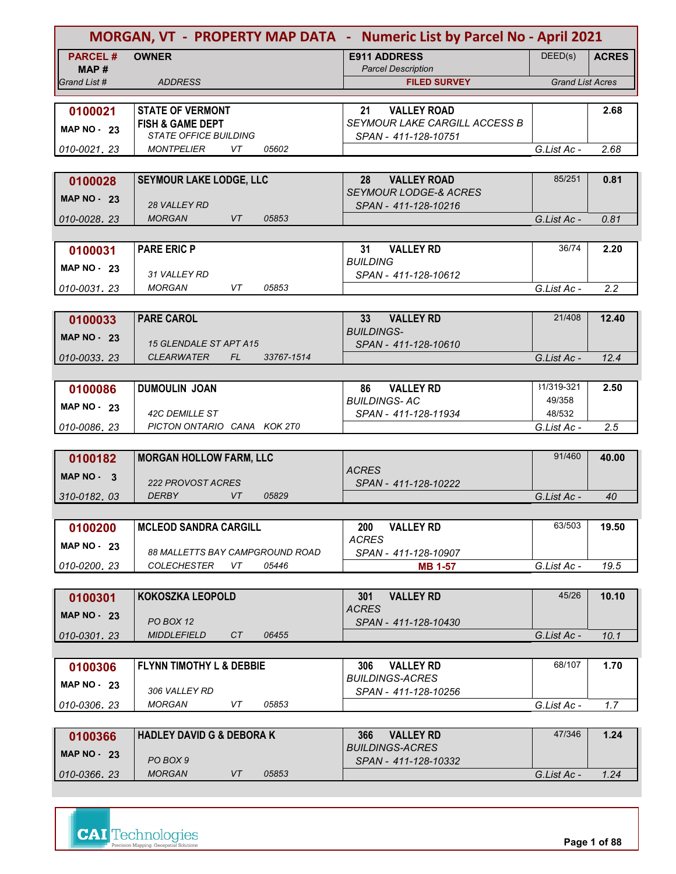| MORGAN, VT - PROPERTY MAP DATA - Numeric List by Parcel No - April 2021 |                                                                |                                                |                         |              |
|-------------------------------------------------------------------------|----------------------------------------------------------------|------------------------------------------------|-------------------------|--------------|
| <b>PARCEL#</b>                                                          | <b>OWNER</b>                                                   | <b>E911 ADDRESS</b>                            | DEED(s)                 | <b>ACRES</b> |
| MAP#                                                                    |                                                                | <b>Parcel Description</b>                      |                         |              |
| Grand List #                                                            | <b>ADDRESS</b>                                                 | <b>FILED SURVEY</b>                            | <b>Grand List Acres</b> |              |
| 0100021                                                                 | <b>STATE OF VERMONT</b>                                        | <b>VALLEY ROAD</b><br>21                       |                         | 2.68         |
|                                                                         | <b>FISH &amp; GAME DEPT</b>                                    | <b>SEYMOUR LAKE CARGILL ACCESS B</b>           |                         |              |
| <b>MAP NO - 23</b>                                                      | <b>STATE OFFICE BUILDING</b>                                   | SPAN - 411-128-10751                           |                         |              |
| 010-0021.23                                                             | <b>MONTPELIER</b><br>VT<br>05602                               |                                                | G.List Ac -             | 2.68         |
|                                                                         |                                                                |                                                |                         |              |
| 0100028                                                                 | <b>SEYMOUR LAKE LODGE, LLC</b>                                 | <b>VALLEY ROAD</b><br>28                       | 85/251                  | 0.81         |
| <b>MAP NO - 23</b>                                                      |                                                                | <b>SEYMOUR LODGE-&amp; ACRES</b>               |                         |              |
|                                                                         | <b>28 VALLEY RD</b>                                            | SPAN - 411-128-10216                           |                         |              |
| 010-0028.23                                                             | <b>MORGAN</b><br>VT<br>05853                                   |                                                | G.List Ac -             | 0.81         |
|                                                                         | <b>PARE ERIC P</b>                                             | <b>VALLEY RD</b><br>31                         | 36/74                   | 2.20         |
| 0100031                                                                 |                                                                | <b>BUILDING</b>                                |                         |              |
| MAP $NO - 23$                                                           | 31 VALLEY RD                                                   | SPAN - 411-128-10612                           |                         |              |
| 010-0031.23                                                             | <b>MORGAN</b><br>VT<br>05853                                   |                                                | G.List Ac -             | 2.2          |
|                                                                         |                                                                |                                                |                         |              |
| 0100033                                                                 | <b>PARE CAROL</b>                                              | <b>VALLEY RD</b><br>33 <sup>2</sup>            | 21/408                  | 12.40        |
| <b>MAP NO - 23</b>                                                      |                                                                | <b>BUILDINGS-</b>                              |                         |              |
|                                                                         | <b>15 GLENDALE ST APT A15</b>                                  | SPAN - 411-128-10610                           |                         |              |
| 010-0033.23                                                             | <i><b>CLEARWATER</b></i><br>FL.<br>33767-1514                  |                                                | G.List Ac -             | 12.4         |
|                                                                         |                                                                |                                                | 31/319-321              |              |
| 0100086                                                                 | <b>DUMOULIN JOAN</b>                                           | <b>VALLEY RD</b><br>86<br><b>BUILDINGS-AC</b>  | 49/358                  | 2.50         |
| <b>MAP NO - 23</b>                                                      | <b>42C DEMILLE ST</b>                                          | SPAN - 411-128-11934                           | 48/532                  |              |
| 010-0086.23                                                             | PICTON ONTARIO CANA KOK 2T0                                    |                                                | G.List Ac -             | 2.5          |
|                                                                         |                                                                |                                                |                         |              |
| 0100182                                                                 | <b>MORGAN HOLLOW FARM, LLC</b>                                 |                                                | 91/460                  | 40.00        |
| <b>MAP NO -</b><br>- 3                                                  |                                                                | ACRES                                          |                         |              |
|                                                                         | <b>222 PROVOST ACRES</b><br><b>DERBY</b><br><b>VT</b><br>05829 | SPAN - 411-128-10222                           | G.List Ac -             | 40           |
| 310-0182.03                                                             |                                                                |                                                |                         |              |
| 0100200                                                                 | <b>MCLEOD SANDRA CARGILL</b>                                   | <b>VALLEY RD</b><br>200                        | 63/503                  | 19.50        |
|                                                                         |                                                                | <b>ACRES</b>                                   |                         |              |
| <b>MAP NO - 23</b>                                                      | <b>88 MALLETTS BAY CAMPGROUND ROAD</b>                         | SPAN - 411-128-10907                           |                         |              |
| 010-0200.23                                                             | <b>COLECHESTER</b><br>VT<br>05446                              | <b>MB 1-57</b>                                 | G.List Ac -             | 19.5         |
|                                                                         |                                                                |                                                |                         |              |
| 0100301                                                                 | <b>KOKOSZKA LEOPOLD</b>                                        | <b>VALLEY RD</b><br>301                        | 45/26                   | 10.10        |
| MAP $NO - 23$                                                           |                                                                | <b>ACRES</b>                                   |                         |              |
| 010-0301.23                                                             | PO BOX 12<br><b>MIDDLEFIELD</b><br>CT<br>06455                 | SPAN - 411-128-10430                           | G.List Ac -             | 10.1         |
|                                                                         |                                                                |                                                |                         |              |
| 0100306                                                                 | <b>FLYNN TIMOTHY L &amp; DEBBIE</b>                            | <b>VALLEY RD</b><br>306                        | 68/107                  | 1.70         |
|                                                                         |                                                                | <b>BUILDINGS-ACRES</b>                         |                         |              |
| MAP $NO - 23$                                                           | 306 VALLEY RD                                                  | SPAN - 411-128-10256                           |                         |              |
| 010-0306.23                                                             | 05853<br><b>MORGAN</b><br>VT                                   |                                                | G.List Ac -             | 1.7          |
|                                                                         |                                                                |                                                |                         |              |
| 0100366                                                                 | <b>HADLEY DAVID G &amp; DEBORA K</b>                           | <b>VALLEY RD</b><br>366                        | 47/346                  | 1.24         |
| MAP $NO - 23$                                                           | PO BOX 9                                                       | <i>BUILDINGS-ACRES</i><br>SPAN - 411-128-10332 |                         |              |
| 010-0366.23                                                             | <b>MORGAN</b><br>VT<br>05853                                   |                                                | G.List Ac -             | 1.24         |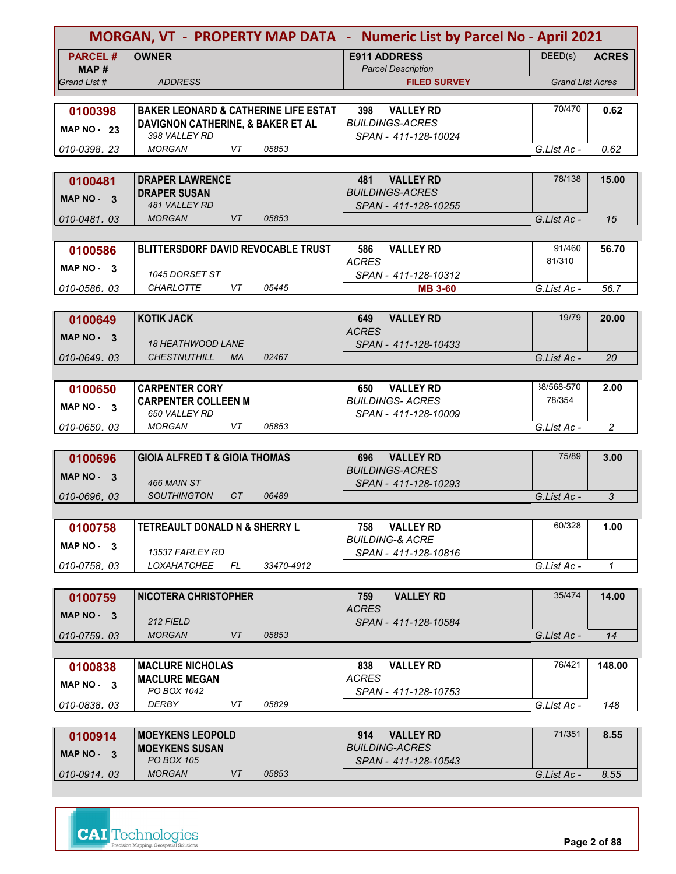| MORGAN, VT - PROPERTY MAP DATA - Numeric List by Parcel No - April 2021 |                                                 |            |                                                  |                         |                |
|-------------------------------------------------------------------------|-------------------------------------------------|------------|--------------------------------------------------|-------------------------|----------------|
| <b>PARCEL#</b>                                                          | <b>OWNER</b>                                    |            | <b>E911 ADDRESS</b>                              | DEED(s)                 | <b>ACRES</b>   |
| MAP#<br>Grand List #                                                    | <b>ADDRESS</b>                                  |            | <b>Parcel Description</b><br><b>FILED SURVEY</b> | <b>Grand List Acres</b> |                |
|                                                                         |                                                 |            |                                                  |                         |                |
| 0100398                                                                 | <b>BAKER LEONARD &amp; CATHERINE LIFE ESTAT</b> |            | <b>VALLEY RD</b><br>398                          | 70/470                  | 0.62           |
| <b>MAP NO - 23</b>                                                      | DAVIGNON CATHERINE, & BAKER ET AL               |            | <b>BUILDINGS-ACRES</b>                           |                         |                |
| 010-0398.23                                                             | 398 VALLEY RD<br>VT<br><b>MORGAN</b>            | 05853      | SPAN - 411-128-10024                             |                         | 0.62           |
|                                                                         |                                                 |            |                                                  | G.List Ac -             |                |
| 0100481                                                                 | <b>DRAPER LAWRENCE</b>                          |            | <b>VALLEY RD</b><br>481                          | 78/138                  | 15.00          |
| MAP NO - 3                                                              | <b>DRAPER SUSAN</b>                             |            | <b>BUILDINGS-ACRES</b>                           |                         |                |
|                                                                         | 481 VALLEY RD                                   |            | SPAN - 411-128-10255                             |                         |                |
| 010-0481, 03                                                            | <b>MORGAN</b><br>VT                             | 05853      |                                                  | G.List Ac -             | 15             |
|                                                                         |                                                 |            |                                                  | 91/460                  |                |
| 0100586                                                                 | <b>BLITTERSDORF DAVID REVOCABLE TRUST</b>       |            | 586<br><b>VALLEY RD</b><br><b>ACRES</b>          | 81/310                  | 56.70          |
| MAP $NO - 3$                                                            | 1045 DORSET ST                                  |            | SPAN - 411-128-10312                             |                         |                |
| 010-0586.03                                                             | <b>CHARLOTTE</b><br>VT                          | 05445      | <b>MB 3-60</b>                                   | G.List Ac -             | 56.7           |
|                                                                         |                                                 |            |                                                  |                         |                |
| 0100649                                                                 | <b>KOTIK JACK</b>                               |            | <b>VALLEY RD</b><br>649                          | 19/79                   | 20.00          |
| MAP NO - 3                                                              | <b>18 HEATHWOOD LANE</b>                        |            | <b>ACRES</b><br>SPAN - 411-128-10433             |                         |                |
| 010-0649.03                                                             | <b>CHESTNUTHILL</b><br><b>MA</b>                | 02467      |                                                  | G.List Ac -             | 20             |
|                                                                         |                                                 |            |                                                  |                         |                |
| 0100650                                                                 | <b>CARPENTER CORY</b>                           |            | 650<br><b>VALLEY RD</b>                          | 38/568-570              | 2.00           |
| MAP NO 3                                                                | <b>CARPENTER COLLEEN M</b>                      |            | <b>BUILDINGS- ACRES</b>                          | 78/354                  |                |
| 010-0650.03                                                             | <b>650 VALLEY RD</b><br><b>MORGAN</b><br>VT     | 05853      | SPAN - 411-128-10009                             | G.List Ac -             | $\overline{c}$ |
|                                                                         |                                                 |            |                                                  |                         |                |
| 0100696                                                                 | <b>GIOIA ALFRED T &amp; GIOIA THOMAS</b>        |            | 696<br><b>VALLEY RD</b>                          | 75/89                   | 3.00           |
| <b>MAP NO -</b><br>- 3                                                  |                                                 |            | <b>BUILDINGS-ACRES</b>                           |                         |                |
|                                                                         | <b>466 MAIN ST</b><br>CT<br><b>SOUTHINGTON</b>  | 06489      | SPAN - 411-128-10293                             |                         |                |
| 010-0696, 03                                                            |                                                 |            |                                                  | G.List Ac -             | 3              |
| 0100758                                                                 | TETREAULT DONALD N & SHERRY L                   |            | <b>VALLEY RD</b><br>758                          | 60/328                  | 1.00           |
| $MAP NO - 3$                                                            |                                                 |            | <b>BUILDING-&amp; ACRE</b>                       |                         |                |
|                                                                         | 13537 FARLEY RD                                 |            | SPAN - 411-128-10816                             |                         |                |
| 010-0758.03                                                             | <b>LOXAHATCHEE</b><br>FL.                       | 33470-4912 |                                                  | G.List Ac -             | $\mathcal I$   |
|                                                                         |                                                 |            |                                                  | 35/474                  |                |
| 0100759                                                                 | <b>NICOTERA CHRISTOPHER</b>                     |            | <b>VALLEY RD</b><br>759<br><b>ACRES</b>          |                         | 14.00          |
| $MAP NO - 3$                                                            | 212 FIELD                                       |            | SPAN - 411-128-10584                             |                         |                |
| 010-0759.03                                                             | <b>MORGAN</b><br>VT                             | 05853      |                                                  | G.List Ac -             | 14             |
|                                                                         |                                                 |            |                                                  |                         |                |
| 0100838                                                                 | <b>MACLURE NICHOLAS</b>                         |            | 838<br><b>VALLEY RD</b><br><b>ACRES</b>          | 76/421                  | 148.00         |
| MAP NO - 3                                                              | <b>MACLURE MEGAN</b><br>PO BOX 1042             |            | SPAN - 411-128-10753                             |                         |                |
| 010-0838.03                                                             | DERBY<br>VT                                     | 05829      |                                                  | G.List Ac -             | 148            |
|                                                                         |                                                 |            |                                                  |                         |                |
| 0100914                                                                 | <b>MOEYKENS LEOPOLD</b>                         |            | <b>VALLEY RD</b><br>914                          | 71/351                  | 8.55           |
| MAP NO - 3                                                              | <b>MOEYKENS SUSAN</b><br><b>PO BOX 105</b>      |            | <i>BUILDING-ACRES</i><br>SPAN - 411-128-10543    |                         |                |
| 010-0914.03                                                             | <b>MORGAN</b><br>VT                             | 05853      |                                                  | G.List Ac -             | 8.55           |
|                                                                         |                                                 |            |                                                  |                         |                |

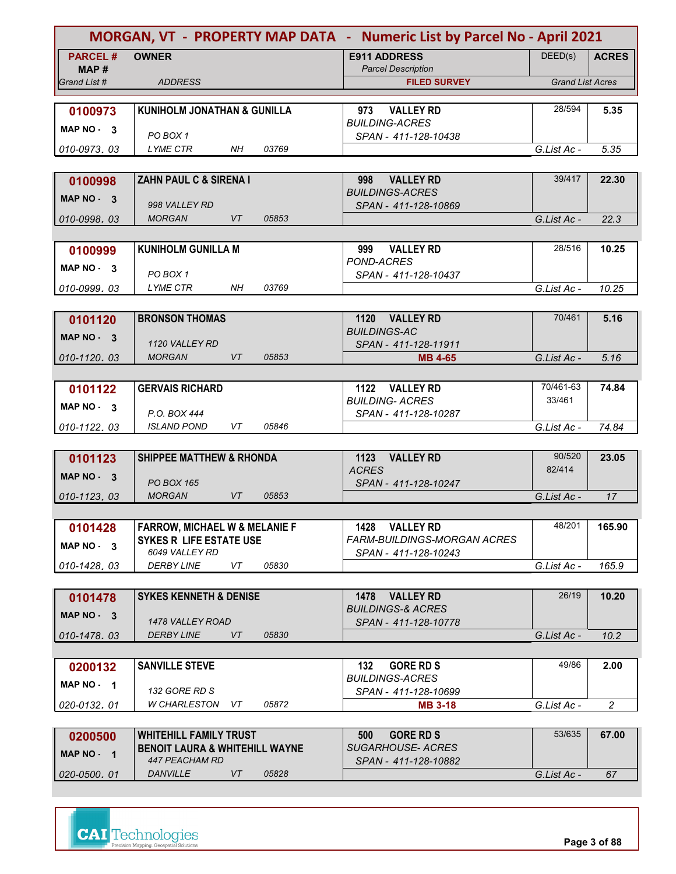| MORGAN, VT - PROPERTY MAP DATA - Numeric List by Parcel No - April 2021 |                                                          |                                                          |                         |                |
|-------------------------------------------------------------------------|----------------------------------------------------------|----------------------------------------------------------|-------------------------|----------------|
| <b>PARCEL#</b><br>MAP #                                                 | <b>OWNER</b>                                             | <b>E911 ADDRESS</b><br><b>Parcel Description</b>         | DEED(s)                 | <b>ACRES</b>   |
| Grand List #                                                            | <b>ADDRESS</b>                                           | <b>FILED SURVEY</b>                                      | <b>Grand List Acres</b> |                |
|                                                                         |                                                          |                                                          |                         |                |
| 0100973                                                                 | <b>KUNIHOLM JONATHAN &amp; GUNILLA</b>                   | <b>VALLEY RD</b><br>973                                  | 28/594                  | 5.35           |
| MAP NO 3                                                                |                                                          | <b>BUILDING-ACRES</b>                                    |                         |                |
| 010-0973.03                                                             | PO BOX 1<br><b>LYME CTR</b><br><b>NH</b><br>03769        | SPAN - 411-128-10438                                     | G.List Ac -             | 5.35           |
|                                                                         |                                                          |                                                          |                         |                |
| 0100998                                                                 | ZAHN PAUL C & SIRENA I                                   | <b>VALLEY RD</b><br>998                                  | 39/417                  | 22.30          |
| MAP $NO - 3$                                                            |                                                          | <b>BUILDINGS-ACRES</b>                                   |                         |                |
|                                                                         | 998 VALLEY RD                                            | SPAN - 411-128-10869                                     |                         |                |
| 010-0998.03                                                             | <b>MORGAN</b><br>VT<br>05853                             |                                                          | G.List Ac -             | 22.3           |
|                                                                         |                                                          |                                                          |                         |                |
| 0100999                                                                 | <b>KUNIHOLM GUNILLA M</b>                                | <b>VALLEY RD</b><br>999<br>POND-ACRES                    | 28/516                  | 10.25          |
| MAP NO - 3                                                              | PO BOX 1                                                 | SPAN - 411-128-10437                                     |                         |                |
| 010-0999.03                                                             | LYME CTR<br>NH.<br>03769                                 |                                                          | G.List Ac -             | 10.25          |
|                                                                         |                                                          |                                                          |                         |                |
| 0101120                                                                 | <b>BRONSON THOMAS</b>                                    | 1120 VALLEY RD                                           | 70/461                  | 5.16           |
| MAP NO - 3                                                              |                                                          | <b>BUILDINGS-AC</b>                                      |                         |                |
|                                                                         | 1120 VALLEY RD                                           | SPAN - 411-128-11911                                     |                         |                |
| 010-1120.03                                                             | <b>MORGAN</b><br>VT<br>05853                             | <b>MB 4-65</b>                                           | G.List Ac -             | 5.16           |
|                                                                         |                                                          |                                                          | 70/461-63               | 74.84          |
| 0101122                                                                 | <b>GERVAIS RICHARD</b>                                   | 1122 VALLEY RD<br><b>BUILDING- ACRES</b>                 | 33/461                  |                |
| MAP $NO - 3$                                                            | P.O. BOX 444                                             | SPAN - 411-128-10287                                     |                         |                |
| 010-1122, 03                                                            | <b>ISLAND POND</b><br>VT<br>05846                        |                                                          | G.List Ac -             | 74.84          |
|                                                                         |                                                          |                                                          |                         |                |
| 0101123                                                                 | <b>SHIPPEE MATTHEW &amp; RHONDA</b>                      | <b>VALLEY RD</b><br>1123                                 | 90/520                  | 23.05          |
| MAP $NO - 3$                                                            |                                                          | <b>ACRES</b>                                             | 82/414                  |                |
| 010-1123.03                                                             | <b>PO BOX 165</b><br><b>VT</b><br><b>MORGAN</b><br>05853 | SPAN - 411-128-10247                                     | G.List Ac -             | 17             |
|                                                                         |                                                          |                                                          |                         |                |
| 0101428                                                                 | <b>FARROW, MICHAEL W &amp; MELANIE F</b>                 | <b>VALLEY RD</b><br>1428                                 | 48/201                  | 165.90         |
| MAP NO - 3                                                              | <b>SYKES R LIFE ESTATE USE</b>                           | FARM-BUILDINGS-MORGAN ACRES                              |                         |                |
|                                                                         | 6049 VALLEY RD                                           | SPAN - 411-128-10243                                     |                         |                |
| 010-1428.03                                                             | 05830<br><b>DERBY LINE</b><br>VT                         |                                                          | G.List Ac -             | 165.9          |
|                                                                         |                                                          |                                                          |                         |                |
| 0101478                                                                 | <b>SYKES KENNETH &amp; DENISE</b>                        | 1478<br><b>VALLEY RD</b><br><b>BUILDINGS-&amp; ACRES</b> | 26/19                   | 10.20          |
| $MAP NO - 3$                                                            | 1478 VALLEY ROAD                                         | SPAN - 411-128-10778                                     |                         |                |
| 010-1478.03                                                             | <b>DERBY LINE</b><br>VT<br>05830                         |                                                          | G.List Ac -             | 10.2           |
|                                                                         |                                                          |                                                          |                         |                |
| 0200132                                                                 | <b>SANVILLE STEVE</b>                                    | <b>GORE RD S</b><br>132                                  | 49/86                   | 2.00           |
| MAP NO $-1$                                                             |                                                          | <b>BUILDINGS-ACRES</b>                                   |                         |                |
|                                                                         | 132 GORE RD S                                            | SPAN - 411-128-10699                                     |                         |                |
| 020-0132.01                                                             | 05872<br>W CHARLESTON<br>VT.                             | <b>MB 3-18</b>                                           | G.List Ac -             | $\overline{2}$ |
|                                                                         | <b>WHITEHILL FAMILY TRUST</b>                            | <b>GORE RD S</b><br>500                                  | 53/635                  | 67.00          |
| 0200500                                                                 | <b>BENOIT LAURA &amp; WHITEHILL WAYNE</b>                | <b>SUGARHOUSE- ACRES</b>                                 |                         |                |
| MAP NO - 1                                                              | 447 PEACHAM RD                                           | SPAN - 411-128-10882                                     |                         |                |
| 020-0500.01                                                             | VT<br><b>DANVILLE</b><br>05828                           |                                                          | G.List Ac -             | 67             |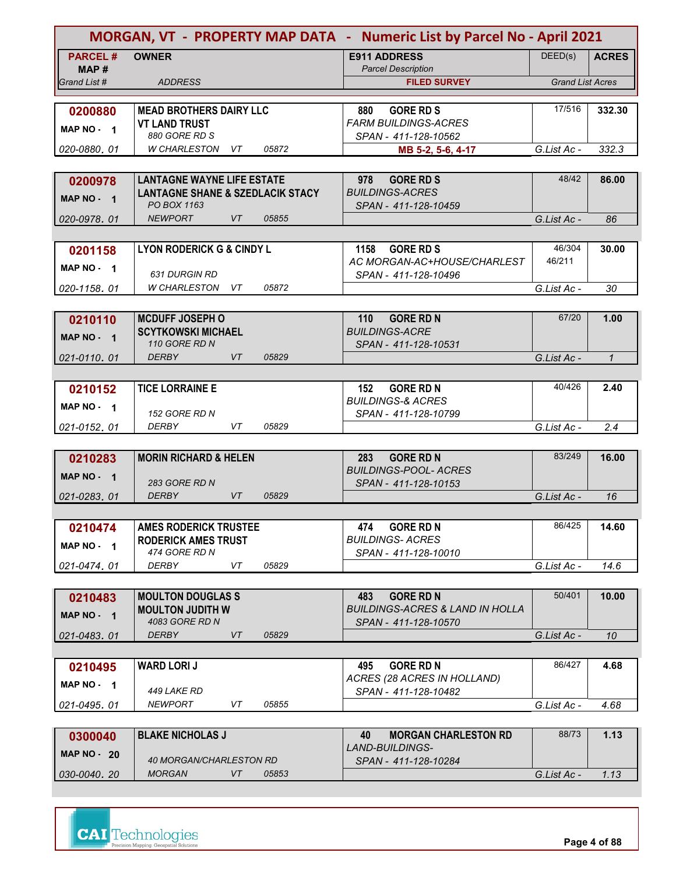|                        | MORGAN, VT - PROPERTY MAP DATA - Numeric List by Parcel No - April 2021 |       |                                                      |                         |              |
|------------------------|-------------------------------------------------------------------------|-------|------------------------------------------------------|-------------------------|--------------|
| <b>PARCEL#</b><br>MAP# | <b>OWNER</b>                                                            |       | <b>E911 ADDRESS</b><br><b>Parcel Description</b>     | DEED(s)                 | <b>ACRES</b> |
| Grand List #           | <b>ADDRESS</b>                                                          |       | <b>FILED SURVEY</b>                                  | <b>Grand List Acres</b> |              |
|                        |                                                                         |       |                                                      |                         |              |
| 0200880                | <b>MEAD BROTHERS DAIRY LLC</b>                                          |       | 880<br><b>GORE RD S</b>                              | 17/516                  | 332.30       |
|                        | <b>VT LAND TRUST</b>                                                    |       | <b>FARM BUILDINGS-ACRES</b>                          |                         |              |
| MAP NO - 1             | 880 GORE RD S                                                           |       | SPAN - 411-128-10562                                 |                         |              |
| 020-0880.01            | <b>W CHARLESTON</b><br>VT                                               | 05872 | MB 5-2, 5-6, 4-17                                    | G.List Ac -             | 332.3        |
|                        |                                                                         |       |                                                      |                         |              |
| 0200978                | <b>LANTAGNE WAYNE LIFE ESTATE</b>                                       |       | <b>GORE RD S</b><br>978                              | 48/42                   | 86.00        |
| MAP NO - 1             | <b>LANTAGNE SHANE &amp; SZEDLACIK STACY</b>                             |       | <b>BUILDINGS-ACRES</b>                               |                         |              |
|                        | PO BOX 1163                                                             |       | SPAN - 411-128-10459                                 |                         |              |
| 020-0978, 01           | <b>VT</b><br><b>NEWPORT</b>                                             | 05855 |                                                      | G.List Ac -             | 86           |
|                        |                                                                         |       |                                                      |                         |              |
| 0201158                | <b>LYON RODERICK G &amp; CINDY L</b>                                    |       | <b>GORE RD S</b><br>1158                             | 46/304<br>46/211        | 30.00        |
| MAP NO - 1             | <b>631 DURGIN RD</b>                                                    |       | AC MORGAN-AC+HOUSE/CHARLEST<br>SPAN - 411-128-10496  |                         |              |
| 020-1158, 01           | W CHARLESTON VT                                                         | 05872 |                                                      | G.List Ac -             | 30           |
|                        |                                                                         |       |                                                      |                         |              |
|                        | <b>MCDUFF JOSEPH O</b>                                                  |       | <b>GORE RD N</b><br>110                              | 67/20                   | 1.00         |
| 0210110                | <b>SCYTKOWSKI MICHAEL</b>                                               |       | <b>BUILDINGS-ACRE</b>                                |                         |              |
| MAP NO - 1             | 110 GORE RD N                                                           |       | SPAN - 411-128-10531                                 |                         |              |
| 021-0110.01            | <b>DERBY</b><br><b>VT</b>                                               | 05829 |                                                      | G.List Ac -             | $\mathbf{1}$ |
|                        |                                                                         |       |                                                      |                         |              |
| 0210152                | <b>TICE LORRAINE E</b>                                                  |       | 152<br><b>GORE RD N</b>                              | 40/426                  | 2.40         |
| MAP NO $-1$            |                                                                         |       | <b>BUILDINGS-&amp; ACRES</b>                         |                         |              |
|                        | 152 GORE RD N                                                           |       | SPAN - 411-128-10799                                 |                         |              |
| 021-0152, 01           | <b>DERBY</b><br>VT                                                      | 05829 |                                                      | G.List Ac -             | 2.4          |
|                        |                                                                         |       |                                                      |                         |              |
| 0210283                | <b>MORIN RICHARD &amp; HELEN</b>                                        |       | <b>GORE RD N</b><br>283                              | 83/249                  | 16.00        |
| MAP NO - 1             |                                                                         |       | <b>BUILDINGS-POOL- ACRES</b>                         |                         |              |
| 021-0283, 01           | <b>283 GORE RD N</b><br><b>DERBY</b><br><b>VT</b>                       | 05829 | SPAN - 411-128-10153                                 | G.List Ac -             | 16           |
|                        |                                                                         |       |                                                      |                         |              |
|                        | <b>AMES RODERICK TRUSTEE</b>                                            |       | 474                                                  | 86/425                  | 14.60        |
| 0210474                | <b>RODERICK AMES TRUST</b>                                              |       | <b>GORE RD N</b><br><b>BUILDINGS-ACRES</b>           |                         |              |
| MAP NO - 1             | 474 GORE RD N                                                           |       | SPAN - 411-128-10010                                 |                         |              |
| 021-0474.01            | <b>DERBY</b><br>VT                                                      | 05829 |                                                      | G.List Ac -             | 14.6         |
|                        |                                                                         |       |                                                      |                         |              |
| 0210483                | <b>MOULTON DOUGLAS S</b>                                                |       | 483<br><b>GORE RD N</b>                              | 50/401                  | 10.00        |
| MAP NO - 1             | <b>MOULTON JUDITH W</b>                                                 |       | <b>BUILDINGS-ACRES &amp; LAND IN HOLLA</b>           |                         |              |
|                        | 4083 GORE RD N                                                          |       | SPAN - 411-128-10570                                 |                         |              |
| 021-0483.01            | <b>DERBY</b><br>VT                                                      | 05829 |                                                      | G.List Ac -             | 10           |
|                        |                                                                         |       |                                                      |                         |              |
| 0210495                | <b>WARD LORIJ</b>                                                       |       | <b>GORE RD N</b><br>495                              | 86/427                  | 4.68         |
| MAP NO - 1             |                                                                         |       | ACRES (28 ACRES IN HOLLAND)                          |                         |              |
|                        | 449 LAKE RD<br><b>NEWPORT</b><br>VT                                     | 05855 | SPAN - 411-128-10482                                 | G.List Ac -             | 4.68         |
| 021-0495.01            |                                                                         |       |                                                      |                         |              |
|                        |                                                                         |       |                                                      | 88/73                   | 1.13         |
| 0300040                | <b>BLAKE NICHOLAS J</b>                                                 |       | 40<br><b>MORGAN CHARLESTON RD</b><br>LAND-BUILDINGS- |                         |              |
| <b>MAP NO - 20</b>     | 40 MORGAN/CHARLESTON RD                                                 |       | SPAN - 411-128-10284                                 |                         |              |
| 030-0040.20            | VT<br><b>MORGAN</b>                                                     | 05853 |                                                      | G.List Ac -             | 1.13         |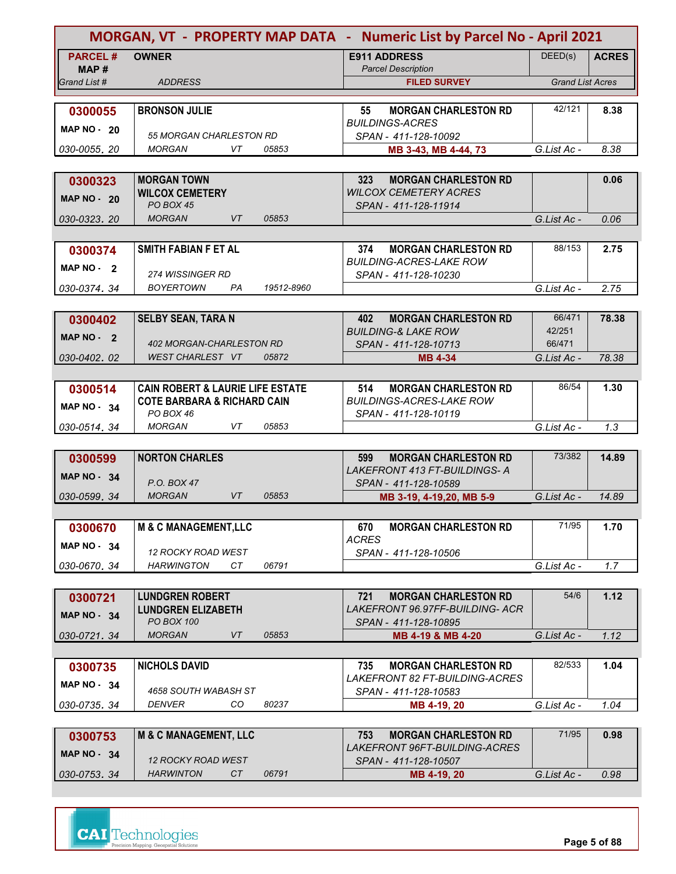|                        |                                                     |            | MORGAN, VT - PROPERTY MAP DATA - Numeric List by Parcel No - April 2021 |                         |              |
|------------------------|-----------------------------------------------------|------------|-------------------------------------------------------------------------|-------------------------|--------------|
| <b>PARCEL#</b><br>MAP# | <b>OWNER</b>                                        |            | <b>E911 ADDRESS</b><br><b>Parcel Description</b>                        | DEED(s)                 | <b>ACRES</b> |
| Grand List #           | <b>ADDRESS</b>                                      |            | <b>FILED SURVEY</b>                                                     | <b>Grand List Acres</b> |              |
|                        |                                                     |            |                                                                         |                         |              |
| 0300055                | <b>BRONSON JULIE</b>                                |            | <b>MORGAN CHARLESTON RD</b><br>55                                       | 42/121                  | 8.38         |
| <b>MAP NO - 20</b>     | 55 MORGAN CHARLESTON RD                             |            | <b>BUILDINGS-ACRES</b><br>SPAN - 411-128-10092                          |                         |              |
| 030-0055, 20           | <b>MORGAN</b><br>VT                                 | 05853      | MB 3-43, MB 4-44, 73                                                    | G.List Ac -             | 8.38         |
|                        |                                                     |            |                                                                         |                         |              |
| 0300323                | <b>MORGAN TOWN</b>                                  |            | 323<br><b>MORGAN CHARLESTON RD</b>                                      |                         | 0.06         |
| <b>MAP NO - 20</b>     | <b>WILCOX CEMETERY</b><br><b>PO BOX 45</b>          |            | <b>WILCOX CEMETERY ACRES</b>                                            |                         |              |
| 030-0323, 20           | <b>VT</b><br><b>MORGAN</b>                          | 05853      | SPAN - 411-128-11914                                                    | G.List Ac -             | 0.06         |
|                        |                                                     |            |                                                                         |                         |              |
| 0300374                | <b>SMITH FABIAN F ET AL</b>                         |            | 374<br><b>MORGAN CHARLESTON RD</b>                                      | 88/153                  | 2.75         |
| MAP $NO - 2$           |                                                     |            | <b>BUILDING-ACRES-LAKE ROW</b>                                          |                         |              |
|                        | 274 WISSINGER RD                                    |            | SPAN - 411-128-10230                                                    |                         |              |
| 030-0374.34            | BOYERTOWN<br>PA                                     | 19512-8960 |                                                                         | G.List Ac -             | 2.75         |
|                        |                                                     |            | 402                                                                     | 66/471                  | 78.38        |
| 0300402                | <b>SELBY SEAN, TARA N</b>                           |            | <b>MORGAN CHARLESTON RD</b><br><b>BUILDING-&amp; LAKE ROW</b>           | 42/251                  |              |
| MAP $NO - 2$           | 402 MORGAN-CHARLESTON RD                            |            | SPAN - 411-128-10713                                                    | 66/471                  |              |
| 030-0402.02            | WEST CHARLEST VT                                    | 05872      | <b>MB 4-34</b>                                                          | G.List Ac -             | 78.38        |
|                        |                                                     |            |                                                                         |                         |              |
| 0300514                | <b>CAIN ROBERT &amp; LAURIE LIFE ESTATE</b>         |            | <b>MORGAN CHARLESTON RD</b><br>514                                      | 86/54                   | 1.30         |
| MAP NO 34              | <b>COTE BARBARA &amp; RICHARD CAIN</b><br>PO BOX 46 |            | <b>BUILDINGS-ACRES-LAKE ROW</b><br>SPAN - 411-128-10119                 |                         |              |
| 030-0514.34            | <b>MORGAN</b><br>VT                                 | 05853      |                                                                         | G.List Ac -             | 1.3          |
|                        |                                                     |            |                                                                         |                         |              |
| 0300599                | <b>NORTON CHARLES</b>                               |            | 599<br><b>MORGAN CHARLESTON RD</b>                                      | 73/382                  | 14.89        |
| <b>MAP NO - 34</b>     |                                                     |            | LAKEFRONT 413 FT-BUILDINGS- A                                           |                         |              |
|                        | P.O. BOX 47<br><b>MORGAN</b><br><b>VT</b>           | 05853      | SPAN - 411-128-10589                                                    | G.List Ac -             | 14.89        |
| 030-0599, 34           |                                                     |            | MB 3-19, 4-19, 20, MB 5-9                                               |                         |              |
| 0300670                | <b>M &amp; C MANAGEMENT,LLC</b>                     |            | <b>MORGAN CHARLESTON RD</b><br>670                                      | 71/95                   | 1.70         |
|                        |                                                     |            | <b>ACRES</b>                                                            |                         |              |
| <b>MAP NO - 34</b>     | 12 ROCKY ROAD WEST                                  |            | SPAN - 411-128-10506                                                    |                         |              |
| 030-0670.34            | <b>HARWINGTON</b><br>CT                             | 06791      |                                                                         | G.List Ac -             | 1.7          |
|                        |                                                     |            |                                                                         |                         |              |
| 0300721                | <b>LUNDGREN ROBERT</b>                              |            | <b>MORGAN CHARLESTON RD</b><br>721                                      | 54/6                    | 1.12         |
| <b>MAP NO - 34</b>     | <b>LUNDGREN ELIZABETH</b><br>PO BOX 100             |            | LAKEFRONT 96.97FF-BUILDING- ACR<br>SPAN - 411-128-10895                 |                         |              |
| 030-0721.34            | <b>MORGAN</b><br>VT                                 | 05853      | MB 4-19 & MB 4-20                                                       | G.List Ac -             | 1.12         |
|                        |                                                     |            |                                                                         |                         |              |
| 0300735                | <b>NICHOLS DAVID</b>                                |            | <b>MORGAN CHARLESTON RD</b><br>735                                      | 82/533                  | 1.04         |
| <b>MAP NO - 34</b>     |                                                     |            | <b>LAKEFRONT 82 FT-BUILDING-ACRES</b>                                   |                         |              |
|                        | 4658 SOUTH WABASH ST<br>CO.                         |            | SPAN - 411-128-10583                                                    |                         |              |
| 030-0735, 34           | DENVER                                              | 80237      | MB 4-19, 20                                                             | G.List Ac -             | 1.04         |
| 0300753                | <b>M &amp; C MANAGEMENT, LLC</b>                    |            | 753<br><b>MORGAN CHARLESTON RD</b>                                      | 71/95                   | 0.98         |
|                        |                                                     |            | <i>LAKEFRONT 96FT-BUILDING-ACRES</i>                                    |                         |              |
| <b>MAP NO - 34</b>     | <b>12 ROCKY ROAD WEST</b>                           |            | SPAN - 411-128-10507                                                    |                         |              |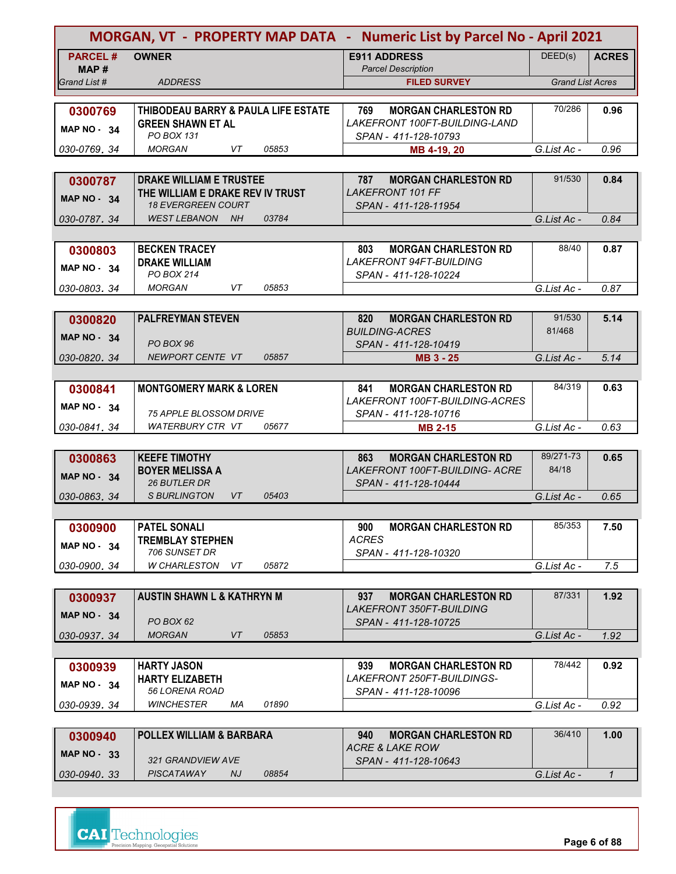| MORGAN, VT - PROPERTY MAP DATA - Numeric List by Parcel No - April 2021 |                                                 |                                                             |                         |               |
|-------------------------------------------------------------------------|-------------------------------------------------|-------------------------------------------------------------|-------------------------|---------------|
| <b>PARCEL#</b><br>MAP #                                                 | <b>OWNER</b>                                    | <b>E911 ADDRESS</b><br><b>Parcel Description</b>            | DEED(s)                 | <b>ACRES</b>  |
| Grand List #                                                            | <b>ADDRESS</b>                                  | <b>FILED SURVEY</b>                                         | <b>Grand List Acres</b> |               |
|                                                                         |                                                 |                                                             |                         |               |
| 0300769                                                                 | <b>THIBODEAU BARRY &amp; PAULA LIFE ESTATE</b>  | <b>MORGAN CHARLESTON RD</b><br>769                          | 70/286                  | 0.96          |
|                                                                         | <b>GREEN SHAWN ET AL</b>                        | LAKEFRONT 100FT-BUILDING-LAND                               |                         |               |
| <b>MAP NO - 34</b>                                                      | PO BOX 131                                      | SPAN - 411-128-10793                                        |                         |               |
| 030-0769, 34                                                            | 05853<br><b>MORGAN</b><br>VT                    | MB 4-19, 20                                                 | G.List Ac -             | 0.96          |
|                                                                         |                                                 |                                                             |                         |               |
| 0300787                                                                 | <b>DRAKE WILLIAM E TRUSTEE</b>                  | 787<br><b>MORGAN CHARLESTON RD</b>                          | 91/530                  | 0.84          |
| <b>MAP NO - 34</b>                                                      | THE WILLIAM E DRAKE REV IV TRUST                | <b>LAKEFRONT 101 FF</b>                                     |                         |               |
|                                                                         | <b>18 EVERGREEN COURT</b>                       | SPAN - 411-128-11954                                        |                         |               |
| 030-0787, 34                                                            | <b>WEST LEBANON</b><br><b>NH</b><br>03784       |                                                             | G.List Ac -             | 0.84          |
|                                                                         |                                                 |                                                             |                         |               |
| 0300803                                                                 | <b>BECKEN TRACEY</b>                            | <b>MORGAN CHARLESTON RD</b><br>803                          | 88/40                   | 0.87          |
| <b>MAP NO - 34</b>                                                      | <b>DRAKE WILLIAM</b>                            | LAKEFRONT 94FT-BUILDING                                     |                         |               |
|                                                                         | PO BOX 214<br>05853<br><b>MORGAN</b><br>VT      | SPAN - 411-128-10224                                        |                         |               |
| 030-0803.34                                                             |                                                 |                                                             | G.List Ac -             | 0.87          |
|                                                                         |                                                 |                                                             | 91/530                  |               |
| 0300820                                                                 | <b>PALFREYMAN STEVEN</b>                        | 820<br><b>MORGAN CHARLESTON RD</b><br><b>BUILDING-ACRES</b> | 81/468                  | 5.14          |
| <b>MAP NO - 34</b>                                                      | PO BOX 96                                       | SPAN - 411-128-10419                                        |                         |               |
| 030-0820.34                                                             | NEWPORT CENTE VT<br>05857                       | MB 3 - 25                                                   | G.List Ac -             | 5.14          |
|                                                                         |                                                 |                                                             |                         |               |
| 0300841                                                                 | <b>MONTGOMERY MARK &amp; LOREN</b>              | <b>MORGAN CHARLESTON RD</b><br>841                          | 84/319                  | 0.63          |
|                                                                         |                                                 | LAKEFRONT 100FT-BUILDING-ACRES                              |                         |               |
| <b>MAP NO - 34</b>                                                      | <i>75 APPLE BLOSSOM DRIVE</i>                   | SPAN - 411-128-10716                                        |                         |               |
| 030-0841, 34                                                            | <b>WATERBURY CTR VT</b><br>05677                | <b>MB 2-15</b>                                              | G.List Ac -             | 0.63          |
|                                                                         |                                                 |                                                             |                         |               |
| 0300863                                                                 | <b>KEEFE TIMOTHY</b>                            | 863<br><b>MORGAN CHARLESTON RD</b>                          | 89/271-73               | 0.65          |
| <b>MAP NO - 34</b>                                                      | <b>BOYER MELISSA A</b>                          | LAKEFRONT 100FT-BUILDING- ACRE                              | 84/18                   |               |
|                                                                         | 26 BUTLER DR                                    | SPAN - 411-128-10444                                        |                         |               |
| 030-0863, 34                                                            | <b>S BURLINGTON</b><br>VT<br>05403              |                                                             | G.List Ac -             | 0.65          |
|                                                                         |                                                 |                                                             |                         |               |
| 0300900                                                                 | <b>PATEL SONALI</b>                             | <b>MORGAN CHARLESTON RD</b><br>900<br><b>ACRES</b>          | 85/353                  | 7.50          |
| <b>MAP NO - 34</b>                                                      | <b>TREMBLAY STEPHEN</b><br>706 SUNSET DR        | SPAN - 411-128-10320                                        |                         |               |
| 030-0900.34                                                             | W CHARLESTON<br>05872<br>VT.                    |                                                             | G.List Ac -             | 7.5           |
|                                                                         |                                                 |                                                             |                         |               |
| 0300937                                                                 | <b>AUSTIN SHAWN L &amp; KATHRYN M</b>           | 937<br><b>MORGAN CHARLESTON RD</b>                          | 87/331                  | 1.92          |
|                                                                         |                                                 | <i>LAKEFRONT 350FT-BUILDING</i>                             |                         |               |
| MAP $NO - 34$                                                           | PO BOX 62                                       | SPAN - 411-128-10725                                        |                         |               |
| 030-0937.34                                                             | <b>MORGAN</b><br>VT<br>05853                    |                                                             | G.List Ac -             | 1.92          |
|                                                                         |                                                 |                                                             |                         |               |
| 0300939                                                                 | <b>HARTY JASON</b>                              | <b>MORGAN CHARLESTON RD</b><br>939                          | 78/442                  | 0.92          |
| <b>MAP NO - 34</b>                                                      | <b>HARTY ELIZABETH</b>                          | <i>LAKEFRONT 250FT-BUILDINGS-</i>                           |                         |               |
|                                                                         | 56 LORENA ROAD                                  | SPAN - 411-128-10096                                        |                         |               |
| 030-0939, 34                                                            | <b>WINCHESTER</b><br>01890<br>МA                |                                                             | G.List Ac -             | 0.92          |
|                                                                         |                                                 |                                                             |                         |               |
| 0300940                                                                 | <b>POLLEX WILLIAM &amp; BARBARA</b>             | 940<br><b>MORGAN CHARLESTON RD</b>                          | 36/410                  | 1.00          |
| <b>MAP NO - 33</b>                                                      |                                                 | <b>ACRE &amp; LAKE ROW</b>                                  |                         |               |
|                                                                         | 321 GRANDVIEW AVE<br>PISCATAWAY<br>08854<br>NJ. | SPAN - 411-128-10643                                        |                         |               |
| 030-0940.33                                                             |                                                 |                                                             | G.List Ac -             | $\mathcal{I}$ |

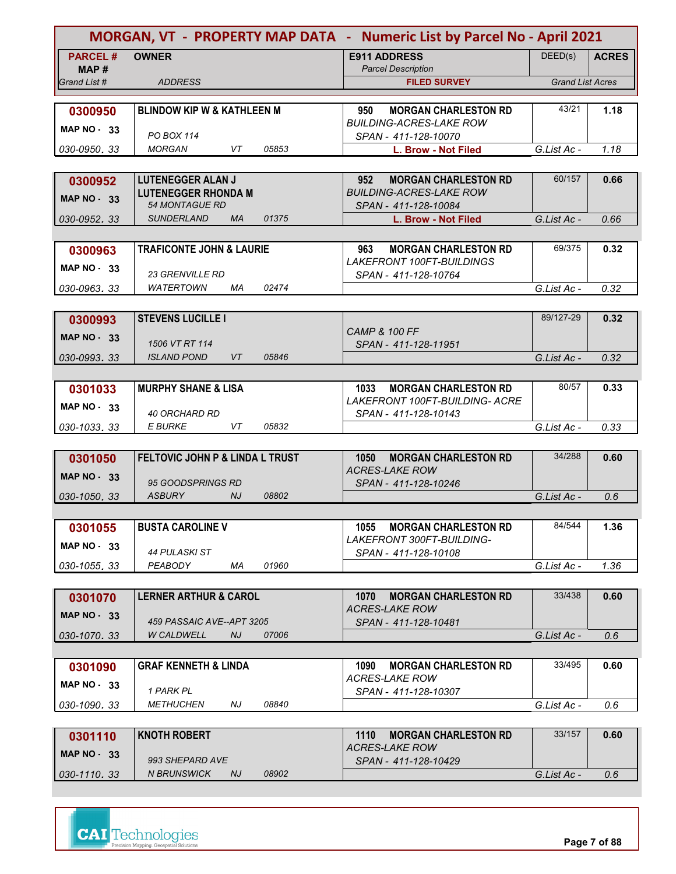| MORGAN, VT - PROPERTY MAP DATA - Numeric List by Parcel No - April 2021 |                                                     |                                                                         |                         |              |
|-------------------------------------------------------------------------|-----------------------------------------------------|-------------------------------------------------------------------------|-------------------------|--------------|
| <b>PARCEL#</b>                                                          | <b>OWNER</b>                                        | <b>E911 ADDRESS</b>                                                     | DEED(s)                 | <b>ACRES</b> |
| MAP#                                                                    |                                                     | <b>Parcel Description</b>                                               |                         |              |
| Grand List #                                                            | <b>ADDRESS</b>                                      | <b>FILED SURVEY</b>                                                     | <b>Grand List Acres</b> |              |
| 0300950                                                                 | <b>BLINDOW KIP W &amp; KATHLEEN M</b>               | <b>MORGAN CHARLESTON RD</b><br>950                                      | 43/21                   | 1.18         |
|                                                                         |                                                     | BUILDING-ACRES-LAKE ROW                                                 |                         |              |
| <b>MAP NO - 33</b>                                                      | <b>PO BOX 114</b>                                   | SPAN - 411-128-10070                                                    |                         |              |
| 030-0950, 33                                                            | <b>MORGAN</b><br>VT<br>05853                        | L. Brow - Not Filed                                                     | G.List Ac -             | 1.18         |
|                                                                         |                                                     |                                                                         |                         |              |
| 0300952                                                                 | <b>LUTENEGGER ALAN J</b>                            | 952<br><b>MORGAN CHARLESTON RD</b>                                      | 60/157                  | 0.66         |
| MAP $NO - 33$                                                           | <b>LUTENEGGER RHONDA M</b><br><b>54 MONTAGUE RD</b> | <b>BUILDING-ACRES-LAKE ROW</b>                                          |                         |              |
| 030-0952, 33                                                            | <b>SUNDERLAND</b><br>01375<br><b>MA</b>             | SPAN - 411-128-10084                                                    | G.List Ac -             | 0.66         |
|                                                                         |                                                     | L. Brow - Not Filed                                                     |                         |              |
|                                                                         | <b>TRAFICONTE JOHN &amp; LAURIE</b>                 | <b>MORGAN CHARLESTON RD</b><br>963                                      | 69/375                  | 0.32         |
| 0300963                                                                 |                                                     | <b>LAKEFRONT 100FT-BUILDINGS</b>                                        |                         |              |
| MAP $NO - 33$                                                           | <b>23 GRENVILLE RD</b>                              | SPAN - 411-128-10764                                                    |                         |              |
| 030-0963.33                                                             | WATERTOWN<br>02474<br>МA                            |                                                                         | G.List Ac -             | 0.32         |
|                                                                         |                                                     |                                                                         |                         |              |
| 0300993                                                                 | <b>STEVENS LUCILLE I</b>                            |                                                                         | 89/127-29               | 0.32         |
| <b>MAP NO - 33</b>                                                      |                                                     | <b>CAMP &amp; 100 FF</b>                                                |                         |              |
|                                                                         | 1506 VT RT 114                                      | SPAN - 411-128-11951                                                    |                         |              |
| 030-0993.33                                                             | <b>ISLAND POND</b><br>05846<br>VT                   |                                                                         | G.List Ac -             | 0.32         |
|                                                                         |                                                     |                                                                         |                         |              |
| 0301033                                                                 | <b>MURPHY SHANE &amp; LISA</b>                      | <b>MORGAN CHARLESTON RD</b><br>1033<br>LAKEFRONT 100FT-BUILDING- ACRE   | 80/57                   | 0.33         |
| <b>MAP NO - 33</b>                                                      | <b>40 ORCHARD RD</b>                                | SPAN - 411-128-10143                                                    |                         |              |
| 030-1033, 33                                                            | <b>E BURKE</b><br>VT<br>05832                       |                                                                         | G.List Ac -             | 0.33         |
|                                                                         |                                                     |                                                                         |                         |              |
| 0301050                                                                 | FELTOVIC JOHN P & LINDA L TRUST                     | 1050<br><b>MORGAN CHARLESTON RD</b>                                     | 34/288                  | 0.60         |
| <b>MAP NO - 33</b>                                                      |                                                     | <b>ACRES-LAKE ROW</b>                                                   |                         |              |
|                                                                         | 95 GOODSPRINGS RD                                   | SPAN - 411-128-10246                                                    |                         |              |
| 030-1050, 33                                                            | <b>ASBURY</b><br>NJ.<br>08802                       |                                                                         | G.List Ac -             | 0.6          |
|                                                                         |                                                     |                                                                         |                         |              |
| 0301055                                                                 | <b>BUSTA CAROLINE V</b>                             | <b>MORGAN CHARLESTON RD</b><br>1055<br><b>LAKEFRONT 300FT-BUILDING-</b> | 84/544                  | 1.36         |
| <b>MAP NO - 33</b>                                                      | 44 PULASKI ST                                       | SPAN - 411-128-10108                                                    |                         |              |
| 030-1055.33                                                             | 01960<br>PEABODY<br>ΜA                              |                                                                         | G.List Ac -             | 1.36         |
|                                                                         |                                                     |                                                                         |                         |              |
| 0301070                                                                 | <b>LERNER ARTHUR &amp; CAROL</b>                    | 1070<br><b>MORGAN CHARLESTON RD</b>                                     | 33/438                  | 0.60         |
| <b>MAP NO - 33</b>                                                      |                                                     | <b>ACRES-LAKE ROW</b>                                                   |                         |              |
|                                                                         | 459 PASSAIC AVE--APT 3205                           | SPAN - 411-128-10481                                                    |                         |              |
| 030-1070. 33                                                            | <b>W CALDWELL</b><br>NJ.<br>07006                   |                                                                         | G.List Ac -             | 0.6          |
|                                                                         |                                                     |                                                                         |                         |              |
| 0301090                                                                 | <b>GRAF KENNETH &amp; LINDA</b>                     | <b>MORGAN CHARLESTON RD</b><br>1090<br><b>ACRES-LAKE ROW</b>            | 33/495                  | 0.60         |
| <b>MAP NO - 33</b>                                                      | 1 PARK PL                                           | SPAN - 411-128-10307                                                    |                         |              |
| 030-1090.33                                                             | <b>METHUCHEN</b><br>NJ<br>08840                     |                                                                         | G.List Ac -             | 0.6          |
|                                                                         |                                                     |                                                                         |                         |              |
| 0301110                                                                 | <b>KNOTH ROBERT</b>                                 | 1110<br><b>MORGAN CHARLESTON RD</b>                                     | 33/157                  | 0.60         |
| <b>MAP NO - 33</b>                                                      |                                                     | <b>ACRES-LAKE ROW</b>                                                   |                         |              |
|                                                                         | 993 SHEPARD AVE                                     | SPAN - 411-128-10429                                                    |                         |              |
| 030-1110.33                                                             | <b>N BRUNSWICK</b><br>08902<br>NJ                   |                                                                         | G.List Ac -             | 0.6          |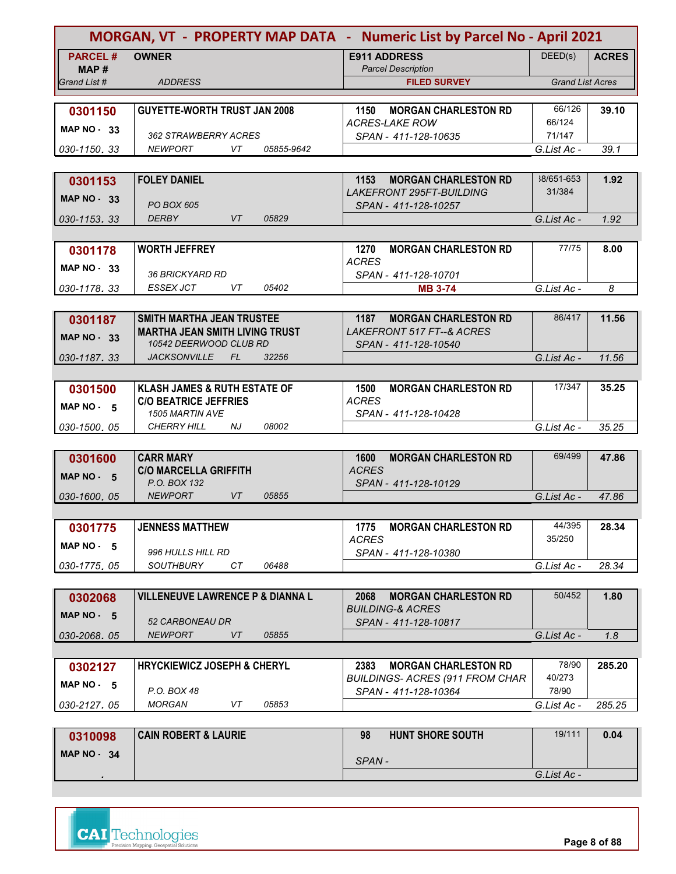|                      | MORGAN, VT - PROPERTY MAP DATA - Numeric List by Parcel No - April 2021 |                                                     |                         |              |  |
|----------------------|-------------------------------------------------------------------------|-----------------------------------------------------|-------------------------|--------------|--|
| <b>PARCEL#</b>       | <b>OWNER</b>                                                            | <b>E911 ADDRESS</b>                                 | DEED(s)                 | <b>ACRES</b> |  |
| MAP#<br>Grand List # | <b>ADDRESS</b>                                                          | <b>Parcel Description</b><br><b>FILED SURVEY</b>    | <b>Grand List Acres</b> |              |  |
|                      |                                                                         |                                                     |                         |              |  |
| 0301150              | <b>GUYETTE-WORTH TRUST JAN 2008</b>                                     | 1150<br><b>MORGAN CHARLESTON RD</b>                 | 66/126                  | 39.10        |  |
| <b>MAP NO - 33</b>   |                                                                         | <b>ACRES-LAKE ROW</b>                               | 66/124                  |              |  |
|                      | 362 STRAWBERRY ACRES<br><b>NEWPORT</b><br>VT<br>05855-9642              | SPAN - 411-128-10635                                | 71/147                  |              |  |
| 030-1150.33          |                                                                         |                                                     | G.List Ac -             | 39.1         |  |
| 0301153              | <b>FOLEY DANIEL</b>                                                     | 1153<br><b>MORGAN CHARLESTON RD</b>                 | 38/651-653              | 1.92         |  |
|                      |                                                                         | <b>LAKEFRONT 295FT-BUILDING</b>                     | 31/384                  |              |  |
| <b>MAP NO - 33</b>   | <b>PO BOX 605</b>                                                       | SPAN - 411-128-10257                                |                         |              |  |
| 030-1153, 33         | <b>DERBY</b><br>VT<br>05829                                             |                                                     | G.List Ac -             | 1.92         |  |
|                      |                                                                         |                                                     |                         |              |  |
| 0301178              | <b>WORTH JEFFREY</b>                                                    | 1270<br><b>MORGAN CHARLESTON RD</b><br><b>ACRES</b> | 77/75                   | 8.00         |  |
| <b>MAP NO - 33</b>   | <b>36 BRICKYARD RD</b>                                                  | SPAN - 411-128-10701                                |                         |              |  |
| 030-1178.33          | <b>ESSEX JCT</b><br>VT<br>05402                                         | <b>MB 3-74</b>                                      | G.List Ac -             | 8            |  |
|                      |                                                                         |                                                     |                         |              |  |
| 0301187              | <b>SMITH MARTHA JEAN TRUSTEE</b>                                        | <b>MORGAN CHARLESTON RD</b><br>1187                 | 86/417                  | 11.56        |  |
| <b>MAP NO - 33</b>   | <b>MARTHA JEAN SMITH LIVING TRUST</b>                                   | <b>LAKEFRONT 517 FT--&amp; ACRES</b>                |                         |              |  |
| 030-1187.33          | 10542 DEERWOOD CLUB RD<br><b>JACKSONVILLE</b><br>FL.<br>32256           | SPAN - 411-128-10540                                | G.List Ac -             | 11.56        |  |
|                      |                                                                         |                                                     |                         |              |  |
| 0301500              | <b>KLASH JAMES &amp; RUTH ESTATE OF</b>                                 | <b>MORGAN CHARLESTON RD</b><br>1500                 | 17/347                  | 35.25        |  |
| MAP $NO - 5$         | <b>C/O BEATRICE JEFFRIES</b>                                            | <b>ACRES</b>                                        |                         |              |  |
|                      | <b>1505 MARTIN AVE</b>                                                  | SPAN - 411-128-10428                                |                         |              |  |
| 030-1500, 05         | <b>NJ</b><br>08002<br><b>CHERRY HILL</b>                                |                                                     | G.List Ac -             | 35.25        |  |
| 0301600              | <b>CARR MARY</b>                                                        | 1600<br><b>MORGAN CHARLESTON RD</b>                 | 69/499                  | 47.86        |  |
|                      | <b>C/O MARCELLA GRIFFITH</b>                                            | <b>ACRES</b>                                        |                         |              |  |
| MAP NO - 5           | P.O. BOX 132                                                            | SPAN - 411-128-10129                                |                         |              |  |
| 030-1600, 05         | <b>NEWPORT</b><br>VT<br>05855                                           |                                                     | G.List Ac -             | 47.86        |  |
|                      |                                                                         |                                                     |                         |              |  |
| 0301775              | <b>JENNESS MATTHEW</b>                                                  | <b>MORGAN CHARLESTON RD</b><br>1775<br><b>ACRES</b> | 44/395<br>35/250        | 28.34        |  |
| MAP NO $-5$          | 996 HULLS HILL RD                                                       | SPAN - 411-128-10380                                |                         |              |  |
| 030-1775.05          | <b>SOUTHBURY</b><br>CТ<br>06488                                         |                                                     | G.List Ac -             | 28.34        |  |
|                      |                                                                         |                                                     |                         |              |  |
| 0302068              | <b>VILLENEUVE LAWRENCE P &amp; DIANNA L</b>                             | 2068<br><b>MORGAN CHARLESTON RD</b>                 | 50/452                  | 1.80         |  |
| MAP $NO - 5$         | 52 CARBONEAU DR                                                         | <b>BUILDING-&amp; ACRES</b>                         |                         |              |  |
| 030-2068.05          | <b>NEWPORT</b><br>VT<br>05855                                           | SPAN - 411-128-10817                                | G.List Ac -             | 1.8          |  |
|                      |                                                                         |                                                     |                         |              |  |
| 0302127              | <b>HRYCKIEWICZ JOSEPH &amp; CHERYL</b>                                  | 2383<br><b>MORGAN CHARLESTON RD</b>                 | 78/90                   | 285.20       |  |
| MAP NO - 5           |                                                                         | <b>BUILDINGS- ACRES (911 FROM CHAR</b>              | 40/273                  |              |  |
|                      | P.O. BOX 48                                                             | SPAN - 411-128-10364                                | 78/90                   |              |  |
| 030-2127.05          | <b>MORGAN</b><br>VT<br>05853                                            |                                                     | G.List Ac -             | 285.25       |  |
|                      | <b>CAIN ROBERT &amp; LAURIE</b>                                         | <b>HUNT SHORE SOUTH</b><br>98                       | 19/111                  | 0.04         |  |
| 0310098              |                                                                         |                                                     |                         |              |  |
| <b>MAP NO - 34</b>   |                                                                         | SPAN-                                               |                         |              |  |
|                      |                                                                         |                                                     | G.List Ac -             |              |  |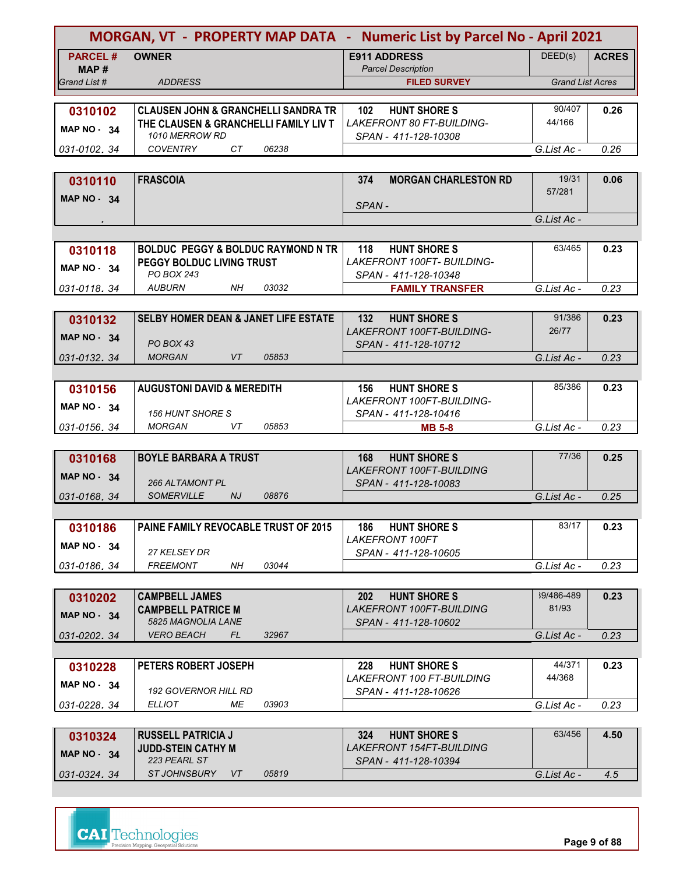| MORGAN, VT - PROPERTY MAP DATA - Numeric List by Parcel No - April 2021 |                                                        |                                                               |                         |               |
|-------------------------------------------------------------------------|--------------------------------------------------------|---------------------------------------------------------------|-------------------------|---------------|
| <b>PARCEL#</b>                                                          | <b>OWNER</b>                                           | <b>E911 ADDRESS</b>                                           | DEED(s)                 | <b>ACRES</b>  |
| MAP #                                                                   |                                                        | <b>Parcel Description</b>                                     |                         |               |
| Grand List #                                                            | <b>ADDRESS</b>                                         | <b>FILED SURVEY</b>                                           | <b>Grand List Acres</b> |               |
| 0310102                                                                 | <b>CLAUSEN JOHN &amp; GRANCHELLI SANDRA TR</b>         | <b>HUNT SHORE S</b><br>102 <sub>2</sub>                       | 90/407                  | 0.26          |
|                                                                         | THE CLAUSEN & GRANCHELLI FAMILY LIV T                  | <b>LAKEFRONT 80 FT-BUILDING-</b>                              | 44/166                  |               |
| MAP NO - 34                                                             | <b>1010 MERROW RD</b>                                  | SPAN - 411-128-10308                                          |                         |               |
| 031-0102.34                                                             | <b>COVENTRY</b><br>CT<br>06238                         |                                                               | G.List Ac -             | 0.26          |
|                                                                         |                                                        |                                                               |                         |               |
| 0310110                                                                 | <b>FRASCOIA</b>                                        | 374<br><b>MORGAN CHARLESTON RD</b>                            | 19/31                   | 0.06          |
| <b>MAP NO - 34</b>                                                      |                                                        |                                                               | 57/281                  |               |
|                                                                         |                                                        | SPAN-                                                         | G.List Ac -             |               |
|                                                                         |                                                        |                                                               |                         |               |
| 0310118                                                                 | <b>BOLDUC PEGGY &amp; BOLDUC RAYMOND N TR</b>          | <b>HUNT SHORE S</b><br>118                                    | 63/465                  | 0.23          |
|                                                                         | PEGGY BOLDUC LIVING TRUST                              | LAKEFRONT 100FT- BUILDING-                                    |                         |               |
| MAP $NO - 34$                                                           | PO BOX 243                                             | SPAN - 411-128-10348                                          |                         |               |
| 031-0118.34                                                             | 03032<br><b>AUBURN</b><br>NH                           | <b>FAMILY TRANSFER</b>                                        | G.List Ac -             | 0.23          |
|                                                                         |                                                        |                                                               |                         |               |
| 0310132                                                                 | <b>SELBY HOMER DEAN &amp; JANET LIFE ESTATE</b>        | <b>HUNT SHORE S</b><br>132                                    | 91/386                  | 0.23          |
| <b>MAP NO - 34</b>                                                      | PO BOX 43                                              | <b>LAKEFRONT 100FT-BUILDING-</b>                              | 26/77                   |               |
| 031-0132.34                                                             | <b>MORGAN</b><br>VT<br>05853                           | SPAN - 411-128-10712                                          | G.List Ac -             | 0.23          |
|                                                                         |                                                        |                                                               |                         |               |
| 0310156                                                                 | <b>AUGUSTONI DAVID &amp; MEREDITH</b>                  | <b>HUNT SHORE S</b><br>156                                    | 85/386                  | 0.23          |
|                                                                         |                                                        | <b>LAKEFRONT 100FT-BUILDING-</b>                              |                         |               |
| MAP $NO - 34$                                                           | <b>156 HUNT SHORE S</b>                                | SPAN - 411-128-10416                                          |                         |               |
| 031-0156, 34                                                            | 05853<br><b>MORGAN</b><br>VT                           | <b>MB 5-8</b>                                                 | G.List Ac -             | 0.23          |
|                                                                         |                                                        |                                                               |                         |               |
| 0310168                                                                 | <b>BOYLE BARBARA A TRUST</b>                           | <b>HUNT SHORE S</b><br>168                                    | 77/36                   | 0.25          |
| <b>MAP NO - 34</b>                                                      | 266 ALTAMONT PL                                        | <b>LAKEFRONT 100FT-BUILDING</b><br>SPAN - 411-128-10083       |                         |               |
| 031-0168.34                                                             | <b>SOMERVILLE</b><br><b>NJ</b><br>08876                |                                                               | G.List Ac -             | 0.25          |
|                                                                         |                                                        |                                                               |                         |               |
| 0310186                                                                 | <b>PAINE FAMILY REVOCABLE TRUST OF 2015</b>            | <b>HUNT SHORE S</b><br>186                                    | 83/17                   | 0.23          |
| <b>MAP NO - 34</b>                                                      |                                                        | LAKEFRONT 100FT                                               |                         |               |
|                                                                         | 27 KELSEY DR                                           | SPAN - 411-128-10605                                          |                         |               |
| 031-0186.34                                                             | 03044<br><b>FREEMONT</b><br>NΗ                         |                                                               | G.List Ac -             | 0.23          |
|                                                                         |                                                        |                                                               |                         |               |
| 0310202                                                                 | <b>CAMPBELL JAMES</b>                                  | <b>HUNT SHORE S</b><br><b>202</b>                             | 39/486-489<br>81/93     | 0.23          |
| MAP $NO - 34$                                                           | <b>CAMPBELL PATRICE M</b><br>5825 MAGNOLIA LANE        | LAKEFRONT 100FT-BUILDING<br>SPAN - 411-128-10602              |                         |               |
| 031-0202.34                                                             | <i><b>VERO BEACH</b></i><br>FL.<br>32967               |                                                               | G.List Ac -             | 0.23          |
|                                                                         |                                                        |                                                               |                         |               |
| 0310228                                                                 | PETERS ROBERT JOSEPH                                   | <b>HUNT SHORE S</b><br>228                                    | 44/371                  | 0.23          |
| MAP NO 34                                                               |                                                        | <i>LAKEFRONT 100 FT-BUILDING</i>                              | 44/368                  |               |
|                                                                         | <b>192 GOVERNOR HILL RD</b>                            | SPAN - 411-128-10626                                          |                         |               |
| 031-0228.34                                                             | 03903<br>ELLIOT<br>МE                                  |                                                               | G.List Ac -             | 0.23          |
|                                                                         |                                                        |                                                               | 63/456                  |               |
| 0310324                                                                 | <b>RUSSELL PATRICIA J</b><br><b>JUDD-STEIN CATHY M</b> | <b>HUNT SHORE S</b><br>324<br><i>LAKEFRONT 154FT-BUILDING</i> |                         | 4.50          |
| <b>MAP NO - 34</b>                                                      | 223 PEARL ST                                           | SPAN - 411-128-10394                                          |                         |               |
| 031-0324.34                                                             | ST JOHNSBURY<br>05819<br>VT                            |                                                               | G.List Ac -             | $4.5^{\circ}$ |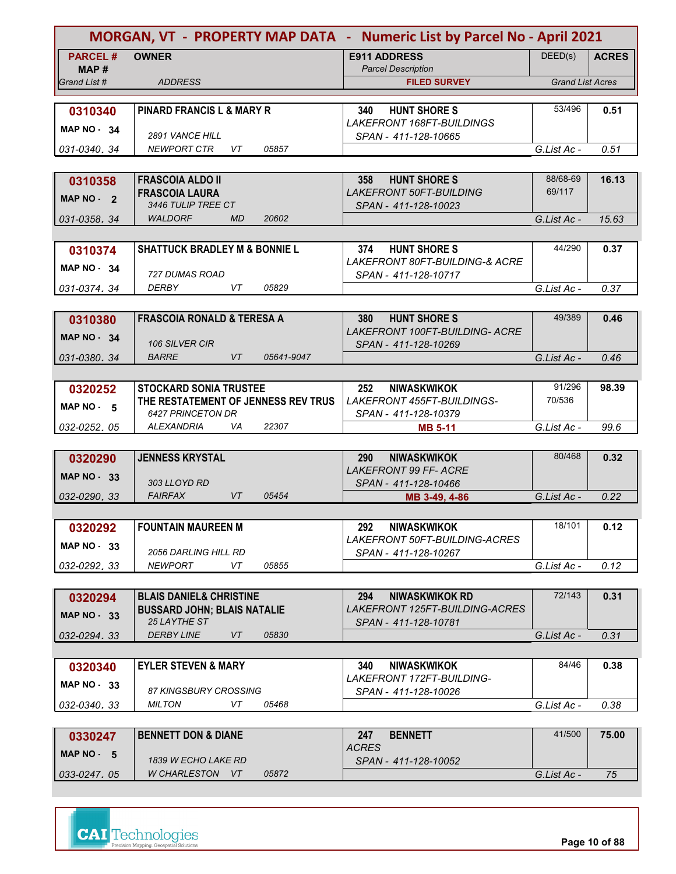| <b>MORGAN, VT - PROPERTY MAP DATA - Numeric List by Parcel No - April 2021</b> |                                                          |                                                                         |                         |              |
|--------------------------------------------------------------------------------|----------------------------------------------------------|-------------------------------------------------------------------------|-------------------------|--------------|
| <b>PARCEL#</b>                                                                 | <b>OWNER</b>                                             | <b>E911 ADDRESS</b>                                                     | DEED(s)                 | <b>ACRES</b> |
| MAP #                                                                          |                                                          | <b>Parcel Description</b>                                               |                         |              |
| Grand List #                                                                   | <b>ADDRESS</b>                                           | <b>FILED SURVEY</b>                                                     | <b>Grand List Acres</b> |              |
|                                                                                |                                                          |                                                                         | 53/496                  |              |
| 0310340                                                                        | PINARD FRANCIS L & MARY R                                | <b>HUNT SHORE S</b><br>340<br>LAKEFRONT 168FT-BUILDINGS                 |                         | 0.51         |
| MAP $NO - 34$                                                                  | <b>2891 VANCE HILL</b>                                   | SPAN - 411-128-10665                                                    |                         |              |
| 031-0340.34                                                                    | <b>NEWPORT CTR</b><br>VT<br>05857                        |                                                                         | G.List Ac -             | 0.51         |
|                                                                                |                                                          |                                                                         |                         |              |
| 0310358                                                                        | <b>FRASCOIA ALDO II</b>                                  | <b>HUNT SHORE S</b><br>358                                              | 88/68-69                | 16.13        |
| MAP NO - 2                                                                     | <b>FRASCOIA LAURA</b>                                    | <b>LAKEFRONT 50FT-BUILDING</b>                                          | 69/117                  |              |
|                                                                                | 3446 TULIP TREE CT                                       | SPAN - 411-128-10023                                                    |                         |              |
| 031-0358.34                                                                    | <b>WALDORF</b><br><b>MD</b><br>20602                     |                                                                         | G.List Ac -             | 15.63        |
|                                                                                |                                                          |                                                                         |                         |              |
| 0310374                                                                        | <b>SHATTUCK BRADLEY M &amp; BONNIE L</b>                 | <b>HUNT SHORE S</b><br>374<br><b>LAKEFRONT 80FT-BUILDING-&amp; ACRE</b> | 44/290                  | 0.37         |
| MAP $NO - 34$                                                                  | 727 DUMAS ROAD                                           | SPAN - 411-128-10717                                                    |                         |              |
| 031-0374.34                                                                    | VT.<br>05829<br>DERBY                                    |                                                                         | G.List Ac -             | 0.37         |
|                                                                                |                                                          |                                                                         |                         |              |
| 0310380                                                                        | <b>FRASCOIA RONALD &amp; TERESA A</b>                    | <b>HUNT SHORE S</b><br>380                                              | 49/389                  | 0.46         |
| <b>MAP NO - 34</b>                                                             |                                                          | LAKEFRONT 100FT-BUILDING- ACRE                                          |                         |              |
|                                                                                | 106 SILVER CIR                                           | SPAN - 411-128-10269                                                    |                         |              |
| 031-0380.34                                                                    | <b>BARRE</b><br><b>VT</b><br>05641-9047                  |                                                                         | G.List Ac -             | 0.46         |
|                                                                                |                                                          |                                                                         |                         |              |
| 0320252                                                                        | <b>STOCKARD SONIA TRUSTEE</b>                            | <b>NIWASKWIKOK</b><br>252<br><b>LAKEFRONT 455FT-BUILDINGS-</b>          | 91/296<br>70/536        | 98.39        |
| MAP NO $-5$                                                                    | THE RESTATEMENT OF JENNESS REV TRUS<br>6427 PRINCETON DR | SPAN - 411-128-10379                                                    |                         |              |
| 032-0252.05                                                                    | 22307<br><b>ALEXANDRIA</b><br>VA                         | <b>MB 5-11</b>                                                          | G.List Ac -             | 99.6         |
|                                                                                |                                                          |                                                                         |                         |              |
| 0320290                                                                        | <b>JENNESS KRYSTAL</b>                                   | <b>290</b><br><b>NIWASKWIKOK</b>                                        | 80/468                  | 0.32         |
| <b>MAP NO - 33</b>                                                             |                                                          | <b>LAKEFRONT 99 FF- ACRE</b>                                            |                         |              |
| 032-0290, 33                                                                   | 303 LLOYD RD<br>VT<br><b>FAIRFAX</b><br>05454            | SPAN - 411-128-10466<br>MB 3-49, 4-86                                   | G.List Ac -             | 0.22         |
|                                                                                |                                                          |                                                                         |                         |              |
| 0320292                                                                        | <b>FOUNTAIN MAUREEN M</b>                                | <b>NIWASKWIKOK</b><br>292                                               | 18/101                  | 0.12         |
|                                                                                |                                                          | <b>LAKEFRONT 50FT-BUILDING-ACRES</b>                                    |                         |              |
| <b>MAP NO - 33</b>                                                             | <i>2056 DARLING HILL RD</i>                              | SPAN - 411-128-10267                                                    |                         |              |
| 032-0292.33                                                                    | <b>NEWPORT</b><br>VT<br>05855                            |                                                                         | G.List Ac -             | 0.12         |
|                                                                                |                                                          |                                                                         |                         |              |
| 0320294                                                                        | <b>BLAIS DANIEL&amp; CHRISTINE</b>                       | <b>NIWASKWIKOK RD</b><br>294                                            | 72/143                  | 0.31         |
| <b>MAP NO - 33</b>                                                             | <b>BUSSARD JOHN; BLAIS NATALIE</b><br>25 LAYTHE ST       | <i>LAKEFRONT 125FT-BUILDING-ACRES</i><br>SPAN - 411-128-10781           |                         |              |
| 032-0294.33                                                                    | <b>DERBY LINE</b><br>VT<br>05830                         |                                                                         | G.List Ac -             | 0.31         |
|                                                                                |                                                          |                                                                         |                         |              |
| 0320340                                                                        | <b>EYLER STEVEN &amp; MARY</b>                           | <b>NIWASKWIKOK</b><br>340                                               | 84/46                   | 0.38         |
| <b>MAP NO - 33</b>                                                             |                                                          | <b>LAKEFRONT 172FT-BUILDING-</b>                                        |                         |              |
|                                                                                | 87 KINGSBURY CROSSING                                    | SPAN - 411-128-10026                                                    |                         |              |
| 032-0340.33                                                                    | <b>MILTON</b><br>VT<br>05468                             |                                                                         | G.List Ac -             | 0.38         |
|                                                                                |                                                          | 247                                                                     | 41/500                  | 75.00        |
| 0330247                                                                        | <b>BENNETT DON &amp; DIANE</b>                           | <b>BENNETT</b><br><b>ACRES</b>                                          |                         |              |
| MAP NO - 5                                                                     | 1839 W ECHO LAKE RD                                      | SPAN - 411-128-10052                                                    |                         |              |
| 033-0247.05                                                                    | W CHARLESTON VT<br>05872                                 |                                                                         | G.List Ac -             | 75           |

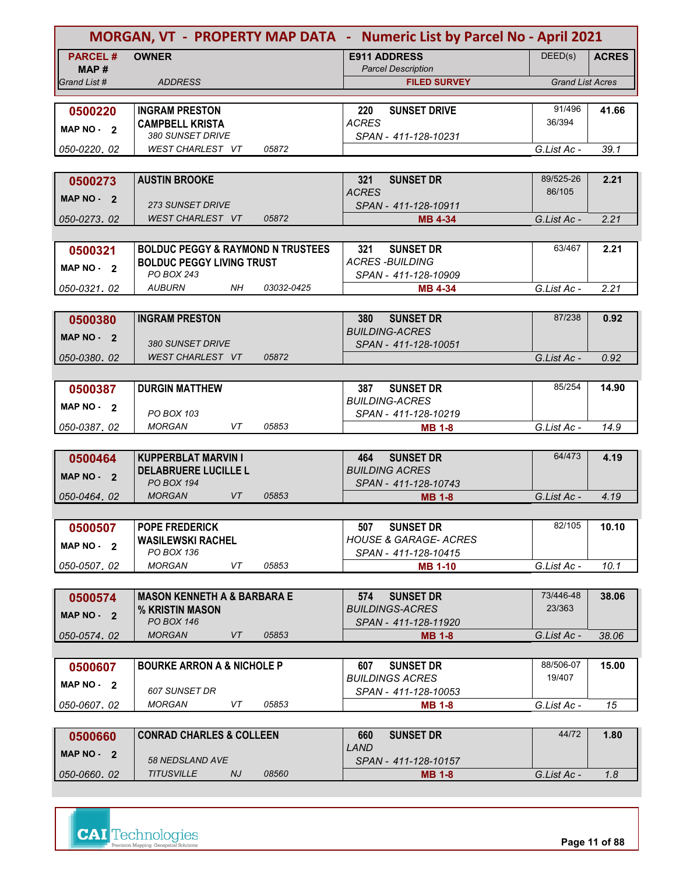|                | MORGAN, VT - PROPERTY MAP DATA - Numeric List by Parcel No - April 2021 |            |                                                  |                         |              |
|----------------|-------------------------------------------------------------------------|------------|--------------------------------------------------|-------------------------|--------------|
| <b>PARCEL#</b> | <b>OWNER</b>                                                            |            | <b>E911 ADDRESS</b>                              | DEED(s)                 | <b>ACRES</b> |
| MAP#           |                                                                         |            | <b>Parcel Description</b>                        |                         |              |
| Grand List #   | <b>ADDRESS</b>                                                          |            | <b>FILED SURVEY</b>                              | <b>Grand List Acres</b> |              |
|                |                                                                         |            |                                                  |                         |              |
| 0500220        | <b>INGRAM PRESTON</b>                                                   |            | <b>SUNSET DRIVE</b><br>220<br><b>ACRES</b>       | 91/496<br>36/394        | 41.66        |
| MAP NO - 2     | <b>CAMPBELL KRISTA</b><br>380 SUNSET DRIVE                              |            | SPAN - 411-128-10231                             |                         |              |
| 050-0220, 02   | WEST CHARLEST VT                                                        | 05872      |                                                  | G.List Ac -             | 39.1         |
|                |                                                                         |            |                                                  |                         |              |
| 0500273        | <b>AUSTIN BROOKE</b>                                                    |            | <b>SUNSET DR</b><br>321                          | 89/525-26               | 2.21         |
| MAP NO - 2     |                                                                         |            | <b>ACRES</b>                                     | 86/105                  |              |
|                | <b>273 SUNSET DRIVE</b>                                                 |            | SPAN - 411-128-10911                             |                         |              |
| 050-0273, 02   | <b>WEST CHARLEST VT</b>                                                 | 05872      | <b>MB 4-34</b>                                   | G.List Ac -             | 2.21         |
|                |                                                                         |            |                                                  |                         |              |
| 0500321        | <b>BOLDUC PEGGY &amp; RAYMOND N TRUSTEES</b>                            |            | <b>SUNSET DR</b><br>321                          | 63/467                  | 2.21         |
| MAP NO - 2     | <b>BOLDUC PEGGY LIVING TRUST</b><br>PO BOX 243                          |            | <b>ACRES-BUILDING</b>                            |                         |              |
| 050-0321.02    | <b>AUBURN</b><br>NH                                                     | 03032-0425 | SPAN - 411-128-10909<br><b>MB 4-34</b>           | G.List Ac -             | 2.21         |
|                |                                                                         |            |                                                  |                         |              |
|                | <b>INGRAM PRESTON</b>                                                   |            | 380<br><b>SUNSET DR</b>                          | 87/238                  | 0.92         |
| 0500380        |                                                                         |            | <b>BUILDING-ACRES</b>                            |                         |              |
| MAP NO - 2     | 380 SUNSET DRIVE                                                        |            | SPAN - 411-128-10051                             |                         |              |
| 050-0380.02    | <b>WEST CHARLEST VT</b>                                                 | 05872      |                                                  | G.List Ac -             | 0.92         |
|                |                                                                         |            |                                                  |                         |              |
| 0500387        | <b>DURGIN MATTHEW</b>                                                   |            | <b>SUNSET DR</b><br>387                          | 85/254                  | 14.90        |
| MAP $NO - 2$   |                                                                         |            | <b>BUILDING-ACRES</b>                            |                         |              |
|                | PO BOX 103                                                              |            | SPAN - 411-128-10219                             |                         |              |
| 050-0387, 02   | VT<br><b>MORGAN</b>                                                     | 05853      | <b>MB 1-8</b>                                    | G.List Ac -             | 14.9         |
|                |                                                                         |            |                                                  |                         |              |
| 0500464        | <b>KUPPERBLAT MARVIN I</b>                                              |            | <b>SUNSET DR</b><br>464<br><b>BUILDING ACRES</b> | 64/473                  | 4.19         |
| MAP NO - 2     | <b>DELABRUERE LUCILLE L</b><br>PO BOX 194                               |            | SPAN - 411-128-10743                             |                         |              |
| 050-0464.02    | <b>VT</b><br><b>MORGAN</b>                                              | 05853      | <b>MB 1-8</b>                                    | G.List Ac -             | 4.19         |
|                |                                                                         |            |                                                  |                         |              |
| 0500507        | <b>POPE FREDERICK</b>                                                   |            | <b>SUNSET DR</b><br>507                          | 82/105                  | 10.10        |
|                | <b>WASILEWSKI RACHEL</b>                                                |            | <b>HOUSE &amp; GARAGE- ACRES</b>                 |                         |              |
| MAP NO - 2     | PO BOX 136                                                              |            | SPAN - 411-128-10415                             |                         |              |
| 050-0507.02    | <b>MORGAN</b><br>VT                                                     | 05853      | <b>MB 1-10</b>                                   | G.List Ac -             | 10.1         |
|                |                                                                         |            |                                                  |                         |              |
| 0500574        | <b>MASON KENNETH A &amp; BARBARA E</b>                                  |            | 574<br><b>SUNSET DR</b>                          | 73/446-48               | 38.06        |
| MAP $NO - 2$   | % KRISTIN MASON                                                         |            | <b>BUILDINGS-ACRES</b>                           | 23/363                  |              |
| 050-0574.02    | PO BOX 146<br>VT<br><b>MORGAN</b>                                       | 05853      | SPAN - 411-128-11920<br><b>MB 1-8</b>            | G.List Ac -             | 38.06        |
|                |                                                                         |            |                                                  |                         |              |
| 0500607        | <b>BOURKE ARRON A &amp; NICHOLE P</b>                                   |            | 607<br><b>SUNSET DR</b>                          | 88/506-07               | 15.00        |
|                |                                                                         |            | <b>BUILDINGS ACRES</b>                           | 19/407                  |              |
| MAP $NO - 2$   | <b>607 SUNSET DR</b>                                                    |            | SPAN - 411-128-10053                             |                         |              |
| 050-0607, 02   | <b>MORGAN</b><br>VT                                                     | 05853      | <b>MB 1-8</b>                                    | G.List Ac -             | 15           |
|                |                                                                         |            |                                                  |                         |              |
| 0500660        | <b>CONRAD CHARLES &amp; COLLEEN</b>                                     |            | <b>SUNSET DR</b><br>660                          | 44/72                   | 1.80         |
| MAP $NO - 2$   |                                                                         |            | LAND                                             |                         |              |
|                | 58 NEDSLAND AVE                                                         |            | SPAN - 411-128-10157                             |                         |              |
| 050-0660.02    | <b>TITUSVILLE</b><br>NJ                                                 | 08560      | <b>MB 1-8</b>                                    | G.List Ac -             | 1.8          |



**Page 11 of 88**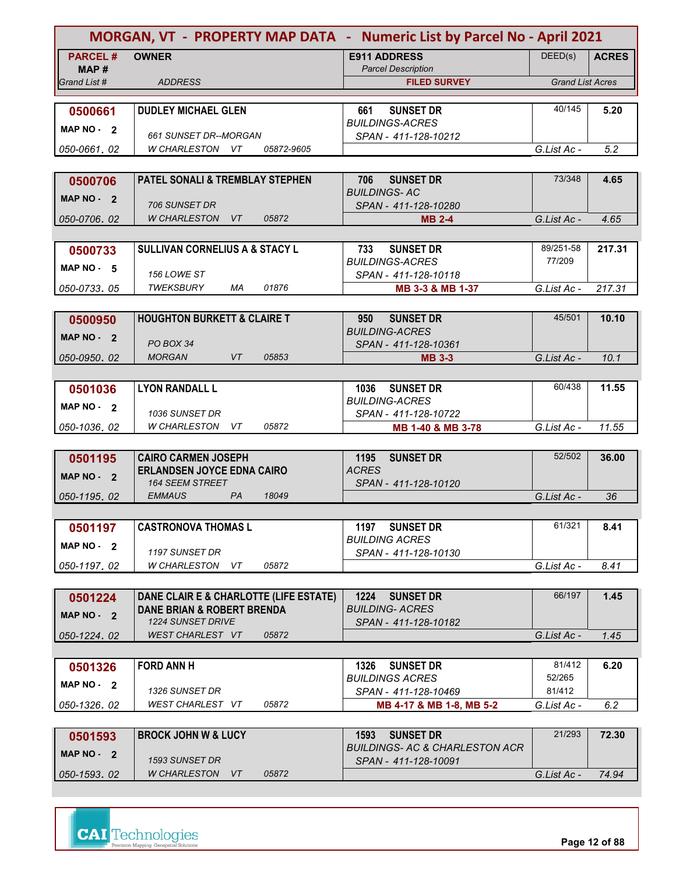| MORGAN, VT - PROPERTY MAP DATA - Numeric List by Parcel No - April 2021 |                                                                                 |                                                                       |                         |              |
|-------------------------------------------------------------------------|---------------------------------------------------------------------------------|-----------------------------------------------------------------------|-------------------------|--------------|
| <b>PARCEL#</b>                                                          | <b>OWNER</b>                                                                    | <b>E911 ADDRESS</b>                                                   | DEED(s)                 | <b>ACRES</b> |
| MAP#                                                                    |                                                                                 | <b>Parcel Description</b>                                             |                         |              |
| Grand List #                                                            | <b>ADDRESS</b>                                                                  | <b>FILED SURVEY</b>                                                   | <b>Grand List Acres</b> |              |
|                                                                         |                                                                                 |                                                                       | 40/145                  | 5.20         |
| 0500661                                                                 | <b>DUDLEY MICHAEL GLEN</b>                                                      | <b>SUNSET DR</b><br>661<br><b>BUILDINGS-ACRES</b>                     |                         |              |
| MAP $NO - 2$                                                            | 661 SUNSET DR--MORGAN                                                           | SPAN - 411-128-10212                                                  |                         |              |
| 050-0661, 02                                                            | W CHARLESTON VT<br>05872-9605                                                   |                                                                       | G.List Ac -             | 5.2          |
|                                                                         |                                                                                 |                                                                       |                         |              |
| 0500706                                                                 | PATEL SONALI & TREMBLAY STEPHEN                                                 | <b>SUNSET DR</b><br>706                                               | 73/348                  | 4.65         |
| MAP NO - 2                                                              |                                                                                 | <b>BUILDINGS-AC</b>                                                   |                         |              |
|                                                                         | 706 SUNSET DR<br><b>W CHARLESTON</b><br>VT<br>05872                             | SPAN - 411-128-10280                                                  |                         |              |
| 050-0706.02                                                             |                                                                                 | <b>MB 2-4</b>                                                         | G.List Ac -             | 4.65         |
|                                                                         | <b>SULLIVAN CORNELIUS A &amp; STACY L</b>                                       | <b>SUNSET DR</b><br>733                                               | 89/251-58               | 217.31       |
| 0500733                                                                 |                                                                                 | <b>BUILDINGS-ACRES</b>                                                | 77/209                  |              |
| $MAP NO - 5$                                                            | <b>156 LOWE ST</b>                                                              | SPAN - 411-128-10118                                                  |                         |              |
| 050-0733.05                                                             | TWEKSBURY<br>МA<br>01876                                                        | MB 3-3 & MB 1-37                                                      | G.List Ac -             | 217.31       |
|                                                                         |                                                                                 |                                                                       |                         |              |
| 0500950                                                                 | <b>HOUGHTON BURKETT &amp; CLAIRE T</b>                                          | 950<br><b>SUNSET DR</b>                                               | 45/501                  | 10.10        |
| MAP NO - 2                                                              |                                                                                 | <b>BUILDING-ACRES</b>                                                 |                         |              |
| 050-0950.02                                                             | PO BOX 34<br><b>VT</b><br><b>MORGAN</b><br>05853                                | SPAN - 411-128-10361<br><b>MB 3-3</b>                                 | G.List Ac -             | 10.1         |
|                                                                         |                                                                                 |                                                                       |                         |              |
| 0501036                                                                 | <b>LYON RANDALL L</b>                                                           | <b>SUNSET DR</b><br>1036                                              | 60/438                  | 11.55        |
|                                                                         |                                                                                 | <b>BUILDING-ACRES</b>                                                 |                         |              |
| MAP $NO - 2$                                                            | 1036 SUNSET DR                                                                  | SPAN - 411-128-10722                                                  |                         |              |
| 050-1036.02                                                             | 05872<br>W CHARLESTON<br>VT                                                     | MB 1-40 & MB 3-78                                                     | G.List Ac -             | 11.55        |
|                                                                         |                                                                                 |                                                                       |                         |              |
| 0501195                                                                 | <b>CAIRO CARMEN JOSEPH</b>                                                      | <b>SUNSET DR</b><br>1195                                              | 52/502                  | 36.00        |
| MAP NO - 2                                                              | <b>ERLANDSEN JOYCE EDNA CAIRO</b><br><b>164 SEEM STREET</b>                     | <b>ACRES</b><br>SPAN - 411-128-10120                                  |                         |              |
| 050-1195.02                                                             | PA<br><b>EMMAUS</b><br>18049                                                    |                                                                       | G.List Ac -             | 36           |
|                                                                         |                                                                                 |                                                                       |                         |              |
| 0501197                                                                 | <b>CASTRONOVA THOMAS L</b>                                                      | 1197 SUNSET DR                                                        | 61/321                  | 8.41         |
| MAP $NO - 2$                                                            |                                                                                 | <b>BUILDING ACRES</b>                                                 |                         |              |
|                                                                         | 1197 SUNSET DR                                                                  | SPAN - 411-128-10130                                                  |                         |              |
| 050-1197.02                                                             | W CHARLESTON<br>05872<br>VT.                                                    |                                                                       | G.List Ac -             | 8.41         |
|                                                                         |                                                                                 |                                                                       |                         |              |
| 0501224                                                                 | DANE CLAIR E & CHARLOTTE (LIFE ESTATE)<br><b>DANE BRIAN &amp; ROBERT BRENDA</b> | 1224<br><b>SUNSET DR</b><br><b>BUILDING- ACRES</b>                    | 66/197                  | 1.45         |
| MAP NO - 2                                                              | 1224 SUNSET DRIVE                                                               | SPAN - 411-128-10182                                                  |                         |              |
| 050-1224.02                                                             | <b>WEST CHARLEST VT</b><br>05872                                                |                                                                       | G.List Ac -             | 1.45         |
|                                                                         |                                                                                 |                                                                       |                         |              |
| 0501326                                                                 | <b>FORD ANN H</b>                                                               | <b>SUNSET DR</b><br>1326                                              | 81/412                  | 6.20         |
| MAP $NO - 2$                                                            |                                                                                 | <b>BUILDINGS ACRES</b>                                                | 52/265                  |              |
|                                                                         | 1326 SUNSET DR                                                                  | SPAN - 411-128-10469                                                  | 81/412                  |              |
| 050-1326.02                                                             | 05872<br>WEST CHARLEST VT                                                       | MB 4-17 & MB 1-8, MB 5-2                                              | G.List Ac -             | 6.2          |
|                                                                         |                                                                                 |                                                                       | 21/293                  |              |
| 0501593                                                                 | <b>BROCK JOHN W &amp; LUCY</b>                                                  | 1593<br><b>SUNSET DR</b><br><b>BUILDINGS- AC &amp; CHARLESTON ACR</b> |                         | 72.30        |
| MAP $NO - 2$                                                            | 1593 SUNSET DR                                                                  | SPAN - 411-128-10091                                                  |                         |              |
| 050-1593.02                                                             | <b>W CHARLESTON</b><br>05872<br>VT.                                             |                                                                       | G.List Ac -             | 74.94        |
|                                                                         |                                                                                 |                                                                       |                         |              |

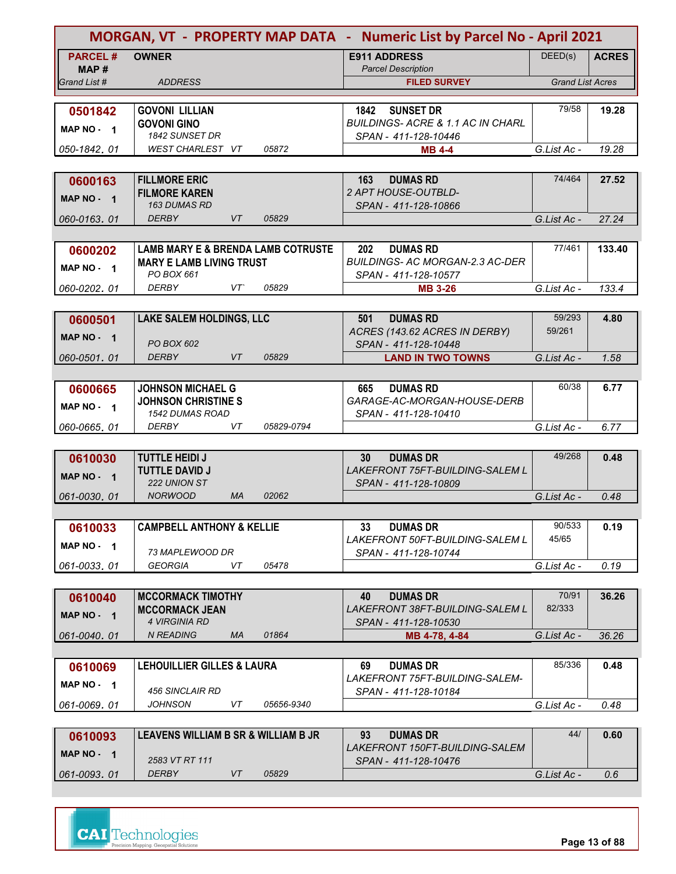|                | MORGAN, VT - PROPERTY MAP DATA - Numeric List by Parcel No - April 2021 |            |                                                                 |                         |              |  |
|----------------|-------------------------------------------------------------------------|------------|-----------------------------------------------------------------|-------------------------|--------------|--|
| <b>PARCEL#</b> | <b>OWNER</b>                                                            |            | <b>E911 ADDRESS</b>                                             | DEED(s)                 | <b>ACRES</b> |  |
| MAP #          |                                                                         |            | <b>Parcel Description</b>                                       |                         |              |  |
| Grand List #   | <b>ADDRESS</b>                                                          |            | <b>FILED SURVEY</b>                                             | <b>Grand List Acres</b> |              |  |
| 0501842        | <b>GOVONI LILLIAN</b>                                                   |            | 1842<br><b>SUNSET DR</b>                                        | 79/58                   | 19.28        |  |
| MAP NO - 1     | <b>GOVONI GINO</b>                                                      |            | <b>BUILDINGS-ACRE &amp; 1.1 AC IN CHARL</b>                     |                         |              |  |
|                | 1842 SUNSET DR                                                          |            | SPAN - 411-128-10446                                            |                         |              |  |
| 050-1842, 01   | WEST CHARLEST VT                                                        | 05872      | <b>MB 4-4</b>                                                   | G.List Ac -             | 19.28        |  |
|                |                                                                         |            |                                                                 |                         |              |  |
| 0600163        | <b>FILLMORE ERIC</b><br><b>FILMORE KAREN</b>                            |            | <b>DUMAS RD</b><br>163<br><b>2 APT HOUSE-OUTBLD-</b>            | 74/464                  | 27.52        |  |
| MAP NO - 1     | 163 DUMAS RD                                                            |            | SPAN - 411-128-10866                                            |                         |              |  |
| 060-0163.01    | <b>DERBY</b><br>VT                                                      | 05829      |                                                                 | G.List Ac -             | 27.24        |  |
|                |                                                                         |            |                                                                 |                         |              |  |
| 0600202        | <b>LAMB MARY E &amp; BRENDA LAMB COTRUSTE</b>                           |            | 202<br><b>DUMAS RD</b>                                          | 77/461                  | 133.40       |  |
| MAP NO - 1     | <b>MARY E LAMB LIVING TRUST</b>                                         |            | BUILDINGS- AC MORGAN-2.3 AC-DER                                 |                         |              |  |
| 060-0202.01    | PO BOX 661<br>VT<br>DERBY                                               | 05829      | SPAN - 411-128-10577<br><b>MB 3-26</b>                          | G.List Ac -             | 133.4        |  |
|                |                                                                         |            |                                                                 |                         |              |  |
| 0600501        | LAKE SALEM HOLDINGS, LLC                                                |            | <b>DUMAS RD</b><br>501                                          | 59/293                  | 4.80         |  |
|                |                                                                         |            | ACRES (143.62 ACRES IN DERBY)                                   | 59/261                  |              |  |
| MAP NO - 1     | PO BOX 602                                                              |            | SPAN - 411-128-10448                                            |                         |              |  |
| 060-0501.01    | <b>VT</b><br><b>DERBY</b>                                               | 05829      | <b>LAND IN TWO TOWNS</b>                                        | G.List Ac -             | 1.58         |  |
|                |                                                                         |            |                                                                 |                         |              |  |
| 0600665        | <b>JOHNSON MICHAEL G</b><br><b>JOHNSON CHRISTINE S</b>                  |            | <b>DUMAS RD</b><br>665<br>GARAGE-AC-MORGAN-HOUSE-DERB           | 60/38                   | 6.77         |  |
| MAP NO - 1     | <b>1542 DUMAS ROAD</b>                                                  |            | SPAN - 411-128-10410                                            |                         |              |  |
| 060-0665, 01   | VT<br><b>DERBY</b>                                                      | 05829-0794 |                                                                 | G.List Ac -             | 6.77         |  |
|                |                                                                         |            |                                                                 |                         |              |  |
| 0610030        | <b>TUTTLE HEIDI J</b>                                                   |            | <b>DUMAS DR</b><br>30                                           | 49/268                  | 0.48         |  |
| MAP NO - 1     | <b>TUTTLE DAVID J</b><br>222 UNION ST                                   |            | <b>LAKEFRONT 75FT-BUILDING-SALEM L</b>                          |                         |              |  |
| 061-0030, 01   | <b>NORWOOD</b><br><b>MA</b>                                             | 02062      | SPAN - 411-128-10809                                            | G.List Ac -             | 0.48         |  |
|                |                                                                         |            |                                                                 |                         |              |  |
| 0610033        | <b>CAMPBELL ANTHONY &amp; KELLIE</b>                                    |            | <b>DUMAS DR</b><br>33                                           | 90/533                  | 0.19         |  |
| MAP NO - 1     |                                                                         |            | <b>LAKEFRONT 50FT-BUILDING-SALEM L</b>                          | 45/65                   |              |  |
|                | 73 MAPLEWOOD DR                                                         |            | SPAN - 411-128-10744                                            |                         |              |  |
| 061-0033.01    | <b>GEORGIA</b><br>VT                                                    | 05478      |                                                                 | G.List Ac -             | 0.19         |  |
|                |                                                                         |            |                                                                 | 70/91                   |              |  |
| 0610040        | <b>MCCORMACK TIMOTHY</b><br><b>MCCORMACK JEAN</b>                       |            | 40<br><b>DUMAS DR</b><br><b>LAKEFRONT 38FT-BUILDING-SALEM L</b> | 82/333                  | 36.26        |  |
| MAP NO - 1     | <b>4 VIRGINIA RD</b>                                                    |            | SPAN - 411-128-10530                                            |                         |              |  |
| 061-0040.01    | <b>N READING</b><br>MA                                                  | 01864      | MB 4-78, 4-84                                                   | G.List Ac -             | 36.26        |  |
|                |                                                                         |            |                                                                 |                         |              |  |
| 0610069        | <b>LEHOUILLIER GILLES &amp; LAURA</b>                                   |            | <b>DUMAS DR</b><br>69                                           | 85/336                  | 0.48         |  |
| MAP NO - 1     | 456 SINCLAIR RD                                                         |            | LAKEFRONT 75FT-BUILDING-SALEM-<br>SPAN - 411-128-10184          |                         |              |  |
| 061-0069, 01   | JOHNSON<br>VT                                                           | 05656-9340 |                                                                 | G.List Ac -             | 0.48         |  |
|                |                                                                         |            |                                                                 |                         |              |  |
| 0610093        | LEAVENS WILLIAM B SR & WILLIAM B JR                                     |            | 93<br><b>DUMAS DR</b>                                           | 44/                     | 0.60         |  |
| MAP NO - 1     |                                                                         |            | LAKEFRONT 150FT-BUILDING-SALEM                                  |                         |              |  |
| 061-0093.01    | 2583 VT RT 111<br><b>DERBY</b><br>VT                                    | 05829      | SPAN - 411-128-10476                                            | G.List Ac -             | 0.6          |  |
|                |                                                                         |            |                                                                 |                         |              |  |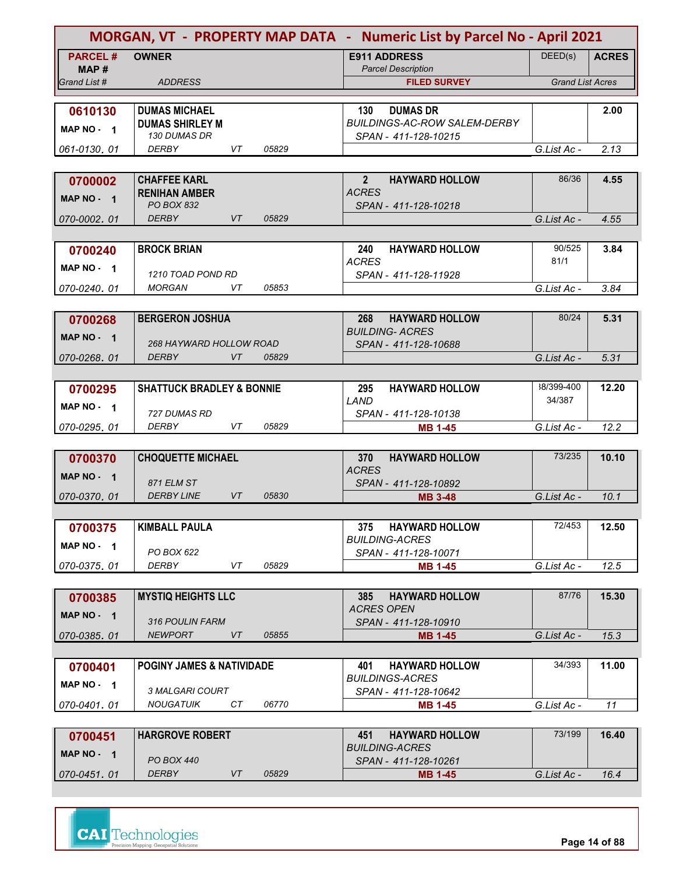|                                   | MORGAN, VT - PROPERTY MAP DATA - Numeric List by Parcel No - April 2021 |           |       |                                                             |                         |              |
|-----------------------------------|-------------------------------------------------------------------------|-----------|-------|-------------------------------------------------------------|-------------------------|--------------|
| <b>PARCEL#</b><br>MAP#            | <b>OWNER</b>                                                            |           |       | <b>E911 ADDRESS</b><br><b>Parcel Description</b>            | DEED(s)                 | <b>ACRES</b> |
| Grand List #                      | <b>ADDRESS</b>                                                          |           |       | <b>FILED SURVEY</b>                                         | <b>Grand List Acres</b> |              |
|                                   |                                                                         |           |       |                                                             |                         |              |
| 0610130                           | <b>DUMAS MICHAEL</b>                                                    |           |       | <b>DUMAS DR</b><br>130                                      |                         | 2.00         |
| MAP NO - 1                        | <b>DUMAS SHIRLEY M</b><br><b>130 DUMAS DR</b>                           |           |       | <b>BUILDINGS-AC-ROW SALEM-DERBY</b><br>SPAN - 411-128-10215 |                         |              |
| 061-0130.01                       | <b>DERBY</b>                                                            | VT        | 05829 |                                                             | G.List Ac -             | 2.13         |
|                                   |                                                                         |           |       |                                                             |                         |              |
| 0700002                           | <b>CHAFFEE KARL</b>                                                     |           |       | <b>HAYWARD HOLLOW</b><br>$\overline{2}$                     | 86/36                   | 4.55         |
| MAP NO - 1                        | <b>RENIHAN AMBER</b>                                                    |           |       | <b>ACRES</b>                                                |                         |              |
|                                   | <b>PO BOX 832</b>                                                       |           |       | SPAN - 411-128-10218                                        |                         |              |
| 070-0002.01                       | <b>DERBY</b>                                                            | VT        | 05829 |                                                             | G.List Ac -             | 4.55         |
|                                   |                                                                         |           |       |                                                             |                         |              |
| 0700240                           | <b>BROCK BRIAN</b>                                                      |           |       | 240<br><b>HAYWARD HOLLOW</b>                                | 90/525                  | 3.84         |
| MAP NO - 1                        | 1210 TOAD POND RD                                                       |           |       | <b>ACRES</b><br>SPAN - 411-128-11928                        | 81/1                    |              |
| 070-0240.01                       | <b>MORGAN</b>                                                           | VT        | 05853 |                                                             | G.List Ac -             | 3.84         |
|                                   |                                                                         |           |       |                                                             |                         |              |
| 0700268                           | <b>BERGERON JOSHUA</b>                                                  |           |       | 268<br><b>HAYWARD HOLLOW</b>                                | 80/24                   | 5.31         |
| MAP NO - 1                        |                                                                         |           |       | <b>BUILDING- ACRES</b>                                      |                         |              |
|                                   | 268 HAYWARD HOLLOW ROAD                                                 |           |       | SPAN - 411-128-10688                                        |                         |              |
| 070-0268.01                       | <b>DERBY</b>                                                            | VT        | 05829 |                                                             | G.List Ac -             | 5.31         |
|                                   |                                                                         |           |       |                                                             |                         |              |
| 0700295                           | <b>SHATTUCK BRADLEY &amp; BONNIE</b>                                    |           |       | <b>HAYWARD HOLLOW</b><br>295                                | 38/399-400              | 12.20        |
| MAP NO - 1                        | 727 DUMAS RD                                                            |           |       | LAND<br>SPAN - 411-128-10138                                | 34/387                  |              |
| 070-0295.01                       | <b>DERBY</b>                                                            | VT        | 05829 | <b>MB 1-45</b>                                              | G.List Ac -             | 12.2         |
|                                   |                                                                         |           |       |                                                             |                         |              |
| 0700370                           | <b>CHOQUETTE MICHAEL</b>                                                |           |       | <b>HAYWARD HOLLOW</b><br>370                                | 73/235                  | 10.10        |
| <b>MAP NO -</b><br>$\blacksquare$ |                                                                         |           |       | <b>ACRES</b>                                                |                         |              |
|                                   | 871 ELM ST                                                              |           |       | SPAN - 411-128-10892                                        |                         |              |
| 070-0370.01                       | <b>DERBY LINE</b>                                                       | <b>VT</b> | 05830 | <b>MB 3-48</b>                                              | G.List Ac -             | 10.1         |
|                                   |                                                                         |           |       |                                                             |                         |              |
| 0700375                           | <b>KIMBALL PAULA</b>                                                    |           |       | <b>HAYWARD HOLLOW</b><br>375<br><b>BUILDING-ACRES</b>       | 72/453                  | 12.50        |
| MAP NO - 1                        | PO BOX 622                                                              |           |       | SPAN - 411-128-10071                                        |                         |              |
| 070-0375.01                       | DERBY                                                                   | VT        | 05829 | <b>MB 1-45</b>                                              | G.List Ac -             | 12.5         |
|                                   |                                                                         |           |       |                                                             |                         |              |
| 0700385                           | <b>MYSTIQ HEIGHTS LLC</b>                                               |           |       | <b>HAYWARD HOLLOW</b><br>385                                | 87/76                   | 15.30        |
| MAP $NO - 1$                      |                                                                         |           |       | <b>ACRES OPEN</b>                                           |                         |              |
|                                   | 316 POULIN FARM                                                         |           |       | SPAN - 411-128-10910                                        |                         |              |
| 070-0385.01                       | <b>NEWPORT</b>                                                          | VT        | 05855 | <b>MB 1-45</b>                                              | G.List Ac -             | 15.3         |
|                                   |                                                                         |           |       |                                                             | 34/393                  | 11.00        |
| 0700401                           | <b>POGINY JAMES &amp; NATIVIDADE</b>                                    |           |       | <b>HAYWARD HOLLOW</b><br>401<br><b>BUILDINGS-ACRES</b>      |                         |              |
| MAP NO - 1                        | 3 MALGARI COURT                                                         |           |       | SPAN - 411-128-10642                                        |                         |              |
| 070-0401, 01                      | <b>NOUGATUIK</b>                                                        | CТ        | 06770 | <b>MB 1-45</b>                                              | G.List Ac -             | 11           |
|                                   |                                                                         |           |       |                                                             |                         |              |
| 0700451                           | <b>HARGROVE ROBERT</b>                                                  |           |       | <b>HAYWARD HOLLOW</b><br>451                                | 73/199                  | 16.40        |
| MAP $NO - 1$                      |                                                                         |           |       | <i>BUILDING-ACRES</i>                                       |                         |              |
| 070-0451.01                       | PO BOX 440<br><b>DERBY</b>                                              | VT        | 05829 | SPAN - 411-128-10261<br><b>MB 1-45</b>                      | G.List Ac -             | 16.4         |
|                                   |                                                                         |           |       |                                                             |                         |              |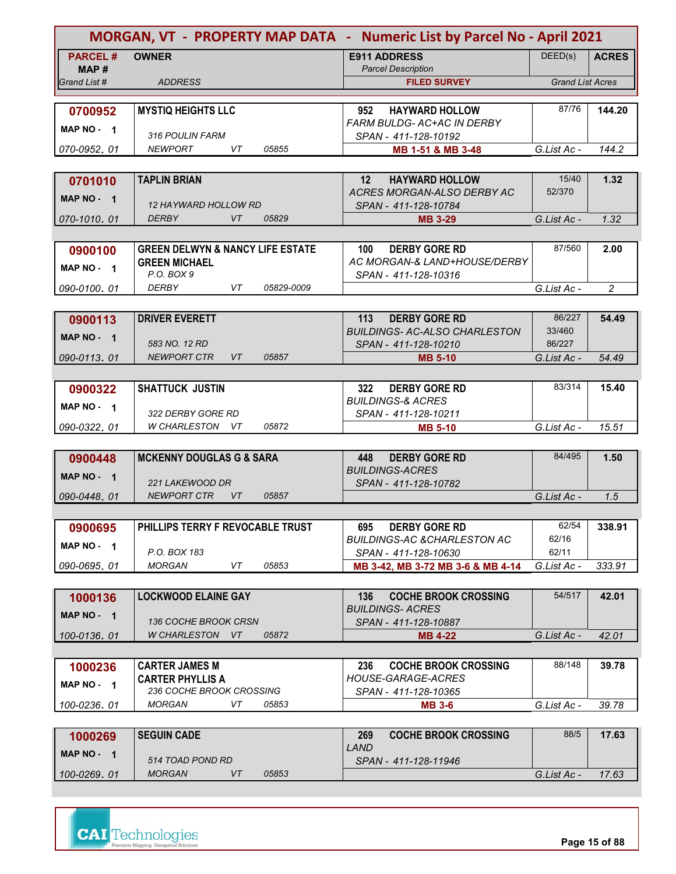|                      | MORGAN, VT - PROPERTY MAP DATA - Numeric List by Parcel No - April 2021 |                                                      |                         |                |
|----------------------|-------------------------------------------------------------------------|------------------------------------------------------|-------------------------|----------------|
| <b>PARCEL#</b>       | <b>OWNER</b>                                                            | <b>E911 ADDRESS</b>                                  | DEED(s)                 | <b>ACRES</b>   |
| MAP#<br>Grand List # |                                                                         | <b>Parcel Description</b>                            | <b>Grand List Acres</b> |                |
|                      | <b>ADDRESS</b>                                                          | <b>FILED SURVEY</b>                                  |                         |                |
| 0700952              | <b>MYSTIQ HEIGHTS LLC</b>                                               | <b>HAYWARD HOLLOW</b><br>952                         | 87/76                   | 144.20         |
|                      |                                                                         | <b>FARM BULDG- AC+AC IN DERBY</b>                    |                         |                |
| MAP NO - 1           | 316 POULIN FARM                                                         | SPAN - 411-128-10192                                 |                         |                |
| 070-0952.01          | <b>NEWPORT</b><br>VT<br>05855                                           | MB 1-51 & MB 3-48                                    | G.List Ac -             | 144.2          |
|                      |                                                                         |                                                      |                         |                |
| 0701010              | <b>TAPLIN BRIAN</b>                                                     | 12 <sup>2</sup><br><b>HAYWARD HOLLOW</b>             | 15/40                   | 1.32           |
| MAP NO - 1           |                                                                         | ACRES MORGAN-ALSO DERBY AC                           | 52/370                  |                |
|                      | <i><b>12 HAYWARD HOLLOW RD</b></i>                                      | SPAN - 411-128-10784                                 |                         |                |
| 070-1010, 01         | <b>DERBY</b><br><b>VT</b><br>05829                                      | <b>MB 3-29</b>                                       | G.List Ac -             | 1.32           |
|                      |                                                                         |                                                      |                         |                |
| 0900100              | <b>GREEN DELWYN &amp; NANCY LIFE ESTATE</b>                             | <b>DERBY GORE RD</b><br>100 <sub>1</sub>             | 87/560                  | 2.00           |
| MAP NO - 1           | <b>GREEN MICHAEL</b><br>P.O. BOX 9                                      | AC MORGAN-& LAND+HOUSE/DERBY<br>SPAN - 411-128-10316 |                         |                |
| 090-0100.01          | <b>DERBY</b><br>VT<br>05829-0009                                        |                                                      | G.List Ac -             | $\overline{2}$ |
|                      |                                                                         |                                                      |                         |                |
| 0900113              | <b>DRIVER EVERETT</b>                                                   | <b>DERBY GORE RD</b><br>113                          | 86/227                  | 54.49          |
|                      |                                                                         | <b>BUILDINGS- AC-ALSO CHARLESTON</b>                 | 33/460                  |                |
| MAP NO - 1           | 583 NO. 12 RD                                                           | SPAN - 411-128-10210                                 | 86/227                  |                |
| 090-0113.01          | <b>NEWPORT CTR</b><br><b>VT</b><br>05857                                | <b>MB 5-10</b>                                       | G.List Ac -             | 54.49          |
|                      |                                                                         |                                                      |                         |                |
| 0900322              | <b>SHATTUCK JUSTIN</b>                                                  | 322<br><b>DERBY GORE RD</b>                          | 83/314                  | 15.40          |
| MAP NO $-1$          |                                                                         | <b>BUILDINGS-&amp; ACRES</b>                         |                         |                |
|                      | 322 DERBY GORE RD                                                       | SPAN - 411-128-10211                                 |                         |                |
| 090-0322.01          | W CHARLESTON VT<br>05872                                                | <b>MB 5-10</b>                                       | G.List Ac -             | 15.51          |
|                      |                                                                         |                                                      |                         |                |
| 0900448              | <b>MCKENNY DOUGLAS G &amp; SARA</b>                                     | <b>DERBY GORE RD</b><br>448                          | 84/495                  | 1.50           |
| MAP NO - 1           | 221 LAKEWOOD DR                                                         | <b>BUILDINGS-ACRES</b><br>SPAN - 411-128-10782       |                         |                |
| 090-0448.01          | <b>NEWPORT CTR</b><br><b>VT</b><br>05857                                |                                                      | G.List Ac -             | 1.5            |
|                      |                                                                         |                                                      |                         |                |
| 0900695              | PHILLIPS TERRY F REVOCABLE TRUST                                        | <b>DERBY GORE RD</b><br>695                          | 62/54                   | 338.91         |
|                      |                                                                         | <b>BUILDINGS-AC &amp;CHARLESTON AC</b>               | 62/16                   |                |
| MAP NO - 1           | P.O. BOX 183                                                            | SPAN - 411-128-10630                                 | 62/11                   |                |
| 090-0695.01          | <b>MORGAN</b><br>VT<br>05853                                            | MB 3-42, MB 3-72 MB 3-6 & MB 4-14                    | G.List Ac -             | 333.91         |
|                      |                                                                         |                                                      |                         |                |
| 1000136              | <b>LOCKWOOD ELAINE GAY</b>                                              | <b>COCHE BROOK CROSSING</b><br>136                   | 54/517                  | 42.01          |
| MAP NO - 1           |                                                                         | <b>BUILDINGS- ACRES</b>                              |                         |                |
|                      | 136 COCHE BROOK CRSN                                                    | SPAN - 411-128-10887                                 |                         |                |
| 100-0136, 01         | W CHARLESTON VT<br>05872                                                | <b>MB 4-22</b>                                       | G.List Ac -             | 42.01          |
|                      |                                                                         |                                                      |                         |                |
| 1000236              | <b>CARTER JAMES M</b>                                                   | <b>COCHE BROOK CROSSING</b><br>236                   | 88/148                  | 39.78          |
| MAP NO - 1           | <b>CARTER PHYLLIS A</b><br>236 COCHE BROOK CROSSING                     | <b>HOUSE-GARAGE-ACRES</b>                            |                         |                |
| 100-0236.01          | <b>MORGAN</b><br>VT<br>05853                                            | SPAN - 411-128-10365<br><b>MB 3-6</b>                | G.List Ac -             | 39.78          |
|                      |                                                                         |                                                      |                         |                |
|                      | <b>SEGUIN CADE</b>                                                      | 269<br><b>COCHE BROOK CROSSING</b>                   | 88/5                    | 17.63          |
| 1000269              |                                                                         |                                                      |                         |                |

| 1000269         | <b>SEGUIN CADE</b> |   |       | 269                  | <b>COCHE BROOK CROSSING</b> | 88/5        | 17.63 |
|-----------------|--------------------|---|-------|----------------------|-----------------------------|-------------|-------|
| <b>MAP NO -</b> |                    |   |       | <i>LAND</i>          |                             |             |       |
|                 | 514 TOAD POND RD   |   |       | SPAN - 411-128-11946 |                             |             |       |
| 100-0269, 01    | <b>MORGAN</b>      | V | 05853 |                      |                             | G.List Ac - | 17.63 |
|                 |                    |   |       |                      |                             |             |       |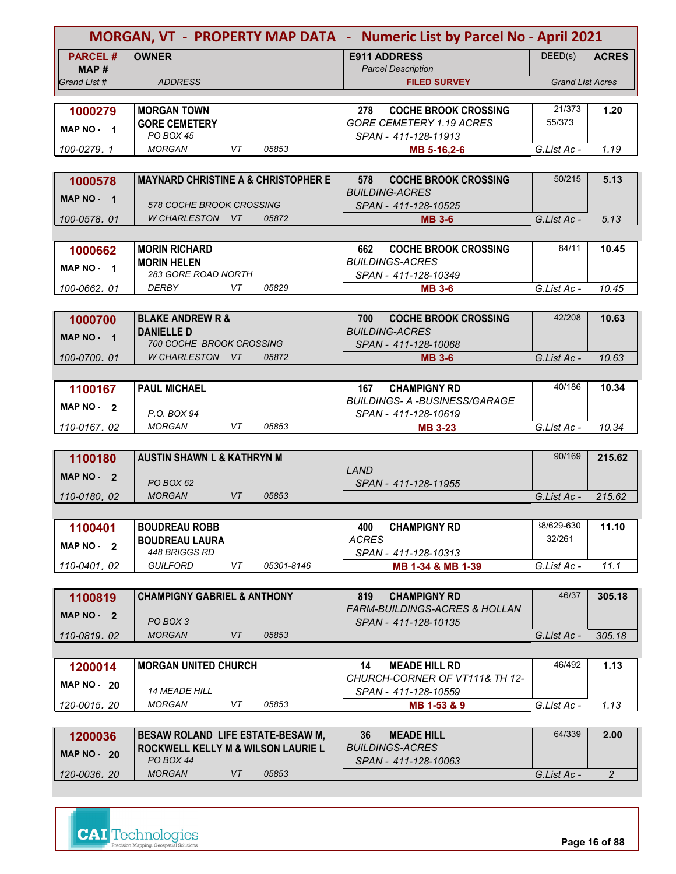|                                            | MORGAN, VT - PROPERTY MAP DATA - Numeric List by Parcel No - April 2021 |                                                                        |                         |                |  |  |  |
|--------------------------------------------|-------------------------------------------------------------------------|------------------------------------------------------------------------|-------------------------|----------------|--|--|--|
| <b>PARCEL#</b><br>MAP#                     | <b>OWNER</b>                                                            | <b>E911 ADDRESS</b><br><b>Parcel Description</b>                       | DEED(s)                 | <b>ACRES</b>   |  |  |  |
| Grand List #                               | <b>ADDRESS</b>                                                          | <b>FILED SURVEY</b>                                                    | <b>Grand List Acres</b> |                |  |  |  |
|                                            |                                                                         |                                                                        |                         |                |  |  |  |
| 1000279                                    | <b>MORGAN TOWN</b>                                                      | <b>COCHE BROOK CROSSING</b><br>278                                     | 21/373                  | 1.20           |  |  |  |
| MAP NO - 1                                 | <b>GORE CEMETERY</b>                                                    | <b>GORE CEMETERY 1.19 ACRES</b>                                        | 55/373                  |                |  |  |  |
|                                            | PO BOX 45                                                               | SPAN - 411-128-11913                                                   |                         |                |  |  |  |
| 100-0279, 1                                | <b>MORGAN</b><br>VT<br>05853                                            | MB 5-16,2-6                                                            | G.List Ac -             | 1.19           |  |  |  |
|                                            |                                                                         |                                                                        |                         |                |  |  |  |
| 1000578                                    | <b>MAYNARD CHRISTINE A &amp; CHRISTOPHER E</b>                          | <b>COCHE BROOK CROSSING</b><br>578                                     | 50/215                  | 5.13           |  |  |  |
| MAP NO - 1                                 | 578 COCHE BROOK CROSSING                                                | <i>BUILDING-ACRES</i>                                                  |                         |                |  |  |  |
| 100-0578, 01                               | 05872<br>W CHARLESTON VT                                                | SPAN - 411-128-10525<br><b>MB 3-6</b>                                  | G.List Ac -             | 5.13           |  |  |  |
|                                            |                                                                         |                                                                        |                         |                |  |  |  |
|                                            | <b>MORIN RICHARD</b>                                                    | <b>COCHE BROOK CROSSING</b><br>662                                     | 84/11                   | 10.45          |  |  |  |
| 1000662                                    | <b>MORIN HELEN</b>                                                      | <b>BUILDINGS-ACRES</b>                                                 |                         |                |  |  |  |
| MAP NO - 1                                 | 283 GORE ROAD NORTH                                                     | SPAN - 411-128-10349                                                   |                         |                |  |  |  |
| 100-0662.01                                | DERBY<br>VT<br>05829                                                    | <b>MB 3-6</b>                                                          | G.List Ac -             | 10.45          |  |  |  |
|                                            |                                                                         |                                                                        |                         |                |  |  |  |
| 1000700                                    | <b>BLAKE ANDREW R &amp;</b>                                             | 700<br><b>COCHE BROOK CROSSING</b>                                     | 42/208                  | 10.63          |  |  |  |
| MAP NO - 1                                 | <b>DANIELLE D</b>                                                       | <b>BUILDING-ACRES</b>                                                  |                         |                |  |  |  |
|                                            | <b>700 COCHE BROOK CROSSING</b>                                         | SPAN - 411-128-10068                                                   |                         |                |  |  |  |
| 100-0700.01                                | W CHARLESTON VT<br>05872                                                | <b>MB 3-6</b>                                                          | G.List Ac -             | 10.63          |  |  |  |
|                                            |                                                                         |                                                                        |                         |                |  |  |  |
| 1100167                                    | <b>PAUL MICHAEL</b>                                                     | 167<br><b>CHAMPIGNY RD</b>                                             | 40/186                  | 10.34          |  |  |  |
| MAP NO - 2                                 |                                                                         | <b>BUILDINGS- A -BUSINESS/GARAGE</b>                                   |                         |                |  |  |  |
| 110-0167, 02                               | P.O. BOX 94<br><b>MORGAN</b><br>VT<br>05853                             | SPAN - 411-128-10619                                                   | G.List Ac -             | 10.34          |  |  |  |
|                                            |                                                                         | <b>MB 3-23</b>                                                         |                         |                |  |  |  |
| 1100180                                    | <b>AUSTIN SHAWN L &amp; KATHRYN M</b>                                   |                                                                        | 90/169                  | 215.62         |  |  |  |
|                                            |                                                                         | LAND                                                                   |                         |                |  |  |  |
| <b>MAP NO -</b><br>$\overline{\mathbf{2}}$ | PO BOX 62                                                               | SPAN - 411-128-11955                                                   |                         |                |  |  |  |
| 110-0180, 02                               | <b>MORGAN</b><br><b>VT</b><br>05853                                     |                                                                        | G.List Ac -             | 215.62         |  |  |  |
|                                            |                                                                         |                                                                        |                         |                |  |  |  |
| 1100401                                    | <b>BOUDREAU ROBB</b>                                                    | <b>CHAMPIGNY RD</b><br>400                                             | 38/629-630              | 11.10          |  |  |  |
| MAP NO - 2                                 | <b>BOUDREAU LAURA</b>                                                   | <b>ACRES</b>                                                           | 32/261                  |                |  |  |  |
|                                            | 448 BRIGGS RD                                                           | SPAN - 411-128-10313                                                   |                         |                |  |  |  |
| 110-0401.02                                | <b>GUILFORD</b><br>VT<br>05301-8146                                     | MB 1-34 & MB 1-39                                                      | G.List Ac -             | 11.1           |  |  |  |
|                                            |                                                                         |                                                                        | 46/37                   |                |  |  |  |
| 1100819                                    | <b>CHAMPIGNY GABRIEL &amp; ANTHONY</b>                                  | <b>CHAMPIGNY RD</b><br>819<br><b>FARM-BUILDINGS-ACRES &amp; HOLLAN</b> |                         | 305.18         |  |  |  |
| MAP NO - 2                                 | PO BOX 3                                                                | SPAN - 411-128-10135                                                   |                         |                |  |  |  |
| 110-0819.02                                | <b>MORGAN</b><br>VT<br>05853                                            |                                                                        | G.List Ac -             | 305.18         |  |  |  |
|                                            |                                                                         |                                                                        |                         |                |  |  |  |
| 1200014                                    | <b>MORGAN UNITED CHURCH</b>                                             | 14<br><b>MEADE HILL RD</b>                                             | 46/492                  | 1.13           |  |  |  |
| <b>MAP NO - 20</b>                         |                                                                         | CHURCH-CORNER OF VT111& TH 12-                                         |                         |                |  |  |  |
|                                            | <b>14 MEADE HILL</b>                                                    | SPAN - 411-128-10559                                                   |                         |                |  |  |  |
| 120-0015, 20                               | <b>MORGAN</b><br>VT<br>05853                                            | MB 1-53 & 9                                                            | G.List Ac -             | 1.13           |  |  |  |
|                                            |                                                                         |                                                                        |                         |                |  |  |  |
| 1200036                                    | <b>BESAW ROLAND LIFE ESTATE-BESAW M,</b>                                | 36<br><b>MEADE HILL</b>                                                | 64/339                  | 2.00           |  |  |  |
| <b>MAP NO - 20</b>                         | <b>ROCKWELL KELLY M &amp; WILSON LAURIE L</b><br>PO BOX 44              | <b>BUILDINGS-ACRES</b><br>SPAN - 411-128-10063                         |                         |                |  |  |  |
| 120-0036.20                                | <b>MORGAN</b><br>VT<br>05853                                            |                                                                        | G.List Ac -             | $\overline{2}$ |  |  |  |
|                                            |                                                                         |                                                                        |                         |                |  |  |  |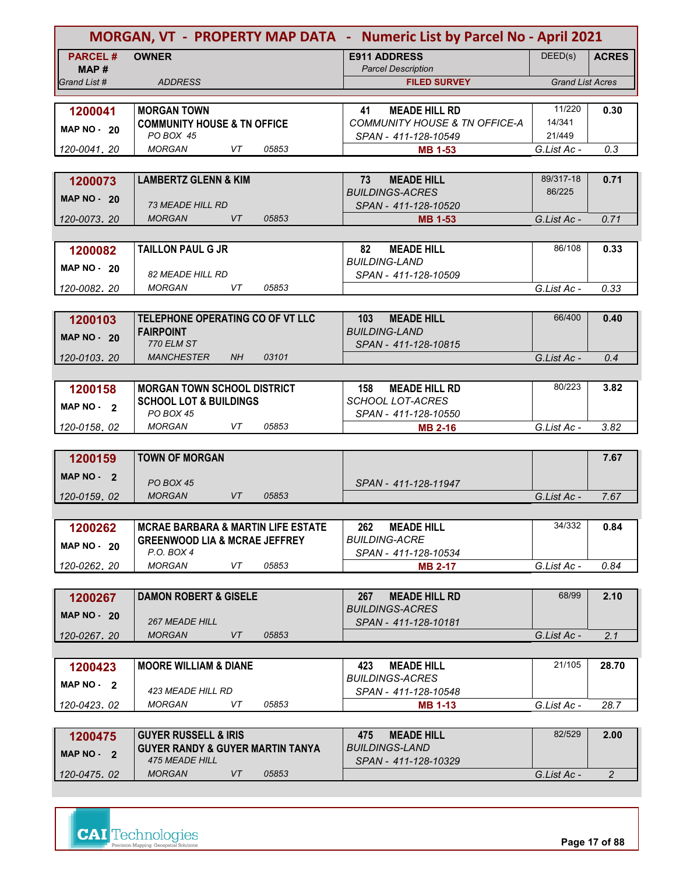| DEED(s)<br><b>PARCEL#</b><br><b>OWNER</b><br><b>E911 ADDRESS</b><br><b>ACRES</b><br><b>Parcel Description</b><br>MAP#<br><b>Grand List Acres</b><br><b>ADDRESS</b><br>Grand List #<br><b>FILED SURVEY</b><br>11/220<br><b>MEADE HILL RD</b><br>0.30<br>1200041<br><b>MORGAN TOWN</b><br>41<br>14/341<br><b>COMMUNITY HOUSE &amp; TN OFFICE-A</b><br><b>COMMUNITY HOUSE &amp; TN OFFICE</b><br><b>MAP NO - 20</b><br>21/449<br>PO BOX 45<br>SPAN - 411-128-10549<br>120-0041.20<br><b>MORGAN</b><br>VT<br>05853<br>G.List Ac -<br>0.3<br><b>MB 1-53</b><br><b>LAMBERTZ GLENN &amp; KIM</b><br><b>MEADE HILL</b><br>89/317-18<br>73<br>0.71<br>1200073<br>86/225<br><b>BUILDINGS-ACRES</b><br><b>MAP NO - 20</b><br><b>73 MEADE HILL RD</b><br>SPAN - 411-128-10520<br><b>MORGAN</b><br>VT<br>05853<br>0.71<br>120-0073, 20<br><b>MB 1-53</b><br>G.List Ac -<br>86/108<br><b>TAILLON PAUL G JR</b><br>82<br><b>MEADE HILL</b><br>0.33<br>1200082<br><b>BUILDING-LAND</b><br>MAP NO $-20$<br><b>82 MEADE HILL RD</b><br>SPAN - 411-128-10509<br><b>MORGAN</b><br>VT<br>05853<br>0.33<br>120-0082.20<br>G.List Ac -<br>66/400<br>TELEPHONE OPERATING CO OF VT LLC<br><b>MEADE HILL</b><br>0.40<br>103<br>1200103<br><b>BUILDING-LAND</b><br><b>FAIRPOINT</b><br><b>MAP NO - 20</b><br><b>770 ELM ST</b><br>SPAN - 411-128-10815<br><b>MANCHESTER</b><br><b>NH</b><br>03101<br>G.List Ac -<br>0.4<br>120-0103.20<br>80/223<br>3.82<br><b>MORGAN TOWN SCHOOL DISTRICT</b><br>158<br><b>MEADE HILL RD</b><br>1200158<br><b>SCHOOL LOT-ACRES</b><br><b>SCHOOL LOT &amp; BUILDINGS</b><br>MAP NO - 2<br><b>PO BOX 45</b><br>SPAN - 411-128-10550<br>VT<br>05853<br>G.List Ac -<br><b>MORGAN</b><br>3.82<br>120-0158.02<br><b>MB 2-16</b><br><b>TOWN OF MORGAN</b><br>7.67<br>1200159<br><b>MAP NO -</b><br>$\overline{\mathbf{2}}$<br><b>PO BOX 45</b><br>SPAN - 411-128-11947<br><b>MORGAN</b><br><b>VT</b><br>05853<br>G.List Ac -<br>7.67<br>120-0159, 02<br>34/332<br><b>MCRAE BARBARA &amp; MARTIN LIFE ESTATE</b><br>262<br><b>MEADE HILL</b><br>0.84<br>1200262<br><b>BUILDING-ACRE</b><br><b>GREENWOOD LIA &amp; MCRAE JEFFREY</b><br><b>MAP NO - 20</b><br>P.O. BOX 4<br>SPAN - 411-128-10534<br><b>MORGAN</b><br>VT<br>05853<br>G.List Ac -<br>0.84<br>120-0262.20<br><b>MB 2-17</b><br>68/99<br>2.10<br><b>DAMON ROBERT &amp; GISELE</b><br><b>MEADE HILL RD</b><br>267<br>1200267<br><b>BUILDINGS-ACRES</b><br>MAP $NO - 20$<br><b>267 MEADE HILL</b><br>SPAN - 411-128-10181<br>05853<br><b>MORGAN</b><br>VT<br>G.List Ac -<br>2.1<br>120-0267.20<br>21/105<br><b>MOORE WILLIAM &amp; DIANE</b><br>423<br><b>MEADE HILL</b><br>28.70<br>1200423<br><b>BUILDINGS-ACRES</b><br>MAP $NO - 2$<br>423 MEADE HILL RD<br>SPAN - 411-128-10548<br>05853<br>MORGAN<br>VT<br>G.List Ac -<br>28.7<br>120-0423.02<br><b>MB 1-13</b><br>82/529<br><b>GUYER RUSSELL &amp; IRIS</b><br><b>MEADE HILL</b><br>2.00<br>1200475<br>475<br><b>GUYER RANDY &amp; GUYER MARTIN TANYA</b><br><i>BUILDINGS-LAND</i><br>MAP NO - 2<br><b>475 MEADE HILL</b><br>SPAN - 411-128-10329<br><b>MORGAN</b><br>05853<br>VT<br>$\overline{2}$<br>120-0475.02<br>G.List Ac - | MORGAN, VT - PROPERTY MAP DATA - Numeric List by Parcel No - April 2021 |  |  |  |  |  |  |
|------------------------------------------------------------------------------------------------------------------------------------------------------------------------------------------------------------------------------------------------------------------------------------------------------------------------------------------------------------------------------------------------------------------------------------------------------------------------------------------------------------------------------------------------------------------------------------------------------------------------------------------------------------------------------------------------------------------------------------------------------------------------------------------------------------------------------------------------------------------------------------------------------------------------------------------------------------------------------------------------------------------------------------------------------------------------------------------------------------------------------------------------------------------------------------------------------------------------------------------------------------------------------------------------------------------------------------------------------------------------------------------------------------------------------------------------------------------------------------------------------------------------------------------------------------------------------------------------------------------------------------------------------------------------------------------------------------------------------------------------------------------------------------------------------------------------------------------------------------------------------------------------------------------------------------------------------------------------------------------------------------------------------------------------------------------------------------------------------------------------------------------------------------------------------------------------------------------------------------------------------------------------------------------------------------------------------------------------------------------------------------------------------------------------------------------------------------------------------------------------------------------------------------------------------------------------------------------------------------------------------------------------------------------------------------------------------------------------------------------------------------------------------------------------------------------------------------------------------------------------------------------------------------------------------------------------------------------------------------------------------------------------------------------------------------------------------------------------------------------------------------------------|-------------------------------------------------------------------------|--|--|--|--|--|--|
|                                                                                                                                                                                                                                                                                                                                                                                                                                                                                                                                                                                                                                                                                                                                                                                                                                                                                                                                                                                                                                                                                                                                                                                                                                                                                                                                                                                                                                                                                                                                                                                                                                                                                                                                                                                                                                                                                                                                                                                                                                                                                                                                                                                                                                                                                                                                                                                                                                                                                                                                                                                                                                                                                                                                                                                                                                                                                                                                                                                                                                                                                                                                                |                                                                         |  |  |  |  |  |  |
|                                                                                                                                                                                                                                                                                                                                                                                                                                                                                                                                                                                                                                                                                                                                                                                                                                                                                                                                                                                                                                                                                                                                                                                                                                                                                                                                                                                                                                                                                                                                                                                                                                                                                                                                                                                                                                                                                                                                                                                                                                                                                                                                                                                                                                                                                                                                                                                                                                                                                                                                                                                                                                                                                                                                                                                                                                                                                                                                                                                                                                                                                                                                                |                                                                         |  |  |  |  |  |  |
|                                                                                                                                                                                                                                                                                                                                                                                                                                                                                                                                                                                                                                                                                                                                                                                                                                                                                                                                                                                                                                                                                                                                                                                                                                                                                                                                                                                                                                                                                                                                                                                                                                                                                                                                                                                                                                                                                                                                                                                                                                                                                                                                                                                                                                                                                                                                                                                                                                                                                                                                                                                                                                                                                                                                                                                                                                                                                                                                                                                                                                                                                                                                                |                                                                         |  |  |  |  |  |  |
|                                                                                                                                                                                                                                                                                                                                                                                                                                                                                                                                                                                                                                                                                                                                                                                                                                                                                                                                                                                                                                                                                                                                                                                                                                                                                                                                                                                                                                                                                                                                                                                                                                                                                                                                                                                                                                                                                                                                                                                                                                                                                                                                                                                                                                                                                                                                                                                                                                                                                                                                                                                                                                                                                                                                                                                                                                                                                                                                                                                                                                                                                                                                                |                                                                         |  |  |  |  |  |  |
|                                                                                                                                                                                                                                                                                                                                                                                                                                                                                                                                                                                                                                                                                                                                                                                                                                                                                                                                                                                                                                                                                                                                                                                                                                                                                                                                                                                                                                                                                                                                                                                                                                                                                                                                                                                                                                                                                                                                                                                                                                                                                                                                                                                                                                                                                                                                                                                                                                                                                                                                                                                                                                                                                                                                                                                                                                                                                                                                                                                                                                                                                                                                                |                                                                         |  |  |  |  |  |  |
|                                                                                                                                                                                                                                                                                                                                                                                                                                                                                                                                                                                                                                                                                                                                                                                                                                                                                                                                                                                                                                                                                                                                                                                                                                                                                                                                                                                                                                                                                                                                                                                                                                                                                                                                                                                                                                                                                                                                                                                                                                                                                                                                                                                                                                                                                                                                                                                                                                                                                                                                                                                                                                                                                                                                                                                                                                                                                                                                                                                                                                                                                                                                                |                                                                         |  |  |  |  |  |  |
|                                                                                                                                                                                                                                                                                                                                                                                                                                                                                                                                                                                                                                                                                                                                                                                                                                                                                                                                                                                                                                                                                                                                                                                                                                                                                                                                                                                                                                                                                                                                                                                                                                                                                                                                                                                                                                                                                                                                                                                                                                                                                                                                                                                                                                                                                                                                                                                                                                                                                                                                                                                                                                                                                                                                                                                                                                                                                                                                                                                                                                                                                                                                                |                                                                         |  |  |  |  |  |  |
|                                                                                                                                                                                                                                                                                                                                                                                                                                                                                                                                                                                                                                                                                                                                                                                                                                                                                                                                                                                                                                                                                                                                                                                                                                                                                                                                                                                                                                                                                                                                                                                                                                                                                                                                                                                                                                                                                                                                                                                                                                                                                                                                                                                                                                                                                                                                                                                                                                                                                                                                                                                                                                                                                                                                                                                                                                                                                                                                                                                                                                                                                                                                                |                                                                         |  |  |  |  |  |  |
|                                                                                                                                                                                                                                                                                                                                                                                                                                                                                                                                                                                                                                                                                                                                                                                                                                                                                                                                                                                                                                                                                                                                                                                                                                                                                                                                                                                                                                                                                                                                                                                                                                                                                                                                                                                                                                                                                                                                                                                                                                                                                                                                                                                                                                                                                                                                                                                                                                                                                                                                                                                                                                                                                                                                                                                                                                                                                                                                                                                                                                                                                                                                                |                                                                         |  |  |  |  |  |  |
|                                                                                                                                                                                                                                                                                                                                                                                                                                                                                                                                                                                                                                                                                                                                                                                                                                                                                                                                                                                                                                                                                                                                                                                                                                                                                                                                                                                                                                                                                                                                                                                                                                                                                                                                                                                                                                                                                                                                                                                                                                                                                                                                                                                                                                                                                                                                                                                                                                                                                                                                                                                                                                                                                                                                                                                                                                                                                                                                                                                                                                                                                                                                                |                                                                         |  |  |  |  |  |  |
|                                                                                                                                                                                                                                                                                                                                                                                                                                                                                                                                                                                                                                                                                                                                                                                                                                                                                                                                                                                                                                                                                                                                                                                                                                                                                                                                                                                                                                                                                                                                                                                                                                                                                                                                                                                                                                                                                                                                                                                                                                                                                                                                                                                                                                                                                                                                                                                                                                                                                                                                                                                                                                                                                                                                                                                                                                                                                                                                                                                                                                                                                                                                                |                                                                         |  |  |  |  |  |  |
|                                                                                                                                                                                                                                                                                                                                                                                                                                                                                                                                                                                                                                                                                                                                                                                                                                                                                                                                                                                                                                                                                                                                                                                                                                                                                                                                                                                                                                                                                                                                                                                                                                                                                                                                                                                                                                                                                                                                                                                                                                                                                                                                                                                                                                                                                                                                                                                                                                                                                                                                                                                                                                                                                                                                                                                                                                                                                                                                                                                                                                                                                                                                                |                                                                         |  |  |  |  |  |  |
|                                                                                                                                                                                                                                                                                                                                                                                                                                                                                                                                                                                                                                                                                                                                                                                                                                                                                                                                                                                                                                                                                                                                                                                                                                                                                                                                                                                                                                                                                                                                                                                                                                                                                                                                                                                                                                                                                                                                                                                                                                                                                                                                                                                                                                                                                                                                                                                                                                                                                                                                                                                                                                                                                                                                                                                                                                                                                                                                                                                                                                                                                                                                                |                                                                         |  |  |  |  |  |  |
|                                                                                                                                                                                                                                                                                                                                                                                                                                                                                                                                                                                                                                                                                                                                                                                                                                                                                                                                                                                                                                                                                                                                                                                                                                                                                                                                                                                                                                                                                                                                                                                                                                                                                                                                                                                                                                                                                                                                                                                                                                                                                                                                                                                                                                                                                                                                                                                                                                                                                                                                                                                                                                                                                                                                                                                                                                                                                                                                                                                                                                                                                                                                                |                                                                         |  |  |  |  |  |  |
|                                                                                                                                                                                                                                                                                                                                                                                                                                                                                                                                                                                                                                                                                                                                                                                                                                                                                                                                                                                                                                                                                                                                                                                                                                                                                                                                                                                                                                                                                                                                                                                                                                                                                                                                                                                                                                                                                                                                                                                                                                                                                                                                                                                                                                                                                                                                                                                                                                                                                                                                                                                                                                                                                                                                                                                                                                                                                                                                                                                                                                                                                                                                                |                                                                         |  |  |  |  |  |  |
|                                                                                                                                                                                                                                                                                                                                                                                                                                                                                                                                                                                                                                                                                                                                                                                                                                                                                                                                                                                                                                                                                                                                                                                                                                                                                                                                                                                                                                                                                                                                                                                                                                                                                                                                                                                                                                                                                                                                                                                                                                                                                                                                                                                                                                                                                                                                                                                                                                                                                                                                                                                                                                                                                                                                                                                                                                                                                                                                                                                                                                                                                                                                                |                                                                         |  |  |  |  |  |  |
|                                                                                                                                                                                                                                                                                                                                                                                                                                                                                                                                                                                                                                                                                                                                                                                                                                                                                                                                                                                                                                                                                                                                                                                                                                                                                                                                                                                                                                                                                                                                                                                                                                                                                                                                                                                                                                                                                                                                                                                                                                                                                                                                                                                                                                                                                                                                                                                                                                                                                                                                                                                                                                                                                                                                                                                                                                                                                                                                                                                                                                                                                                                                                |                                                                         |  |  |  |  |  |  |
|                                                                                                                                                                                                                                                                                                                                                                                                                                                                                                                                                                                                                                                                                                                                                                                                                                                                                                                                                                                                                                                                                                                                                                                                                                                                                                                                                                                                                                                                                                                                                                                                                                                                                                                                                                                                                                                                                                                                                                                                                                                                                                                                                                                                                                                                                                                                                                                                                                                                                                                                                                                                                                                                                                                                                                                                                                                                                                                                                                                                                                                                                                                                                |                                                                         |  |  |  |  |  |  |
|                                                                                                                                                                                                                                                                                                                                                                                                                                                                                                                                                                                                                                                                                                                                                                                                                                                                                                                                                                                                                                                                                                                                                                                                                                                                                                                                                                                                                                                                                                                                                                                                                                                                                                                                                                                                                                                                                                                                                                                                                                                                                                                                                                                                                                                                                                                                                                                                                                                                                                                                                                                                                                                                                                                                                                                                                                                                                                                                                                                                                                                                                                                                                |                                                                         |  |  |  |  |  |  |
|                                                                                                                                                                                                                                                                                                                                                                                                                                                                                                                                                                                                                                                                                                                                                                                                                                                                                                                                                                                                                                                                                                                                                                                                                                                                                                                                                                                                                                                                                                                                                                                                                                                                                                                                                                                                                                                                                                                                                                                                                                                                                                                                                                                                                                                                                                                                                                                                                                                                                                                                                                                                                                                                                                                                                                                                                                                                                                                                                                                                                                                                                                                                                |                                                                         |  |  |  |  |  |  |
|                                                                                                                                                                                                                                                                                                                                                                                                                                                                                                                                                                                                                                                                                                                                                                                                                                                                                                                                                                                                                                                                                                                                                                                                                                                                                                                                                                                                                                                                                                                                                                                                                                                                                                                                                                                                                                                                                                                                                                                                                                                                                                                                                                                                                                                                                                                                                                                                                                                                                                                                                                                                                                                                                                                                                                                                                                                                                                                                                                                                                                                                                                                                                |                                                                         |  |  |  |  |  |  |
|                                                                                                                                                                                                                                                                                                                                                                                                                                                                                                                                                                                                                                                                                                                                                                                                                                                                                                                                                                                                                                                                                                                                                                                                                                                                                                                                                                                                                                                                                                                                                                                                                                                                                                                                                                                                                                                                                                                                                                                                                                                                                                                                                                                                                                                                                                                                                                                                                                                                                                                                                                                                                                                                                                                                                                                                                                                                                                                                                                                                                                                                                                                                                |                                                                         |  |  |  |  |  |  |
|                                                                                                                                                                                                                                                                                                                                                                                                                                                                                                                                                                                                                                                                                                                                                                                                                                                                                                                                                                                                                                                                                                                                                                                                                                                                                                                                                                                                                                                                                                                                                                                                                                                                                                                                                                                                                                                                                                                                                                                                                                                                                                                                                                                                                                                                                                                                                                                                                                                                                                                                                                                                                                                                                                                                                                                                                                                                                                                                                                                                                                                                                                                                                |                                                                         |  |  |  |  |  |  |
|                                                                                                                                                                                                                                                                                                                                                                                                                                                                                                                                                                                                                                                                                                                                                                                                                                                                                                                                                                                                                                                                                                                                                                                                                                                                                                                                                                                                                                                                                                                                                                                                                                                                                                                                                                                                                                                                                                                                                                                                                                                                                                                                                                                                                                                                                                                                                                                                                                                                                                                                                                                                                                                                                                                                                                                                                                                                                                                                                                                                                                                                                                                                                |                                                                         |  |  |  |  |  |  |
|                                                                                                                                                                                                                                                                                                                                                                                                                                                                                                                                                                                                                                                                                                                                                                                                                                                                                                                                                                                                                                                                                                                                                                                                                                                                                                                                                                                                                                                                                                                                                                                                                                                                                                                                                                                                                                                                                                                                                                                                                                                                                                                                                                                                                                                                                                                                                                                                                                                                                                                                                                                                                                                                                                                                                                                                                                                                                                                                                                                                                                                                                                                                                |                                                                         |  |  |  |  |  |  |
|                                                                                                                                                                                                                                                                                                                                                                                                                                                                                                                                                                                                                                                                                                                                                                                                                                                                                                                                                                                                                                                                                                                                                                                                                                                                                                                                                                                                                                                                                                                                                                                                                                                                                                                                                                                                                                                                                                                                                                                                                                                                                                                                                                                                                                                                                                                                                                                                                                                                                                                                                                                                                                                                                                                                                                                                                                                                                                                                                                                                                                                                                                                                                |                                                                         |  |  |  |  |  |  |
|                                                                                                                                                                                                                                                                                                                                                                                                                                                                                                                                                                                                                                                                                                                                                                                                                                                                                                                                                                                                                                                                                                                                                                                                                                                                                                                                                                                                                                                                                                                                                                                                                                                                                                                                                                                                                                                                                                                                                                                                                                                                                                                                                                                                                                                                                                                                                                                                                                                                                                                                                                                                                                                                                                                                                                                                                                                                                                                                                                                                                                                                                                                                                |                                                                         |  |  |  |  |  |  |
|                                                                                                                                                                                                                                                                                                                                                                                                                                                                                                                                                                                                                                                                                                                                                                                                                                                                                                                                                                                                                                                                                                                                                                                                                                                                                                                                                                                                                                                                                                                                                                                                                                                                                                                                                                                                                                                                                                                                                                                                                                                                                                                                                                                                                                                                                                                                                                                                                                                                                                                                                                                                                                                                                                                                                                                                                                                                                                                                                                                                                                                                                                                                                |                                                                         |  |  |  |  |  |  |
|                                                                                                                                                                                                                                                                                                                                                                                                                                                                                                                                                                                                                                                                                                                                                                                                                                                                                                                                                                                                                                                                                                                                                                                                                                                                                                                                                                                                                                                                                                                                                                                                                                                                                                                                                                                                                                                                                                                                                                                                                                                                                                                                                                                                                                                                                                                                                                                                                                                                                                                                                                                                                                                                                                                                                                                                                                                                                                                                                                                                                                                                                                                                                |                                                                         |  |  |  |  |  |  |
|                                                                                                                                                                                                                                                                                                                                                                                                                                                                                                                                                                                                                                                                                                                                                                                                                                                                                                                                                                                                                                                                                                                                                                                                                                                                                                                                                                                                                                                                                                                                                                                                                                                                                                                                                                                                                                                                                                                                                                                                                                                                                                                                                                                                                                                                                                                                                                                                                                                                                                                                                                                                                                                                                                                                                                                                                                                                                                                                                                                                                                                                                                                                                |                                                                         |  |  |  |  |  |  |
|                                                                                                                                                                                                                                                                                                                                                                                                                                                                                                                                                                                                                                                                                                                                                                                                                                                                                                                                                                                                                                                                                                                                                                                                                                                                                                                                                                                                                                                                                                                                                                                                                                                                                                                                                                                                                                                                                                                                                                                                                                                                                                                                                                                                                                                                                                                                                                                                                                                                                                                                                                                                                                                                                                                                                                                                                                                                                                                                                                                                                                                                                                                                                |                                                                         |  |  |  |  |  |  |
|                                                                                                                                                                                                                                                                                                                                                                                                                                                                                                                                                                                                                                                                                                                                                                                                                                                                                                                                                                                                                                                                                                                                                                                                                                                                                                                                                                                                                                                                                                                                                                                                                                                                                                                                                                                                                                                                                                                                                                                                                                                                                                                                                                                                                                                                                                                                                                                                                                                                                                                                                                                                                                                                                                                                                                                                                                                                                                                                                                                                                                                                                                                                                |                                                                         |  |  |  |  |  |  |
|                                                                                                                                                                                                                                                                                                                                                                                                                                                                                                                                                                                                                                                                                                                                                                                                                                                                                                                                                                                                                                                                                                                                                                                                                                                                                                                                                                                                                                                                                                                                                                                                                                                                                                                                                                                                                                                                                                                                                                                                                                                                                                                                                                                                                                                                                                                                                                                                                                                                                                                                                                                                                                                                                                                                                                                                                                                                                                                                                                                                                                                                                                                                                |                                                                         |  |  |  |  |  |  |
|                                                                                                                                                                                                                                                                                                                                                                                                                                                                                                                                                                                                                                                                                                                                                                                                                                                                                                                                                                                                                                                                                                                                                                                                                                                                                                                                                                                                                                                                                                                                                                                                                                                                                                                                                                                                                                                                                                                                                                                                                                                                                                                                                                                                                                                                                                                                                                                                                                                                                                                                                                                                                                                                                                                                                                                                                                                                                                                                                                                                                                                                                                                                                |                                                                         |  |  |  |  |  |  |
|                                                                                                                                                                                                                                                                                                                                                                                                                                                                                                                                                                                                                                                                                                                                                                                                                                                                                                                                                                                                                                                                                                                                                                                                                                                                                                                                                                                                                                                                                                                                                                                                                                                                                                                                                                                                                                                                                                                                                                                                                                                                                                                                                                                                                                                                                                                                                                                                                                                                                                                                                                                                                                                                                                                                                                                                                                                                                                                                                                                                                                                                                                                                                |                                                                         |  |  |  |  |  |  |
|                                                                                                                                                                                                                                                                                                                                                                                                                                                                                                                                                                                                                                                                                                                                                                                                                                                                                                                                                                                                                                                                                                                                                                                                                                                                                                                                                                                                                                                                                                                                                                                                                                                                                                                                                                                                                                                                                                                                                                                                                                                                                                                                                                                                                                                                                                                                                                                                                                                                                                                                                                                                                                                                                                                                                                                                                                                                                                                                                                                                                                                                                                                                                |                                                                         |  |  |  |  |  |  |
|                                                                                                                                                                                                                                                                                                                                                                                                                                                                                                                                                                                                                                                                                                                                                                                                                                                                                                                                                                                                                                                                                                                                                                                                                                                                                                                                                                                                                                                                                                                                                                                                                                                                                                                                                                                                                                                                                                                                                                                                                                                                                                                                                                                                                                                                                                                                                                                                                                                                                                                                                                                                                                                                                                                                                                                                                                                                                                                                                                                                                                                                                                                                                |                                                                         |  |  |  |  |  |  |
|                                                                                                                                                                                                                                                                                                                                                                                                                                                                                                                                                                                                                                                                                                                                                                                                                                                                                                                                                                                                                                                                                                                                                                                                                                                                                                                                                                                                                                                                                                                                                                                                                                                                                                                                                                                                                                                                                                                                                                                                                                                                                                                                                                                                                                                                                                                                                                                                                                                                                                                                                                                                                                                                                                                                                                                                                                                                                                                                                                                                                                                                                                                                                |                                                                         |  |  |  |  |  |  |
|                                                                                                                                                                                                                                                                                                                                                                                                                                                                                                                                                                                                                                                                                                                                                                                                                                                                                                                                                                                                                                                                                                                                                                                                                                                                                                                                                                                                                                                                                                                                                                                                                                                                                                                                                                                                                                                                                                                                                                                                                                                                                                                                                                                                                                                                                                                                                                                                                                                                                                                                                                                                                                                                                                                                                                                                                                                                                                                                                                                                                                                                                                                                                |                                                                         |  |  |  |  |  |  |
|                                                                                                                                                                                                                                                                                                                                                                                                                                                                                                                                                                                                                                                                                                                                                                                                                                                                                                                                                                                                                                                                                                                                                                                                                                                                                                                                                                                                                                                                                                                                                                                                                                                                                                                                                                                                                                                                                                                                                                                                                                                                                                                                                                                                                                                                                                                                                                                                                                                                                                                                                                                                                                                                                                                                                                                                                                                                                                                                                                                                                                                                                                                                                |                                                                         |  |  |  |  |  |  |
|                                                                                                                                                                                                                                                                                                                                                                                                                                                                                                                                                                                                                                                                                                                                                                                                                                                                                                                                                                                                                                                                                                                                                                                                                                                                                                                                                                                                                                                                                                                                                                                                                                                                                                                                                                                                                                                                                                                                                                                                                                                                                                                                                                                                                                                                                                                                                                                                                                                                                                                                                                                                                                                                                                                                                                                                                                                                                                                                                                                                                                                                                                                                                |                                                                         |  |  |  |  |  |  |
|                                                                                                                                                                                                                                                                                                                                                                                                                                                                                                                                                                                                                                                                                                                                                                                                                                                                                                                                                                                                                                                                                                                                                                                                                                                                                                                                                                                                                                                                                                                                                                                                                                                                                                                                                                                                                                                                                                                                                                                                                                                                                                                                                                                                                                                                                                                                                                                                                                                                                                                                                                                                                                                                                                                                                                                                                                                                                                                                                                                                                                                                                                                                                |                                                                         |  |  |  |  |  |  |
|                                                                                                                                                                                                                                                                                                                                                                                                                                                                                                                                                                                                                                                                                                                                                                                                                                                                                                                                                                                                                                                                                                                                                                                                                                                                                                                                                                                                                                                                                                                                                                                                                                                                                                                                                                                                                                                                                                                                                                                                                                                                                                                                                                                                                                                                                                                                                                                                                                                                                                                                                                                                                                                                                                                                                                                                                                                                                                                                                                                                                                                                                                                                                |                                                                         |  |  |  |  |  |  |
|                                                                                                                                                                                                                                                                                                                                                                                                                                                                                                                                                                                                                                                                                                                                                                                                                                                                                                                                                                                                                                                                                                                                                                                                                                                                                                                                                                                                                                                                                                                                                                                                                                                                                                                                                                                                                                                                                                                                                                                                                                                                                                                                                                                                                                                                                                                                                                                                                                                                                                                                                                                                                                                                                                                                                                                                                                                                                                                                                                                                                                                                                                                                                |                                                                         |  |  |  |  |  |  |
|                                                                                                                                                                                                                                                                                                                                                                                                                                                                                                                                                                                                                                                                                                                                                                                                                                                                                                                                                                                                                                                                                                                                                                                                                                                                                                                                                                                                                                                                                                                                                                                                                                                                                                                                                                                                                                                                                                                                                                                                                                                                                                                                                                                                                                                                                                                                                                                                                                                                                                                                                                                                                                                                                                                                                                                                                                                                                                                                                                                                                                                                                                                                                |                                                                         |  |  |  |  |  |  |
|                                                                                                                                                                                                                                                                                                                                                                                                                                                                                                                                                                                                                                                                                                                                                                                                                                                                                                                                                                                                                                                                                                                                                                                                                                                                                                                                                                                                                                                                                                                                                                                                                                                                                                                                                                                                                                                                                                                                                                                                                                                                                                                                                                                                                                                                                                                                                                                                                                                                                                                                                                                                                                                                                                                                                                                                                                                                                                                                                                                                                                                                                                                                                |                                                                         |  |  |  |  |  |  |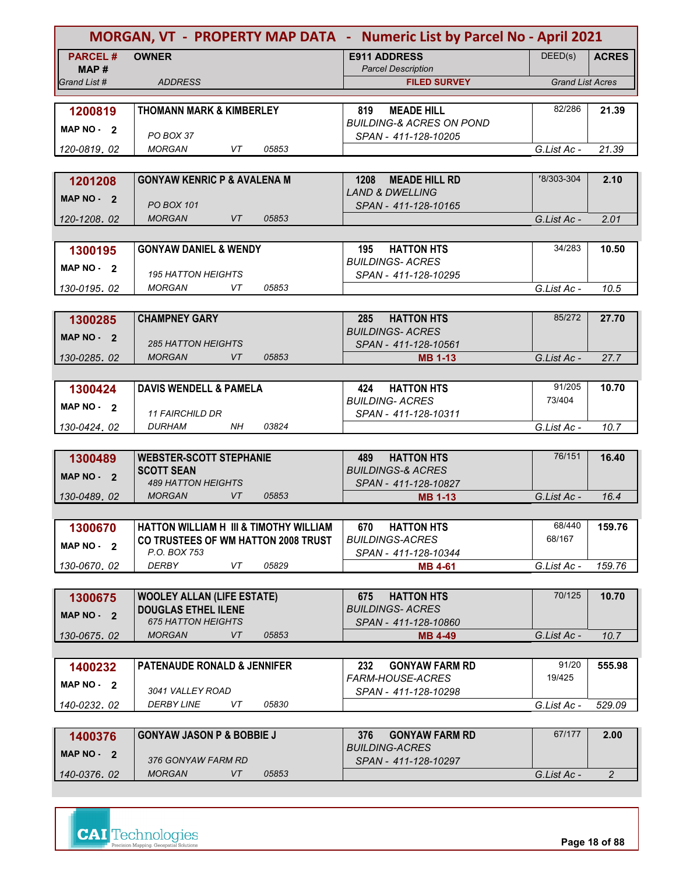|                       | MORGAN, VT - PROPERTY MAP DATA - Numeric List by Parcel No - April 2021                  |                                                         |                         |                |
|-----------------------|------------------------------------------------------------------------------------------|---------------------------------------------------------|-------------------------|----------------|
| <b>PARCEL#</b>        | <b>OWNER</b>                                                                             | <b>E911 ADDRESS</b><br><b>Parcel Description</b>        | DEED(s)                 | <b>ACRES</b>   |
| MAP #<br>Grand List # | <b>ADDRESS</b>                                                                           | <b>FILED SURVEY</b>                                     | <b>Grand List Acres</b> |                |
|                       |                                                                                          |                                                         |                         |                |
| 1200819               | <b>THOMANN MARK &amp; KIMBERLEY</b>                                                      | <b>MEADE HILL</b><br>819                                | 82/286                  | 21.39          |
| MAP NO - 2            |                                                                                          | <b>BUILDING-&amp; ACRES ON POND</b>                     |                         |                |
|                       | PO BOX 37                                                                                | SPAN - 411-128-10205                                    |                         |                |
| 120-0819, 02          | <b>MORGAN</b><br>VT<br>05853                                                             |                                                         | G.List Ac -             | 21.39          |
|                       |                                                                                          |                                                         |                         |                |
| 1201208               | <b>GONYAW KENRIC P &amp; AVALENA M</b>                                                   | 1208<br><b>MEADE HILL RD</b>                            | 78/303-304              | 2.10           |
| MAP NO 2              | <b>PO BOX 101</b>                                                                        | <b>LAND &amp; DWELLING</b><br>SPAN - 411-128-10165      |                         |                |
| 120-1208, 02          | <b>MORGAN</b><br>VT<br>05853                                                             |                                                         | G.List Ac -             | 2.01           |
|                       |                                                                                          |                                                         |                         |                |
| 1300195               | <b>GONYAW DANIEL &amp; WENDY</b>                                                         | <b>HATTON HTS</b><br>195                                | 34/283                  | 10.50          |
|                       |                                                                                          | <b>BUILDINGS-ACRES</b>                                  |                         |                |
| MAP NO - 2            | <b>195 HATTON HEIGHTS</b>                                                                | SPAN - 411-128-10295                                    |                         |                |
| 130-0195.02           | 05853<br><b>MORGAN</b><br>VT                                                             |                                                         | G.List Ac -             | 10.5           |
|                       |                                                                                          |                                                         |                         |                |
| 1300285               | <b>CHAMPNEY GARY</b>                                                                     | <b>HATTON HTS</b><br>285                                | 85/272                  | 27.70          |
| MAP NO - 2            |                                                                                          | <b>BUILDINGS-ACRES</b>                                  |                         |                |
|                       | <b>285 HATTON HEIGHTS</b><br><b>MORGAN</b><br>VT<br>05853                                | SPAN - 411-128-10561                                    | G.List Ac -             | 27.7           |
| 130-0285.02           |                                                                                          | <b>MB 1-13</b>                                          |                         |                |
| 1300424               | <b>DAVIS WENDELL &amp; PAMELA</b>                                                        | <b>HATTON HTS</b><br>424                                | 91/205                  | 10.70          |
|                       |                                                                                          | <b>BUILDING- ACRES</b>                                  | 73/404                  |                |
| MAP $NO - 2$          | <b>11 FAIRCHILD DR</b>                                                                   | SPAN - 411-128-10311                                    |                         |                |
| 130-0424, 02          | <b>NH</b><br>03824<br><b>DURHAM</b>                                                      |                                                         | G.List Ac -             | 10.7           |
|                       |                                                                                          |                                                         |                         |                |
| 1300489               | <b>WEBSTER-SCOTT STEPHANIE</b>                                                           | <b>HATTON HTS</b><br>489                                | 76/151                  | 16.40          |
| MAP NO - 2            | <b>SCOTT SEAN</b>                                                                        | <b>BUILDINGS-&amp; ACRES</b>                            |                         |                |
|                       | <b>489 HATTON HEIGHTS</b><br>VT<br><b>MORGAN</b><br>05853                                | SPAN - 411-128-10827                                    |                         |                |
| 130-0489.02           |                                                                                          | <b>MB 1-13</b>                                          | G.List Ac -             | 16.4           |
|                       |                                                                                          |                                                         | 68/440                  |                |
| 1300670               | <b>HATTON WILLIAM H III &amp; TIMOTHY WILLIAM</b><br>CO TRUSTEES OF WM HATTON 2008 TRUST | 670<br><b>HATTON HTS</b><br><b>BUILDINGS-ACRES</b>      | 68/167                  | 159.76         |
| MAP NO - 2            | P.O. BOX 753                                                                             | SPAN - 411-128-10344                                    |                         |                |
| 130-0670.02           | <b>DERBY</b><br>VT<br>05829                                                              | <b>MB 4-61</b>                                          | G.List Ac -             | 159.76         |
|                       |                                                                                          |                                                         |                         |                |
| 1300675               | <b>WOOLEY ALLAN (LIFE ESTATE)</b>                                                        | 675<br><b>HATTON HTS</b>                                | 70/125                  | 10.70          |
| MAP NO - 2            | <b>DOUGLAS ETHEL ILENE</b>                                                               | <b>BUILDINGS- ACRES</b>                                 |                         |                |
|                       | <b>675 HATTON HEIGHTS</b>                                                                | SPAN - 411-128-10860                                    |                         |                |
| 130-0675.02           | VT<br><b>MORGAN</b><br>05853                                                             | <b>MB 4-49</b>                                          | G.List Ac -             | 10.7           |
|                       |                                                                                          |                                                         |                         |                |
| 1400232               | <b>PATENAUDE RONALD &amp; JENNIFER</b>                                                   | 232<br><b>GONYAW FARM RD</b><br><b>FARM-HOUSE-ACRES</b> | 91/20<br>19/425         | 555.98         |
| MAP $NO - 2$          | 3041 VALLEY ROAD                                                                         | SPAN - 411-128-10298                                    |                         |                |
| 140-0232, 02          | 05830<br><i>DERBY LINE</i><br>VT                                                         |                                                         | G.List Ac -             | 529.09         |
|                       |                                                                                          |                                                         |                         |                |
| 1400376               | <b>GONYAW JASON P &amp; BOBBIE J</b>                                                     | <b>GONYAW FARM RD</b><br>376                            | 67/177                  | 2.00           |
| MAP $NO - 2$          |                                                                                          | <b>BUILDING-ACRES</b>                                   |                         |                |
|                       | 376 GONYAW FARM RD                                                                       | SPAN - 411-128-10297                                    |                         |                |
| 140-0376.02           | <b>MORGAN</b><br>VT<br>05853                                                             |                                                         | G.List Ac -             | $\overline{2}$ |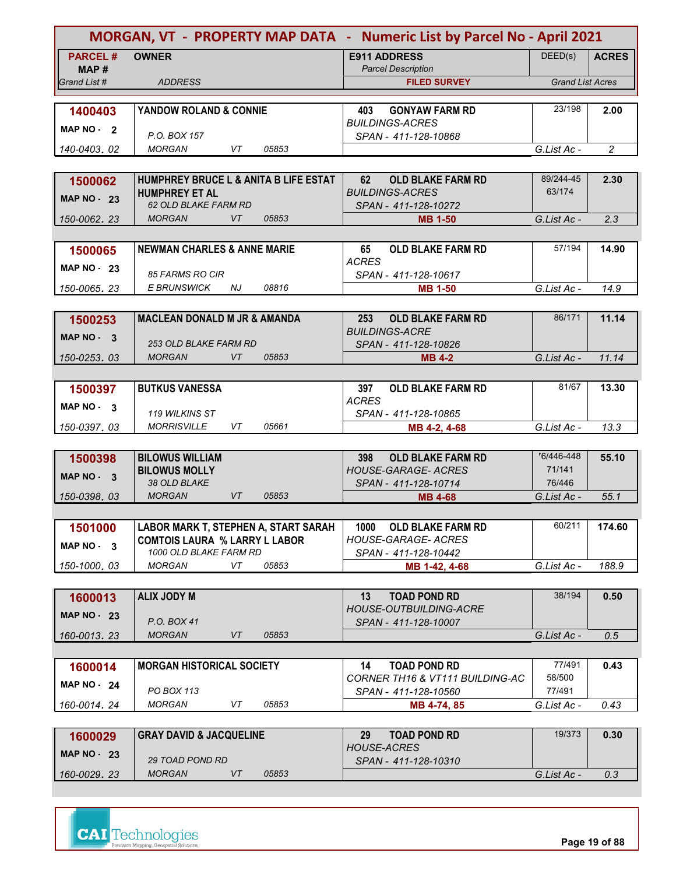|                         |                                                                | MORGAN, VT - PROPERTY MAP DATA - Numeric List by Parcel No - April 2021 |                         |                |  |
|-------------------------|----------------------------------------------------------------|-------------------------------------------------------------------------|-------------------------|----------------|--|
| <b>PARCEL#</b><br>MAP # | <b>OWNER</b>                                                   | <b>E911 ADDRESS</b><br><b>Parcel Description</b>                        | DEED(s)                 | <b>ACRES</b>   |  |
| Grand List #            | <b>ADDRESS</b>                                                 | <b>FILED SURVEY</b>                                                     | <b>Grand List Acres</b> |                |  |
| 1400403<br>MAP NO - 2   | YANDOW ROLAND & CONNIE                                         | <b>GONYAW FARM RD</b><br>403<br><b>BUILDINGS-ACRES</b>                  | 23/198                  | 2.00           |  |
|                         | P.O. BOX 157<br>VT<br>05853<br><b>MORGAN</b>                   | SPAN - 411-128-10868                                                    |                         |                |  |
| 140-0403, 02            |                                                                |                                                                         | G.List Ac -             | $\overline{c}$ |  |
| 1500062                 | HUMPHREY BRUCE L & ANITA B LIFE ESTAT                          | 62<br><b>OLD BLAKE FARM RD</b>                                          | 89/244-45               | 2.30           |  |
| MAP $NO - 23$           | <b>HUMPHREY ET AL</b>                                          | <b>BUILDINGS-ACRES</b>                                                  | 63/174                  |                |  |
|                         | 62 OLD BLAKE FARM RD                                           | SPAN - 411-128-10272                                                    |                         |                |  |
| 150-0062, 23            | <b>VT</b><br><b>MORGAN</b><br>05853                            | <b>MB 1-50</b>                                                          | G.List Ac -             | 2.3            |  |
|                         |                                                                |                                                                         | 57/194                  |                |  |
| 1500065                 | <b>NEWMAN CHARLES &amp; ANNE MARIE</b>                         | <b>OLD BLAKE FARM RD</b><br>65<br><b>ACRES</b>                          |                         | 14.90          |  |
| MAP $NO - 23$           | 85 FARMS RO CIR                                                | SPAN - 411-128-10617                                                    |                         |                |  |
| 150-0065.23             | 08816<br>E BRUNSWICK<br>NJ                                     | <b>MB 1-50</b>                                                          | G.List Ac -             | 14.9           |  |
|                         |                                                                |                                                                         |                         |                |  |
| 1500253                 | <b>MACLEAN DONALD M JR &amp; AMANDA</b>                        | 253<br><b>OLD BLAKE FARM RD</b>                                         | 86/171                  | 11.14          |  |
| MAP NO - 3              | <b>253 OLD BLAKE FARM RD</b>                                   | <b>BUILDINGS-ACRE</b>                                                   |                         |                |  |
| 150-0253.03             | <b>MORGAN</b><br><b>VT</b><br>05853                            | SPAN - 411-128-10826<br><b>MB 4-2</b>                                   | G.List Ac -             | 11.14          |  |
|                         |                                                                |                                                                         |                         |                |  |
| 1500397                 | <b>BUTKUS VANESSA</b>                                          | <b>OLD BLAKE FARM RD</b><br>397                                         | 81/67                   | 13.30          |  |
| MAP NO - 3              |                                                                | <b>ACRES</b>                                                            |                         |                |  |
|                         | 119 WILKINS ST                                                 | SPAN - 411-128-10865                                                    |                         |                |  |
| 150-0397.03             | <b>MORRISVILLE</b><br>05661<br>VT                              | MB 4-2, 4-68                                                            | G.List Ac -             | 13.3           |  |
| 1500398                 | <b>BILOWUS WILLIAM</b>                                         | <b>OLD BLAKE FARM RD</b><br>398                                         | 76/446-448              | 55.10          |  |
|                         | <b>BILOWUS MOLLY</b>                                           | <b>HOUSE-GARAGE- ACRES</b>                                              | 71/141                  |                |  |
| MAP $NO - 3$            | 38 OLD BLAKE                                                   | SPAN - 411-128-10714                                                    | 76/446                  |                |  |
| 150-0398.03             | <b>MORGAN</b><br>VT<br>05853                                   | <b>MB 4-68</b>                                                          | G.List Ac -             | 55.1           |  |
|                         |                                                                |                                                                         |                         |                |  |
| 1501000                 | LABOR MARK T, STEPHEN A, START SARAH                           | <b>OLD BLAKE FARM RD</b><br>1000<br><b>HOUSE-GARAGE- ACRES</b>          | 60/211                  | 174.60         |  |
| MAP NO - 3              | <b>COMTOIS LAURA % LARRY L LABOR</b><br>1000 OLD BLAKE FARM RD | SPAN - 411-128-10442                                                    |                         |                |  |
| 150-1000.03             | MORGAN<br>VT<br>05853                                          | MB 1-42, 4-68                                                           | G.List Ac -             | 188.9          |  |
|                         |                                                                |                                                                         |                         |                |  |
| 1600013                 | <b>ALIX JODY M</b>                                             | <b>TOAD POND RD</b><br>13                                               | 38/194                  | 0.50           |  |
| <b>MAP NO - 23</b>      | P.O. BOX 41                                                    | HOUSE-OUTBUILDING-ACRE                                                  |                         |                |  |
| 160-0013.23             | <b>MORGAN</b><br>VT<br>05853                                   | SPAN - 411-128-10007                                                    | G.List Ac -             | 0.5            |  |
|                         |                                                                |                                                                         |                         |                |  |
| 1600014                 | <b>MORGAN HISTORICAL SOCIETY</b>                               | <b>TOAD POND RD</b><br>14                                               | 77/491                  | 0.43           |  |
| <b>MAP NO - 24</b>      |                                                                | CORNER TH16 & VT111 BUILDING-AC                                         | 58/500                  |                |  |
|                         | PO BOX 113                                                     | SPAN - 411-128-10560                                                    | 77/491                  |                |  |
| 160-0014, 24            | <b>MORGAN</b><br>VT<br>05853                                   | MB 4-74, 85                                                             | G.List Ac -             | 0.43           |  |
|                         | <b>GRAY DAVID &amp; JACQUELINE</b>                             | <b>TOAD POND RD</b><br>29                                               | 19/373                  | 0.30           |  |
| 1600029                 |                                                                | <b>HOUSE-ACRES</b>                                                      |                         |                |  |
| <b>MAP NO - 23</b>      | 29 TOAD POND RD                                                | SPAN - 411-128-10310                                                    |                         |                |  |
| 160-0029.23             | <b>MORGAN</b><br>VT<br>05853                                   |                                                                         | G.List Ac -             | 0.3            |  |

| MAP $NO - 23$ | <b>29 TOAD POND RD</b> |       | <b>HOUSE-ACRES</b><br>SPAN - 411-128-10310 |             |  |
|---------------|------------------------|-------|--------------------------------------------|-------------|--|
| 160-0029, 23  | MORGAN                 | 05853 |                                            | G.List Ac - |  |
|               |                        |       |                                            |             |  |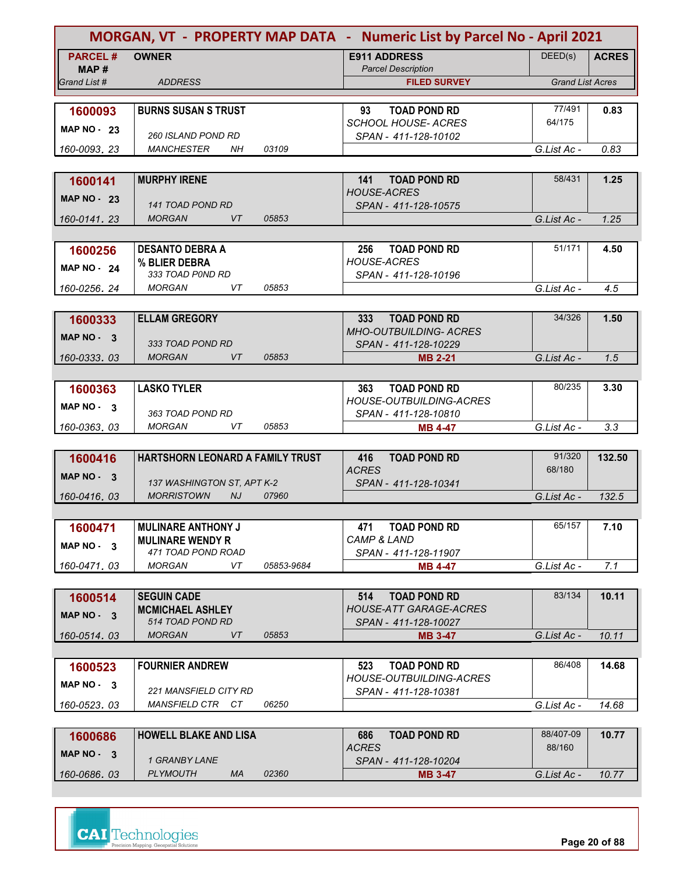| DEED(s)<br><b>PARCEL#</b><br><b>OWNER</b><br><b>E911 ADDRESS</b><br><b>ACRES</b><br><b>Parcel Description</b><br>MAP#<br><b>Grand List Acres</b><br>Grand List #<br><b>ADDRESS</b><br><b>FILED SURVEY</b><br>77/491<br><b>BURNS SUSAN S TRUST</b><br>93<br><b>TOAD POND RD</b><br>0.83<br>1600093<br>64/175<br><b>SCHOOL HOUSE- ACRES</b><br>MAP $NO - 23$<br><b>260 ISLAND POND RD</b><br>SPAN - 411-128-10102<br>0.83<br><b>MANCHESTER</b><br>NΗ<br>03109<br>G.List Ac -<br>160-0093, 23<br><b>MURPHY IRENE</b><br><b>TOAD POND RD</b><br>58/431<br>141<br>1.25<br>1600141<br><b>HOUSE-ACRES</b><br><b>MAP NO - 23</b><br><b>141 TOAD POND RD</b><br>SPAN - 411-128-10575<br><b>MORGAN</b><br>VT<br>05853<br>G.List Ac -<br>1.25<br>160-0141, 23<br>51/171<br><b>DESANTO DEBRA A</b><br><b>TOAD POND RD</b><br>256<br>4.50<br>1600256<br><b>HOUSE-ACRES</b><br>% BLIER DEBRA<br><b>MAP NO - 24</b><br>333 TOAD P0ND RD<br>SPAN - 411-128-10196<br>MORGAN<br>VT<br>05853<br>4.5<br>G.List Ac -<br>160-0256.24<br>34/326<br><b>ELLAM GREGORY</b><br><b>TOAD POND RD</b><br>1.50<br>333<br>1600333<br><b>MHO-OUTBUILDING- ACRES</b><br>MAP NO - 3<br>333 TOAD POND RD<br>SPAN - 411-128-10229<br><b>MORGAN</b><br>VT<br>05853<br>G.List Ac -<br>160-0333.03<br>1.5<br><b>MB 2-21</b><br>80/235<br><b>LASKO TYLER</b><br><b>TOAD POND RD</b><br>3.30<br>1600363<br>363<br><b>HOUSE-OUTBUILDING-ACRES</b><br>MAP $NO - 3$<br>363 TOAD POND RD<br>SPAN - 411-128-10810<br>3.3<br><b>MORGAN</b><br>VT<br>05853<br>G.List Ac -<br>160-0363, 03<br><b>MB 4-47</b><br>91/320<br>HARTSHORN LEONARD A FAMILY TRUST<br><b>TOAD POND RD</b><br>132.50<br>416<br>1600416<br><b>ACRES</b><br>68/180<br>MAP $NO - 3$<br>137 WASHINGTON ST, APT K-2<br>SPAN - 411-128-10341<br><b>MORRISTOWN</b><br>NJ<br>07960<br>G.List Ac -<br>160-0416, 03<br>132.5<br>65/157<br><b>MULINARE ANTHONY J</b><br><b>TOAD POND RD</b><br>7.10<br>471<br>1600471<br><b>CAMP &amp; LAND</b><br><b>MULINARE WENDY R</b><br>MAP NO - 3<br>471 TOAD POND ROAD<br>SPAN - 411-128-11907<br><b>MORGAN</b><br>VT<br>05853-9684<br>7.1<br><b>MB 4-47</b><br>G.List Ac -<br>160-0471.03<br>83/134<br>10.11<br><b>SEGUIN CADE</b><br>514<br><b>TOAD POND RD</b><br>1600514<br><b>HOUSE-ATT GARAGE-ACRES</b><br><b>MCMICHAEL ASHLEY</b><br>MAP NO 3<br>514 TOAD POND RD<br>SPAN - 411-128-10027<br><b>MORGAN</b><br>VT<br>05853<br>G.List Ac -<br>160-0514.03<br><b>MB 3-47</b><br>10.11<br>86/408<br><b>TOAD POND RD</b><br>14.68<br><b>FOURNIER ANDREW</b><br>523<br>1600523<br><b>HOUSE-OUTBUILDING-ACRES</b><br>$MAP NO - 3$<br>221 MANSFIELD CITY RD<br>SPAN - 411-128-10381<br>MANSFIELD CTR CT<br>06250<br>G.List Ac -<br>14.68<br>160-0523, 03<br>88/407-09<br><b>HOWELL BLAKE AND LISA</b><br><b>TOAD POND RD</b><br>10.77<br>1600686<br>686<br><b>ACRES</b><br>88/160<br>MAP NO - 3<br>1 GRANBY LANE<br>SPAN - 411-128-10204<br><b>PLYMOUTH</b><br>MA<br>02360<br>160-0686.03<br>G.List Ac -<br>10.77<br><b>MB 3-47</b> |  | MORGAN, VT - PROPERTY MAP DATA - Numeric List by Parcel No - April 2021 |  |
|--------------------------------------------------------------------------------------------------------------------------------------------------------------------------------------------------------------------------------------------------------------------------------------------------------------------------------------------------------------------------------------------------------------------------------------------------------------------------------------------------------------------------------------------------------------------------------------------------------------------------------------------------------------------------------------------------------------------------------------------------------------------------------------------------------------------------------------------------------------------------------------------------------------------------------------------------------------------------------------------------------------------------------------------------------------------------------------------------------------------------------------------------------------------------------------------------------------------------------------------------------------------------------------------------------------------------------------------------------------------------------------------------------------------------------------------------------------------------------------------------------------------------------------------------------------------------------------------------------------------------------------------------------------------------------------------------------------------------------------------------------------------------------------------------------------------------------------------------------------------------------------------------------------------------------------------------------------------------------------------------------------------------------------------------------------------------------------------------------------------------------------------------------------------------------------------------------------------------------------------------------------------------------------------------------------------------------------------------------------------------------------------------------------------------------------------------------------------------------------------------------------------------------------------------------------------------------------------------------------------------------------------------------------------------------------------------------------------------------------------------------------------------------------------------------------------------------------------------------------------------------------------------------------------------------------------------------------------------------------|--|-------------------------------------------------------------------------|--|
|                                                                                                                                                                                                                                                                                                                                                                                                                                                                                                                                                                                                                                                                                                                                                                                                                                                                                                                                                                                                                                                                                                                                                                                                                                                                                                                                                                                                                                                                                                                                                                                                                                                                                                                                                                                                                                                                                                                                                                                                                                                                                                                                                                                                                                                                                                                                                                                                                                                                                                                                                                                                                                                                                                                                                                                                                                                                                                                                                                                      |  |                                                                         |  |
|                                                                                                                                                                                                                                                                                                                                                                                                                                                                                                                                                                                                                                                                                                                                                                                                                                                                                                                                                                                                                                                                                                                                                                                                                                                                                                                                                                                                                                                                                                                                                                                                                                                                                                                                                                                                                                                                                                                                                                                                                                                                                                                                                                                                                                                                                                                                                                                                                                                                                                                                                                                                                                                                                                                                                                                                                                                                                                                                                                                      |  |                                                                         |  |
|                                                                                                                                                                                                                                                                                                                                                                                                                                                                                                                                                                                                                                                                                                                                                                                                                                                                                                                                                                                                                                                                                                                                                                                                                                                                                                                                                                                                                                                                                                                                                                                                                                                                                                                                                                                                                                                                                                                                                                                                                                                                                                                                                                                                                                                                                                                                                                                                                                                                                                                                                                                                                                                                                                                                                                                                                                                                                                                                                                                      |  |                                                                         |  |
|                                                                                                                                                                                                                                                                                                                                                                                                                                                                                                                                                                                                                                                                                                                                                                                                                                                                                                                                                                                                                                                                                                                                                                                                                                                                                                                                                                                                                                                                                                                                                                                                                                                                                                                                                                                                                                                                                                                                                                                                                                                                                                                                                                                                                                                                                                                                                                                                                                                                                                                                                                                                                                                                                                                                                                                                                                                                                                                                                                                      |  |                                                                         |  |
|                                                                                                                                                                                                                                                                                                                                                                                                                                                                                                                                                                                                                                                                                                                                                                                                                                                                                                                                                                                                                                                                                                                                                                                                                                                                                                                                                                                                                                                                                                                                                                                                                                                                                                                                                                                                                                                                                                                                                                                                                                                                                                                                                                                                                                                                                                                                                                                                                                                                                                                                                                                                                                                                                                                                                                                                                                                                                                                                                                                      |  |                                                                         |  |
|                                                                                                                                                                                                                                                                                                                                                                                                                                                                                                                                                                                                                                                                                                                                                                                                                                                                                                                                                                                                                                                                                                                                                                                                                                                                                                                                                                                                                                                                                                                                                                                                                                                                                                                                                                                                                                                                                                                                                                                                                                                                                                                                                                                                                                                                                                                                                                                                                                                                                                                                                                                                                                                                                                                                                                                                                                                                                                                                                                                      |  |                                                                         |  |
|                                                                                                                                                                                                                                                                                                                                                                                                                                                                                                                                                                                                                                                                                                                                                                                                                                                                                                                                                                                                                                                                                                                                                                                                                                                                                                                                                                                                                                                                                                                                                                                                                                                                                                                                                                                                                                                                                                                                                                                                                                                                                                                                                                                                                                                                                                                                                                                                                                                                                                                                                                                                                                                                                                                                                                                                                                                                                                                                                                                      |  |                                                                         |  |
|                                                                                                                                                                                                                                                                                                                                                                                                                                                                                                                                                                                                                                                                                                                                                                                                                                                                                                                                                                                                                                                                                                                                                                                                                                                                                                                                                                                                                                                                                                                                                                                                                                                                                                                                                                                                                                                                                                                                                                                                                                                                                                                                                                                                                                                                                                                                                                                                                                                                                                                                                                                                                                                                                                                                                                                                                                                                                                                                                                                      |  |                                                                         |  |
|                                                                                                                                                                                                                                                                                                                                                                                                                                                                                                                                                                                                                                                                                                                                                                                                                                                                                                                                                                                                                                                                                                                                                                                                                                                                                                                                                                                                                                                                                                                                                                                                                                                                                                                                                                                                                                                                                                                                                                                                                                                                                                                                                                                                                                                                                                                                                                                                                                                                                                                                                                                                                                                                                                                                                                                                                                                                                                                                                                                      |  |                                                                         |  |
|                                                                                                                                                                                                                                                                                                                                                                                                                                                                                                                                                                                                                                                                                                                                                                                                                                                                                                                                                                                                                                                                                                                                                                                                                                                                                                                                                                                                                                                                                                                                                                                                                                                                                                                                                                                                                                                                                                                                                                                                                                                                                                                                                                                                                                                                                                                                                                                                                                                                                                                                                                                                                                                                                                                                                                                                                                                                                                                                                                                      |  |                                                                         |  |
|                                                                                                                                                                                                                                                                                                                                                                                                                                                                                                                                                                                                                                                                                                                                                                                                                                                                                                                                                                                                                                                                                                                                                                                                                                                                                                                                                                                                                                                                                                                                                                                                                                                                                                                                                                                                                                                                                                                                                                                                                                                                                                                                                                                                                                                                                                                                                                                                                                                                                                                                                                                                                                                                                                                                                                                                                                                                                                                                                                                      |  |                                                                         |  |
|                                                                                                                                                                                                                                                                                                                                                                                                                                                                                                                                                                                                                                                                                                                                                                                                                                                                                                                                                                                                                                                                                                                                                                                                                                                                                                                                                                                                                                                                                                                                                                                                                                                                                                                                                                                                                                                                                                                                                                                                                                                                                                                                                                                                                                                                                                                                                                                                                                                                                                                                                                                                                                                                                                                                                                                                                                                                                                                                                                                      |  |                                                                         |  |
|                                                                                                                                                                                                                                                                                                                                                                                                                                                                                                                                                                                                                                                                                                                                                                                                                                                                                                                                                                                                                                                                                                                                                                                                                                                                                                                                                                                                                                                                                                                                                                                                                                                                                                                                                                                                                                                                                                                                                                                                                                                                                                                                                                                                                                                                                                                                                                                                                                                                                                                                                                                                                                                                                                                                                                                                                                                                                                                                                                                      |  |                                                                         |  |
|                                                                                                                                                                                                                                                                                                                                                                                                                                                                                                                                                                                                                                                                                                                                                                                                                                                                                                                                                                                                                                                                                                                                                                                                                                                                                                                                                                                                                                                                                                                                                                                                                                                                                                                                                                                                                                                                                                                                                                                                                                                                                                                                                                                                                                                                                                                                                                                                                                                                                                                                                                                                                                                                                                                                                                                                                                                                                                                                                                                      |  |                                                                         |  |
|                                                                                                                                                                                                                                                                                                                                                                                                                                                                                                                                                                                                                                                                                                                                                                                                                                                                                                                                                                                                                                                                                                                                                                                                                                                                                                                                                                                                                                                                                                                                                                                                                                                                                                                                                                                                                                                                                                                                                                                                                                                                                                                                                                                                                                                                                                                                                                                                                                                                                                                                                                                                                                                                                                                                                                                                                                                                                                                                                                                      |  |                                                                         |  |
|                                                                                                                                                                                                                                                                                                                                                                                                                                                                                                                                                                                                                                                                                                                                                                                                                                                                                                                                                                                                                                                                                                                                                                                                                                                                                                                                                                                                                                                                                                                                                                                                                                                                                                                                                                                                                                                                                                                                                                                                                                                                                                                                                                                                                                                                                                                                                                                                                                                                                                                                                                                                                                                                                                                                                                                                                                                                                                                                                                                      |  |                                                                         |  |
|                                                                                                                                                                                                                                                                                                                                                                                                                                                                                                                                                                                                                                                                                                                                                                                                                                                                                                                                                                                                                                                                                                                                                                                                                                                                                                                                                                                                                                                                                                                                                                                                                                                                                                                                                                                                                                                                                                                                                                                                                                                                                                                                                                                                                                                                                                                                                                                                                                                                                                                                                                                                                                                                                                                                                                                                                                                                                                                                                                                      |  |                                                                         |  |
|                                                                                                                                                                                                                                                                                                                                                                                                                                                                                                                                                                                                                                                                                                                                                                                                                                                                                                                                                                                                                                                                                                                                                                                                                                                                                                                                                                                                                                                                                                                                                                                                                                                                                                                                                                                                                                                                                                                                                                                                                                                                                                                                                                                                                                                                                                                                                                                                                                                                                                                                                                                                                                                                                                                                                                                                                                                                                                                                                                                      |  |                                                                         |  |
|                                                                                                                                                                                                                                                                                                                                                                                                                                                                                                                                                                                                                                                                                                                                                                                                                                                                                                                                                                                                                                                                                                                                                                                                                                                                                                                                                                                                                                                                                                                                                                                                                                                                                                                                                                                                                                                                                                                                                                                                                                                                                                                                                                                                                                                                                                                                                                                                                                                                                                                                                                                                                                                                                                                                                                                                                                                                                                                                                                                      |  |                                                                         |  |
|                                                                                                                                                                                                                                                                                                                                                                                                                                                                                                                                                                                                                                                                                                                                                                                                                                                                                                                                                                                                                                                                                                                                                                                                                                                                                                                                                                                                                                                                                                                                                                                                                                                                                                                                                                                                                                                                                                                                                                                                                                                                                                                                                                                                                                                                                                                                                                                                                                                                                                                                                                                                                                                                                                                                                                                                                                                                                                                                                                                      |  |                                                                         |  |
|                                                                                                                                                                                                                                                                                                                                                                                                                                                                                                                                                                                                                                                                                                                                                                                                                                                                                                                                                                                                                                                                                                                                                                                                                                                                                                                                                                                                                                                                                                                                                                                                                                                                                                                                                                                                                                                                                                                                                                                                                                                                                                                                                                                                                                                                                                                                                                                                                                                                                                                                                                                                                                                                                                                                                                                                                                                                                                                                                                                      |  |                                                                         |  |
|                                                                                                                                                                                                                                                                                                                                                                                                                                                                                                                                                                                                                                                                                                                                                                                                                                                                                                                                                                                                                                                                                                                                                                                                                                                                                                                                                                                                                                                                                                                                                                                                                                                                                                                                                                                                                                                                                                                                                                                                                                                                                                                                                                                                                                                                                                                                                                                                                                                                                                                                                                                                                                                                                                                                                                                                                                                                                                                                                                                      |  |                                                                         |  |
|                                                                                                                                                                                                                                                                                                                                                                                                                                                                                                                                                                                                                                                                                                                                                                                                                                                                                                                                                                                                                                                                                                                                                                                                                                                                                                                                                                                                                                                                                                                                                                                                                                                                                                                                                                                                                                                                                                                                                                                                                                                                                                                                                                                                                                                                                                                                                                                                                                                                                                                                                                                                                                                                                                                                                                                                                                                                                                                                                                                      |  |                                                                         |  |
|                                                                                                                                                                                                                                                                                                                                                                                                                                                                                                                                                                                                                                                                                                                                                                                                                                                                                                                                                                                                                                                                                                                                                                                                                                                                                                                                                                                                                                                                                                                                                                                                                                                                                                                                                                                                                                                                                                                                                                                                                                                                                                                                                                                                                                                                                                                                                                                                                                                                                                                                                                                                                                                                                                                                                                                                                                                                                                                                                                                      |  |                                                                         |  |
|                                                                                                                                                                                                                                                                                                                                                                                                                                                                                                                                                                                                                                                                                                                                                                                                                                                                                                                                                                                                                                                                                                                                                                                                                                                                                                                                                                                                                                                                                                                                                                                                                                                                                                                                                                                                                                                                                                                                                                                                                                                                                                                                                                                                                                                                                                                                                                                                                                                                                                                                                                                                                                                                                                                                                                                                                                                                                                                                                                                      |  |                                                                         |  |
|                                                                                                                                                                                                                                                                                                                                                                                                                                                                                                                                                                                                                                                                                                                                                                                                                                                                                                                                                                                                                                                                                                                                                                                                                                                                                                                                                                                                                                                                                                                                                                                                                                                                                                                                                                                                                                                                                                                                                                                                                                                                                                                                                                                                                                                                                                                                                                                                                                                                                                                                                                                                                                                                                                                                                                                                                                                                                                                                                                                      |  |                                                                         |  |
|                                                                                                                                                                                                                                                                                                                                                                                                                                                                                                                                                                                                                                                                                                                                                                                                                                                                                                                                                                                                                                                                                                                                                                                                                                                                                                                                                                                                                                                                                                                                                                                                                                                                                                                                                                                                                                                                                                                                                                                                                                                                                                                                                                                                                                                                                                                                                                                                                                                                                                                                                                                                                                                                                                                                                                                                                                                                                                                                                                                      |  |                                                                         |  |
|                                                                                                                                                                                                                                                                                                                                                                                                                                                                                                                                                                                                                                                                                                                                                                                                                                                                                                                                                                                                                                                                                                                                                                                                                                                                                                                                                                                                                                                                                                                                                                                                                                                                                                                                                                                                                                                                                                                                                                                                                                                                                                                                                                                                                                                                                                                                                                                                                                                                                                                                                                                                                                                                                                                                                                                                                                                                                                                                                                                      |  |                                                                         |  |
|                                                                                                                                                                                                                                                                                                                                                                                                                                                                                                                                                                                                                                                                                                                                                                                                                                                                                                                                                                                                                                                                                                                                                                                                                                                                                                                                                                                                                                                                                                                                                                                                                                                                                                                                                                                                                                                                                                                                                                                                                                                                                                                                                                                                                                                                                                                                                                                                                                                                                                                                                                                                                                                                                                                                                                                                                                                                                                                                                                                      |  |                                                                         |  |
|                                                                                                                                                                                                                                                                                                                                                                                                                                                                                                                                                                                                                                                                                                                                                                                                                                                                                                                                                                                                                                                                                                                                                                                                                                                                                                                                                                                                                                                                                                                                                                                                                                                                                                                                                                                                                                                                                                                                                                                                                                                                                                                                                                                                                                                                                                                                                                                                                                                                                                                                                                                                                                                                                                                                                                                                                                                                                                                                                                                      |  |                                                                         |  |
|                                                                                                                                                                                                                                                                                                                                                                                                                                                                                                                                                                                                                                                                                                                                                                                                                                                                                                                                                                                                                                                                                                                                                                                                                                                                                                                                                                                                                                                                                                                                                                                                                                                                                                                                                                                                                                                                                                                                                                                                                                                                                                                                                                                                                                                                                                                                                                                                                                                                                                                                                                                                                                                                                                                                                                                                                                                                                                                                                                                      |  |                                                                         |  |
|                                                                                                                                                                                                                                                                                                                                                                                                                                                                                                                                                                                                                                                                                                                                                                                                                                                                                                                                                                                                                                                                                                                                                                                                                                                                                                                                                                                                                                                                                                                                                                                                                                                                                                                                                                                                                                                                                                                                                                                                                                                                                                                                                                                                                                                                                                                                                                                                                                                                                                                                                                                                                                                                                                                                                                                                                                                                                                                                                                                      |  |                                                                         |  |
|                                                                                                                                                                                                                                                                                                                                                                                                                                                                                                                                                                                                                                                                                                                                                                                                                                                                                                                                                                                                                                                                                                                                                                                                                                                                                                                                                                                                                                                                                                                                                                                                                                                                                                                                                                                                                                                                                                                                                                                                                                                                                                                                                                                                                                                                                                                                                                                                                                                                                                                                                                                                                                                                                                                                                                                                                                                                                                                                                                                      |  |                                                                         |  |
|                                                                                                                                                                                                                                                                                                                                                                                                                                                                                                                                                                                                                                                                                                                                                                                                                                                                                                                                                                                                                                                                                                                                                                                                                                                                                                                                                                                                                                                                                                                                                                                                                                                                                                                                                                                                                                                                                                                                                                                                                                                                                                                                                                                                                                                                                                                                                                                                                                                                                                                                                                                                                                                                                                                                                                                                                                                                                                                                                                                      |  |                                                                         |  |
|                                                                                                                                                                                                                                                                                                                                                                                                                                                                                                                                                                                                                                                                                                                                                                                                                                                                                                                                                                                                                                                                                                                                                                                                                                                                                                                                                                                                                                                                                                                                                                                                                                                                                                                                                                                                                                                                                                                                                                                                                                                                                                                                                                                                                                                                                                                                                                                                                                                                                                                                                                                                                                                                                                                                                                                                                                                                                                                                                                                      |  |                                                                         |  |
|                                                                                                                                                                                                                                                                                                                                                                                                                                                                                                                                                                                                                                                                                                                                                                                                                                                                                                                                                                                                                                                                                                                                                                                                                                                                                                                                                                                                                                                                                                                                                                                                                                                                                                                                                                                                                                                                                                                                                                                                                                                                                                                                                                                                                                                                                                                                                                                                                                                                                                                                                                                                                                                                                                                                                                                                                                                                                                                                                                                      |  |                                                                         |  |
|                                                                                                                                                                                                                                                                                                                                                                                                                                                                                                                                                                                                                                                                                                                                                                                                                                                                                                                                                                                                                                                                                                                                                                                                                                                                                                                                                                                                                                                                                                                                                                                                                                                                                                                                                                                                                                                                                                                                                                                                                                                                                                                                                                                                                                                                                                                                                                                                                                                                                                                                                                                                                                                                                                                                                                                                                                                                                                                                                                                      |  |                                                                         |  |
|                                                                                                                                                                                                                                                                                                                                                                                                                                                                                                                                                                                                                                                                                                                                                                                                                                                                                                                                                                                                                                                                                                                                                                                                                                                                                                                                                                                                                                                                                                                                                                                                                                                                                                                                                                                                                                                                                                                                                                                                                                                                                                                                                                                                                                                                                                                                                                                                                                                                                                                                                                                                                                                                                                                                                                                                                                                                                                                                                                                      |  |                                                                         |  |
|                                                                                                                                                                                                                                                                                                                                                                                                                                                                                                                                                                                                                                                                                                                                                                                                                                                                                                                                                                                                                                                                                                                                                                                                                                                                                                                                                                                                                                                                                                                                                                                                                                                                                                                                                                                                                                                                                                                                                                                                                                                                                                                                                                                                                                                                                                                                                                                                                                                                                                                                                                                                                                                                                                                                                                                                                                                                                                                                                                                      |  |                                                                         |  |
|                                                                                                                                                                                                                                                                                                                                                                                                                                                                                                                                                                                                                                                                                                                                                                                                                                                                                                                                                                                                                                                                                                                                                                                                                                                                                                                                                                                                                                                                                                                                                                                                                                                                                                                                                                                                                                                                                                                                                                                                                                                                                                                                                                                                                                                                                                                                                                                                                                                                                                                                                                                                                                                                                                                                                                                                                                                                                                                                                                                      |  |                                                                         |  |
|                                                                                                                                                                                                                                                                                                                                                                                                                                                                                                                                                                                                                                                                                                                                                                                                                                                                                                                                                                                                                                                                                                                                                                                                                                                                                                                                                                                                                                                                                                                                                                                                                                                                                                                                                                                                                                                                                                                                                                                                                                                                                                                                                                                                                                                                                                                                                                                                                                                                                                                                                                                                                                                                                                                                                                                                                                                                                                                                                                                      |  |                                                                         |  |
|                                                                                                                                                                                                                                                                                                                                                                                                                                                                                                                                                                                                                                                                                                                                                                                                                                                                                                                                                                                                                                                                                                                                                                                                                                                                                                                                                                                                                                                                                                                                                                                                                                                                                                                                                                                                                                                                                                                                                                                                                                                                                                                                                                                                                                                                                                                                                                                                                                                                                                                                                                                                                                                                                                                                                                                                                                                                                                                                                                                      |  |                                                                         |  |
|                                                                                                                                                                                                                                                                                                                                                                                                                                                                                                                                                                                                                                                                                                                                                                                                                                                                                                                                                                                                                                                                                                                                                                                                                                                                                                                                                                                                                                                                                                                                                                                                                                                                                                                                                                                                                                                                                                                                                                                                                                                                                                                                                                                                                                                                                                                                                                                                                                                                                                                                                                                                                                                                                                                                                                                                                                                                                                                                                                                      |  |                                                                         |  |
|                                                                                                                                                                                                                                                                                                                                                                                                                                                                                                                                                                                                                                                                                                                                                                                                                                                                                                                                                                                                                                                                                                                                                                                                                                                                                                                                                                                                                                                                                                                                                                                                                                                                                                                                                                                                                                                                                                                                                                                                                                                                                                                                                                                                                                                                                                                                                                                                                                                                                                                                                                                                                                                                                                                                                                                                                                                                                                                                                                                      |  |                                                                         |  |
|                                                                                                                                                                                                                                                                                                                                                                                                                                                                                                                                                                                                                                                                                                                                                                                                                                                                                                                                                                                                                                                                                                                                                                                                                                                                                                                                                                                                                                                                                                                                                                                                                                                                                                                                                                                                                                                                                                                                                                                                                                                                                                                                                                                                                                                                                                                                                                                                                                                                                                                                                                                                                                                                                                                                                                                                                                                                                                                                                                                      |  |                                                                         |  |
|                                                                                                                                                                                                                                                                                                                                                                                                                                                                                                                                                                                                                                                                                                                                                                                                                                                                                                                                                                                                                                                                                                                                                                                                                                                                                                                                                                                                                                                                                                                                                                                                                                                                                                                                                                                                                                                                                                                                                                                                                                                                                                                                                                                                                                                                                                                                                                                                                                                                                                                                                                                                                                                                                                                                                                                                                                                                                                                                                                                      |  |                                                                         |  |
|                                                                                                                                                                                                                                                                                                                                                                                                                                                                                                                                                                                                                                                                                                                                                                                                                                                                                                                                                                                                                                                                                                                                                                                                                                                                                                                                                                                                                                                                                                                                                                                                                                                                                                                                                                                                                                                                                                                                                                                                                                                                                                                                                                                                                                                                                                                                                                                                                                                                                                                                                                                                                                                                                                                                                                                                                                                                                                                                                                                      |  |                                                                         |  |
|                                                                                                                                                                                                                                                                                                                                                                                                                                                                                                                                                                                                                                                                                                                                                                                                                                                                                                                                                                                                                                                                                                                                                                                                                                                                                                                                                                                                                                                                                                                                                                                                                                                                                                                                                                                                                                                                                                                                                                                                                                                                                                                                                                                                                                                                                                                                                                                                                                                                                                                                                                                                                                                                                                                                                                                                                                                                                                                                                                                      |  |                                                                         |  |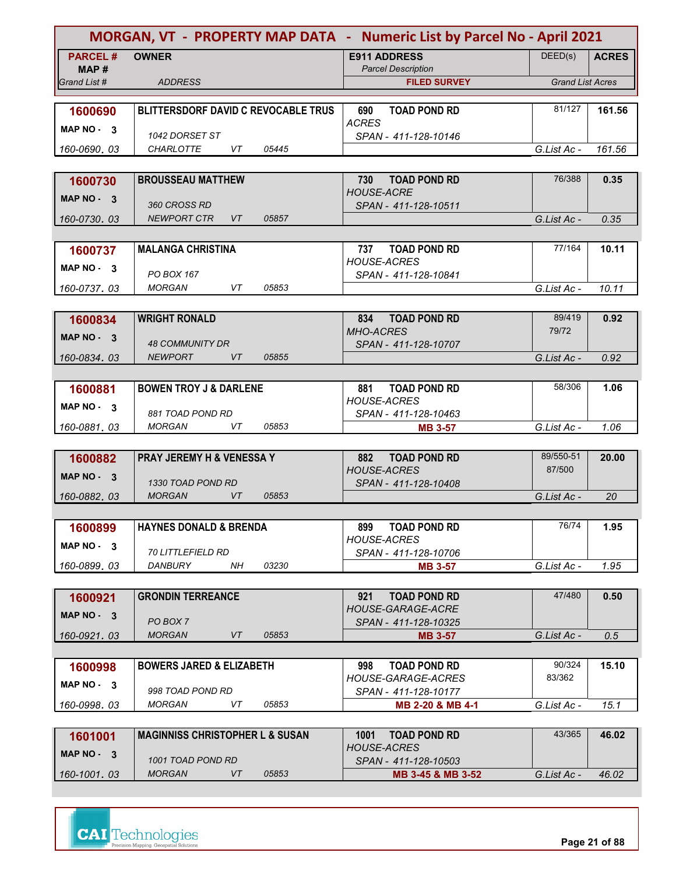| <b>MORGAN, VT - PROPERTY MAP DATA - Numeric List by Parcel No - April 2021</b> |                                            |                                                  |                         |              |  |
|--------------------------------------------------------------------------------|--------------------------------------------|--------------------------------------------------|-------------------------|--------------|--|
| <b>PARCEL#</b>                                                                 | <b>OWNER</b>                               | <b>E911 ADDRESS</b>                              | DEED(s)                 | <b>ACRES</b> |  |
| MAP #                                                                          |                                            | <b>Parcel Description</b>                        |                         |              |  |
| Grand List #                                                                   | <b>ADDRESS</b>                             | <b>FILED SURVEY</b>                              | <b>Grand List Acres</b> |              |  |
|                                                                                |                                            |                                                  | 81/127                  |              |  |
| 1600690                                                                        | <b>BLITTERSDORF DAVID C REVOCABLE TRUS</b> | <b>TOAD POND RD</b><br>690<br><b>ACRES</b>       |                         | 161.56       |  |
| MAP $NO - 3$                                                                   | 1042 DORSET ST                             | SPAN - 411-128-10146                             |                         |              |  |
| 160-0690, 03                                                                   | <b>CHARLOTTE</b><br>VT<br>05445            |                                                  | G.List Ac -             | 161.56       |  |
|                                                                                |                                            |                                                  |                         |              |  |
| 1600730                                                                        | <b>BROUSSEAU MATTHEW</b>                   | <b>TOAD POND RD</b><br>730                       | 76/388                  | 0.35         |  |
| MAP $NO - 3$                                                                   |                                            | <b>HOUSE-ACRE</b>                                |                         |              |  |
|                                                                                | 360 CROSS RD                               | SPAN - 411-128-10511                             |                         |              |  |
| 160-0730.03                                                                    | VT<br><b>NEWPORT CTR</b><br>05857          |                                                  | G.List Ac -             | 0.35         |  |
|                                                                                |                                            |                                                  | 77/164                  |              |  |
| 1600737                                                                        | <b>MALANGA CHRISTINA</b>                   | <b>TOAD POND RD</b><br>737<br><b>HOUSE-ACRES</b> |                         | 10.11        |  |
| MAP $NO - 3$                                                                   | PO BOX 167                                 | SPAN - 411-128-10841                             |                         |              |  |
| 160-0737.03                                                                    | VT<br>05853<br><b>MORGAN</b>               |                                                  | G.List Ac -             | 10.11        |  |
|                                                                                |                                            |                                                  |                         |              |  |
| 1600834                                                                        | <b>WRIGHT RONALD</b>                       | <b>TOAD POND RD</b><br>834                       | 89/419                  | 0.92         |  |
| MAP NO - 3                                                                     |                                            | <b>MHO-ACRES</b>                                 | 79/72                   |              |  |
|                                                                                | <b>48 COMMUNITY DR</b>                     | SPAN - 411-128-10707                             |                         |              |  |
| 160-0834.03                                                                    | <b>NEWPORT</b><br><b>VT</b><br>05855       |                                                  | G.List Ac -             | 0.92         |  |
|                                                                                |                                            |                                                  |                         |              |  |
| 1600881                                                                        | <b>BOWEN TROY J &amp; DARLENE</b>          | <b>TOAD POND RD</b><br>881<br><b>HOUSE-ACRES</b> | 58/306                  | 1.06         |  |
| MAP $NO - 3$                                                                   | 881 TOAD POND RD                           | SPAN - 411-128-10463                             |                         |              |  |
| 160-0881, 03                                                                   | <b>MORGAN</b><br>VT<br>05853               | <b>MB 3-57</b>                                   | G.List Ac -             | 1.06         |  |
|                                                                                |                                            |                                                  |                         |              |  |
| 1600882                                                                        | <b>PRAY JEREMY H &amp; VENESSA Y</b>       | 882 TOAD POND RD                                 | 89/550-51               | 20.00        |  |
| MAP $NO - 3$                                                                   |                                            | <b>HOUSE-ACRES</b>                               | 87/500                  |              |  |
|                                                                                | 1330 TOAD POND RD                          | SPAN - 411-128-10408                             |                         |              |  |
| 160-0882, 03                                                                   | <b>MORGAN</b><br>VT<br>05853               |                                                  | G.List Ac -             | 20           |  |
|                                                                                |                                            |                                                  |                         |              |  |
| 1600899                                                                        | HAYNES DONALD & BRENDA                     | <b>TOAD POND RD</b><br>899<br><b>HOUSE-ACRES</b> | 76/74                   | 1.95         |  |
| MAP NO - 3                                                                     | <i>70 LITTLEFIELD RD</i>                   | SPAN - 411-128-10706                             |                         |              |  |
| 160-0899.03                                                                    | 03230<br>DANBURY<br>NH.                    | <b>MB 3-57</b>                                   | G.List Ac -             | 1.95         |  |
|                                                                                |                                            |                                                  |                         |              |  |
| 1600921                                                                        | <b>GRONDIN TERREANCE</b>                   | <b>TOAD POND RD</b><br>921                       | 47/480                  | 0.50         |  |
| $MAP NO - 3$                                                                   |                                            | <b>HOUSE-GARAGE-ACRE</b>                         |                         |              |  |
|                                                                                | PO BOX 7                                   | SPAN - 411-128-10325                             |                         |              |  |
| 160-0921.03                                                                    | <b>MORGAN</b><br>VT<br>05853               | <b>MB 3-57</b>                                   | G.List Ac -             | 0.5          |  |
|                                                                                |                                            |                                                  |                         |              |  |
| 1600998                                                                        | <b>BOWERS JARED &amp; ELIZABETH</b>        | <b>TOAD POND RD</b><br>998                       | 90/324                  | 15.10        |  |
| MAP NO - 3                                                                     | 998 TOAD POND RD                           | HOUSE-GARAGE-ACRES<br>SPAN - 411-128-10177       | 83/362                  |              |  |
| 160-0998.03                                                                    | VT<br>05853<br>MORGAN                      | MB 2-20 & MB 4-1                                 | G.List Ac -             | 15.1         |  |
|                                                                                |                                            |                                                  |                         |              |  |
| 1601001                                                                        | <b>MAGINNISS CHRISTOPHER L &amp; SUSAN</b> | <b>TOAD POND RD</b><br>1001                      | 43/365                  | 46.02        |  |
| MAP NO - 3                                                                     |                                            | <b>HOUSE-ACRES</b>                               |                         |              |  |
|                                                                                | 1001 TOAD POND RD                          | SPAN - 411-128-10503                             |                         |              |  |
| 160-1001.03                                                                    | <b>MORGAN</b><br>VT<br>05853               | MB 3-45 & MB 3-52                                | G.List Ac -             | 46.02        |  |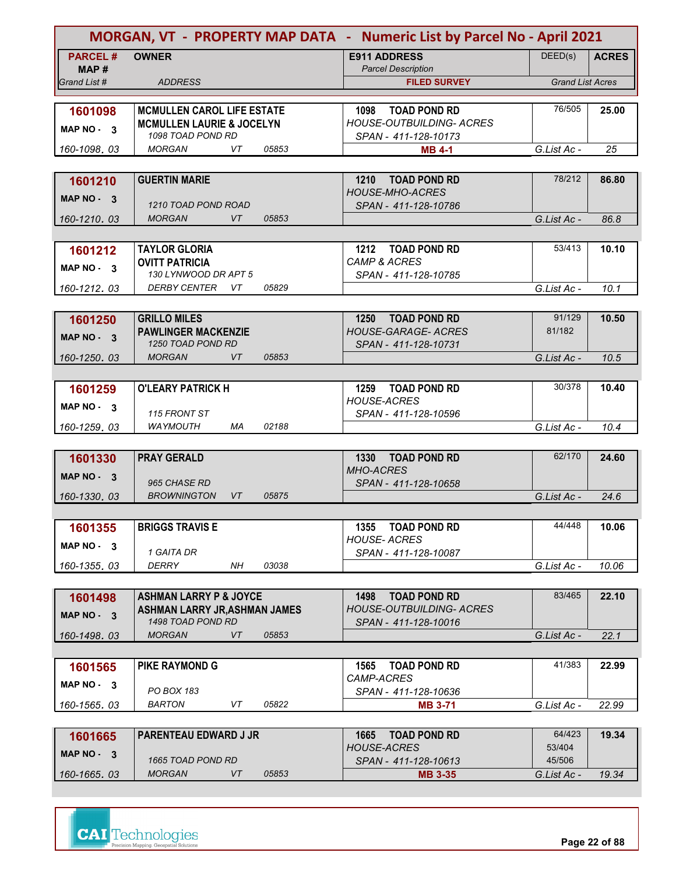|                        | MORGAN, VT - PROPERTY MAP DATA - Numeric List by Parcel No - April 2021 |                                                  |                         |              |  |  |  |
|------------------------|-------------------------------------------------------------------------|--------------------------------------------------|-------------------------|--------------|--|--|--|
| <b>PARCEL#</b><br>MAP# | <b>OWNER</b>                                                            | <b>E911 ADDRESS</b><br><b>Parcel Description</b> | DEED(s)                 | <b>ACRES</b> |  |  |  |
| Grand List #           | <b>ADDRESS</b>                                                          | <b>FILED SURVEY</b>                              | <b>Grand List Acres</b> |              |  |  |  |
|                        |                                                                         |                                                  |                         |              |  |  |  |
| 1601098                | <b>MCMULLEN CAROL LIFE ESTATE</b>                                       | <b>TOAD POND RD</b><br>1098                      | 76/505                  | 25.00        |  |  |  |
| MAP NO - 3             | <b>MCMULLEN LAURIE &amp; JOCELYN</b>                                    | <b>HOUSE-OUTBUILDING- ACRES</b>                  |                         |              |  |  |  |
| 160-1098.03            | 1098 TOAD POND RD<br>VT<br><b>MORGAN</b><br>05853                       | SPAN - 411-128-10173<br><b>MB 4-1</b>            | G.List Ac -             | 25           |  |  |  |
|                        |                                                                         |                                                  |                         |              |  |  |  |
| 1601210                | <b>GUERTIN MARIE</b>                                                    | 1210<br><b>TOAD POND RD</b>                      | 78/212                  | 86.80        |  |  |  |
| MAP NO - 3             |                                                                         | <b>HOUSE-MHO-ACRES</b>                           |                         |              |  |  |  |
|                        | 1210 TOAD POND ROAD                                                     | SPAN - 411-128-10786                             |                         |              |  |  |  |
| 160-1210.03            | <b>MORGAN</b><br>05853<br>VT                                            |                                                  | G.List Ac -             | 86.8         |  |  |  |
|                        |                                                                         |                                                  |                         |              |  |  |  |
| 1601212                | <b>TAYLOR GLORIA</b><br><b>OVITT PATRICIA</b>                           | 1212 TOAD POND RD<br><b>CAMP &amp; ACRES</b>     | 53/413                  | 10.10        |  |  |  |
| MAP NO - 3             | 130 LYNWOOD DR APT 5                                                    | SPAN - 411-128-10785                             |                         |              |  |  |  |
| 160-1212.03            | <b>DERBY CENTER</b><br>VT<br>05829                                      |                                                  | G.List Ac -             | 10.1         |  |  |  |
|                        |                                                                         |                                                  |                         |              |  |  |  |
| 1601250                | <b>GRILLO MILES</b>                                                     | 1250<br><b>TOAD POND RD</b>                      | 91/129                  | 10.50        |  |  |  |
| MAP NO - 3             | <b>PAWLINGER MACKENZIE</b>                                              | <b>HOUSE-GARAGE- ACRES</b>                       | 81/182                  |              |  |  |  |
|                        | 1250 TOAD POND RD<br><b>MORGAN</b><br>05853<br>VT                       | SPAN - 411-128-10731                             | G.List Ac -             | 10.5         |  |  |  |
| 160-1250.03            |                                                                         |                                                  |                         |              |  |  |  |
| 1601259                | <b>O'LEARY PATRICK H</b>                                                | 1259 TOAD POND RD                                | 30/378                  | 10.40        |  |  |  |
|                        |                                                                         | <b>HOUSE-ACRES</b>                               |                         |              |  |  |  |
| MAP $NO - 3$           | 115 FRONT ST                                                            | SPAN - 411-128-10596                             |                         |              |  |  |  |
| 160-1259, 03           | <b>WAYMOUTH</b><br>MA<br>02188                                          |                                                  | G.List Ac -             | 10.4         |  |  |  |
|                        |                                                                         |                                                  |                         |              |  |  |  |
| 1601330                | <b>PRAY GERALD</b>                                                      | 1330 TOAD POND RD<br><b>MHO-ACRES</b>            | 62/170                  | 24.60        |  |  |  |
| <b>MAP NO -</b><br>- 3 | 965 CHASE RD                                                            | SPAN - 411-128-10658                             |                         |              |  |  |  |
| 160-1330, 03           | <b>BROWNINGTON</b><br>VT<br>05875                                       |                                                  | G.List Ac -             | 24.6         |  |  |  |
|                        |                                                                         |                                                  |                         |              |  |  |  |
| 1601355                | <b>BRIGGS TRAVIS E</b>                                                  | 1355 TOAD POND RD                                | 44/448                  | 10.06        |  |  |  |
| MAP $NO - 3$           |                                                                         | <b>HOUSE-ACRES</b>                               |                         |              |  |  |  |
|                        | 1 GAITA DR<br>DERRY<br>03038<br>NΗ                                      | SPAN - 411-128-10087                             | G.List Ac -             | 10.06        |  |  |  |
| 160-1355.03            |                                                                         |                                                  |                         |              |  |  |  |
| 1601498                | <b>ASHMAN LARRY P &amp; JOYCE</b>                                       | <b>TOAD POND RD</b><br>1498                      | 83/465                  | 22.10        |  |  |  |
|                        | <b>ASHMAN LARRY JR, ASHMAN JAMES</b>                                    | <b>HOUSE-OUTBUILDING- ACRES</b>                  |                         |              |  |  |  |
| MAP NO - 3             | 1498 TOAD POND RD                                                       | SPAN - 411-128-10016                             |                         |              |  |  |  |
| 160-1498.03            | <b>MORGAN</b><br>VT<br>05853                                            |                                                  | G.List Ac -             | 22.1         |  |  |  |
|                        |                                                                         |                                                  |                         |              |  |  |  |
| 1601565                | <b>PIKE RAYMOND G</b>                                                   | 1565<br><b>TOAD POND RD</b><br>CAMP-ACRES        | 41/383                  | 22.99        |  |  |  |
| MAP $NO - 3$           | PO BOX 183                                                              | SPAN - 411-128-10636                             |                         |              |  |  |  |
| 160-1565.03            | <b>BARTON</b><br>05822<br>VT                                            | <b>MB 3-71</b>                                   | G.List Ac -             | 22.99        |  |  |  |
|                        |                                                                         |                                                  |                         |              |  |  |  |
| 1601665                | <b>PARENTEAU EDWARD J JR</b>                                            | <b>TOAD POND RD</b><br>1665                      | 64/423                  | 19.34        |  |  |  |
| MAP NO - 3             |                                                                         | <b>HOUSE-ACRES</b>                               | 53/404                  |              |  |  |  |
| 160-1665.03            | 1665 TOAD POND RD<br><b>MORGAN</b><br>VT<br>05853                       | SPAN - 411-128-10613                             | 45/506<br>G.List Ac -   | 19.34        |  |  |  |
|                        |                                                                         | <b>MB 3-35</b>                                   |                         |              |  |  |  |



**Page 22 of 88**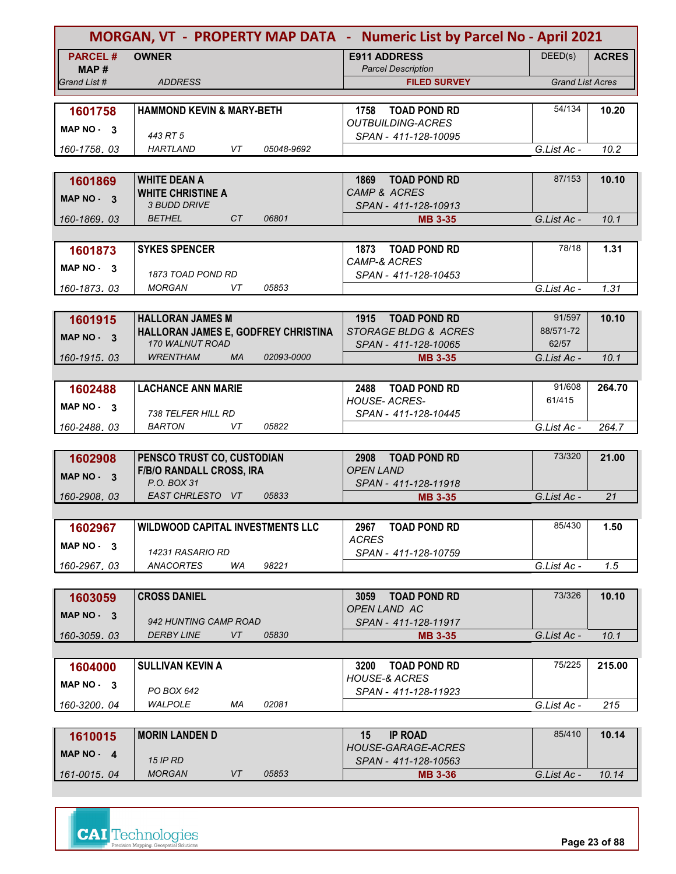|                |                                                  |            | MORGAN, VT - PROPERTY MAP DATA - Numeric List by Parcel No - April 2021 |                         |              |
|----------------|--------------------------------------------------|------------|-------------------------------------------------------------------------|-------------------------|--------------|
| <b>PARCEL#</b> | <b>OWNER</b>                                     |            | <b>E911 ADDRESS</b>                                                     | DEED(s)                 | <b>ACRES</b> |
| MAP#           |                                                  |            | <b>Parcel Description</b>                                               |                         |              |
| Grand List #   | <b>ADDRESS</b>                                   |            | <b>FILED SURVEY</b>                                                     | <b>Grand List Acres</b> |              |
|                |                                                  |            |                                                                         |                         |              |
| 1601758        | <b>HAMMOND KEVIN &amp; MARY-BETH</b>             |            | <b>TOAD POND RD</b><br>1758<br><b>OUTBUILDING-ACRES</b>                 | 54/134                  | 10.20        |
| MAP NO 3       | 443 RT 5                                         |            | SPAN - 411-128-10095                                                    |                         |              |
| 160-1758, 03   | <b>HARTLAND</b><br>VT                            | 05048-9692 |                                                                         | G.List Ac -             | 10.2         |
|                |                                                  |            |                                                                         |                         |              |
| 1601869        | <b>WHITE DEAN A</b>                              |            | 1869<br><b>TOAD POND RD</b>                                             | 87/153                  | 10.10        |
|                | <b>WHITE CHRISTINE A</b>                         |            | CAMP & ACRES                                                            |                         |              |
| MAP NO - 3     | <b>3 BUDD DRIVE</b>                              |            | SPAN - 411-128-10913                                                    |                         |              |
| 160-1869, 03   | CT<br><b>BETHEL</b>                              | 06801      | <b>MB 3-35</b>                                                          | G.List Ac -             | 10.1         |
|                |                                                  |            |                                                                         |                         |              |
| 1601873        | <b>SYKES SPENCER</b>                             |            | 1873 TOAD POND RD                                                       | 78/18                   | 1.31         |
| MAP NO. 3      |                                                  |            | <b>CAMP-&amp; ACRES</b>                                                 |                         |              |
|                | 1873 TOAD POND RD                                |            | SPAN - 411-128-10453                                                    |                         |              |
| 160-1873.03    | MORGAN<br>VT                                     | 05853      |                                                                         | G.List Ac -             | 1.31         |
|                |                                                  |            |                                                                         |                         |              |
| 1601915        | <b>HALLORAN JAMES M</b>                          |            | 1915 TOAD POND RD                                                       | 91/597                  | 10.10        |
| MAP NO 3       | HALLORAN JAMES E, GODFREY CHRISTINA              |            | STORAGE BLDG & ACRES                                                    | 88/571-72               |              |
|                | 170 WALNUT ROAD                                  |            | SPAN - 411-128-10065                                                    | 62/57                   |              |
| 160-1915.03    | <b>WRENTHAM</b><br><b>MA</b>                     | 02093-0000 | <b>MB 3-35</b>                                                          | G.List Ac -             | 10.1         |
|                |                                                  |            |                                                                         |                         |              |
| 1602488        | <b>LACHANCE ANN MARIE</b>                        |            | 2488 TOAD POND RD                                                       | 91/608                  | 264.70       |
| MAP NO 3       |                                                  |            | <b>HOUSE-ACRES-</b>                                                     | 61/415                  |              |
|                | <b>738 TELFER HILL RD</b><br><b>BARTON</b><br>VT | 05822      | SPAN - 411-128-10445                                                    | G.List Ac -             | 264.7        |
| 160-2488.03    |                                                  |            |                                                                         |                         |              |
| 1602908        | PENSCO TRUST CO, CUSTODIAN                       |            | 2908<br><b>TOAD POND RD</b>                                             | 73/320                  | 21.00        |
|                | <b>F/B/O RANDALL CROSS, IRA</b>                  |            | <b>OPEN LAND</b>                                                        |                         |              |
| MAP NO - 3     | P.O. BOX 31                                      |            | SPAN - 411-128-11918                                                    |                         |              |
| 160-2908.03    | EAST CHRLESTO VT                                 | 05833      | <b>MB 3-35</b>                                                          | G.List Ac -             | 21           |
|                |                                                  |            |                                                                         |                         |              |
| 1602967        | <b>WILDWOOD CAPITAL INVESTMENTS LLC</b>          |            | 2967 TOAD POND RD                                                       | 85/430                  | 1.50         |
|                |                                                  |            | <b>ACRES</b>                                                            |                         |              |
| MAP NO - 3     | 14231 RASARIO RD                                 |            | SPAN - 411-128-10759                                                    |                         |              |
| 160-2967.03    | ANACORTES<br>WA                                  | 98221      |                                                                         | G.List Ac -             | 1.5          |
|                |                                                  |            |                                                                         |                         |              |
| 1603059        | <b>CROSS DANIEL</b>                              |            | 3059<br><b>TOAD POND RD</b>                                             | 73/326                  | 10.10        |
| $MAP NO - 3$   |                                                  |            | OPEN LAND AC                                                            |                         |              |
|                | 942 HUNTING CAMP ROAD                            |            | SPAN - 411-128-11917                                                    |                         |              |
| 160-3059.03    | <b>DERBY LINE</b><br>VT                          | 05830      | <b>MB 3-35</b>                                                          | G.List Ac -             | 10.1         |
|                |                                                  |            |                                                                         |                         |              |
| 1604000        | <b>SULLIVAN KEVIN A</b>                          |            | <b>TOAD POND RD</b><br>3200                                             | 75/225                  | 215.00       |
| MAP NO - 3     | PO BOX 642                                       |            | <b>HOUSE-&amp; ACRES</b><br>SPAN - 411-128-11923                        |                         |              |
| 160-3200, 04   | WALPOLE<br>МA                                    | 02081      |                                                                         | G.List Ac -             | 215          |
|                |                                                  |            |                                                                         |                         |              |
| 1610015        | <b>MORIN LANDEN D</b>                            |            | <b>IP ROAD</b><br>15                                                    | 85/410                  | 10.14        |
|                |                                                  |            | HOUSE-GARAGE-ACRES                                                      |                         |              |
| MAP $NO - 4$   | <b>15 IP RD</b>                                  |            | SPAN - 411-128-10563                                                    |                         |              |
| 161-0015.04    | <b>MORGAN</b><br>VT                              | 05853      | <b>MB 3-36</b>                                                          | G.List Ac -             | 10.14        |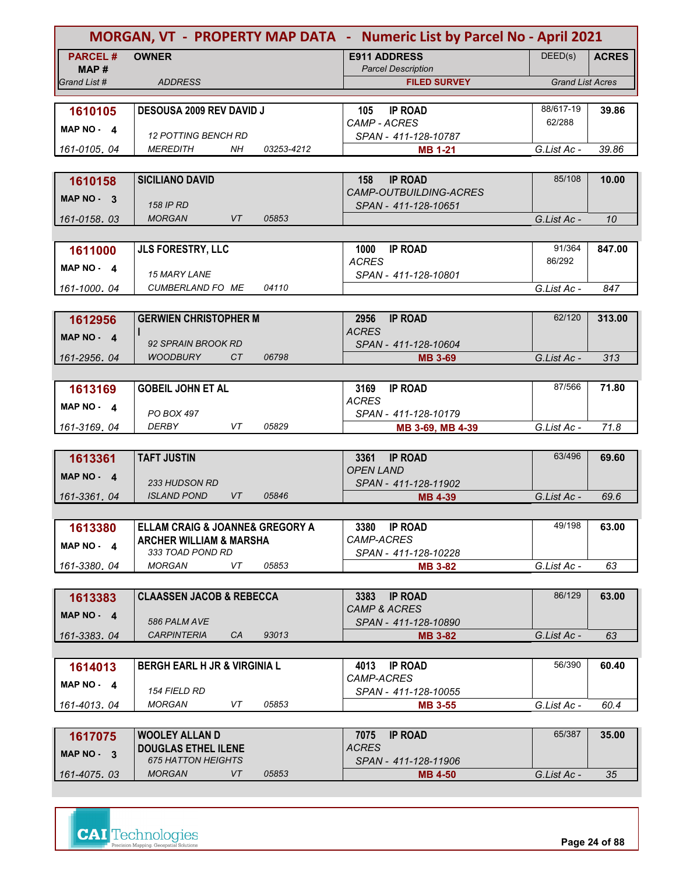|                |                                                                       |                                        | MORGAN, VT - PROPERTY MAP DATA - Numeric List by Parcel No - April 2021 |              |  |
|----------------|-----------------------------------------------------------------------|----------------------------------------|-------------------------------------------------------------------------|--------------|--|
| <b>PARCEL#</b> | <b>OWNER</b>                                                          | <b>E911 ADDRESS</b>                    | DEED(s)                                                                 | <b>ACRES</b> |  |
| MAP #          |                                                                       | <b>Parcel Description</b>              |                                                                         |              |  |
| Grand List #   | <b>ADDRESS</b>                                                        | <b>FILED SURVEY</b>                    | <b>Grand List Acres</b>                                                 |              |  |
|                |                                                                       |                                        | 88/617-19                                                               |              |  |
| 1610105        | <b>DESOUSA 2009 REV DAVID J</b>                                       | <b>IP ROAD</b><br>105<br>CAMP - ACRES  | 62/288                                                                  | 39.86        |  |
| MAP NO - 4     | <b>12 POTTING BENCH RD</b>                                            | SPAN - 411-128-10787                   |                                                                         |              |  |
| 161-0105.04    | <b>MEREDITH</b><br>NH<br>03253-4212                                   | <b>MB 1-21</b>                         | G.List Ac -                                                             | 39.86        |  |
|                |                                                                       |                                        |                                                                         |              |  |
| 1610158        | <b>SICILIANO DAVID</b>                                                | <b>IP ROAD</b><br>158                  | 85/108                                                                  | 10.00        |  |
| MAP NO - 3     |                                                                       | CAMP-OUTBUILDING-ACRES                 |                                                                         |              |  |
|                | <b>158 IP RD</b><br><b>MORGAN</b><br>VT                               | SPAN - 411-128-10651                   |                                                                         |              |  |
| 161-0158.03    | 05853                                                                 |                                        | G.List Ac -                                                             | 10           |  |
|                |                                                                       |                                        | 91/364                                                                  | 847.00       |  |
| 1611000        | <b>JLS FORESTRY, LLC</b>                                              | <b>IP ROAD</b><br>1000<br><b>ACRES</b> | 86/292                                                                  |              |  |
| MAP $NO - 4$   | 15 MARY LANE                                                          | SPAN - 411-128-10801                   |                                                                         |              |  |
| 161-1000.04    | CUMBERLAND FO ME<br>04110                                             |                                        | G.List Ac -                                                             | 847          |  |
|                |                                                                       |                                        |                                                                         |              |  |
| 1612956        | <b>GERWIEN CHRISTOPHER M</b>                                          | <b>IP ROAD</b><br>2956                 | 62/120                                                                  | 313.00       |  |
| MAP $NO - 4$   |                                                                       | <b>ACRES</b>                           |                                                                         |              |  |
|                | 92 SPRAIN BROOK RD                                                    | SPAN - 411-128-10604                   |                                                                         |              |  |
| 161-2956.04    | <b>WOODBURY</b><br>CT<br>06798                                        | <b>MB 3-69</b>                         | G.List Ac -                                                             | 313          |  |
|                |                                                                       |                                        | 87/566                                                                  |              |  |
| 1613169        | <b>GOBEIL JOHN ET AL</b>                                              | 3169<br><b>IP ROAD</b><br><b>ACRES</b> |                                                                         | 71.80        |  |
| MAP NO - 4     | PO BOX 497                                                            | SPAN - 411-128-10179                   |                                                                         |              |  |
| 161-3169.04    | VT<br><b>DERBY</b><br>05829                                           | MB 3-69, MB 4-39                       | G.List Ac -                                                             | 71.8         |  |
|                |                                                                       |                                        |                                                                         |              |  |
| 1613361        | <b>TAFT JUSTIN</b>                                                    | <b>IP ROAD</b><br>3361                 | 63/496                                                                  | 69.60        |  |
| MAP $NO - 4$   |                                                                       | <b>OPEN LAND</b>                       |                                                                         |              |  |
|                | <b>233 HUDSON RD</b>                                                  | SPAN - 411-128-11902                   |                                                                         |              |  |
| 161-3361.04    | <b>ISLAND POND</b><br>05846<br>VT                                     | <b>MB 4-39</b>                         | G.List Ac -                                                             | 69.6         |  |
|                |                                                                       |                                        | 49/198                                                                  |              |  |
| 1613380        | ELLAM CRAIG & JOANNE& GREGORY A<br><b>ARCHER WILLIAM &amp; MARSHA</b> | 3380 IP ROAD<br>CAMP-ACRES             |                                                                         | 63.00        |  |
| MAP NO - 4     | 333 TOAD POND RD                                                      | SPAN - 411-128-10228                   |                                                                         |              |  |
| 161-3380.04    | <b>MORGAN</b><br>VT<br>05853                                          | <b>MB 3-82</b>                         | G.List Ac -                                                             | 63           |  |
|                |                                                                       |                                        |                                                                         |              |  |
| 1613383        | <b>CLAASSEN JACOB &amp; REBECCA</b>                                   | <b>IP ROAD</b><br>3383                 | 86/129                                                                  | 63.00        |  |
| MAP $NO - 4$   |                                                                       | <b>CAMP &amp; ACRES</b>                |                                                                         |              |  |
|                | 586 PALM AVE                                                          | SPAN - 411-128-10890                   |                                                                         |              |  |
| 161-3383.04    | 93013<br><b>CARPINTERIA</b><br>CA                                     | <b>MB 3-82</b>                         | G.List Ac -                                                             | 63           |  |
|                |                                                                       |                                        |                                                                         |              |  |
| 1614013        | <b>BERGH EARL H JR &amp; VIRGINIA L</b>                               | <b>IP ROAD</b><br>4013<br>CAMP-ACRES   | 56/390                                                                  | 60.40        |  |
| MAP NO - 4     | <i><b>154 FIELD RD</b></i>                                            | SPAN - 411-128-10055                   |                                                                         |              |  |
| 161-4013.04    | <b>MORGAN</b><br>VT<br>05853                                          | <b>MB 3-55</b>                         | G.List Ac -                                                             | 60.4         |  |
|                |                                                                       |                                        |                                                                         |              |  |
| 1617075        | <b>WOOLEY ALLAN D</b>                                                 | <b>IP ROAD</b><br>7075                 | 65/387                                                                  | 35.00        |  |
|                | <b>DOUGLAS ETHEL ILENE</b>                                            | <b>ACRES</b>                           |                                                                         |              |  |

| .<br><b>MAP NO -</b> | .<br><b>DOUGLAS ETHEL ILENE</b> |       | .<br>.<br><b>ACRES</b> |             |    |
|----------------------|---------------------------------|-------|------------------------|-------------|----|
|                      | <b>675 HATTON HEIGHTS</b>       |       | SPAN - 411-128-11906   |             |    |
| 161-4075, 03         | MORGAN                          | 05853 | <b>MB 4-50</b>         | G.List Ac - | 35 |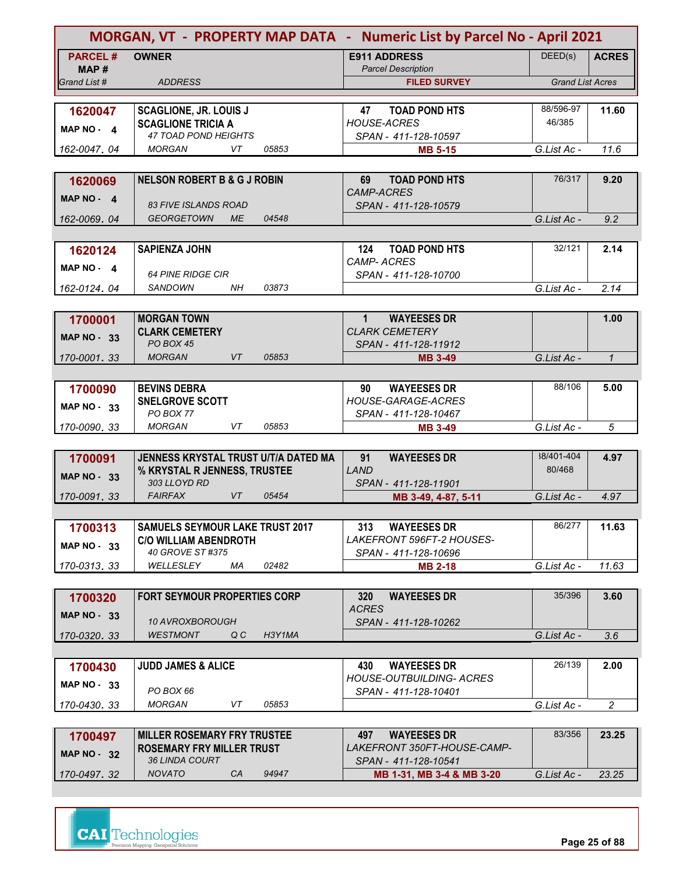|                         |                                                           |        | MORGAN, VT - PROPERTY MAP DATA - Numeric List by Parcel No - April 2021 |                         |                |
|-------------------------|-----------------------------------------------------------|--------|-------------------------------------------------------------------------|-------------------------|----------------|
| <b>PARCEL#</b><br>MAP # | <b>OWNER</b>                                              |        | <b>E911 ADDRESS</b><br><b>Parcel Description</b>                        | DEED(s)                 | <b>ACRES</b>   |
| Grand List #            | <b>ADDRESS</b>                                            |        | <b>FILED SURVEY</b>                                                     | <b>Grand List Acres</b> |                |
| 1620047                 | <b>SCAGLIONE, JR. LOUIS J</b>                             |        | 47<br><b>TOAD POND HTS</b>                                              | 88/596-97               | 11.60          |
| MAP NO - 4              | <b>SCAGLIONE TRICIA A</b>                                 |        | <b>HOUSE-ACRES</b>                                                      | 46/385                  |                |
|                         | <b>47 TOAD POND HEIGHTS</b>                               |        | SPAN - 411-128-10597                                                    |                         |                |
| 162-0047.04             | VT<br><b>MORGAN</b>                                       | 05853  | <b>MB 5-15</b>                                                          | G.List Ac -             | 11.6           |
| 1620069                 | <b>NELSON ROBERT B &amp; G J ROBIN</b>                    |        | <b>TOAD POND HTS</b><br>69                                              | 76/317                  | 9.20           |
|                         |                                                           |        | <b>CAMP-ACRES</b>                                                       |                         |                |
| MAP $NO - 4$            | <b>83 FIVE ISLANDS ROAD</b>                               |        | SPAN - 411-128-10579                                                    |                         |                |
| 162-0069.04             | <b>GEORGETOWN</b><br><b>ME</b>                            | 04548  |                                                                         | G.List Ac -             | 9.2            |
|                         | <b>SAPIENZA JOHN</b>                                      |        | 124                                                                     | 32/121                  | 2.14           |
| 1620124                 |                                                           |        | <b>TOAD POND HTS</b><br><b>CAMP-ACRES</b>                               |                         |                |
| $MAP NO - 4$            | <b>64 PINE RIDGE CIR</b>                                  |        | SPAN - 411-128-10700                                                    |                         |                |
| 162-0124.04             | <b>SANDOWN</b><br>NH                                      | 03873  |                                                                         | G.List Ac -             | 2.14           |
|                         |                                                           |        |                                                                         |                         |                |
| 1700001                 | <b>MORGAN TOWN</b><br><b>CLARK CEMETERY</b>               |        | $\mathbf{1}$<br><b>WAYEESES DR</b><br><b>CLARK CEMETERY</b>             |                         | 1.00           |
| MAP NO 33               | <b>PO BOX 45</b>                                          |        | SPAN - 411-128-11912                                                    |                         |                |
| 170-0001.33             | <b>MORGAN</b><br>VT                                       | 05853  | <b>MB 3-49</b>                                                          | G.List Ac -             | $\mathbf{1}$   |
|                         |                                                           |        |                                                                         |                         |                |
| 1700090                 | <b>BEVINS DEBRA</b>                                       |        | 90<br><b>WAYEESES DR</b><br><b>HOUSE-GARAGE-ACRES</b>                   | 88/106                  | 5.00           |
| MAP NO - 33             | <b>SNELGROVE SCOTT</b><br>PO BOX 77                       |        | SPAN - 411-128-10467                                                    |                         |                |
| 170-0090.33             | <b>MORGAN</b><br>VT                                       | 05853  | <b>MB 3-49</b>                                                          | G.List Ac -             | 5              |
|                         |                                                           |        |                                                                         |                         |                |
| 1700091                 | JENNESS KRYSTAL TRUST U/T/A DATED MA                      |        | 91<br><b>WAYEESES DR</b>                                                | 38/401-404              | 4.97           |
| <b>MAP NO - 33</b>      | % KRYSTAL R JENNESS, TRUSTEE<br>303 LLOYD RD              |        | LAND<br>SPAN - 411-128-11901                                            | 80/468                  |                |
| 170-0091.33             | <b>FAIRFAX</b><br><b>VT</b>                               | 05454  | MB 3-49, 4-87, 5-11                                                     | G.List Ac -             | 4.97           |
|                         |                                                           |        |                                                                         |                         |                |
| 1700313                 | <b>SAMUELS SEYMOUR LAKE TRUST 2017</b>                    |        | 313<br><b>WAYEESES DR</b>                                               | 86/277                  | 11.63          |
| <b>MAP NO - 33</b>      | <b>C/O WILLIAM ABENDROTH</b><br>40 GROVE ST #375          |        | LAKEFRONT 596FT-2 HOUSES-<br>SPAN - 411-128-10696                       |                         |                |
| 170-0313.33             | WELLESLEY<br>МA                                           | 02482  | <b>MB 2-18</b>                                                          | G.List Ac -             | 11.63          |
|                         |                                                           |        |                                                                         |                         |                |
| 1700320                 | <b>FORT SEYMOUR PROPERTIES CORP</b>                       |        | 320<br><b>WAYEESES DR</b>                                               | 35/396                  | 3.60           |
| MAP $NO - 33$           | <b>10 AVROXBOROUGH</b>                                    |        | <b>ACRES</b>                                                            |                         |                |
| 170-0320.33             | <b>WESTMONT</b><br>QC                                     | H3Y1MA | SPAN - 411-128-10262                                                    | G.List Ac -             | 3.6            |
|                         |                                                           |        |                                                                         |                         |                |
| 1700430                 | <b>JUDD JAMES &amp; ALICE</b>                             |        | 430<br><b>WAYEESES DR</b>                                               | 26/139                  | 2.00           |
| <b>MAP NO - 33</b>      |                                                           |        | HOUSE-OUTBUILDING- ACRES                                                |                         |                |
| 170-0430, 33            | PO BOX 66<br>MORGAN<br>VT                                 | 05853  | SPAN - 411-128-10401                                                    | G.List Ac -             | $\overline{c}$ |
|                         |                                                           |        |                                                                         |                         |                |
| 1700497                 | <b>MILLER ROSEMARY FRY TRUSTEE</b>                        |        | <b>WAYEESES DR</b><br>497                                               | 83/356                  | 23.25          |
| <b>MAP NO - 32</b>      | <b>ROSEMARY FRY MILLER TRUST</b><br><b>36 LINDA COURT</b> |        | LAKEFRONT 350FT-HOUSE-CAMP-<br>SPAN - 411-128-10541                     |                         |                |
| 170-0497.32             | <b>NOVATO</b><br>CA                                       | 94947  | MB 1-31, MB 3-4 & MB 3-20                                               | G.List Ac -             | 23.25          |

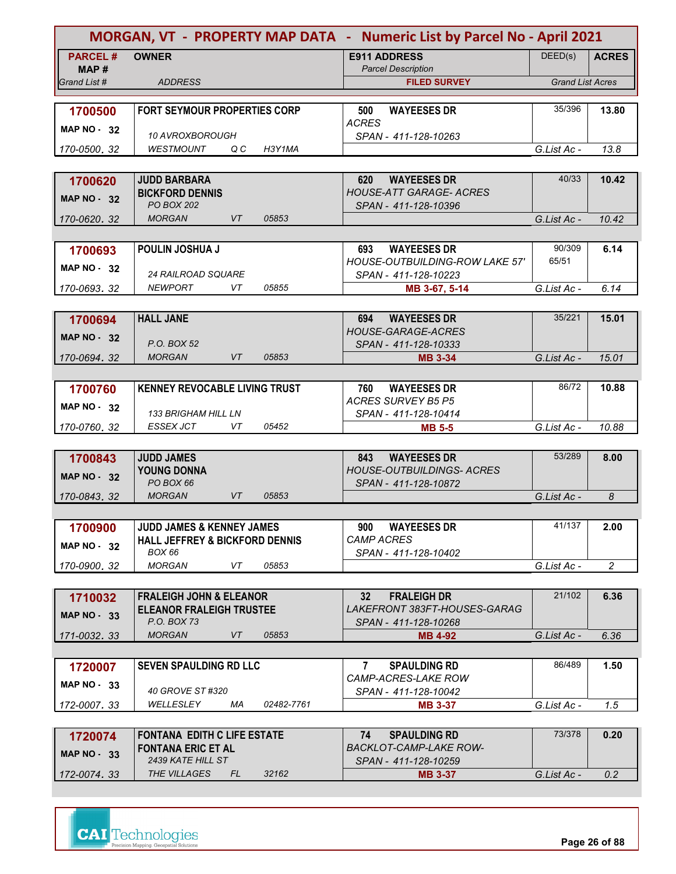|                       |                                                |            | MORGAN, VT - PROPERTY MAP DATA - Numeric List by Parcel No - April 2021 |                         |                |
|-----------------------|------------------------------------------------|------------|-------------------------------------------------------------------------|-------------------------|----------------|
| <b>PARCEL#</b>        | <b>OWNER</b>                                   |            | <b>E911 ADDRESS</b><br><b>Parcel Description</b>                        | DEED(s)                 | <b>ACRES</b>   |
| MAP #<br>Grand List # | <b>ADDRESS</b>                                 |            | <b>FILED SURVEY</b>                                                     | <b>Grand List Acres</b> |                |
|                       |                                                |            |                                                                         |                         |                |
| 1700500               | <b>FORT SEYMOUR PROPERTIES CORP</b>            |            | 500<br><b>WAYEESES DR</b>                                               | 35/396                  | 13.80          |
| <b>MAP NO - 32</b>    | 10 AVROXBOROUGH                                |            | <b>ACRES</b>                                                            |                         |                |
| 170-0500, 32          | <b>WESTMOUNT</b><br>Q C                        | H3Y1MA     | SPAN - 411-128-10263                                                    | G.List Ac -             | 13.8           |
|                       |                                                |            |                                                                         |                         |                |
| 1700620               | <b>JUDD BARBARA</b>                            |            | <b>WAYEESES DR</b><br>620                                               | 40/33                   | 10.42          |
| <b>MAP NO - 32</b>    | <b>BICKFORD DENNIS</b>                         |            | <b>HOUSE-ATT GARAGE- ACRES</b>                                          |                         |                |
| 170-0620, 32          | <b>PO BOX 202</b><br><b>MORGAN</b><br>VT       | 05853      | SPAN - 411-128-10396                                                    | G.List Ac -             | 10.42          |
|                       |                                                |            |                                                                         |                         |                |
| 1700693               | POULIN JOSHUA J                                |            | <b>WAYEESES DR</b><br>693                                               | 90/309                  | 6.14           |
| <b>MAP NO - 32</b>    |                                                |            | <b>HOUSE-OUTBUILDING-ROW LAKE 57'</b>                                   | 65/51                   |                |
|                       | <b>24 RAILROAD SQUARE</b>                      |            | SPAN - 411-128-10223                                                    |                         |                |
| 170-0693.32           | NEWPORT<br>VT                                  | 05855      | MB 3-67, 5-14                                                           | G.List Ac -             | 6.14           |
|                       |                                                |            |                                                                         | 35/221                  |                |
| 1700694               | <b>HALL JANE</b>                               |            | <b>WAYEESES DR</b><br>694<br><b>HOUSE-GARAGE-ACRES</b>                  |                         | 15.01          |
| <b>MAP NO - 32</b>    | P.O. BOX 52                                    |            | SPAN - 411-128-10333                                                    |                         |                |
| 170-0694.32           | <b>MORGAN</b><br>VT                            | 05853      | <b>MB 3-34</b>                                                          | G.List Ac -             | 15.01          |
|                       |                                                |            |                                                                         |                         |                |
| 1700760               | <b>KENNEY REVOCABLE LIVING TRUST</b>           |            | <b>WAYEESES DR</b><br>760                                               | 86/72                   | 10.88          |
| MAP $NO - 32$         | <b>133 BRIGHAM HILL LN</b>                     |            | <b>ACRES SURVEY B5 P5</b><br>SPAN - 411-128-10414                       |                         |                |
| 170-0760, 32          | ESSEX JCT<br>VT                                | 05452      | <b>MB 5-5</b>                                                           | G.List Ac -             | 10.88          |
|                       |                                                |            |                                                                         |                         |                |
| 1700843               | <b>JUDD JAMES</b>                              |            | <b>WAYEESES DR</b><br>843                                               | 53/289                  | 8.00           |
| <b>MAP NO - 32</b>    | <b>YOUNG DONNA</b><br>PO BOX 66                |            | <b>HOUSE-OUTBUILDINGS- ACRES</b>                                        |                         |                |
| 170-0843, 32          | <b>MORGAN</b><br><b>VT</b>                     | 05853      | SPAN - 411-128-10872                                                    | G.List Ac -             | 8              |
|                       |                                                |            |                                                                         |                         |                |
| 1700900               | <b>JUDD JAMES &amp; KENNEY JAMES</b>           |            | <b>WAYEESES DR</b><br>900                                               | 41/137                  | 2.00           |
| <b>MAP NO - 32</b>    | <b>HALL JEFFREY &amp; BICKFORD DENNIS</b>      |            | <b>CAMP ACRES</b>                                                       |                         |                |
|                       | BOX 66<br>VT<br><b>MORGAN</b>                  | 05853      | SPAN - 411-128-10402                                                    |                         | $\overline{2}$ |
| 170-0900.32           |                                                |            |                                                                         | G.List Ac -             |                |
| 1710032               | <b>FRALEIGH JOHN &amp; ELEANOR</b>             |            | 32 <sup>2</sup><br><b>FRALEIGH DR</b>                                   | 21/102                  | 6.36           |
| <b>MAP NO - 33</b>    | <b>ELEANOR FRALEIGH TRUSTEE</b>                |            | LAKEFRONT 383FT-HOUSES-GARAG                                            |                         |                |
|                       | P.O. BOX 73                                    |            | SPAN - 411-128-10268                                                    |                         |                |
| 171-0032.33           | <b>MORGAN</b><br>VT                            | 05853      | <b>MB 4-92</b>                                                          | G.List Ac -             | 6.36           |
|                       |                                                |            |                                                                         |                         |                |
| 1720007               | <b>SEVEN SPAULDING RD LLC</b>                  |            | <b>SPAULDING RD</b><br>$\mathbf{7}$<br>CAMP-ACRES-LAKE ROW              | 86/489                  | 1.50           |
| MAP NO 33             | 40 GROVE ST #320                               |            | SPAN - 411-128-10042                                                    |                         |                |
| 172-0007, 33          | WELLESLEY<br>МA                                | 02482-7761 | <b>MB 3-37</b>                                                          | G.List Ac -             | 1.5            |
|                       |                                                |            |                                                                         |                         |                |
| 1720074               | <b>FONTANA EDITH C LIFE ESTATE</b>             |            | <b>SPAULDING RD</b><br>74                                               | 73/378                  | 0.20           |
| <b>MAP NO - 33</b>    | <b>FONTANA ERIC ET AL</b><br>2439 KATE HILL ST |            | <b>BACKLOT-CAMP-LAKE ROW-</b><br>SPAN - 411-128-10259                   |                         |                |

*172-0074 33 .* **MB 3-37** *THE VILLAGES FL 32162 2439 KATE HILL ST SPAN - 411-128-10259 G.List Ac - 0.2*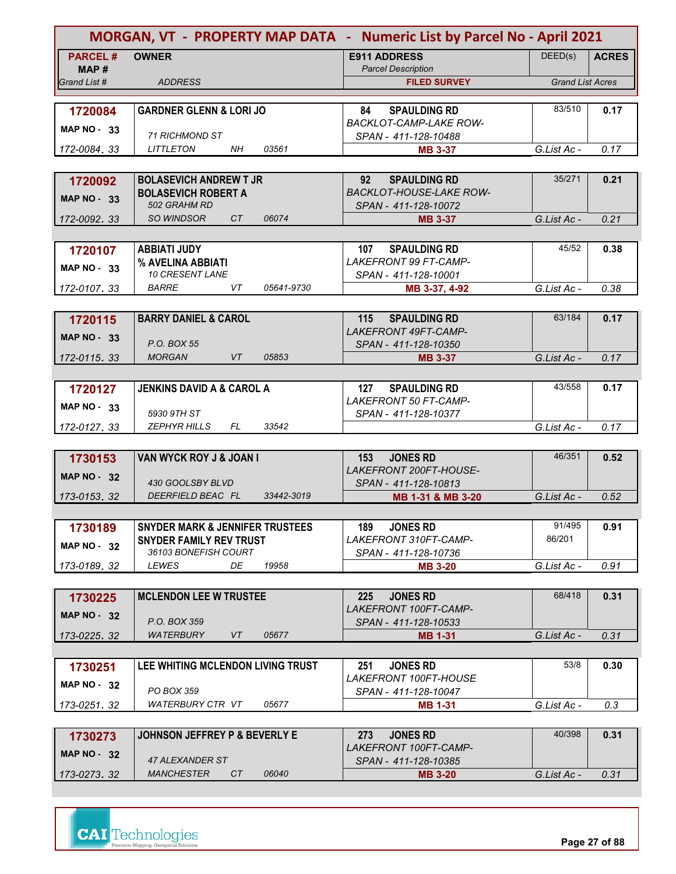|                    | MORGAN, VT - PROPERTY MAP DATA - Numeric List by Parcel No - April 2021 |                                                            |                         |              |
|--------------------|-------------------------------------------------------------------------|------------------------------------------------------------|-------------------------|--------------|
| <b>PARCEL#</b>     | <b>OWNER</b>                                                            | <b>E911 ADDRESS</b>                                        | DEED(s)                 | <b>ACRES</b> |
| MAP #              |                                                                         | <b>Parcel Description</b>                                  |                         |              |
| Grand List #       | <b>ADDRESS</b>                                                          | <b>FILED SURVEY</b>                                        | <b>Grand List Acres</b> |              |
| 1720084            | <b>GARDNER GLENN &amp; LORI JO</b>                                      | <b>SPAULDING RD</b><br>84                                  | 83/510                  | 0.17         |
|                    |                                                                         | <b>BACKLOT-CAMP-LAKE ROW-</b>                              |                         |              |
| <b>MAP NO - 33</b> | <b>71 RICHMOND ST</b>                                                   | SPAN - 411-128-10488                                       |                         |              |
| 172-0084, 33       | 03561<br><b>LITTLETON</b><br>NH                                         | <b>MB 3-37</b>                                             | G.List Ac -             | 0.17         |
|                    |                                                                         |                                                            |                         |              |
| 1720092            | <b>BOLASEVICH ANDREW T JR</b>                                           | 92<br><b>SPAULDING RD</b>                                  | 35/271                  | 0.21         |
| MAP $NO - 33$      | <b>BOLASEVICH ROBERT A</b>                                              | <b>BACKLOT-HOUSE-LAKE ROW-</b>                             |                         |              |
|                    | 502 GRAHM RD                                                            | SPAN - 411-128-10072                                       |                         |              |
| 172-0092, 33       | <b>SO WINDSOR</b><br>CT<br>06074                                        | <b>MB 3-37</b>                                             | G.List Ac -             | 0.21         |
|                    |                                                                         |                                                            | 45/52                   |              |
| 1720107            | <b>ABBIATI JUDY</b><br>% AVELINA ABBIATI                                | <b>SPAULDING RD</b><br>107<br><b>LAKEFRONT 99 FT-CAMP-</b> |                         | 0.38         |
| MAP $NO - 33$      | 10 CRESENT LANE                                                         | SPAN - 411-128-10001                                       |                         |              |
| 172-0107.33        | <i>BARRE</i><br>VT.<br>05641-9730                                       | MB 3-37, 4-92                                              | G.List Ac -             | 0.38         |
|                    |                                                                         |                                                            |                         |              |
| 1720115            | <b>BARRY DANIEL &amp; CAROL</b>                                         | <b>SPAULDING RD</b><br>115                                 | 63/184                  | 0.17         |
| <b>MAP NO - 33</b> |                                                                         | LAKEFRONT 49FT-CAMP-                                       |                         |              |
|                    | P.O. BOX 55                                                             | SPAN - 411-128-10350                                       |                         |              |
| 172-0115.33        | <b>MORGAN</b><br>VT<br>05853                                            | <b>MB 3-37</b>                                             | G.List Ac -             | 0.17         |
|                    |                                                                         |                                                            |                         |              |
| 1720127            | <b>JENKINS DAVID A &amp; CAROL A</b>                                    | 127<br><b>SPAULDING RD</b>                                 | 43/558                  | 0.17         |
| MAP $NO - 33$      | 5930 9TH ST                                                             | <b>LAKEFRONT 50 FT-CAMP-</b><br>SPAN - 411-128-10377       |                         |              |
| 172-0127, 33       | <b>ZEPHYR HILLS</b><br>FL<br>33542                                      |                                                            | G.List Ac -             | 0.17         |
|                    |                                                                         |                                                            |                         |              |
| 1730153            | VAN WYCK ROY J & JOAN I                                                 | <b>JONES RD</b><br>153                                     | 46/351                  | 0.52         |
| MAP $NO - 32$      |                                                                         | LAKEFRONT 200FT-HOUSE-                                     |                         |              |
|                    | 430 GOOLSBY BLVD                                                        | SPAN - 411-128-10813                                       |                         |              |
| 173-0153.32        | DEERFIELD BEAC FL<br>33442-3019                                         | MB 1-31 & MB 3-20                                          | G.List Ac -             | 0.52         |
|                    |                                                                         |                                                            |                         |              |
| 1730189            | <b>SNYDER MARK &amp; JENNIFER TRUSTEES</b>                              | <b>JONES RD</b><br>189.                                    | 91/495                  | 0.91         |
| <b>MAP NO - 32</b> | <b>SNYDER FAMILY REV TRUST</b><br>36103 BONEFISH COURT                  | LAKEFRONT 310FT-CAMP-                                      | 86/201                  |              |
| 173-0189.32        | <b>LEWES</b><br>DE<br>19958                                             | SPAN - 411-128-10736<br><b>MB 3-20</b>                     | G.List Ac -             | 0.91         |
|                    |                                                                         |                                                            |                         |              |
| 1730225            | <b>MCLENDON LEE W TRUSTEE</b>                                           | <b>JONES RD</b><br>225                                     | 68/418                  | 0.31         |
|                    |                                                                         | LAKEFRONT 100FT-CAMP-                                      |                         |              |
| MAP $NO - 32$      | P.O. BOX 359                                                            | SPAN - 411-128-10533                                       |                         |              |
| 173-0225.32        | WATERBURY<br>VT<br>05677                                                | <b>MB 1-31</b>                                             | G.List Ac -             | 0.31         |
|                    |                                                                         |                                                            |                         |              |
| 1730251            | LEE WHITING MCLENDON LIVING TRUST                                       | <b>JONES RD</b><br>251                                     | 53/8                    | 0.30         |
| MAP $NO - 32$      |                                                                         | <i>LAKEFRONT 100FT-HOUSE</i>                               |                         |              |
|                    | PO BOX 359<br>WATERBURY CTR VT<br>05677                                 | SPAN - 411-128-10047                                       | G.List Ac -             | 0.3          |
| 173-0251.32        |                                                                         | <b>MB 1-31</b>                                             |                         |              |
|                    | <b>JOHNSON JEFFREY P &amp; BEVERLY E</b>                                | <b>JONES RD</b><br>273                                     | 40/398                  | 0.31         |
| 1730273            |                                                                         | LAKEFRONT 100FT-CAMP-                                      |                         |              |
| <b>MAP NO - 32</b> | 47 ALEXANDER ST                                                         | SPAN - 411-128-10385                                       |                         |              |
| 173-0273.32        | <b>MANCHESTER</b><br>06040<br>CT                                        | <b>MB 3-20</b>                                             | G.List Ac -             | 0.31         |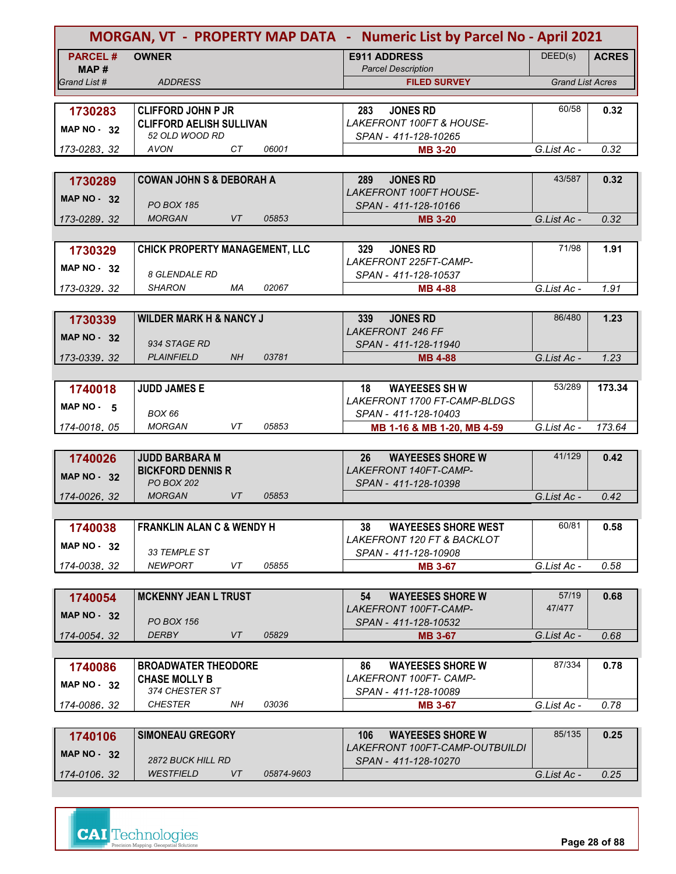| MORGAN, VT - PROPERTY MAP DATA - Numeric List by Parcel No - April 2021 |                                                   |           |            |                                                         |                         |              |
|-------------------------------------------------------------------------|---------------------------------------------------|-----------|------------|---------------------------------------------------------|-------------------------|--------------|
| <b>PARCEL#</b><br>MAP #                                                 | <b>OWNER</b>                                      |           |            | <b>E911 ADDRESS</b><br><b>Parcel Description</b>        | DEED(s)                 | <b>ACRES</b> |
| Grand List #                                                            | <b>ADDRESS</b>                                    |           |            | <b>FILED SURVEY</b>                                     | <b>Grand List Acres</b> |              |
|                                                                         |                                                   |           |            |                                                         |                         |              |
| 1730283                                                                 | <b>CLIFFORD JOHN P JR</b>                         |           |            | <b>JONES RD</b><br>283                                  | 60/58                   | 0.32         |
| <b>MAP NO - 32</b>                                                      | <b>CLIFFORD AELISH SULLIVAN</b><br>52 OLD WOOD RD |           |            | <b>LAKEFRONT 100FT &amp; HOUSE-</b>                     |                         |              |
| 173-0283.32                                                             | <b>AVON</b>                                       | CT        | 06001      | SPAN - 411-128-10265<br><b>MB 3-20</b>                  | G.List Ac -             | 0.32         |
|                                                                         |                                                   |           |            |                                                         |                         |              |
| 1730289                                                                 | <b>COWAN JOHN S &amp; DEBORAH A</b>               |           |            | <b>JONES RD</b><br>289                                  | 43/587                  | 0.32         |
|                                                                         |                                                   |           |            | <b>LAKEFRONT 100FT HOUSE-</b>                           |                         |              |
| <b>MAP NO - 32</b>                                                      | <b>PO BOX 185</b>                                 |           |            | SPAN - 411-128-10166                                    |                         |              |
| 173-0289, 32                                                            | <b>MORGAN</b>                                     | VT        | 05853      | <b>MB 3-20</b>                                          | G.List Ac -             | 0.32         |
|                                                                         |                                                   |           |            |                                                         |                         |              |
| 1730329                                                                 | <b>CHICK PROPERTY MANAGEMENT, LLC</b>             |           |            | <b>JONES RD</b><br>329                                  | 71/98                   | 1.91         |
| <b>MAP NO - 32</b>                                                      |                                                   |           |            | LAKEFRONT 225FT-CAMP-                                   |                         |              |
|                                                                         | <b>8 GLENDALE RD</b>                              |           |            | SPAN - 411-128-10537                                    |                         |              |
| 173-0329.32                                                             | SHARON                                            | МA        | 02067      | <b>MB 4-88</b>                                          | G.List Ac -             | 1.91         |
|                                                                         |                                                   |           |            |                                                         |                         |              |
| 1730339                                                                 | <b>WILDER MARK H &amp; NANCY J</b>                |           |            | <b>JONES RD</b><br>339<br><b>LAKEFRONT 246 FF</b>       | 86/480                  | 1.23         |
| <b>MAP NO - 32</b>                                                      | 934 STAGE RD                                      |           |            | SPAN - 411-128-11940                                    |                         |              |
| 173-0339.32                                                             | <b>PLAINFIELD</b>                                 | <b>NH</b> | 03781      | <b>MB 4-88</b>                                          | G.List Ac -             | 1.23         |
|                                                                         |                                                   |           |            |                                                         |                         |              |
| 1740018                                                                 | <b>JUDD JAMES E</b>                               |           |            | 18<br><b>WAYEESES SH W</b>                              | 53/289                  | 173.34       |
|                                                                         |                                                   |           |            | LAKEFRONT 1700 FT-CAMP-BLDGS                            |                         |              |
| MAP NO $-5$                                                             | BOX 66                                            |           |            | SPAN - 411-128-10403                                    |                         |              |
| 174-0018, 05                                                            | <b>MORGAN</b>                                     | VT        | 05853      | MB 1-16 & MB 1-20, MB 4-59                              | G.List Ac -             | 173.64       |
|                                                                         |                                                   |           |            |                                                         |                         |              |
| 1740026                                                                 | <b>JUDD BARBARA M</b>                             |           |            | 26<br><b>WAYEESES SHORE W</b>                           | 41/129                  | 0.42         |
| <b>MAP NO - 32</b>                                                      | <b>BICKFORD DENNIS R</b><br><b>PO BOX 202</b>     |           |            | LAKEFRONT 140FT-CAMP-                                   |                         |              |
| 174-0026, 32                                                            | <b>MORGAN</b>                                     | VT        | 05853      | SPAN - 411-128-10398                                    | G.List Ac -             | 0.42         |
|                                                                         |                                                   |           |            |                                                         |                         |              |
|                                                                         | <b>FRANKLIN ALAN C &amp; WENDY H</b>              |           |            | <b>WAYEESES SHORE WEST</b><br>38                        | 60/81                   | 0.58         |
| 1740038                                                                 |                                                   |           |            | <b>LAKEFRONT 120 FT &amp; BACKLOT</b>                   |                         |              |
| <b>MAP NO - 32</b>                                                      | 33 TEMPLE ST                                      |           |            | SPAN - 411-128-10908                                    |                         |              |
| 174-0038.32                                                             | <b>NEWPORT</b>                                    | VT        | 05855      | <b>MB 3-67</b>                                          | G.List Ac -             | 0.58         |
|                                                                         |                                                   |           |            |                                                         |                         |              |
| 1740054                                                                 | <b>MCKENNY JEAN L TRUST</b>                       |           |            | <b>WAYEESES SHORE W</b><br>54                           | 57/19                   | 0.68         |
| MAP $NO - 32$                                                           |                                                   |           |            | LAKEFRONT 100FT-CAMP-                                   | 47/477                  |              |
|                                                                         | <b>PO BOX 156</b>                                 |           |            | SPAN - 411-128-10532                                    |                         |              |
| 174-0054.32                                                             | <b>DERBY</b>                                      | VT        | 05829      | <b>MB 3-67</b>                                          | G.List Ac -             | 0.68         |
|                                                                         |                                                   |           |            |                                                         |                         |              |
| 1740086                                                                 | <b>BROADWATER THEODORE</b>                        |           |            | <b>WAYEESES SHORE W</b><br>86<br>LAKEFRONT 100FT- CAMP- | 87/334                  | 0.78         |
| MAP $NO - 32$                                                           | <b>CHASE MOLLY B</b><br>374 CHESTER ST            |           |            | SPAN - 411-128-10089                                    |                         |              |
| 174-0086, 32                                                            | <i>CHESTER</i>                                    | NH        | 03036      | <b>MB 3-67</b>                                          | G.List Ac -             | 0.78         |
|                                                                         |                                                   |           |            |                                                         |                         |              |
| 1740106                                                                 | <b>SIMONEAU GREGORY</b>                           |           |            | <b>WAYEESES SHORE W</b><br>106                          | 85/135                  | 0.25         |
| MAP $NO - 32$                                                           |                                                   |           |            | LAKEFRONT 100FT-CAMP-OUTBUILDI                          |                         |              |
|                                                                         | 2872 BUCK HILL RD                                 |           |            | SPAN - 411-128-10270                                    |                         |              |
| 174-0106.32                                                             | <b>WESTFIELD</b>                                  | VT        | 05874-9603 |                                                         | G.List Ac -             | 0.25         |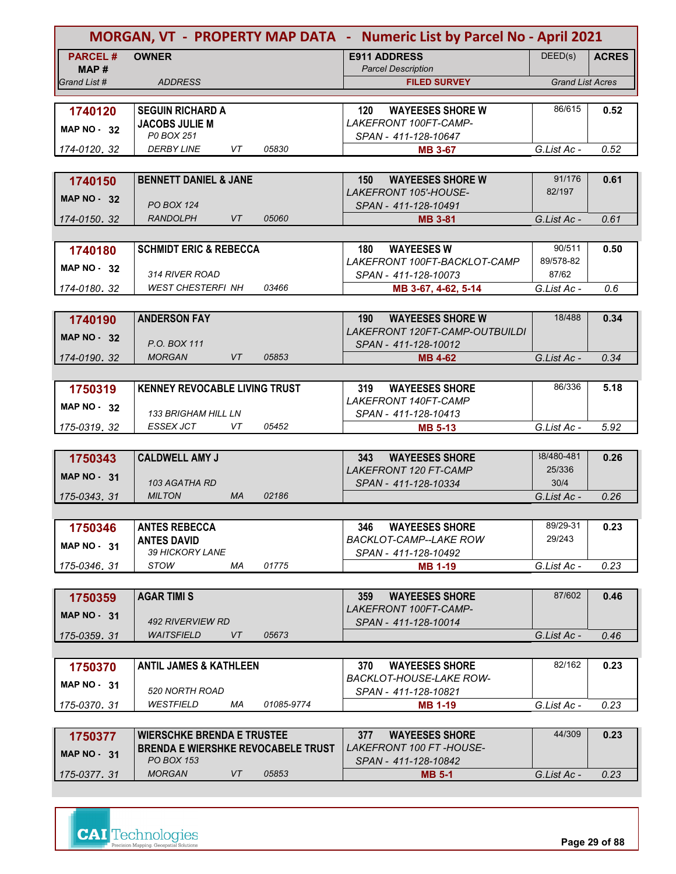| DEED(s)<br><b>PARCEL#</b><br><b>OWNER</b><br><b>E911 ADDRESS</b><br><b>ACRES</b><br><b>Parcel Description</b><br>MAP #<br><b>Grand List Acres</b><br>Grand List #<br><b>ADDRESS</b><br><b>FILED SURVEY</b><br>86/615<br>0.52<br>1740120<br><b>SEGUIN RICHARD A</b><br>120<br><b>WAYEESES SHORE W</b><br>LAKEFRONT 100FT-CAMP-<br><b>JACOBS JULIE M</b><br><b>MAP NO - 32</b><br>P0 BOX 251<br>SPAN - 411-128-10647<br><b>DERBY LINE</b><br>VT<br>05830<br>0.52<br>G.List Ac -<br>174-0120, 32<br><b>MB 3-67</b><br>91/176<br><b>BENNETT DANIEL &amp; JANE</b><br><b>WAYEESES SHORE W</b><br>0.61<br>150<br>1740150<br>82/197<br><b>LAKEFRONT 105'-HOUSE-</b><br><b>MAP NO - 32</b><br><b>PO BOX 124</b><br>SPAN - 411-128-10491<br>VT<br><b>RANDOLPH</b><br>05060<br>0.61<br>G.List Ac -<br>174-0150, 32<br><b>MB 3-81</b><br>90/511<br><b>SCHMIDT ERIC &amp; REBECCA</b><br>180<br><b>WAYEESES W</b><br>0.50<br>1740180<br>89/578-82<br>LAKEFRONT 100FT-BACKLOT-CAMP<br><b>MAP NO - 32</b><br>314 RIVER ROAD<br>87/62<br>SPAN - 411-128-10073<br><b>WEST CHESTERFI NH</b><br>03466<br>0.6<br>G.List Ac -<br>174-0180.32<br>MB 3-67, 4-62, 5-14<br>18/488<br><b>ANDERSON FAY</b><br>0.34<br><b>WAYEESES SHORE W</b><br>1740190<br>190<br>LAKEFRONT 120FT-CAMP-OUTBUILDI<br><b>MAP NO - 32</b><br>P.O. BOX 111<br>SPAN - 411-128-10012<br><b>MORGAN</b><br>VT<br>05853<br>G.List Ac -<br>0.34<br>174-0190. 32<br>MB 4-62<br>86/336<br><b>KENNEY REVOCABLE LIVING TRUST</b><br>5.18<br>319<br><b>WAYEESES SHORE</b><br>1750319<br>LAKEFRONT 140FT-CAMP<br><b>MAP NO - 32</b><br><b>133 BRIGHAM HILL LN</b><br>SPAN - 411-128-10413<br>05452<br><b>ESSEX JCT</b><br>VT<br>G.List Ac -<br>5.92<br>175-0319, 32<br><b>MB 5-13</b><br>38/480-481<br><b>CALDWELL AMY J</b><br>0.26<br><b>WAYEESES SHORE</b><br>1750343<br>343<br><b>LAKEFRONT 120 FT-CAMP</b><br>25/336<br>MAP $NO - 31$<br>103 AGATHA RD<br>30/4<br>SPAN - 411-128-10334<br><b>MILTON</b><br><b>MA</b><br>02186<br>G.List Ac -<br>0.26<br>175-0343, 31<br>89/29-31<br><b>ANTES REBECCA</b><br><b>WAYEESES SHORE</b><br>346<br>0.23<br>1750346<br>29/243<br><b>ANTES DAVID</b><br>BACKLOT-CAMP--LAKE ROW<br><b>MAP NO - 31</b><br>39 HICKORY LANE<br>SPAN - 411-128-10492<br><i>STOW</i><br>01775<br>МA<br><b>MB 1-19</b><br>G.List Ac -<br>0.23<br>175-0346.31<br>87/602<br><b>AGAR TIMI S</b><br><b>WAYEESES SHORE</b><br>0.46<br>359<br>1750359<br>LAKEFRONT 100FT-CAMP-<br><b>MAP NO - 31</b><br><b>492 RIVERVIEW RD</b><br>SPAN - 411-128-10014<br>05673<br>WAITSFIELD<br>VT<br>G.List Ac -<br>0.46<br>175-0359.31<br>82/162<br><b>ANTIL JAMES &amp; KATHLEEN</b><br><b>WAYEESES SHORE</b><br>0.23<br>370<br>1750370<br><b>BACKLOT-HOUSE-LAKE ROW-</b><br>MAP NO - 31<br>520 NORTH ROAD<br>SPAN - 411-128-10821<br>WESTFIELD<br>МA<br>01085-9774<br>G.List Ac -<br>0.23<br><b>MB 1-19</b><br>175-0370, 31<br>44/309<br>0.23<br><b>WIERSCHKE BRENDA E TRUSTEE</b><br>377<br><b>WAYEESES SHORE</b><br>1750377<br><b>BRENDA E WIERSHKE REVOCABELE TRUST</b><br><i>LAKEFRONT 100 FT -HOUSE-</i> |                    | MORGAN, VT - PROPERTY MAP DATA - Numeric List by Parcel No - April 2021 |  |  |  |  |
|-----------------------------------------------------------------------------------------------------------------------------------------------------------------------------------------------------------------------------------------------------------------------------------------------------------------------------------------------------------------------------------------------------------------------------------------------------------------------------------------------------------------------------------------------------------------------------------------------------------------------------------------------------------------------------------------------------------------------------------------------------------------------------------------------------------------------------------------------------------------------------------------------------------------------------------------------------------------------------------------------------------------------------------------------------------------------------------------------------------------------------------------------------------------------------------------------------------------------------------------------------------------------------------------------------------------------------------------------------------------------------------------------------------------------------------------------------------------------------------------------------------------------------------------------------------------------------------------------------------------------------------------------------------------------------------------------------------------------------------------------------------------------------------------------------------------------------------------------------------------------------------------------------------------------------------------------------------------------------------------------------------------------------------------------------------------------------------------------------------------------------------------------------------------------------------------------------------------------------------------------------------------------------------------------------------------------------------------------------------------------------------------------------------------------------------------------------------------------------------------------------------------------------------------------------------------------------------------------------------------------------------------------------------------------------------------------------------------------------------------------------------------------------------------------------------------------------------------------------------------------------------------------------------------------------------------------------------------------------------------------------------------------------------------------------------|--------------------|-------------------------------------------------------------------------|--|--|--|--|
|                                                                                                                                                                                                                                                                                                                                                                                                                                                                                                                                                                                                                                                                                                                                                                                                                                                                                                                                                                                                                                                                                                                                                                                                                                                                                                                                                                                                                                                                                                                                                                                                                                                                                                                                                                                                                                                                                                                                                                                                                                                                                                                                                                                                                                                                                                                                                                                                                                                                                                                                                                                                                                                                                                                                                                                                                                                                                                                                                                                                                                                           |                    |                                                                         |  |  |  |  |
|                                                                                                                                                                                                                                                                                                                                                                                                                                                                                                                                                                                                                                                                                                                                                                                                                                                                                                                                                                                                                                                                                                                                                                                                                                                                                                                                                                                                                                                                                                                                                                                                                                                                                                                                                                                                                                                                                                                                                                                                                                                                                                                                                                                                                                                                                                                                                                                                                                                                                                                                                                                                                                                                                                                                                                                                                                                                                                                                                                                                                                                           |                    |                                                                         |  |  |  |  |
|                                                                                                                                                                                                                                                                                                                                                                                                                                                                                                                                                                                                                                                                                                                                                                                                                                                                                                                                                                                                                                                                                                                                                                                                                                                                                                                                                                                                                                                                                                                                                                                                                                                                                                                                                                                                                                                                                                                                                                                                                                                                                                                                                                                                                                                                                                                                                                                                                                                                                                                                                                                                                                                                                                                                                                                                                                                                                                                                                                                                                                                           |                    |                                                                         |  |  |  |  |
|                                                                                                                                                                                                                                                                                                                                                                                                                                                                                                                                                                                                                                                                                                                                                                                                                                                                                                                                                                                                                                                                                                                                                                                                                                                                                                                                                                                                                                                                                                                                                                                                                                                                                                                                                                                                                                                                                                                                                                                                                                                                                                                                                                                                                                                                                                                                                                                                                                                                                                                                                                                                                                                                                                                                                                                                                                                                                                                                                                                                                                                           |                    |                                                                         |  |  |  |  |
|                                                                                                                                                                                                                                                                                                                                                                                                                                                                                                                                                                                                                                                                                                                                                                                                                                                                                                                                                                                                                                                                                                                                                                                                                                                                                                                                                                                                                                                                                                                                                                                                                                                                                                                                                                                                                                                                                                                                                                                                                                                                                                                                                                                                                                                                                                                                                                                                                                                                                                                                                                                                                                                                                                                                                                                                                                                                                                                                                                                                                                                           |                    |                                                                         |  |  |  |  |
|                                                                                                                                                                                                                                                                                                                                                                                                                                                                                                                                                                                                                                                                                                                                                                                                                                                                                                                                                                                                                                                                                                                                                                                                                                                                                                                                                                                                                                                                                                                                                                                                                                                                                                                                                                                                                                                                                                                                                                                                                                                                                                                                                                                                                                                                                                                                                                                                                                                                                                                                                                                                                                                                                                                                                                                                                                                                                                                                                                                                                                                           |                    |                                                                         |  |  |  |  |
|                                                                                                                                                                                                                                                                                                                                                                                                                                                                                                                                                                                                                                                                                                                                                                                                                                                                                                                                                                                                                                                                                                                                                                                                                                                                                                                                                                                                                                                                                                                                                                                                                                                                                                                                                                                                                                                                                                                                                                                                                                                                                                                                                                                                                                                                                                                                                                                                                                                                                                                                                                                                                                                                                                                                                                                                                                                                                                                                                                                                                                                           |                    |                                                                         |  |  |  |  |
|                                                                                                                                                                                                                                                                                                                                                                                                                                                                                                                                                                                                                                                                                                                                                                                                                                                                                                                                                                                                                                                                                                                                                                                                                                                                                                                                                                                                                                                                                                                                                                                                                                                                                                                                                                                                                                                                                                                                                                                                                                                                                                                                                                                                                                                                                                                                                                                                                                                                                                                                                                                                                                                                                                                                                                                                                                                                                                                                                                                                                                                           |                    |                                                                         |  |  |  |  |
|                                                                                                                                                                                                                                                                                                                                                                                                                                                                                                                                                                                                                                                                                                                                                                                                                                                                                                                                                                                                                                                                                                                                                                                                                                                                                                                                                                                                                                                                                                                                                                                                                                                                                                                                                                                                                                                                                                                                                                                                                                                                                                                                                                                                                                                                                                                                                                                                                                                                                                                                                                                                                                                                                                                                                                                                                                                                                                                                                                                                                                                           |                    |                                                                         |  |  |  |  |
|                                                                                                                                                                                                                                                                                                                                                                                                                                                                                                                                                                                                                                                                                                                                                                                                                                                                                                                                                                                                                                                                                                                                                                                                                                                                                                                                                                                                                                                                                                                                                                                                                                                                                                                                                                                                                                                                                                                                                                                                                                                                                                                                                                                                                                                                                                                                                                                                                                                                                                                                                                                                                                                                                                                                                                                                                                                                                                                                                                                                                                                           |                    |                                                                         |  |  |  |  |
|                                                                                                                                                                                                                                                                                                                                                                                                                                                                                                                                                                                                                                                                                                                                                                                                                                                                                                                                                                                                                                                                                                                                                                                                                                                                                                                                                                                                                                                                                                                                                                                                                                                                                                                                                                                                                                                                                                                                                                                                                                                                                                                                                                                                                                                                                                                                                                                                                                                                                                                                                                                                                                                                                                                                                                                                                                                                                                                                                                                                                                                           |                    |                                                                         |  |  |  |  |
|                                                                                                                                                                                                                                                                                                                                                                                                                                                                                                                                                                                                                                                                                                                                                                                                                                                                                                                                                                                                                                                                                                                                                                                                                                                                                                                                                                                                                                                                                                                                                                                                                                                                                                                                                                                                                                                                                                                                                                                                                                                                                                                                                                                                                                                                                                                                                                                                                                                                                                                                                                                                                                                                                                                                                                                                                                                                                                                                                                                                                                                           |                    |                                                                         |  |  |  |  |
|                                                                                                                                                                                                                                                                                                                                                                                                                                                                                                                                                                                                                                                                                                                                                                                                                                                                                                                                                                                                                                                                                                                                                                                                                                                                                                                                                                                                                                                                                                                                                                                                                                                                                                                                                                                                                                                                                                                                                                                                                                                                                                                                                                                                                                                                                                                                                                                                                                                                                                                                                                                                                                                                                                                                                                                                                                                                                                                                                                                                                                                           |                    |                                                                         |  |  |  |  |
|                                                                                                                                                                                                                                                                                                                                                                                                                                                                                                                                                                                                                                                                                                                                                                                                                                                                                                                                                                                                                                                                                                                                                                                                                                                                                                                                                                                                                                                                                                                                                                                                                                                                                                                                                                                                                                                                                                                                                                                                                                                                                                                                                                                                                                                                                                                                                                                                                                                                                                                                                                                                                                                                                                                                                                                                                                                                                                                                                                                                                                                           |                    |                                                                         |  |  |  |  |
|                                                                                                                                                                                                                                                                                                                                                                                                                                                                                                                                                                                                                                                                                                                                                                                                                                                                                                                                                                                                                                                                                                                                                                                                                                                                                                                                                                                                                                                                                                                                                                                                                                                                                                                                                                                                                                                                                                                                                                                                                                                                                                                                                                                                                                                                                                                                                                                                                                                                                                                                                                                                                                                                                                                                                                                                                                                                                                                                                                                                                                                           |                    |                                                                         |  |  |  |  |
|                                                                                                                                                                                                                                                                                                                                                                                                                                                                                                                                                                                                                                                                                                                                                                                                                                                                                                                                                                                                                                                                                                                                                                                                                                                                                                                                                                                                                                                                                                                                                                                                                                                                                                                                                                                                                                                                                                                                                                                                                                                                                                                                                                                                                                                                                                                                                                                                                                                                                                                                                                                                                                                                                                                                                                                                                                                                                                                                                                                                                                                           |                    |                                                                         |  |  |  |  |
|                                                                                                                                                                                                                                                                                                                                                                                                                                                                                                                                                                                                                                                                                                                                                                                                                                                                                                                                                                                                                                                                                                                                                                                                                                                                                                                                                                                                                                                                                                                                                                                                                                                                                                                                                                                                                                                                                                                                                                                                                                                                                                                                                                                                                                                                                                                                                                                                                                                                                                                                                                                                                                                                                                                                                                                                                                                                                                                                                                                                                                                           |                    |                                                                         |  |  |  |  |
|                                                                                                                                                                                                                                                                                                                                                                                                                                                                                                                                                                                                                                                                                                                                                                                                                                                                                                                                                                                                                                                                                                                                                                                                                                                                                                                                                                                                                                                                                                                                                                                                                                                                                                                                                                                                                                                                                                                                                                                                                                                                                                                                                                                                                                                                                                                                                                                                                                                                                                                                                                                                                                                                                                                                                                                                                                                                                                                                                                                                                                                           |                    |                                                                         |  |  |  |  |
|                                                                                                                                                                                                                                                                                                                                                                                                                                                                                                                                                                                                                                                                                                                                                                                                                                                                                                                                                                                                                                                                                                                                                                                                                                                                                                                                                                                                                                                                                                                                                                                                                                                                                                                                                                                                                                                                                                                                                                                                                                                                                                                                                                                                                                                                                                                                                                                                                                                                                                                                                                                                                                                                                                                                                                                                                                                                                                                                                                                                                                                           |                    |                                                                         |  |  |  |  |
|                                                                                                                                                                                                                                                                                                                                                                                                                                                                                                                                                                                                                                                                                                                                                                                                                                                                                                                                                                                                                                                                                                                                                                                                                                                                                                                                                                                                                                                                                                                                                                                                                                                                                                                                                                                                                                                                                                                                                                                                                                                                                                                                                                                                                                                                                                                                                                                                                                                                                                                                                                                                                                                                                                                                                                                                                                                                                                                                                                                                                                                           |                    |                                                                         |  |  |  |  |
|                                                                                                                                                                                                                                                                                                                                                                                                                                                                                                                                                                                                                                                                                                                                                                                                                                                                                                                                                                                                                                                                                                                                                                                                                                                                                                                                                                                                                                                                                                                                                                                                                                                                                                                                                                                                                                                                                                                                                                                                                                                                                                                                                                                                                                                                                                                                                                                                                                                                                                                                                                                                                                                                                                                                                                                                                                                                                                                                                                                                                                                           |                    |                                                                         |  |  |  |  |
|                                                                                                                                                                                                                                                                                                                                                                                                                                                                                                                                                                                                                                                                                                                                                                                                                                                                                                                                                                                                                                                                                                                                                                                                                                                                                                                                                                                                                                                                                                                                                                                                                                                                                                                                                                                                                                                                                                                                                                                                                                                                                                                                                                                                                                                                                                                                                                                                                                                                                                                                                                                                                                                                                                                                                                                                                                                                                                                                                                                                                                                           |                    |                                                                         |  |  |  |  |
|                                                                                                                                                                                                                                                                                                                                                                                                                                                                                                                                                                                                                                                                                                                                                                                                                                                                                                                                                                                                                                                                                                                                                                                                                                                                                                                                                                                                                                                                                                                                                                                                                                                                                                                                                                                                                                                                                                                                                                                                                                                                                                                                                                                                                                                                                                                                                                                                                                                                                                                                                                                                                                                                                                                                                                                                                                                                                                                                                                                                                                                           |                    |                                                                         |  |  |  |  |
|                                                                                                                                                                                                                                                                                                                                                                                                                                                                                                                                                                                                                                                                                                                                                                                                                                                                                                                                                                                                                                                                                                                                                                                                                                                                                                                                                                                                                                                                                                                                                                                                                                                                                                                                                                                                                                                                                                                                                                                                                                                                                                                                                                                                                                                                                                                                                                                                                                                                                                                                                                                                                                                                                                                                                                                                                                                                                                                                                                                                                                                           |                    |                                                                         |  |  |  |  |
|                                                                                                                                                                                                                                                                                                                                                                                                                                                                                                                                                                                                                                                                                                                                                                                                                                                                                                                                                                                                                                                                                                                                                                                                                                                                                                                                                                                                                                                                                                                                                                                                                                                                                                                                                                                                                                                                                                                                                                                                                                                                                                                                                                                                                                                                                                                                                                                                                                                                                                                                                                                                                                                                                                                                                                                                                                                                                                                                                                                                                                                           |                    |                                                                         |  |  |  |  |
|                                                                                                                                                                                                                                                                                                                                                                                                                                                                                                                                                                                                                                                                                                                                                                                                                                                                                                                                                                                                                                                                                                                                                                                                                                                                                                                                                                                                                                                                                                                                                                                                                                                                                                                                                                                                                                                                                                                                                                                                                                                                                                                                                                                                                                                                                                                                                                                                                                                                                                                                                                                                                                                                                                                                                                                                                                                                                                                                                                                                                                                           |                    |                                                                         |  |  |  |  |
|                                                                                                                                                                                                                                                                                                                                                                                                                                                                                                                                                                                                                                                                                                                                                                                                                                                                                                                                                                                                                                                                                                                                                                                                                                                                                                                                                                                                                                                                                                                                                                                                                                                                                                                                                                                                                                                                                                                                                                                                                                                                                                                                                                                                                                                                                                                                                                                                                                                                                                                                                                                                                                                                                                                                                                                                                                                                                                                                                                                                                                                           |                    |                                                                         |  |  |  |  |
|                                                                                                                                                                                                                                                                                                                                                                                                                                                                                                                                                                                                                                                                                                                                                                                                                                                                                                                                                                                                                                                                                                                                                                                                                                                                                                                                                                                                                                                                                                                                                                                                                                                                                                                                                                                                                                                                                                                                                                                                                                                                                                                                                                                                                                                                                                                                                                                                                                                                                                                                                                                                                                                                                                                                                                                                                                                                                                                                                                                                                                                           |                    |                                                                         |  |  |  |  |
|                                                                                                                                                                                                                                                                                                                                                                                                                                                                                                                                                                                                                                                                                                                                                                                                                                                                                                                                                                                                                                                                                                                                                                                                                                                                                                                                                                                                                                                                                                                                                                                                                                                                                                                                                                                                                                                                                                                                                                                                                                                                                                                                                                                                                                                                                                                                                                                                                                                                                                                                                                                                                                                                                                                                                                                                                                                                                                                                                                                                                                                           |                    |                                                                         |  |  |  |  |
|                                                                                                                                                                                                                                                                                                                                                                                                                                                                                                                                                                                                                                                                                                                                                                                                                                                                                                                                                                                                                                                                                                                                                                                                                                                                                                                                                                                                                                                                                                                                                                                                                                                                                                                                                                                                                                                                                                                                                                                                                                                                                                                                                                                                                                                                                                                                                                                                                                                                                                                                                                                                                                                                                                                                                                                                                                                                                                                                                                                                                                                           |                    |                                                                         |  |  |  |  |
|                                                                                                                                                                                                                                                                                                                                                                                                                                                                                                                                                                                                                                                                                                                                                                                                                                                                                                                                                                                                                                                                                                                                                                                                                                                                                                                                                                                                                                                                                                                                                                                                                                                                                                                                                                                                                                                                                                                                                                                                                                                                                                                                                                                                                                                                                                                                                                                                                                                                                                                                                                                                                                                                                                                                                                                                                                                                                                                                                                                                                                                           |                    |                                                                         |  |  |  |  |
|                                                                                                                                                                                                                                                                                                                                                                                                                                                                                                                                                                                                                                                                                                                                                                                                                                                                                                                                                                                                                                                                                                                                                                                                                                                                                                                                                                                                                                                                                                                                                                                                                                                                                                                                                                                                                                                                                                                                                                                                                                                                                                                                                                                                                                                                                                                                                                                                                                                                                                                                                                                                                                                                                                                                                                                                                                                                                                                                                                                                                                                           |                    |                                                                         |  |  |  |  |
|                                                                                                                                                                                                                                                                                                                                                                                                                                                                                                                                                                                                                                                                                                                                                                                                                                                                                                                                                                                                                                                                                                                                                                                                                                                                                                                                                                                                                                                                                                                                                                                                                                                                                                                                                                                                                                                                                                                                                                                                                                                                                                                                                                                                                                                                                                                                                                                                                                                                                                                                                                                                                                                                                                                                                                                                                                                                                                                                                                                                                                                           |                    |                                                                         |  |  |  |  |
|                                                                                                                                                                                                                                                                                                                                                                                                                                                                                                                                                                                                                                                                                                                                                                                                                                                                                                                                                                                                                                                                                                                                                                                                                                                                                                                                                                                                                                                                                                                                                                                                                                                                                                                                                                                                                                                                                                                                                                                                                                                                                                                                                                                                                                                                                                                                                                                                                                                                                                                                                                                                                                                                                                                                                                                                                                                                                                                                                                                                                                                           |                    |                                                                         |  |  |  |  |
|                                                                                                                                                                                                                                                                                                                                                                                                                                                                                                                                                                                                                                                                                                                                                                                                                                                                                                                                                                                                                                                                                                                                                                                                                                                                                                                                                                                                                                                                                                                                                                                                                                                                                                                                                                                                                                                                                                                                                                                                                                                                                                                                                                                                                                                                                                                                                                                                                                                                                                                                                                                                                                                                                                                                                                                                                                                                                                                                                                                                                                                           |                    |                                                                         |  |  |  |  |
|                                                                                                                                                                                                                                                                                                                                                                                                                                                                                                                                                                                                                                                                                                                                                                                                                                                                                                                                                                                                                                                                                                                                                                                                                                                                                                                                                                                                                                                                                                                                                                                                                                                                                                                                                                                                                                                                                                                                                                                                                                                                                                                                                                                                                                                                                                                                                                                                                                                                                                                                                                                                                                                                                                                                                                                                                                                                                                                                                                                                                                                           |                    |                                                                         |  |  |  |  |
|                                                                                                                                                                                                                                                                                                                                                                                                                                                                                                                                                                                                                                                                                                                                                                                                                                                                                                                                                                                                                                                                                                                                                                                                                                                                                                                                                                                                                                                                                                                                                                                                                                                                                                                                                                                                                                                                                                                                                                                                                                                                                                                                                                                                                                                                                                                                                                                                                                                                                                                                                                                                                                                                                                                                                                                                                                                                                                                                                                                                                                                           |                    |                                                                         |  |  |  |  |
|                                                                                                                                                                                                                                                                                                                                                                                                                                                                                                                                                                                                                                                                                                                                                                                                                                                                                                                                                                                                                                                                                                                                                                                                                                                                                                                                                                                                                                                                                                                                                                                                                                                                                                                                                                                                                                                                                                                                                                                                                                                                                                                                                                                                                                                                                                                                                                                                                                                                                                                                                                                                                                                                                                                                                                                                                                                                                                                                                                                                                                                           |                    |                                                                         |  |  |  |  |
|                                                                                                                                                                                                                                                                                                                                                                                                                                                                                                                                                                                                                                                                                                                                                                                                                                                                                                                                                                                                                                                                                                                                                                                                                                                                                                                                                                                                                                                                                                                                                                                                                                                                                                                                                                                                                                                                                                                                                                                                                                                                                                                                                                                                                                                                                                                                                                                                                                                                                                                                                                                                                                                                                                                                                                                                                                                                                                                                                                                                                                                           |                    |                                                                         |  |  |  |  |
|                                                                                                                                                                                                                                                                                                                                                                                                                                                                                                                                                                                                                                                                                                                                                                                                                                                                                                                                                                                                                                                                                                                                                                                                                                                                                                                                                                                                                                                                                                                                                                                                                                                                                                                                                                                                                                                                                                                                                                                                                                                                                                                                                                                                                                                                                                                                                                                                                                                                                                                                                                                                                                                                                                                                                                                                                                                                                                                                                                                                                                                           |                    |                                                                         |  |  |  |  |
|                                                                                                                                                                                                                                                                                                                                                                                                                                                                                                                                                                                                                                                                                                                                                                                                                                                                                                                                                                                                                                                                                                                                                                                                                                                                                                                                                                                                                                                                                                                                                                                                                                                                                                                                                                                                                                                                                                                                                                                                                                                                                                                                                                                                                                                                                                                                                                                                                                                                                                                                                                                                                                                                                                                                                                                                                                                                                                                                                                                                                                                           |                    |                                                                         |  |  |  |  |
|                                                                                                                                                                                                                                                                                                                                                                                                                                                                                                                                                                                                                                                                                                                                                                                                                                                                                                                                                                                                                                                                                                                                                                                                                                                                                                                                                                                                                                                                                                                                                                                                                                                                                                                                                                                                                                                                                                                                                                                                                                                                                                                                                                                                                                                                                                                                                                                                                                                                                                                                                                                                                                                                                                                                                                                                                                                                                                                                                                                                                                                           |                    |                                                                         |  |  |  |  |
|                                                                                                                                                                                                                                                                                                                                                                                                                                                                                                                                                                                                                                                                                                                                                                                                                                                                                                                                                                                                                                                                                                                                                                                                                                                                                                                                                                                                                                                                                                                                                                                                                                                                                                                                                                                                                                                                                                                                                                                                                                                                                                                                                                                                                                                                                                                                                                                                                                                                                                                                                                                                                                                                                                                                                                                                                                                                                                                                                                                                                                                           |                    |                                                                         |  |  |  |  |
|                                                                                                                                                                                                                                                                                                                                                                                                                                                                                                                                                                                                                                                                                                                                                                                                                                                                                                                                                                                                                                                                                                                                                                                                                                                                                                                                                                                                                                                                                                                                                                                                                                                                                                                                                                                                                                                                                                                                                                                                                                                                                                                                                                                                                                                                                                                                                                                                                                                                                                                                                                                                                                                                                                                                                                                                                                                                                                                                                                                                                                                           |                    |                                                                         |  |  |  |  |
|                                                                                                                                                                                                                                                                                                                                                                                                                                                                                                                                                                                                                                                                                                                                                                                                                                                                                                                                                                                                                                                                                                                                                                                                                                                                                                                                                                                                                                                                                                                                                                                                                                                                                                                                                                                                                                                                                                                                                                                                                                                                                                                                                                                                                                                                                                                                                                                                                                                                                                                                                                                                                                                                                                                                                                                                                                                                                                                                                                                                                                                           |                    |                                                                         |  |  |  |  |
|                                                                                                                                                                                                                                                                                                                                                                                                                                                                                                                                                                                                                                                                                                                                                                                                                                                                                                                                                                                                                                                                                                                                                                                                                                                                                                                                                                                                                                                                                                                                                                                                                                                                                                                                                                                                                                                                                                                                                                                                                                                                                                                                                                                                                                                                                                                                                                                                                                                                                                                                                                                                                                                                                                                                                                                                                                                                                                                                                                                                                                                           |                    |                                                                         |  |  |  |  |
| <b>PO BOX 153</b><br>SPAN - 411-128-10842                                                                                                                                                                                                                                                                                                                                                                                                                                                                                                                                                                                                                                                                                                                                                                                                                                                                                                                                                                                                                                                                                                                                                                                                                                                                                                                                                                                                                                                                                                                                                                                                                                                                                                                                                                                                                                                                                                                                                                                                                                                                                                                                                                                                                                                                                                                                                                                                                                                                                                                                                                                                                                                                                                                                                                                                                                                                                                                                                                                                                 | <b>MAP NO - 31</b> |                                                                         |  |  |  |  |
| <b>MORGAN</b><br>VT<br>05853<br>175-0377.31<br>G.List Ac -<br>0.23<br><b>MB 5-1</b>                                                                                                                                                                                                                                                                                                                                                                                                                                                                                                                                                                                                                                                                                                                                                                                                                                                                                                                                                                                                                                                                                                                                                                                                                                                                                                                                                                                                                                                                                                                                                                                                                                                                                                                                                                                                                                                                                                                                                                                                                                                                                                                                                                                                                                                                                                                                                                                                                                                                                                                                                                                                                                                                                                                                                                                                                                                                                                                                                                       |                    |                                                                         |  |  |  |  |

**Page 29 of 88**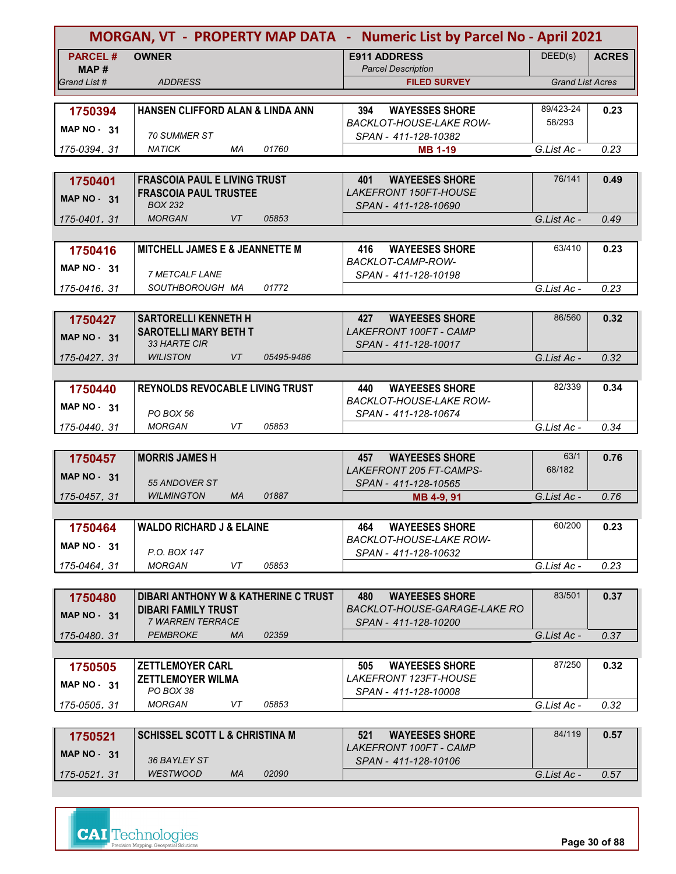| <b>MORGAN, VT - PROPERTY MAP DATA - Numeric List by Parcel No - April 2021</b> |                                                                     |                                                        |                         |              |
|--------------------------------------------------------------------------------|---------------------------------------------------------------------|--------------------------------------------------------|-------------------------|--------------|
| <b>PARCEL#</b><br>MAP #                                                        | <b>OWNER</b>                                                        | <b>E911 ADDRESS</b><br><b>Parcel Description</b>       | DEED(s)                 | <b>ACRES</b> |
| Grand List #                                                                   | <b>ADDRESS</b>                                                      | <b>FILED SURVEY</b>                                    | <b>Grand List Acres</b> |              |
|                                                                                | HANSEN CLIFFORD ALAN & LINDA ANN                                    | <b>WAYESSES SHORE</b><br>394                           | 89/423-24               | 0.23         |
| 1750394                                                                        |                                                                     | <b>BACKLOT-HOUSE-LAKE ROW-</b>                         | 58/293                  |              |
| MAP $NO - 31$                                                                  | <i>70 SUMMER ST</i>                                                 | SPAN - 411-128-10382                                   |                         |              |
| 175-0394, 31                                                                   | <b>NATICK</b><br>МA<br>01760                                        | <b>MB 1-19</b>                                         | G.List Ac -             | 0.23         |
|                                                                                |                                                                     |                                                        | 76/141                  |              |
| 1750401                                                                        | <b>FRASCOIA PAUL E LIVING TRUST</b><br><b>FRASCOIA PAUL TRUSTEE</b> | <b>WAYEESES SHORE</b><br>401<br>LAKEFRONT 150FT-HOUSE  |                         | 0.49         |
| <b>MAP NO - 31</b>                                                             | <b>BOX 232</b>                                                      | SPAN - 411-128-10690                                   |                         |              |
| 175-0401, 31                                                                   | <b>VT</b><br>05853<br><b>MORGAN</b>                                 |                                                        | G.List Ac -             | 0.49         |
|                                                                                |                                                                     |                                                        |                         |              |
| 1750416                                                                        | <b>MITCHELL JAMES E &amp; JEANNETTE M</b>                           | 416<br><b>WAYEESES SHORE</b><br>BACKLOT-CAMP-ROW-      | 63/410                  | 0.23         |
| MAP $NO - 31$                                                                  | 7 METCALF LANE                                                      | SPAN - 411-128-10198                                   |                         |              |
| 175-0416.31                                                                    | SOUTHBOROUGH MA<br>01772                                            |                                                        | G.List Ac -             | 0.23         |
|                                                                                |                                                                     |                                                        |                         |              |
| 1750427                                                                        | <b>SARTORELLI KENNETH H</b>                                         | 427<br><b>WAYEESES SHORE</b>                           | 86/560                  | 0.32         |
| <b>MAP NO - 31</b>                                                             | <b>SAROTELLI MARY BETH T</b><br>33 HARTE CIR                        | LAKEFRONT 100FT - CAMP<br>SPAN - 411-128-10017         |                         |              |
| 175-0427.31                                                                    | <b>WILISTON</b><br><b>VT</b><br>05495-9486                          |                                                        | G.List Ac -             | 0.32         |
|                                                                                |                                                                     |                                                        |                         |              |
| 1750440                                                                        | <b>REYNOLDS REVOCABLE LIVING TRUST</b>                              | <b>WAYEESES SHORE</b><br>440                           | 82/339                  | 0.34         |
| <b>MAP NO - 31</b>                                                             |                                                                     | <b>BACKLOT-HOUSE-LAKE ROW-</b>                         |                         |              |
| 175-0440, 31                                                                   | PO BOX 56<br><b>MORGAN</b><br>VT<br>05853                           | SPAN - 411-128-10674                                   | G.List Ac -             | 0.34         |
|                                                                                |                                                                     |                                                        |                         |              |
| 1750457                                                                        | <b>MORRIS JAMES H</b>                                               | 457<br><b>WAYEESES SHORE</b>                           | 63/1                    | 0.76         |
| MAP $NO - 31$                                                                  |                                                                     | LAKEFRONT 205 FT-CAMPS-                                | 68/182                  |              |
| 175-0457, 31                                                                   | 55 ANDOVER ST<br><b>WILMINGTON</b><br><b>MA</b><br>01887            | SPAN - 411-128-10565<br>MB 4-9, 91                     | G.List Ac -             | 0.76         |
|                                                                                |                                                                     |                                                        |                         |              |
| 1750464                                                                        | <b>WALDO RICHARD J &amp; ELAINE</b>                                 | <b>WAYEESES SHORE</b><br>464                           | 60/200                  | 0.23         |
| <b>MAP NO - 31</b>                                                             |                                                                     | <b>BACKLOT-HOUSE-LAKE ROW-</b>                         |                         |              |
| 175-0464.31                                                                    | P.O. BOX 147<br>05853<br><b>MORGAN</b><br>VT                        | SPAN - 411-128-10632                                   | G.List Ac -             | 0.23         |
|                                                                                |                                                                     |                                                        |                         |              |
| 1750480                                                                        | DIBARI ANTHONY W & KATHERINE C TRUST                                | 480<br><b>WAYEESES SHORE</b>                           | 83/501                  | 0.37         |
| $MAP NO - 31$                                                                  | <b>DIBARI FAMILY TRUST</b>                                          | BACKLOT-HOUSE-GARAGE-LAKE RO                           |                         |              |
|                                                                                | 7 WARREN TERRACE                                                    | SPAN - 411-128-10200                                   |                         |              |
| 175-0480.31                                                                    | 02359<br><b>PEMBROKE</b><br><b>MA</b>                               |                                                        | G.List Ac -             | 0.37         |
| 1750505                                                                        | <b>ZETTLEMOYER CARL</b>                                             | <b>WAYEESES SHORE</b><br>505                           | 87/250                  | 0.32         |
|                                                                                | <b>ZETTLEMOYER WILMA</b>                                            | <i>LAKEFRONT 123FT-HOUSE</i>                           |                         |              |
| <b>MAP NO - 31</b>                                                             | PO BOX 38                                                           | SPAN - 411-128-10008                                   |                         |              |
| 175-0505, 31                                                                   | MORGAN<br>VT<br>05853                                               |                                                        | G.List Ac -             | 0.32         |
|                                                                                |                                                                     |                                                        | 84/119                  |              |
| 1750521                                                                        | <b>SCHISSEL SCOTT L &amp; CHRISTINA M</b>                           | 521<br><b>WAYEESES SHORE</b><br>LAKEFRONT 100FT - CAMP |                         | 0.57         |
| <b>MAP NO - 31</b>                                                             | 36 BAYLEY ST                                                        | SPAN - 411-128-10106                                   |                         |              |
| 175-0521, 31                                                                   | <b>WESTWOOD</b><br>02090<br>МA                                      |                                                        | G.List Ac -             | 0.57         |



**Page 30 of 88**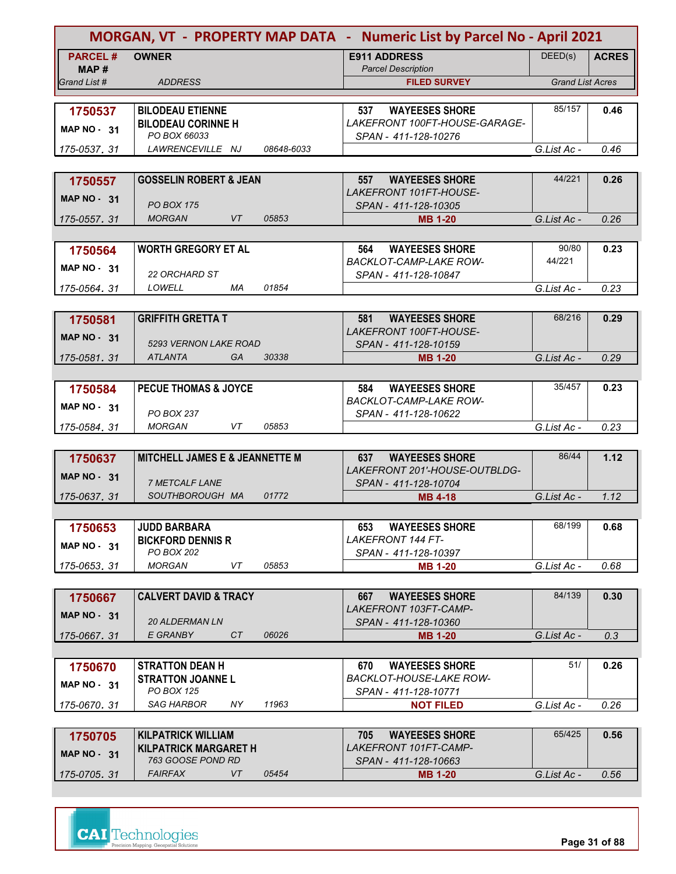| <b>MORGAN, VT - PROPERTY MAP DATA - Numeric List by Parcel No - April 2021</b> |                                                      |            |                                                               |                         |              |
|--------------------------------------------------------------------------------|------------------------------------------------------|------------|---------------------------------------------------------------|-------------------------|--------------|
| <b>PARCEL#</b>                                                                 | <b>OWNER</b>                                         |            | <b>E911 ADDRESS</b>                                           | DEED(s)                 | <b>ACRES</b> |
| MAP #                                                                          |                                                      |            | <b>Parcel Description</b>                                     |                         |              |
| Grand List #                                                                   | <b>ADDRESS</b>                                       |            | <b>FILED SURVEY</b>                                           | <b>Grand List Acres</b> |              |
|                                                                                |                                                      |            |                                                               | 85/157                  |              |
| 1750537                                                                        | <b>BILODEAU ETIENNE</b><br><b>BILODEAU CORINNE H</b> |            | <b>WAYEESES SHORE</b><br>537<br>LAKEFRONT 100FT-HOUSE-GARAGE- |                         | 0.46         |
| MAP NO - 31                                                                    | PO BOX 66033                                         |            | SPAN - 411-128-10276                                          |                         |              |
| 175-0537, 31                                                                   | LAWRENCEVILLE NJ                                     | 08648-6033 |                                                               | G.List Ac -             | 0.46         |
|                                                                                |                                                      |            |                                                               |                         |              |
| 1750557                                                                        | <b>GOSSELIN ROBERT &amp; JEAN</b>                    |            | 557<br><b>WAYEESES SHORE</b>                                  | 44/221                  | 0.26         |
| MAP $NO - 31$                                                                  |                                                      |            | LAKEFRONT 101FT-HOUSE-                                        |                         |              |
|                                                                                | <b>PO BOX 175</b>                                    |            | SPAN - 411-128-10305                                          |                         |              |
| 175-0557, 31                                                                   | <b>MORGAN</b><br>VT                                  | 05853      | <b>MB 1-20</b>                                                | G.List Ac -             | 0.26         |
|                                                                                |                                                      |            |                                                               |                         |              |
| 1750564                                                                        | <b>WORTH GREGORY ET AL</b>                           |            | 564<br><b>WAYEESES SHORE</b><br><b>BACKLOT-CAMP-LAKE ROW-</b> | 90/80<br>44/221         | 0.23         |
| MAP $NO - 31$                                                                  | <b>22 ORCHARD ST</b>                                 |            | SPAN - 411-128-10847                                          |                         |              |
| 175-0564.31                                                                    | LOWELL<br>МA                                         | 01854      |                                                               | G.List Ac -             | 0.23         |
|                                                                                |                                                      |            |                                                               |                         |              |
| 1750581                                                                        | <b>GRIFFITH GRETTA T</b>                             |            | <b>WAYEESES SHORE</b><br>581                                  | 68/216                  | 0.29         |
| <b>MAP NO - 31</b>                                                             |                                                      |            | LAKEFRONT 100FT-HOUSE-                                        |                         |              |
|                                                                                | 5293 VERNON LAKE ROAD                                |            | SPAN - 411-128-10159                                          |                         |              |
| 175-0581.31                                                                    | <b>ATLANTA</b><br><b>GA</b>                          | 30338      | <b>MB 1-20</b>                                                | G.List Ac -             | 0.29         |
|                                                                                |                                                      |            |                                                               |                         |              |
| 1750584                                                                        | <b>PECUE THOMAS &amp; JOYCE</b>                      |            | 584<br><b>WAYEESES SHORE</b><br><b>BACKLOT-CAMP-LAKE ROW-</b> | 35/457                  | 0.23         |
| MAP $NO - 31$                                                                  | <b>PO BOX 237</b>                                    |            | SPAN - 411-128-10622                                          |                         |              |
| 175-0584, 31                                                                   | VT<br><b>MORGAN</b>                                  | 05853      |                                                               | G.List Ac -             | 0.23         |
|                                                                                |                                                      |            |                                                               |                         |              |
| 1750637                                                                        | <b>MITCHELL JAMES E &amp; JEANNETTE M</b>            |            | <b>WAYEESES SHORE</b><br>637                                  | 86/44                   | 1.12         |
| MAP $NO - 31$                                                                  |                                                      |            | LAKEFRONT 201'-HOUSE-OUTBLDG-                                 |                         |              |
|                                                                                | 7 METCALF LANE                                       |            | SPAN - 411-128-10704                                          |                         |              |
| 175-0637, 31                                                                   | SOUTHBOROUGH MA                                      | 01772      | <b>MB 4-18</b>                                                | G.List Ac -             | 1.12         |
|                                                                                |                                                      |            |                                                               | 68/199                  |              |
| 1750653                                                                        | <b>JUDD BARBARA</b><br><b>BICKFORD DENNIS R</b>      |            | <b>WAYEESES SHORE</b><br>653<br><b>LAKEFRONT 144 FT-</b>      |                         | 0.68         |
| <b>MAP NO - 31</b>                                                             | PO BOX 202                                           |            | SPAN - 411-128-10397                                          |                         |              |
| 175-0653.31                                                                    | <b>MORGAN</b><br>VT                                  | 05853      | <b>MB 1-20</b>                                                | G.List Ac -             | 0.68         |
|                                                                                |                                                      |            |                                                               |                         |              |
| 1750667                                                                        | <b>CALVERT DAVID &amp; TRACY</b>                     |            | <b>WAYEESES SHORE</b><br>667                                  | 84/139                  | 0.30         |
| $MAP NO - 31$                                                                  |                                                      |            | LAKEFRONT 103FT-CAMP-                                         |                         |              |
| 175-0667, 31                                                                   | <b>20 ALDERMAN LN</b><br>CT<br>E GRANBY              | 06026      | SPAN - 411-128-10360<br><b>MB 1-20</b>                        | G.List Ac -             | 0.3          |
|                                                                                |                                                      |            |                                                               |                         |              |
| 1750670                                                                        | <b>STRATTON DEAN H</b>                               |            | <b>WAYEESES SHORE</b><br>670                                  | 51/                     | 0.26         |
|                                                                                | <b>STRATTON JOANNEL</b>                              |            | BACKLOT-HOUSE-LAKE ROW-                                       |                         |              |
| <b>MAP NO - 31</b>                                                             | PO BOX 125                                           |            | SPAN - 411-128-10771                                          |                         |              |
| 175-0670, 31                                                                   | SAG HARBOR<br>NY.                                    | 11963      | <b>NOT FILED</b>                                              | G.List Ac -             | 0.26         |
|                                                                                |                                                      |            |                                                               |                         |              |
| 1750705                                                                        | <b>KILPATRICK WILLIAM</b>                            |            | <b>WAYEESES SHORE</b><br>705                                  | 65/425                  | 0.56         |
| <b>MAP NO - 31</b>                                                             | <b>KILPATRICK MARGARET H</b><br>763 GOOSE POND RD    |            | LAKEFRONT 101FT-CAMP-                                         |                         |              |
| 175-0705, 31                                                                   | <b>FAIRFAX</b><br>VT                                 | 05454      | SPAN - 411-128-10663<br><b>MB 1-20</b>                        | G.List Ac -             | 0.56         |
|                                                                                |                                                      |            |                                                               |                         |              |

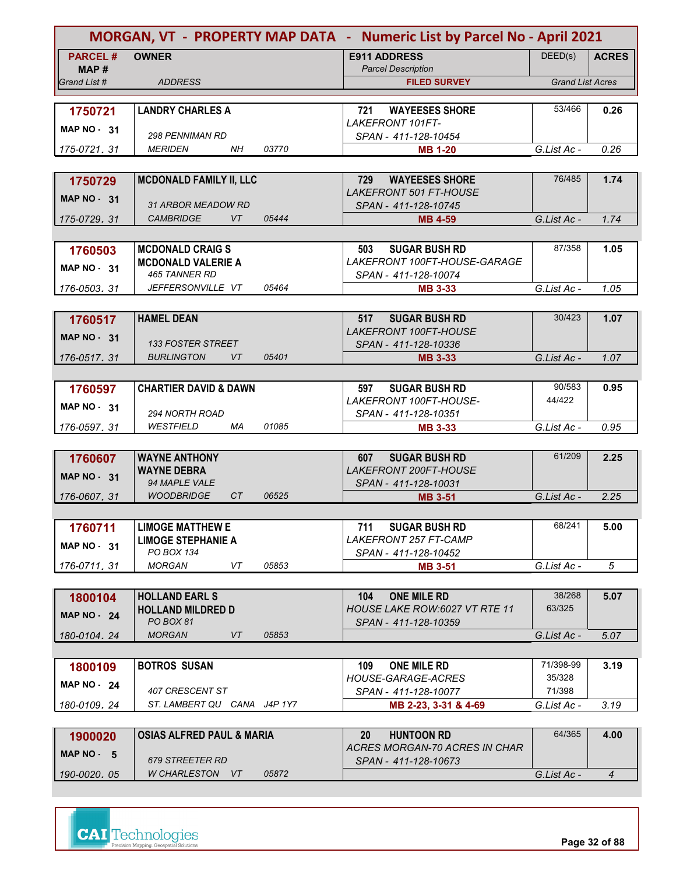|                         |                                       |       | MORGAN, VT - PROPERTY MAP DATA - Numeric List by Parcel No - April 2021 |                         |                |
|-------------------------|---------------------------------------|-------|-------------------------------------------------------------------------|-------------------------|----------------|
| <b>PARCEL#</b><br>MAP # | <b>OWNER</b>                          |       | <b>E911 ADDRESS</b><br><b>Parcel Description</b>                        | DEED(s)                 | <b>ACRES</b>   |
| Grand List #            | <b>ADDRESS</b>                        |       | <b>FILED SURVEY</b>                                                     | <b>Grand List Acres</b> |                |
|                         |                                       |       |                                                                         |                         |                |
| 1750721                 | <b>LANDRY CHARLES A</b>               |       | <b>WAYEESES SHORE</b><br>721<br><b>LAKEFRONT 101FT-</b>                 | 53/466                  | 0.26           |
| <b>MAP NO - 31</b>      | <b>298 PENNIMAN RD</b>                |       | SPAN - 411-128-10454                                                    |                         |                |
| 175-0721, 31            | <b>MERIDEN</b><br><b>NH</b>           | 03770 | <b>MB 1-20</b>                                                          | G.List Ac -             | 0.26           |
|                         |                                       |       |                                                                         |                         |                |
| 1750729                 | <b>MCDONALD FAMILY II, LLC</b>        |       | 729<br><b>WAYEESES SHORE</b>                                            | 76/485                  | 1.74           |
| MAP $NO - 31$           | <b>31 ARBOR MEADOW RD</b>             |       | <i>LAKEFRONT 501 FT-HOUSE</i><br>SPAN - 411-128-10745                   |                         |                |
| 175-0729, 31            | <b>CAMBRIDGE</b><br>VT                | 05444 | MB 4-59                                                                 | G.List Ac -             | 1.74           |
|                         |                                       |       |                                                                         |                         |                |
| 1760503                 | <b>MCDONALD CRAIGS</b>                |       | <b>SUGAR BUSH RD</b><br>503                                             | 87/358                  | 1.05           |
|                         | <b>MCDONALD VALERIE A</b>             |       | LAKEFRONT 100FT-HOUSE-GARAGE                                            |                         |                |
| MAP $NO - 31$           | 465 TANNER RD                         |       | SPAN - 411-128-10074                                                    |                         |                |
| 176-0503, 31            | JEFFERSONVILLE VT                     | 05464 | <b>MB 3-33</b>                                                          | G.List Ac -             | 1.05           |
|                         |                                       |       |                                                                         |                         |                |
| 1760517                 | <b>HAMEL DEAN</b>                     |       | <b>SUGAR BUSH RD</b><br>517                                             | 30/423                  | 1.07           |
| <b>MAP NO - 31</b>      |                                       |       | <b>LAKEFRONT 100FT-HOUSE</b>                                            |                         |                |
|                         | 133 FOSTER STREET                     |       | SPAN - 411-128-10336                                                    |                         |                |
| 176-0517.31             | <b>BURLINGTON</b><br><b>VT</b>        | 05401 | <b>MB 3-33</b>                                                          | G.List Ac -             | 1.07           |
|                         |                                       |       |                                                                         |                         |                |
| 1760597                 | <b>CHARTIER DAVID &amp; DAWN</b>      |       | <b>SUGAR BUSH RD</b><br>597                                             | 90/583                  | 0.95           |
| <b>MAP NO - 31</b>      | 294 NORTH ROAD                        |       | LAKEFRONT 100FT-HOUSE-                                                  | 44/422                  |                |
| 176-0597, 31            | WESTFIELD<br>МA                       | 01085 | SPAN - 411-128-10351<br><b>MB 3-33</b>                                  | G.List Ac -             | 0.95           |
|                         |                                       |       |                                                                         |                         |                |
| 1760607                 | <b>WAYNE ANTHONY</b>                  |       | <b>SUGAR BUSH RD</b><br>607                                             | 61/209                  | 2.25           |
|                         | <b>WAYNE DEBRA</b>                    |       | <b>LAKEFRONT 200FT-HOUSE</b>                                            |                         |                |
| MAP $NO - 31$           | 94 MAPLE VALE                         |       | SPAN - 411-128-10031                                                    |                         |                |
| 176-0607, 31            | <b>WOODBRIDGE</b><br>CT               | 06525 | <b>MB 3-51</b>                                                          | G.List Ac -             | 2.25           |
|                         |                                       |       |                                                                         |                         |                |
| 1760711                 | <b>LIMOGE MATTHEW E</b>               |       | <b>SUGAR BUSH RD</b><br>711                                             | 68/241                  | 5.00           |
| <b>MAP NO - 31</b>      | <b>LIMOGE STEPHANIE A</b>             |       | <b>LAKEFRONT 257 FT-CAMP</b>                                            |                         |                |
|                         | PO BOX 134                            |       | SPAN - 411-128-10452                                                    |                         |                |
| 176-0711.31             | <b>MORGAN</b><br>VT                   | 05853 | <b>MB 3-51</b>                                                          | G.List Ac -             | 5              |
|                         |                                       |       |                                                                         |                         |                |
| 1800104                 | <b>HOLLAND EARL S</b>                 |       | <b>ONE MILE RD</b><br>104                                               | 38/268                  | 5.07           |
| <b>MAP NO - 24</b>      | <b>HOLLAND MILDRED D</b><br>PO BOX 81 |       | HOUSE LAKE ROW:6027 VT RTE 11<br>SPAN - 411-128-10359                   | 63/325                  |                |
| 180-0104.24             | <b>MORGAN</b><br>VT                   | 05853 |                                                                         | G.List Ac -             | 5.07           |
|                         |                                       |       |                                                                         |                         |                |
| 1800109                 | <b>BOTROS SUSAN</b>                   |       | <b>ONE MILE RD</b><br>109                                               | 71/398-99               | 3.19           |
|                         |                                       |       | <b>HOUSE-GARAGE-ACRES</b>                                               | 35/328                  |                |
| <b>MAP NO - 24</b>      | 407 CRESCENT ST                       |       | SPAN - 411-128-10077                                                    | 71/398                  |                |
| 180-0109, 24            | ST. LAMBERT QU CANA J4P 1Y7           |       | MB 2-23, 3-31 & 4-69                                                    | G.List Ac -             | 3.19           |
|                         |                                       |       |                                                                         |                         |                |
| 1900020                 | <b>OSIAS ALFRED PAUL &amp; MARIA</b>  |       | <b>HUNTOON RD</b><br><b>20</b>                                          | 64/365                  | 4.00           |
| MAP NO - 5              |                                       |       | <b>ACRES MORGAN-70 ACRES IN CHAR</b>                                    |                         |                |
|                         | 679 STREETER RD                       |       | SPAN - 411-128-10673                                                    |                         |                |
| 190-0020, 05            | W CHARLESTON VT                       | 05872 |                                                                         | G.List Ac -             | $\overline{4}$ |

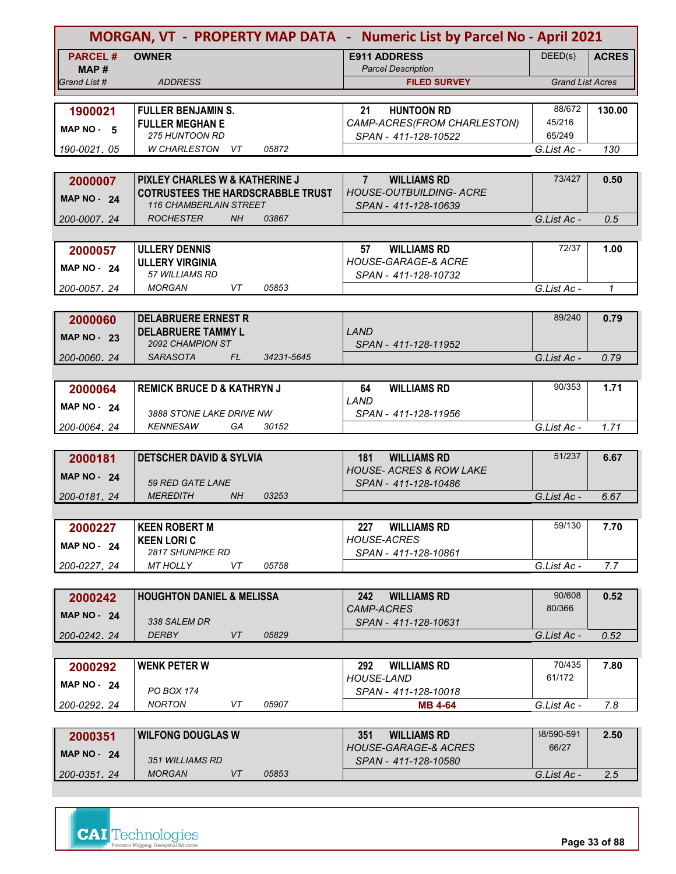|                       |                                                                            |            | MORGAN, VT - PROPERTY MAP DATA - Numeric List by Parcel No - April 2021 |                         |              |
|-----------------------|----------------------------------------------------------------------------|------------|-------------------------------------------------------------------------|-------------------------|--------------|
| <b>PARCEL#</b>        | <b>OWNER</b>                                                               |            | <b>E911 ADDRESS</b>                                                     | DEED(s)                 | <b>ACRES</b> |
| MAP #<br>Grand List # | <b>ADDRESS</b>                                                             |            | <b>Parcel Description</b><br><b>FILED SURVEY</b>                        | <b>Grand List Acres</b> |              |
|                       |                                                                            |            |                                                                         |                         |              |
| 1900021               | <b>FULLER BENJAMIN S.</b>                                                  |            | <b>HUNTOON RD</b><br>21                                                 | 88/672                  | 130.00       |
| MAP NO - 5            | <b>FULLER MEGHAN E</b>                                                     |            | CAMP-ACRES(FROM CHARLESTON)                                             | 45/216                  |              |
|                       | 275 HUNTOON RD                                                             |            | SPAN - 411-128-10522                                                    | 65/249                  |              |
| 190-0021.05           | <b>W CHARLESTON</b><br>VT                                                  | 05872      |                                                                         | G.List Ac -             | 130          |
|                       |                                                                            |            |                                                                         |                         |              |
| 2000007               | PIXLEY CHARLES W & KATHERINE J<br><b>COTRUSTEES THE HARDSCRABBLE TRUST</b> |            | $7^{\circ}$<br><b>WILLIAMS RD</b><br><b>HOUSE-OUTBUILDING- ACRE</b>     | 73/427                  | 0.50         |
| <b>MAP NO - 24</b>    | <b>116 CHAMBERLAIN STREET</b>                                              |            | SPAN - 411-128-10639                                                    |                         |              |
| 200-0007, 24          | <b>ROCHESTER</b><br><b>NH</b>                                              | 03867      |                                                                         | G.List Ac -             | 0.5          |
|                       |                                                                            |            |                                                                         |                         |              |
| 2000057               | <b>ULLERY DENNIS</b>                                                       |            | <b>WILLIAMS RD</b><br>57                                                | 72/37                   | 1.00         |
| <b>MAP NO - 24</b>    | <b>ULLERY VIRGINIA</b>                                                     |            | <b>HOUSE-GARAGE-&amp; ACRE</b>                                          |                         |              |
|                       | 57 WILLIAMS RD                                                             |            | SPAN - 411-128-10732                                                    |                         |              |
| 200-0057.24           | <b>MORGAN</b><br>VT                                                        | 05853      |                                                                         | G.List Ac -             | $\mathcal I$ |
|                       |                                                                            |            |                                                                         |                         |              |
| 2000060               | <b>DELABRUERE ERNEST R</b>                                                 |            | LAND                                                                    | 89/240                  | 0.79         |
| <b>MAP NO - 23</b>    | <b>DELABRUERE TAMMY L</b><br>2092 CHAMPION ST                              |            | SPAN - 411-128-11952                                                    |                         |              |
| 200-0060.24           | <b>SARASOTA</b><br>FL                                                      | 34231-5645 |                                                                         | G.List Ac -             | 0.79         |
|                       |                                                                            |            |                                                                         |                         |              |
| 2000064               | <b>REMICK BRUCE D &amp; KATHRYN J</b>                                      |            | <b>WILLIAMS RD</b><br>64                                                | 90/353                  | 1.71         |
| <b>MAP NO - 24</b>    |                                                                            |            | LAND                                                                    |                         |              |
|                       | 3888 STONE LAKE DRIVE NW                                                   |            | SPAN - 411-128-11956                                                    |                         |              |
| 200-0064, 24          | <b>KENNESAW</b><br>GA                                                      | 30152      |                                                                         | G.List Ac -             | 1.71         |
|                       |                                                                            |            |                                                                         |                         |              |
| 2000181               | <b>DETSCHER DAVID &amp; SYLVIA</b>                                         |            | <b>WILLIAMS RD</b><br>181<br><b>HOUSE- ACRES &amp; ROW LAKE</b>         | 51/237                  | 6.67         |
| <b>MAP NO - 24</b>    | 59 RED GATE LANE                                                           |            | SPAN - 411-128-10486                                                    |                         |              |
| 200-0181, 24          | <b>MEREDITH</b><br>NH                                                      | 03253      |                                                                         | G.List Ac -             | 6.67         |
|                       |                                                                            |            |                                                                         |                         |              |
| 2000227               | <b>KEEN ROBERT M</b>                                                       |            | <b>WILLIAMS RD</b><br>227                                               | 59/130                  | 7.70         |
| <b>MAP NO - 24</b>    | <b>KEEN LORI C</b>                                                         |            | <b>HOUSE-ACRES</b>                                                      |                         |              |
|                       | 2817 SHUNPIKE RD                                                           |            | SPAN - 411-128-10861                                                    |                         |              |
| 200-0227.24           | <b>MT HOLLY</b><br>VT                                                      | 05758      |                                                                         | G.List Ac -             | 7.7          |
|                       |                                                                            |            |                                                                         |                         |              |
| 2000242               | <b>HOUGHTON DANIEL &amp; MELISSA</b>                                       |            | 242<br><b>WILLIAMS RD</b><br><b>CAMP-ACRES</b>                          | 90/608<br>80/366        | 0.52         |
| <b>MAP NO - 24</b>    | 338 SALEM DR                                                               |            | SPAN - 411-128-10631                                                    |                         |              |
| 200-0242, 24          | <b>DERBY</b><br>VT                                                         | 05829      |                                                                         | G.List Ac -             | 0.52         |
|                       |                                                                            |            |                                                                         |                         |              |
| 2000292               | <b>WENK PETER W</b>                                                        |            | 292<br><b>WILLIAMS RD</b>                                               | 70/435                  | 7.80         |
| <b>MAP NO - 24</b>    |                                                                            |            | <b>HOUSE-LAND</b>                                                       | 61/172                  |              |
|                       | PO BOX 174<br><b>NORTON</b><br>VT                                          | 05907      | SPAN - 411-128-10018                                                    |                         |              |
| 200-0292.24           |                                                                            |            | <b>MB 4-64</b>                                                          | G.List Ac -             | 7.8          |
|                       | <b>WILFONG DOUGLAS W</b>                                                   |            | 351<br><b>WILLIAMS RD</b>                                               | 38/590-591              | 2.50         |
| 2000351               |                                                                            |            | HOUSE-GARAGE-& ACRES                                                    | 66/27                   |              |
| MAP $NO - 24$         | 351 WILLIAMS RD                                                            |            | SPAN - 411-128-10580                                                    |                         |              |
| 200-0351.24           | <b>MORGAN</b><br>VT                                                        | 05853      |                                                                         | G.List Ac -             | 2.5          |

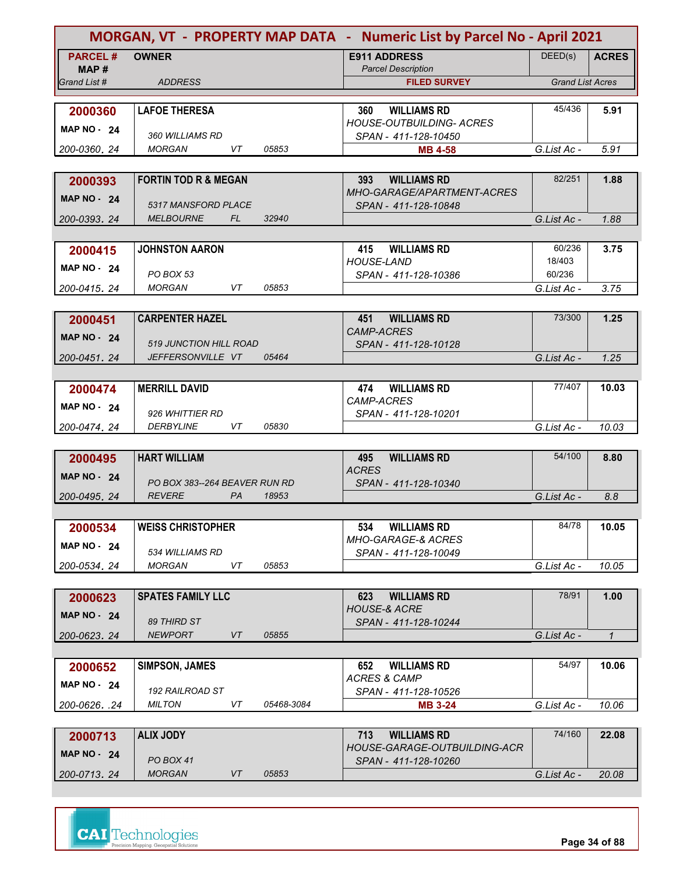| <b>MORGAN, VT - PROPERTY MAP DATA - Numeric List by Parcel No - April 2021</b> |                                     |            |                                                                  |                         |              |
|--------------------------------------------------------------------------------|-------------------------------------|------------|------------------------------------------------------------------|-------------------------|--------------|
| <b>PARCEL#</b>                                                                 | <b>OWNER</b>                        |            | <b>E911 ADDRESS</b>                                              | DEED(s)                 | <b>ACRES</b> |
| MAP #                                                                          |                                     |            | <b>Parcel Description</b>                                        |                         |              |
| Grand List #                                                                   | <b>ADDRESS</b>                      |            | <b>FILED SURVEY</b>                                              | <b>Grand List Acres</b> |              |
| 2000360                                                                        | <b>LAFOE THERESA</b>                |            | <b>WILLIAMS RD</b><br>360                                        | 45/436                  | 5.91         |
|                                                                                |                                     |            | <b>HOUSE-OUTBUILDING- ACRES</b>                                  |                         |              |
| <b>MAP NO - 24</b>                                                             | <b>360 WILLIAMS RD</b>              |            | SPAN - 411-128-10450                                             |                         |              |
| 200-0360, 24                                                                   | <b>MORGAN</b><br>VT                 | 05853      | <b>MB 4-58</b>                                                   | G.List Ac -             | 5.91         |
|                                                                                |                                     |            |                                                                  |                         |              |
| 2000393                                                                        | <b>FORTIN TOD R &amp; MEGAN</b>     |            | 393<br><b>WILLIAMS RD</b>                                        | 82/251                  | 1.88         |
| <b>MAP NO - 24</b>                                                             | 5317 MANSFORD PLACE                 |            | MHO-GARAGE/APARTMENT-ACRES<br>SPAN - 411-128-10848               |                         |              |
| 200-0393.24                                                                    | <b>MELBOURNE</b><br>FL.             | 32940      |                                                                  | G.List Ac -             | 1.88         |
|                                                                                |                                     |            |                                                                  |                         |              |
| 2000415                                                                        | <b>JOHNSTON AARON</b>               |            | <b>WILLIAMS RD</b><br>415                                        | 60/236                  | 3.75         |
| <b>MAP NO - 24</b>                                                             |                                     |            | <b>HOUSE-LAND</b>                                                | 18/403                  |              |
|                                                                                | PO BOX 53                           |            | SPAN - 411-128-10386                                             | 60/236                  |              |
| 200-0415.24                                                                    | <b>MORGAN</b><br>VT                 | 05853      |                                                                  | G.List Ac -             | 3.75         |
|                                                                                | <b>CARPENTER HAZEL</b>              |            | <b>WILLIAMS RD</b><br>451                                        | 73/300                  | 1.25         |
| 2000451                                                                        |                                     |            | <b>CAMP-ACRES</b>                                                |                         |              |
| <b>MAP NO - 24</b>                                                             | <b>519 JUNCTION HILL ROAD</b>       |            | SPAN - 411-128-10128                                             |                         |              |
| 200-0451.24                                                                    | JEFFERSONVILLE VT                   | 05464      |                                                                  | G.List Ac -             | 1.25         |
|                                                                                |                                     |            |                                                                  |                         |              |
| 2000474                                                                        | <b>MERRILL DAVID</b>                |            | <b>WILLIAMS RD</b><br>474                                        | 77/407                  | 10.03        |
| <b>MAP NO - 24</b>                                                             | 926 WHITTIER RD                     |            | <b>CAMP-ACRES</b>                                                |                         |              |
| 200-0474.24                                                                    | DERBYLINE<br>VT                     | 05830      | SPAN - 411-128-10201                                             | G.List Ac -             | 10.03        |
|                                                                                |                                     |            |                                                                  |                         |              |
| 2000495                                                                        | <b>HART WILLIAM</b>                 |            | 495<br><b>WILLIAMS RD</b>                                        | 54/100                  | 8.80         |
| <b>MAP NO - 24</b>                                                             |                                     |            | <b>ACRES</b>                                                     |                         |              |
|                                                                                | PO BOX 383--264 BEAVER RUN RD       |            | SPAN - 411-128-10340                                             |                         |              |
| 200-0495, 24                                                                   | <b>REVERE</b><br>PA                 | 18953      |                                                                  | G.List Ac -             | 8.8          |
|                                                                                |                                     |            |                                                                  |                         |              |
| 2000534                                                                        | <b>WEISS CHRISTOPHER</b>            |            | <b>WILLIAMS RD</b><br>534<br><b>MHO-GARAGE-&amp; ACRES</b>       | 84/78                   | 10.05        |
| <b>MAP NO - 24</b>                                                             | <i>534 WILLIAMS RD</i>              |            | SPAN - 411-128-10049                                             |                         |              |
| 200-0534.24                                                                    | <b>MORGAN</b><br>VT                 | 05853      |                                                                  | G.List Ac -             | 10.05        |
|                                                                                |                                     |            |                                                                  |                         |              |
| 2000623                                                                        | <b>SPATES FAMILY LLC</b>            |            | 623<br><b>WILLIAMS RD</b>                                        | 78/91                   | 1.00         |
| MAP $NO - 24$                                                                  |                                     |            | <b>HOUSE-&amp; ACRE</b>                                          |                         |              |
| 200-0623.24                                                                    | 89 THIRD ST<br><b>NEWPORT</b><br>VT | 05855      | SPAN - 411-128-10244                                             | G.List Ac -             | $\mathcal I$ |
|                                                                                |                                     |            |                                                                  |                         |              |
| 2000652                                                                        | <b>SIMPSON, JAMES</b>               |            | 652<br><b>WILLIAMS RD</b>                                        | 54/97                   | 10.06        |
| MAP NO 24                                                                      |                                     |            | <b>ACRES &amp; CAMP</b>                                          |                         |              |
|                                                                                | 192 RAILROAD ST                     |            | SPAN - 411-128-10526                                             |                         |              |
| 200-0626, .24                                                                  | <b>MILTON</b><br>VT                 | 05468-3084 | <b>MB 3-24</b>                                                   | G.List Ac -             | 10.06        |
|                                                                                |                                     |            |                                                                  |                         |              |
| 2000713                                                                        | <b>ALIX JODY</b>                    |            | 713<br><b>WILLIAMS RD</b><br><i>HOUSE-GARAGE-OUTBUILDING-ACR</i> | 74/160                  | 22.08        |
| <b>MAP NO - 24</b>                                                             | <b>PO BOX 41</b>                    |            | SPAN - 411-128-10260                                             |                         |              |
| 200-0713.24                                                                    | <b>MORGAN</b><br>VT                 | 05853      |                                                                  | G.List Ac -             | 20.08        |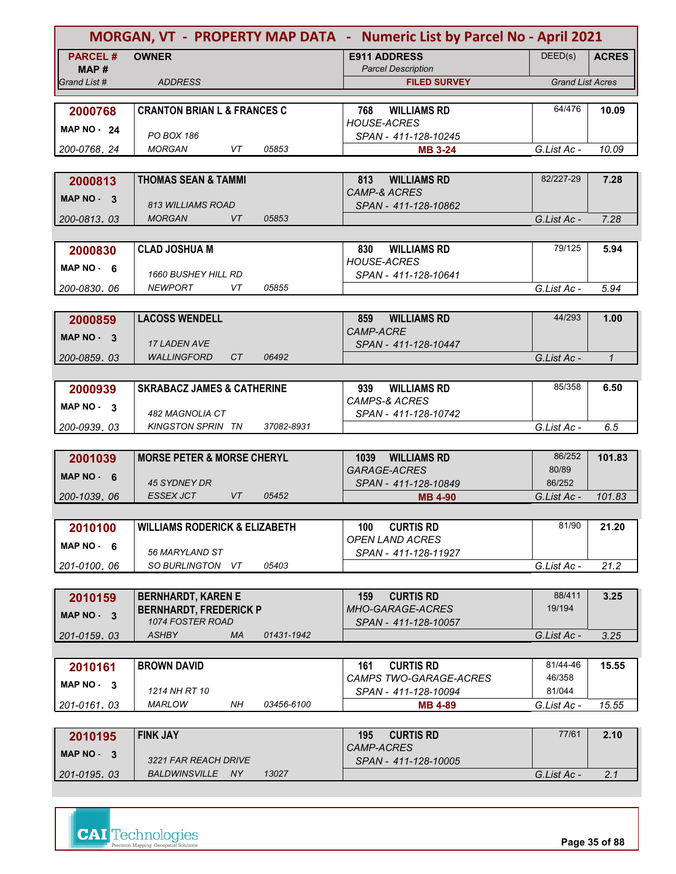| MORGAN, VT - PROPERTY MAP DATA - Numeric List by Parcel No - April 2021 |                                                            |                                                  |                         |              |
|-------------------------------------------------------------------------|------------------------------------------------------------|--------------------------------------------------|-------------------------|--------------|
| <b>PARCEL#</b><br>MAP #                                                 | <b>OWNER</b>                                               | <b>E911 ADDRESS</b><br><b>Parcel Description</b> | DEED(s)                 | <b>ACRES</b> |
| Grand List #                                                            | <b>ADDRESS</b>                                             | <b>FILED SURVEY</b>                              | <b>Grand List Acres</b> |              |
| 2000768                                                                 | <b>CRANTON BRIAN L &amp; FRANCES C</b>                     | <b>WILLIAMS RD</b><br>768                        | 64/476                  | 10.09        |
| <b>MAP NO - 24</b>                                                      |                                                            | <b>HOUSE-ACRES</b>                               |                         |              |
| 200-0768.24                                                             | PO BOX 186<br>05853<br><b>MORGAN</b><br>VT                 | SPAN - 411-128-10245<br><b>MB 3-24</b>           | G.List Ac -             | 10.09        |
|                                                                         |                                                            |                                                  |                         |              |
| 2000813                                                                 | <b>THOMAS SEAN &amp; TAMMI</b>                             | 813<br><b>WILLIAMS RD</b>                        | 82/227-29               | 7.28         |
| MAP NO - 3                                                              | <b>813 WILLIAMS ROAD</b>                                   | <b>CAMP-&amp; ACRES</b><br>SPAN - 411-128-10862  |                         |              |
| 200-0813.03                                                             | <b>MORGAN</b><br>VT<br>05853                               |                                                  | G.List Ac -             | 7.28         |
|                                                                         |                                                            |                                                  |                         |              |
| 2000830                                                                 | <b>CLAD JOSHUA M</b>                                       | 830<br><b>WILLIAMS RD</b><br><b>HOUSE-ACRES</b>  | 79/125                  | 5.94         |
| MAP $NO - 6$                                                            | <b>1660 BUSHEY HILL RD</b>                                 | SPAN - 411-128-10641                             |                         |              |
| 200-0830.06                                                             | <b>NEWPORT</b><br>VT<br>05855                              |                                                  | G.List Ac -             | 5.94         |
|                                                                         |                                                            | 859                                              | 44/293                  | 1.00         |
| 2000859                                                                 | <b>LACOSS WENDELL</b>                                      | <b>WILLIAMS RD</b><br>CAMP-ACRE                  |                         |              |
| $MAP NO - 3$                                                            | 17 LADEN AVE                                               | SPAN - 411-128-10447                             |                         |              |
| 200-0859.03                                                             | <b>WALLINGFORD</b><br>CT.<br>06492                         |                                                  | G.List Ac -             | $\mathcal I$ |
| 2000939                                                                 | <b>SKRABACZ JAMES &amp; CATHERINE</b>                      | 939<br><b>WILLIAMS RD</b>                        | 85/358                  | 6.50         |
| $MAP NO - 3$                                                            |                                                            | <b>CAMPS-&amp; ACRES</b>                         |                         |              |
| 200-0939.03                                                             | 482 MAGNOLIA CT<br>37082-8931<br><b>KINGSTON SPRIN TN</b>  | SPAN - 411-128-10742                             | G.List Ac -             | 6.5          |
|                                                                         |                                                            |                                                  |                         |              |
| 2001039                                                                 | <b>MORSE PETER &amp; MORSE CHERYL</b>                      | 1039 WILLIAMS RD                                 | 86/252                  | 101.83       |
| MAP NO $-6$                                                             | 45 SYDNEY DR                                               | GARAGE-ACRES<br>SPAN - 411-128-10849             | 80/89<br>86/252         |              |
| 200-1039.06                                                             | <b>ESSEX JCT</b><br>VT<br>05452                            | <b>MB 4-90</b>                                   | G.List Ac -             | 101.83       |
|                                                                         |                                                            |                                                  |                         |              |
| 2010100                                                                 | <b>WILLIAMS RODERICK &amp; ELIZABETH</b>                   | 100<br><b>CURTIS RD</b>                          | 81/90                   | 21.20        |
| MAP $NO - 6$                                                            | 56 MARYLAND ST                                             | <b>OPEN LAND ACRES</b><br>SPAN - 411-128-11927   |                         |              |
| 201-0100.06                                                             | SO BURLINGTON VT<br>05403                                  |                                                  | G.List Ac -             | 21.2         |
|                                                                         |                                                            |                                                  |                         |              |
| 2010159                                                                 | <b>BERNHARDT, KAREN E</b><br><b>BERNHARDT, FREDERICK P</b> | <b>CURTIS RD</b><br>159<br>MHO-GARAGE-ACRES      | 88/411<br>19/194        | 3.25         |
| MAP NO - 3                                                              | 1074 FOSTER ROAD                                           | SPAN - 411-128-10057                             |                         |              |
| 201-0159.03                                                             | <b>ASHBY</b><br><b>MA</b><br>01431-1942                    |                                                  | G.List Ac -             | 3.25         |
| 2010161                                                                 | <b>BROWN DAVID</b>                                         | <b>CURTIS RD</b><br>161                          | 81/44-46                | 15.55        |
| MAP $NO - 3$                                                            |                                                            | CAMPS TWO-GARAGE-ACRES                           | 46/358                  |              |
|                                                                         | 1214 NH RT 10                                              | SPAN - 411-128-10094                             | 81/044                  |              |
| 201-0161.03                                                             | MARLOW<br>NH<br>03456-6100                                 | <b>MB 4-89</b>                                   | G.List Ac -             | 15.55        |
| 2010195                                                                 | <b>FINK JAY</b>                                            | 195<br><b>CURTIS RD</b>                          | 77/61                   | 2.10         |
| MAP NO - 3                                                              | 3221 FAR REACH DRIVE                                       | CAMP-ACRES<br>SPAN - 411-128-10005               |                         |              |
| 201-0195.03                                                             | BALDWINSVILLE NY<br>13027                                  |                                                  | G.List Ac -             | 2.1          |
|                                                                         |                                                            |                                                  |                         |              |



**Page 35 of 88**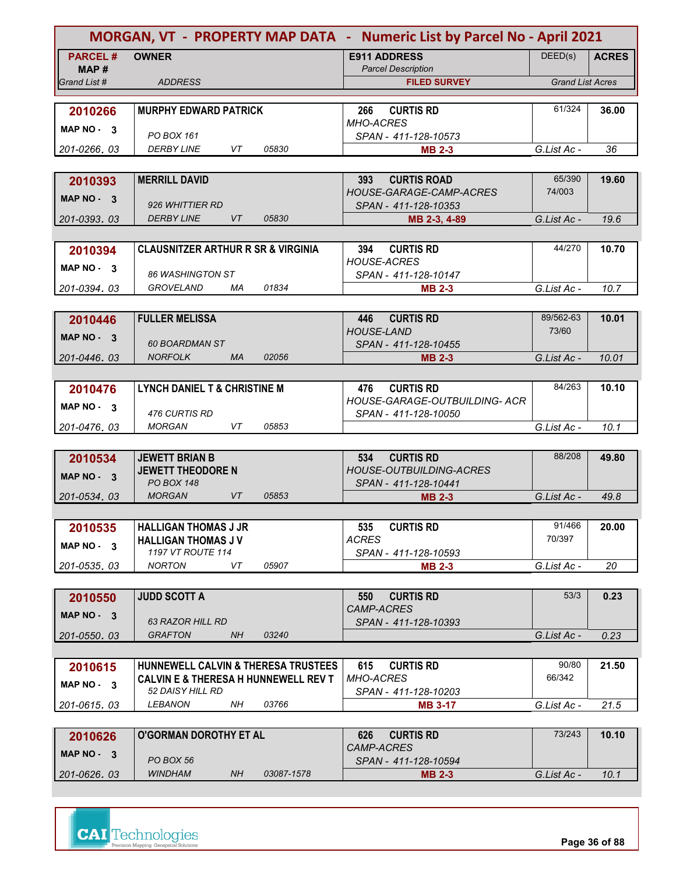| MORGAN, VT - PROPERTY MAP DATA - Numeric List by Parcel No - April 2021 |                                                                                   |                                                          |                         |              |  |
|-------------------------------------------------------------------------|-----------------------------------------------------------------------------------|----------------------------------------------------------|-------------------------|--------------|--|
| <b>PARCEL#</b>                                                          | <b>OWNER</b>                                                                      | <b>E911 ADDRESS</b>                                      | DEED(s)                 | <b>ACRES</b> |  |
| MAP#                                                                    |                                                                                   | <b>Parcel Description</b>                                |                         |              |  |
| Grand List #                                                            | <b>ADDRESS</b>                                                                    | <b>FILED SURVEY</b>                                      | <b>Grand List Acres</b> |              |  |
| 2010266                                                                 | <b>MURPHY EDWARD PATRICK</b>                                                      | <b>CURTIS RD</b><br>266                                  | 61/324                  | 36.00        |  |
| MAP NO 3                                                                |                                                                                   | <b>MHO-ACRES</b>                                         |                         |              |  |
|                                                                         | PO BOX 161                                                                        | SPAN - 411-128-10573                                     |                         |              |  |
| 201-0266, 03                                                            | VT<br>05830<br><b>DERBY LINE</b>                                                  | <b>MB 2-3</b>                                            | G.List Ac -             | 36           |  |
|                                                                         |                                                                                   |                                                          |                         |              |  |
| 2010393                                                                 | <b>MERRILL DAVID</b>                                                              | <b>CURTIS ROAD</b><br>393<br>HOUSE-GARAGE-CAMP-ACRES     | 65/390<br>74/003        | 19.60        |  |
| MAP $NO - 3$                                                            | 926 WHITTIER RD                                                                   | SPAN - 411-128-10353                                     |                         |              |  |
| 201-0393.03                                                             | <b>DERBY LINE</b><br>VT<br>05830                                                  | MB 2-3, 4-89                                             | G.List Ac -             | 19.6         |  |
|                                                                         |                                                                                   |                                                          |                         |              |  |
| 2010394                                                                 | <b>CLAUSNITZER ARTHUR R SR &amp; VIRGINIA</b>                                     | 394<br><b>CURTIS RD</b>                                  | 44/270                  | 10.70        |  |
| MAP NO - 3                                                              |                                                                                   | <b>HOUSE-ACRES</b>                                       |                         |              |  |
| 201-0394.03                                                             | 86 WASHINGTON ST<br><b>GROVELAND</b><br>01834<br>МA                               | SPAN - 411-128-10147<br><b>MB 2-3</b>                    | G.List Ac -             | 10.7         |  |
|                                                                         |                                                                                   |                                                          |                         |              |  |
| 2010446                                                                 | <b>FULLER MELISSA</b>                                                             | <b>CURTIS RD</b><br>446                                  | 89/562-63               | 10.01        |  |
| MAP NO - 3                                                              |                                                                                   | <b>HOUSE-LAND</b>                                        | 73/60                   |              |  |
|                                                                         | <b>60 BOARDMAN ST</b>                                                             | SPAN - 411-128-10455                                     |                         |              |  |
| 201-0446.03                                                             | <b>NORFOLK</b><br><b>MA</b><br>02056                                              | <b>MB 2-3</b>                                            | G.List Ac -             | 10.01        |  |
|                                                                         |                                                                                   |                                                          |                         |              |  |
| 2010476                                                                 | <b>LYNCH DANIEL T &amp; CHRISTINE M</b>                                           | <b>CURTIS RD</b><br>476<br>HOUSE-GARAGE-OUTBUILDING- ACR | 84/263                  | 10.10        |  |
| MAP $NO - 3$                                                            | 476 CURTIS RD                                                                     | SPAN - 411-128-10050                                     |                         |              |  |
| 201-0476, 03                                                            | VT<br>05853<br><b>MORGAN</b>                                                      |                                                          | G.List Ac -             | 10.1         |  |
|                                                                         |                                                                                   |                                                          |                         |              |  |
| 2010534                                                                 | <b>JEWETT BRIAN B</b>                                                             | <b>CURTIS RD</b><br>534                                  | 88/208                  | 49.80        |  |
| MAP NO - 3                                                              | <b>JEWETT THEODORE N</b><br><b>PO BOX 148</b>                                     | <b>HOUSE-OUTBUILDING-ACRES</b><br>SPAN - 411-128-10441   |                         |              |  |
| 201-0534, 03                                                            | <b>VT</b><br><b>MORGAN</b><br>05853                                               | <b>MB 2-3</b>                                            | G.List Ac -             | 49.8         |  |
|                                                                         |                                                                                   |                                                          |                         |              |  |
| 2010535                                                                 | <b>HALLIGAN THOMAS J JR</b>                                                       | <b>CURTIS RD</b><br>535                                  | 91/466                  | 20.00        |  |
| MAP NO - 3                                                              | <b>HALLIGAN THOMAS J V</b>                                                        | <b>ACRES</b>                                             | 70/397                  |              |  |
|                                                                         | 1197 VT ROUTE 114                                                                 | SPAN - 411-128-10593                                     |                         |              |  |
| 201-0535.03                                                             | <b>NORTON</b><br>05907<br>VT                                                      | <b>MB 2-3</b>                                            | G.List Ac -             | 20           |  |
|                                                                         | <b>JUDD SCOTT A</b>                                                               | 550<br><b>CURTIS RD</b>                                  | 53/3                    | 0.23         |  |
| 2010550                                                                 |                                                                                   | CAMP-ACRES                                               |                         |              |  |
| $MAP NO - 3$                                                            | <b>63 RAZOR HILL RD</b>                                                           | SPAN - 411-128-10393                                     |                         |              |  |
| 201-0550.03                                                             | <b>GRAFTON</b><br>03240<br>NH.                                                    |                                                          | G.List Ac -             | 0.23         |  |
|                                                                         |                                                                                   |                                                          |                         |              |  |
| 2010615                                                                 | HUNNEWELL CALVIN & THERESA TRUSTEES                                               | <b>CURTIS RD</b><br>615                                  | 90/80                   | 21.50        |  |
| $MAP NO - 3$                                                            | <b>CALVIN E &amp; THERESA H HUNNEWELL REV T</b><br><i><b>52 DAISY HILL RD</b></i> | <b>MHO-ACRES</b><br>SPAN - 411-128-10203                 | 66/342                  |              |  |
| 201-0615, 03                                                            | 03766<br><i><b>LEBANON</b></i><br>NΗ                                              | <b>MB 3-17</b>                                           | G.List Ac -             | 21.5         |  |
|                                                                         |                                                                                   |                                                          |                         |              |  |
| 2010626                                                                 | <b>O'GORMAN DOROTHY ET AL</b>                                                     | <b>CURTIS RD</b><br>626                                  | 73/243                  | 10.10        |  |
| MAP NO - 3                                                              |                                                                                   | <b>CAMP-ACRES</b>                                        |                         |              |  |
|                                                                         | PO BOX 56<br><b>WINDHAM</b>                                                       | SPAN - 411-128-10594                                     |                         |              |  |
| 201-0626.03                                                             | NH.<br>03087-1578                                                                 | <b>MB 2-3</b>                                            | G.List Ac -             | 10.1         |  |

| <b>MAP NO -</b><br>◠ | PO BOX 56      |    |            | <b>CAMP-ACRES</b><br>SPAN - 411-128-10594 |             |      |
|----------------------|----------------|----|------------|-------------------------------------------|-------------|------|
| 201-0626, 03         | <b>WINDHAM</b> | NH | 03087-1578 | <b>MB 2-3</b>                             | G.List Ac - | 10.1 |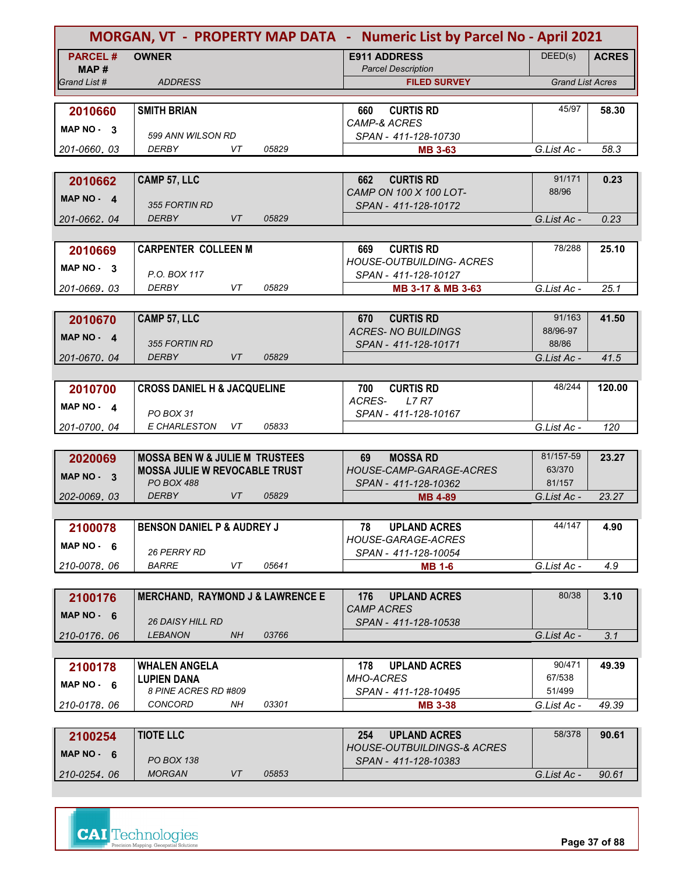| MORGAN, VT - PROPERTY MAP DATA - Numeric List by Parcel No - April 2021 |                                                   |                                                      |                         |              |
|-------------------------------------------------------------------------|---------------------------------------------------|------------------------------------------------------|-------------------------|--------------|
| <b>PARCEL#</b>                                                          | <b>OWNER</b>                                      | <b>E911 ADDRESS</b>                                  | DEED(s)                 | <b>ACRES</b> |
| MAP#<br>Grand List #                                                    | <b>ADDRESS</b>                                    | <b>Parcel Description</b><br><b>FILED SURVEY</b>     | <b>Grand List Acres</b> |              |
|                                                                         |                                                   |                                                      |                         |              |
| 2010660                                                                 | <b>SMITH BRIAN</b>                                | <b>CURTIS RD</b><br>660                              | 45/97                   | 58.30        |
| MAP NO 3                                                                |                                                   | CAMP-& ACRES                                         |                         |              |
|                                                                         | 599 ANN WILSON RD                                 | SPAN - 411-128-10730                                 |                         |              |
| 201-0660, 03                                                            | <b>DERBY</b><br>05829<br>VT                       | <b>MB 3-63</b>                                       | G.List Ac -             | 58.3         |
|                                                                         |                                                   |                                                      |                         |              |
| 2010662                                                                 | CAMP 57, LLC                                      | <b>CURTIS RD</b><br>662<br>CAMP ON 100 X 100 LOT-    | 91/171<br>88/96         | 0.23         |
| $MAP NO - 4$                                                            | 355 FORTIN RD                                     | SPAN - 411-128-10172                                 |                         |              |
| 201-0662, 04                                                            | <b>DERBY</b><br>VT<br>05829                       |                                                      | G.List Ac -             | 0.23         |
|                                                                         |                                                   |                                                      |                         |              |
| 2010669                                                                 | <b>CARPENTER COLLEEN M</b>                        | 669<br><b>CURTIS RD</b>                              | 78/288                  | 25.10        |
| MAP NO 3                                                                |                                                   | <b>HOUSE-OUTBUILDING- ACRES</b>                      |                         |              |
|                                                                         | P.O. BOX 117                                      | SPAN - 411-128-10127                                 |                         |              |
| 201-0669.03                                                             | DERBY<br>VT<br>05829                              | MB 3-17 & MB 3-63                                    | G.List Ac -             | 25.1         |
|                                                                         |                                                   |                                                      | 91/163                  | 41.50        |
| 2010670                                                                 | CAMP 57, LLC                                      | <b>CURTIS RD</b><br>670<br><b>ACRES-NO BUILDINGS</b> | 88/96-97                |              |
| MAP NO - 4                                                              | 355 FORTIN RD                                     | SPAN - 411-128-10171                                 | 88/86                   |              |
| 201-0670.04                                                             | <b>DERBY</b><br><b>VT</b><br>05829                |                                                      | G.List Ac -             | 41.5         |
|                                                                         |                                                   |                                                      |                         |              |
| 2010700                                                                 | <b>CROSS DANIEL H &amp; JACQUELINE</b>            | 700<br><b>CURTIS RD</b>                              | 48/244                  | 120.00       |
| $MAP NO - 4$                                                            |                                                   | ACRES-<br><b>L7 R7</b>                               |                         |              |
|                                                                         | PO BOX 31                                         | SPAN - 411-128-10167                                 |                         |              |
| 201-0700.04                                                             | <b>E CHARLESTON</b><br>05833<br>VT                |                                                      | G.List Ac -             | 120          |
| 2020069                                                                 | <b>MOSSA BEN W &amp; JULIE M TRUSTEES</b>         | 69<br><b>MOSSA RD</b>                                | 81/157-59               | 23.27        |
|                                                                         | <b>MOSSA JULIE W REVOCABLE TRUST</b>              | HOUSE-CAMP-GARAGE-ACRES                              | 63/370                  |              |
| MAP NO - 3                                                              | <b>PO BOX 488</b>                                 | SPAN - 411-128-10362                                 | 81/157                  |              |
| 202-0069, 03                                                            | <b>DERBY</b><br>VT<br>05829                       | <b>MB 4-89</b>                                       | G.List Ac -             | 23.27        |
|                                                                         |                                                   |                                                      |                         |              |
| 2100078                                                                 | <b>BENSON DANIEL P &amp; AUDREY J</b>             | 78<br><b>UPLAND ACRES</b>                            | 44/147                  | 4.90         |
| MAP $NO - 6$                                                            |                                                   | HOUSE-GARAGE-ACRES                                   |                         |              |
|                                                                         | <b>26 PERRY RD</b><br><b>BARRE</b><br>VT<br>05641 | SPAN - 411-128-10054<br><b>MB 1-6</b>                | G.List Ac -             | 4.9          |
| 210-0078.06                                                             |                                                   |                                                      |                         |              |
| 2100176                                                                 | <b>MERCHAND, RAYMOND J &amp; LAWRENCE E</b>       | 176<br><b>UPLAND ACRES</b>                           | 80/38                   | 3.10         |
|                                                                         |                                                   | <b>CAMP ACRES</b>                                    |                         |              |
| MAP $NO - 6$                                                            | <i>26 DAISY HILL RD</i>                           | SPAN - 411-128-10538                                 |                         |              |
| 210-0176.06                                                             | <b>LEBANON</b><br><b>NH</b><br>03766              |                                                      | G.List Ac -             | 3.1          |
|                                                                         |                                                   |                                                      |                         |              |
| 2100178                                                                 | <b>WHALEN ANGELA</b>                              | 178<br><b>UPLAND ACRES</b>                           | 90/471                  | 49.39        |
| MAP $NO - 6$                                                            | <b>LUPIEN DANA</b><br>8 PINE ACRES RD #809        | <b>MHO-ACRES</b><br>SPAN - 411-128-10495             | 67/538<br>51/499        |              |
| 210-0178, 06                                                            | <b>CONCORD</b><br>03301<br>NH                     | <b>MB 3-38</b>                                       | G.List Ac -             | 49.39        |
|                                                                         |                                                   |                                                      |                         |              |
| 2100254                                                                 | <b>TIOTE LLC</b>                                  | <b>UPLAND ACRES</b><br>254                           | 58/378                  | 90.61        |
| MAP NO - 6                                                              |                                                   | <b>HOUSE-OUTBUILDINGS-&amp; ACRES</b>                |                         |              |
|                                                                         | <b>PO BOX 138</b>                                 | SPAN - 411-128-10383                                 |                         |              |
| 210-0254.06                                                             | <b>MORGAN</b><br>VT<br>05853                      |                                                      | G.List Ac -             | 90.61        |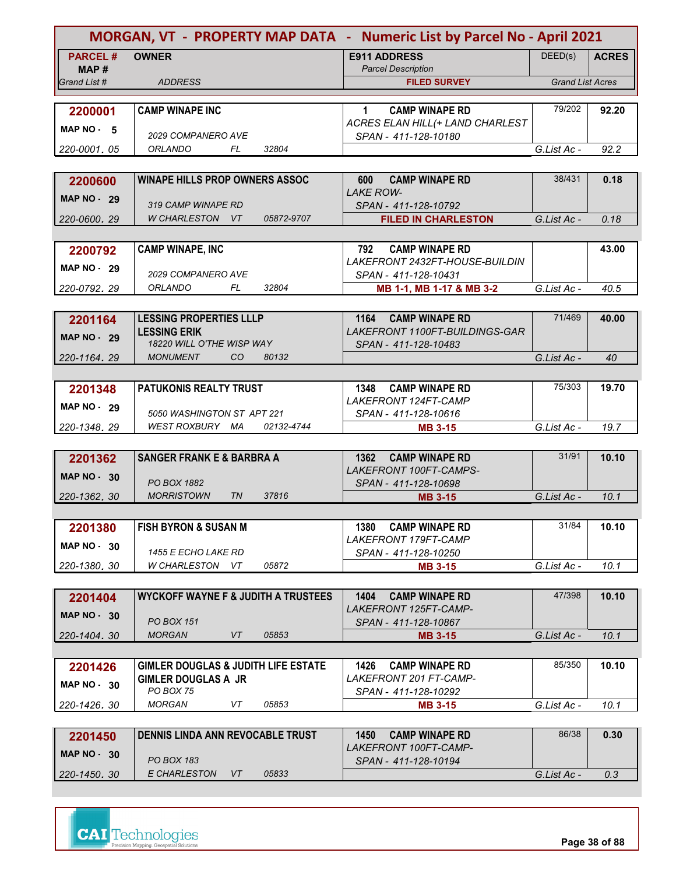| MORGAN, VT - PROPERTY MAP DATA - Numeric List by Parcel No - April 2021 |                                                |            |                                                       |                         |              |
|-------------------------------------------------------------------------|------------------------------------------------|------------|-------------------------------------------------------|-------------------------|--------------|
| <b>PARCEL#</b><br>MAP #                                                 | <b>OWNER</b>                                   |            | <b>E911 ADDRESS</b><br><b>Parcel Description</b>      | DEED(s)                 | <b>ACRES</b> |
| Grand List #                                                            | <b>ADDRESS</b>                                 |            | <b>FILED SURVEY</b>                                   | <b>Grand List Acres</b> |              |
|                                                                         |                                                |            |                                                       |                         |              |
| 2200001                                                                 | <b>CAMP WINAPE INC</b>                         |            | $\mathbf{1}$<br><b>CAMP WINAPE RD</b>                 | 79/202                  | 92.20        |
| MAP $NO - 5$                                                            |                                                |            | ACRES ELAN HILL(+ LAND CHARLEST                       |                         |              |
|                                                                         | 2029 COMPANERO AVE                             |            | SPAN - 411-128-10180                                  |                         |              |
| 220-0001.05                                                             | ORLANDO<br>FL                                  | 32804      |                                                       | G.List Ac -             | 92.2         |
|                                                                         |                                                |            |                                                       |                         |              |
| 2200600                                                                 | <b>WINAPE HILLS PROP OWNERS ASSOC</b>          |            | <b>CAMP WINAPE RD</b><br>600                          | 38/431                  | 0.18         |
| <b>MAP NO - 29</b>                                                      | 319 CAMP WINAPE RD                             |            | <b>LAKE ROW-</b><br>SPAN - 411-128-10792              |                         |              |
| 220-0600, 29                                                            | W CHARLESTON VT                                | 05872-9707 | <b>FILED IN CHARLESTON</b>                            | G.List Ac -             | 0.18         |
|                                                                         |                                                |            |                                                       |                         |              |
| 2200792                                                                 | <b>CAMP WINAPE, INC</b>                        |            | <b>CAMP WINAPE RD</b><br>792                          |                         | 43.00        |
|                                                                         |                                                |            | LAKEFRONT 2432FT-HOUSE-BUILDIN                        |                         |              |
| <b>MAP NO - 29</b>                                                      | <i>2029 COMPANERO AVE</i>                      |            | SPAN - 411-128-10431                                  |                         |              |
| 220-0792.29                                                             | ORLANDO<br>FL.                                 | 32804      | MB 1-1, MB 1-17 & MB 3-2                              | G.List Ac -             | 40.5         |
|                                                                         |                                                |            |                                                       |                         |              |
| 2201164                                                                 | <b>LESSING PROPERTIES LLLP</b>                 |            | 1164<br><b>CAMP WINAPE RD</b>                         | 71/469                  | 40.00        |
| <b>MAP NO - 29</b>                                                      | <b>LESSING ERIK</b>                            |            | LAKEFRONT 1100FT-BUILDINGS-GAR                        |                         |              |
|                                                                         | 18220 WILL O'THE WISP WAY                      |            | SPAN - 411-128-10483                                  |                         |              |
| 220-1164.29                                                             | <b>MONUMENT</b><br>CO                          | 80132      |                                                       | G.List Ac -             | 40           |
|                                                                         |                                                |            |                                                       | 75/303                  |              |
| 2201348                                                                 | PATUKONIS REALTY TRUST                         |            | <b>CAMP WINAPE RD</b><br>1348<br>LAKEFRONT 124FT-CAMP |                         | 19.70        |
| MAP $NO - 29$                                                           | 5050 WASHINGTON ST APT 221                     |            | SPAN - 411-128-10616                                  |                         |              |
| 220-1348.29                                                             | WEST ROXBURY MA                                | 02132-4744 | <b>MB 3-15</b>                                        | G.List Ac -             | 19.7         |
|                                                                         |                                                |            |                                                       |                         |              |
| 2201362                                                                 | <b>SANGER FRANK E &amp; BARBRA A</b>           |            | 1362<br><b>CAMP WINAPE RD</b>                         | 31/91                   | 10.10        |
| <b>MAP NO - 30</b>                                                      |                                                |            | LAKEFRONT 100FT-CAMPS-                                |                         |              |
|                                                                         | PO BOX 1882                                    |            | SPAN - 411-128-10698                                  |                         |              |
| 220-1362.30                                                             | <b>MORRISTOWN</b><br><b>TN</b>                 | 37816      | <b>MB 3-15</b>                                        | G.List Ac -             | 10.1         |
|                                                                         |                                                |            |                                                       |                         |              |
| 2201380                                                                 | <b>FISH BYRON &amp; SUSAN M</b>                |            | 1380<br><b>CAMP WINAPE RD</b>                         | 31/84                   | 10.10        |
| <b>MAP NO - 30</b>                                                      | <i>1455 E ECHO LAKE RD</i>                     |            | LAKEFRONT 179FT-CAMP<br>SPAN - 411-128-10250          |                         |              |
| 220-1380.30                                                             | W CHARLESTON VT                                | 05872      | <b>MB 3-15</b>                                        | G.List Ac -             | 10.1         |
|                                                                         |                                                |            |                                                       |                         |              |
| 2201404                                                                 | <b>WYCKOFF WAYNE F &amp; JUDITH A TRUSTEES</b> |            | 1404<br><b>CAMP WINAPE RD</b>                         | 47/398                  | 10.10        |
|                                                                         |                                                |            | LAKEFRONT 125FT-CAMP-                                 |                         |              |
| MAP $NO - 30$                                                           | <b>PO BOX 151</b>                              |            | SPAN - 411-128-10867                                  |                         |              |
| 220-1404.30                                                             | <b>MORGAN</b><br>VT                            | 05853      | <b>MB 3-15</b>                                        | G.List Ac -             | 10.1         |
|                                                                         |                                                |            |                                                       |                         |              |
| 2201426                                                                 | <b>GIMLER DOUGLAS &amp; JUDITH LIFE ESTATE</b> |            | <b>CAMP WINAPE RD</b><br>1426                         | 85/350                  | 10.10        |
| <b>MAP NO - 30</b>                                                      | <b>GIMLER DOUGLAS A JR</b>                     |            | <i>LAKEFRONT 201 FT-CAMP-</i>                         |                         |              |
| 220-1426, 30                                                            | PO BOX 75<br><b>MORGAN</b><br>VT               | 05853      | SPAN - 411-128-10292<br><b>MB 3-15</b>                | G.List Ac -             | 10.1         |
|                                                                         |                                                |            |                                                       |                         |              |
|                                                                         | DENNIS LINDA ANN REVOCABLE TRUST               |            | <b>CAMP WINAPE RD</b><br>1450                         | 86/38                   | 0.30         |
| 2201450                                                                 |                                                |            | LAKEFRONT 100FT-CAMP-                                 |                         |              |
| <b>MAP NO - 30</b>                                                      | <b>PO BOX 183</b>                              |            | SPAN - 411-128-10194                                  |                         |              |
| 220-1450.30                                                             | E CHARLESTON<br>VT                             | 05833      |                                                       | G.List Ac -             | 0.3          |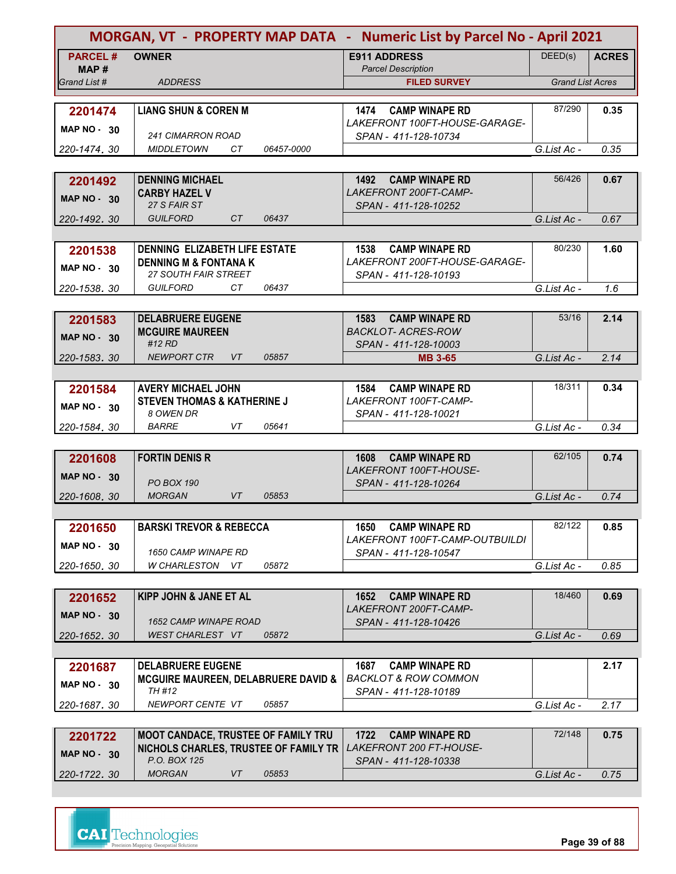| MORGAN, VT - PROPERTY MAP DATA - Numeric List by Parcel No - April 2021 |                                                                 |                                                                 |                         |              |
|-------------------------------------------------------------------------|-----------------------------------------------------------------|-----------------------------------------------------------------|-------------------------|--------------|
| <b>PARCEL#</b>                                                          | <b>OWNER</b>                                                    | <b>E911 ADDRESS</b>                                             | DEED(s)                 | <b>ACRES</b> |
| MAP #                                                                   |                                                                 | <b>Parcel Description</b>                                       |                         |              |
| Grand List #                                                            | <b>ADDRESS</b>                                                  | <b>FILED SURVEY</b>                                             | <b>Grand List Acres</b> |              |
|                                                                         |                                                                 |                                                                 | 87/290                  |              |
| 2201474                                                                 | <b>LIANG SHUN &amp; COREN M</b>                                 | 1474<br><b>CAMP WINAPE RD</b><br>LAKEFRONT 100FT-HOUSE-GARAGE-  |                         | 0.35         |
| <b>MAP NO - 30</b>                                                      | <i>241 CIMARRON ROAD</i>                                        | SPAN - 411-128-10734                                            |                         |              |
| 220-1474, 30                                                            | <b>MIDDLETOWN</b><br>CТ<br>06457-0000                           |                                                                 | G.List Ac -             | 0.35         |
|                                                                         |                                                                 |                                                                 |                         |              |
| 2201492                                                                 | <b>DENNING MICHAEL</b>                                          | 1492<br><b>CAMP WINAPE RD</b>                                   | 56/426                  | 0.67         |
| <b>MAP NO - 30</b>                                                      | <b>CARBY HAZEL V</b>                                            | LAKEFRONT 200FT-CAMP-                                           |                         |              |
|                                                                         | 27 S FAIR ST                                                    | SPAN - 411-128-10252                                            |                         |              |
| 220-1492, 30                                                            | <b>GUILFORD</b><br>CT<br>06437                                  |                                                                 | G.List Ac -             | 0.67         |
|                                                                         |                                                                 |                                                                 |                         |              |
| 2201538                                                                 | DENNING ELIZABETH LIFE ESTATE                                   | <b>CAMP WINAPE RD</b><br>1538<br>LAKEFRONT 200FT-HOUSE-GARAGE-  | 80/230                  | 1.60         |
| MAP $NO - 30$                                                           | <b>DENNING M &amp; FONTANA K</b><br><b>27 SOUTH FAIR STREET</b> | SPAN - 411-128-10193                                            |                         |              |
| 220-1538.30                                                             | 06437<br>GUILFORD<br>CT.                                        |                                                                 | G.List Ac -             | 1.6          |
|                                                                         |                                                                 |                                                                 |                         |              |
| 2201583                                                                 | <b>DELABRUERE EUGENE</b>                                        | 1583<br><b>CAMP WINAPE RD</b>                                   | 53/16                   | 2.14         |
| <b>MAP NO - 30</b>                                                      | <b>MCGUIRE MAUREEN</b>                                          | BACKLOT- ACRES-ROW                                              |                         |              |
|                                                                         | #12 RD                                                          | SPAN - 411-128-10003                                            |                         |              |
| 220-1583.30                                                             | NEWPORT CTR<br>VT<br>05857                                      | <b>MB 3-65</b>                                                  | G.List Ac -             | 2.14         |
|                                                                         |                                                                 |                                                                 |                         |              |
| 2201584                                                                 | <b>AVERY MICHAEL JOHN</b>                                       | <b>CAMP WINAPE RD</b><br>1584                                   | 18/311                  | 0.34         |
| <b>MAP NO - 30</b>                                                      | <b>STEVEN THOMAS &amp; KATHERINE J</b><br>8 OWEN DR             | LAKEFRONT 100FT-CAMP-<br>SPAN - 411-128-10021                   |                         |              |
| 220-1584, 30                                                            | <b>BARRE</b><br>VT<br>05641                                     |                                                                 | G.List Ac -             | 0.34         |
|                                                                         |                                                                 |                                                                 |                         |              |
| 2201608                                                                 | <b>FORTIN DENIS R</b>                                           | 1608<br><b>CAMP WINAPE RD</b>                                   | 62/105                  | 0.74         |
| MAP $NO - 30$                                                           |                                                                 | LAKEFRONT 100FT-HOUSE-                                          |                         |              |
|                                                                         | <b>PO BOX 190</b>                                               | SPAN - 411-128-10264                                            |                         |              |
| 220-1608, 30                                                            | <b>MORGAN</b><br><b>VT</b><br>05853                             |                                                                 | G.List Ac -             | 0.74         |
|                                                                         |                                                                 |                                                                 |                         |              |
| 2201650                                                                 | <b>BARSKI TREVOR &amp; REBECCA</b>                              | <b>CAMP WINAPE RD</b><br>1650<br>LAKEFRONT 100FT-CAMP-OUTBUILDI | 82/122                  | 0.85         |
| <b>MAP NO - 30</b>                                                      | 1650 CAMP WINAPE RD                                             | SPAN - 411-128-10547                                            |                         |              |
| 220-1650.30                                                             | W CHARLESTON VT<br>05872                                        |                                                                 | G.List Ac -             | 0.85         |
|                                                                         |                                                                 |                                                                 |                         |              |
| 2201652                                                                 | KIPP JOHN & JANE ET AL                                          | 1652<br><b>CAMP WINAPE RD</b>                                   | 18/460                  | 0.69         |
| MAP $NO - 30$                                                           |                                                                 | LAKEFRONT 200FT-CAMP-                                           |                         |              |
|                                                                         | <b>1652 CAMP WINAPE ROAD</b>                                    | SPAN - 411-128-10426                                            |                         |              |
| 220-1652.30                                                             | WEST CHARLEST VT<br>05872                                       |                                                                 | G.List Ac -             | 0.69         |
|                                                                         |                                                                 |                                                                 |                         |              |
| 2201687                                                                 | <b>DELABRUERE EUGENE</b>                                        | <b>CAMP WINAPE RD</b><br>1687                                   |                         | 2.17         |
| <b>MAP NO - 30</b>                                                      | MCGUIRE MAUREEN, DELABRUERE DAVID &<br>TH #12                   | <b>BACKLOT &amp; ROW COMMON</b><br>SPAN - 411-128-10189         |                         |              |
| 220-1687, 30                                                            | NEWPORT CENTE VT<br>05857                                       |                                                                 | G.List Ac -             | 2.17         |
|                                                                         |                                                                 |                                                                 |                         |              |
| 2201722                                                                 | <b>MOOT CANDACE, TRUSTEE OF FAMILY TRU</b>                      | 1722<br><b>CAMP WINAPE RD</b>                                   | 72/148                  | 0.75         |
| <b>MAP NO - 30</b>                                                      | NICHOLS CHARLES, TRUSTEE OF FAMILY TR                           | LAKEFRONT 200 FT-HOUSE-                                         |                         |              |
|                                                                         | P.O. BOX 125                                                    | SPAN - 411-128-10338                                            |                         |              |
| 220-1722.30                                                             | <b>MORGAN</b><br>VT<br>05853                                    |                                                                 | G.List Ac -             | 0.75         |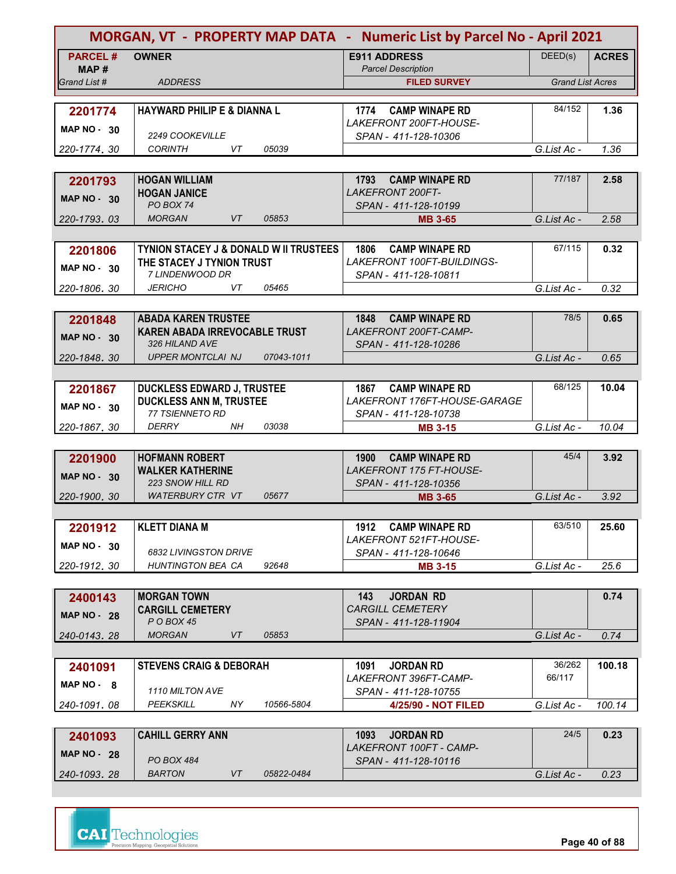| MORGAN, VT - PROPERTY MAP DATA - Numeric List by Parcel No - April 2021 |                                                   |                                                                 |                         |              |
|-------------------------------------------------------------------------|---------------------------------------------------|-----------------------------------------------------------------|-------------------------|--------------|
| <b>PARCEL#</b>                                                          | <b>OWNER</b>                                      | <b>E911 ADDRESS</b>                                             | DEED(s)                 | <b>ACRES</b> |
| MAP #                                                                   |                                                   | <b>Parcel Description</b>                                       |                         |              |
| Grand List #                                                            | <b>ADDRESS</b>                                    | <b>FILED SURVEY</b>                                             | <b>Grand List Acres</b> |              |
|                                                                         |                                                   |                                                                 |                         |              |
| 2201774                                                                 | <b>HAYWARD PHILIP E &amp; DIANNA L</b>            | <b>CAMP WINAPE RD</b><br>1774<br>LAKEFRONT 200FT-HOUSE-         | 84/152                  | 1.36         |
| <b>MAP NO - 30</b>                                                      | 2249 COOKEVILLE                                   | SPAN - 411-128-10306                                            |                         |              |
| 220-1774.30                                                             | <b>CORINTH</b><br>VT<br>05039                     |                                                                 | G.List Ac -             | 1.36         |
|                                                                         |                                                   |                                                                 |                         |              |
| 2201793                                                                 | <b>HOGAN WILLIAM</b>                              | 1793<br><b>CAMP WINAPE RD</b>                                   | 77/187                  | 2.58         |
| <b>MAP NO - 30</b>                                                      | <b>HOGAN JANICE</b>                               | <b>LAKEFRONT 200FT-</b>                                         |                         |              |
|                                                                         | PO BOX 74                                         | SPAN - 411-128-10199                                            |                         |              |
| 220-1793, 03                                                            | <b>MORGAN</b><br>VT<br>05853                      | <b>MB 3-65</b>                                                  | G.List Ac -             | 2.58         |
|                                                                         |                                                   |                                                                 |                         |              |
| 2201806                                                                 | <b>TYNION STACEY J &amp; DONALD W II TRUSTEES</b> | 1806<br><b>CAMP WINAPE RD</b>                                   | 67/115                  | 0.32         |
| <b>MAP NO - 30</b>                                                      | THE STACEY J TYNION TRUST<br>7 LINDENWOOD DR      | LAKEFRONT 100FT-BUILDINGS-<br>SPAN - 411-128-10811              |                         |              |
| 220-1806.30                                                             | 05465<br><b>JERICHO</b><br>VT                     |                                                                 | G.List Ac -             | 0.32         |
|                                                                         |                                                   |                                                                 |                         |              |
| 2201848                                                                 | <b>ABADA KAREN TRUSTEE</b>                        | <b>CAMP WINAPE RD</b><br>1848                                   | 78/5                    | 0.65         |
|                                                                         | <b>KAREN ABADA IRREVOCABLE TRUST</b>              | LAKEFRONT 200FT-CAMP-                                           |                         |              |
| <b>MAP NO - 30</b>                                                      | 326 HILAND AVE                                    | SPAN - 411-128-10286                                            |                         |              |
| 220-1848.30                                                             | <b>UPPER MONTCLAI NJ</b><br>07043-1011            |                                                                 | G.List Ac -             | 0.65         |
|                                                                         |                                                   |                                                                 |                         |              |
| 2201867                                                                 | <b>DUCKLESS EDWARD J, TRUSTEE</b>                 | <b>CAMP WINAPE RD</b><br>1867                                   | 68/125                  | 10.04        |
| <b>MAP NO - 30</b>                                                      | <b>DUCKLESS ANN M, TRUSTEE</b>                    | LAKEFRONT 176FT-HOUSE-GARAGE                                    |                         |              |
|                                                                         | 77 TSIENNETO RD                                   | SPAN - 411-128-10738                                            |                         |              |
| 220-1867, 30                                                            | DERRY<br>NH.<br>03038                             | <b>MB 3-15</b>                                                  | G.List Ac -             | 10.04        |
|                                                                         |                                                   |                                                                 |                         |              |
| 2201900                                                                 | <b>HOFMANN ROBERT</b><br><b>WALKER KATHERINE</b>  | <b>CAMP WINAPE RD</b><br>1900<br><b>LAKEFRONT 175 FT-HOUSE-</b> | 45/4                    | 3.92         |
| <b>MAP NO - 30</b>                                                      | <b>223 SNOW HILL RD</b>                           | SPAN - 411-128-10356                                            |                         |              |
| 220-1900, 30                                                            | <b>WATERBURY CTR VT</b><br>05677                  | <b>MB 3-65</b>                                                  | G.List Ac -             | 3.92         |
|                                                                         |                                                   |                                                                 |                         |              |
| 2201912                                                                 | <b>KLETT DIANA M</b>                              | 1912 CAMP WINAPE RD                                             | 63/510                  | 25.60        |
| <b>MAP NO - 30</b>                                                      |                                                   | LAKEFRONT 521FT-HOUSE-                                          |                         |              |
|                                                                         | 6832 LIVINGSTON DRIVE                             | SPAN - 411-128-10646                                            |                         |              |
| 220-1912. 30                                                            | <b>HUNTINGTON BEA CA</b><br>92648                 | <b>MB 3-15</b>                                                  | G.List Ac -             | 25.6         |
|                                                                         |                                                   |                                                                 |                         |              |
| 2400143                                                                 | <b>MORGAN TOWN</b>                                | 143<br><b>JORDAN RD</b>                                         |                         | 0.74         |
| <b>MAP NO 28</b>                                                        | <b>CARGILL CEMETERY</b><br>P O BOX 45             | <b>CARGILL CEMETERY</b><br>SPAN - 411-128-11904                 |                         |              |
| 240-0143.28                                                             | <b>MORGAN</b><br>VT<br>05853                      |                                                                 | G.List Ac -             | 0.74         |
|                                                                         |                                                   |                                                                 |                         |              |
| 2401091                                                                 | <b>STEVENS CRAIG &amp; DEBORAH</b>                | 1091<br><b>JORDAN RD</b>                                        | 36/262                  | 100.18       |
| $MAP NO - 8$                                                            |                                                   | LAKEFRONT 396FT-CAMP-                                           | 66/117                  |              |
|                                                                         | 1110 MILTON AVE                                   | SPAN - 411-128-10755                                            |                         |              |
| 240-1091, 08                                                            | PEEKSKILL<br>NY.<br>10566-5804                    | 4/25/90 - NOT FILED                                             | G.List Ac -             | 100.14       |
|                                                                         |                                                   |                                                                 |                         |              |
| 2401093                                                                 | <b>CAHILL GERRY ANN</b>                           | <b>JORDAN RD</b><br>1093                                        | 24/5                    | 0.23         |
| <b>MAP NO - 28</b>                                                      | PO BOX 484                                        | LAKEFRONT 100FT - CAMP-<br>SPAN - 411-128-10116                 |                         |              |
| 240-1093.28                                                             | <b>BARTON</b><br>VT<br>05822-0484                 |                                                                 | G.List Ac -             | 0.23         |

**Page 40 of 88**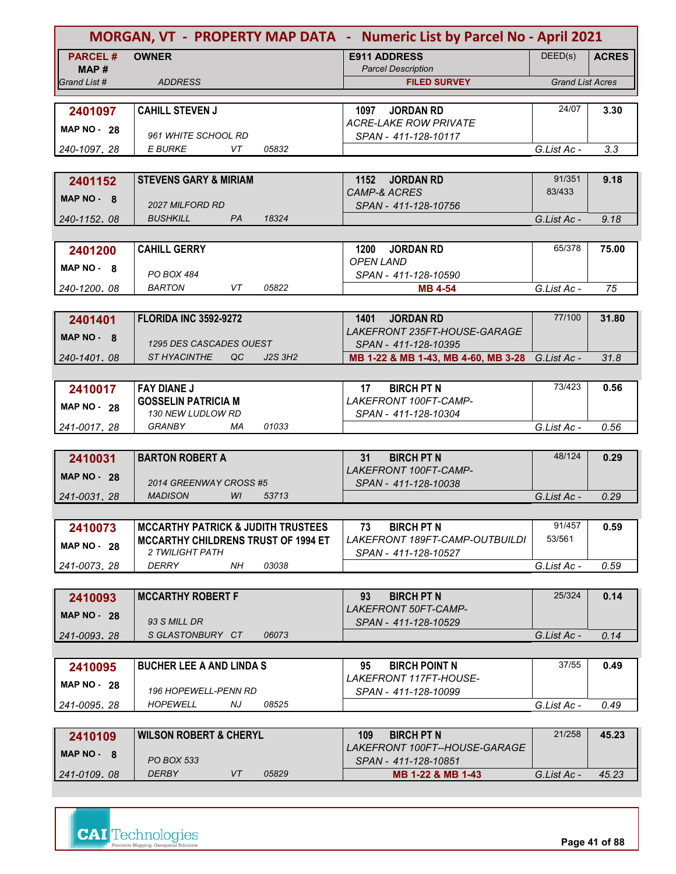| MORGAN, VT - PROPERTY MAP DATA - Numeric List by Parcel No - April 2021 |                                                        |                                                                  |                         |              |
|-------------------------------------------------------------------------|--------------------------------------------------------|------------------------------------------------------------------|-------------------------|--------------|
| <b>PARCEL#</b>                                                          | <b>OWNER</b>                                           | <b>E911 ADDRESS</b>                                              | DEED(s)                 | <b>ACRES</b> |
| MAP #<br>Grand List #                                                   | <b>ADDRESS</b>                                         | <b>Parcel Description</b><br><b>FILED SURVEY</b>                 | <b>Grand List Acres</b> |              |
|                                                                         |                                                        |                                                                  |                         |              |
| 2401097                                                                 | <b>CAHILL STEVEN J</b>                                 | 1097<br><b>JORDAN RD</b>                                         | 24/07                   | 3.30         |
| <b>MAP NO - 28</b>                                                      |                                                        | <b>ACRE-LAKE ROW PRIVATE</b>                                     |                         |              |
|                                                                         | 961 WHITE SCHOOL RD                                    | SPAN - 411-128-10117                                             |                         |              |
| 240-1097.28                                                             | <b>E BURKE</b><br>05832<br>VT                          |                                                                  | G.List Ac -             | 3.3          |
|                                                                         |                                                        |                                                                  |                         |              |
| 2401152                                                                 | <b>STEVENS GARY &amp; MIRIAM</b>                       | 1152<br><b>JORDAN RD</b><br><b>CAMP-&amp; ACRES</b>              | 91/351<br>83/433        | 9.18         |
| MAP NO - 8                                                              | <b>2027 MILFORD RD</b>                                 | SPAN - 411-128-10756                                             |                         |              |
| 240-1152.08                                                             | 18324<br><b>BUSHKILL</b><br>PA                         |                                                                  | G.List Ac -             | 9.18         |
|                                                                         |                                                        |                                                                  |                         |              |
| 2401200                                                                 | <b>CAHILL GERRY</b>                                    | <b>JORDAN RD</b><br>1200                                         | 65/378                  | 75.00        |
| MAP NO 8                                                                |                                                        | <b>OPEN LAND</b>                                                 |                         |              |
| 240-1200.08                                                             | PO BOX 484<br><b>BARTON</b><br>05822<br>VT.            | SPAN - 411-128-10590<br><b>MB 4-54</b>                           | G.List Ac -             | 75           |
|                                                                         |                                                        |                                                                  |                         |              |
| 2401401                                                                 | <b>FLORIDA INC 3592-9272</b>                           | 1401<br><b>JORDAN RD</b>                                         | 77/100                  | 31.80        |
|                                                                         |                                                        | LAKEFRONT 235FT-HOUSE-GARAGE                                     |                         |              |
| MAP NO - 8                                                              | 1295 DES CASCADES OUEST                                | SPAN - 411-128-10395                                             |                         |              |
| 240-1401.08                                                             | J2S 3H2<br>ST HYACINTHE<br>QC                          | MB 1-22 & MB 1-43, MB 4-60, MB 3-28                              | G.List Ac -             | 31.8         |
|                                                                         |                                                        |                                                                  |                         |              |
| 2410017                                                                 | <b>FAY DIANE J</b>                                     | <b>BIRCH PT N</b><br>17                                          | 73/423                  | 0.56         |
| <b>MAP NO - 28</b>                                                      | <b>GOSSELIN PATRICIA M</b><br><b>130 NEW LUDLOW RD</b> | LAKEFRONT 100FT-CAMP-<br>SPAN - 411-128-10304                    |                         |              |
| 241-0017.28                                                             | 01033<br><b>GRANBY</b><br>МA                           |                                                                  | G.List Ac -             | 0.56         |
|                                                                         |                                                        |                                                                  |                         |              |
| 2410031                                                                 | <b>BARTON ROBERT A</b>                                 | <b>BIRCH PT N</b><br>31                                          | 48/124                  | 0.29         |
| <b>MAP NO - 28</b>                                                      |                                                        | LAKEFRONT 100FT-CAMP-                                            |                         |              |
|                                                                         | 2014 GREENWAY CROSS #5<br>WI                           | SPAN - 411-128-10038                                             |                         |              |
| 241-0031.28                                                             | <b>MADISON</b><br>53713                                |                                                                  | G.List Ac -             | 0.29         |
|                                                                         | <b>MCCARTHY PATRICK &amp; JUDITH TRUSTEES</b>          | 73<br><b>BIRCH PT N</b>                                          | 91/457                  | 0.59         |
| 2410073                                                                 | <b>MCCARTHY CHILDRENS TRUST OF 1994 ET</b>             | LAKEFRONT 189FT-CAMP-OUTBUILDI                                   | 53/561                  |              |
| <b>MAP NO - 28</b>                                                      | 2 TWILIGHT PATH                                        | SPAN - 411-128-10527                                             |                         |              |
| 241-0073.28                                                             | 03038<br>DERRY<br>NH.                                  |                                                                  | G.List Ac -             | 0.59         |
|                                                                         |                                                        |                                                                  |                         |              |
| 2410093                                                                 | <b>MCCARTHY ROBERT F</b>                               | <b>BIRCH PT N</b><br>93                                          | 25/324                  | 0.14         |
| <b>MAP NO - 28</b>                                                      | 93 S MILL DR                                           | LAKEFRONT 50FT-CAMP-<br>SPAN - 411-128-10529                     |                         |              |
| 241-0093.28                                                             | SGLASTONBURY CT<br>06073                               |                                                                  | G.List Ac -             | 0.14         |
|                                                                         |                                                        |                                                                  |                         |              |
| 2410095                                                                 | <b>BUCHER LEE A AND LINDA S</b>                        | <b>BIRCH POINT N</b><br>95                                       | 37/55                   | 0.49         |
| <b>MAP NO - 28</b>                                                      |                                                        | LAKEFRONT 117FT-HOUSE-                                           |                         |              |
|                                                                         | <b>196 HOPEWELL-PENN RD</b>                            | SPAN - 411-128-10099                                             |                         |              |
| 241-0095, 28                                                            | <b>HOPEWELL</b><br>NJ<br>08525                         |                                                                  | G.List Ac -             | 0.49         |
|                                                                         |                                                        |                                                                  |                         |              |
| 2410109                                                                 | <b>WILSON ROBERT &amp; CHERYL</b>                      | <b>BIRCH PT N</b><br>109<br><i>LAKEFRONT 100FT--HOUSE-GARAGE</i> | 21/258                  | 45.23        |
| MAP NO - 8                                                              | <b>PO BOX 533</b>                                      | SPAN - 411-128-10851                                             |                         |              |
| 241-0109.08                                                             | <b>DERBY</b><br>05829<br>VT                            | MB 1-22 & MB 1-43                                                | G.List Ac -             | 45.23        |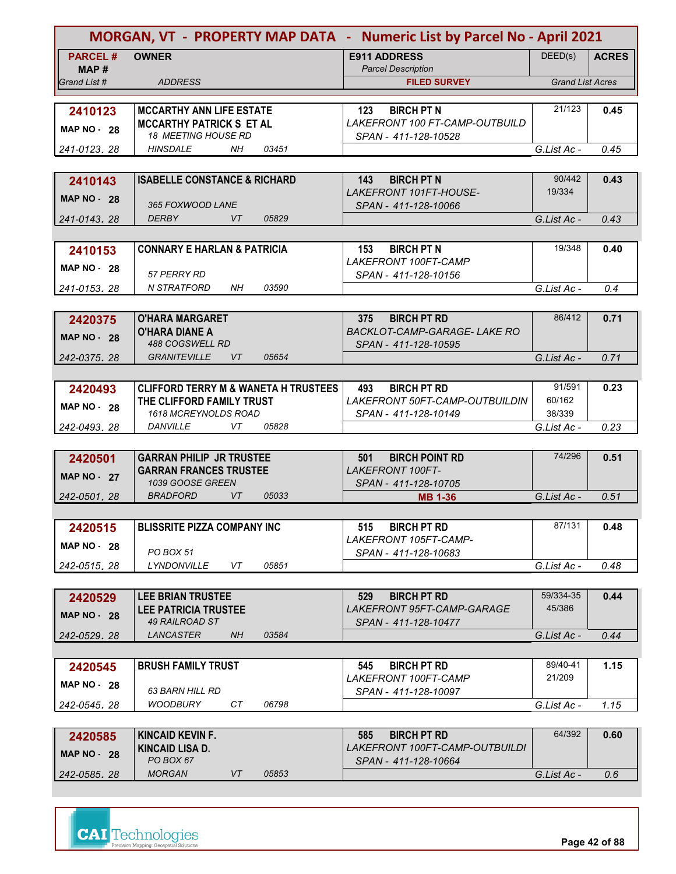| MORGAN, VT - PROPERTY MAP DATA - Numeric List by Parcel No - April 2021 |                                                   |           |       |                                                             |                         |              |
|-------------------------------------------------------------------------|---------------------------------------------------|-----------|-------|-------------------------------------------------------------|-------------------------|--------------|
| <b>PARCEL#</b>                                                          | <b>OWNER</b>                                      |           |       | <b>E911 ADDRESS</b>                                         | DEED(s)                 | <b>ACRES</b> |
| MAP #<br>Grand List #                                                   | <b>ADDRESS</b>                                    |           |       | <b>Parcel Description</b>                                   | <b>Grand List Acres</b> |              |
|                                                                         |                                                   |           |       | <b>FILED SURVEY</b>                                         |                         |              |
| 2410123                                                                 | <b>MCCARTHY ANN LIFE ESTATE</b>                   |           |       | 123<br><b>BIRCH PT N</b>                                    | 21/123                  | 0.45         |
|                                                                         | <b>MCCARTHY PATRICK S ET AL</b>                   |           |       | LAKEFRONT 100 FT-CAMP-OUTBUILD                              |                         |              |
| <b>MAP NO - 28</b>                                                      | 18 MEETING HOUSE RD                               |           |       | SPAN - 411-128-10528                                        |                         |              |
| 241-0123, 28                                                            | <b>HINSDALE</b>                                   | <b>NH</b> | 03451 |                                                             | G.List Ac -             | 0.45         |
|                                                                         |                                                   |           |       |                                                             |                         |              |
| 2410143                                                                 | <b>ISABELLE CONSTANCE &amp; RICHARD</b>           |           |       | <b>BIRCH PT N</b><br>143                                    | 90/442                  | 0.43         |
| <b>MAP NO - 28</b>                                                      | 365 FOXWOOD LANE                                  |           |       | LAKEFRONT 101FT-HOUSE-<br>SPAN - 411-128-10066              | 19/334                  |              |
| 241-0143, 28                                                            | <b>DERBY</b>                                      | VT        | 05829 |                                                             | G.List Ac -             | 0.43         |
|                                                                         |                                                   |           |       |                                                             |                         |              |
| 2410153                                                                 | <b>CONNARY E HARLAN &amp; PATRICIA</b>            |           |       | <b>BIRCH PT N</b><br>153                                    | 19/348                  | 0.40         |
| <b>MAP NO - 28</b>                                                      |                                                   |           |       | <b>LAKEFRONT 100FT-CAMP</b>                                 |                         |              |
|                                                                         | 57 PERRY RD                                       |           |       | SPAN - 411-128-10156                                        |                         |              |
| 241-0153.28                                                             | <b>N STRATFORD</b>                                | NH        | 03590 |                                                             | G.List Ac -             | 0.4          |
|                                                                         |                                                   |           |       |                                                             |                         |              |
| 2420375                                                                 | <b>O'HARA MARGARET</b>                            |           |       | 375<br><b>BIRCH PT RD</b>                                   | 86/412                  | 0.71         |
| <b>MAP NO - 28</b>                                                      | <b>O'HARA DIANE A</b><br>488 COGSWELL RD          |           |       | <b>BACKLOT-CAMP-GARAGE- LAKE RO</b><br>SPAN - 411-128-10595 |                         |              |
| 242-0375.28                                                             | <b>GRANITEVILLE</b>                               | VT        | 05654 |                                                             | G.List Ac -             | 0.71         |
|                                                                         |                                                   |           |       |                                                             |                         |              |
| 2420493                                                                 | <b>CLIFFORD TERRY M &amp; WANETA H TRUSTEES</b>   |           |       | <b>BIRCH PT RD</b><br>493                                   | 91/591                  | 0.23         |
| <b>MAP NO - 28</b>                                                      | THE CLIFFORD FAMILY TRUST                         |           |       | LAKEFRONT 50FT-CAMP-OUTBUILDIN                              | 60/162                  |              |
|                                                                         | 1618 MCREYNOLDS ROAD                              |           |       | SPAN - 411-128-10149                                        | 38/339                  |              |
| 242-0493, 28                                                            | <b>DANVILLE</b>                                   | VT        | 05828 |                                                             | G.List Ac -             | 0.23         |
|                                                                         |                                                   |           |       |                                                             |                         |              |
| 2420501                                                                 | <b>GARRAN PHILIP JR TRUSTEE</b>                   |           |       | <b>BIRCH POINT RD</b><br>501<br><b>LAKEFRONT 100FT-</b>     | 74/296                  | 0.51         |
| <b>MAP NO - 27</b>                                                      | <b>GARRAN FRANCES TRUSTEE</b><br>1039 GOOSE GREEN |           |       | SPAN - 411-128-10705                                        |                         |              |
| 242-0501, 28                                                            | <b>BRADFORD</b>                                   | <b>VT</b> | 05033 | <b>MB 1-36</b>                                              | G.List Ac -             | 0.51         |
|                                                                         |                                                   |           |       |                                                             |                         |              |
| 2420515                                                                 | <b>BLISSRITE PIZZA COMPANY INC</b>                |           |       | <b>BIRCH PT RD</b><br>515                                   | 87/131                  | 0.48         |
| <b>MAP NO - 28</b>                                                      |                                                   |           |       | LAKEFRONT 105FT-CAMP-                                       |                         |              |
|                                                                         | <b>PO BOX 51</b>                                  |           |       | SPAN - 411-128-10683                                        |                         |              |
| 242-0515.28                                                             | <b>LYNDONVILLE</b>                                | VT        | 05851 |                                                             | G.List Ac -             | 0.48         |
|                                                                         |                                                   |           |       |                                                             |                         |              |
| 2420529                                                                 | <b>LEE BRIAN TRUSTEE</b>                          |           |       | <b>BIRCH PT RD</b><br>529                                   | 59/334-35               | 0.44         |
| <b>MAP NO - 28</b>                                                      | <b>LEE PATRICIA TRUSTEE</b><br>49 RAILROAD ST     |           |       | LAKEFRONT 95FT-CAMP-GARAGE<br>SPAN - 411-128-10477          | 45/386                  |              |
| 242-0529.28                                                             | LANCASTER                                         | NH        | 03584 |                                                             | G.List Ac -             | 0.44         |
|                                                                         |                                                   |           |       |                                                             |                         |              |
| 2420545                                                                 | <b>BRUSH FAMILY TRUST</b>                         |           |       | <b>BIRCH PT RD</b><br>545                                   | 89/40-41                | 1.15         |
| <b>MAP NO - 28</b>                                                      |                                                   |           |       | <i>LAKEFRONT 100FT-CAMP</i>                                 | 21/209                  |              |
|                                                                         | <b>63 BARN HILL RD</b>                            |           |       | SPAN - 411-128-10097                                        |                         |              |
| 242-0545, 28                                                            | <b>WOODBURY</b>                                   | CT.       | 06798 |                                                             | G.List Ac -             | 1.15         |
|                                                                         |                                                   |           |       |                                                             |                         |              |
| 2420585                                                                 | KINCAID KEVIN F.<br>KINCAID LISA D.               |           |       | <b>BIRCH PT RD</b><br>585<br>LAKEFRONT 100FT-CAMP-OUTBUILDI | 64/392                  | 0.60         |
| <b>MAP NO - 28</b>                                                      | PO BOX 67                                         |           |       | SPAN - 411-128-10664                                        |                         |              |
| 242-0585.28                                                             | <b>MORGAN</b>                                     | VT        | 05853 |                                                             | G.List Ac -             | 0.6          |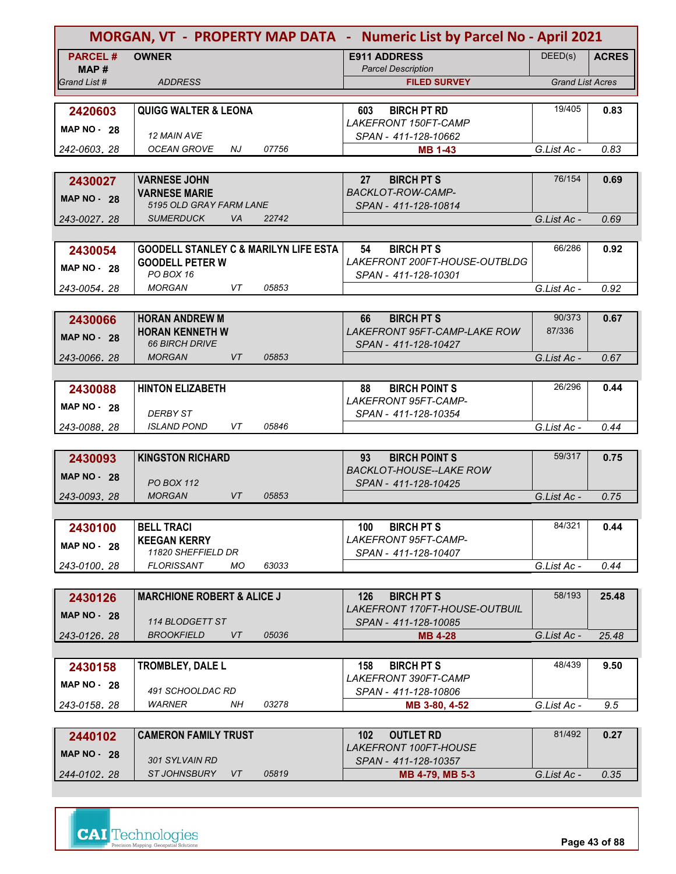|                    |                                                  |       | MORGAN, VT - PROPERTY MAP DATA - Numeric List by Parcel No - April 2021 |                         |              |
|--------------------|--------------------------------------------------|-------|-------------------------------------------------------------------------|-------------------------|--------------|
| <b>PARCEL#</b>     | <b>OWNER</b>                                     |       | <b>E911 ADDRESS</b>                                                     | DEED(s)                 | <b>ACRES</b> |
| MAP#               |                                                  |       | <b>Parcel Description</b>                                               |                         |              |
| Grand List #       | <b>ADDRESS</b>                                   |       | <b>FILED SURVEY</b>                                                     | <b>Grand List Acres</b> |              |
|                    |                                                  |       |                                                                         |                         |              |
| 2420603            | <b>QUIGG WALTER &amp; LEONA</b>                  |       | <b>BIRCH PT RD</b><br>603                                               | 19/405                  | 0.83         |
| <b>MAP NO - 28</b> | 12 MAIN AVE                                      |       | LAKEFRONT 150FT-CAMP<br>SPAN - 411-128-10662                            |                         |              |
| 242-0603, 28       | OCEAN GROVE<br>NJ                                | 07756 | <b>MB 1-43</b>                                                          | G.List Ac -             | 0.83         |
|                    |                                                  |       |                                                                         |                         |              |
| 2430027            | <b>VARNESE JOHN</b>                              |       | <b>BIRCH PT S</b><br>27                                                 | 76/154                  | 0.69         |
|                    | <b>VARNESE MARIE</b>                             |       | <b>BACKLOT-ROW-CAMP-</b>                                                |                         |              |
| <b>MAP NO - 28</b> | 5195 OLD GRAY FARM LANE                          |       | SPAN - 411-128-10814                                                    |                         |              |
| 243-0027, 28       | <b>SUMERDUCK</b><br>VA                           | 22742 |                                                                         | G.List Ac -             | 0.69         |
|                    |                                                  |       |                                                                         |                         |              |
| 2430054            | <b>GOODELL STANLEY C &amp; MARILYN LIFE ESTA</b> |       | 54<br><b>BIRCH PT S</b>                                                 | 66/286                  | 0.92         |
| <b>MAP NO - 28</b> | <b>GOODELL PETER W</b>                           |       | LAKEFRONT 200FT-HOUSE-OUTBLDG                                           |                         |              |
|                    | PO BOX 16                                        |       | SPAN - 411-128-10301                                                    |                         |              |
| 243-0054.28        | VT<br><b>MORGAN</b>                              | 05853 |                                                                         | G.List Ac -             | 0.92         |
|                    |                                                  |       |                                                                         |                         |              |
| 2430066            | <b>HORAN ANDREW M</b>                            |       | <b>BIRCH PT S</b><br>66                                                 | 90/373<br>87/336        | 0.67         |
| <b>MAP NO - 28</b> | <b>HORAN KENNETH W</b><br><b>66 BIRCH DRIVE</b>  |       | <b>LAKEFRONT 95FT-CAMP-LAKE ROW</b><br>SPAN - 411-128-10427             |                         |              |
| 243-0066.28        | <b>MORGAN</b><br><b>VT</b>                       | 05853 |                                                                         | G.List Ac -             | 0.67         |
|                    |                                                  |       |                                                                         |                         |              |
| 2430088            | <b>HINTON ELIZABETH</b>                          |       | 88<br><b>BIRCH POINT S</b>                                              | 26/296                  | 0.44         |
|                    |                                                  |       | LAKEFRONT 95FT-CAMP-                                                    |                         |              |
| <b>MAP NO - 28</b> | <b>DERBY ST</b>                                  |       | SPAN - 411-128-10354                                                    |                         |              |
| 243-0088, 28       | VT<br><b>ISLAND POND</b>                         | 05846 |                                                                         | G.List Ac -             | 0.44         |
|                    |                                                  |       |                                                                         |                         |              |
| 2430093            | <b>KINGSTON RICHARD</b>                          |       | 93<br><b>BIRCH POINT S</b>                                              | 59/317                  | 0.75         |
| <b>MAP NO - 28</b> |                                                  |       | <b>BACKLOT-HOUSE--LAKE ROW</b>                                          |                         |              |
|                    | <b>PO BOX 112</b><br><b>VT</b><br><b>MORGAN</b>  | 05853 | SPAN - 411-128-10425                                                    |                         |              |
| 243-0093, 28       |                                                  |       |                                                                         | G.List Ac -             | 0.75         |
|                    |                                                  |       |                                                                         | 84/321                  |              |
| 2430100            | <b>BELL TRACI</b><br><b>KEEGAN KERRY</b>         |       | <b>BIRCH PT S</b><br>100<br>LAKEFRONT 95FT-CAMP-                        |                         | 0.44         |
| <b>MAP NO - 28</b> | 11820 SHEFFIELD DR                               |       | SPAN - 411-128-10407                                                    |                         |              |
| 243-0100.28        | <b>FLORISSANT</b><br>MO.                         | 63033 |                                                                         | G.List Ac -             | 0.44         |
|                    |                                                  |       |                                                                         |                         |              |
| 2430126            | <b>MARCHIONE ROBERT &amp; ALICE J</b>            |       | 126<br><b>BIRCH PT S</b>                                                | 58/193                  | 25.48        |
| <b>MAP NO - 28</b> |                                                  |       | LAKEFRONT 170FT-HOUSE-OUTBUIL                                           |                         |              |
|                    | 114 BLODGETT ST                                  |       | SPAN - 411-128-10085                                                    |                         |              |
| 243-0126.28        | VT<br><b>BROOKFIELD</b>                          | 05036 | <b>MB 4-28</b>                                                          | G.List Ac -             | 25.48        |
|                    |                                                  |       |                                                                         |                         |              |
| 2430158            | TROMBLEY, DALE L                                 |       | <b>BIRCH PT S</b><br>158                                                | 48/439                  | 9.50         |
| <b>MAP NO - 28</b> | 491 SCHOOLDAC RD                                 |       | LAKEFRONT 390FT-CAMP                                                    |                         |              |
| 243-0158, 28       | WARNER<br>NH                                     | 03278 | SPAN - 411-128-10806<br>MB 3-80, 4-52                                   | G.List Ac -             | 9.5          |
|                    |                                                  |       |                                                                         |                         |              |
| 2440102            | <b>CAMERON FAMILY TRUST</b>                      |       | 102<br><b>OUTLET RD</b>                                                 | 81/492                  | 0.27         |
|                    |                                                  |       | LAKEFRONT 100FT-HOUSE                                                   |                         |              |
| <b>MAP NO - 28</b> | 301 SYLVAIN RD                                   |       | SPAN - 411-128-10357                                                    |                         |              |
| 244-0102.28        | <b>ST JOHNSBURY</b><br>VT                        | 05819 | MB 4-79, MB 5-3                                                         | G.List Ac -             | 0.35         |



**Page 43 of 88**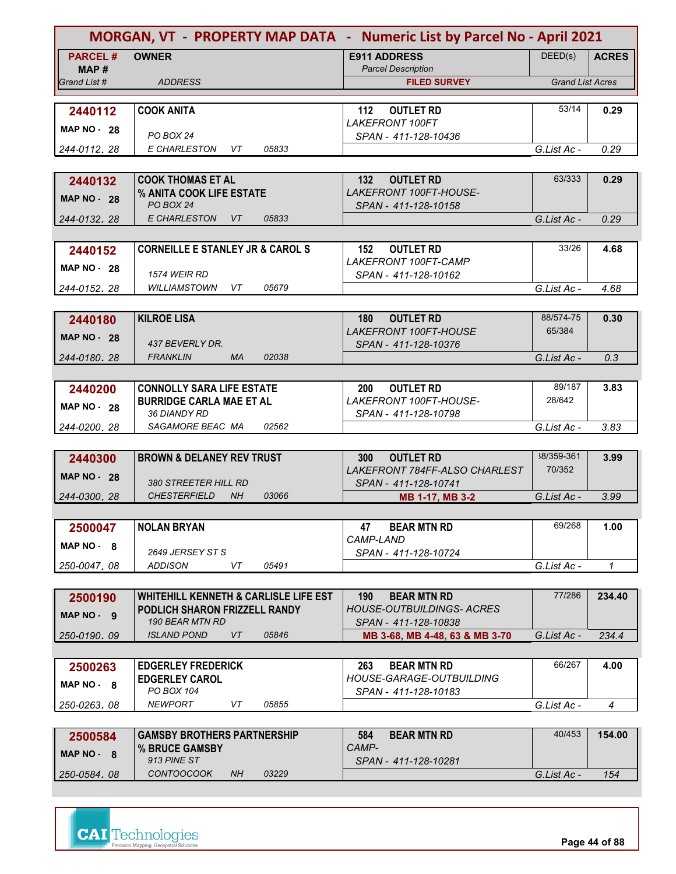| DEED(s)<br><b>PARCEL#</b><br><b>OWNER</b><br><b>E911 ADDRESS</b><br><b>ACRES</b><br><b>Parcel Description</b><br>MAP #<br><b>Grand List Acres</b><br>Grand List #<br><b>ADDRESS</b><br><b>FILED SURVEY</b><br>53/14<br><b>COOK ANITA</b><br>112<br><b>OUTLET RD</b><br>0.29<br>2440112<br><b>LAKEFRONT 100FT</b><br><b>MAP NO - 28</b><br>PO BOX 24<br>SPAN - 411-128-10436<br>E CHARLESTON<br>05833<br>0.29<br>VT<br>G.List Ac -<br>244-0112.28<br>63/333<br><b>COOK THOMAS ET AL</b><br>132<br><b>OUTLET RD</b><br>0.29<br>2440132<br>LAKEFRONT 100FT-HOUSE-<br>% ANITA COOK LIFE ESTATE<br><b>MAP NO - 28</b><br>PO BOX 24<br>SPAN - 411-128-10158<br>E CHARLESTON<br>VT<br>05833<br>G.List Ac -<br>0.29<br>244-0132, 28<br>33/26<br><b>CORNEILLE E STANLEY JR &amp; CAROL S</b><br><b>OUTLET RD</b><br>152<br>4.68<br>2440152<br><b>LAKEFRONT 100FT-CAMP</b><br>MAP $NO - 28$<br><b>1574 WEIR RD</b><br>SPAN - 411-128-10162<br>05679<br><b>WILLIAMSTOWN VT</b><br>4.68<br>G.List Ac -<br>244-0152.28<br>88/574-75<br><b>KILROE LISA</b><br>0.30<br><b>OUTLET RD</b><br>180<br>2440180<br>65/384<br>LAKEFRONT 100FT-HOUSE<br><b>MAP NO - 28</b><br>437 BEVERLY DR.<br>SPAN - 411-128-10376<br><b>FRANKLIN</b><br><b>MA</b><br>02038<br>G.List Ac -<br>0.3<br>244-0180.28<br>89/187<br><b>CONNOLLY SARA LIFE ESTATE</b><br><b>OUTLET RD</b><br>200<br>3.83<br>2440200<br>LAKEFRONT 100FT-HOUSE-<br>28/642<br><b>BURRIDGE CARLA MAE ET AL</b><br><b>MAP NO - 28</b><br><b>36 DIANDY RD</b><br>SPAN - 411-128-10798<br>SAGAMORE BEAC MA<br>02562<br>G.List Ac -<br>3.83<br>244-0200, 28<br>38/359-361<br><b>BROWN &amp; DELANEY REV TRUST</b><br><b>OUTLET RD</b><br>3.99<br>2440300<br><b>300</b><br>70/352<br>LAKEFRONT 784FF-ALSO CHARLEST<br><b>MAP NO - 28</b><br><b>380 STREETER HILL RD</b><br>SPAN - 411-128-10741<br><b>CHESTERFIELD</b><br><b>NH</b><br>03066<br>G.List Ac -<br>3.99<br>244-0300, 28<br>MB 1-17, MB 3-2<br>69/268<br><b>NOLAN BRYAN</b><br><b>BEAR MTN RD</b><br>47<br>1.00<br>2500047<br>CAMP-LAND<br>$MAP NO - 8$<br>2649 JERSEY ST S<br>SPAN - 411-128-10724<br><b>ADDISON</b><br>VT<br>05491<br>G.List Ac -<br>$\mathbf{1}$<br>250-0047.08<br>77/286<br><b>WHITEHILL KENNETH &amp; CARLISLE LIFE EST</b><br>190<br><b>BEAR MTN RD</b><br>234.40<br>2500190<br><b>HOUSE-OUTBUILDINGS- ACRES</b><br>PODLICH SHARON FRIZZELL RANDY<br>$MAP NO - 9$<br>190 BEAR MTN RD<br>SPAN - 411-128-10838<br><b>ISLAND POND</b><br>VT<br>05846<br>G.List Ac -<br>250-0190.09<br>MB 3-68, MB 4-48, 63 & MB 3-70<br>234.4<br>66/267<br><b>EDGERLEY FREDERICK</b><br>263<br><b>BEAR MTN RD</b><br>4.00<br>2500263<br>HOUSE-GARAGE-OUTBUILDING<br><b>EDGERLEY CAROL</b><br>$MAP NO - 8$<br>PO BOX 104<br>SPAN - 411-128-10183<br><b>NEWPORT</b><br>VT<br>05855<br>G.List Ac -<br>$\overline{4}$<br>250-0263,08<br>40/453<br><b>GAMSBY BROTHERS PARTNERSHIP</b><br><b>BEAR MTN RD</b><br>154.00<br>584<br>2500584<br>CAMP-<br>% BRUCE GAMSBY<br>$MAP NO - 8$<br>913 PINE ST<br>SPAN - 411-128-10281<br><b>CONTOOCOOK</b><br>03229<br>NH.<br>250-0584, 08<br>G.List Ac -<br>154 | MORGAN, VT - PROPERTY MAP DATA - Numeric List by Parcel No - April 2021 |  |  |
|-------------------------------------------------------------------------------------------------------------------------------------------------------------------------------------------------------------------------------------------------------------------------------------------------------------------------------------------------------------------------------------------------------------------------------------------------------------------------------------------------------------------------------------------------------------------------------------------------------------------------------------------------------------------------------------------------------------------------------------------------------------------------------------------------------------------------------------------------------------------------------------------------------------------------------------------------------------------------------------------------------------------------------------------------------------------------------------------------------------------------------------------------------------------------------------------------------------------------------------------------------------------------------------------------------------------------------------------------------------------------------------------------------------------------------------------------------------------------------------------------------------------------------------------------------------------------------------------------------------------------------------------------------------------------------------------------------------------------------------------------------------------------------------------------------------------------------------------------------------------------------------------------------------------------------------------------------------------------------------------------------------------------------------------------------------------------------------------------------------------------------------------------------------------------------------------------------------------------------------------------------------------------------------------------------------------------------------------------------------------------------------------------------------------------------------------------------------------------------------------------------------------------------------------------------------------------------------------------------------------------------------------------------------------------------------------------------------------------------------------------------------------------------------------------------------------------------------------------------------------------------------------------------------------------------------------------------------------------------------------------------------------------------------------------------------------------------------------|-------------------------------------------------------------------------|--|--|
|                                                                                                                                                                                                                                                                                                                                                                                                                                                                                                                                                                                                                                                                                                                                                                                                                                                                                                                                                                                                                                                                                                                                                                                                                                                                                                                                                                                                                                                                                                                                                                                                                                                                                                                                                                                                                                                                                                                                                                                                                                                                                                                                                                                                                                                                                                                                                                                                                                                                                                                                                                                                                                                                                                                                                                                                                                                                                                                                                                                                                                                                                           |                                                                         |  |  |
|                                                                                                                                                                                                                                                                                                                                                                                                                                                                                                                                                                                                                                                                                                                                                                                                                                                                                                                                                                                                                                                                                                                                                                                                                                                                                                                                                                                                                                                                                                                                                                                                                                                                                                                                                                                                                                                                                                                                                                                                                                                                                                                                                                                                                                                                                                                                                                                                                                                                                                                                                                                                                                                                                                                                                                                                                                                                                                                                                                                                                                                                                           |                                                                         |  |  |
|                                                                                                                                                                                                                                                                                                                                                                                                                                                                                                                                                                                                                                                                                                                                                                                                                                                                                                                                                                                                                                                                                                                                                                                                                                                                                                                                                                                                                                                                                                                                                                                                                                                                                                                                                                                                                                                                                                                                                                                                                                                                                                                                                                                                                                                                                                                                                                                                                                                                                                                                                                                                                                                                                                                                                                                                                                                                                                                                                                                                                                                                                           |                                                                         |  |  |
|                                                                                                                                                                                                                                                                                                                                                                                                                                                                                                                                                                                                                                                                                                                                                                                                                                                                                                                                                                                                                                                                                                                                                                                                                                                                                                                                                                                                                                                                                                                                                                                                                                                                                                                                                                                                                                                                                                                                                                                                                                                                                                                                                                                                                                                                                                                                                                                                                                                                                                                                                                                                                                                                                                                                                                                                                                                                                                                                                                                                                                                                                           |                                                                         |  |  |
|                                                                                                                                                                                                                                                                                                                                                                                                                                                                                                                                                                                                                                                                                                                                                                                                                                                                                                                                                                                                                                                                                                                                                                                                                                                                                                                                                                                                                                                                                                                                                                                                                                                                                                                                                                                                                                                                                                                                                                                                                                                                                                                                                                                                                                                                                                                                                                                                                                                                                                                                                                                                                                                                                                                                                                                                                                                                                                                                                                                                                                                                                           |                                                                         |  |  |
|                                                                                                                                                                                                                                                                                                                                                                                                                                                                                                                                                                                                                                                                                                                                                                                                                                                                                                                                                                                                                                                                                                                                                                                                                                                                                                                                                                                                                                                                                                                                                                                                                                                                                                                                                                                                                                                                                                                                                                                                                                                                                                                                                                                                                                                                                                                                                                                                                                                                                                                                                                                                                                                                                                                                                                                                                                                                                                                                                                                                                                                                                           |                                                                         |  |  |
|                                                                                                                                                                                                                                                                                                                                                                                                                                                                                                                                                                                                                                                                                                                                                                                                                                                                                                                                                                                                                                                                                                                                                                                                                                                                                                                                                                                                                                                                                                                                                                                                                                                                                                                                                                                                                                                                                                                                                                                                                                                                                                                                                                                                                                                                                                                                                                                                                                                                                                                                                                                                                                                                                                                                                                                                                                                                                                                                                                                                                                                                                           |                                                                         |  |  |
|                                                                                                                                                                                                                                                                                                                                                                                                                                                                                                                                                                                                                                                                                                                                                                                                                                                                                                                                                                                                                                                                                                                                                                                                                                                                                                                                                                                                                                                                                                                                                                                                                                                                                                                                                                                                                                                                                                                                                                                                                                                                                                                                                                                                                                                                                                                                                                                                                                                                                                                                                                                                                                                                                                                                                                                                                                                                                                                                                                                                                                                                                           |                                                                         |  |  |
|                                                                                                                                                                                                                                                                                                                                                                                                                                                                                                                                                                                                                                                                                                                                                                                                                                                                                                                                                                                                                                                                                                                                                                                                                                                                                                                                                                                                                                                                                                                                                                                                                                                                                                                                                                                                                                                                                                                                                                                                                                                                                                                                                                                                                                                                                                                                                                                                                                                                                                                                                                                                                                                                                                                                                                                                                                                                                                                                                                                                                                                                                           |                                                                         |  |  |
|                                                                                                                                                                                                                                                                                                                                                                                                                                                                                                                                                                                                                                                                                                                                                                                                                                                                                                                                                                                                                                                                                                                                                                                                                                                                                                                                                                                                                                                                                                                                                                                                                                                                                                                                                                                                                                                                                                                                                                                                                                                                                                                                                                                                                                                                                                                                                                                                                                                                                                                                                                                                                                                                                                                                                                                                                                                                                                                                                                                                                                                                                           |                                                                         |  |  |
|                                                                                                                                                                                                                                                                                                                                                                                                                                                                                                                                                                                                                                                                                                                                                                                                                                                                                                                                                                                                                                                                                                                                                                                                                                                                                                                                                                                                                                                                                                                                                                                                                                                                                                                                                                                                                                                                                                                                                                                                                                                                                                                                                                                                                                                                                                                                                                                                                                                                                                                                                                                                                                                                                                                                                                                                                                                                                                                                                                                                                                                                                           |                                                                         |  |  |
|                                                                                                                                                                                                                                                                                                                                                                                                                                                                                                                                                                                                                                                                                                                                                                                                                                                                                                                                                                                                                                                                                                                                                                                                                                                                                                                                                                                                                                                                                                                                                                                                                                                                                                                                                                                                                                                                                                                                                                                                                                                                                                                                                                                                                                                                                                                                                                                                                                                                                                                                                                                                                                                                                                                                                                                                                                                                                                                                                                                                                                                                                           |                                                                         |  |  |
|                                                                                                                                                                                                                                                                                                                                                                                                                                                                                                                                                                                                                                                                                                                                                                                                                                                                                                                                                                                                                                                                                                                                                                                                                                                                                                                                                                                                                                                                                                                                                                                                                                                                                                                                                                                                                                                                                                                                                                                                                                                                                                                                                                                                                                                                                                                                                                                                                                                                                                                                                                                                                                                                                                                                                                                                                                                                                                                                                                                                                                                                                           |                                                                         |  |  |
|                                                                                                                                                                                                                                                                                                                                                                                                                                                                                                                                                                                                                                                                                                                                                                                                                                                                                                                                                                                                                                                                                                                                                                                                                                                                                                                                                                                                                                                                                                                                                                                                                                                                                                                                                                                                                                                                                                                                                                                                                                                                                                                                                                                                                                                                                                                                                                                                                                                                                                                                                                                                                                                                                                                                                                                                                                                                                                                                                                                                                                                                                           |                                                                         |  |  |
|                                                                                                                                                                                                                                                                                                                                                                                                                                                                                                                                                                                                                                                                                                                                                                                                                                                                                                                                                                                                                                                                                                                                                                                                                                                                                                                                                                                                                                                                                                                                                                                                                                                                                                                                                                                                                                                                                                                                                                                                                                                                                                                                                                                                                                                                                                                                                                                                                                                                                                                                                                                                                                                                                                                                                                                                                                                                                                                                                                                                                                                                                           |                                                                         |  |  |
|                                                                                                                                                                                                                                                                                                                                                                                                                                                                                                                                                                                                                                                                                                                                                                                                                                                                                                                                                                                                                                                                                                                                                                                                                                                                                                                                                                                                                                                                                                                                                                                                                                                                                                                                                                                                                                                                                                                                                                                                                                                                                                                                                                                                                                                                                                                                                                                                                                                                                                                                                                                                                                                                                                                                                                                                                                                                                                                                                                                                                                                                                           |                                                                         |  |  |
|                                                                                                                                                                                                                                                                                                                                                                                                                                                                                                                                                                                                                                                                                                                                                                                                                                                                                                                                                                                                                                                                                                                                                                                                                                                                                                                                                                                                                                                                                                                                                                                                                                                                                                                                                                                                                                                                                                                                                                                                                                                                                                                                                                                                                                                                                                                                                                                                                                                                                                                                                                                                                                                                                                                                                                                                                                                                                                                                                                                                                                                                                           |                                                                         |  |  |
|                                                                                                                                                                                                                                                                                                                                                                                                                                                                                                                                                                                                                                                                                                                                                                                                                                                                                                                                                                                                                                                                                                                                                                                                                                                                                                                                                                                                                                                                                                                                                                                                                                                                                                                                                                                                                                                                                                                                                                                                                                                                                                                                                                                                                                                                                                                                                                                                                                                                                                                                                                                                                                                                                                                                                                                                                                                                                                                                                                                                                                                                                           |                                                                         |  |  |
|                                                                                                                                                                                                                                                                                                                                                                                                                                                                                                                                                                                                                                                                                                                                                                                                                                                                                                                                                                                                                                                                                                                                                                                                                                                                                                                                                                                                                                                                                                                                                                                                                                                                                                                                                                                                                                                                                                                                                                                                                                                                                                                                                                                                                                                                                                                                                                                                                                                                                                                                                                                                                                                                                                                                                                                                                                                                                                                                                                                                                                                                                           |                                                                         |  |  |
|                                                                                                                                                                                                                                                                                                                                                                                                                                                                                                                                                                                                                                                                                                                                                                                                                                                                                                                                                                                                                                                                                                                                                                                                                                                                                                                                                                                                                                                                                                                                                                                                                                                                                                                                                                                                                                                                                                                                                                                                                                                                                                                                                                                                                                                                                                                                                                                                                                                                                                                                                                                                                                                                                                                                                                                                                                                                                                                                                                                                                                                                                           |                                                                         |  |  |
|                                                                                                                                                                                                                                                                                                                                                                                                                                                                                                                                                                                                                                                                                                                                                                                                                                                                                                                                                                                                                                                                                                                                                                                                                                                                                                                                                                                                                                                                                                                                                                                                                                                                                                                                                                                                                                                                                                                                                                                                                                                                                                                                                                                                                                                                                                                                                                                                                                                                                                                                                                                                                                                                                                                                                                                                                                                                                                                                                                                                                                                                                           |                                                                         |  |  |
|                                                                                                                                                                                                                                                                                                                                                                                                                                                                                                                                                                                                                                                                                                                                                                                                                                                                                                                                                                                                                                                                                                                                                                                                                                                                                                                                                                                                                                                                                                                                                                                                                                                                                                                                                                                                                                                                                                                                                                                                                                                                                                                                                                                                                                                                                                                                                                                                                                                                                                                                                                                                                                                                                                                                                                                                                                                                                                                                                                                                                                                                                           |                                                                         |  |  |
|                                                                                                                                                                                                                                                                                                                                                                                                                                                                                                                                                                                                                                                                                                                                                                                                                                                                                                                                                                                                                                                                                                                                                                                                                                                                                                                                                                                                                                                                                                                                                                                                                                                                                                                                                                                                                                                                                                                                                                                                                                                                                                                                                                                                                                                                                                                                                                                                                                                                                                                                                                                                                                                                                                                                                                                                                                                                                                                                                                                                                                                                                           |                                                                         |  |  |
|                                                                                                                                                                                                                                                                                                                                                                                                                                                                                                                                                                                                                                                                                                                                                                                                                                                                                                                                                                                                                                                                                                                                                                                                                                                                                                                                                                                                                                                                                                                                                                                                                                                                                                                                                                                                                                                                                                                                                                                                                                                                                                                                                                                                                                                                                                                                                                                                                                                                                                                                                                                                                                                                                                                                                                                                                                                                                                                                                                                                                                                                                           |                                                                         |  |  |
|                                                                                                                                                                                                                                                                                                                                                                                                                                                                                                                                                                                                                                                                                                                                                                                                                                                                                                                                                                                                                                                                                                                                                                                                                                                                                                                                                                                                                                                                                                                                                                                                                                                                                                                                                                                                                                                                                                                                                                                                                                                                                                                                                                                                                                                                                                                                                                                                                                                                                                                                                                                                                                                                                                                                                                                                                                                                                                                                                                                                                                                                                           |                                                                         |  |  |
|                                                                                                                                                                                                                                                                                                                                                                                                                                                                                                                                                                                                                                                                                                                                                                                                                                                                                                                                                                                                                                                                                                                                                                                                                                                                                                                                                                                                                                                                                                                                                                                                                                                                                                                                                                                                                                                                                                                                                                                                                                                                                                                                                                                                                                                                                                                                                                                                                                                                                                                                                                                                                                                                                                                                                                                                                                                                                                                                                                                                                                                                                           |                                                                         |  |  |
|                                                                                                                                                                                                                                                                                                                                                                                                                                                                                                                                                                                                                                                                                                                                                                                                                                                                                                                                                                                                                                                                                                                                                                                                                                                                                                                                                                                                                                                                                                                                                                                                                                                                                                                                                                                                                                                                                                                                                                                                                                                                                                                                                                                                                                                                                                                                                                                                                                                                                                                                                                                                                                                                                                                                                                                                                                                                                                                                                                                                                                                                                           |                                                                         |  |  |
|                                                                                                                                                                                                                                                                                                                                                                                                                                                                                                                                                                                                                                                                                                                                                                                                                                                                                                                                                                                                                                                                                                                                                                                                                                                                                                                                                                                                                                                                                                                                                                                                                                                                                                                                                                                                                                                                                                                                                                                                                                                                                                                                                                                                                                                                                                                                                                                                                                                                                                                                                                                                                                                                                                                                                                                                                                                                                                                                                                                                                                                                                           |                                                                         |  |  |
|                                                                                                                                                                                                                                                                                                                                                                                                                                                                                                                                                                                                                                                                                                                                                                                                                                                                                                                                                                                                                                                                                                                                                                                                                                                                                                                                                                                                                                                                                                                                                                                                                                                                                                                                                                                                                                                                                                                                                                                                                                                                                                                                                                                                                                                                                                                                                                                                                                                                                                                                                                                                                                                                                                                                                                                                                                                                                                                                                                                                                                                                                           |                                                                         |  |  |
|                                                                                                                                                                                                                                                                                                                                                                                                                                                                                                                                                                                                                                                                                                                                                                                                                                                                                                                                                                                                                                                                                                                                                                                                                                                                                                                                                                                                                                                                                                                                                                                                                                                                                                                                                                                                                                                                                                                                                                                                                                                                                                                                                                                                                                                                                                                                                                                                                                                                                                                                                                                                                                                                                                                                                                                                                                                                                                                                                                                                                                                                                           |                                                                         |  |  |
|                                                                                                                                                                                                                                                                                                                                                                                                                                                                                                                                                                                                                                                                                                                                                                                                                                                                                                                                                                                                                                                                                                                                                                                                                                                                                                                                                                                                                                                                                                                                                                                                                                                                                                                                                                                                                                                                                                                                                                                                                                                                                                                                                                                                                                                                                                                                                                                                                                                                                                                                                                                                                                                                                                                                                                                                                                                                                                                                                                                                                                                                                           |                                                                         |  |  |
|                                                                                                                                                                                                                                                                                                                                                                                                                                                                                                                                                                                                                                                                                                                                                                                                                                                                                                                                                                                                                                                                                                                                                                                                                                                                                                                                                                                                                                                                                                                                                                                                                                                                                                                                                                                                                                                                                                                                                                                                                                                                                                                                                                                                                                                                                                                                                                                                                                                                                                                                                                                                                                                                                                                                                                                                                                                                                                                                                                                                                                                                                           |                                                                         |  |  |
|                                                                                                                                                                                                                                                                                                                                                                                                                                                                                                                                                                                                                                                                                                                                                                                                                                                                                                                                                                                                                                                                                                                                                                                                                                                                                                                                                                                                                                                                                                                                                                                                                                                                                                                                                                                                                                                                                                                                                                                                                                                                                                                                                                                                                                                                                                                                                                                                                                                                                                                                                                                                                                                                                                                                                                                                                                                                                                                                                                                                                                                                                           |                                                                         |  |  |
|                                                                                                                                                                                                                                                                                                                                                                                                                                                                                                                                                                                                                                                                                                                                                                                                                                                                                                                                                                                                                                                                                                                                                                                                                                                                                                                                                                                                                                                                                                                                                                                                                                                                                                                                                                                                                                                                                                                                                                                                                                                                                                                                                                                                                                                                                                                                                                                                                                                                                                                                                                                                                                                                                                                                                                                                                                                                                                                                                                                                                                                                                           |                                                                         |  |  |
|                                                                                                                                                                                                                                                                                                                                                                                                                                                                                                                                                                                                                                                                                                                                                                                                                                                                                                                                                                                                                                                                                                                                                                                                                                                                                                                                                                                                                                                                                                                                                                                                                                                                                                                                                                                                                                                                                                                                                                                                                                                                                                                                                                                                                                                                                                                                                                                                                                                                                                                                                                                                                                                                                                                                                                                                                                                                                                                                                                                                                                                                                           |                                                                         |  |  |
|                                                                                                                                                                                                                                                                                                                                                                                                                                                                                                                                                                                                                                                                                                                                                                                                                                                                                                                                                                                                                                                                                                                                                                                                                                                                                                                                                                                                                                                                                                                                                                                                                                                                                                                                                                                                                                                                                                                                                                                                                                                                                                                                                                                                                                                                                                                                                                                                                                                                                                                                                                                                                                                                                                                                                                                                                                                                                                                                                                                                                                                                                           |                                                                         |  |  |
|                                                                                                                                                                                                                                                                                                                                                                                                                                                                                                                                                                                                                                                                                                                                                                                                                                                                                                                                                                                                                                                                                                                                                                                                                                                                                                                                                                                                                                                                                                                                                                                                                                                                                                                                                                                                                                                                                                                                                                                                                                                                                                                                                                                                                                                                                                                                                                                                                                                                                                                                                                                                                                                                                                                                                                                                                                                                                                                                                                                                                                                                                           |                                                                         |  |  |
|                                                                                                                                                                                                                                                                                                                                                                                                                                                                                                                                                                                                                                                                                                                                                                                                                                                                                                                                                                                                                                                                                                                                                                                                                                                                                                                                                                                                                                                                                                                                                                                                                                                                                                                                                                                                                                                                                                                                                                                                                                                                                                                                                                                                                                                                                                                                                                                                                                                                                                                                                                                                                                                                                                                                                                                                                                                                                                                                                                                                                                                                                           |                                                                         |  |  |
|                                                                                                                                                                                                                                                                                                                                                                                                                                                                                                                                                                                                                                                                                                                                                                                                                                                                                                                                                                                                                                                                                                                                                                                                                                                                                                                                                                                                                                                                                                                                                                                                                                                                                                                                                                                                                                                                                                                                                                                                                                                                                                                                                                                                                                                                                                                                                                                                                                                                                                                                                                                                                                                                                                                                                                                                                                                                                                                                                                                                                                                                                           |                                                                         |  |  |
|                                                                                                                                                                                                                                                                                                                                                                                                                                                                                                                                                                                                                                                                                                                                                                                                                                                                                                                                                                                                                                                                                                                                                                                                                                                                                                                                                                                                                                                                                                                                                                                                                                                                                                                                                                                                                                                                                                                                                                                                                                                                                                                                                                                                                                                                                                                                                                                                                                                                                                                                                                                                                                                                                                                                                                                                                                                                                                                                                                                                                                                                                           |                                                                         |  |  |
|                                                                                                                                                                                                                                                                                                                                                                                                                                                                                                                                                                                                                                                                                                                                                                                                                                                                                                                                                                                                                                                                                                                                                                                                                                                                                                                                                                                                                                                                                                                                                                                                                                                                                                                                                                                                                                                                                                                                                                                                                                                                                                                                                                                                                                                                                                                                                                                                                                                                                                                                                                                                                                                                                                                                                                                                                                                                                                                                                                                                                                                                                           |                                                                         |  |  |
|                                                                                                                                                                                                                                                                                                                                                                                                                                                                                                                                                                                                                                                                                                                                                                                                                                                                                                                                                                                                                                                                                                                                                                                                                                                                                                                                                                                                                                                                                                                                                                                                                                                                                                                                                                                                                                                                                                                                                                                                                                                                                                                                                                                                                                                                                                                                                                                                                                                                                                                                                                                                                                                                                                                                                                                                                                                                                                                                                                                                                                                                                           |                                                                         |  |  |
|                                                                                                                                                                                                                                                                                                                                                                                                                                                                                                                                                                                                                                                                                                                                                                                                                                                                                                                                                                                                                                                                                                                                                                                                                                                                                                                                                                                                                                                                                                                                                                                                                                                                                                                                                                                                                                                                                                                                                                                                                                                                                                                                                                                                                                                                                                                                                                                                                                                                                                                                                                                                                                                                                                                                                                                                                                                                                                                                                                                                                                                                                           |                                                                         |  |  |
|                                                                                                                                                                                                                                                                                                                                                                                                                                                                                                                                                                                                                                                                                                                                                                                                                                                                                                                                                                                                                                                                                                                                                                                                                                                                                                                                                                                                                                                                                                                                                                                                                                                                                                                                                                                                                                                                                                                                                                                                                                                                                                                                                                                                                                                                                                                                                                                                                                                                                                                                                                                                                                                                                                                                                                                                                                                                                                                                                                                                                                                                                           |                                                                         |  |  |
|                                                                                                                                                                                                                                                                                                                                                                                                                                                                                                                                                                                                                                                                                                                                                                                                                                                                                                                                                                                                                                                                                                                                                                                                                                                                                                                                                                                                                                                                                                                                                                                                                                                                                                                                                                                                                                                                                                                                                                                                                                                                                                                                                                                                                                                                                                                                                                                                                                                                                                                                                                                                                                                                                                                                                                                                                                                                                                                                                                                                                                                                                           |                                                                         |  |  |
|                                                                                                                                                                                                                                                                                                                                                                                                                                                                                                                                                                                                                                                                                                                                                                                                                                                                                                                                                                                                                                                                                                                                                                                                                                                                                                                                                                                                                                                                                                                                                                                                                                                                                                                                                                                                                                                                                                                                                                                                                                                                                                                                                                                                                                                                                                                                                                                                                                                                                                                                                                                                                                                                                                                                                                                                                                                                                                                                                                                                                                                                                           |                                                                         |  |  |
|                                                                                                                                                                                                                                                                                                                                                                                                                                                                                                                                                                                                                                                                                                                                                                                                                                                                                                                                                                                                                                                                                                                                                                                                                                                                                                                                                                                                                                                                                                                                                                                                                                                                                                                                                                                                                                                                                                                                                                                                                                                                                                                                                                                                                                                                                                                                                                                                                                                                                                                                                                                                                                                                                                                                                                                                                                                                                                                                                                                                                                                                                           |                                                                         |  |  |
|                                                                                                                                                                                                                                                                                                                                                                                                                                                                                                                                                                                                                                                                                                                                                                                                                                                                                                                                                                                                                                                                                                                                                                                                                                                                                                                                                                                                                                                                                                                                                                                                                                                                                                                                                                                                                                                                                                                                                                                                                                                                                                                                                                                                                                                                                                                                                                                                                                                                                                                                                                                                                                                                                                                                                                                                                                                                                                                                                                                                                                                                                           |                                                                         |  |  |
|                                                                                                                                                                                                                                                                                                                                                                                                                                                                                                                                                                                                                                                                                                                                                                                                                                                                                                                                                                                                                                                                                                                                                                                                                                                                                                                                                                                                                                                                                                                                                                                                                                                                                                                                                                                                                                                                                                                                                                                                                                                                                                                                                                                                                                                                                                                                                                                                                                                                                                                                                                                                                                                                                                                                                                                                                                                                                                                                                                                                                                                                                           |                                                                         |  |  |



**Page 44 of 88**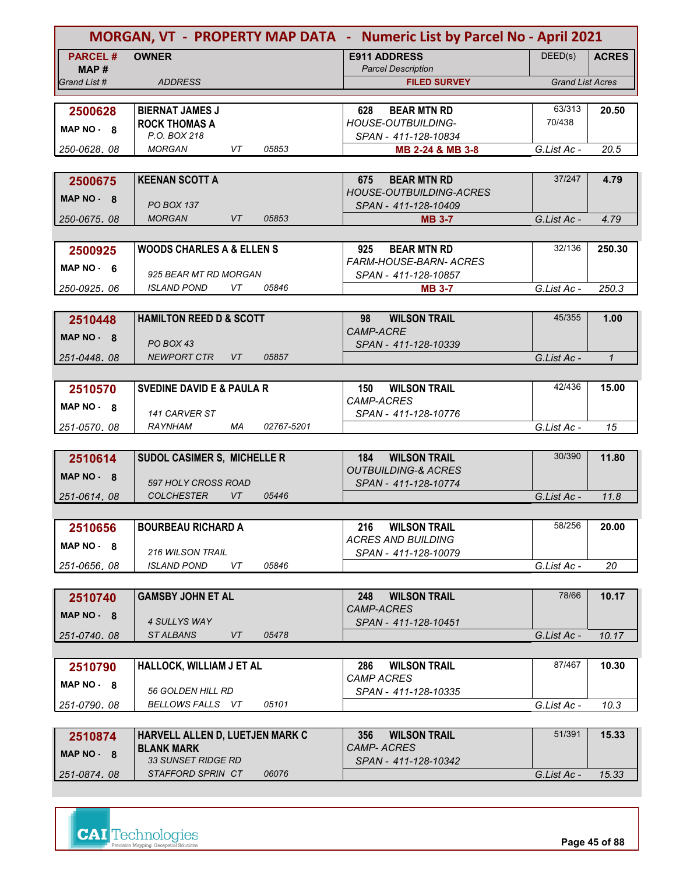|                         |                                                     | MORGAN, VT - PROPERTY MAP DATA - Numeric List by Parcel No - April 2021 |                         |              |
|-------------------------|-----------------------------------------------------|-------------------------------------------------------------------------|-------------------------|--------------|
| <b>PARCEL#</b><br>MAP # | <b>OWNER</b>                                        | <b>E911 ADDRESS</b><br><b>Parcel Description</b>                        | DEED(s)                 | <b>ACRES</b> |
| Grand List #            | <b>ADDRESS</b>                                      | <b>FILED SURVEY</b>                                                     | <b>Grand List Acres</b> |              |
|                         |                                                     |                                                                         |                         |              |
| 2500628                 | <b>BIERNAT JAMES J</b>                              | <b>BEAR MTN RD</b><br>628                                               | 63/313                  | 20.50        |
| MAP NO - 8              | <b>ROCK THOMAS A</b><br>P.O. BOX 218                | HOUSE-OUTBUILDING-                                                      | 70/438                  |              |
| 250-0628.08             | <b>MORGAN</b><br>VT<br>05853                        | SPAN - 411-128-10834<br>MB 2-24 & MB 3-8                                | G.List Ac -             | 20.5         |
|                         |                                                     |                                                                         |                         |              |
| 2500675                 | <b>KEENAN SCOTT A</b>                               | <b>BEAR MTN RD</b><br>675                                               | 37/247                  | 4.79         |
|                         |                                                     | <b>HOUSE-OUTBUILDING-ACRES</b>                                          |                         |              |
| MAP NO - 8              | <b>PO BOX 137</b>                                   | SPAN - 411-128-10409                                                    |                         |              |
| 250-0675, 08            | <b>MORGAN</b><br>VT<br>05853                        | <b>MB 3-7</b>                                                           | G.List Ac -             | 4.79         |
|                         |                                                     |                                                                         |                         |              |
| 2500925                 | <b>WOODS CHARLES A &amp; ELLEN S</b>                | 925<br><b>BEAR MTN RD</b>                                               | 32/136                  | 250.30       |
| MAP $NO - 6$            | 925 BEAR MT RD MORGAN                               | <b>FARM-HOUSE-BARN- ACRES</b>                                           |                         |              |
| 250-0925.06             | <b>ISLAND POND</b><br>VT.<br>05846                  | SPAN - 411-128-10857<br><b>MB 3-7</b>                                   | G.List Ac -             | 250.3        |
|                         |                                                     |                                                                         |                         |              |
| 2510448                 | <b>HAMILTON REED D &amp; SCOTT</b>                  | <b>WILSON TRAIL</b><br>98                                               | 45/355                  | 1.00         |
|                         |                                                     | <b>CAMP-ACRE</b>                                                        |                         |              |
| MAP NO - 8              | PO BOX 43                                           | SPAN - 411-128-10339                                                    |                         |              |
| 251-0448.08             | <b>NEWPORT CTR</b><br>VT<br>05857                   |                                                                         | G.List Ac -             | $\mathbf{1}$ |
|                         |                                                     |                                                                         |                         |              |
| 2510570                 | <b>SVEDINE DAVID E &amp; PAULA R</b>                | <b>WILSON TRAIL</b><br>150                                              | 42/436                  | 15.00        |
| MAP NO 8                |                                                     | <b>CAMP-ACRES</b>                                                       |                         |              |
| 251-0570.08             | 141 CARVER ST<br><b>RAYNHAM</b><br>МA<br>02767-5201 | SPAN - 411-128-10776                                                    | G.List Ac -             | 15           |
|                         |                                                     |                                                                         |                         |              |
| 2510614                 | SUDOL CASIMER S, MICHELLE R                         | <b>WILSON TRAIL</b><br>184                                              | 30/390                  | 11.80        |
| $MAP NO - 8$            |                                                     | <b>OUTBUILDING-&amp; ACRES</b>                                          |                         |              |
|                         | 597 HOLY CROSS ROAD                                 | SPAN - 411-128-10774                                                    |                         |              |
| 251-0614.08             | COLCHESTER<br>VT<br>05446                           |                                                                         | G.List Ac -             | 11.8         |
|                         |                                                     |                                                                         |                         |              |
| 2510656                 | <b>BOURBEAU RICHARD A</b>                           | <b>WILSON TRAIL</b><br>216<br><b>ACRES AND BUILDING</b>                 | 58/256                  | 20.00        |
| $MAP NO - R$            | 216 WILSON TRAIL                                    | SPAN - 411-128-10079                                                    |                         |              |
| 251-0656.08             | VT<br><b>ISLAND POND</b><br>05846                   |                                                                         | G.List Ac -             | 20           |
|                         |                                                     |                                                                         |                         |              |
| 2510740                 | <b>GAMSBY JOHN ET AL</b>                            | <b>WILSON TRAIL</b><br>248                                              | 78/66                   | 10.17        |
| MAP NO - 8              |                                                     | <b>CAMP-ACRES</b>                                                       |                         |              |
|                         | 4 SULLYS WAY                                        | SPAN - 411-128-10451                                                    |                         |              |
| 251-0740.08             | ST ALBANS<br>VT<br>05478                            |                                                                         | G.List Ac -             | 10.17        |
|                         |                                                     |                                                                         |                         |              |
| 2510790                 | HALLOCK, WILLIAM J ET AL                            | 286<br><b>WILSON TRAIL</b><br><b>CAMP ACRES</b>                         | 87/467                  | 10.30        |
| MAP NO - 8              | 56 GOLDEN HILL RD                                   | SPAN - 411-128-10335                                                    |                         |              |
| 251-0790.08             | BELLOWS FALLS VT<br>05101                           |                                                                         | G.List Ac -             | 10.3         |
|                         |                                                     |                                                                         |                         |              |
| 2510874                 | HARVELL ALLEN D, LUETJEN MARK C                     | <b>WILSON TRAIL</b><br>356                                              | 51/391                  | 15.33        |
| MAP NO - 8              | <b>BLANK MARK</b>                                   | <b>CAMP-ACRES</b>                                                       |                         |              |
|                         | 33 SUNSET RIDGE RD                                  | SPAN - 411-128-10342                                                    |                         |              |
| 251-0874.08             | STAFFORD SPRIN CT<br>06076                          |                                                                         | G.List Ac -             | 15.33        |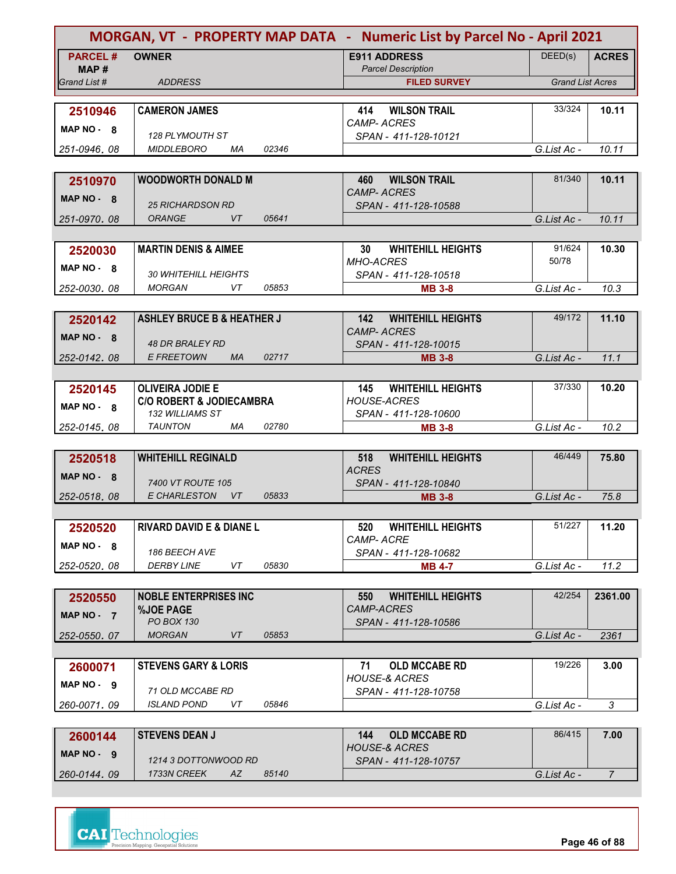| MORGAN, VT - PROPERTY MAP DATA - Numeric List by Parcel No - April 2021 |                                       |       |                                                         |                         |                |
|-------------------------------------------------------------------------|---------------------------------------|-------|---------------------------------------------------------|-------------------------|----------------|
| <b>PARCEL#</b>                                                          | <b>OWNER</b>                          |       | <b>E911 ADDRESS</b>                                     | DEED(s)                 | <b>ACRES</b>   |
| MAP #                                                                   |                                       |       | <b>Parcel Description</b>                               |                         |                |
| Grand List #                                                            | <b>ADDRESS</b>                        |       | <b>FILED SURVEY</b>                                     | <b>Grand List Acres</b> |                |
|                                                                         |                                       |       |                                                         |                         |                |
| 2510946                                                                 | <b>CAMERON JAMES</b>                  |       | <b>WILSON TRAIL</b><br>414<br><i>CAMP- ACRES</i>        | 33/324                  | 10.11          |
| $MAP NO - 8$                                                            | 128 PLYMOUTH ST                       |       | SPAN - 411-128-10121                                    |                         |                |
| 251-0946, 08                                                            | <b>MIDDLEBORO</b><br>МA               | 02346 |                                                         | G.List Ac -             | 10.11          |
|                                                                         |                                       |       |                                                         |                         |                |
| 2510970                                                                 | <b>WOODWORTH DONALD M</b>             |       | <b>WILSON TRAIL</b><br>460                              | 81/340                  | 10.11          |
| MAP $NO - 8$                                                            |                                       |       | <b>CAMP-ACRES</b>                                       |                         |                |
|                                                                         | <b>25 RICHARDSON RD</b>               |       | SPAN - 411-128-10588                                    |                         |                |
| 251-0970.08                                                             | <b>ORANGE</b><br>VT                   | 05641 |                                                         | G.List Ac -             | 10.11          |
|                                                                         | <b>MARTIN DENIS &amp; AIMEE</b>       |       | 30 <sup>°</sup><br><b>WHITEHILL HEIGHTS</b>             | 91/624                  | 10.30          |
| 2520030                                                                 |                                       |       | <b>MHO-ACRES</b>                                        | 50/78                   |                |
| $MAP NO - 8$                                                            | <b>30 WHITEHILL HEIGHTS</b>           |       | SPAN - 411-128-10518                                    |                         |                |
| 252-0030.08                                                             | <b>MORGAN</b><br>VT.                  | 05853 | <b>MB 3-8</b>                                           | G.List Ac -             | 10.3           |
|                                                                         |                                       |       |                                                         |                         |                |
| 2520142                                                                 | <b>ASHLEY BRUCE B &amp; HEATHER J</b> |       | <b>WHITEHILL HEIGHTS</b><br>142                         | 49/172                  | 11.10          |
| MAP NO - 8                                                              |                                       |       | <b>CAMP-ACRES</b>                                       |                         |                |
|                                                                         | <b>48 DR BRALEY RD</b>                |       | SPAN - 411-128-10015                                    |                         |                |
| 252-0142.08                                                             | <b>E FREETOWN</b><br>MA               | 02717 | <b>MB 3-8</b>                                           | G.List Ac -             | 11.1           |
| 2520145                                                                 | <b>OLIVEIRA JODIE E</b>               |       | <b>WHITEHILL HEIGHTS</b><br>145                         | 37/330                  | 10.20          |
|                                                                         | <b>C/O ROBERT &amp; JODIECAMBRA</b>   |       | <b>HOUSE-ACRES</b>                                      |                         |                |
| $MAP NO - 8$                                                            | <b>132 WILLIAMS ST</b>                |       | SPAN - 411-128-10600                                    |                         |                |
| 252-0145.08                                                             | <b>TAUNTON</b><br>МA                  | 02780 | <b>MB 3-8</b>                                           | G.List Ac -             | 10.2           |
|                                                                         |                                       |       |                                                         |                         |                |
| 2520518                                                                 | <b>WHITEHILL REGINALD</b>             |       | <b>WHITEHILL HEIGHTS</b><br>518                         | 46/449                  | 75.80          |
| MAP $NO - 8$                                                            | 7400 VT ROUTE 105                     |       | <b>ACRES</b>                                            |                         |                |
| 252-0518.08                                                             | <b>E CHARLESTON</b><br>VT             | 05833 | SPAN - 411-128-10840<br><b>MB 3-8</b>                   | G.List Ac -             | 75.8           |
|                                                                         |                                       |       |                                                         |                         |                |
| 2520520                                                                 | <b>RIVARD DAVID E &amp; DIANE L</b>   |       | <b>WHITEHILL HEIGHTS</b><br>520                         | 51/227                  | 11.20          |
|                                                                         |                                       |       | CAMP-ACRE                                               |                         |                |
| $MAP NO - 8$                                                            | 186 BEECH AVE                         |       | SPAN - 411-128-10682                                    |                         |                |
| 252-0520.08                                                             | <b>DERBY LINE</b><br>VT               | 05830 | <b>MB 4-7</b>                                           | G.List Ac -             | 11.2           |
|                                                                         |                                       |       |                                                         |                         |                |
| 2520550                                                                 | <b>NOBLE ENTERPRISES INC</b>          |       | 550<br><b>WHITEHILL HEIGHTS</b>                         | 42/254                  | 2361.00        |
| MAP NO - 7                                                              | <b>%JOE PAGE</b><br>PO BOX 130        |       | <b>CAMP-ACRES</b><br>SPAN - 411-128-10586               |                         |                |
| 252-0550.07                                                             | <b>MORGAN</b><br>VT                   | 05853 |                                                         | G.List Ac -             | 2361           |
|                                                                         |                                       |       |                                                         |                         |                |
| 2600071                                                                 | <b>STEVENS GARY &amp; LORIS</b>       |       | 71<br><b>OLD MCCABE RD</b>                              | 19/226                  | 3.00           |
| $MAP NO - 9$                                                            |                                       |       | <b>HOUSE-&amp; ACRES</b>                                |                         |                |
|                                                                         | 71 OLD MCCABE RD                      |       | SPAN - 411-128-10758                                    |                         |                |
| 260-0071, 09                                                            | <i><b>ISLAND POND</b></i><br>VT       | 05846 |                                                         | G.List Ac -             | 3              |
|                                                                         |                                       |       |                                                         |                         |                |
| 2600144                                                                 | <b>STEVENS DEAN J</b>                 |       | <b>OLD MCCABE RD</b><br>144<br><b>HOUSE-&amp; ACRES</b> | 86/415                  | 7.00           |
| MAP NO - 9                                                              | 1214 3 DOTTONWOOD RD                  |       | SPAN - 411-128-10757                                    |                         |                |
| 260-0144.09                                                             | 1733N CREEK<br>AZ                     | 85140 |                                                         | G.List Ac -             | $\overline{7}$ |

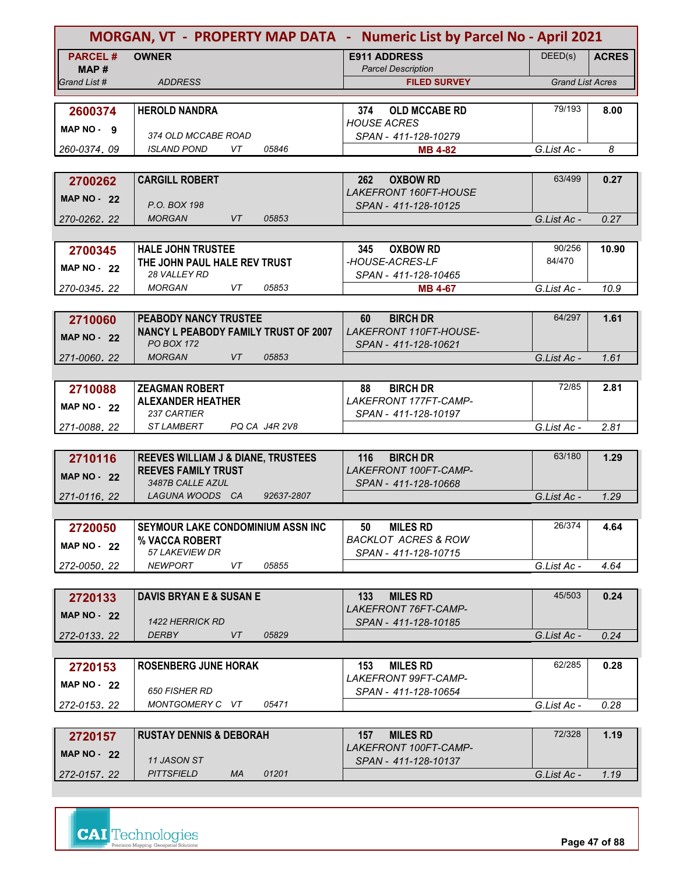|                    | MORGAN, VT - PROPERTY MAP DATA - Numeric List by Parcel No - April 2021 |                                                         |                         |              |
|--------------------|-------------------------------------------------------------------------|---------------------------------------------------------|-------------------------|--------------|
| <b>PARCEL#</b>     | <b>OWNER</b>                                                            | <b>E911 ADDRESS</b>                                     | DEED(s)                 | <b>ACRES</b> |
| MAP #              |                                                                         | <b>Parcel Description</b>                               |                         |              |
| Grand List #       | <b>ADDRESS</b>                                                          | <b>FILED SURVEY</b>                                     | <b>Grand List Acres</b> |              |
| 2600374            | <b>HEROLD NANDRA</b>                                                    | <b>OLD MCCABE RD</b><br>374                             | 79/193                  | 8.00         |
|                    |                                                                         | <b>HOUSE ACRES</b>                                      |                         |              |
| MAP NO - 9         | 374 OLD MCCABE ROAD                                                     | SPAN - 411-128-10279                                    |                         |              |
| 260-0374, 09       | <i><b>ISLAND POND</b></i><br>VT.<br>05846                               | <b>MB 4-82</b>                                          | G.List Ac -             | 8            |
|                    |                                                                         |                                                         |                         |              |
| 2700262            | <b>CARGILL ROBERT</b>                                                   | <b>OXBOW RD</b><br>262<br>LAKEFRONT 160FT-HOUSE         | 63/499                  | 0.27         |
| <b>MAP NO - 22</b> | P.O. BOX 198                                                            | SPAN - 411-128-10125                                    |                         |              |
| 270-0262, 22       | <b>MORGAN</b><br>VT<br>05853                                            |                                                         | G.List Ac -             | 0.27         |
|                    |                                                                         |                                                         |                         |              |
| 2700345            | <b>HALE JOHN TRUSTEE</b>                                                | <b>OXBOW RD</b><br>345                                  | 90/256                  | 10.90        |
| <b>MAP NO - 22</b> | THE JOHN PAUL HALE REV TRUST                                            | -HOUSE-ACRES-LF                                         | 84/470                  |              |
|                    | <b>28 VALLEY RD</b><br>05853<br><b>MORGAN</b><br>VT.                    | SPAN - 411-128-10465                                    |                         | 10.9         |
| 270-0345.22        |                                                                         | <b>MB 4-67</b>                                          | G.List Ac -             |              |
| 2710060            | PEABODY NANCY TRUSTEE                                                   | <b>BIRCH DR</b><br>60                                   | 64/297                  | 1.61         |
|                    | <b>NANCY L PEABODY FAMILY TRUST OF 2007</b>                             | LAKEFRONT 110FT-HOUSE-                                  |                         |              |
| <b>MAP NO - 22</b> | <b>PO BOX 172</b>                                                       | SPAN - 411-128-10621                                    |                         |              |
| 271-0060.22        | <b>MORGAN</b><br>VT<br>05853                                            |                                                         | G.List Ac -             | 1.61         |
|                    |                                                                         |                                                         |                         |              |
| 2710088            | <b>ZEAGMAN ROBERT</b>                                                   | <b>BIRCH DR</b><br>88                                   | 72/85                   | 2.81         |
| MAP NO $-22$       | <b>ALEXANDER HEATHER</b><br>237 CARTIER                                 | LAKEFRONT 177FT-CAMP-<br>SPAN - 411-128-10197           |                         |              |
| 271-0088, 22       | <b>STLAMBERT</b><br>PQ CA J4R 2V8                                       |                                                         | G.List Ac -             | 2.81         |
|                    |                                                                         |                                                         |                         |              |
| 2710116            | REEVES WILLIAM J & DIANE, TRUSTEES                                      | <b>BIRCH DR</b><br>116                                  | 63/180                  | 1.29         |
| <b>MAP NO - 22</b> | <b>REEVES FAMILY TRUST</b>                                              | LAKEFRONT 100FT-CAMP-                                   |                         |              |
|                    | 3487B CALLE AZUL                                                        | SPAN - 411-128-10668                                    |                         |              |
| 271-0116, 22       | LAGUNA WOODS CA<br>92637-2807                                           |                                                         | G.List Ac -             | 1.29         |
|                    |                                                                         |                                                         | 26/374                  |              |
| 2720050            | SEYMOUR LAKE CONDOMINIUM ASSN INC<br>% VACCA ROBERT                     | <b>MILES RD</b><br>50<br><b>BACKLOT ACRES &amp; ROW</b> |                         | 4.64         |
| MAP $NO - 22$      | 57 LAKEVIEW DR                                                          | SPAN - 411-128-10715                                    |                         |              |
| 272-0050.22        | 05855<br><b>NEWPORT</b><br>VT                                           |                                                         | G.List Ac -             | 4.64         |
|                    |                                                                         |                                                         |                         |              |
| 2720133            | <b>DAVIS BRYAN E &amp; SUSAN E</b>                                      | 133<br><b>MILES RD</b>                                  | 45/503                  | 0.24         |
| MAP $NO - 22$      |                                                                         | LAKEFRONT 76FT-CAMP-                                    |                         |              |
| 272-0133.22        | <b>1422 HERRICK RD</b><br>VT<br><b>DERBY</b><br>05829                   | SPAN - 411-128-10185                                    | G.List Ac -             | 0.24         |
|                    |                                                                         |                                                         |                         |              |
| 2720153            | <b>ROSENBERG JUNE HORAK</b>                                             | <b>MILES RD</b><br>153                                  | 62/285                  | 0.28         |
|                    |                                                                         | LAKEFRONT 99FT-CAMP-                                    |                         |              |
| <b>MAP NO - 22</b> | <b>650 FISHER RD</b>                                                    | SPAN - 411-128-10654                                    |                         |              |
| 272-0153, 22       | MONTGOMERY C VT<br>05471                                                |                                                         | G.List Ac -             | 0.28         |
|                    |                                                                         |                                                         |                         |              |
| 2720157            | <b>RUSTAY DENNIS &amp; DEBORAH</b>                                      | <b>MILES RD</b><br>157<br>LAKEFRONT 100FT-CAMP-         | 72/328                  | 1.19         |
| <b>MAP NO - 22</b> | 11 JASON ST                                                             | SPAN - 411-128-10137                                    |                         |              |
| 272-0157.22        | <b>PITTSFIELD</b><br>МA<br>01201                                        |                                                         | G.List Ac -             | 1.19         |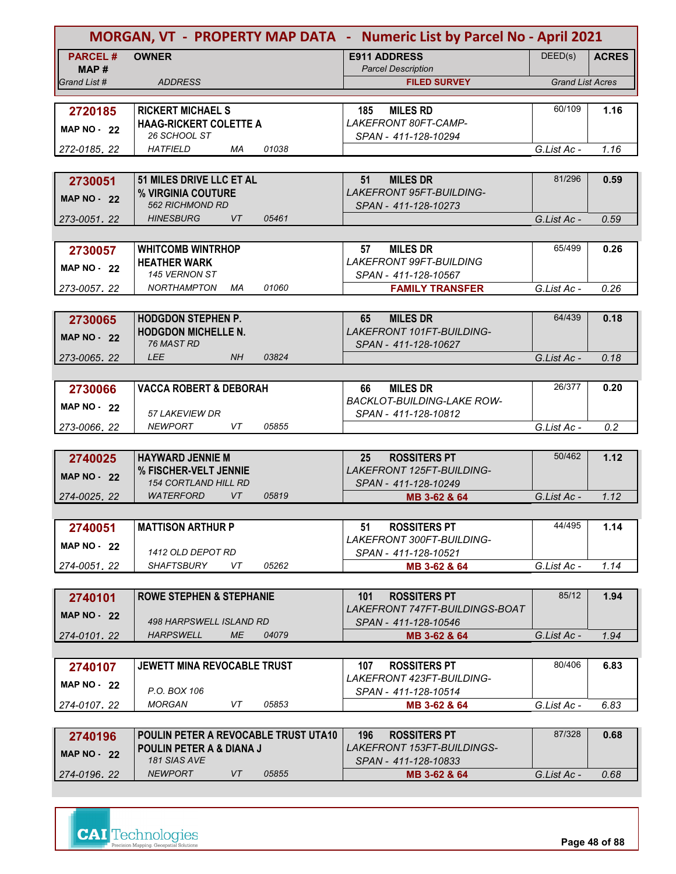|                         | MORGAN, VT - PROPERTY MAP DATA - Numeric List by Parcel No - April 2021 |                                                                 |                         |              |
|-------------------------|-------------------------------------------------------------------------|-----------------------------------------------------------------|-------------------------|--------------|
| <b>PARCEL#</b><br>MAP # | <b>OWNER</b>                                                            | <b>E911 ADDRESS</b><br><b>Parcel Description</b>                | DEED(s)                 | <b>ACRES</b> |
| Grand List #            | <b>ADDRESS</b>                                                          | <b>FILED SURVEY</b>                                             | <b>Grand List Acres</b> |              |
|                         |                                                                         |                                                                 |                         |              |
| 2720185                 | <b>RICKERT MICHAEL S</b>                                                | <b>MILES RD</b><br>185                                          | 60/109                  | 1.16         |
| <b>MAP NO - 22</b>      | <b>HAAG-RICKERT COLETTE A</b>                                           | LAKEFRONT 80FT-CAMP-                                            |                         |              |
|                         | 26 SCHOOL ST                                                            | SPAN - 411-128-10294                                            |                         |              |
| 272-0185, 22            | <b>HATFIELD</b><br>01038<br>МA                                          |                                                                 | G.List Ac -             | 1.16         |
|                         |                                                                         |                                                                 |                         |              |
| 2730051                 | 51 MILES DRIVE LLC ET AL                                                | 51<br><b>MILES DR</b>                                           | 81/296                  | 0.59         |
| <b>MAP NO - 22</b>      | % VIRGINIA COUTURE                                                      | <b>LAKEFRONT 95FT-BUILDING-</b>                                 |                         |              |
|                         | <b>562 RICHMOND RD</b><br><b>HINESBURG</b><br><b>VT</b><br>05461        | SPAN - 411-128-10273                                            |                         |              |
| 273-0051, 22            |                                                                         |                                                                 | G.List Ac -             | 0.59         |
|                         |                                                                         |                                                                 | 65/499                  |              |
| 2730057                 | <b>WHITCOMB WINTRHOP</b><br><b>HEATHER WARK</b>                         | <b>MILES DR</b><br>57<br><b>LAKEFRONT 99FT-BUILDING</b>         |                         | 0.26         |
| <b>MAP NO - 22</b>      | 145 VERNON ST                                                           | SPAN - 411-128-10567                                            |                         |              |
| 273-0057.22             | 01060<br><b>NORTHAMPTON</b><br>МA                                       | <b>FAMILY TRANSFER</b>                                          | G.List Ac -             | 0.26         |
|                         |                                                                         |                                                                 |                         |              |
| 2730065                 | <b>HODGDON STEPHEN P.</b>                                               | <b>MILES DR</b><br>65                                           | 64/439                  | 0.18         |
|                         | <b>HODGDON MICHELLE N.</b>                                              | <b>LAKEFRONT 101FT-BUILDING-</b>                                |                         |              |
| <b>MAP NO - 22</b>      | 76 MAST RD                                                              | SPAN - 411-128-10627                                            |                         |              |
| 273-0065.22             | <b>LEE</b><br><b>NH</b><br>03824                                        |                                                                 | G.List Ac -             | 0.18         |
|                         |                                                                         |                                                                 |                         |              |
| 2730066                 | <b>VACCA ROBERT &amp; DEBORAH</b>                                       | <b>MILES DR</b><br>66                                           | 26/377                  | 0.20         |
| <b>MAP NO - 22</b>      |                                                                         | <b>BACKLOT-BUILDING-LAKE ROW-</b>                               |                         |              |
|                         | <b>57 LAKEVIEW DR</b>                                                   | SPAN - 411-128-10812                                            |                         |              |
| 273-0066, 22            | 05855<br><b>NEWPORT</b><br>VT                                           |                                                                 | G.List Ac -             | 0.2          |
|                         |                                                                         |                                                                 |                         |              |
| 2740025                 | <b>HAYWARD JENNIE M</b>                                                 | 25<br><b>ROSSITERS PT</b>                                       | 50/462                  | 1.12         |
| <b>MAP NO - 22</b>      | % FISCHER-VELT JENNIE                                                   | LAKEFRONT 125FT-BUILDING-                                       |                         |              |
| 274-0025, 22            | <b>154 CORTLAND HILL RD</b><br>VT<br><b>WATERFORD</b><br>05819          | SPAN - 411-128-10249                                            | G.List Ac -             | 1.12         |
|                         |                                                                         | MB 3-62 & 64                                                    |                         |              |
|                         | <b>MATTISON ARTHUR P</b>                                                |                                                                 | 44/495                  |              |
| 2740051                 |                                                                         | <b>ROSSITERS PT</b><br>51<br><b>LAKEFRONT 300FT-BUILDING-</b>   |                         | 1.14         |
| <b>MAP NO - 22</b>      | 1412 OLD DEPOT RD                                                       | SPAN - 411-128-10521                                            |                         |              |
| 274-0051.22             | SHAFTSBURY<br>VT<br>05262                                               | MB 3-62 & 64                                                    | G.List Ac -             | 1.14         |
|                         |                                                                         |                                                                 |                         |              |
| 2740101                 | <b>ROWE STEPHEN &amp; STEPHANIE</b>                                     | <b>ROSSITERS PT</b><br>101                                      | 85/12                   | 1.94         |
| <b>MAP NO - 22</b>      |                                                                         | LAKEFRONT 747FT-BUILDINGS-BOAT                                  |                         |              |
|                         | 498 HARPSWELL ISLAND RD                                                 | SPAN - 411-128-10546                                            |                         |              |
| 274-0101.22             | <b>ME</b><br><b>HARPSWELL</b><br>04079                                  | MB 3-62 & 64                                                    | G.List Ac -             | 1.94         |
|                         |                                                                         |                                                                 |                         |              |
| 2740107                 | <b>JEWETT MINA REVOCABLE TRUST</b>                                      | <b>ROSSITERS PT</b><br>107                                      | 80/406                  | 6.83         |
| <b>MAP NO - 22</b>      |                                                                         | <b>LAKEFRONT 423FT-BUILDING-</b>                                |                         |              |
|                         | P.O. BOX 106                                                            | SPAN - 411-128-10514                                            |                         |              |
| 274-0107, 22            | <b>MORGAN</b><br>VT<br>05853                                            | MB 3-62 & 64                                                    | G.List Ac -             | 6.83         |
|                         |                                                                         |                                                                 |                         |              |
| 2740196                 | <b>POULIN PETER A REVOCABLE TRUST UTA10</b>                             | <b>ROSSITERS PT</b><br>196<br><i>LAKEFRONT 153FT-BUILDINGS-</i> | 87/328                  | 0.68         |
| <b>MAP NO - 22</b>      | <b>POULIN PETER A &amp; DIANA J</b><br><b>181 SIAS AVE</b>              | SPAN - 411-128-10833                                            |                         |              |
| 274-0196.22             | <b>NEWPORT</b><br>05855<br>VT                                           | MB 3-62 & 64                                                    | G.List Ac -             | 0.68         |

**Page 48 of 88**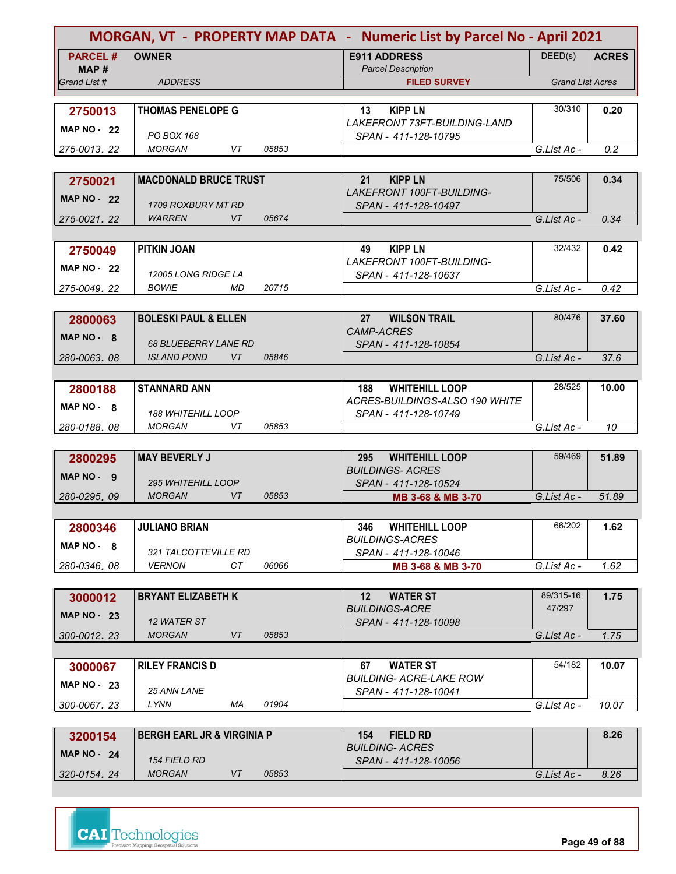|                    |                                                  |       | MORGAN, VT - PROPERTY MAP DATA - Numeric List by Parcel No - April 2021 |                         |              |  |
|--------------------|--------------------------------------------------|-------|-------------------------------------------------------------------------|-------------------------|--------------|--|
| <b>PARCEL#</b>     | <b>OWNER</b>                                     |       | <b>E911 ADDRESS</b>                                                     | DEED(s)                 | <b>ACRES</b> |  |
| MAP#               |                                                  |       | <b>Parcel Description</b>                                               |                         |              |  |
| Grand List #       | <b>ADDRESS</b>                                   |       | <b>FILED SURVEY</b>                                                     | <b>Grand List Acres</b> |              |  |
|                    |                                                  |       |                                                                         | 30/310                  |              |  |
| 2750013            | <b>THOMAS PENELOPE G</b>                         |       | <b>KIPP LN</b><br>13<br>LAKEFRONT 73FT-BUILDING-LAND                    |                         | 0.20         |  |
| <b>MAP NO - 22</b> | PO BOX 168                                       |       | SPAN - 411-128-10795                                                    |                         |              |  |
| 275-0013, 22       | <b>MORGAN</b><br>VT                              | 05853 |                                                                         | G.List Ac -             | 0.2          |  |
|                    |                                                  |       |                                                                         |                         |              |  |
| 2750021            | <b>MACDONALD BRUCE TRUST</b>                     |       | 21<br><b>KIPP LN</b>                                                    | 75/506                  | 0.34         |  |
| <b>MAP NO - 22</b> |                                                  |       | <b>LAKEFRONT 100FT-BUILDING-</b>                                        |                         |              |  |
|                    | 1709 ROXBURY MT RD                               |       | SPAN - 411-128-10497                                                    |                         |              |  |
| 275-0021, 22       | <b>VT</b><br><b>WARREN</b>                       | 05674 |                                                                         | G.List Ac -             | 0.34         |  |
|                    |                                                  |       |                                                                         | 32/432                  |              |  |
| 2750049            | PITKIN JOAN                                      |       | <b>KIPP LN</b><br>49<br><b>LAKEFRONT 100FT-BUILDING-</b>                |                         | 0.42         |  |
| <b>MAP NO - 22</b> | <b>12005 LONG RIDGE LA</b>                       |       | SPAN - 411-128-10637                                                    |                         |              |  |
| 275-0049.22        | <b>BOWIE</b><br>MD                               | 20715 |                                                                         | G.List Ac -             | 0.42         |  |
|                    |                                                  |       |                                                                         |                         |              |  |
| 2800063            | <b>BOLESKI PAUL &amp; ELLEN</b>                  |       | <b>WILSON TRAIL</b><br>27                                               | 80/476                  | 37.60        |  |
| MAP NO 8           |                                                  |       | <b>CAMP-ACRES</b>                                                       |                         |              |  |
|                    | <b>68 BLUEBERRY LANE RD</b>                      |       | SPAN - 411-128-10854                                                    |                         |              |  |
| 280-0063.08        | <b>ISLAND POND</b><br>VT                         | 05846 |                                                                         | G.List Ac -             | 37.6         |  |
|                    |                                                  |       |                                                                         | 28/525                  |              |  |
| 2800188            | <b>STANNARD ANN</b>                              |       | <b>WHITEHILL LOOP</b><br>188<br>ACRES-BUILDINGS-ALSO 190 WHITE          |                         | 10.00        |  |
| $MAP NO - 8$       | <b>188 WHITEHILL LOOP</b>                        |       | SPAN - 411-128-10749                                                    |                         |              |  |
| 280-0188.08        | <b>MORGAN</b><br>VT                              | 05853 |                                                                         | G.List Ac -             | 10           |  |
|                    |                                                  |       |                                                                         |                         |              |  |
| 2800295            | <b>MAY BEVERLY J</b>                             |       | 295<br><b>WHITEHILL LOOP</b>                                            | 59/469                  | 51.89        |  |
| MAP NO - 9         |                                                  |       | <b>BUILDINGS- ACRES</b>                                                 |                         |              |  |
| 280-0295.09        | <b>295 WHITEHILL LOOP</b><br><b>MORGAN</b><br>VT | 05853 | SPAN - 411-128-10524                                                    | G.List Ac -             | 51.89        |  |
|                    |                                                  |       | MB 3-68 & MB 3-70                                                       |                         |              |  |
| 2800346            | <b>JULIANO BRIAN</b>                             |       | <b>WHITEHILL LOOP</b><br>346.                                           | 66/202                  | 1.62         |  |
|                    |                                                  |       | <b>BUILDINGS-ACRES</b>                                                  |                         |              |  |
| $MAP NO - 8$       | 321 TALCOTTEVILLE RD                             |       | SPAN - 411-128-10046                                                    |                         |              |  |
| 280-0346.08        | <b>VERNON</b><br>CT                              | 06066 | MB 3-68 & MB 3-70                                                       | G.List Ac -             | 1.62         |  |
|                    |                                                  |       |                                                                         |                         |              |  |
| 3000012            | <b>BRYANT ELIZABETH K</b>                        |       | 12 <sup>2</sup><br><b>WATER ST</b>                                      | 89/315-16               | 1.75         |  |
| MAP $NO - 23$      | 12 WATER ST                                      |       | <b>BUILDINGS-ACRE</b>                                                   | 47/297                  |              |  |
| 300-0012.23        | <b>MORGAN</b><br>VT                              | 05853 | SPAN - 411-128-10098                                                    | G.List Ac -             | 1.75         |  |
|                    |                                                  |       |                                                                         |                         |              |  |
| 3000067            | <b>RILEY FRANCIS D</b>                           |       | 67<br><b>WATER ST</b>                                                   | 54/182                  | 10.07        |  |
| <b>MAP NO - 23</b> |                                                  |       | BUILDING- ACRE-LAKE ROW                                                 |                         |              |  |
|                    | 25 ANN LANE                                      |       | SPAN - 411-128-10041                                                    |                         |              |  |
| 300-0067, 23       | LYNN<br>МA                                       | 01904 |                                                                         | G.List Ac -             | 10.07        |  |
|                    |                                                  |       |                                                                         |                         |              |  |
| 3200154            | <b>BERGH EARL JR &amp; VIRGINIA P</b>            |       | <b>FIELD RD</b><br>154                                                  |                         | 8.26         |  |
| MAP $NO - 24$      | <b>154 FIELD RD</b>                              |       | <b>BUILDING- ACRES</b><br>SPAN - 411-128-10056                          |                         |              |  |
| 320-0154.24        | <b>MORGAN</b><br>VT                              | 05853 |                                                                         | G.List Ac -             | 8.26         |  |

**Page 49 of 88**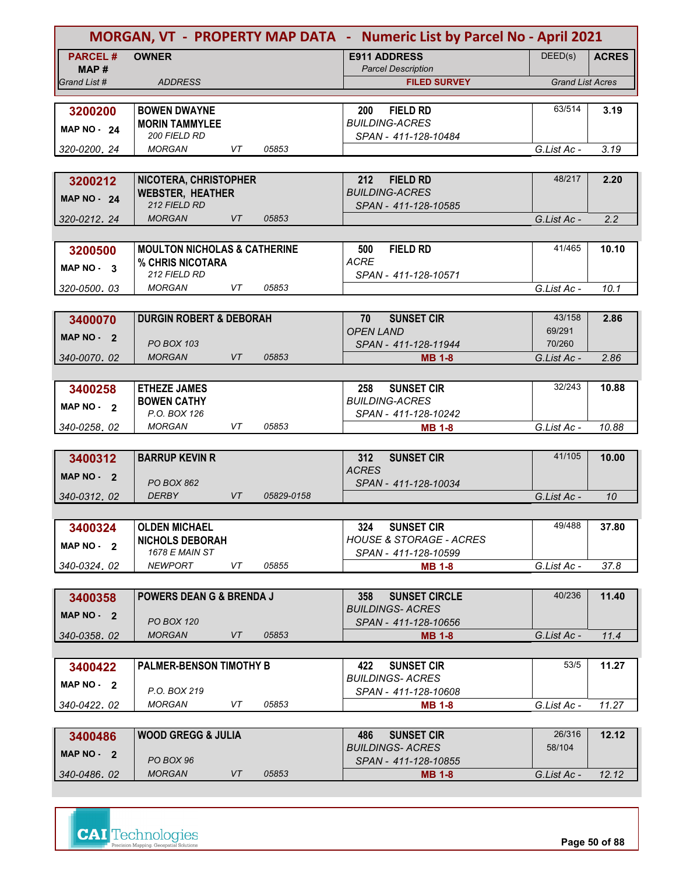| MORGAN, VT - PROPERTY MAP DATA - Numeric List by Parcel No - April 2021 |                                           |           |            |                                                   |                         |              |
|-------------------------------------------------------------------------|-------------------------------------------|-----------|------------|---------------------------------------------------|-------------------------|--------------|
| <b>PARCEL#</b>                                                          | <b>OWNER</b>                              |           |            | <b>E911 ADDRESS</b>                               | DEED(s)                 | <b>ACRES</b> |
| MAP #                                                                   |                                           |           |            | <b>Parcel Description</b>                         |                         |              |
| Grand List #                                                            | <b>ADDRESS</b>                            |           |            | <b>FILED SURVEY</b>                               | <b>Grand List Acres</b> |              |
|                                                                         |                                           |           |            |                                                   |                         |              |
| 3200200                                                                 | <b>BOWEN DWAYNE</b>                       |           |            | <b>FIELD RD</b><br>200                            | 63/514                  | 3.19         |
| <b>MAP NO - 24</b>                                                      | <b>MORIN TAMMYLEE</b><br>200 FIELD RD     |           |            | <b>BUILDING-ACRES</b><br>SPAN - 411-128-10484     |                         |              |
| 320-0200, 24                                                            | <b>MORGAN</b>                             | VT        | 05853      |                                                   | G.List Ac -             | 3.19         |
|                                                                         |                                           |           |            |                                                   |                         |              |
| 3200212                                                                 | NICOTERA, CHRISTOPHER                     |           |            | <b>FIELD RD</b><br>212                            | 48/217                  | 2.20         |
|                                                                         | <b>WEBSTER, HEATHER</b>                   |           |            | <b>BUILDING-ACRES</b>                             |                         |              |
| MAP $NO - 24$                                                           | 212 FIELD RD                              |           |            | SPAN - 411-128-10585                              |                         |              |
| 320-0212, 24                                                            | <b>MORGAN</b>                             | <b>VT</b> | 05853      |                                                   | G.List Ac -             | 2.2          |
|                                                                         |                                           |           |            |                                                   |                         |              |
| 3200500                                                                 | <b>MOULTON NICHOLAS &amp; CATHERINE</b>   |           |            | <b>FIELD RD</b><br>500                            | 41/465                  | 10.10        |
| MAP NO - 3                                                              | % CHRIS NICOTARA                          |           |            | <b>ACRE</b>                                       |                         |              |
|                                                                         | 212 FIELD RD                              |           |            | SPAN - 411-128-10571                              |                         |              |
| 320-0500.03                                                             | <b>MORGAN</b>                             | VT        | 05853      |                                                   | G.List Ac -             | 10.1         |
|                                                                         |                                           |           |            |                                                   |                         |              |
| 3400070                                                                 | <b>DURGIN ROBERT &amp; DEBORAH</b>        |           |            | 70<br><b>SUNSET CIR</b>                           | 43/158                  | 2.86         |
| MAP NO - 2                                                              |                                           |           |            | <b>OPEN LAND</b>                                  | 69/291                  |              |
|                                                                         | <b>PO BOX 103</b><br><b>MORGAN</b>        | <b>VT</b> |            | SPAN - 411-128-11944                              | 70/260                  |              |
| 340-0070.02                                                             |                                           |           | 05853      | <b>MB 1-8</b>                                     | G.List Ac -             | 2.86         |
|                                                                         |                                           |           |            |                                                   | 32/243                  |              |
| 3400258                                                                 | <b>ETHEZE JAMES</b><br><b>BOWEN CATHY</b> |           |            | 258<br><b>SUNSET CIR</b><br><b>BUILDING-ACRES</b> |                         | 10.88        |
| MAP NO - 2                                                              | P.O. BOX 126                              |           |            | SPAN - 411-128-10242                              |                         |              |
| 340-0258, 02                                                            | <b>MORGAN</b>                             | VT        | 05853      | <b>MB 1-8</b>                                     | G.List Ac -             | 10.88        |
|                                                                         |                                           |           |            |                                                   |                         |              |
| 3400312                                                                 | <b>BARRUP KEVIN R</b>                     |           |            | <b>SUNSET CIR</b><br>312                          | 41/105                  | 10.00        |
| MAP $NO - 2$                                                            |                                           |           |            | <b>ACRES</b>                                      |                         |              |
|                                                                         | <b>PO BOX 862</b>                         |           |            | SPAN - 411-128-10034                              |                         |              |
| 340-0312, 02                                                            | <b>DERBY</b>                              | VT        | 05829-0158 |                                                   | G.List Ac -             | 10           |
|                                                                         |                                           |           |            |                                                   |                         |              |
| 3400324                                                                 | <b>OLDEN MICHAEL</b>                      |           |            | <b>SUNSET CIR</b><br>324                          | 49/488                  | 37.80        |
| MAP NO - 2                                                              | <b>NICHOLS DEBORAH</b>                    |           |            | <b>HOUSE &amp; STORAGE - ACRES</b>                |                         |              |
|                                                                         | 1678 E MAIN ST<br><b>NEWPORT</b>          | VT        | 05855      | SPAN - 411-128-10599                              |                         |              |
| 340-0324.02                                                             |                                           |           |            | <b>MB 1-8</b>                                     | G.List Ac -             | 37.8         |
|                                                                         | <b>POWERS DEAN G &amp; BRENDA J</b>       |           |            | <b>SUNSET CIRCLE</b>                              | 40/236                  | 11.40        |
| 3400358                                                                 |                                           |           |            | 358<br><b>BUILDINGS-ACRES</b>                     |                         |              |
| MAP $NO - 2$                                                            | <b>PO BOX 120</b>                         |           |            | SPAN - 411-128-10656                              |                         |              |
| 340-0358, 02                                                            | <b>MORGAN</b>                             | VT        | 05853      | <b>MB 1-8</b>                                     | G.List Ac -             | 11.4         |
|                                                                         |                                           |           |            |                                                   |                         |              |
| 3400422                                                                 | <b>PALMER-BENSON TIMOTHY B</b>            |           |            | 422<br><b>SUNSET CIR</b>                          | 53/5                    | 11.27        |
| MAP NO - 2                                                              |                                           |           |            | <b>BUILDINGS-ACRES</b>                            |                         |              |
|                                                                         | P.O. BOX 219                              |           |            | SPAN - 411-128-10608                              |                         |              |
| 340-0422, 02                                                            | <b>MORGAN</b>                             | VT        | 05853      | <b>MB 1-8</b>                                     | G.List Ac -             | 11.27        |
|                                                                         |                                           |           |            |                                                   |                         |              |
| 3400486                                                                 | <b>WOOD GREGG &amp; JULIA</b>             |           |            | <b>SUNSET CIR</b><br>486                          | 26/316                  | 12.12        |
| MAP NO - 2                                                              | PO BOX 96                                 |           |            | <b>BUILDINGS-ACRES</b>                            | 58/104                  |              |
| 340-0486.02                                                             | <b>MORGAN</b>                             | VT        | 05853      | SPAN - 411-128-10855<br><b>MB 1-8</b>             | G.List Ac -             | 12.12        |
|                                                                         |                                           |           |            |                                                   |                         |              |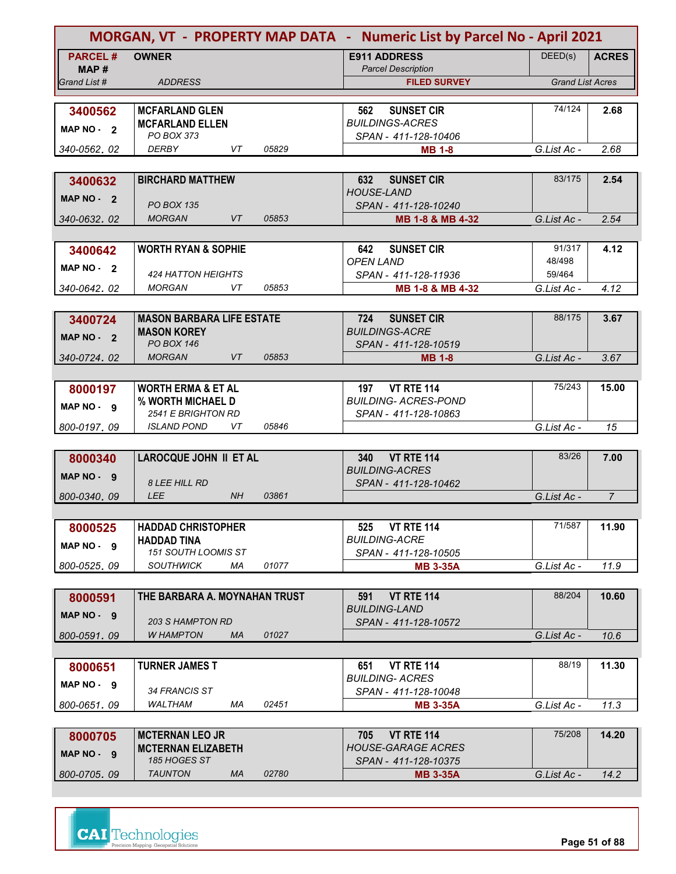|                |                                                 |       | MORGAN, VT - PROPERTY MAP DATA - Numeric List by Parcel No - April 2021 |                         |                |
|----------------|-------------------------------------------------|-------|-------------------------------------------------------------------------|-------------------------|----------------|
| <b>PARCEL#</b> | <b>OWNER</b>                                    |       | <b>E911 ADDRESS</b>                                                     | DEED(s)                 | <b>ACRES</b>   |
| MAP#           |                                                 |       | <b>Parcel Description</b>                                               |                         |                |
| Grand List #   | <b>ADDRESS</b>                                  |       | <b>FILED SURVEY</b>                                                     | <b>Grand List Acres</b> |                |
|                |                                                 |       |                                                                         | 74/124                  | 2.68           |
| 3400562        | <b>MCFARLAND GLEN</b><br><b>MCFARLAND ELLEN</b> |       | <b>SUNSET CIR</b><br>562<br><b>BUILDINGS-ACRES</b>                      |                         |                |
| MAP $NO - 2$   | PO BOX 373                                      |       | SPAN - 411-128-10406                                                    |                         |                |
| 340-0562, 02   | <b>DERBY</b><br>VT                              | 05829 | <b>MB 1-8</b>                                                           | G.List Ac -             | 2.68           |
|                |                                                 |       |                                                                         |                         |                |
| 3400632        | <b>BIRCHARD MATTHEW</b>                         |       | <b>SUNSET CIR</b><br>632                                                | 83/175                  | 2.54           |
| MAP NO - 2     |                                                 |       | <b>HOUSE-LAND</b>                                                       |                         |                |
|                | <b>PO BOX 135</b><br><b>VT</b><br><b>MORGAN</b> | 05853 | SPAN - 411-128-10240                                                    |                         |                |
| 340-0632, 02   |                                                 |       | MB 1-8 & MB 4-32                                                        | G.List Ac -             | 2.54           |
|                | <b>WORTH RYAN &amp; SOPHIE</b>                  |       | <b>SUNSET CIR</b><br>642                                                | 91/317                  | 4.12           |
| 3400642        |                                                 |       | <b>OPEN LAND</b>                                                        | 48/498                  |                |
| MAP NO - 2     | 424 HATTON HEIGHTS                              |       | SPAN - 411-128-11936                                                    | 59/464                  |                |
| 340-0642.02    | <b>MORGAN</b><br>VT                             | 05853 | MB 1-8 & MB 4-32                                                        | G.List Ac -             | 4.12           |
|                |                                                 |       |                                                                         |                         |                |
| 3400724        | <b>MASON BARBARA LIFE ESTATE</b>                |       | <b>SUNSET CIR</b><br>724                                                | 88/175                  | 3.67           |
| MAP NO - 2     | <b>MASON KOREY</b>                              |       | <b>BUILDINGS-ACRE</b>                                                   |                         |                |
| 340-0724.02    | <b>PO BOX 146</b><br><b>VT</b><br><b>MORGAN</b> | 05853 | SPAN - 411-128-10519                                                    | G.List Ac -             | 3.67           |
|                |                                                 |       | <b>MB 1-8</b>                                                           |                         |                |
| 8000197        | <b>WORTH ERMA &amp; ET AL</b>                   |       | <b>VT RTE 114</b><br>197                                                | 75/243                  | 15.00          |
|                | % WORTH MICHAEL D                               |       | <b>BUILDING- ACRES-POND</b>                                             |                         |                |
| MAP NO - 9     | <b>2541 E BRIGHTON RD</b>                       |       | SPAN - 411-128-10863                                                    |                         |                |
| 800-0197.09    | <i><b>ISLAND POND</b></i><br>VT                 | 05846 |                                                                         | G.List Ac -             | 15             |
|                |                                                 |       |                                                                         |                         |                |
| 8000340        | <b>LAROCQUE JOHN II ET AL</b>                   |       | <b>VT RTE 114</b><br>340<br><b>BUILDING-ACRES</b>                       | 83/26                   | 7.00           |
| MAP NO - 9     | <b>8 LEE HILL RD</b>                            |       | SPAN - 411-128-10462                                                    |                         |                |
| 800-0340, 09   | <b>LEE</b><br>NH                                | 03861 |                                                                         | G.List Ac -             | $\overline{7}$ |
|                |                                                 |       |                                                                         |                         |                |
| 8000525        | <b>HADDAD CHRISTOPHER</b>                       |       | <b>VT RTE 114</b><br>525                                                | 71/587                  | 11.90          |
| MAP NO - 9     | <b>HADDAD TINA</b>                              |       | <b>BUILDING-ACRE</b>                                                    |                         |                |
|                | 151 SOUTH LOOMIS ST                             |       | SPAN - 411-128-10505                                                    |                         |                |
| 800-0525.09    | <b>SOUTHWICK</b><br>ΜA                          | 01077 | <b>MB 3-35A</b>                                                         | G.List Ac -             | 11.9           |
|                |                                                 |       |                                                                         |                         |                |
| 8000591        | THE BARBARA A. MOYNAHAN TRUST                   |       | <b>VT RTE 114</b><br>591<br><b>BUILDING-LAND</b>                        | 88/204                  | 10.60          |
| MAP NO. 9      | <b>203 S HAMPTON RD</b>                         |       | SPAN - 411-128-10572                                                    |                         |                |
| 800-0591.09    | <b>W HAMPTON</b><br><b>MA</b>                   | 01027 |                                                                         | G.List Ac -             | 10.6           |
|                |                                                 |       |                                                                         |                         |                |
| 8000651        | <b>TURNER JAMES T</b>                           |       | <b>VT RTE 114</b><br>651                                                | 88/19                   | 11.30          |
| MAP NO - 9     | 34 FRANCIS ST                                   |       | <b>BUILDING-ACRES</b><br>SPAN - 411-128-10048                           |                         |                |
| 800-0651, 09   | <b>WALTHAM</b><br>МA                            | 02451 | <b>MB 3-35A</b>                                                         | G.List Ac -             | 11.3           |
|                |                                                 |       |                                                                         |                         |                |
| 8000705        | <b>MCTERNAN LEO JR</b>                          |       | <b>VT RTE 114</b><br>705                                                | 75/208                  | 14.20          |
| MAP NO - 9     | <b>MCTERNAN ELIZABETH</b>                       |       | HOUSE-GARAGE ACRES                                                      |                         |                |
|                | 185 HOGES ST                                    |       | SPAN - 411-128-10375                                                    |                         |                |
| 800-0705.09    | <b>TAUNTON</b><br>МA                            | 02780 | <b>MB 3-35A</b>                                                         | G.List Ac -             | 14.2           |

**Page 51 of 88**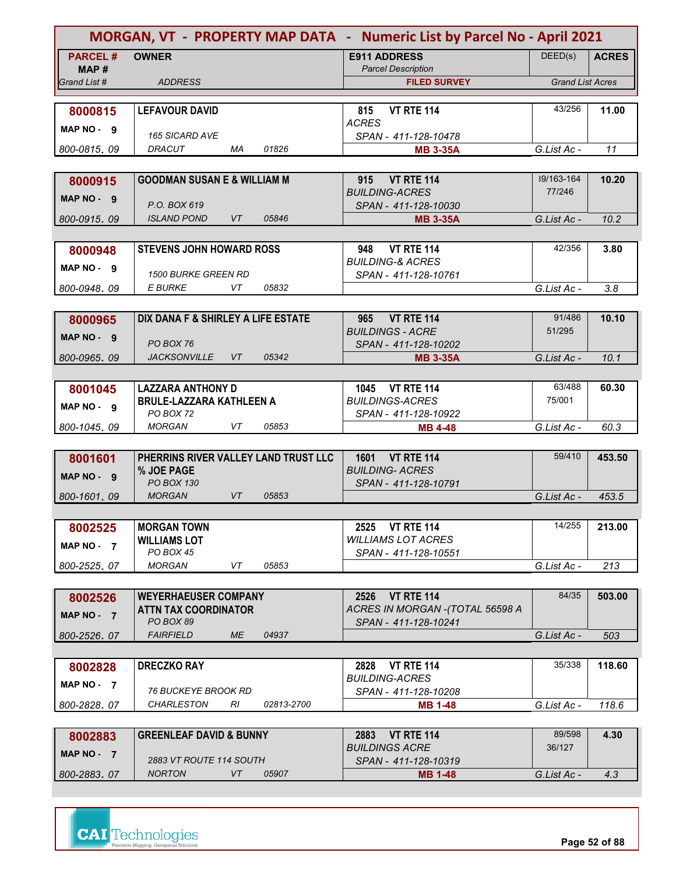|                |                                         |            | MORGAN, VT - PROPERTY MAP DATA - Numeric List by Parcel No - April 2021 |                         |              |
|----------------|-----------------------------------------|------------|-------------------------------------------------------------------------|-------------------------|--------------|
| <b>PARCEL#</b> | <b>OWNER</b>                            |            | <b>E911 ADDRESS</b>                                                     | DEED(s)                 | <b>ACRES</b> |
| MAP #          |                                         |            | <b>Parcel Description</b>                                               |                         |              |
| Grand List #   | <b>ADDRESS</b>                          |            | <b>FILED SURVEY</b>                                                     | <b>Grand List Acres</b> |              |
| 8000815        | <b>LEFAVOUR DAVID</b>                   |            | <b>VT RTE 114</b><br>815                                                | 43/256                  | 11.00        |
|                |                                         |            | <b>ACRES</b>                                                            |                         |              |
| MAP NO - 9     | <b>165 SICARD AVE</b>                   |            | SPAN - 411-128-10478                                                    |                         |              |
| 800-0815,09    | DRACUT<br>МA                            | 01826      | <b>MB 3-35A</b>                                                         | G.List Ac -             | 11           |
|                |                                         |            |                                                                         |                         |              |
| 8000915        | <b>GOODMAN SUSAN E &amp; WILLIAM M</b>  |            | <b>VT RTE 114</b><br>915                                                | 39/163-164              | 10.20        |
| MAP NO - 9     | P.O. BOX 619                            |            | <b>BUILDING-ACRES</b><br>SPAN - 411-128-10030                           | 77/246                  |              |
| 800-0915.09    | <b>VT</b><br><b>ISLAND POND</b>         | 05846      | <b>MB 3-35A</b>                                                         | G.List Ac -             | 10.2         |
|                |                                         |            |                                                                         |                         |              |
| 8000948        | <b>STEVENS JOHN HOWARD ROSS</b>         |            | <b>VT RTE 114</b><br>948                                                | 42/356                  | 3.80         |
| MAP NO - 9     |                                         |            | <b>BUILDING-&amp; ACRES</b>                                             |                         |              |
|                | <b>1500 BURKE GREEN RD</b>              |            | SPAN - 411-128-10761                                                    |                         |              |
| 800-0948.09    | E BURKE<br>VT                           | 05832      |                                                                         | G.List Ac -             | 3.8          |
|                |                                         |            |                                                                         | 91/486                  |              |
| 8000965        | DIX DANA F & SHIRLEY A LIFE ESTATE      |            | <b>VT RTE 114</b><br>965<br><b>BUILDINGS - ACRE</b>                     | 51/295                  | 10.10        |
| MAP NO - 9     | PO BOX 76                               |            | SPAN - 411-128-10202                                                    |                         |              |
| 800-0965.09    | <b>JACKSONVILLE</b><br><b>VT</b>        | 05342      | <b>MB 3-35A</b>                                                         | G.List Ac -             | 10.1         |
|                |                                         |            |                                                                         |                         |              |
| 8001045        | <b>LAZZARA ANTHONY D</b>                |            | 1045 VT RTE 114                                                         | 63/488                  | 60.30        |
| $MAP NO - 9$   | <b>BRULE-LAZZARA KATHLEEN A</b>         |            | <b>BUILDINGS-ACRES</b>                                                  | 75/001                  |              |
| 800-1045,09    | PO BOX 72<br>VT<br><b>MORGAN</b>        | 05853      | SPAN - 411-128-10922                                                    | G.List Ac -             | 60.3         |
|                |                                         |            | <b>MB 4-48</b>                                                          |                         |              |
| 8001601        | PHERRINS RIVER VALLEY LAND TRUST LLC    |            | 1601 VT RTE 114                                                         | 59/410                  | 453.50       |
|                | % JOE PAGE                              |            | <b>BUILDING- ACRES</b>                                                  |                         |              |
| MAP NO - 9     | <b>PO BOX 130</b>                       |            | SPAN - 411-128-10791                                                    |                         |              |
| 800-1601.09    | <b>VT</b><br><b>MORGAN</b>              | 05853      |                                                                         | G.List Ac -             | 453.5        |
|                |                                         |            |                                                                         |                         |              |
| 8002525        | <b>MORGAN TOWN</b>                      |            | 2525 VT RTE 114                                                         | 14/255                  | 213.00       |
| MAP NO $-7$    | <b>WILLIAMS LOT</b><br><b>PO BOX 45</b> |            | <b>WILLIAMS LOT ACRES</b><br>SPAN - 411-128-10551                       |                         |              |
| 800-2525.07    | <b>MORGAN</b><br>VT                     | 05853      |                                                                         | G.List Ac -             | 213          |
|                |                                         |            |                                                                         |                         |              |
| 8002526        | <b>WEYERHAEUSER COMPANY</b>             |            | <b>VT RTE 114</b><br>2526                                               | 84/35                   | 503.00       |
| MAP NO - 7     | <b>ATTN TAX COORDINATOR</b>             |            | ACRES IN MORGAN -(TOTAL 56598 A                                         |                         |              |
|                | PO BOX 89                               |            | SPAN - 411-128-10241                                                    |                         |              |
| 800-2526.07    | <b>FAIRFIELD</b><br>ME                  | 04937      |                                                                         | G.List Ac -             | 503          |
|                |                                         |            |                                                                         | 35/338                  |              |
| 8002828        | <b>DRECZKO RAY</b>                      |            | <b>VT RTE 114</b><br>2828<br><b>BUILDING-ACRES</b>                      |                         | 118.60       |
| MAP NO $-7$    | <i>76 BUCKEYE BROOK RD</i>              |            | SPAN - 411-128-10208                                                    |                         |              |
| 800-2828.07    | <b>CHARLESTON</b><br>RI                 | 02813-2700 | <b>MB 1-48</b>                                                          | G.List Ac -             | 118.6        |
|                |                                         |            |                                                                         |                         |              |
| 8002883        | <b>GREENLEAF DAVID &amp; BUNNY</b>      |            | 2883<br><b>VT RTE 114</b>                                               | 89/598                  | 4.30         |
| MAP NO - 7     | 2883 VT ROUTE 114 SOUTH                 |            | <b>BUILDINGS ACRE</b>                                                   | 36/127                  |              |
| 800-2883.07    | <b>NORTON</b><br>VT                     | 05907      | SPAN - 411-128-10319<br><b>MB 1-48</b>                                  | G.List Ac -             | 4.3          |
|                |                                         |            |                                                                         |                         |              |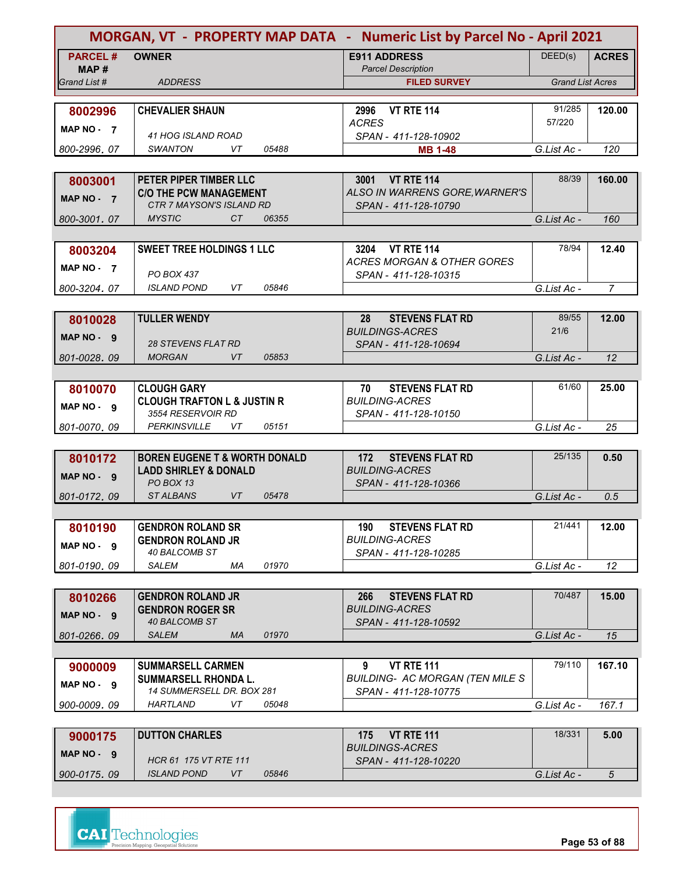|                         |                                                         | MORGAN, VT - PROPERTY MAP DATA - Numeric List by Parcel No - April 2021 |                         |                 |
|-------------------------|---------------------------------------------------------|-------------------------------------------------------------------------|-------------------------|-----------------|
| <b>PARCEL#</b><br>MAP # | <b>OWNER</b>                                            | <b>E911 ADDRESS</b><br><b>Parcel Description</b>                        | DEED(s)                 | <b>ACRES</b>    |
| Grand List #            | <b>ADDRESS</b>                                          | <b>FILED SURVEY</b>                                                     | <b>Grand List Acres</b> |                 |
|                         |                                                         |                                                                         |                         |                 |
| 8002996                 | <b>CHEVALIER SHAUN</b>                                  | 2996<br><b>VT RTE 114</b>                                               | 91/285                  | 120.00          |
| MAP NO $-7$             |                                                         | <b>ACRES</b>                                                            | 57/220                  |                 |
| 800-2996, 07            | 41 HOG ISLAND ROAD<br><b>SWANTON</b><br>VT<br>05488     | SPAN - 411-128-10902                                                    | G.List Ac -             | 120             |
|                         |                                                         | <b>MB 1-48</b>                                                          |                         |                 |
|                         | PETER PIPER TIMBER LLC                                  | 3001 VT RTE 114                                                         | 88/39                   | 160.00          |
| 8003001                 | <b>C/O THE PCW MANAGEMENT</b>                           | ALSO IN WARRENS GORE, WARNER'S                                          |                         |                 |
| MAP NO - 7              | CTR 7 MAYSON'S ISLAND RD                                | SPAN - 411-128-10790                                                    |                         |                 |
| 800-3001.07             | <b>MYSTIC</b><br>CT.<br>06355                           |                                                                         | G.List Ac -             | 160             |
|                         |                                                         |                                                                         |                         |                 |
| 8003204                 | <b>SWEET TREE HOLDINGS 1 LLC</b>                        | 3204 VT RTE 114                                                         | 78/94                   | 12.40           |
| MAP NO $-7$             |                                                         | <b>ACRES MORGAN &amp; OTHER GORES</b>                                   |                         |                 |
|                         | PO BOX 437                                              | SPAN - 411-128-10315                                                    |                         |                 |
| 800-3204.07             | VT.<br>05846<br><b>ISLAND POND</b>                      |                                                                         | G.List Ac -             | $\overline{7}$  |
|                         |                                                         |                                                                         |                         |                 |
| 8010028                 | <b>TULLER WENDY</b>                                     | <b>STEVENS FLAT RD</b><br>28<br><b>BUILDINGS-ACRES</b>                  | 89/55<br>21/6           | 12.00           |
| MAP NO - 9              | <b>28 STEVENS FLAT RD</b>                               | SPAN - 411-128-10694                                                    |                         |                 |
| 801-0028.09             | 05853<br><b>MORGAN</b><br><b>VT</b>                     |                                                                         | G.List Ac -             | 12              |
|                         |                                                         |                                                                         |                         |                 |
| 8010070                 | <b>CLOUGH GARY</b>                                      | <b>STEVENS FLAT RD</b><br>70                                            | 61/60                   | 25.00           |
| MAP NO - 9              | <b>CLOUGH TRAFTON L &amp; JUSTIN R</b>                  | <b>BUILDING-ACRES</b>                                                   |                         |                 |
|                         | 3554 RESERVOIR RD                                       | SPAN - 411-128-10150                                                    |                         |                 |
| 801-0070, 09            | <b>PERKINSVILLE</b><br>VT<br>05151                      |                                                                         | G.List Ac -             | 25              |
|                         |                                                         |                                                                         |                         |                 |
| 8010172                 | <b>BOREN EUGENE T &amp; WORTH DONALD</b>                | <b>STEVENS FLAT RD</b><br>172                                           | 25/135                  | 0.50            |
| MAP NO - 9              | <b>LADD SHIRLEY &amp; DONALD</b><br>PO BOX 13           | <b>BUILDING-ACRES</b>                                                   |                         |                 |
| 801-0172, 09            | <b>STALBANS</b><br><b>VT</b><br>05478                   | SPAN - 411-128-10366                                                    | G.List Ac -             | 0.5             |
|                         |                                                         |                                                                         |                         |                 |
| 8010190                 | <b>GENDRON ROLAND SR</b>                                | <b>STEVENS FLAT RD</b><br>190                                           | 21/441                  | 12.00           |
|                         | <b>GENDRON ROLAND JR</b>                                | <b>BUILDING-ACRES</b>                                                   |                         |                 |
| MAP NO - 9              | 40 BALCOMB ST                                           | SPAN - 411-128-10285                                                    |                         |                 |
| 801-0190.09             | 01970<br>SALEM<br>МA                                    |                                                                         | G.List Ac -             | 12              |
|                         |                                                         |                                                                         |                         |                 |
| 8010266                 | <b>GENDRON ROLAND JR</b>                                | <b>STEVENS FLAT RD</b><br>266                                           | 70/487                  | 15.00           |
| MAP NO - 9              | <b>GENDRON ROGER SR</b>                                 | <b>BUILDING-ACRES</b>                                                   |                         |                 |
|                         | 40 BALCOMB ST<br>01970<br><b>SALEM</b><br>MA            | SPAN - 411-128-10592                                                    |                         |                 |
| 801-0266.09             |                                                         |                                                                         | G.List Ac -             | 15              |
|                         |                                                         | <b>VT RTE 111</b><br>9                                                  | 79/110                  | 167.10          |
| 9000009                 | <b>SUMMARSELL CARMEN</b><br><b>SUMMARSELL RHONDA L.</b> | <b>BUILDING- AC MORGAN (TEN MILE S</b>                                  |                         |                 |
| MAP NO - 9              | <b>14 SUMMERSELL DR. BOX 281</b>                        | SPAN - 411-128-10775                                                    |                         |                 |
| 900-0009, 09            | HARTLAND<br>VT<br>05048                                 |                                                                         | G.List Ac -             | 167.1           |
|                         |                                                         |                                                                         |                         |                 |
| 9000175                 | <b>DUTTON CHARLES</b>                                   | <b>VT RTE 111</b><br>175                                                | 18/331                  | 5.00            |
| MAP NO - 9              |                                                         | <b>BUILDINGS-ACRES</b>                                                  |                         |                 |
|                         | HCR 61 175 VT RTE 111                                   | SPAN - 411-128-10220                                                    |                         |                 |
| 900-0175, 09            | VT<br><b>ISLAND POND</b><br>05846                       |                                                                         | G.List Ac -             | $5\overline{)}$ |



**Page 53 of 88**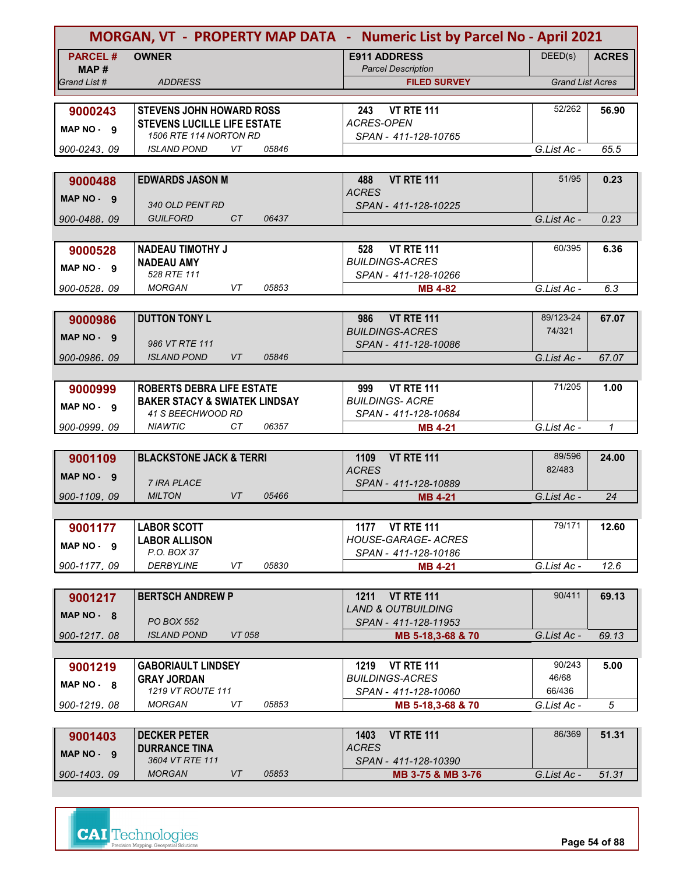|                |                                                               |           |       | MORGAN, VT - PROPERTY MAP DATA - Numeric List by Parcel No - April 2021 |                         |              |
|----------------|---------------------------------------------------------------|-----------|-------|-------------------------------------------------------------------------|-------------------------|--------------|
| <b>PARCEL#</b> | <b>OWNER</b>                                                  |           |       | <b>E911 ADDRESS</b>                                                     | DEED(s)                 | <b>ACRES</b> |
| MAP #          |                                                               |           |       | <b>Parcel Description</b>                                               |                         |              |
| Grand List #   | <b>ADDRESS</b>                                                |           |       | <b>FILED SURVEY</b>                                                     | <b>Grand List Acres</b> |              |
|                |                                                               |           |       |                                                                         |                         |              |
| 9000243        | <b>STEVENS JOHN HOWARD ROSS</b>                               |           |       | <b>VT RTE 111</b><br>243                                                | 52/262                  | 56.90        |
| MAP NO - 9     | <b>STEVENS LUCILLE LIFE ESTATE</b>                            |           |       | <b>ACRES-OPEN</b>                                                       |                         |              |
| 900-0243, 09   | 1506 RTE 114 NORTON RD<br><b>ISLAND POND</b>                  | VT        | 05846 | SPAN - 411-128-10765                                                    | G.List Ac -             | 65.5         |
|                |                                                               |           |       |                                                                         |                         |              |
|                | <b>EDWARDS JASON M</b>                                        |           |       |                                                                         | 51/95                   |              |
| 9000488        |                                                               |           |       | <b>VT RTE 111</b><br>488<br><b>ACRES</b>                                |                         | 0.23         |
| MAP NO - 9     | 340 OLD PENT RD                                               |           |       | SPAN - 411-128-10225                                                    |                         |              |
| 900-0488,09    | <b>GUILFORD</b>                                               | CT        | 06437 |                                                                         | G.List Ac -             | 0.23         |
|                |                                                               |           |       |                                                                         |                         |              |
| 9000528        | <b>NADEAU TIMOTHY J</b>                                       |           |       | <b>VT RTE 111</b><br>528                                                | 60/395                  | 6.36         |
| MAP NO - 9     | <b>NADEAU AMY</b>                                             |           |       | <b>BUILDINGS-ACRES</b>                                                  |                         |              |
|                | 528 RTE 111                                                   |           |       | SPAN - 411-128-10266                                                    |                         |              |
| 900-0528, 09   | <b>MORGAN</b>                                                 | VT        | 05853 | <b>MB 4-82</b>                                                          | G.List Ac -             | 6.3          |
|                |                                                               |           |       |                                                                         |                         |              |
| 9000986        | <b>DUTTON TONY L</b>                                          |           |       | <b>VT RTE 111</b><br>986                                                | 89/123-24               | 67.07        |
| MAP NO - 9     |                                                               |           |       | <b>BUILDINGS-ACRES</b>                                                  | 74/321                  |              |
|                | 986 VT RTE 111                                                |           |       | SPAN - 411-128-10086                                                    |                         |              |
| 900-0986.09    | <b>ISLAND POND</b>                                            | <b>VT</b> | 05846 |                                                                         | G.List Ac -             | 67.07        |
|                |                                                               |           |       |                                                                         |                         |              |
| 9000999        | <b>ROBERTS DEBRA LIFE ESTATE</b>                              |           |       | <b>VT RTE 111</b><br>999                                                | 71/205                  | 1.00         |
| MAP NO - 9     | <b>BAKER STACY &amp; SWIATEK LINDSAY</b><br>41 S BEECHWOOD RD |           |       | <b>BUILDINGS- ACRE</b><br>SPAN - 411-128-10684                          |                         |              |
| 900-0999, 09   | <b>NIAWTIC</b>                                                | CТ        | 06357 | <b>MB 4-21</b>                                                          | G.List Ac -             | $\mathcal I$ |
|                |                                                               |           |       |                                                                         |                         |              |
| 9001109        | <b>BLACKSTONE JACK &amp; TERRI</b>                            |           |       | <b>VT RTE 111</b><br>1109                                               | 89/596                  | 24.00        |
| MAP NO - 9     |                                                               |           |       | <b>ACRES</b>                                                            | 82/483                  |              |
|                | <b>7 IRA PLACE</b>                                            |           |       | SPAN - 411-128-10889                                                    |                         |              |
| 900-1109.09    | <b>MILTON</b>                                                 | <b>VT</b> | 05466 | <b>MB 4-21</b>                                                          | G.List Ac -             | 24           |
|                |                                                               |           |       |                                                                         |                         |              |
| 9001177        | <b>LABOR SCOTT</b>                                            |           |       | 1177 VT RTE 111                                                         | 79/171                  | 12.60        |
| MAP NO - 9     | <b>LABOR ALLISON</b>                                          |           |       | <b>HOUSE-GARAGE- ACRES</b>                                              |                         |              |
|                | P.O. BOX 37<br><b>DERBYLINE</b>                               | VT        | 05830 | SPAN - 411-128-10186                                                    |                         |              |
| 900-1177.09    |                                                               |           |       | <b>MB 4-21</b>                                                          | G.List Ac -             | 12.6         |
|                |                                                               |           |       | <b>VT RTE 111</b><br>1211                                               | 90/411                  | 69.13        |
| 9001217        | <b>BERTSCH ANDREW P</b>                                       |           |       | <b>LAND &amp; OUTBUILDING</b>                                           |                         |              |
| MAP NO - 8     | <b>PO BOX 552</b>                                             |           |       | SPAN - 411-128-11953                                                    |                         |              |
| 900-1217.08    | <b>ISLAND POND</b>                                            | VT 058    |       | MB 5-18,3-68 & 70                                                       | G.List Ac -             | 69.13        |
|                |                                                               |           |       |                                                                         |                         |              |
| 9001219        | <b>GABORIAULT LINDSEY</b>                                     |           |       | 1219 VT RTE 111                                                         | 90/243                  | 5.00         |
| $MAP NO - 8$   | <b>GRAY JORDAN</b>                                            |           |       | <b>BUILDINGS-ACRES</b>                                                  | 46/68                   |              |
|                | 1219 VT ROUTE 111                                             |           |       | SPAN - 411-128-10060                                                    | 66/436                  |              |
| 900-1219, 08   | <b>MORGAN</b>                                                 | VT        | 05853 | MB 5-18,3-68 & 70                                                       | G.List Ac -             | 5            |
|                |                                                               |           |       |                                                                         |                         |              |
| 9001403        | <b>DECKER PETER</b>                                           |           |       | <b>VT RTE 111</b><br>1403                                               | 86/369                  | 51.31        |
| MAP NO - 9     | <b>DURRANCE TINA</b><br>3604 VT RTE 111                       |           |       | <b>ACRES</b>                                                            |                         |              |
| 900-1403.09    | <b>MORGAN</b>                                                 | VT        | 05853 | SPAN - 411-128-10390<br>MB 3-75 & MB 3-76                               | G.List Ac -             | 51.31        |
|                |                                                               |           |       |                                                                         |                         |              |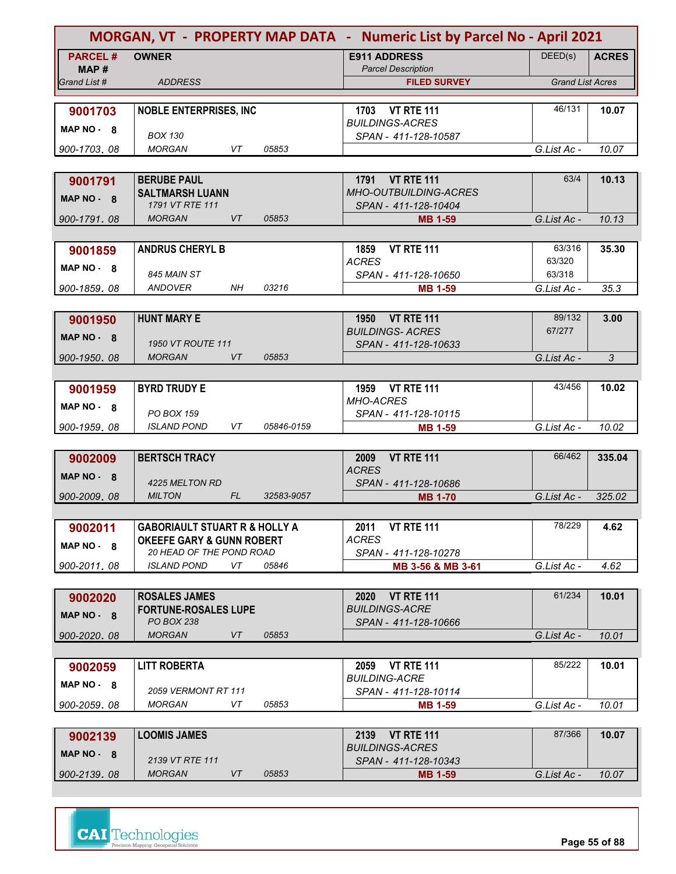|                         |                                                                                  |     |            | MORGAN, VT - PROPERTY MAP DATA - Numeric List by Parcel No - April 2021 |                         |              |
|-------------------------|----------------------------------------------------------------------------------|-----|------------|-------------------------------------------------------------------------|-------------------------|--------------|
| <b>PARCEL#</b><br>MAP # | <b>OWNER</b>                                                                     |     |            | <b>E911 ADDRESS</b><br><b>Parcel Description</b>                        | DEED(s)                 | <b>ACRES</b> |
| Grand List #            | <b>ADDRESS</b>                                                                   |     |            | <b>FILED SURVEY</b>                                                     | <b>Grand List Acres</b> |              |
|                         |                                                                                  |     |            |                                                                         |                         |              |
| 9001703                 | <b>NOBLE ENTERPRISES, INC</b>                                                    |     |            | 1703 VT RTE 111                                                         | 46/131                  | 10.07        |
| MAP NO - 8              |                                                                                  |     |            | <b>BUILDINGS-ACRES</b>                                                  |                         |              |
|                         | <b>BOX 130</b><br><b>MORGAN</b>                                                  | VT  | 05853      | SPAN - 411-128-10587                                                    | G.List Ac -             | 10.07        |
| 900-1703.08             |                                                                                  |     |            |                                                                         |                         |              |
| 9001791                 | <b>BERUBE PAUL</b>                                                               |     |            | 1791 VT RTE 111                                                         | 63/4                    | 10.13        |
|                         | <b>SALTMARSH LUANN</b>                                                           |     |            | <b>MHO-OUTBUILDING-ACRES</b>                                            |                         |              |
| MAP NO - 8              | 1791 VT RTE 111                                                                  |     |            | SPAN - 411-128-10404                                                    |                         |              |
| 900-1791, 08            | <b>MORGAN</b>                                                                    | VT  | 05853      | <b>MB 1-59</b>                                                          | G.List Ac -             | 10.13        |
|                         |                                                                                  |     |            |                                                                         |                         |              |
| 9001859                 | <b>ANDRUS CHERYL B</b>                                                           |     |            | <b>VT RTE 111</b><br>1859                                               | 63/316                  | 35.30        |
| MAP NO 8                |                                                                                  |     |            | <b>ACRES</b>                                                            | 63/320                  |              |
| 900-1859.08             | 845 MAIN ST<br><b>ANDOVER</b>                                                    | NH  | 03216      | SPAN - 411-128-10650<br><b>MB 1-59</b>                                  | 63/318<br>G.List Ac -   | 35.3         |
|                         |                                                                                  |     |            |                                                                         |                         |              |
| 9001950                 | <b>HUNT MARY E</b>                                                               |     |            | 1950 VT RTE 111                                                         | 89/132                  | 3.00         |
|                         |                                                                                  |     |            | <b>BUILDINGS-ACRES</b>                                                  | 67/277                  |              |
| MAP NO - 8              | <b>1950 VT ROUTE 111</b>                                                         |     |            | SPAN - 411-128-10633                                                    |                         |              |
| 900-1950.08             | <b>MORGAN</b>                                                                    | VT  | 05853      |                                                                         | G.List Ac -             | 3            |
|                         |                                                                                  |     |            |                                                                         |                         |              |
| 9001959                 | <b>BYRD TRUDY E</b>                                                              |     |            | 1959 VT RTE 111                                                         | 43/456                  | 10.02        |
| MAP NO - 8              |                                                                                  |     |            | <b>MHO-ACRES</b>                                                        |                         |              |
| 900-1959.08             | PO BOX 159<br><b>ISLAND POND</b>                                                 | VT  | 05846-0159 | SPAN - 411-128-10115<br><b>MB 1-59</b>                                  | G.List Ac -             | 10.02        |
|                         |                                                                                  |     |            |                                                                         |                         |              |
| 9002009                 | <b>BERTSCH TRACY</b>                                                             |     |            | <b>VT RTE 111</b><br>2009                                               | 66/462                  | 335.04       |
| MAP NO - 8              |                                                                                  |     |            | <b>ACRES</b>                                                            |                         |              |
|                         | 4225 MELTON RD                                                                   |     |            | SPAN - 411-128-10686                                                    |                         |              |
| 900-2009, 08            | <b>MILTON</b>                                                                    | FL. | 32583-9057 | <b>MB 1-70</b>                                                          | G.List Ac -             | 325.02       |
|                         |                                                                                  |     |            |                                                                         |                         |              |
| 9002011                 | <b>GABORIAULT STUART R &amp; HOLLY A</b><br><b>OKEEFE GARY &amp; GUNN ROBERT</b> |     |            | <b>VT RTE 111</b><br>2011<br><b>ACRES</b>                               | 78/229                  | 4.62         |
| MAP NO - 8              | 20 HEAD OF THE POND ROAD                                                         |     |            | SPAN - 411-128-10278                                                    |                         |              |
| 900-2011.08             | <b>ISLAND POND</b>                                                               | VT  | 05846      | MB 3-56 & MB 3-61                                                       | G.List Ac -             | 4.62         |
|                         |                                                                                  |     |            |                                                                         |                         |              |
| 9002020                 | <b>ROSALES JAMES</b>                                                             |     |            | <b>VT RTE 111</b><br>2020                                               | 61/234                  | 10.01        |
| MAP NO - 8              | <b>FORTUNE-ROSALES LUPE</b>                                                      |     |            | <b>BUILDINGS-ACRE</b>                                                   |                         |              |
|                         | <b>PO BOX 238</b>                                                                |     |            | SPAN - 411-128-10666                                                    |                         |              |
| 900-2020.08             | <b>MORGAN</b>                                                                    | VT  | 05853      |                                                                         | G.List Ac -             | 10.01        |
|                         |                                                                                  |     |            |                                                                         | 85/222                  | 10.01        |
| 9002059                 | <b>LITT ROBERTA</b>                                                              |     |            | 2059<br><b>VT RTE 111</b><br><b>BUILDING-ACRE</b>                       |                         |              |
| MAP NO - 8              | 2059 VERMONT RT 111                                                              |     |            | SPAN - 411-128-10114                                                    |                         |              |
| 900-2059.08             | <b>MORGAN</b>                                                                    | VT  | 05853      | <b>MB 1-59</b>                                                          | G.List Ac -             | 10.01        |
|                         |                                                                                  |     |            |                                                                         |                         |              |
| 9002139                 | <b>LOOMIS JAMES</b>                                                              |     |            | <b>VT RTE 111</b><br>2139                                               | 87/366                  | 10.07        |
| MAP NO - 8              |                                                                                  |     |            | <b>BUILDINGS-ACRES</b>                                                  |                         |              |
| 900-2139.08             | 2139 VT RTE 111<br><b>MORGAN</b>                                                 | VT  | 05853      | SPAN - 411-128-10343<br><b>MB 1-59</b>                                  | G.List Ac -             | 10.07        |
|                         |                                                                                  |     |            |                                                                         |                         |              |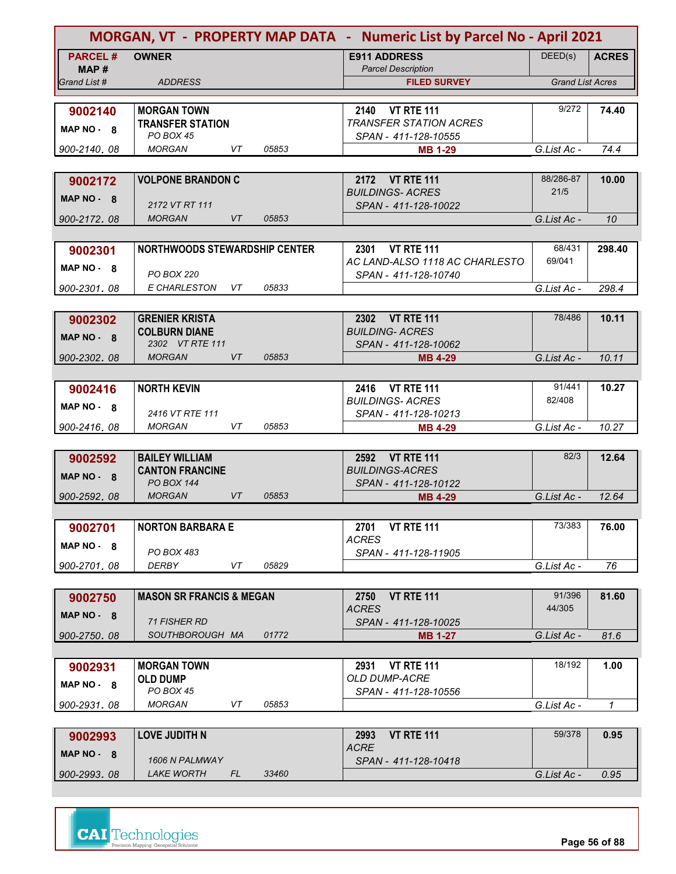|                        |                                               |                    | MORGAN, VT - PROPERTY MAP DATA - Numeric List by Parcel No - April 2021 |                         |              |  |
|------------------------|-----------------------------------------------|--------------------|-------------------------------------------------------------------------|-------------------------|--------------|--|
| <b>PARCEL#</b><br>MAP# | <b>OWNER</b>                                  |                    | <b>E911 ADDRESS</b><br><b>Parcel Description</b>                        | DEED(s)                 | <b>ACRES</b> |  |
| Grand List #           | <b>ADDRESS</b>                                |                    | <b>FILED SURVEY</b>                                                     | <b>Grand List Acres</b> |              |  |
| 9002140                | <b>MORGAN TOWN</b><br><b>TRANSFER STATION</b> |                    | 2140<br><b>VT RTE 111</b><br><b>TRANSFER STATION ACRES</b>              | 9/272                   | 74.40        |  |
| MAP NO - 8             | PO BOX 45                                     |                    | SPAN - 411-128-10555                                                    |                         |              |  |
| 900-2140.08            | <b>MORGAN</b>                                 | 05853<br>VT        | <b>MB 1-29</b>                                                          | G.List Ac -             | 74.4         |  |
|                        |                                               |                    |                                                                         | 88/286-87               |              |  |
| 9002172                | <b>VOLPONE BRANDON C</b>                      |                    | 2172 VT RTE 111<br><b>BUILDINGS- ACRES</b>                              | 21/5                    | 10.00        |  |
| MAP $NO - 8$           | 2172 VT RT 111                                |                    | SPAN - 411-128-10022                                                    |                         |              |  |
| 900-2172.08            | <b>MORGAN</b>                                 | <b>VT</b><br>05853 |                                                                         | G.List Ac -             | 10           |  |
|                        |                                               |                    |                                                                         |                         |              |  |
| 9002301                | <b>NORTHWOODS STEWARDSHIP CENTER</b>          |                    | 2301 VT RTE 111<br>AC LAND-ALSO 1118 AC CHARLESTO                       | 68/431<br>69/041        | 298.40       |  |
| $MAP NO - 8$           | <b>PO BOX 220</b>                             |                    | SPAN - 411-128-10740                                                    |                         |              |  |
| 900-2301.08            | E CHARLESTON                                  | VT<br>05833        |                                                                         | G.List Ac -             | 298.4        |  |
|                        |                                               |                    |                                                                         |                         |              |  |
| 9002302                | <b>GRENIER KRISTA</b>                         |                    | <b>VT RTE 111</b><br>2302                                               | 78/486                  | 10.11        |  |
| MAP NO - 8             | <b>COLBURN DIANE</b><br>2302 VT RTE 111       |                    | <b>BUILDING- ACRES</b><br>SPAN - 411-128-10062                          |                         |              |  |
| 900-2302.08            | <b>MORGAN</b>                                 | VT<br>05853        | <b>MB 4-29</b>                                                          | G.List Ac -             | 10.11        |  |
|                        |                                               |                    |                                                                         |                         |              |  |
| 9002416                | <b>NORTH KEVIN</b>                            |                    | 2416 VT RTE 111                                                         | 91/441                  | 10.27        |  |
| MAP NO - 8             |                                               |                    | <b>BUILDINGS-ACRES</b>                                                  | 82/408                  |              |  |
| 900-2416.08            | 2416 VT RTE 111<br><b>MORGAN</b>              | VT<br>05853        | SPAN - 411-128-10213<br><b>MB 4-29</b>                                  | G.List Ac -             | 10.27        |  |
|                        |                                               |                    |                                                                         |                         |              |  |
| 9002592                | <b>BAILEY WILLIAM</b>                         |                    | 2592 VT RTE 111                                                         | 82/3                    | 12.64        |  |
| MAP NO - 8             | <b>CANTON FRANCINE</b>                        |                    | <b>BUILDINGS-ACRES</b>                                                  |                         |              |  |
|                        | PO BOX 144<br><b>MORGAN</b>                   | <b>VT</b><br>05853 | SPAN - 411-128-10122                                                    | G.List Ac -             |              |  |
| 900-2592.08            |                                               |                    | <b>MB 4-29</b>                                                          |                         | 12.64        |  |
| 9002701                | <b>NORTON BARBARA E</b>                       |                    | 2701<br><b>VT RTE 111</b>                                               | 73/383                  | 76.00        |  |
| MAP NO 8               |                                               |                    | <b>ACRES</b>                                                            |                         |              |  |
|                        | PO BOX 483                                    |                    | SPAN - 411-128-11905                                                    |                         |              |  |
| 900-2701.08            | DERBY                                         | 05829<br>VT        |                                                                         | G.List Ac -             | 76           |  |
| 9002750                | <b>MASON SR FRANCIS &amp; MEGAN</b>           |                    | <b>VT RTE 111</b><br>2750                                               | 91/396                  | 81.60        |  |
| $MAP NO - 8$           |                                               |                    | <b>ACRES</b>                                                            | 44/305                  |              |  |
|                        | 71 FISHER RD                                  |                    | SPAN - 411-128-10025                                                    |                         |              |  |
| 900-2750.08            | SOUTHBOROUGH MA                               | 01772              | <b>MB 1-27</b>                                                          | G.List Ac -             | 81.6         |  |
|                        | <b>MORGAN TOWN</b>                            |                    | <b>VT RTE 111</b><br>2931                                               | 18/192                  | 1.00         |  |
| 9002931<br>MAP NO - 8  | <b>OLD DUMP</b><br>PO BOX 45                  |                    | <b>OLD DUMP-ACRE</b><br>SPAN - 411-128-10556                            |                         |              |  |
| 900-2931.08            | <b>MORGAN</b>                                 | VT<br>05853        |                                                                         | G.List Ac -             | 1            |  |
|                        |                                               |                    |                                                                         |                         |              |  |
| 9002993                | <b>LOVE JUDITH N</b>                          |                    | <b>VT RTE 111</b><br>2993                                               | 59/378                  | 0.95         |  |
| MAP $NO - 8$           | 1606 N PALMWAY                                |                    | <b>ACRE</b><br>SPAN - 411-128-10418                                     |                         |              |  |
| 900-2993.08            | <i>LAKE WORTH</i>                             | FL<br>33460        |                                                                         | G.List Ac -             | 0.95         |  |

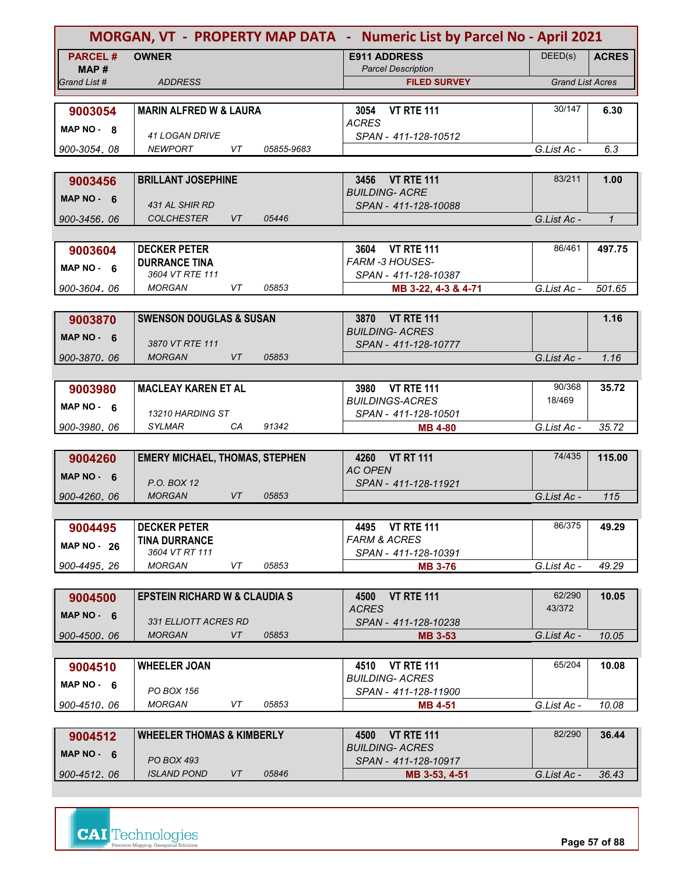|                    |                                             |           | MORGAN, VT - PROPERTY MAP DATA - Numeric List by Parcel No - April 2021 |                                                     |                         |              |
|--------------------|---------------------------------------------|-----------|-------------------------------------------------------------------------|-----------------------------------------------------|-------------------------|--------------|
| <b>PARCEL#</b>     | <b>OWNER</b>                                |           |                                                                         | <b>E911 ADDRESS</b>                                 | DEED(s)                 | <b>ACRES</b> |
| MAP#               |                                             |           |                                                                         | <b>Parcel Description</b>                           |                         |              |
| Grand List #       | <b>ADDRESS</b>                              |           |                                                                         | <b>FILED SURVEY</b>                                 | <b>Grand List Acres</b> |              |
|                    | <b>MARIN ALFRED W &amp; LAURA</b>           |           |                                                                         | <b>VT RTE 111</b><br>3054                           | 30/147                  | 6.30         |
| 9003054            |                                             |           |                                                                         | <b>ACRES</b>                                        |                         |              |
| MAP NO - 8         | <b>41 LOGAN DRIVE</b>                       |           |                                                                         | SPAN - 411-128-10512                                |                         |              |
| 900-3054, 08       | <b>NEWPORT</b>                              | VT        | 05855-9683                                                              |                                                     | G.List Ac -             | 6.3          |
|                    |                                             |           |                                                                         |                                                     |                         |              |
| 9003456            | <b>BRILLANT JOSEPHINE</b>                   |           |                                                                         | 3456 VT RTE 111                                     | 83/211                  | 1.00         |
| MAP $NO - 6$       | 431 AL SHIR RD                              |           |                                                                         | <b>BUILDING- ACRE</b><br>SPAN - 411-128-10088       |                         |              |
| 900-3456, 06       | <b>COLCHESTER</b>                           | <b>VT</b> | 05446                                                                   |                                                     | G.List Ac -             | $\mathbf{1}$ |
|                    |                                             |           |                                                                         |                                                     |                         |              |
| 9003604            | <b>DECKER PETER</b>                         |           |                                                                         | <b>VT RTE 111</b><br>3604                           | 86/461                  | 497.75       |
| MAP NO - 6         | <b>DURRANCE TINA</b>                        |           |                                                                         | <b>FARM -3 HOUSES-</b>                              |                         |              |
|                    | 3604 VT RTE 111                             |           |                                                                         | SPAN - 411-128-10387                                |                         |              |
| 900-3604.06        | <b>MORGAN</b>                               | VT        | 05853                                                                   | MB 3-22, 4-3 & 4-71                                 | G.List Ac -             | 501.65       |
|                    |                                             |           |                                                                         | 3870 VT RTE 111                                     |                         | 1.16         |
| 9003870            | <b>SWENSON DOUGLAS &amp; SUSAN</b>          |           |                                                                         | <b>BUILDING- ACRES</b>                              |                         |              |
| MAP $NO - 6$       | 3870 VT RTE 111                             |           |                                                                         | SPAN - 411-128-10777                                |                         |              |
| 900-3870.06        | <b>MORGAN</b>                               | VT        | 05853                                                                   |                                                     | G.List Ac -             | 1.16         |
|                    |                                             |           |                                                                         |                                                     |                         |              |
| 9003980            | <b>MACLEAY KAREN ET AL</b>                  |           |                                                                         | <b>VT RTE 111</b><br>3980                           | 90/368                  | 35.72        |
| MAP $NO - 6$       |                                             |           |                                                                         | <b>BUILDINGS-ACRES</b>                              | 18/469                  |              |
| 900-3980.06        | 13210 HARDING ST<br>SYLMAR                  | CA        | 91342                                                                   | SPAN - 411-128-10501<br><b>MB 4-80</b>              | G.List Ac -             | 35.72        |
|                    |                                             |           |                                                                         |                                                     |                         |              |
| 9004260            | <b>EMERY MICHAEL, THOMAS, STEPHEN</b>       |           |                                                                         | <b>VT RT 111</b><br>4260                            | 74/435                  | 115.00       |
| MAP $NO - 6$       |                                             |           |                                                                         | <b>AC OPEN</b>                                      |                         |              |
|                    | P.O. BOX 12                                 |           |                                                                         | SPAN - 411-128-11921                                |                         |              |
| 900-4260.06        | <b>MORGAN</b>                               | VT        | 05853                                                                   |                                                     | G.List Ac -             | 115          |
|                    |                                             |           |                                                                         |                                                     |                         |              |
| 9004495            | <b>DECKER PETER</b><br><b>TINA DURRANCE</b> |           |                                                                         | 4495 VT RTE 111<br><b>FARM &amp; ACRES</b>          | 86/375                  | 49.29        |
| <b>MAP NO - 26</b> | 3604 VT RT 111                              |           |                                                                         | SPAN - 411-128-10391                                |                         |              |
| 900-4495.26        | <b>MORGAN</b>                               | VT        | 05853                                                                   | <b>MB 3-76</b>                                      | G.List Ac -             | 49.29        |
|                    |                                             |           |                                                                         |                                                     |                         |              |
| 9004500            | <b>EPSTEIN RICHARD W &amp; CLAUDIA S</b>    |           |                                                                         | <b>VT RTE 111</b><br>4500                           | 62/290                  | 10.05        |
| MAP $NO - 6$       | 331 ELLIOTT ACRES RD                        |           |                                                                         | <b>ACRES</b><br>SPAN - 411-128-10238                | 43/372                  |              |
| 900-4500.06        | <b>MORGAN</b>                               | VT        | 05853                                                                   | <b>MB 3-53</b>                                      | G.List Ac -             | 10.05        |
|                    |                                             |           |                                                                         |                                                     |                         |              |
| 9004510            | <b>WHEELER JOAN</b>                         |           |                                                                         | <b>VT RTE 111</b><br>4510                           | 65/204                  | 10.08        |
| MAP $NO - 6$       |                                             |           |                                                                         | <b>BUILDING- ACRES</b>                              |                         |              |
|                    | PO BOX 156                                  |           |                                                                         | SPAN - 411-128-11900                                |                         |              |
| 900-4510, 06       | <b>MORGAN</b>                               | VT        | 05853                                                                   | <b>MB 4-51</b>                                      | G.List Ac -             | 10.08        |
|                    |                                             |           |                                                                         |                                                     | 82/290                  |              |
| 9004512            | <b>WHEELER THOMAS &amp; KIMBERLY</b>        |           |                                                                         | <b>VT RTE 111</b><br>4500<br><b>BUILDING- ACRES</b> |                         | 36.44        |
| MAP $NO - 6$       | PO BOX 493                                  |           |                                                                         | SPAN - 411-128-10917                                |                         |              |
| 900-4512.06        | <b>ISLAND POND</b>                          | VT        | 05846                                                                   | MB 3-53, 4-51                                       | G.List Ac -             | 36.43        |

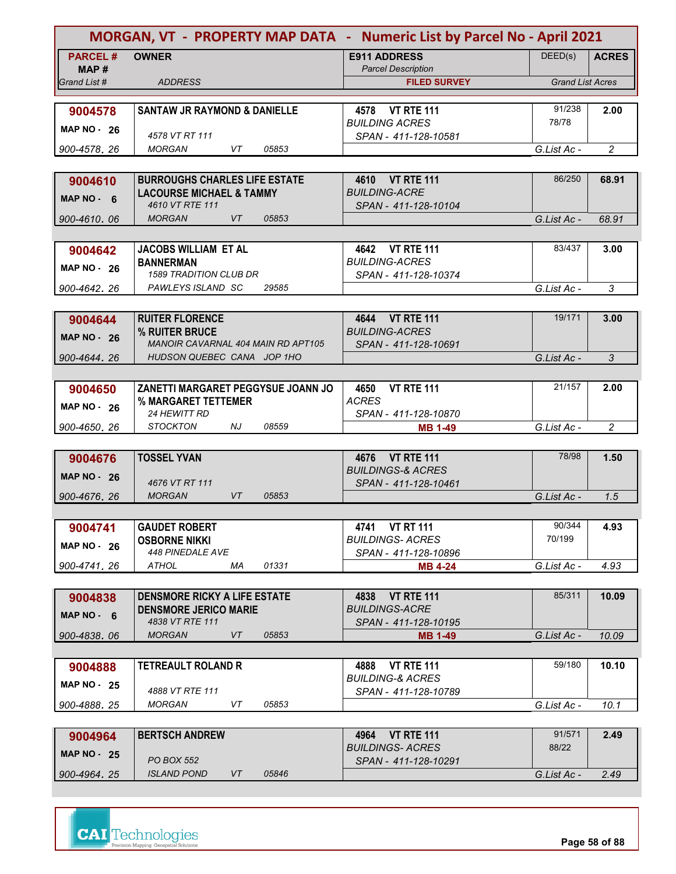|                    |                                                   |                    | MORGAN, VT - PROPERTY MAP DATA - Numeric List by Parcel No - April 2021 |                         |                |
|--------------------|---------------------------------------------------|--------------------|-------------------------------------------------------------------------|-------------------------|----------------|
| <b>PARCEL#</b>     | <b>OWNER</b>                                      |                    | <b>E911 ADDRESS</b>                                                     | DEED(s)                 | <b>ACRES</b>   |
| MAP #              |                                                   |                    | <b>Parcel Description</b>                                               |                         |                |
| Grand List #       | <b>ADDRESS</b>                                    |                    | <b>FILED SURVEY</b>                                                     | <b>Grand List Acres</b> |                |
|                    |                                                   |                    |                                                                         | 91/238                  |                |
| 9004578            | <b>SANTAW JR RAYMOND &amp; DANIELLE</b>           |                    | 4578 VT RTE 111<br><b>BUILDING ACRES</b>                                | 78/78                   | 2.00           |
| MAP $NO - 26$      | 4578 VT RT 111                                    |                    | SPAN - 411-128-10581                                                    |                         |                |
| 900-4578, 26       | <b>MORGAN</b>                                     | 05853<br>VT        |                                                                         | G.List Ac -             | $\overline{c}$ |
|                    |                                                   |                    |                                                                         |                         |                |
| 9004610            | <b>BURROUGHS CHARLES LIFE ESTATE</b>              |                    | 4610 VT RTE 111                                                         | 86/250                  | 68.91          |
| MAP NO $-6$        | <b>LACOURSE MICHAEL &amp; TAMMY</b>               |                    | <b>BUILDING-ACRE</b>                                                    |                         |                |
|                    | 4610 VT RTE 111                                   |                    | SPAN - 411-128-10104                                                    |                         |                |
| 900-4610, 06       | <b>MORGAN</b>                                     | VT<br>05853        |                                                                         | G.List Ac -             | 68.91          |
|                    |                                                   |                    |                                                                         |                         |                |
| 9004642            | <b>JACOBS WILLIAM ET AL</b>                       |                    | 4642 VT RTE 111                                                         | 83/437                  | 3.00           |
| <b>MAP NO - 26</b> | <b>BANNERMAN</b><br><b>1589 TRADITION CLUB DR</b> |                    | <b>BUILDING-ACRES</b>                                                   |                         |                |
| 900-4642.26        | PAWLEYS ISLAND SC                                 | 29585              | SPAN - 411-128-10374                                                    | G.List Ac -             | 3              |
|                    |                                                   |                    |                                                                         |                         |                |
|                    | <b>RUITER FLORENCE</b>                            |                    | 4644 VT RTE 111                                                         | 19/171                  | 3.00           |
| 9004644            | % RUITER BRUCE                                    |                    | <b>BUILDING-ACRES</b>                                                   |                         |                |
| <b>MAP NO - 26</b> | <b>MANOIR CAVARNAL 404 MAIN RD APT105</b>         |                    | SPAN - 411-128-10691                                                    |                         |                |
| 900-4644.26        | HUDSON QUEBEC CANA JOP 1HO                        |                    |                                                                         | G.List Ac -             | 3              |
|                    |                                                   |                    |                                                                         |                         |                |
| 9004650            | ZANETTI MARGARET PEGGYSUE JOANN JO                |                    | <b>VT RTE 111</b><br>4650                                               | 21/157                  | 2.00           |
| MAP $NO - 26$      | % MARGARET TETTEMER                               |                    | <b>ACRES</b>                                                            |                         |                |
|                    | <b>24 HEWITT RD</b>                               |                    | SPAN - 411-128-10870                                                    |                         |                |
| 900-4650, 26       | <b>STOCKTON</b><br>NJ                             | 08559              | <b>MB 1-49</b>                                                          | G.List Ac -             | $\overline{2}$ |
|                    |                                                   |                    |                                                                         |                         |                |
| 9004676            | <b>TOSSEL YVAN</b>                                |                    | 4676 VT RTE 111                                                         | 78/98                   | 1.50           |
| MAP $NO - 26$      | 4676 VT RT 111                                    |                    | <b>BUILDINGS-&amp; ACRES</b><br>SPAN - 411-128-10461                    |                         |                |
| 900-4676, 26       | <b>MORGAN</b>                                     | <b>VT</b><br>05853 |                                                                         | G.List Ac -             | 1.5            |
|                    |                                                   |                    |                                                                         |                         |                |
| 9004741            | <b>GAUDET ROBERT</b>                              |                    | 4741 VT RT 111                                                          | 90/344                  | 4.93           |
|                    | <b>OSBORNE NIKKI</b>                              |                    | <b>BUILDINGS-ACRES</b>                                                  | 70/199                  |                |
| <b>MAP NO - 26</b> | <b>448 PINEDALE AVE</b>                           |                    | SPAN - 411-128-10896                                                    |                         |                |
| 900-4741.26        | <b>ATHOL</b>                                      | 01331<br>МA        | <b>MB 4-24</b>                                                          | G.List Ac -             | 4.93           |
|                    |                                                   |                    |                                                                         |                         |                |
| 9004838            | <b>DENSMORE RICKY A LIFE ESTATE</b>               |                    | <b>VT RTE 111</b><br>4838                                               | 85/311                  | 10.09          |
| MAP $NO - 6$       | <b>DENSMORE JERICO MARIE</b>                      |                    | <b>BUILDINGS-ACRE</b>                                                   |                         |                |
|                    | 4838 VT RTE 111                                   |                    | SPAN - 411-128-10195                                                    |                         |                |
| 900-4838.06        | <b>MORGAN</b>                                     | VT<br>05853        | <b>MB 1-49</b>                                                          | G.List Ac -             | 10.09          |
|                    |                                                   |                    |                                                                         | 59/180                  |                |
| 9004888            | <b>TETREAULT ROLAND R</b>                         |                    | <b>VT RTE 111</b><br>4888<br><b>BUILDING-&amp; ACRES</b>                |                         | 10.10          |
| <b>MAP NO - 25</b> | 4888 VT RTE 111                                   |                    | SPAN - 411-128-10789                                                    |                         |                |
| 900-4888, 25       | MORGAN                                            | 05853<br>VT        |                                                                         | G.List Ac -             | 10.1           |
|                    |                                                   |                    |                                                                         |                         |                |
| 9004964            | <b>BERTSCH ANDREW</b>                             |                    | 4964 VT RTE 111                                                         | 91/571                  | 2.49           |
| <b>MAP NO - 25</b> |                                                   |                    | <b>BUILDINGS-ACRES</b>                                                  | 88/22                   |                |
|                    | <b>PO BOX 552</b>                                 |                    | SPAN - 411-128-10291                                                    |                         |                |
| 900-4964, 25       | <b>ISLAND POND</b>                                | VT<br>05846        |                                                                         | G.List Ac -             | 2.49           |

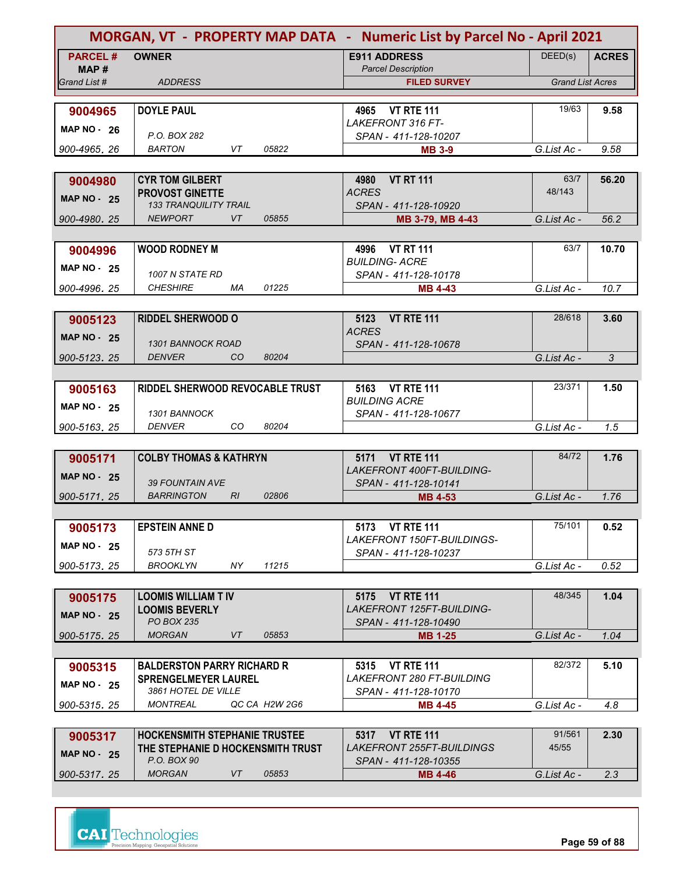|                      | MORGAN, VT - PROPERTY MAP DATA - Numeric List by Parcel No - April 2021 |                                                               |                         |              |
|----------------------|-------------------------------------------------------------------------|---------------------------------------------------------------|-------------------------|--------------|
| <b>PARCEL#</b>       | <b>OWNER</b>                                                            | <b>E911 ADDRESS</b>                                           | DEED(s)                 | <b>ACRES</b> |
| MAP#<br>Grand List # | <b>ADDRESS</b>                                                          | <b>Parcel Description</b>                                     | <b>Grand List Acres</b> |              |
|                      |                                                                         | <b>FILED SURVEY</b>                                           |                         |              |
| 9004965              | <b>DOYLE PAUL</b>                                                       | 4965 VT RTE 111                                               | 19/63                   | 9.58         |
| <b>MAP NO - 26</b>   |                                                                         | LAKEFRONT 316 FT-                                             |                         |              |
|                      | P.O. BOX 282                                                            | SPAN - 411-128-10207                                          |                         |              |
| 900-4965.26          | VT<br><b>BARTON</b><br>05822                                            | <b>MB 3-9</b>                                                 | G.List Ac -             | 9.58         |
|                      |                                                                         |                                                               | 63/7                    |              |
| 9004980              | <b>CYR TOM GILBERT</b><br><b>PROVOST GINETTE</b>                        | <b>VT RT 111</b><br>4980<br><b>ACRES</b>                      | 48/143                  | 56.20        |
| <b>MAP NO - 25</b>   | <b>133 TRANQUILITY TRAIL</b>                                            | SPAN - 411-128-10920                                          |                         |              |
| 900-4980.25          | <b>NEWPORT</b><br><b>VT</b><br>05855                                    | MB 3-79, MB 4-43                                              | G.List Ac -             | 56.2         |
|                      |                                                                         |                                                               |                         |              |
| 9004996              | <b>WOOD RODNEY M</b>                                                    | <b>VT RT 111</b><br>4996                                      | 63/7                    | 10.70        |
| <b>MAP NO - 25</b>   | 1007 N STATE RD                                                         | <b>BUILDING- ACRE</b><br>SPAN - 411-128-10178                 |                         |              |
| 900-4996.25          | <b>CHESHIRE</b><br>01225<br>МA                                          | <b>MB 4-43</b>                                                | G.List Ac -             | 10.7         |
|                      |                                                                         |                                                               |                         |              |
| 9005123              | <b>RIDDEL SHERWOOD O</b>                                                | <b>VT RTE 111</b><br>5123                                     | 28/618                  | 3.60         |
| <b>MAP NO - 25</b>   |                                                                         | <b>ACRES</b>                                                  |                         |              |
|                      | <b>1301 BANNOCK ROAD</b>                                                | SPAN - 411-128-10678                                          |                         |              |
| 900-5123.25          | <b>DENVER</b><br>80204<br><sub>CO</sub>                                 |                                                               | G.List Ac -             | 3            |
| 9005163              | RIDDEL SHERWOOD REVOCABLE TRUST                                         | 5163 VT RTE 111                                               | 23/371                  | 1.50         |
|                      |                                                                         | <b>BUILDING ACRE</b>                                          |                         |              |
| <b>MAP NO - 25</b>   | 1301 BANNOCK                                                            | SPAN - 411-128-10677                                          |                         |              |
| 900-5163.25          | <b>DENVER</b><br>CO<br>80204                                            |                                                               | G.List Ac -             | 1.5          |
|                      |                                                                         |                                                               |                         |              |
| 9005171              | <b>COLBY THOMAS &amp; KATHRYN</b>                                       | <b>VT RTE 111</b><br>5171                                     | 84/72                   | 1.76         |
| <b>MAP NO - 25</b>   | <b>39 FOUNTAIN AVE</b>                                                  | <b>LAKEFRONT 400FT-BUILDING-</b><br>SPAN - 411-128-10141      |                         |              |
| 900-5171.25          | 02806<br><b>BARRINGTON</b><br>RI                                        | <b>MB 4-53</b>                                                | G.List Ac -             | 1.76         |
|                      |                                                                         |                                                               |                         |              |
| 9005173              | <b>EPSTEIN ANNE D</b>                                                   | 5173 VT RTE 111                                               | 75/101                  | 0.52         |
| <b>MAP NO - 25</b>   |                                                                         | LAKEFRONT 150FT-BUILDINGS-                                    |                         |              |
|                      | 573 5TH ST<br>11215<br>NY.                                              | SPAN - 411-128-10237                                          |                         |              |
| 900-5173.25          | <b>BROOKLYN</b>                                                         |                                                               | G.List Ac -             | 0.52         |
| 9005175              | <b>LOOMIS WILLIAM T IV</b>                                              | 5175 VT RTE 111                                               | 48/345                  | 1.04         |
|                      | <b>LOOMIS BEVERLY</b>                                                   | <b>LAKEFRONT 125FT-BUILDING-</b>                              |                         |              |
| <b>MAP NO - 25</b>   | <b>PO BOX 235</b>                                                       | SPAN - 411-128-10490                                          |                         |              |
| 900-5175.25          | <b>MORGAN</b><br>VT<br>05853                                            | MB 1-25                                                       | G.List Ac -             | 1.04         |
|                      |                                                                         |                                                               |                         |              |
| 9005315              | <b>BALDERSTON PARRY RICHARD R</b>                                       | <b>VT RTE 111</b><br>5315<br><b>LAKEFRONT 280 FT-BUILDING</b> | 82/372                  | 5.10         |
| <b>MAP NO - 25</b>   | <b>SPRENGELMEYER LAUREL</b><br>3861 HOTEL DE VILLE                      | SPAN - 411-128-10170                                          |                         |              |
| 900-5315, 25         | MONTREAL<br>QC CA H2W 2G6                                               | <b>MB 4-45</b>                                                | G.List Ac -             | 4.8          |
|                      |                                                                         |                                                               |                         |              |
| 9005317              | <b>HOCKENSMITH STEPHANIE TRUSTEE</b>                                    | 5317 VT RTE 111                                               | 91/561                  | 2.30         |
| <b>MAP NO - 25</b>   | THE STEPHANIE D HOCKENSMITH TRUST<br>P.O. BOX 90                        | LAKEFRONT 255FT-BUILDINGS                                     | 45/55                   |              |
|                      |                                                                         | SPAN - 411-128-10355                                          |                         |              |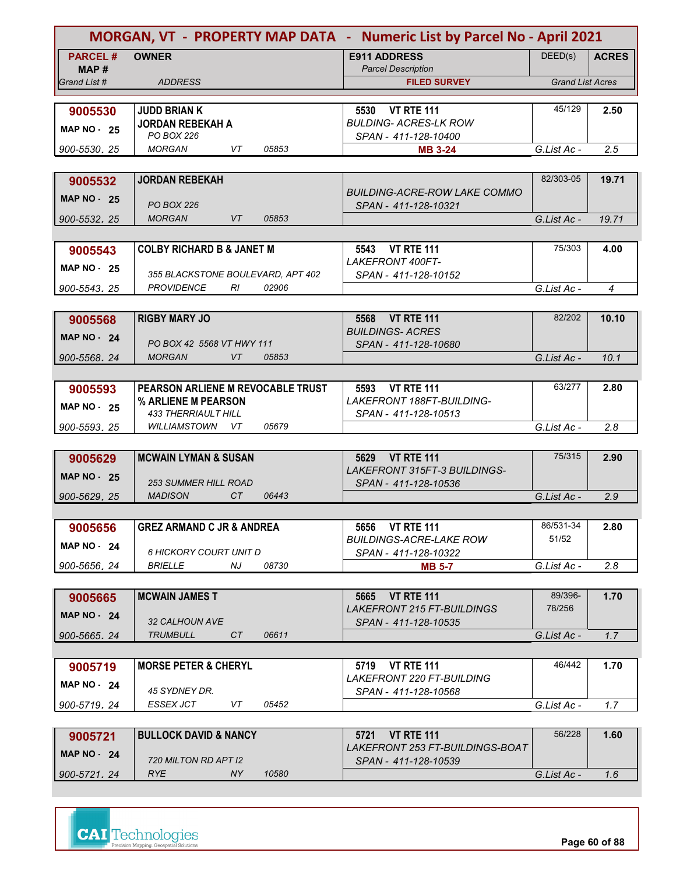| MORGAN, VT - PROPERTY MAP DATA - Numeric List by Parcel No - April 2021 |                                                           |                                                                     |                         |                |
|-------------------------------------------------------------------------|-----------------------------------------------------------|---------------------------------------------------------------------|-------------------------|----------------|
| <b>PARCEL#</b><br>MAP#                                                  | <b>OWNER</b>                                              | <b>E911 ADDRESS</b><br><b>Parcel Description</b>                    | DEED(s)                 | <b>ACRES</b>   |
| Grand List #                                                            | <b>ADDRESS</b>                                            | <b>FILED SURVEY</b>                                                 | <b>Grand List Acres</b> |                |
|                                                                         |                                                           |                                                                     |                         |                |
| 9005530                                                                 | <b>JUDD BRIAN K</b>                                       | <b>VT RTE 111</b><br>5530                                           | 45/129                  | 2.50           |
| <b>MAP NO - 25</b>                                                      | <b>JORDAN REBEKAH A</b>                                   | <b>BULDING- ACRES-LK ROW</b>                                        |                         |                |
|                                                                         | PO BOX 226                                                | SPAN - 411-128-10400                                                |                         |                |
| 900-5530.25                                                             | <b>MORGAN</b><br>VT<br>05853                              | <b>MB 3-24</b>                                                      | G.List Ac -             | 2.5            |
|                                                                         |                                                           |                                                                     |                         |                |
| 9005532                                                                 | <b>JORDAN REBEKAH</b>                                     |                                                                     | 82/303-05               | 19.71          |
| <b>MAP NO - 25</b>                                                      | <b>PO BOX 226</b>                                         | BUILDING-ACRE-ROW LAKE COMMO<br>SPAN - 411-128-10321                |                         |                |
| 900-5532.25                                                             | <b>MORGAN</b><br>VT<br>05853                              |                                                                     | G.List Ac -             | 19.71          |
|                                                                         |                                                           |                                                                     |                         |                |
| 9005543                                                                 | <b>COLBY RICHARD B &amp; JANET M</b>                      | 5543<br><b>VT RTE 111</b>                                           | 75/303                  | 4.00           |
|                                                                         |                                                           | <b>LAKEFRONT 400FT-</b>                                             |                         |                |
| <b>MAP NO - 25</b>                                                      | 355 BLACKSTONE BOULEVARD. APT 402                         | SPAN - 411-128-10152                                                |                         |                |
| 900-5543.25                                                             | <b>PROVIDENCE</b><br>RI<br>02906                          |                                                                     | G.List Ac -             | $\overline{4}$ |
|                                                                         |                                                           |                                                                     |                         |                |
| 9005568                                                                 | <b>RIGBY MARY JO</b>                                      | <b>VT RTE 111</b><br>5568                                           | 82/202                  | 10.10          |
| <b>MAP NO - 24</b>                                                      |                                                           | <b>BUILDINGS-ACRES</b>                                              |                         |                |
|                                                                         | PO BOX 42 5568 VT HWY 111<br><b>MORGAN</b><br>VT<br>05853 | SPAN - 411-128-10680                                                | G.List Ac -             | 10.1           |
| 900-5568.24                                                             |                                                           |                                                                     |                         |                |
|                                                                         | PEARSON ARLIENE M REVOCABLE TRUST                         | 5593 VT RTE 111                                                     | 63/277                  | 2.80           |
| 9005593                                                                 | % ARLIENE M PEARSON                                       | <b>LAKEFRONT 188FT-BUILDING-</b>                                    |                         |                |
| <b>MAP NO - 25</b>                                                      | <b>433 THERRIAULT HILL</b>                                | SPAN - 411-128-10513                                                |                         |                |
| 900-5593, 25                                                            | <b>WILLIAMSTOWN</b><br>VT.<br>05679                       |                                                                     | G.List Ac -             | 2.8            |
|                                                                         |                                                           |                                                                     |                         |                |
| 9005629                                                                 | <b>MCWAIN LYMAN &amp; SUSAN</b>                           | <b>VT RTE 111</b><br>5629                                           | 75/315                  | 2.90           |
| <b>MAP NO - 25</b>                                                      |                                                           | <b>LAKEFRONT 315FT-3 BUILDINGS-</b>                                 |                         |                |
|                                                                         | <b>253 SUMMER HILL ROAD</b>                               | SPAN - 411-128-10536                                                |                         |                |
| 900-5629, 25                                                            | CT<br><b>MADISON</b><br>06443                             |                                                                     | G.List Ac -             | 2.9            |
|                                                                         |                                                           |                                                                     |                         |                |
| 9005656                                                                 | <b>GREZ ARMAND C JR &amp; ANDREA</b>                      | 5656 VT RTE 111                                                     | 86/531-34               | 2.80           |
| <b>MAP NO - 24</b>                                                      | 6 HICKORY COURT UNIT D                                    | <b>BUILDINGS-ACRE-LAKE ROW</b><br>SPAN - 411-128-10322              | 51/52                   |                |
| 900-5656.24                                                             | <b>BRIELLE</b><br>NJ<br>08730                             | <b>MB 5-7</b>                                                       | G.List Ac -             | 2.8            |
|                                                                         |                                                           |                                                                     |                         |                |
| 9005665                                                                 | <b>MCWAIN JAMES T</b>                                     | <b>VT RTE 111</b><br>5665                                           | 89/396-                 | 1.70           |
|                                                                         |                                                           | <b>LAKEFRONT 215 FT-BUILDINGS</b>                                   | 78/256                  |                |
| MAP $NO - 24$                                                           | 32 CALHOUN AVE                                            | SPAN - 411-128-10535                                                |                         |                |
| 900-5665.24                                                             | 06611<br><b>TRUMBULL</b><br>CT                            |                                                                     | G.List Ac -             | 1.7            |
|                                                                         |                                                           |                                                                     |                         |                |
| 9005719                                                                 | <b>MORSE PETER &amp; CHERYL</b>                           | 5719 VT RTE 111                                                     | 46/442                  | 1.70           |
| <b>MAP NO - 24</b>                                                      |                                                           | <b>LAKEFRONT 220 FT-BUILDING</b>                                    |                         |                |
| 900-5719, 24                                                            | 45 SYDNEY DR.<br>VT<br>05452<br>ESSEX JCT                 | SPAN - 411-128-10568                                                | G.List Ac -             | 1.7            |
|                                                                         |                                                           |                                                                     |                         |                |
|                                                                         |                                                           |                                                                     | 56/228                  | 1.60           |
| 9005721                                                                 | <b>BULLOCK DAVID &amp; NANCY</b>                          | <b>VT RTE 111</b><br>5721<br><i>LAKEFRONT 253 FT-BUILDINGS-BOAT</i> |                         |                |
| <b>MAP NO - 24</b>                                                      | 720 MILTON RD APT 12                                      | SPAN - 411-128-10539                                                |                         |                |
| 900-5721.24                                                             | <b>RYE</b><br>10580<br>NY.                                |                                                                     | G.List Ac -             | 1.6            |

| <b>CAI</b> Technologies                 |
|-----------------------------------------|
| Precision Mapping. Geospatial Solutions |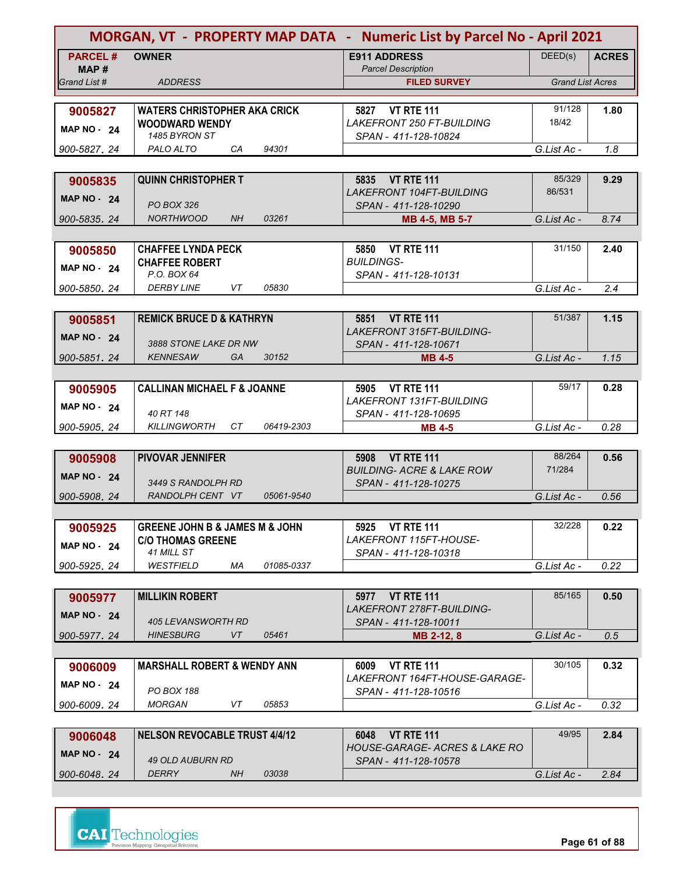| <b>PARCEL#</b><br>DEED(s)<br><b>OWNER</b><br><b>E911 ADDRESS</b><br><b>ACRES</b><br><b>Parcel Description</b><br>MAP#<br><b>ADDRESS</b><br><b>Grand List Acres</b><br>Grand List #<br><b>FILED SURVEY</b><br>91/128<br>5827 VT RTE 111<br>1.80<br><b>WATERS CHRISTOPHER AKA CRICK</b><br>9005827<br><b>LAKEFRONT 250 FT-BUILDING</b><br>18/42<br><b>WOODWARD WENDY</b><br>MAP $NO - 24$<br>1485 BYRON ST<br>SPAN - 411-128-10824<br>94301<br>PALO ALTO<br>CA<br>G.List Ac -<br>1.8<br>900-5827, 24<br><b>QUINN CHRISTOPHER T</b><br>5835 VT RTE 111<br>85/329<br>9.29<br>9005835<br><b>LAKEFRONT 104FT-BUILDING</b><br>86/531<br><b>MAP NO - 24</b><br><b>PO BOX 326</b><br>SPAN - 411-128-10290<br><b>NORTHWOOD</b><br>NH<br>03261<br>900-5835, 24<br>G.List Ac -<br>8.74<br>MB 4-5, MB 5-7<br>31/150<br><b>VT RTE 111</b><br><b>CHAFFEE LYNDA PECK</b><br>5850<br>2.40<br>9005850<br><b>BUILDINGS-</b><br><b>CHAFFEE ROBERT</b><br>MAP $NO - 24$<br>P.O. BOX 64<br>SPAN - 411-128-10131<br><b>DERBY LINE</b><br>VT<br>05830<br>900-5850.24<br>G.List Ac -<br>2.4<br>51/387<br><b>REMICK BRUCE D &amp; KATHRYN</b><br>5851 VT RTE 111<br>1.15<br>9005851<br><b>LAKEFRONT 315FT-BUILDING-</b><br><b>MAP NO - 24</b><br>3888 STONE LAKE DR NW<br>SPAN - 411-128-10671<br><b>KENNESAW</b><br>GA<br>30152<br>G.List Ac -<br>1.15<br>900-5851.24<br><b>MB 4-5</b><br>59/17<br><b>CALLINAN MICHAEL F &amp; JOANNE</b><br>5905 VT RTE 111<br>0.28<br>9005905<br>LAKEFRONT 131FT-BUILDING<br><b>MAP NO - 24</b><br>40 RT 148<br>SPAN - 411-128-10695<br><b>KILLINGWORTH</b><br>СT<br>06419-2303<br>0.28<br>900-5905.24<br>G.List Ac -<br><b>MB 4-5</b><br>88/264<br><b>PIVOVAR JENNIFER</b><br><b>VT RTE 111</b><br>5908<br>0.56<br>9005908<br>71/284<br><b>BUILDING- ACRE &amp; LAKE ROW</b><br><b>MAP NO - 24</b><br>3449 S RANDOLPH RD<br>SPAN - 411-128-10275<br>RANDOLPH CENT VT<br>05061-9540<br>900-5908.24<br>G.List Ac -<br>0.56<br>32/228<br><b>GREENE JOHN B &amp; JAMES M &amp; JOHN</b><br>5925 VT RTE 111<br>0.22<br>9005925<br><b>C/O THOMAS GREENE</b><br>LAKEFRONT 115FT-HOUSE-<br><b>MAP NO - 24</b><br>41 MILL ST<br>SPAN - 411-128-10318<br><b>WESTFIELD</b><br>МA<br>01085-0337<br>0.22<br>900-5925.24<br>G.List Ac -<br>85/165<br><b>MILLIKIN ROBERT</b><br>5977 VT RTE 111<br>0.50<br>9005977<br><i>LAKEFRONT 278FT-BUILDING-</i><br><b>MAP NO - 24</b><br>405 LEVANSWORTH RD<br>SPAN - 411-128-10011<br>VT<br>05461<br><b>HINESBURG</b><br>G.List Ac -<br>900-5977.24<br>0.5<br>MB 2-12, 8<br>30/105<br><b>MARSHALL ROBERT &amp; WENDY ANN</b><br><b>VT RTE 111</b><br>0.32<br>6009<br>9006009<br>LAKEFRONT 164FT-HOUSE-GARAGE-<br><b>MAP NO - 24</b><br>PO BOX 188<br>SPAN - 411-128-10516<br><b>MORGAN</b><br>VT<br>05853<br>G.List Ac -<br>0.32<br>900-6009, 24<br>49/95<br><b>NELSON REVOCABLE TRUST 4/4/12</b><br>2.84<br>6048<br><b>VT RTE 111</b><br>9006048<br>HOUSE-GARAGE- ACRES & LAKE RO<br><b>MAP NO - 24</b><br>49 OLD AUBURN RD<br>SPAN - 411-128-10578<br>DERRY<br>03038<br>NH.<br>900-6048.24<br>G.List Ac -<br>2.84 | MORGAN, VT - PROPERTY MAP DATA - Numeric List by Parcel No - April 2021 |  |  |  |  |  |
|--------------------------------------------------------------------------------------------------------------------------------------------------------------------------------------------------------------------------------------------------------------------------------------------------------------------------------------------------------------------------------------------------------------------------------------------------------------------------------------------------------------------------------------------------------------------------------------------------------------------------------------------------------------------------------------------------------------------------------------------------------------------------------------------------------------------------------------------------------------------------------------------------------------------------------------------------------------------------------------------------------------------------------------------------------------------------------------------------------------------------------------------------------------------------------------------------------------------------------------------------------------------------------------------------------------------------------------------------------------------------------------------------------------------------------------------------------------------------------------------------------------------------------------------------------------------------------------------------------------------------------------------------------------------------------------------------------------------------------------------------------------------------------------------------------------------------------------------------------------------------------------------------------------------------------------------------------------------------------------------------------------------------------------------------------------------------------------------------------------------------------------------------------------------------------------------------------------------------------------------------------------------------------------------------------------------------------------------------------------------------------------------------------------------------------------------------------------------------------------------------------------------------------------------------------------------------------------------------------------------------------------------------------------------------------------------------------------------------------------------------------------------------------------------------------------------------------------------------------------------------------------------------------------------------------------------------------------------------------------------------------------------------------------------------------|-------------------------------------------------------------------------|--|--|--|--|--|
|                                                                                                                                                                                                                                                                                                                                                                                                                                                                                                                                                                                                                                                                                                                                                                                                                                                                                                                                                                                                                                                                                                                                                                                                                                                                                                                                                                                                                                                                                                                                                                                                                                                                                                                                                                                                                                                                                                                                                                                                                                                                                                                                                                                                                                                                                                                                                                                                                                                                                                                                                                                                                                                                                                                                                                                                                                                                                                                                                                                                                                                        |                                                                         |  |  |  |  |  |
|                                                                                                                                                                                                                                                                                                                                                                                                                                                                                                                                                                                                                                                                                                                                                                                                                                                                                                                                                                                                                                                                                                                                                                                                                                                                                                                                                                                                                                                                                                                                                                                                                                                                                                                                                                                                                                                                                                                                                                                                                                                                                                                                                                                                                                                                                                                                                                                                                                                                                                                                                                                                                                                                                                                                                                                                                                                                                                                                                                                                                                                        |                                                                         |  |  |  |  |  |
|                                                                                                                                                                                                                                                                                                                                                                                                                                                                                                                                                                                                                                                                                                                                                                                                                                                                                                                                                                                                                                                                                                                                                                                                                                                                                                                                                                                                                                                                                                                                                                                                                                                                                                                                                                                                                                                                                                                                                                                                                                                                                                                                                                                                                                                                                                                                                                                                                                                                                                                                                                                                                                                                                                                                                                                                                                                                                                                                                                                                                                                        |                                                                         |  |  |  |  |  |
|                                                                                                                                                                                                                                                                                                                                                                                                                                                                                                                                                                                                                                                                                                                                                                                                                                                                                                                                                                                                                                                                                                                                                                                                                                                                                                                                                                                                                                                                                                                                                                                                                                                                                                                                                                                                                                                                                                                                                                                                                                                                                                                                                                                                                                                                                                                                                                                                                                                                                                                                                                                                                                                                                                                                                                                                                                                                                                                                                                                                                                                        |                                                                         |  |  |  |  |  |
|                                                                                                                                                                                                                                                                                                                                                                                                                                                                                                                                                                                                                                                                                                                                                                                                                                                                                                                                                                                                                                                                                                                                                                                                                                                                                                                                                                                                                                                                                                                                                                                                                                                                                                                                                                                                                                                                                                                                                                                                                                                                                                                                                                                                                                                                                                                                                                                                                                                                                                                                                                                                                                                                                                                                                                                                                                                                                                                                                                                                                                                        |                                                                         |  |  |  |  |  |
|                                                                                                                                                                                                                                                                                                                                                                                                                                                                                                                                                                                                                                                                                                                                                                                                                                                                                                                                                                                                                                                                                                                                                                                                                                                                                                                                                                                                                                                                                                                                                                                                                                                                                                                                                                                                                                                                                                                                                                                                                                                                                                                                                                                                                                                                                                                                                                                                                                                                                                                                                                                                                                                                                                                                                                                                                                                                                                                                                                                                                                                        |                                                                         |  |  |  |  |  |
|                                                                                                                                                                                                                                                                                                                                                                                                                                                                                                                                                                                                                                                                                                                                                                                                                                                                                                                                                                                                                                                                                                                                                                                                                                                                                                                                                                                                                                                                                                                                                                                                                                                                                                                                                                                                                                                                                                                                                                                                                                                                                                                                                                                                                                                                                                                                                                                                                                                                                                                                                                                                                                                                                                                                                                                                                                                                                                                                                                                                                                                        |                                                                         |  |  |  |  |  |
|                                                                                                                                                                                                                                                                                                                                                                                                                                                                                                                                                                                                                                                                                                                                                                                                                                                                                                                                                                                                                                                                                                                                                                                                                                                                                                                                                                                                                                                                                                                                                                                                                                                                                                                                                                                                                                                                                                                                                                                                                                                                                                                                                                                                                                                                                                                                                                                                                                                                                                                                                                                                                                                                                                                                                                                                                                                                                                                                                                                                                                                        |                                                                         |  |  |  |  |  |
|                                                                                                                                                                                                                                                                                                                                                                                                                                                                                                                                                                                                                                                                                                                                                                                                                                                                                                                                                                                                                                                                                                                                                                                                                                                                                                                                                                                                                                                                                                                                                                                                                                                                                                                                                                                                                                                                                                                                                                                                                                                                                                                                                                                                                                                                                                                                                                                                                                                                                                                                                                                                                                                                                                                                                                                                                                                                                                                                                                                                                                                        |                                                                         |  |  |  |  |  |
|                                                                                                                                                                                                                                                                                                                                                                                                                                                                                                                                                                                                                                                                                                                                                                                                                                                                                                                                                                                                                                                                                                                                                                                                                                                                                                                                                                                                                                                                                                                                                                                                                                                                                                                                                                                                                                                                                                                                                                                                                                                                                                                                                                                                                                                                                                                                                                                                                                                                                                                                                                                                                                                                                                                                                                                                                                                                                                                                                                                                                                                        |                                                                         |  |  |  |  |  |
|                                                                                                                                                                                                                                                                                                                                                                                                                                                                                                                                                                                                                                                                                                                                                                                                                                                                                                                                                                                                                                                                                                                                                                                                                                                                                                                                                                                                                                                                                                                                                                                                                                                                                                                                                                                                                                                                                                                                                                                                                                                                                                                                                                                                                                                                                                                                                                                                                                                                                                                                                                                                                                                                                                                                                                                                                                                                                                                                                                                                                                                        |                                                                         |  |  |  |  |  |
|                                                                                                                                                                                                                                                                                                                                                                                                                                                                                                                                                                                                                                                                                                                                                                                                                                                                                                                                                                                                                                                                                                                                                                                                                                                                                                                                                                                                                                                                                                                                                                                                                                                                                                                                                                                                                                                                                                                                                                                                                                                                                                                                                                                                                                                                                                                                                                                                                                                                                                                                                                                                                                                                                                                                                                                                                                                                                                                                                                                                                                                        |                                                                         |  |  |  |  |  |
|                                                                                                                                                                                                                                                                                                                                                                                                                                                                                                                                                                                                                                                                                                                                                                                                                                                                                                                                                                                                                                                                                                                                                                                                                                                                                                                                                                                                                                                                                                                                                                                                                                                                                                                                                                                                                                                                                                                                                                                                                                                                                                                                                                                                                                                                                                                                                                                                                                                                                                                                                                                                                                                                                                                                                                                                                                                                                                                                                                                                                                                        |                                                                         |  |  |  |  |  |
|                                                                                                                                                                                                                                                                                                                                                                                                                                                                                                                                                                                                                                                                                                                                                                                                                                                                                                                                                                                                                                                                                                                                                                                                                                                                                                                                                                                                                                                                                                                                                                                                                                                                                                                                                                                                                                                                                                                                                                                                                                                                                                                                                                                                                                                                                                                                                                                                                                                                                                                                                                                                                                                                                                                                                                                                                                                                                                                                                                                                                                                        |                                                                         |  |  |  |  |  |
|                                                                                                                                                                                                                                                                                                                                                                                                                                                                                                                                                                                                                                                                                                                                                                                                                                                                                                                                                                                                                                                                                                                                                                                                                                                                                                                                                                                                                                                                                                                                                                                                                                                                                                                                                                                                                                                                                                                                                                                                                                                                                                                                                                                                                                                                                                                                                                                                                                                                                                                                                                                                                                                                                                                                                                                                                                                                                                                                                                                                                                                        |                                                                         |  |  |  |  |  |
|                                                                                                                                                                                                                                                                                                                                                                                                                                                                                                                                                                                                                                                                                                                                                                                                                                                                                                                                                                                                                                                                                                                                                                                                                                                                                                                                                                                                                                                                                                                                                                                                                                                                                                                                                                                                                                                                                                                                                                                                                                                                                                                                                                                                                                                                                                                                                                                                                                                                                                                                                                                                                                                                                                                                                                                                                                                                                                                                                                                                                                                        |                                                                         |  |  |  |  |  |
|                                                                                                                                                                                                                                                                                                                                                                                                                                                                                                                                                                                                                                                                                                                                                                                                                                                                                                                                                                                                                                                                                                                                                                                                                                                                                                                                                                                                                                                                                                                                                                                                                                                                                                                                                                                                                                                                                                                                                                                                                                                                                                                                                                                                                                                                                                                                                                                                                                                                                                                                                                                                                                                                                                                                                                                                                                                                                                                                                                                                                                                        |                                                                         |  |  |  |  |  |
|                                                                                                                                                                                                                                                                                                                                                                                                                                                                                                                                                                                                                                                                                                                                                                                                                                                                                                                                                                                                                                                                                                                                                                                                                                                                                                                                                                                                                                                                                                                                                                                                                                                                                                                                                                                                                                                                                                                                                                                                                                                                                                                                                                                                                                                                                                                                                                                                                                                                                                                                                                                                                                                                                                                                                                                                                                                                                                                                                                                                                                                        |                                                                         |  |  |  |  |  |
|                                                                                                                                                                                                                                                                                                                                                                                                                                                                                                                                                                                                                                                                                                                                                                                                                                                                                                                                                                                                                                                                                                                                                                                                                                                                                                                                                                                                                                                                                                                                                                                                                                                                                                                                                                                                                                                                                                                                                                                                                                                                                                                                                                                                                                                                                                                                                                                                                                                                                                                                                                                                                                                                                                                                                                                                                                                                                                                                                                                                                                                        |                                                                         |  |  |  |  |  |
|                                                                                                                                                                                                                                                                                                                                                                                                                                                                                                                                                                                                                                                                                                                                                                                                                                                                                                                                                                                                                                                                                                                                                                                                                                                                                                                                                                                                                                                                                                                                                                                                                                                                                                                                                                                                                                                                                                                                                                                                                                                                                                                                                                                                                                                                                                                                                                                                                                                                                                                                                                                                                                                                                                                                                                                                                                                                                                                                                                                                                                                        |                                                                         |  |  |  |  |  |
|                                                                                                                                                                                                                                                                                                                                                                                                                                                                                                                                                                                                                                                                                                                                                                                                                                                                                                                                                                                                                                                                                                                                                                                                                                                                                                                                                                                                                                                                                                                                                                                                                                                                                                                                                                                                                                                                                                                                                                                                                                                                                                                                                                                                                                                                                                                                                                                                                                                                                                                                                                                                                                                                                                                                                                                                                                                                                                                                                                                                                                                        |                                                                         |  |  |  |  |  |
|                                                                                                                                                                                                                                                                                                                                                                                                                                                                                                                                                                                                                                                                                                                                                                                                                                                                                                                                                                                                                                                                                                                                                                                                                                                                                                                                                                                                                                                                                                                                                                                                                                                                                                                                                                                                                                                                                                                                                                                                                                                                                                                                                                                                                                                                                                                                                                                                                                                                                                                                                                                                                                                                                                                                                                                                                                                                                                                                                                                                                                                        |                                                                         |  |  |  |  |  |
|                                                                                                                                                                                                                                                                                                                                                                                                                                                                                                                                                                                                                                                                                                                                                                                                                                                                                                                                                                                                                                                                                                                                                                                                                                                                                                                                                                                                                                                                                                                                                                                                                                                                                                                                                                                                                                                                                                                                                                                                                                                                                                                                                                                                                                                                                                                                                                                                                                                                                                                                                                                                                                                                                                                                                                                                                                                                                                                                                                                                                                                        |                                                                         |  |  |  |  |  |
|                                                                                                                                                                                                                                                                                                                                                                                                                                                                                                                                                                                                                                                                                                                                                                                                                                                                                                                                                                                                                                                                                                                                                                                                                                                                                                                                                                                                                                                                                                                                                                                                                                                                                                                                                                                                                                                                                                                                                                                                                                                                                                                                                                                                                                                                                                                                                                                                                                                                                                                                                                                                                                                                                                                                                                                                                                                                                                                                                                                                                                                        |                                                                         |  |  |  |  |  |
|                                                                                                                                                                                                                                                                                                                                                                                                                                                                                                                                                                                                                                                                                                                                                                                                                                                                                                                                                                                                                                                                                                                                                                                                                                                                                                                                                                                                                                                                                                                                                                                                                                                                                                                                                                                                                                                                                                                                                                                                                                                                                                                                                                                                                                                                                                                                                                                                                                                                                                                                                                                                                                                                                                                                                                                                                                                                                                                                                                                                                                                        |                                                                         |  |  |  |  |  |
|                                                                                                                                                                                                                                                                                                                                                                                                                                                                                                                                                                                                                                                                                                                                                                                                                                                                                                                                                                                                                                                                                                                                                                                                                                                                                                                                                                                                                                                                                                                                                                                                                                                                                                                                                                                                                                                                                                                                                                                                                                                                                                                                                                                                                                                                                                                                                                                                                                                                                                                                                                                                                                                                                                                                                                                                                                                                                                                                                                                                                                                        |                                                                         |  |  |  |  |  |
|                                                                                                                                                                                                                                                                                                                                                                                                                                                                                                                                                                                                                                                                                                                                                                                                                                                                                                                                                                                                                                                                                                                                                                                                                                                                                                                                                                                                                                                                                                                                                                                                                                                                                                                                                                                                                                                                                                                                                                                                                                                                                                                                                                                                                                                                                                                                                                                                                                                                                                                                                                                                                                                                                                                                                                                                                                                                                                                                                                                                                                                        |                                                                         |  |  |  |  |  |
|                                                                                                                                                                                                                                                                                                                                                                                                                                                                                                                                                                                                                                                                                                                                                                                                                                                                                                                                                                                                                                                                                                                                                                                                                                                                                                                                                                                                                                                                                                                                                                                                                                                                                                                                                                                                                                                                                                                                                                                                                                                                                                                                                                                                                                                                                                                                                                                                                                                                                                                                                                                                                                                                                                                                                                                                                                                                                                                                                                                                                                                        |                                                                         |  |  |  |  |  |
|                                                                                                                                                                                                                                                                                                                                                                                                                                                                                                                                                                                                                                                                                                                                                                                                                                                                                                                                                                                                                                                                                                                                                                                                                                                                                                                                                                                                                                                                                                                                                                                                                                                                                                                                                                                                                                                                                                                                                                                                                                                                                                                                                                                                                                                                                                                                                                                                                                                                                                                                                                                                                                                                                                                                                                                                                                                                                                                                                                                                                                                        |                                                                         |  |  |  |  |  |
|                                                                                                                                                                                                                                                                                                                                                                                                                                                                                                                                                                                                                                                                                                                                                                                                                                                                                                                                                                                                                                                                                                                                                                                                                                                                                                                                                                                                                                                                                                                                                                                                                                                                                                                                                                                                                                                                                                                                                                                                                                                                                                                                                                                                                                                                                                                                                                                                                                                                                                                                                                                                                                                                                                                                                                                                                                                                                                                                                                                                                                                        |                                                                         |  |  |  |  |  |
|                                                                                                                                                                                                                                                                                                                                                                                                                                                                                                                                                                                                                                                                                                                                                                                                                                                                                                                                                                                                                                                                                                                                                                                                                                                                                                                                                                                                                                                                                                                                                                                                                                                                                                                                                                                                                                                                                                                                                                                                                                                                                                                                                                                                                                                                                                                                                                                                                                                                                                                                                                                                                                                                                                                                                                                                                                                                                                                                                                                                                                                        |                                                                         |  |  |  |  |  |
|                                                                                                                                                                                                                                                                                                                                                                                                                                                                                                                                                                                                                                                                                                                                                                                                                                                                                                                                                                                                                                                                                                                                                                                                                                                                                                                                                                                                                                                                                                                                                                                                                                                                                                                                                                                                                                                                                                                                                                                                                                                                                                                                                                                                                                                                                                                                                                                                                                                                                                                                                                                                                                                                                                                                                                                                                                                                                                                                                                                                                                                        |                                                                         |  |  |  |  |  |
|                                                                                                                                                                                                                                                                                                                                                                                                                                                                                                                                                                                                                                                                                                                                                                                                                                                                                                                                                                                                                                                                                                                                                                                                                                                                                                                                                                                                                                                                                                                                                                                                                                                                                                                                                                                                                                                                                                                                                                                                                                                                                                                                                                                                                                                                                                                                                                                                                                                                                                                                                                                                                                                                                                                                                                                                                                                                                                                                                                                                                                                        |                                                                         |  |  |  |  |  |
|                                                                                                                                                                                                                                                                                                                                                                                                                                                                                                                                                                                                                                                                                                                                                                                                                                                                                                                                                                                                                                                                                                                                                                                                                                                                                                                                                                                                                                                                                                                                                                                                                                                                                                                                                                                                                                                                                                                                                                                                                                                                                                                                                                                                                                                                                                                                                                                                                                                                                                                                                                                                                                                                                                                                                                                                                                                                                                                                                                                                                                                        |                                                                         |  |  |  |  |  |
|                                                                                                                                                                                                                                                                                                                                                                                                                                                                                                                                                                                                                                                                                                                                                                                                                                                                                                                                                                                                                                                                                                                                                                                                                                                                                                                                                                                                                                                                                                                                                                                                                                                                                                                                                                                                                                                                                                                                                                                                                                                                                                                                                                                                                                                                                                                                                                                                                                                                                                                                                                                                                                                                                                                                                                                                                                                                                                                                                                                                                                                        |                                                                         |  |  |  |  |  |
|                                                                                                                                                                                                                                                                                                                                                                                                                                                                                                                                                                                                                                                                                                                                                                                                                                                                                                                                                                                                                                                                                                                                                                                                                                                                                                                                                                                                                                                                                                                                                                                                                                                                                                                                                                                                                                                                                                                                                                                                                                                                                                                                                                                                                                                                                                                                                                                                                                                                                                                                                                                                                                                                                                                                                                                                                                                                                                                                                                                                                                                        |                                                                         |  |  |  |  |  |
|                                                                                                                                                                                                                                                                                                                                                                                                                                                                                                                                                                                                                                                                                                                                                                                                                                                                                                                                                                                                                                                                                                                                                                                                                                                                                                                                                                                                                                                                                                                                                                                                                                                                                                                                                                                                                                                                                                                                                                                                                                                                                                                                                                                                                                                                                                                                                                                                                                                                                                                                                                                                                                                                                                                                                                                                                                                                                                                                                                                                                                                        |                                                                         |  |  |  |  |  |
|                                                                                                                                                                                                                                                                                                                                                                                                                                                                                                                                                                                                                                                                                                                                                                                                                                                                                                                                                                                                                                                                                                                                                                                                                                                                                                                                                                                                                                                                                                                                                                                                                                                                                                                                                                                                                                                                                                                                                                                                                                                                                                                                                                                                                                                                                                                                                                                                                                                                                                                                                                                                                                                                                                                                                                                                                                                                                                                                                                                                                                                        |                                                                         |  |  |  |  |  |
|                                                                                                                                                                                                                                                                                                                                                                                                                                                                                                                                                                                                                                                                                                                                                                                                                                                                                                                                                                                                                                                                                                                                                                                                                                                                                                                                                                                                                                                                                                                                                                                                                                                                                                                                                                                                                                                                                                                                                                                                                                                                                                                                                                                                                                                                                                                                                                                                                                                                                                                                                                                                                                                                                                                                                                                                                                                                                                                                                                                                                                                        |                                                                         |  |  |  |  |  |
|                                                                                                                                                                                                                                                                                                                                                                                                                                                                                                                                                                                                                                                                                                                                                                                                                                                                                                                                                                                                                                                                                                                                                                                                                                                                                                                                                                                                                                                                                                                                                                                                                                                                                                                                                                                                                                                                                                                                                                                                                                                                                                                                                                                                                                                                                                                                                                                                                                                                                                                                                                                                                                                                                                                                                                                                                                                                                                                                                                                                                                                        |                                                                         |  |  |  |  |  |
|                                                                                                                                                                                                                                                                                                                                                                                                                                                                                                                                                                                                                                                                                                                                                                                                                                                                                                                                                                                                                                                                                                                                                                                                                                                                                                                                                                                                                                                                                                                                                                                                                                                                                                                                                                                                                                                                                                                                                                                                                                                                                                                                                                                                                                                                                                                                                                                                                                                                                                                                                                                                                                                                                                                                                                                                                                                                                                                                                                                                                                                        |                                                                         |  |  |  |  |  |
|                                                                                                                                                                                                                                                                                                                                                                                                                                                                                                                                                                                                                                                                                                                                                                                                                                                                                                                                                                                                                                                                                                                                                                                                                                                                                                                                                                                                                                                                                                                                                                                                                                                                                                                                                                                                                                                                                                                                                                                                                                                                                                                                                                                                                                                                                                                                                                                                                                                                                                                                                                                                                                                                                                                                                                                                                                                                                                                                                                                                                                                        |                                                                         |  |  |  |  |  |
|                                                                                                                                                                                                                                                                                                                                                                                                                                                                                                                                                                                                                                                                                                                                                                                                                                                                                                                                                                                                                                                                                                                                                                                                                                                                                                                                                                                                                                                                                                                                                                                                                                                                                                                                                                                                                                                                                                                                                                                                                                                                                                                                                                                                                                                                                                                                                                                                                                                                                                                                                                                                                                                                                                                                                                                                                                                                                                                                                                                                                                                        |                                                                         |  |  |  |  |  |
|                                                                                                                                                                                                                                                                                                                                                                                                                                                                                                                                                                                                                                                                                                                                                                                                                                                                                                                                                                                                                                                                                                                                                                                                                                                                                                                                                                                                                                                                                                                                                                                                                                                                                                                                                                                                                                                                                                                                                                                                                                                                                                                                                                                                                                                                                                                                                                                                                                                                                                                                                                                                                                                                                                                                                                                                                                                                                                                                                                                                                                                        |                                                                         |  |  |  |  |  |
|                                                                                                                                                                                                                                                                                                                                                                                                                                                                                                                                                                                                                                                                                                                                                                                                                                                                                                                                                                                                                                                                                                                                                                                                                                                                                                                                                                                                                                                                                                                                                                                                                                                                                                                                                                                                                                                                                                                                                                                                                                                                                                                                                                                                                                                                                                                                                                                                                                                                                                                                                                                                                                                                                                                                                                                                                                                                                                                                                                                                                                                        |                                                                         |  |  |  |  |  |
|                                                                                                                                                                                                                                                                                                                                                                                                                                                                                                                                                                                                                                                                                                                                                                                                                                                                                                                                                                                                                                                                                                                                                                                                                                                                                                                                                                                                                                                                                                                                                                                                                                                                                                                                                                                                                                                                                                                                                                                                                                                                                                                                                                                                                                                                                                                                                                                                                                                                                                                                                                                                                                                                                                                                                                                                                                                                                                                                                                                                                                                        |                                                                         |  |  |  |  |  |
|                                                                                                                                                                                                                                                                                                                                                                                                                                                                                                                                                                                                                                                                                                                                                                                                                                                                                                                                                                                                                                                                                                                                                                                                                                                                                                                                                                                                                                                                                                                                                                                                                                                                                                                                                                                                                                                                                                                                                                                                                                                                                                                                                                                                                                                                                                                                                                                                                                                                                                                                                                                                                                                                                                                                                                                                                                                                                                                                                                                                                                                        |                                                                         |  |  |  |  |  |
|                                                                                                                                                                                                                                                                                                                                                                                                                                                                                                                                                                                                                                                                                                                                                                                                                                                                                                                                                                                                                                                                                                                                                                                                                                                                                                                                                                                                                                                                                                                                                                                                                                                                                                                                                                                                                                                                                                                                                                                                                                                                                                                                                                                                                                                                                                                                                                                                                                                                                                                                                                                                                                                                                                                                                                                                                                                                                                                                                                                                                                                        |                                                                         |  |  |  |  |  |

 *G.List Ac - 2.84*

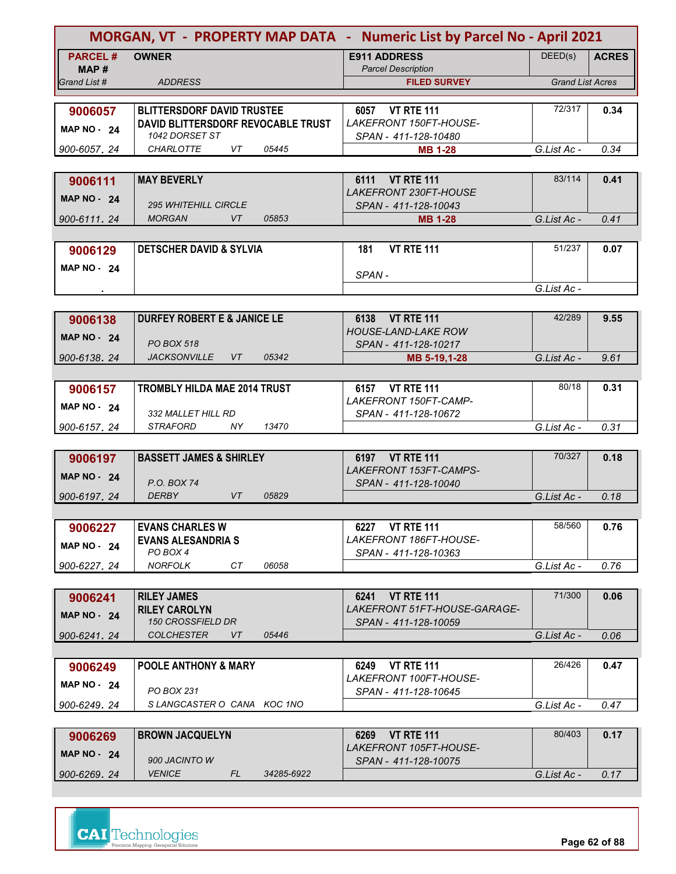|                       | MORGAN, VT - PROPERTY MAP DATA - Numeric List by Parcel No - April 2021 |                                                             |                         |              |  |
|-----------------------|-------------------------------------------------------------------------|-------------------------------------------------------------|-------------------------|--------------|--|
| <b>PARCEL#</b>        | <b>OWNER</b>                                                            | <b>E911 ADDRESS</b>                                         | DEED(s)                 | <b>ACRES</b> |  |
| MAP #<br>Grand List # | <b>ADDRESS</b>                                                          | <b>Parcel Description</b><br><b>FILED SURVEY</b>            | <b>Grand List Acres</b> |              |  |
|                       |                                                                         |                                                             |                         |              |  |
| 9006057               | <b>BLITTERSDORF DAVID TRUSTEE</b>                                       | 6057 VT RTE 111                                             | 72/317                  | 0.34         |  |
| <b>MAP NO - 24</b>    | DAVID BLITTERSDORF REVOCABLE TRUST                                      | LAKEFRONT 150FT-HOUSE-                                      |                         |              |  |
|                       | 1042 DORSET ST                                                          | SPAN - 411-128-10480                                        |                         |              |  |
| 900-6057.24           | VT<br><b>CHARLOTTE</b><br>05445                                         | <b>MB 1-28</b>                                              | G.List Ac -             | 0.34         |  |
|                       |                                                                         |                                                             |                         |              |  |
| 9006111               | <b>MAY BEVERLY</b>                                                      | 6111 VT RTE 111                                             | 83/114                  | 0.41         |  |
| <b>MAP NO - 24</b>    | <b>295 WHITEHILL CIRCLE</b>                                             | LAKEFRONT 230FT-HOUSE                                       |                         |              |  |
| 900-6111.24           | <b>MORGAN</b><br>VT<br>05853                                            | SPAN - 411-128-10043<br><b>MB 1-28</b>                      | G.List Ac -             | 0.41         |  |
|                       |                                                                         |                                                             |                         |              |  |
| 9006129               | <b>DETSCHER DAVID &amp; SYLVIA</b>                                      | <b>VT RTE 111</b><br>181                                    | 51/237                  | 0.07         |  |
|                       |                                                                         |                                                             |                         |              |  |
| MAP NO 24             |                                                                         | SPAN-                                                       |                         |              |  |
|                       |                                                                         |                                                             | G.List Ac -             |              |  |
|                       |                                                                         |                                                             |                         |              |  |
| 9006138               | <b>DURFEY ROBERT E &amp; JANICE LE</b>                                  | <b>VT RTE 111</b><br>6138                                   | 42/289                  | 9.55         |  |
| <b>MAP NO - 24</b>    |                                                                         | <b>HOUSE-LAND-LAKE ROW</b>                                  |                         |              |  |
| 900-6138.24           | <b>PO BOX 518</b><br><b>JACKSONVILLE</b><br>VT<br>05342                 | SPAN - 411-128-10217<br>MB 5-19,1-28                        | G.List Ac -             | 9.61         |  |
|                       |                                                                         |                                                             |                         |              |  |
| 9006157               | <b>TROMBLY HILDA MAE 2014 TRUST</b>                                     | 6157 VT RTE 111                                             | 80/18                   | 0.31         |  |
|                       |                                                                         | LAKEFRONT 150FT-CAMP-                                       |                         |              |  |
| MAP $NO - 24$         | 332 MALLET HILL RD                                                      | SPAN - 411-128-10672                                        |                         |              |  |
| 900-6157.24           | <b>STRAFORD</b><br>13470<br>NY.                                         |                                                             | G.List Ac -             | 0.31         |  |
|                       |                                                                         |                                                             |                         |              |  |
| 9006197               | <b>BASSETT JAMES &amp; SHIRLEY</b>                                      | 6197 VT RTE 111                                             | 70/327                  | 0.18         |  |
| <b>MAP NO - 24</b>    | P.O. BOX 74                                                             | <b>LAKEFRONT 153FT-CAMPS-</b>                               |                         |              |  |
| 900-6197, 24          | <b>VT</b><br><b>DERBY</b><br>05829                                      | SPAN - 411-128-10040                                        | G.List Ac -             | 0.18         |  |
|                       |                                                                         |                                                             |                         |              |  |
| 9006227               | <b>EVANS CHARLES W</b>                                                  | 6227 VT RTE 111                                             | 58/560                  | 0.76         |  |
|                       | <b>EVANS ALESANDRIA S</b>                                               | LAKEFRONT 186FT-HOUSE-                                      |                         |              |  |
| MAP NO 24             | PO BOX 4                                                                | SPAN - 411-128-10363                                        |                         |              |  |
| 900-6227.24           | <b>NORFOLK</b><br>CТ<br>06058                                           |                                                             | G.List Ac -             | 0.76         |  |
|                       |                                                                         |                                                             |                         |              |  |
| 9006241               | <b>RILEY JAMES</b>                                                      | <b>VT RTE 111</b><br>6241                                   | 71/300                  | 0.06         |  |
| <b>MAP NO - 24</b>    | <b>RILEY CAROLYN</b><br><b>150 CROSSFIELD DR</b>                        | <i>LAKEFRONT 51FT-HOUSE-GARAGE-</i><br>SPAN - 411-128-10059 |                         |              |  |
| 900-6241.24           | <b>COLCHESTER</b><br>VT<br>05446                                        |                                                             | G.List Ac -             | 0.06         |  |
|                       |                                                                         |                                                             |                         |              |  |
| 9006249               | <b>POOLE ANTHONY &amp; MARY</b>                                         | <b>VT RTE 111</b><br>6249                                   | 26/426                  | 0.47         |  |
| <b>MAP NO - 24</b>    |                                                                         | LAKEFRONT 100FT-HOUSE-                                      |                         |              |  |
|                       | PO BOX 231                                                              | SPAN - 411-128-10645                                        |                         |              |  |
| 900-6249, 24          | SLANGCASTER O CANA KOC 1NO                                              |                                                             | G.List Ac -             | 0.47         |  |
|                       |                                                                         |                                                             |                         |              |  |
| 9006269               | <b>BROWN JACQUELYN</b>                                                  | <b>VT RTE 111</b><br>6269                                   | 80/403                  | 0.17         |  |
| <b>MAP NO - 24</b>    | 900 JACINTO W                                                           | <i>LAKEFRONT 105FT-HOUSE-</i><br>SPAN - 411-128-10075       |                         |              |  |
| 900-6269.24           | <b>VENICE</b><br>FL<br>34285-6922                                       |                                                             | G.List Ac -             | 0.17         |  |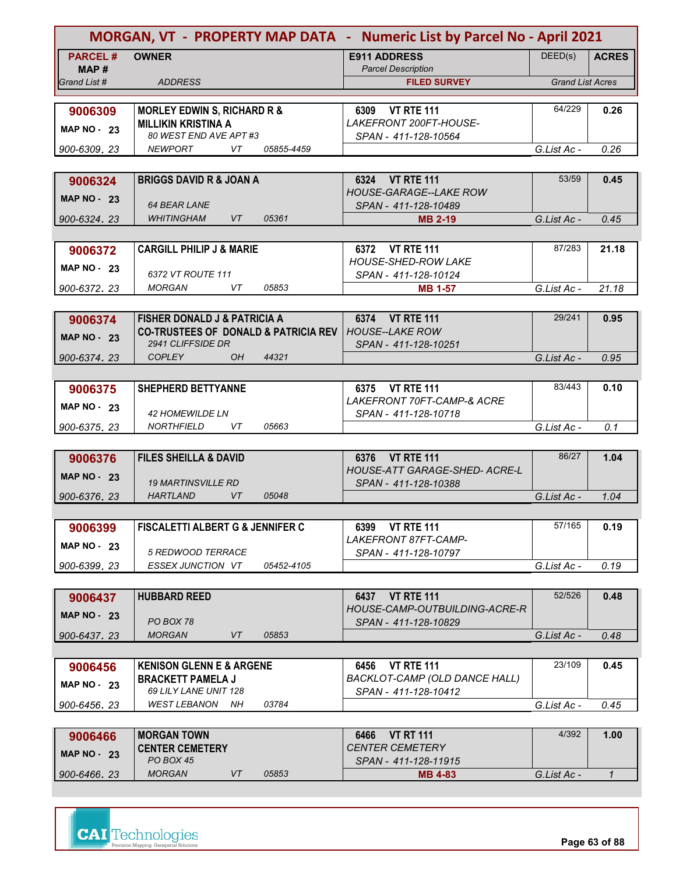|                      | MORGAN, VT - PROPERTY MAP DATA - Numeric List by Parcel No - April 2021 |                                                       |                         |              |
|----------------------|-------------------------------------------------------------------------|-------------------------------------------------------|-------------------------|--------------|
| <b>PARCEL#</b>       | <b>OWNER</b>                                                            | <b>E911 ADDRESS</b>                                   | DEED(s)                 | <b>ACRES</b> |
| MAP#<br>Grand List # | <b>ADDRESS</b>                                                          | <b>Parcel Description</b><br><b>FILED SURVEY</b>      | <b>Grand List Acres</b> |              |
|                      |                                                                         |                                                       |                         |              |
| 9006309              | <b>MORLEY EDWIN S, RICHARD R &amp;</b>                                  | 6309 VT RTE 111                                       | 64/229                  | 0.26         |
| <b>MAP NO - 23</b>   | <b>MILLIKIN KRISTINA A</b>                                              | LAKEFRONT 200FT-HOUSE-                                |                         |              |
|                      | 80 WEST END AVE APT #3                                                  | SPAN - 411-128-10564                                  |                         |              |
| 900-6309, 23         | <b>NEWPORT</b><br>VT<br>05855-4459                                      |                                                       | G.List Ac -             | 0.26         |
|                      |                                                                         |                                                       |                         |              |
| 9006324              | <b>BRIGGS DAVID R &amp; JOAN A</b>                                      | 6324 VT RTE 111                                       | 53/59                   | 0.45         |
| <b>MAP NO - 23</b>   | <b>64 BEAR LANE</b>                                                     | <b>HOUSE-GARAGE--LAKE ROW</b>                         |                         |              |
| 900-6324.23          | 05361<br><b>WHITINGHAM</b><br>VT                                        | SPAN - 411-128-10489<br><b>MB 2-19</b>                | G.List Ac -             | 0.45         |
|                      |                                                                         |                                                       |                         |              |
| 9006372              | <b>CARGILL PHILIP J &amp; MARIE</b>                                     | 6372 VT RTE 111                                       | 87/283                  | 21.18        |
|                      |                                                                         | <b>HOUSE-SHED-ROW LAKE</b>                            |                         |              |
| <b>MAP NO - 23</b>   | 6372 VT ROUTE 111                                                       | SPAN - 411-128-10124                                  |                         |              |
| 900-6372.23          | MORGAN<br>VT<br>05853                                                   | <b>MB 1-57</b>                                        | G.List Ac -             | 21.18        |
|                      |                                                                         |                                                       |                         |              |
| 9006374              | <b>FISHER DONALD J &amp; PATRICIA A</b>                                 | 6374 VT RTE 111                                       | 29/241                  | 0.95         |
| <b>MAP NO - 23</b>   | <b>CO-TRUSTEES OF DONALD &amp; PATRICIA REV</b>                         | <b>HOUSE--LAKE ROW</b>                                |                         |              |
|                      | 2941 CLIFFSIDE DR<br><b>COPLEY</b><br>44321                             | SPAN - 411-128-10251                                  |                         |              |
| 900-6374.23          | OH.                                                                     |                                                       | G.List Ac -             | 0.95         |
|                      |                                                                         |                                                       | 83/443                  | 0.10         |
| 9006375              | <b>SHEPHERD BETTYANNE</b>                                               | 6375 VT RTE 111<br>LAKEFRONT 70FT-CAMP-& ACRE         |                         |              |
| <b>MAP NO - 23</b>   | <b>42 HOMEWILDE LN</b>                                                  | SPAN - 411-128-10718                                  |                         |              |
| 900-6375, 23         | <b>NORTHFIELD</b><br>VT<br>05663                                        |                                                       | G.List Ac -             | 0.1          |
|                      |                                                                         |                                                       |                         |              |
| 9006376              | <b>FILES SHEILLA &amp; DAVID</b>                                        | 6376 VT RTE 111                                       | 86/27                   | 1.04         |
| <b>MAP NO - 23</b>   |                                                                         | <b>HOUSE-ATT GARAGE-SHED- ACRE-L</b>                  |                         |              |
|                      | <b>19 MARTINSVILLE RD</b>                                               | SPAN - 411-128-10388                                  |                         |              |
| 900-6376, 23         | <b>HARTLAND</b><br>VT<br>05048                                          |                                                       | G.List Ac -             | 1.04         |
|                      |                                                                         |                                                       |                         |              |
| 9006399              | <b>FISCALETTI ALBERT G &amp; JENNIFER C</b>                             | 6399 VT RTE 111<br>LAKEFRONT 87FT-CAMP-               | 57/165                  | 0.19         |
| <b>MAP NO - 23</b>   | 5 REDWOOD TERRACE                                                       | SPAN - 411-128-10797                                  |                         |              |
| 900-6399.23          | ESSEX JUNCTION VT<br>05452-4105                                         |                                                       | G.List Ac -             | 0.19         |
|                      |                                                                         |                                                       |                         |              |
| 9006437              | <b>HUBBARD REED</b>                                                     | 6437 VT RTE 111                                       | 52/526                  | 0.48         |
| <b>MAP NO - 23</b>   |                                                                         | HOUSE-CAMP-OUTBUILDING-ACRE-R                         |                         |              |
|                      | PO BOX 78                                                               | SPAN - 411-128-10829                                  |                         |              |
| 900-6437, 23         | <b>MORGAN</b><br>VT<br>05853                                            |                                                       | G.List Ac -             | 0.48         |
|                      |                                                                         |                                                       |                         |              |
| 9006456              | <b>KENISON GLENN E &amp; ARGENE</b>                                     | <b>VT RTE 111</b><br>6456                             | 23/109                  | 0.45         |
| <b>MAP NO - 23</b>   | <b>BRACKETT PAMELA J</b><br>69 LILY LANE UNIT 128                       | BACKLOT-CAMP (OLD DANCE HALL)<br>SPAN - 411-128-10412 |                         |              |
| 900-6456, 23         | <b>WEST LEBANON</b><br>03784<br>NH                                      |                                                       | G.List Ac -             | 0.45         |
|                      |                                                                         |                                                       |                         |              |
| 9006466              | <b>MORGAN TOWN</b>                                                      | 6466<br><b>VT RT 111</b>                              | 4/392                   | 1.00         |
|                      | <b>CENTER CEMETERY</b>                                                  | <b>CENTER CEMETERY</b>                                |                         |              |
| <b>MAP NO - 23</b>   |                                                                         |                                                       |                         |              |

| IMAL IV.<br>∠ა | PO BOX 45     |    |       | SPAN - 411-128-11915 |             |  |
|----------------|---------------|----|-------|----------------------|-------------|--|
| 900-6466, 23   | <b>MORGAN</b> | VT | 05853 | <b>MB 4-83</b>       | G.List Ac - |  |
|                |               |    |       |                      |             |  |



**Page 63 of 88**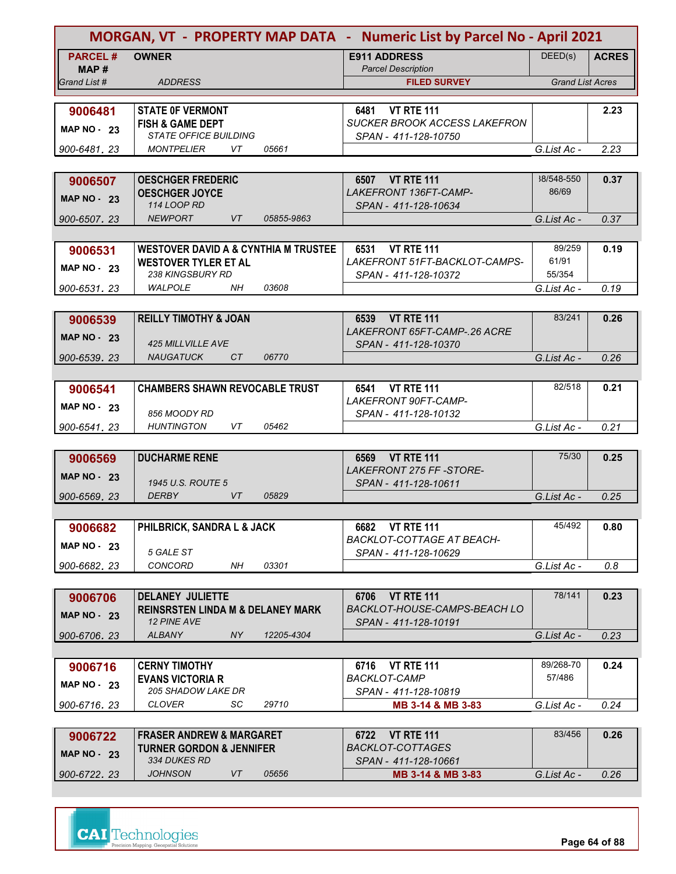| MORGAN, VT - PROPERTY MAP DATA - Numeric List by Parcel No - April 2021 |                                                                                |                                                                  |                         |              |
|-------------------------------------------------------------------------|--------------------------------------------------------------------------------|------------------------------------------------------------------|-------------------------|--------------|
| <b>PARCEL#</b><br>MAP #                                                 | <b>OWNER</b>                                                                   | <b>E911 ADDRESS</b><br><b>Parcel Description</b>                 | DEED(s)                 | <b>ACRES</b> |
| Grand List #                                                            | <b>ADDRESS</b>                                                                 | <b>FILED SURVEY</b>                                              | <b>Grand List Acres</b> |              |
|                                                                         |                                                                                |                                                                  |                         |              |
| 9006481                                                                 | <b>STATE OF VERMONT</b><br><b>FISH &amp; GAME DEPT</b>                         | <b>VT RTE 111</b><br>6481<br><b>SUCKER BROOK ACCESS LAKEFRON</b> |                         | 2.23         |
| <b>MAP NO - 23</b>                                                      | <b>STATE OFFICE BUILDING</b>                                                   | SPAN - 411-128-10750                                             |                         |              |
| 900-6481.23                                                             | <b>MONTPELIER</b><br>VT<br>05661                                               |                                                                  | G.List Ac -             | 2.23         |
|                                                                         |                                                                                |                                                                  |                         |              |
| 9006507                                                                 | <b>OESCHGER FREDERIC</b>                                                       | 6507 VT RTE 111                                                  | 38/548-550              | 0.37         |
| MAP $NO - 23$                                                           | <b>OESCHGER JOYCE</b>                                                          | LAKEFRONT 136FT-CAMP-                                            | 86/69                   |              |
|                                                                         | 114 LOOP RD                                                                    | SPAN - 411-128-10634                                             |                         |              |
| 900-6507, 23                                                            | <b>NEWPORT</b><br>VT<br>05855-9863                                             |                                                                  | G.List Ac -             | 0.37         |
|                                                                         |                                                                                |                                                                  | 89/259                  |              |
| 9006531                                                                 | <b>WESTOVER DAVID A &amp; CYNTHIA M TRUSTEE</b><br><b>WESTOVER TYLER ET AL</b> | 6531 VT RTE 111<br>LAKEFRONT 51FT-BACKLOT-CAMPS-                 | 61/91                   | 0.19         |
| <b>MAP NO - 23</b>                                                      | 238 KINGSBURY RD                                                               | SPAN - 411-128-10372                                             | 55/354                  |              |
| 900-6531.23                                                             | <b>WALPOLE</b><br>03608<br>NH                                                  |                                                                  | G.List Ac -             | 0.19         |
|                                                                         |                                                                                |                                                                  |                         |              |
| 9006539                                                                 | <b>REILLY TIMOTHY &amp; JOAN</b>                                               | <b>VT RTE 111</b><br>6539                                        | 83/241                  | 0.26         |
| MAP $NO - 23$                                                           |                                                                                | LAKEFRONT 65FT-CAMP-.26 ACRE                                     |                         |              |
|                                                                         | <b>425 MILLVILLE AVE</b>                                                       | SPAN - 411-128-10370                                             |                         |              |
| 900-6539.23                                                             | 06770<br><b>NAUGATUCK</b><br>CT                                                |                                                                  | G.List Ac -             | 0.26         |
|                                                                         |                                                                                |                                                                  |                         |              |
| 9006541                                                                 | <b>CHAMBERS SHAWN REVOCABLE TRUST</b>                                          | 6541 VT RTE 111<br>LAKEFRONT 90FT-CAMP-                          | 82/518                  | 0.21         |
| MAP $NO - 23$                                                           | 856 MOODY RD                                                                   | SPAN - 411-128-10132                                             |                         |              |
| 900-6541, 23                                                            | <b>HUNTINGTON</b><br>VT<br>05462                                               |                                                                  | G.List Ac -             | 0.21         |
|                                                                         |                                                                                |                                                                  |                         |              |
| 9006569                                                                 | <b>DUCHARME RENE</b>                                                           | <b>VT RTE 111</b><br>6569                                        | 75/30                   | 0.25         |
| <b>MAP NO - 23</b>                                                      |                                                                                | <b>LAKEFRONT 275 FF-STORE-</b>                                   |                         |              |
|                                                                         | 1945 U.S. ROUTE 5<br><b>DERBY</b><br>VT<br>05829                               | SPAN - 411-128-10611                                             |                         |              |
| 900-6569, 23                                                            |                                                                                |                                                                  | G.List Ac -             | 0.25         |
| 9006682                                                                 | PHILBRICK, SANDRA L & JACK                                                     | <b>VT RTE 111</b><br>6682                                        | 45/492                  | 0.80         |
|                                                                         |                                                                                | <b>BACKLOT-COTTAGE AT BEACH-</b>                                 |                         |              |
| <b>MAP NO - 23</b>                                                      | 5 GALE ST                                                                      | SPAN - 411-128-10629                                             |                         |              |
| 900-6682.23                                                             | CONCORD<br>03301<br>NΗ                                                         |                                                                  | G.List Ac -             | 0.8          |
|                                                                         |                                                                                |                                                                  |                         |              |
| 9006706                                                                 | <b>DELANEY JULIETTE</b>                                                        | <b>VT RTE 111</b><br>6706                                        | 78/141                  | 0.23         |
| <b>MAP NO - 23</b>                                                      | <b>REINSRSTEN LINDA M &amp; DELANEY MARK</b><br><b>12 PINE AVE</b>             | BACKLOT-HOUSE-CAMPS-BEACH LO                                     |                         |              |
| 900-6706.23                                                             | <b>ALBANY</b><br>NY<br>12205-4304                                              | SPAN - 411-128-10191                                             | G.List Ac -             | 0.23         |
|                                                                         |                                                                                |                                                                  |                         |              |
| 9006716                                                                 | <b>CERNY TIMOTHY</b>                                                           | <b>VT RTE 111</b><br>6716                                        | 89/268-70               | 0.24         |
| <b>MAP NO - 23</b>                                                      | <b>EVANS VICTORIA R</b>                                                        | <b>BACKLOT-CAMP</b>                                              | 57/486                  |              |
|                                                                         | <i>205 SHADOW LAKE DR</i>                                                      | SPAN - 411-128-10819                                             |                         |              |
| 900-6716.23                                                             | CLOVER<br>SC<br>29710                                                          | MB 3-14 & MB 3-83                                                | G.List Ac -             | 0.24         |
|                                                                         |                                                                                |                                                                  |                         |              |
| 9006722                                                                 | <b>FRASER ANDREW &amp; MARGARET</b>                                            | <b>VT RTE 111</b><br>6722                                        | 83/456                  | 0.26         |
| <b>MAP NO - 23</b>                                                      | <b>TURNER GORDON &amp; JENNIFER</b><br><b>334 DUKES RD</b>                     | <b>BACKLOT-COTTAGES</b><br>SPAN - 411-128-10661                  |                         |              |
| 900-6722.23                                                             | <b>JOHNSON</b><br>VT<br>05656                                                  | MB 3-14 & MB 3-83                                                | G.List Ac -             | 0.26         |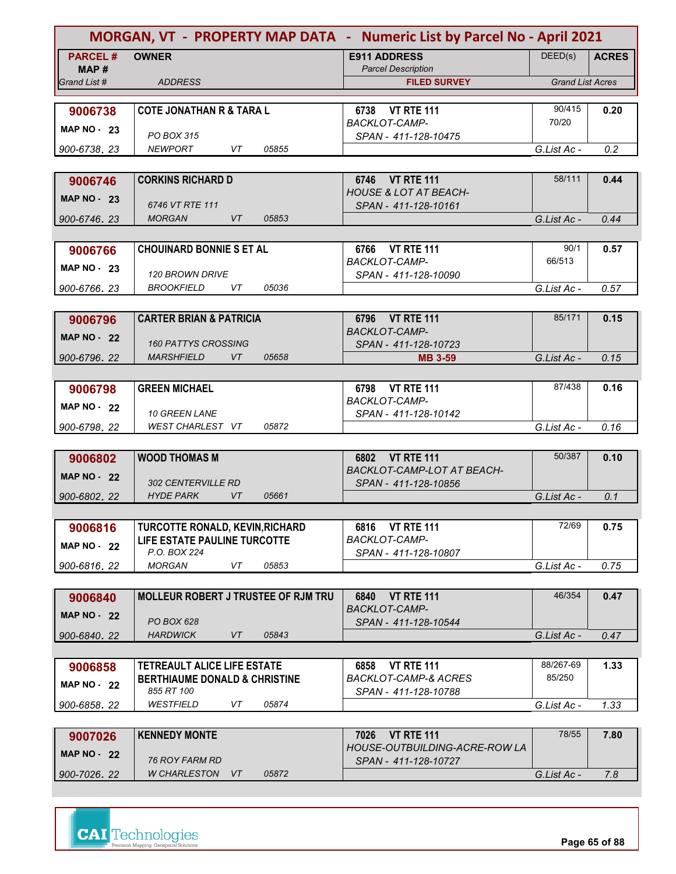|                    | MORGAN, VT - PROPERTY MAP DATA - Numeric List by Parcel No - April 2021 |                                                       |                         |              |
|--------------------|-------------------------------------------------------------------------|-------------------------------------------------------|-------------------------|--------------|
| <b>PARCEL#</b>     | <b>OWNER</b>                                                            | <b>E911 ADDRESS</b>                                   | DEED(s)                 | <b>ACRES</b> |
| MAP#               |                                                                         | <b>Parcel Description</b>                             |                         |              |
| Grand List #       | <b>ADDRESS</b>                                                          | <b>FILED SURVEY</b>                                   | <b>Grand List Acres</b> |              |
| 9006738            | <b>COTE JONATHAN R &amp; TARA L</b>                                     | 6738 VT RTE 111                                       | 90/415                  | 0.20         |
|                    |                                                                         | <b>BACKLOT-CAMP-</b>                                  | 70/20                   |              |
| MAP $NO - 23$      | PO BOX 315                                                              | SPAN - 411-128-10475                                  |                         |              |
| 900-6738.23        | <b>NEWPORT</b><br>05855<br>VT                                           |                                                       | G.List Ac -             | 0.2          |
|                    |                                                                         |                                                       |                         |              |
| 9006746            | <b>CORKINS RICHARD D</b>                                                | 6746 VT RTE 111                                       | 58/111                  | 0.44         |
| <b>MAP NO - 23</b> |                                                                         | <b>HOUSE &amp; LOT AT BEACH-</b>                      |                         |              |
| 900-6746.23        | 6746 VT RTE 111<br><b>MORGAN</b><br>VT<br>05853                         | SPAN - 411-128-10161                                  | G.List Ac -             | 0.44         |
|                    |                                                                         |                                                       |                         |              |
| 9006766            | <b>CHOUINARD BONNIE S ET AL</b>                                         | 6766 VT RTE 111                                       | 90/1                    | 0.57         |
|                    |                                                                         | <b>BACKLOT-CAMP-</b>                                  | 66/513                  |              |
| <b>MAP NO - 23</b> | <b>120 BROWN DRIVE</b>                                                  | SPAN - 411-128-10090                                  |                         |              |
| 900-6766.23        | 05036<br><i>BROOKFIELD</i><br>VT                                        |                                                       | G.List Ac -             | 0.57         |
|                    |                                                                         |                                                       |                         |              |
| 9006796            | <b>CARTER BRIAN &amp; PATRICIA</b>                                      | 6796 VT RTE 111                                       | 85/171                  | 0.15         |
| <b>MAP NO - 22</b> |                                                                         | <b>BACKLOT-CAMP-</b>                                  |                         |              |
|                    | <b>160 PATTYS CROSSING</b><br><i>MARSHFIELD</i><br>VT<br>05658          | SPAN - 411-128-10723                                  |                         |              |
| 900-6796.22        |                                                                         | <b>MB 3-59</b>                                        | G.List Ac -             | 0.15         |
| 9006798            | <b>GREEN MICHAEL</b>                                                    | 6798 VT RTE 111                                       | 87/438                  | 0.16         |
|                    |                                                                         | <b>BACKLOT-CAMP-</b>                                  |                         |              |
| <b>MAP NO - 22</b> | <b>10 GREEN LANE</b>                                                    | SPAN - 411-128-10142                                  |                         |              |
| 900-6798.22        | 05872<br>WEST CHARLEST VT                                               |                                                       | G.List Ac -             | 0.16         |
|                    |                                                                         |                                                       |                         |              |
| 9006802            | <b>WOOD THOMAS M</b>                                                    | 6802 VT RTE 111                                       | 50/387                  | 0.10         |
| <b>MAP NO - 22</b> |                                                                         | BACKLOT-CAMP-LOT AT BEACH-                            |                         |              |
|                    | <b>302 CENTERVILLE RD</b><br><b>HYDE PARK</b><br><b>VT</b><br>05661     | SPAN - 411-128-10856                                  |                         | 0.1          |
| 900-6802, 22       |                                                                         |                                                       | G.List Ac -             |              |
| 9006816            | TURCOTTE RONALD, KEVIN, RICHARD                                         | 6816 VT RTE 111                                       | 72/69                   | 0.75         |
|                    | LIFE ESTATE PAULINE TURCOTTE                                            | BACKLOT-CAMP-                                         |                         |              |
| <b>MAP NO - 22</b> | P.O. BOX 224                                                            | SPAN - 411-128-10807                                  |                         |              |
| 900-6816.22        | <b>MORGAN</b><br>VT<br>05853                                            |                                                       | G.List Ac -             | 0.75         |
|                    |                                                                         |                                                       |                         |              |
| 9006840            | <b>MOLLEUR ROBERT J TRUSTEE OF RJM TRU</b>                              | <b>VT RTE 111</b><br>6840                             | 46/354                  | 0.47         |
| <b>MAP NO - 22</b> |                                                                         | <b>BACKLOT-CAMP-</b>                                  |                         |              |
| 900-6840.22        | PO BOX 628<br><b>HARDWICK</b><br>VT<br>05843                            | SPAN - 411-128-10544                                  | G.List Ac -             | 0.47         |
|                    |                                                                         |                                                       |                         |              |
| 9006858            | TETREAULT ALICE LIFE ESTATE                                             | <b>VT RTE 111</b><br>6858                             | 88/267-69               | 1.33         |
|                    | <b>BERTHIAUME DONALD &amp; CHRISTINE</b>                                | <b>BACKLOT-CAMP-&amp; ACRES</b>                       | 85/250                  |              |
| <b>MAP NO - 22</b> | 855 RT 100                                                              | SPAN - 411-128-10788                                  |                         |              |
| 900-6858.22        | WESTFIELD<br>VT<br>05874                                                |                                                       | G.List Ac -             | 1.33         |
|                    |                                                                         |                                                       |                         |              |
| 9007026            | <b>KENNEDY MONTE</b>                                                    | <b>VT RTE 111</b><br>7026                             | 78/55                   | 7.80         |
| <b>MAP NO - 22</b> | 76 ROY FARM RD                                                          | HOUSE-OUTBUILDING-ACRE-ROW LA<br>SPAN - 411-128-10727 |                         |              |
| 900-7026.22        | <b>W CHARLESTON</b><br>05872<br>VT                                      |                                                       | G.List Ac -             | 7.8          |
|                    |                                                                         |                                                       |                         |              |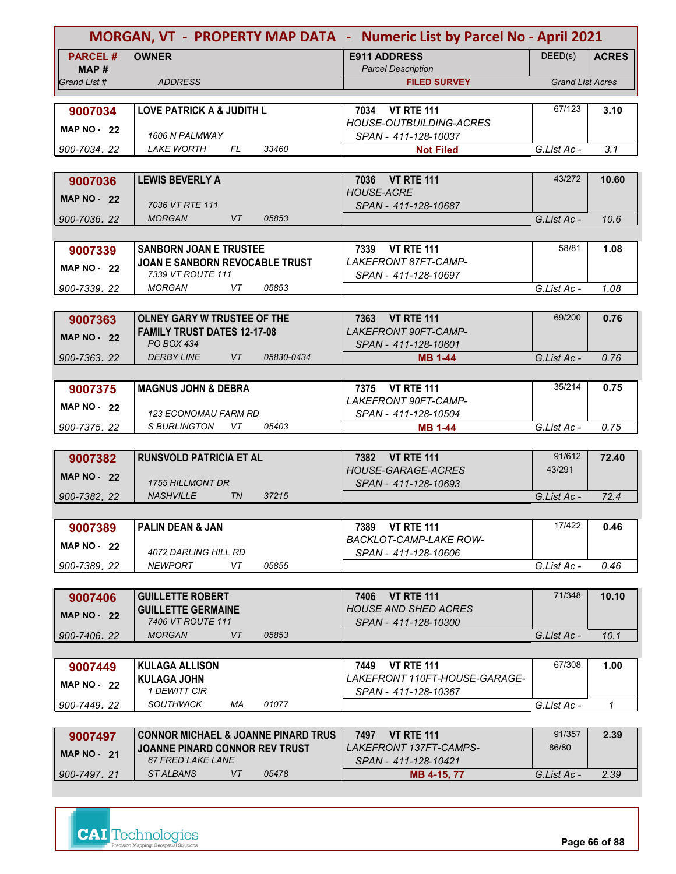| MORGAN, VT - PROPERTY MAP DATA - Numeric List by Parcel No - April 2021 |                                                            |                                                          |                         |              |
|-------------------------------------------------------------------------|------------------------------------------------------------|----------------------------------------------------------|-------------------------|--------------|
| <b>PARCEL#</b>                                                          | <b>OWNER</b>                                               | <b>E911 ADDRESS</b>                                      | DEED(s)                 | <b>ACRES</b> |
| MAP#                                                                    |                                                            | <b>Parcel Description</b>                                |                         |              |
| Grand List #                                                            | <b>ADDRESS</b>                                             | <b>FILED SURVEY</b>                                      | <b>Grand List Acres</b> |              |
|                                                                         |                                                            |                                                          |                         |              |
| 9007034                                                                 | <b>LOVE PATRICK A &amp; JUDITH L</b>                       | 7034 VT RTE 111<br><b>HOUSE-OUTBUILDING-ACRES</b>        | 67/123                  | 3.10         |
| MAP $NO - 22$                                                           | 1606 N PALMWAY                                             | SPAN - 411-128-10037                                     |                         |              |
| 900-7034, 22                                                            | <i>LAKE WORTH</i><br>FL<br>33460                           | <b>Not Filed</b>                                         | G.List Ac -             | 3.1          |
|                                                                         |                                                            |                                                          |                         |              |
| 9007036                                                                 | <b>LEWIS BEVERLY A</b>                                     | 7036 VT RTE 111                                          | 43/272                  | 10.60        |
| <b>MAP NO - 22</b>                                                      |                                                            | <b>HOUSE-ACRE</b>                                        |                         |              |
|                                                                         | 7036 VT RTE 111                                            | SPAN - 411-128-10687                                     |                         |              |
| 900-7036, 22                                                            | <b>VT</b><br><b>MORGAN</b><br>05853                        |                                                          | G.List Ac -             | 10.6         |
|                                                                         |                                                            |                                                          |                         |              |
| 9007339                                                                 | <b>SANBORN JOAN E TRUSTEE</b>                              | 7339 VT RTE 111                                          | 58/81                   | 1.08         |
| <b>MAP NO - 22</b>                                                      | JOAN E SANBORN REVOCABLE TRUST<br>7339 VT ROUTE 111        | LAKEFRONT 87FT-CAMP-<br>SPAN - 411-128-10697             |                         |              |
| 900-7339, 22                                                            | 05853<br><b>MORGAN</b><br>VT.                              |                                                          | G.List Ac -             | 1.08         |
|                                                                         |                                                            |                                                          |                         |              |
| 9007363                                                                 | <b>OLNEY GARY W TRUSTEE OF THE</b>                         | 7363 VT RTE 111                                          | 69/200                  | 0.76         |
|                                                                         | <b>FAMILY TRUST DATES 12-17-08</b>                         | LAKEFRONT 90FT-CAMP-                                     |                         |              |
| <b>MAP NO - 22</b>                                                      | <b>PO BOX 434</b>                                          | SPAN - 411-128-10601                                     |                         |              |
| 900-7363.22                                                             | <b>DERBY LINE</b><br><b>VT</b><br>05830-0434               | <b>MB 1-44</b>                                           | G.List Ac -             | 0.76         |
|                                                                         |                                                            |                                                          |                         |              |
| 9007375                                                                 | <b>MAGNUS JOHN &amp; DEBRA</b>                             | 7375 VT RTE 111                                          | 35/214                  | 0.75         |
| <b>MAP NO - 22</b>                                                      |                                                            | LAKEFRONT 90FT-CAMP-                                     |                         |              |
|                                                                         | 123 ECONOMAU FARM RD                                       | SPAN - 411-128-10504                                     |                         |              |
| 900-7375, 22                                                            | <b>S BURLINGTON</b><br>05403<br>VT                         | <b>MB 1-44</b>                                           | G.List Ac -             | 0.75         |
| 9007382                                                                 | <b>RUNSVOLD PATRICIA ET AL</b>                             | 7382 VT RTE 111                                          | 91/612                  | 72.40        |
|                                                                         |                                                            | <b>HOUSE-GARAGE-ACRES</b>                                | 43/291                  |              |
| <b>MAP NO - 22</b>                                                      | <b>1755 HILLMONT DR</b>                                    | SPAN - 411-128-10693                                     |                         |              |
| 900-7382, 22                                                            | <b>NASHVILLE</b><br><b>TN</b><br>37215                     |                                                          | G.List Ac -             | 72.4         |
|                                                                         |                                                            |                                                          |                         |              |
| 9007389                                                                 | <b>PALIN DEAN &amp; JAN</b>                                | 7389 VT RTE 111                                          | 17/422                  | 0.46         |
| <b>MAP NO - 22</b>                                                      |                                                            | <b>BACKLOT-CAMP-LAKE ROW-</b>                            |                         |              |
|                                                                         | 4072 DARLING HILL RD<br><b>NEWPORT</b><br>VT<br>05855      | SPAN - 411-128-10606                                     |                         |              |
| 900-7389, 22                                                            |                                                            |                                                          | G.List Ac -             | 0.46         |
|                                                                         |                                                            |                                                          | 71/348                  |              |
| 9007406                                                                 | <b>GUILLETTE ROBERT</b><br><b>GUILLETTE GERMAINE</b>       | <b>VT RTE 111</b><br>7406<br><b>HOUSE AND SHED ACRES</b> |                         | 10.10        |
| <b>MAP NO - 22</b>                                                      | 7406 VT ROUTE 111                                          | SPAN - 411-128-10300                                     |                         |              |
| 900-7406.22                                                             | <b>MORGAN</b><br>VT<br>05853                               |                                                          | G.List Ac -             | 10.1         |
|                                                                         |                                                            |                                                          |                         |              |
| 9007449                                                                 | <b>KULAGA ALLISON</b>                                      | <b>VT RTE 111</b><br>7449                                | 67/308                  | 1.00         |
| <b>MAP NO - 22</b>                                                      | <b>KULAGA JOHN</b>                                         | LAKEFRONT 110FT-HOUSE-GARAGE-                            |                         |              |
|                                                                         | 1 DEWITT CIR                                               | SPAN - 411-128-10367                                     |                         |              |
| 900-7449, 22                                                            | <b>SOUTHWICK</b><br>01077<br>МA                            |                                                          | G.List Ac -             | $\mathcal I$ |
|                                                                         |                                                            |                                                          |                         |              |
| 9007497                                                                 | <b>CONNOR MICHAEL &amp; JOANNE PINARD TRUS</b>             | 7497 VT RTE 111                                          | 91/357<br>86/80         | 2.39         |
| <b>MAP NO - 21</b>                                                      | JOANNE PINARD CONNOR REV TRUST<br><b>67 FRED LAKE LANE</b> | <i>LAKEFRONT 137FT-CAMPS-</i><br>SPAN - 411-128-10421    |                         |              |
| 900-7497.21                                                             | VT<br><b>STALBANS</b><br>05478                             | MB 4-15, 77                                              | G.List Ac -             | 2.39         |

**Page 66 of 88**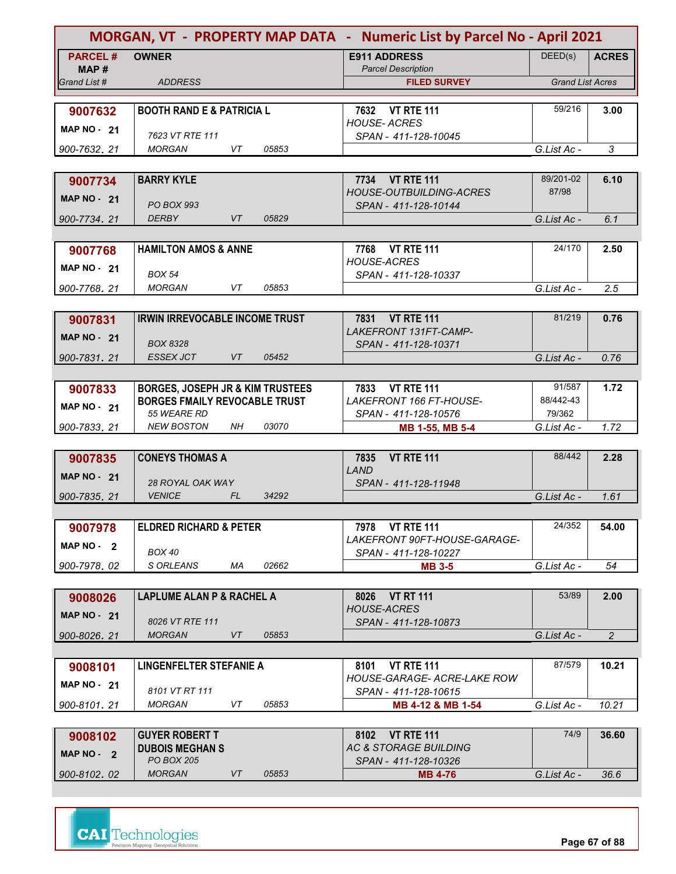| MORGAN, VT - PROPERTY MAP DATA - Numeric List by Parcel No - April 2021 |                                                           |                                                          |                         |                |
|-------------------------------------------------------------------------|-----------------------------------------------------------|----------------------------------------------------------|-------------------------|----------------|
| <b>PARCEL#</b>                                                          | <b>OWNER</b>                                              | <b>E911 ADDRESS</b>                                      | DEED(s)                 | <b>ACRES</b>   |
| MAP #<br>Grand List #                                                   | <b>ADDRESS</b>                                            | <b>Parcel Description</b><br><b>FILED SURVEY</b>         | <b>Grand List Acres</b> |                |
|                                                                         |                                                           |                                                          |                         |                |
| 9007632                                                                 | <b>BOOTH RAND E &amp; PATRICIA L</b>                      | 7632 VT RTE 111                                          | 59/216                  | 3.00           |
| <b>MAP NO - 21</b>                                                      |                                                           | <b>HOUSE-ACRES</b>                                       |                         |                |
|                                                                         | 7623 VT RTE 111                                           | SPAN - 411-128-10045                                     |                         |                |
| 900-7632, 21                                                            | VT<br><b>MORGAN</b><br>05853                              |                                                          | G.List Ac -             | 3              |
|                                                                         | <b>BARRY KYLE</b>                                         | 7734 VT RTE 111                                          | 89/201-02               | 6.10           |
| 9007734                                                                 |                                                           | <b>HOUSE-OUTBUILDING-ACRES</b>                           | 87/98                   |                |
| MAP $NO - 21$                                                           | <b>PO BOX 993</b>                                         | SPAN - 411-128-10144                                     |                         |                |
| 900-7734, 21                                                            | <b>VT</b><br>05829<br><b>DERBY</b>                        |                                                          | G.List Ac -             | 6.1            |
|                                                                         |                                                           |                                                          |                         |                |
| 9007768                                                                 | <b>HAMILTON AMOS &amp; ANNE</b>                           | 7768 VT RTE 111                                          | 24/170                  | 2.50           |
| <b>MAP NO - 21</b>                                                      | <b>BOX 54</b>                                             | <b>HOUSE-ACRES</b><br>SPAN - 411-128-10337               |                         |                |
| 900-7768.21                                                             | <b>MORGAN</b><br>VT<br>05853                              |                                                          | G.List Ac -             | 2.5            |
|                                                                         |                                                           |                                                          |                         |                |
| 9007831                                                                 | <b>IRWIN IRREVOCABLE INCOME TRUST</b>                     | 7831 VT RTE 111                                          | 81/219                  | 0.76           |
| <b>MAP NO - 21</b>                                                      |                                                           | <b>LAKEFRONT 131FT-CAMP-</b>                             |                         |                |
|                                                                         | <b>BOX 8328</b><br><b>ESSEX JCT</b><br><b>VT</b><br>05452 | SPAN - 411-128-10371                                     |                         |                |
| 900-7831.21                                                             |                                                           |                                                          | G.List Ac -             | 0.76           |
| 9007833                                                                 | <b>BORGES, JOSEPH JR &amp; KIM TRUSTEES</b>               | <b>VT RTE 111</b><br>7833                                | 91/587                  | 1.72           |
|                                                                         | <b>BORGES FMAILY REVOCABLE TRUST</b>                      | LAKEFRONT 166 FT-HOUSE-                                  | 88/442-43               |                |
| <b>MAP NO - 21</b>                                                      | 55 WEARE RD                                               | SPAN - 411-128-10576                                     | 79/362                  |                |
| 900-7833, 21                                                            | <b>NEW BOSTON</b><br><b>NH</b><br>03070                   | MB 1-55, MB 5-4                                          | G.List Ac -             | 1.72           |
|                                                                         |                                                           |                                                          |                         |                |
| 9007835                                                                 | <b>CONEYS THOMAS A</b>                                    | <b>VT RTE 111</b><br>7835                                | 88/442                  | 2.28           |
| MAP $NO - 21$                                                           | 28 ROYAL OAK WAY                                          | <i>LAND</i><br>SPAN - 411-128-11948                      |                         |                |
| 900-7835, 21                                                            | 34292<br><b>VENICE</b><br>FL.                             |                                                          | G.List Ac -             | 1.61           |
|                                                                         |                                                           |                                                          |                         |                |
| 9007978                                                                 | <b>ELDRED RICHARD &amp; PETER</b>                         | <b>VT RTE 111</b><br>7978                                | 24/352                  | 54.00          |
| MAP $NO - 2$                                                            |                                                           | LAKEFRONT 90FT-HOUSE-GARAGE-                             |                         |                |
| 900-7978.02                                                             | <b>BOX 40</b><br>S ORLEANS<br>МA<br>02662                 | SPAN - 411-128-10227<br><b>MB 3-5</b>                    | G.List Ac -             | 54             |
|                                                                         |                                                           |                                                          |                         |                |
| 9008026                                                                 | <b>LAPLUME ALAN P &amp; RACHEL A</b>                      | 8026<br><b>VT RT 111</b>                                 | 53/89                   | 2.00           |
| <b>MAP NO - 21</b>                                                      |                                                           | <b>HOUSE-ACRES</b>                                       |                         |                |
|                                                                         | 8026 VT RTE 111                                           | SPAN - 411-128-10873                                     |                         |                |
| 900-8026. 21                                                            | <b>MORGAN</b><br>VT<br>05853                              |                                                          | G.List Ac -             | $\overline{2}$ |
|                                                                         |                                                           |                                                          | 87/579                  |                |
| 9008101                                                                 | LINGENFELTER STEFANIE A                                   | <b>VT RTE 111</b><br>8101<br>HOUSE-GARAGE- ACRE-LAKE ROW |                         | 10.21          |
| <b>MAP NO - 21</b>                                                      | 8101 VT RT 111                                            | SPAN - 411-128-10615                                     |                         |                |
| 900-8101.21                                                             | 05853<br><b>MORGAN</b><br>VT                              | MB 4-12 & MB 1-54                                        | G.List Ac -             | 10.21          |
|                                                                         |                                                           |                                                          |                         |                |
| 9008102                                                                 | <b>GUYER ROBERT T</b>                                     | <b>VT RTE 111</b><br>8102                                | 74/9                    | 36.60          |
| MAP $NO - 2$                                                            | <b>DUBOIS MEGHAN S</b>                                    | <b>AC &amp; STORAGE BUILDING</b>                         |                         |                |

| <b>MAP NO -</b> | <b>DUBOIS MEGHAN S</b> |       | AC & STORAGE BUILDING |             |      |
|-----------------|------------------------|-------|-----------------------|-------------|------|
|                 | <b>PO BOX 205</b>      |       | SPAN - 411-128-10326  |             |      |
| 900-8102, 02    | <b>MORGAN</b>          | 05853 | <b>MB 4-76</b>        | G.List Ac - | 36.6 |
|                 |                        |       |                       |             |      |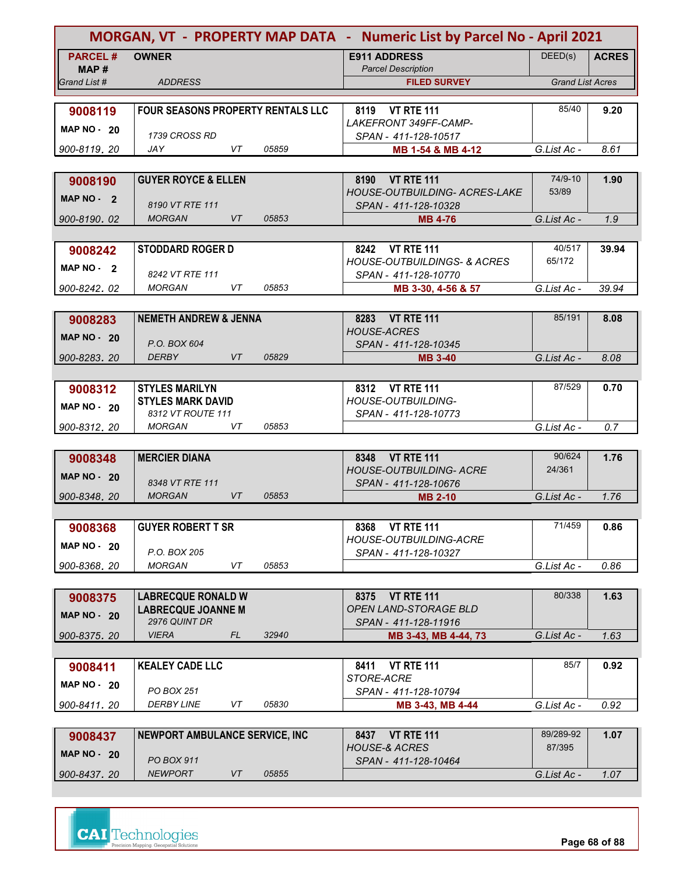| MORGAN, VT - PROPERTY MAP DATA - Numeric List by Parcel No - April 2021 |                                          |       |                                                                   |                         |              |
|-------------------------------------------------------------------------|------------------------------------------|-------|-------------------------------------------------------------------|-------------------------|--------------|
| <b>PARCEL#</b>                                                          | <b>OWNER</b>                             |       | <b>E911 ADDRESS</b>                                               | DEED(s)                 | <b>ACRES</b> |
| MAP#<br>Grand List #                                                    | <b>ADDRESS</b>                           |       | <b>Parcel Description</b><br><b>FILED SURVEY</b>                  | <b>Grand List Acres</b> |              |
|                                                                         |                                          |       |                                                                   |                         |              |
| 9008119                                                                 | FOUR SEASONS PROPERTY RENTALS LLC        |       | 8119 VT RTE 111                                                   | 85/40                   | 9.20         |
| <b>MAP NO - 20</b>                                                      |                                          |       | LAKEFRONT 349FF-CAMP-                                             |                         |              |
|                                                                         | 1739 CROSS RD                            |       | SPAN - 411-128-10517                                              |                         |              |
| 900-8119, 20                                                            | <b>JAY</b><br>VT                         | 05859 | MB 1-54 & MB 4-12                                                 | G.List Ac -             | 8.61         |
|                                                                         |                                          |       |                                                                   |                         |              |
| 9008190                                                                 | <b>GUYER ROYCE &amp; ELLEN</b>           |       | <b>VT RTE 111</b><br>8190<br><b>HOUSE-OUTBUILDING- ACRES-LAKE</b> | 74/9-10<br>53/89        | 1.90         |
| MAP $NO - 2$                                                            | 8190 VT RTE 111                          |       | SPAN - 411-128-10328                                              |                         |              |
| 900-8190, 02                                                            | <b>MORGAN</b><br>VT                      | 05853 | <b>MB 4-76</b>                                                    | G.List Ac -             | 1.9          |
|                                                                         |                                          |       |                                                                   |                         |              |
| 9008242                                                                 | <b>STODDARD ROGER D</b>                  |       | 8242 VT RTE 111                                                   | 40/517                  | 39.94        |
| MAP NO - 2                                                              |                                          |       | <b>HOUSE-OUTBUILDINGS- &amp; ACRES</b>                            | 65/172                  |              |
|                                                                         | 8242 VT RTE 111<br><b>MORGAN</b>         |       | SPAN - 411-128-10770                                              |                         |              |
| 900-8242.02                                                             | VT                                       | 05853 | MB 3-30, 4-56 & 57                                                | G.List Ac -             | 39.94        |
|                                                                         | <b>NEMETH ANDREW &amp; JENNA</b>         |       | 8283 VT RTE 111                                                   | 85/191                  | 8.08         |
| 9008283                                                                 |                                          |       | <b>HOUSE-ACRES</b>                                                |                         |              |
| <b>MAP NO - 20</b>                                                      | P.O. BOX 604                             |       | SPAN - 411-128-10345                                              |                         |              |
| 900-8283.20                                                             | <b>DERBY</b><br><b>VT</b>                | 05829 | <b>MB 3-40</b>                                                    | G.List Ac -             | 8.08         |
|                                                                         |                                          |       |                                                                   |                         |              |
| 9008312                                                                 | <b>STYLES MARILYN</b>                    |       | 8312 VT RTE 111                                                   | 87/529                  | 0.70         |
| <b>MAP NO - 20</b>                                                      | <b>STYLES MARK DAVID</b>                 |       | HOUSE-OUTBUILDING-                                                |                         |              |
| 900-8312, 20                                                            | 8312 VT ROUTE 111<br><b>MORGAN</b><br>VT | 05853 | SPAN - 411-128-10773                                              | G.List Ac -             | 0.7          |
|                                                                         |                                          |       |                                                                   |                         |              |
| 9008348                                                                 | <b>MERCIER DIANA</b>                     |       | <b>VT RTE 111</b><br>8348                                         | 90/624                  | 1.76         |
|                                                                         |                                          |       | <b>HOUSE-OUTBUILDING- ACRE</b>                                    | 24/361                  |              |
| <b>MAP NO - 20</b>                                                      | 8348 VT RTE 111                          |       | SPAN - 411-128-10676                                              |                         |              |
| 900-8348.20                                                             | <b>MORGAN</b><br>VT                      | 05853 | <b>MB 2-10</b>                                                    | G.List Ac -             | 1.76         |
|                                                                         |                                          |       |                                                                   |                         |              |
| 9008368                                                                 | <b>GUYER ROBERT T SR</b>                 |       | 8368 VT RTE 111                                                   | 71/459                  | 0.86         |
| MAP NO 20                                                               | P.O. BOX 205                             |       | HOUSE-OUTBUILDING-ACRE<br>SPAN - 411-128-10327                    |                         |              |
| 900-8368.20                                                             | <b>MORGAN</b><br>VT                      | 05853 |                                                                   | G.List Ac -             | 0.86         |
|                                                                         |                                          |       |                                                                   |                         |              |
| 9008375                                                                 | <b>LABRECQUE RONALD W</b>                |       | <b>VT RTE 111</b><br>8375                                         | 80/338                  | 1.63         |
| <b>MAP NO - 20</b>                                                      | <b>LABRECQUE JOANNE M</b>                |       | OPEN LAND-STORAGE BLD                                             |                         |              |
|                                                                         | 2976 QUINT DR                            |       | SPAN - 411-128-11916                                              |                         |              |
| 900-8375.20                                                             | <b>VIERA</b><br>FL                       | 32940 | MB 3-43, MB 4-44, 73                                              | G.List Ac -             | 1.63         |
|                                                                         |                                          |       |                                                                   |                         |              |
| 9008411                                                                 | <b>KEALEY CADE LLC</b>                   |       | <b>VT RTE 111</b><br>8411<br>STORE-ACRE                           | 85/7                    | 0.92         |
| MAP $NO - 20$                                                           | PO BOX 251                               |       | SPAN - 411-128-10794                                              |                         |              |
| 900-8411, 20                                                            | <b>DERBY LINE</b><br>VT                  | 05830 | MB 3-43, MB 4-44                                                  | G.List Ac -             | 0.92         |
|                                                                         |                                          |       |                                                                   |                         |              |
| 9008437                                                                 | NEWPORT AMBULANCE SERVICE, INC           |       | 8437 VT RTE 111                                                   | 89/289-92               | 1.07         |
| <b>MAP NO - 20</b>                                                      |                                          |       | <b>HOUSE-&amp; ACRES</b>                                          | 87/395                  |              |
|                                                                         | PO BOX 911                               |       | SPAN - 411-128-10464                                              |                         |              |
| 900-8437.20                                                             | <b>NEWPORT</b><br>VT                     | 05855 |                                                                   | G.List Ac -             | 1.07         |

**Page 68 of 88**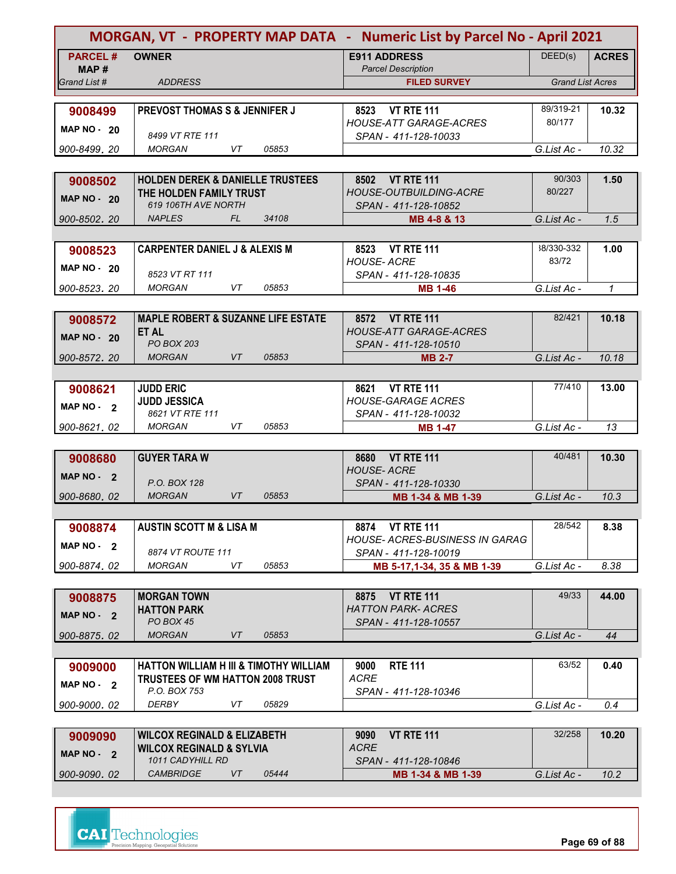| MORGAN, VT - PROPERTY MAP DATA - Numeric List by Parcel No - April 2021 |                                                         |       |                                                          |                         |              |
|-------------------------------------------------------------------------|---------------------------------------------------------|-------|----------------------------------------------------------|-------------------------|--------------|
| <b>PARCEL#</b><br>MAP#                                                  | <b>OWNER</b>                                            |       | <b>E911 ADDRESS</b><br><b>Parcel Description</b>         | DEED(s)                 | <b>ACRES</b> |
| Grand List #                                                            | <b>ADDRESS</b>                                          |       | <b>FILED SURVEY</b>                                      | <b>Grand List Acres</b> |              |
|                                                                         |                                                         |       |                                                          |                         |              |
| 9008499                                                                 | <b>PREVOST THOMAS S &amp; JENNIFER J</b>                |       | <b>VT RTE 111</b><br>8523                                | 89/319-21               | 10.32        |
|                                                                         |                                                         |       | <b>HOUSE-ATT GARAGE-ACRES</b>                            | 80/177                  |              |
| <b>MAP NO - 20</b>                                                      | 8499 VT RTE 111                                         |       | SPAN - 411-128-10033                                     |                         |              |
| 900-8499, 20                                                            | <b>MORGAN</b><br>VT                                     | 05853 |                                                          | G.List Ac -             | 10.32        |
|                                                                         |                                                         |       |                                                          |                         |              |
| 9008502                                                                 | <b>HOLDEN DEREK &amp; DANIELLE TRUSTEES</b>             |       | 8502 VT RTE 111                                          | 90/303                  | 1.50         |
| <b>MAP NO - 20</b>                                                      | THE HOLDEN FAMILY TRUST                                 |       | <b>HOUSE-OUTBUILDING-ACRE</b>                            | 80/227                  |              |
|                                                                         | 619 106TH AVE NORTH                                     |       | SPAN - 411-128-10852                                     |                         |              |
| 900-8502, 20                                                            | FL<br><b>NAPLES</b>                                     | 34108 | MB 4-8 & 13                                              | G.List Ac -             | 1.5          |
|                                                                         |                                                         |       |                                                          |                         |              |
| 9008523                                                                 | <b>CARPENTER DANIEL J &amp; ALEXIS M</b>                |       | 8523 VT RTE 111                                          | 38/330-332<br>83/72     | 1.00         |
| MAP $NO - 20$                                                           | 8523 VT RT 111                                          |       | <b>HOUSE- ACRE</b><br>SPAN - 411-128-10835               |                         |              |
| 900-8523, 20                                                            | VT<br><b>MORGAN</b>                                     | 05853 | <b>MB 1-46</b>                                           | G.List Ac -             | $\mathcal I$ |
|                                                                         |                                                         |       |                                                          |                         |              |
| 9008572                                                                 | <b>MAPLE ROBERT &amp; SUZANNE LIFE ESTATE</b>           |       | 8572 VT RTE 111                                          | 82/421                  | 10.18        |
|                                                                         | <b>ET AL</b>                                            |       | <b>HOUSE-ATT GARAGE-ACRES</b>                            |                         |              |
| <b>MAP NO - 20</b>                                                      | <b>PO BOX 203</b>                                       |       | SPAN - 411-128-10510                                     |                         |              |
| 900-8572.20                                                             | <b>MORGAN</b><br>VT                                     | 05853 | <b>MB 2-7</b>                                            | G.List Ac -             | 10.18        |
|                                                                         |                                                         |       |                                                          |                         |              |
| 9008621                                                                 | <b>JUDD ERIC</b>                                        |       | 8621 VT RTE 111                                          | 77/410                  | 13.00        |
| MAP NO - 2                                                              | <b>JUDD JESSICA</b>                                     |       | <b>HOUSE-GARAGE ACRES</b>                                |                         |              |
|                                                                         | 8621 VT RTE 111                                         |       | SPAN - 411-128-10032                                     |                         |              |
| 900-8621, 02                                                            | <b>MORGAN</b><br>VT                                     | 05853 | <b>MB 1-47</b>                                           | G.List Ac -             | 13           |
|                                                                         |                                                         |       |                                                          |                         |              |
| 9008680                                                                 | <b>GUYER TARA W</b>                                     |       | <b>VT RTE 111</b><br>8680                                | 40/481                  | 10.30        |
| MAP $NO - 2$                                                            |                                                         |       | <b>HOUSE-ACRE</b>                                        |                         |              |
|                                                                         | P.O. BOX 128<br><b>MORGAN</b><br><b>VT</b>              | 05853 | SPAN - 411-128-10330                                     |                         |              |
| 900-8680, 02                                                            |                                                         |       | MB 1-34 & MB 1-39                                        | G.List Ac -             | 10.3         |
|                                                                         |                                                         |       |                                                          |                         |              |
| 9008874                                                                 | <b>AUSTIN SCOTT M &amp; LISA M</b>                      |       | 8874 VT RTE 111<br><b>HOUSE- ACRES-BUSINESS IN GARAG</b> | 28/542                  | 8.38         |
| MAP $NO - 2$                                                            | 8874 VT ROUTE 111                                       |       | SPAN - 411-128-10019                                     |                         |              |
| 900-8874.02                                                             | <b>MORGAN</b><br>VT                                     | 05853 | MB 5-17,1-34, 35 & MB 1-39                               | G.List Ac -             | 8.38         |
|                                                                         |                                                         |       |                                                          |                         |              |
| 9008875                                                                 | <b>MORGAN TOWN</b>                                      |       | <b>VT RTE 111</b><br>8875                                | 49/33                   | 44.00        |
|                                                                         | <b>HATTON PARK</b>                                      |       | <b>HATTON PARK- ACRES</b>                                |                         |              |
| $MAP NO - 2$                                                            | PO BOX 45                                               |       | SPAN - 411-128-10557                                     |                         |              |
| 900-8875, 02                                                            | <b>MORGAN</b><br>VT                                     | 05853 |                                                          | G.List Ac -             | 44           |
|                                                                         |                                                         |       |                                                          |                         |              |
| 9009000                                                                 | <b>HATTON WILLIAM H III &amp; TIMOTHY WILLIAM</b>       |       | <b>RTE 111</b><br>9000                                   | 63/52                   | 0.40         |
| MAP NO - 2                                                              | <b>TRUSTEES OF WM HATTON 2008 TRUST</b>                 |       | <b>ACRE</b>                                              |                         |              |
|                                                                         | P.O. BOX 753                                            |       | SPAN - 411-128-10346                                     |                         |              |
| 900-9000, 02                                                            | DERBY<br>VT                                             | 05829 |                                                          | G.List Ac -             | 0.4          |
|                                                                         |                                                         |       |                                                          |                         |              |
| 9009090                                                                 | <b>WILCOX REGINALD &amp; ELIZABETH</b>                  |       | <b>VT RTE 111</b><br>9090                                | 32/258                  | 10.20        |
| MAP $NO - 2$                                                            | <b>WILCOX REGINALD &amp; SYLVIA</b><br>1011 CADYHILL RD |       | <b>ACRE</b>                                              |                         |              |
| 900-9090.02                                                             | <b>CAMBRIDGE</b><br>VT                                  | 05444 | SPAN - 411-128-10846<br>MB 1-34 & MB 1-39                | G.List Ac -             | 10.2         |
|                                                                         |                                                         |       |                                                          |                         |              |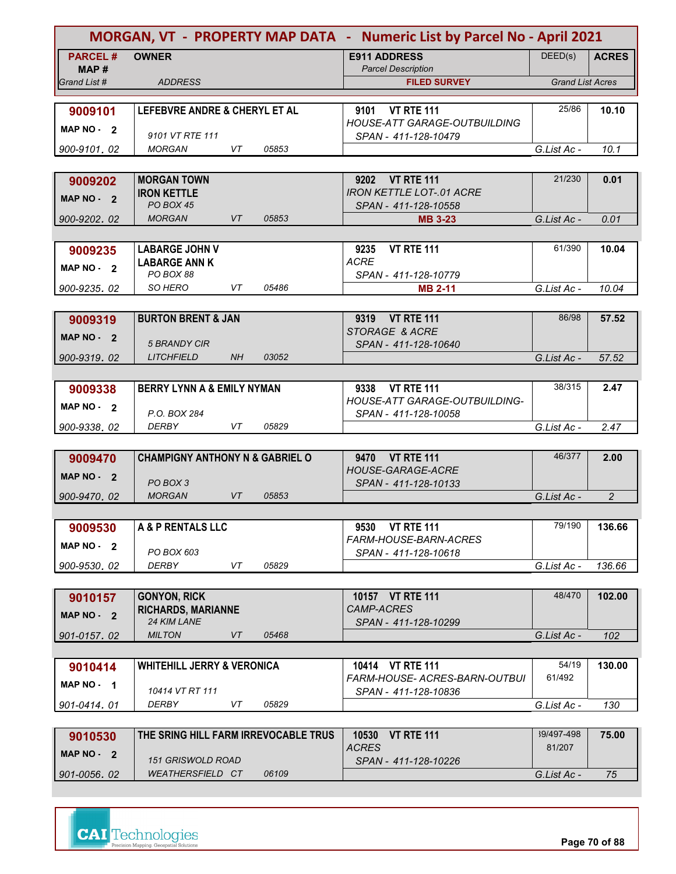| MORGAN, VT - PROPERTY MAP DATA - Numeric List by Parcel No - April 2021 |                                                     |       |                                                  |                         |                |  |
|-------------------------------------------------------------------------|-----------------------------------------------------|-------|--------------------------------------------------|-------------------------|----------------|--|
| <b>PARCEL#</b>                                                          | <b>OWNER</b>                                        |       | <b>E911 ADDRESS</b>                              | DEED(s)                 | <b>ACRES</b>   |  |
| MAP #<br>Grand List #                                                   | <b>ADDRESS</b>                                      |       | <b>Parcel Description</b><br><b>FILED SURVEY</b> | <b>Grand List Acres</b> |                |  |
|                                                                         |                                                     |       |                                                  |                         |                |  |
| 9009101                                                                 | LEFEBVRE ANDRE & CHERYL ET AL                       |       | <b>VT RTE 111</b><br>9101                        | 25/86                   | 10.10          |  |
| MAP NO - 2                                                              | 9101 VT RTE 111                                     |       | <b>HOUSE-ATT GARAGE-OUTBUILDING</b>              |                         |                |  |
| 900-9101.02                                                             | VT<br><b>MORGAN</b>                                 | 05853 | SPAN - 411-128-10479                             | G.List Ac -             | 10.1           |  |
|                                                                         |                                                     |       |                                                  |                         |                |  |
| 9009202                                                                 | <b>MORGAN TOWN</b>                                  |       | 9202 VT RTE 111                                  | 21/230                  | 0.01           |  |
| MAP NO - 2                                                              | <b>IRON KETTLE</b>                                  |       | <b>IRON KETTLE LOT-.01 ACRE</b>                  |                         |                |  |
| 900-9202, 02                                                            | PO BOX 45<br><b>MORGAN</b><br>VT                    | 05853 | SPAN - 411-128-10558<br><b>MB 3-23</b>           | G.List Ac -             | 0.01           |  |
|                                                                         |                                                     |       |                                                  |                         |                |  |
| 9009235                                                                 | <b>LABARGE JOHN V</b>                               |       | <b>VT RTE 111</b><br>9235                        | 61/390                  | 10.04          |  |
| MAP NO - 2                                                              | <b>LABARGE ANN K</b>                                |       | <b>ACRE</b>                                      |                         |                |  |
| 900-9235.02                                                             | PO BOX 88<br>SO HERO<br>VT                          | 05486 | SPAN - 411-128-10779<br><b>MB 2-11</b>           | G.List Ac -             | 10.04          |  |
|                                                                         |                                                     |       |                                                  |                         |                |  |
| 9009319                                                                 | <b>BURTON BRENT &amp; JAN</b>                       |       | 9319 VT RTE 111                                  | 86/98                   | 57.52          |  |
| MAP NO - 2                                                              |                                                     |       | STORAGE & ACRE                                   |                         |                |  |
| 900-9319.02                                                             | <b>5 BRANDY CIR</b><br><b>LITCHFIELD</b><br>NH      | 03052 | SPAN - 411-128-10640                             | G.List Ac -             | 57.52          |  |
|                                                                         |                                                     |       |                                                  |                         |                |  |
| 9009338                                                                 | <b>BERRY LYNN A &amp; EMILY NYMAN</b>               |       | <b>VT RTE 111</b><br>9338                        | 38/315                  | 2.47           |  |
| MAP NO - 2                                                              |                                                     |       | HOUSE-ATT GARAGE-OUTBUILDING-                    |                         |                |  |
| 900-9338.02                                                             | P.O. BOX 284<br><b>DERBY</b><br>VT                  | 05829 | SPAN - 411-128-10058                             | G.List Ac -             | 2.47           |  |
|                                                                         |                                                     |       |                                                  |                         |                |  |
| 9009470                                                                 | <b>CHAMPIGNY ANTHONY N &amp; GABRIEL O</b>          |       | 9470 VT RTE 111                                  | 46/377                  | 2.00           |  |
| <b>MAP NO -</b><br>$\overline{\mathbf{2}}$                              |                                                     |       | <b>HOUSE-GARAGE-ACRE</b>                         |                         |                |  |
| 900-9470, 02                                                            | PO BOX 3<br><b>MORGAN</b><br><b>VT</b>              | 05853 | SPAN - 411-128-10133                             | G.List Ac -             | $\overline{c}$ |  |
|                                                                         |                                                     |       |                                                  |                         |                |  |
| 9009530                                                                 | A & P RENTALS LLC                                   |       | <b>VT RTE 111</b><br>9530                        | 79/190                  | 136.66         |  |
| MAP $NO - 2$                                                            |                                                     |       | FARM-HOUSE-BARN-ACRES                            |                         |                |  |
|                                                                         | PO BOX 603<br><b>DERBY</b><br>VT                    | 05829 | SPAN - 411-128-10618                             | G.List Ac -             | 136.66         |  |
| 900-9530.02                                                             |                                                     |       |                                                  |                         |                |  |
| 9010157                                                                 | <b>GONYON, RICK</b>                                 |       | 10157 VT RTE 111                                 | 48/470                  | 102.00         |  |
| MAP NO - 2                                                              | <b>RICHARDS, MARIANNE</b>                           |       | CAMP-ACRES                                       |                         |                |  |
|                                                                         | 24 KIM LANE<br><b>MILTON</b><br>VT                  | 05468 | SPAN - 411-128-10299                             | G.List Ac -             | 102            |  |
| 901-0157.02                                                             |                                                     |       |                                                  |                         |                |  |
| 9010414                                                                 | <b>WHITEHILL JERRY &amp; VERONICA</b>               |       | 10414 VT RTE 111                                 | 54/19                   | 130.00         |  |
| MAP NO - 1                                                              |                                                     |       | FARM-HOUSE- ACRES-BARN-OUTBUI                    | 61/492                  |                |  |
| 901-0414.01                                                             | 10414 VT RT 111<br><b>DERBY</b><br>VT               | 05829 | SPAN - 411-128-10836                             | G.List Ac -             | 130            |  |
|                                                                         |                                                     |       |                                                  |                         |                |  |
| 9010530                                                                 | THE SRING HILL FARM IRREVOCABLE TRUS                |       | 10530<br><b>VT RTE 111</b>                       | 39/497-498              | 75.00          |  |
| MAP NO - 2                                                              |                                                     |       | <b>ACRES</b>                                     | 81/207                  |                |  |
| 901-0056.02                                                             | <b>151 GRISWOLD ROAD</b><br><b>WEATHERSFIELD CT</b> | 06109 | SPAN - 411-128-10226                             | G.List Ac -             | 75             |  |
|                                                                         |                                                     |       |                                                  |                         |                |  |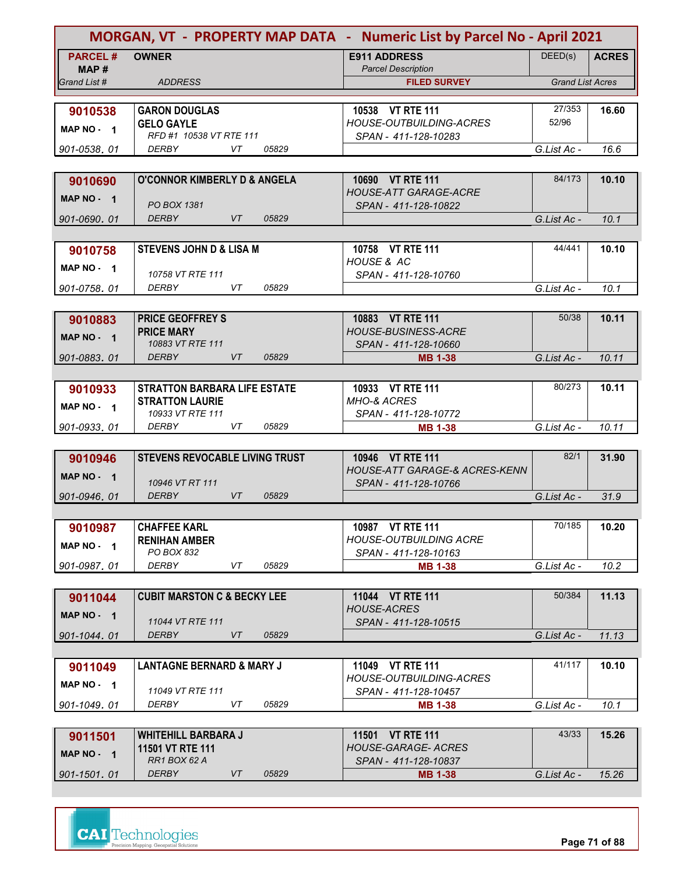| MORGAN, VT - PROPERTY MAP DATA - Numeric List by Parcel No - April 2021 |                                             |             |                                                   |                         |              |  |
|-------------------------------------------------------------------------|---------------------------------------------|-------------|---------------------------------------------------|-------------------------|--------------|--|
| <b>PARCEL#</b><br>MAP #                                                 | <b>OWNER</b>                                |             | <b>E911 ADDRESS</b><br><b>Parcel Description</b>  | DEED(s)                 | <b>ACRES</b> |  |
| Grand List #                                                            | <b>ADDRESS</b>                              |             | <b>FILED SURVEY</b>                               | <b>Grand List Acres</b> |              |  |
|                                                                         |                                             |             |                                                   |                         |              |  |
| 9010538                                                                 | <b>GARON DOUGLAS</b>                        |             | 10538 VT RTE 111                                  | 27/353                  | 16.60        |  |
| MAP NO - 1                                                              | <b>GELO GAYLE</b>                           |             | <b>HOUSE-OUTBUILDING-ACRES</b>                    | 52/96                   |              |  |
|                                                                         | RFD #1 10538 VT RTE 111<br><b>DERBY</b>     | VT          | SPAN - 411-128-10283                              |                         |              |  |
| 901-0538.01                                                             |                                             | 05829       |                                                   | G.List Ac -             | 16.6         |  |
|                                                                         |                                             |             |                                                   |                         |              |  |
| 9010690                                                                 | <b>O'CONNOR KIMBERLY D &amp; ANGELA</b>     |             | 10690 VT RTE 111<br><b>HOUSE-ATT GARAGE-ACRE</b>  | 84/173                  | 10.10        |  |
| MAP NO - 1                                                              | <b>PO BOX 1381</b>                          |             | SPAN - 411-128-10822                              |                         |              |  |
| 901-0690, 01                                                            | <b>DERBY</b>                                | VT<br>05829 |                                                   | G.List Ac -             | 10.1         |  |
|                                                                         |                                             |             |                                                   |                         |              |  |
| 9010758                                                                 | <b>STEVENS JOHN D &amp; LISA M</b>          |             | 10758 VT RTE 111                                  | 44/441                  | 10.10        |  |
| MAP NO - 1                                                              |                                             |             | HOUSE & AC                                        |                         |              |  |
|                                                                         | 10758 VT RTE 111                            |             | SPAN - 411-128-10760                              |                         |              |  |
| 901-0758, 01                                                            | DERBY                                       | 05829<br>VT |                                                   | G.List Ac -             | 10.1         |  |
|                                                                         |                                             |             |                                                   |                         |              |  |
| 9010883                                                                 | <b>PRICE GEOFFREY S</b>                     |             | 10883 VT RTE 111                                  | 50/38                   | 10.11        |  |
| MAP NO - 1                                                              | <b>PRICE MARY</b>                           |             | <b>HOUSE-BUSINESS-ACRE</b>                        |                         |              |  |
| 901-0883.01                                                             | 10883 VT RTE 111<br><b>DERBY</b>            | 05829<br>VT | SPAN - 411-128-10660<br><b>MB 1-38</b>            | G.List Ac -             | 10.11        |  |
|                                                                         |                                             |             |                                                   |                         |              |  |
|                                                                         | <b>STRATTON BARBARA LIFE ESTATE</b>         |             | 10933 VT RTE 111                                  | 80/273                  | 10.11        |  |
| 9010933                                                                 | <b>STRATTON LAURIE</b>                      |             | <b>MHO-&amp; ACRES</b>                            |                         |              |  |
| MAP NO - 1                                                              | 10933 VT RTE 111                            |             | SPAN - 411-128-10772                              |                         |              |  |
| 901-0933.01                                                             | <b>DERBY</b>                                | VT<br>05829 | <b>MB 1-38</b>                                    | G.List Ac -             | 10.11        |  |
|                                                                         |                                             |             |                                                   |                         |              |  |
| 9010946                                                                 | <b>STEVENS REVOCABLE LIVING TRUST</b>       |             | 10946 VT RTE 111                                  | 82/1                    | 31.90        |  |
| <b>MAP NO -</b><br>$\overline{\mathbf{1}}$                              |                                             |             | <b>HOUSE-ATT GARAGE-&amp; ACRES-KENN</b>          |                         |              |  |
|                                                                         | 10946 VT RT 111                             |             | SPAN - 411-128-10766                              |                         |              |  |
| 901-0946, 01                                                            | <b>DERBY</b>                                | VT<br>05829 |                                                   | G.List Ac -             | 31.9         |  |
|                                                                         |                                             |             |                                                   |                         |              |  |
| 9010987                                                                 | <b>CHAFFEE KARL</b><br><b>RENIHAN AMBER</b> |             | 10987 VT RTE 111<br><b>HOUSE-OUTBUILDING ACRE</b> | 70/185                  | 10.20        |  |
| MAP NO - 1                                                              | PO BOX 832                                  |             | SPAN - 411-128-10163                              |                         |              |  |
| 901-0987.01                                                             | DERBY                                       | 05829<br>VT | <b>MB 1-38</b>                                    | G.List Ac -             | 10.2         |  |
|                                                                         |                                             |             |                                                   |                         |              |  |
| 9011044                                                                 | <b>CUBIT MARSTON C &amp; BECKY LEE</b>      |             | 11044 VT RTE 111                                  | 50/384                  | 11.13        |  |
| MAP NO - 1                                                              |                                             |             | <b>HOUSE-ACRES</b>                                |                         |              |  |
|                                                                         | 11044 VT RTE 111                            |             | SPAN - 411-128-10515                              |                         |              |  |
| 901-1044, 01                                                            | <b>DERBY</b>                                | VT<br>05829 |                                                   | G.List Ac -             | 11.13        |  |
|                                                                         |                                             |             |                                                   |                         |              |  |
| 9011049                                                                 | <b>LANTAGNE BERNARD &amp; MARY J</b>        |             | 11049 VT RTE 111                                  | 41/117                  | 10.10        |  |
| MAP NO - 1                                                              |                                             |             | HOUSE-OUTBUILDING-ACRES                           |                         |              |  |
| 901-1049.01                                                             | 11049 VT RTE 111<br><b>DERBY</b>            | VT<br>05829 | SPAN - 411-128-10457<br><b>MB 1-38</b>            | G.List Ac -             | 10.1         |  |
|                                                                         |                                             |             |                                                   |                         |              |  |
| 9011501                                                                 | <b>WHITEHILL BARBARA J</b>                  |             | 11501 VT RTE 111                                  | 43/33                   | 15.26        |  |
|                                                                         | 11501 VT RTE 111                            |             | <b>HOUSE-GARAGE- ACRES</b>                        |                         |              |  |
| MAP NO - 1                                                              | RR1 BOX 62 A                                |             | SPAN - 411-128-10837                              |                         |              |  |
| 901-1501.01                                                             | <b>DERBY</b>                                | 05829<br>VT | <b>MB 1-38</b>                                    | G.List Ac -             | 15.26        |  |

**Page 71 of 88**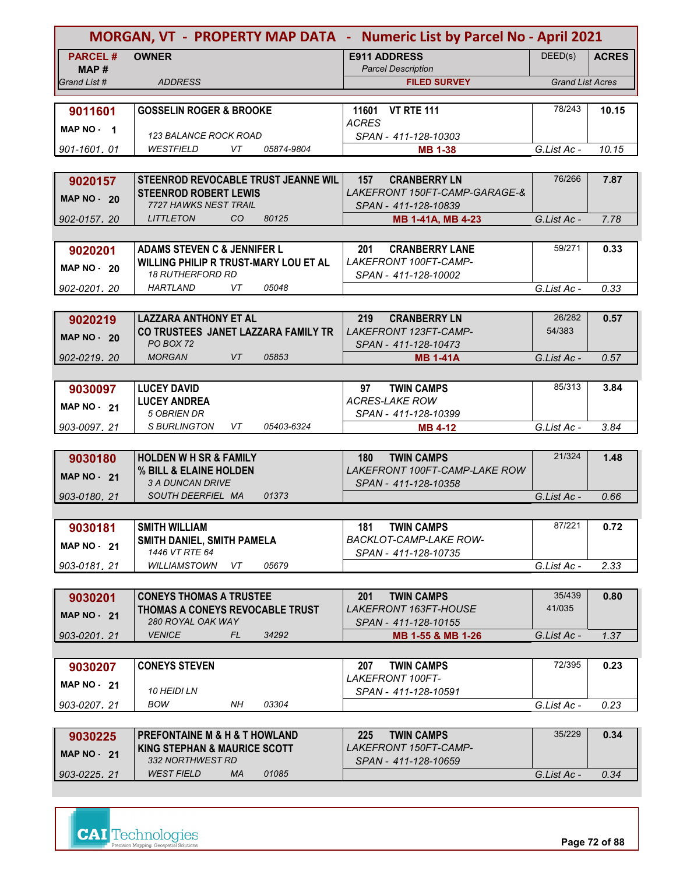| DEED(s)<br><b>PARCEL#</b><br><b>OWNER</b><br><b>E911 ADDRESS</b><br><b>ACRES</b><br>MAP#<br><b>Parcel Description</b><br><b>Grand List Acres</b><br>Grand List #<br><b>ADDRESS</b><br><b>FILED SURVEY</b><br>78/243<br><b>GOSSELIN ROGER &amp; BROOKE</b><br><b>VT RTE 111</b><br>10.15<br>9011601<br>11601<br><b>ACRES</b><br>MAP NO - 1<br>123 BALANCE ROCK ROAD<br>SPAN - 411-128-10303<br><b>WESTFIELD</b><br>VT<br>05874-9804<br>G.List Ac -<br>10.15<br>901-1601.01<br><b>MB 1-38</b><br>76/266<br>STEENROD REVOCABLE TRUST JEANNE WIL<br>157<br><b>CRANBERRY LN</b><br>7.87<br>9020157<br>LAKEFRONT 150FT-CAMP-GARAGE-&<br><b>STEENROD ROBERT LEWIS</b><br><b>MAP NO - 20</b><br>7727 HAWKS NEST TRAIL<br>SPAN - 411-128-10839<br>CO<br>80125<br><b>LITTLETON</b><br>G.List Ac -<br>7.78<br>902-0157, 20<br>MB 1-41A, MB 4-23<br>59/271<br><b>ADAMS STEVEN C &amp; JENNIFER L</b><br>201<br><b>CRANBERRY LANE</b><br>0.33<br>9020201<br>LAKEFRONT 100FT-CAMP-<br>WILLING PHILIP R TRUST-MARY LOU ET AL<br><b>MAP NO - 20</b><br><i><b>18 RUTHERFORD RD</b></i><br>SPAN - 411-128-10002<br>05048<br>HARTLAND<br>VT<br>0.33<br>902-0201.20<br>G.List Ac -<br>26/282<br>0.57<br><b>LAZZARA ANTHONY ET AL</b><br>219<br><b>CRANBERRY LN</b><br>9020219<br>54/383<br>LAKEFRONT 123FT-CAMP-<br>CO TRUSTEES JANET LAZZARA FAMILY TR<br><b>MAP NO - 20</b><br>PO BOX 72<br>SPAN - 411-128-10473<br><b>MORGAN</b><br>VT<br>05853<br>G.List Ac -<br>902-0219.20<br>0.57<br><b>MB 1-41A</b><br>85/313<br><b>LUCEY DAVID</b><br><b>TWIN CAMPS</b><br>3.84<br>97<br>9030097<br><b>ACRES-LAKE ROW</b><br><b>LUCEY ANDREA</b><br><b>MAP NO - 21</b><br><b>5 OBRIEN DR</b><br>SPAN - 411-128-10399<br><b>S BURLINGTON</b><br>05403-6324<br>VT<br>G.List Ac -<br>3.84<br>903-0097, 21<br><b>MB 4-12</b><br>21/324<br>1.48<br><b>HOLDEN W H SR &amp; FAMILY</b><br><b>TWIN CAMPS</b><br>9030180<br>180<br>LAKEFRONT 100FT-CAMP-LAKE ROW<br>% BILL & ELAINE HOLDEN<br><b>MAP NO - 21</b><br><b>3 A DUNCAN DRIVE</b><br>SPAN - 411-128-10358<br><b>SOUTH DEERFIEL MA</b><br>01373<br>903-0180, 21<br>G.List Ac -<br>0.66<br><b>SMITH WILLIAM</b><br><b>TWIN CAMPS</b><br>87/221<br>0.72<br>9030181<br>181<br><b>BACKLOT-CAMP-LAKE ROW-</b><br>SMITH DANIEL, SMITH PAMELA<br><b>MAP NO - 21</b><br>1446 VT RTE 64<br>SPAN - 411-128-10735<br><b>WILLIAMSTOWN</b><br>05679<br>VT.<br>2.33<br>903-0181.21<br>G.List Ac -<br>35/439<br>0.80<br><b>CONEYS THOMAS A TRUSTEE</b><br><b>TWIN CAMPS</b><br><b>201</b><br>9030201<br>41/035<br>LAKEFRONT 163FT-HOUSE<br>THOMAS A CONEYS REVOCABLE TRUST<br><b>MAP NO - 21</b><br>280 ROYAL OAK WAY<br>SPAN - 411-128-10155<br>34292<br><b>VENICE</b><br>FL.<br>G.List Ac -<br>903-0201.21<br>MB 1-55 & MB 1-26<br>1.37<br>72/395<br>0.23<br><b>CONEYS STEVEN</b><br><b>TWIN CAMPS</b><br>9030207<br>207<br><b>LAKEFRONT 100FT-</b><br><b>MAP NO - 21</b><br><b>10 HEIDI LN</b><br>SPAN - 411-128-10591<br>BOW<br>NH<br>03304<br>G.List Ac -<br>0.23<br>903-0207, 21<br>35/229<br><b>TWIN CAMPS</b><br>0.34<br>9030225<br><b>PREFONTAINE M &amp; H &amp; T HOWLAND</b><br>225<br>LAKEFRONT 150FT-CAMP-<br><b>KING STEPHAN &amp; MAURICE SCOTT</b><br><b>MAP NO - 21</b><br>332 NORTHWEST RD<br>SPAN - 411-128-10659<br><b>WEST FIELD</b><br><b>MA</b><br>01085<br>903-0225, 21<br>G.List Ac -<br>0.34 | MORGAN, VT - PROPERTY MAP DATA - Numeric List by Parcel No - April 2021 |  |  |  |  |  |  |
|-------------------------------------------------------------------------------------------------------------------------------------------------------------------------------------------------------------------------------------------------------------------------------------------------------------------------------------------------------------------------------------------------------------------------------------------------------------------------------------------------------------------------------------------------------------------------------------------------------------------------------------------------------------------------------------------------------------------------------------------------------------------------------------------------------------------------------------------------------------------------------------------------------------------------------------------------------------------------------------------------------------------------------------------------------------------------------------------------------------------------------------------------------------------------------------------------------------------------------------------------------------------------------------------------------------------------------------------------------------------------------------------------------------------------------------------------------------------------------------------------------------------------------------------------------------------------------------------------------------------------------------------------------------------------------------------------------------------------------------------------------------------------------------------------------------------------------------------------------------------------------------------------------------------------------------------------------------------------------------------------------------------------------------------------------------------------------------------------------------------------------------------------------------------------------------------------------------------------------------------------------------------------------------------------------------------------------------------------------------------------------------------------------------------------------------------------------------------------------------------------------------------------------------------------------------------------------------------------------------------------------------------------------------------------------------------------------------------------------------------------------------------------------------------------------------------------------------------------------------------------------------------------------------------------------------------------------------------------------------------------------------------------------------------------------------------------------------------------------------------------------------------------------------------------------------------------------------------------------------------------------------------------------------------------------------------------------|-------------------------------------------------------------------------|--|--|--|--|--|--|
|                                                                                                                                                                                                                                                                                                                                                                                                                                                                                                                                                                                                                                                                                                                                                                                                                                                                                                                                                                                                                                                                                                                                                                                                                                                                                                                                                                                                                                                                                                                                                                                                                                                                                                                                                                                                                                                                                                                                                                                                                                                                                                                                                                                                                                                                                                                                                                                                                                                                                                                                                                                                                                                                                                                                                                                                                                                                                                                                                                                                                                                                                                                                                                                                                                                                                                                               |                                                                         |  |  |  |  |  |  |
|                                                                                                                                                                                                                                                                                                                                                                                                                                                                                                                                                                                                                                                                                                                                                                                                                                                                                                                                                                                                                                                                                                                                                                                                                                                                                                                                                                                                                                                                                                                                                                                                                                                                                                                                                                                                                                                                                                                                                                                                                                                                                                                                                                                                                                                                                                                                                                                                                                                                                                                                                                                                                                                                                                                                                                                                                                                                                                                                                                                                                                                                                                                                                                                                                                                                                                                               |                                                                         |  |  |  |  |  |  |
|                                                                                                                                                                                                                                                                                                                                                                                                                                                                                                                                                                                                                                                                                                                                                                                                                                                                                                                                                                                                                                                                                                                                                                                                                                                                                                                                                                                                                                                                                                                                                                                                                                                                                                                                                                                                                                                                                                                                                                                                                                                                                                                                                                                                                                                                                                                                                                                                                                                                                                                                                                                                                                                                                                                                                                                                                                                                                                                                                                                                                                                                                                                                                                                                                                                                                                                               |                                                                         |  |  |  |  |  |  |
|                                                                                                                                                                                                                                                                                                                                                                                                                                                                                                                                                                                                                                                                                                                                                                                                                                                                                                                                                                                                                                                                                                                                                                                                                                                                                                                                                                                                                                                                                                                                                                                                                                                                                                                                                                                                                                                                                                                                                                                                                                                                                                                                                                                                                                                                                                                                                                                                                                                                                                                                                                                                                                                                                                                                                                                                                                                                                                                                                                                                                                                                                                                                                                                                                                                                                                                               |                                                                         |  |  |  |  |  |  |
|                                                                                                                                                                                                                                                                                                                                                                                                                                                                                                                                                                                                                                                                                                                                                                                                                                                                                                                                                                                                                                                                                                                                                                                                                                                                                                                                                                                                                                                                                                                                                                                                                                                                                                                                                                                                                                                                                                                                                                                                                                                                                                                                                                                                                                                                                                                                                                                                                                                                                                                                                                                                                                                                                                                                                                                                                                                                                                                                                                                                                                                                                                                                                                                                                                                                                                                               |                                                                         |  |  |  |  |  |  |
|                                                                                                                                                                                                                                                                                                                                                                                                                                                                                                                                                                                                                                                                                                                                                                                                                                                                                                                                                                                                                                                                                                                                                                                                                                                                                                                                                                                                                                                                                                                                                                                                                                                                                                                                                                                                                                                                                                                                                                                                                                                                                                                                                                                                                                                                                                                                                                                                                                                                                                                                                                                                                                                                                                                                                                                                                                                                                                                                                                                                                                                                                                                                                                                                                                                                                                                               |                                                                         |  |  |  |  |  |  |
|                                                                                                                                                                                                                                                                                                                                                                                                                                                                                                                                                                                                                                                                                                                                                                                                                                                                                                                                                                                                                                                                                                                                                                                                                                                                                                                                                                                                                                                                                                                                                                                                                                                                                                                                                                                                                                                                                                                                                                                                                                                                                                                                                                                                                                                                                                                                                                                                                                                                                                                                                                                                                                                                                                                                                                                                                                                                                                                                                                                                                                                                                                                                                                                                                                                                                                                               |                                                                         |  |  |  |  |  |  |
|                                                                                                                                                                                                                                                                                                                                                                                                                                                                                                                                                                                                                                                                                                                                                                                                                                                                                                                                                                                                                                                                                                                                                                                                                                                                                                                                                                                                                                                                                                                                                                                                                                                                                                                                                                                                                                                                                                                                                                                                                                                                                                                                                                                                                                                                                                                                                                                                                                                                                                                                                                                                                                                                                                                                                                                                                                                                                                                                                                                                                                                                                                                                                                                                                                                                                                                               |                                                                         |  |  |  |  |  |  |
|                                                                                                                                                                                                                                                                                                                                                                                                                                                                                                                                                                                                                                                                                                                                                                                                                                                                                                                                                                                                                                                                                                                                                                                                                                                                                                                                                                                                                                                                                                                                                                                                                                                                                                                                                                                                                                                                                                                                                                                                                                                                                                                                                                                                                                                                                                                                                                                                                                                                                                                                                                                                                                                                                                                                                                                                                                                                                                                                                                                                                                                                                                                                                                                                                                                                                                                               |                                                                         |  |  |  |  |  |  |
|                                                                                                                                                                                                                                                                                                                                                                                                                                                                                                                                                                                                                                                                                                                                                                                                                                                                                                                                                                                                                                                                                                                                                                                                                                                                                                                                                                                                                                                                                                                                                                                                                                                                                                                                                                                                                                                                                                                                                                                                                                                                                                                                                                                                                                                                                                                                                                                                                                                                                                                                                                                                                                                                                                                                                                                                                                                                                                                                                                                                                                                                                                                                                                                                                                                                                                                               |                                                                         |  |  |  |  |  |  |
|                                                                                                                                                                                                                                                                                                                                                                                                                                                                                                                                                                                                                                                                                                                                                                                                                                                                                                                                                                                                                                                                                                                                                                                                                                                                                                                                                                                                                                                                                                                                                                                                                                                                                                                                                                                                                                                                                                                                                                                                                                                                                                                                                                                                                                                                                                                                                                                                                                                                                                                                                                                                                                                                                                                                                                                                                                                                                                                                                                                                                                                                                                                                                                                                                                                                                                                               |                                                                         |  |  |  |  |  |  |
|                                                                                                                                                                                                                                                                                                                                                                                                                                                                                                                                                                                                                                                                                                                                                                                                                                                                                                                                                                                                                                                                                                                                                                                                                                                                                                                                                                                                                                                                                                                                                                                                                                                                                                                                                                                                                                                                                                                                                                                                                                                                                                                                                                                                                                                                                                                                                                                                                                                                                                                                                                                                                                                                                                                                                                                                                                                                                                                                                                                                                                                                                                                                                                                                                                                                                                                               |                                                                         |  |  |  |  |  |  |
|                                                                                                                                                                                                                                                                                                                                                                                                                                                                                                                                                                                                                                                                                                                                                                                                                                                                                                                                                                                                                                                                                                                                                                                                                                                                                                                                                                                                                                                                                                                                                                                                                                                                                                                                                                                                                                                                                                                                                                                                                                                                                                                                                                                                                                                                                                                                                                                                                                                                                                                                                                                                                                                                                                                                                                                                                                                                                                                                                                                                                                                                                                                                                                                                                                                                                                                               |                                                                         |  |  |  |  |  |  |
|                                                                                                                                                                                                                                                                                                                                                                                                                                                                                                                                                                                                                                                                                                                                                                                                                                                                                                                                                                                                                                                                                                                                                                                                                                                                                                                                                                                                                                                                                                                                                                                                                                                                                                                                                                                                                                                                                                                                                                                                                                                                                                                                                                                                                                                                                                                                                                                                                                                                                                                                                                                                                                                                                                                                                                                                                                                                                                                                                                                                                                                                                                                                                                                                                                                                                                                               |                                                                         |  |  |  |  |  |  |
|                                                                                                                                                                                                                                                                                                                                                                                                                                                                                                                                                                                                                                                                                                                                                                                                                                                                                                                                                                                                                                                                                                                                                                                                                                                                                                                                                                                                                                                                                                                                                                                                                                                                                                                                                                                                                                                                                                                                                                                                                                                                                                                                                                                                                                                                                                                                                                                                                                                                                                                                                                                                                                                                                                                                                                                                                                                                                                                                                                                                                                                                                                                                                                                                                                                                                                                               |                                                                         |  |  |  |  |  |  |
|                                                                                                                                                                                                                                                                                                                                                                                                                                                                                                                                                                                                                                                                                                                                                                                                                                                                                                                                                                                                                                                                                                                                                                                                                                                                                                                                                                                                                                                                                                                                                                                                                                                                                                                                                                                                                                                                                                                                                                                                                                                                                                                                                                                                                                                                                                                                                                                                                                                                                                                                                                                                                                                                                                                                                                                                                                                                                                                                                                                                                                                                                                                                                                                                                                                                                                                               |                                                                         |  |  |  |  |  |  |
|                                                                                                                                                                                                                                                                                                                                                                                                                                                                                                                                                                                                                                                                                                                                                                                                                                                                                                                                                                                                                                                                                                                                                                                                                                                                                                                                                                                                                                                                                                                                                                                                                                                                                                                                                                                                                                                                                                                                                                                                                                                                                                                                                                                                                                                                                                                                                                                                                                                                                                                                                                                                                                                                                                                                                                                                                                                                                                                                                                                                                                                                                                                                                                                                                                                                                                                               |                                                                         |  |  |  |  |  |  |
|                                                                                                                                                                                                                                                                                                                                                                                                                                                                                                                                                                                                                                                                                                                                                                                                                                                                                                                                                                                                                                                                                                                                                                                                                                                                                                                                                                                                                                                                                                                                                                                                                                                                                                                                                                                                                                                                                                                                                                                                                                                                                                                                                                                                                                                                                                                                                                                                                                                                                                                                                                                                                                                                                                                                                                                                                                                                                                                                                                                                                                                                                                                                                                                                                                                                                                                               |                                                                         |  |  |  |  |  |  |
|                                                                                                                                                                                                                                                                                                                                                                                                                                                                                                                                                                                                                                                                                                                                                                                                                                                                                                                                                                                                                                                                                                                                                                                                                                                                                                                                                                                                                                                                                                                                                                                                                                                                                                                                                                                                                                                                                                                                                                                                                                                                                                                                                                                                                                                                                                                                                                                                                                                                                                                                                                                                                                                                                                                                                                                                                                                                                                                                                                                                                                                                                                                                                                                                                                                                                                                               |                                                                         |  |  |  |  |  |  |
|                                                                                                                                                                                                                                                                                                                                                                                                                                                                                                                                                                                                                                                                                                                                                                                                                                                                                                                                                                                                                                                                                                                                                                                                                                                                                                                                                                                                                                                                                                                                                                                                                                                                                                                                                                                                                                                                                                                                                                                                                                                                                                                                                                                                                                                                                                                                                                                                                                                                                                                                                                                                                                                                                                                                                                                                                                                                                                                                                                                                                                                                                                                                                                                                                                                                                                                               |                                                                         |  |  |  |  |  |  |
|                                                                                                                                                                                                                                                                                                                                                                                                                                                                                                                                                                                                                                                                                                                                                                                                                                                                                                                                                                                                                                                                                                                                                                                                                                                                                                                                                                                                                                                                                                                                                                                                                                                                                                                                                                                                                                                                                                                                                                                                                                                                                                                                                                                                                                                                                                                                                                                                                                                                                                                                                                                                                                                                                                                                                                                                                                                                                                                                                                                                                                                                                                                                                                                                                                                                                                                               |                                                                         |  |  |  |  |  |  |
|                                                                                                                                                                                                                                                                                                                                                                                                                                                                                                                                                                                                                                                                                                                                                                                                                                                                                                                                                                                                                                                                                                                                                                                                                                                                                                                                                                                                                                                                                                                                                                                                                                                                                                                                                                                                                                                                                                                                                                                                                                                                                                                                                                                                                                                                                                                                                                                                                                                                                                                                                                                                                                                                                                                                                                                                                                                                                                                                                                                                                                                                                                                                                                                                                                                                                                                               |                                                                         |  |  |  |  |  |  |
|                                                                                                                                                                                                                                                                                                                                                                                                                                                                                                                                                                                                                                                                                                                                                                                                                                                                                                                                                                                                                                                                                                                                                                                                                                                                                                                                                                                                                                                                                                                                                                                                                                                                                                                                                                                                                                                                                                                                                                                                                                                                                                                                                                                                                                                                                                                                                                                                                                                                                                                                                                                                                                                                                                                                                                                                                                                                                                                                                                                                                                                                                                                                                                                                                                                                                                                               |                                                                         |  |  |  |  |  |  |
|                                                                                                                                                                                                                                                                                                                                                                                                                                                                                                                                                                                                                                                                                                                                                                                                                                                                                                                                                                                                                                                                                                                                                                                                                                                                                                                                                                                                                                                                                                                                                                                                                                                                                                                                                                                                                                                                                                                                                                                                                                                                                                                                                                                                                                                                                                                                                                                                                                                                                                                                                                                                                                                                                                                                                                                                                                                                                                                                                                                                                                                                                                                                                                                                                                                                                                                               |                                                                         |  |  |  |  |  |  |
|                                                                                                                                                                                                                                                                                                                                                                                                                                                                                                                                                                                                                                                                                                                                                                                                                                                                                                                                                                                                                                                                                                                                                                                                                                                                                                                                                                                                                                                                                                                                                                                                                                                                                                                                                                                                                                                                                                                                                                                                                                                                                                                                                                                                                                                                                                                                                                                                                                                                                                                                                                                                                                                                                                                                                                                                                                                                                                                                                                                                                                                                                                                                                                                                                                                                                                                               |                                                                         |  |  |  |  |  |  |
|                                                                                                                                                                                                                                                                                                                                                                                                                                                                                                                                                                                                                                                                                                                                                                                                                                                                                                                                                                                                                                                                                                                                                                                                                                                                                                                                                                                                                                                                                                                                                                                                                                                                                                                                                                                                                                                                                                                                                                                                                                                                                                                                                                                                                                                                                                                                                                                                                                                                                                                                                                                                                                                                                                                                                                                                                                                                                                                                                                                                                                                                                                                                                                                                                                                                                                                               |                                                                         |  |  |  |  |  |  |
|                                                                                                                                                                                                                                                                                                                                                                                                                                                                                                                                                                                                                                                                                                                                                                                                                                                                                                                                                                                                                                                                                                                                                                                                                                                                                                                                                                                                                                                                                                                                                                                                                                                                                                                                                                                                                                                                                                                                                                                                                                                                                                                                                                                                                                                                                                                                                                                                                                                                                                                                                                                                                                                                                                                                                                                                                                                                                                                                                                                                                                                                                                                                                                                                                                                                                                                               |                                                                         |  |  |  |  |  |  |
|                                                                                                                                                                                                                                                                                                                                                                                                                                                                                                                                                                                                                                                                                                                                                                                                                                                                                                                                                                                                                                                                                                                                                                                                                                                                                                                                                                                                                                                                                                                                                                                                                                                                                                                                                                                                                                                                                                                                                                                                                                                                                                                                                                                                                                                                                                                                                                                                                                                                                                                                                                                                                                                                                                                                                                                                                                                                                                                                                                                                                                                                                                                                                                                                                                                                                                                               |                                                                         |  |  |  |  |  |  |
|                                                                                                                                                                                                                                                                                                                                                                                                                                                                                                                                                                                                                                                                                                                                                                                                                                                                                                                                                                                                                                                                                                                                                                                                                                                                                                                                                                                                                                                                                                                                                                                                                                                                                                                                                                                                                                                                                                                                                                                                                                                                                                                                                                                                                                                                                                                                                                                                                                                                                                                                                                                                                                                                                                                                                                                                                                                                                                                                                                                                                                                                                                                                                                                                                                                                                                                               |                                                                         |  |  |  |  |  |  |
|                                                                                                                                                                                                                                                                                                                                                                                                                                                                                                                                                                                                                                                                                                                                                                                                                                                                                                                                                                                                                                                                                                                                                                                                                                                                                                                                                                                                                                                                                                                                                                                                                                                                                                                                                                                                                                                                                                                                                                                                                                                                                                                                                                                                                                                                                                                                                                                                                                                                                                                                                                                                                                                                                                                                                                                                                                                                                                                                                                                                                                                                                                                                                                                                                                                                                                                               |                                                                         |  |  |  |  |  |  |
|                                                                                                                                                                                                                                                                                                                                                                                                                                                                                                                                                                                                                                                                                                                                                                                                                                                                                                                                                                                                                                                                                                                                                                                                                                                                                                                                                                                                                                                                                                                                                                                                                                                                                                                                                                                                                                                                                                                                                                                                                                                                                                                                                                                                                                                                                                                                                                                                                                                                                                                                                                                                                                                                                                                                                                                                                                                                                                                                                                                                                                                                                                                                                                                                                                                                                                                               |                                                                         |  |  |  |  |  |  |
|                                                                                                                                                                                                                                                                                                                                                                                                                                                                                                                                                                                                                                                                                                                                                                                                                                                                                                                                                                                                                                                                                                                                                                                                                                                                                                                                                                                                                                                                                                                                                                                                                                                                                                                                                                                                                                                                                                                                                                                                                                                                                                                                                                                                                                                                                                                                                                                                                                                                                                                                                                                                                                                                                                                                                                                                                                                                                                                                                                                                                                                                                                                                                                                                                                                                                                                               |                                                                         |  |  |  |  |  |  |
|                                                                                                                                                                                                                                                                                                                                                                                                                                                                                                                                                                                                                                                                                                                                                                                                                                                                                                                                                                                                                                                                                                                                                                                                                                                                                                                                                                                                                                                                                                                                                                                                                                                                                                                                                                                                                                                                                                                                                                                                                                                                                                                                                                                                                                                                                                                                                                                                                                                                                                                                                                                                                                                                                                                                                                                                                                                                                                                                                                                                                                                                                                                                                                                                                                                                                                                               |                                                                         |  |  |  |  |  |  |
|                                                                                                                                                                                                                                                                                                                                                                                                                                                                                                                                                                                                                                                                                                                                                                                                                                                                                                                                                                                                                                                                                                                                                                                                                                                                                                                                                                                                                                                                                                                                                                                                                                                                                                                                                                                                                                                                                                                                                                                                                                                                                                                                                                                                                                                                                                                                                                                                                                                                                                                                                                                                                                                                                                                                                                                                                                                                                                                                                                                                                                                                                                                                                                                                                                                                                                                               |                                                                         |  |  |  |  |  |  |
|                                                                                                                                                                                                                                                                                                                                                                                                                                                                                                                                                                                                                                                                                                                                                                                                                                                                                                                                                                                                                                                                                                                                                                                                                                                                                                                                                                                                                                                                                                                                                                                                                                                                                                                                                                                                                                                                                                                                                                                                                                                                                                                                                                                                                                                                                                                                                                                                                                                                                                                                                                                                                                                                                                                                                                                                                                                                                                                                                                                                                                                                                                                                                                                                                                                                                                                               |                                                                         |  |  |  |  |  |  |
|                                                                                                                                                                                                                                                                                                                                                                                                                                                                                                                                                                                                                                                                                                                                                                                                                                                                                                                                                                                                                                                                                                                                                                                                                                                                                                                                                                                                                                                                                                                                                                                                                                                                                                                                                                                                                                                                                                                                                                                                                                                                                                                                                                                                                                                                                                                                                                                                                                                                                                                                                                                                                                                                                                                                                                                                                                                                                                                                                                                                                                                                                                                                                                                                                                                                                                                               |                                                                         |  |  |  |  |  |  |
|                                                                                                                                                                                                                                                                                                                                                                                                                                                                                                                                                                                                                                                                                                                                                                                                                                                                                                                                                                                                                                                                                                                                                                                                                                                                                                                                                                                                                                                                                                                                                                                                                                                                                                                                                                                                                                                                                                                                                                                                                                                                                                                                                                                                                                                                                                                                                                                                                                                                                                                                                                                                                                                                                                                                                                                                                                                                                                                                                                                                                                                                                                                                                                                                                                                                                                                               |                                                                         |  |  |  |  |  |  |
|                                                                                                                                                                                                                                                                                                                                                                                                                                                                                                                                                                                                                                                                                                                                                                                                                                                                                                                                                                                                                                                                                                                                                                                                                                                                                                                                                                                                                                                                                                                                                                                                                                                                                                                                                                                                                                                                                                                                                                                                                                                                                                                                                                                                                                                                                                                                                                                                                                                                                                                                                                                                                                                                                                                                                                                                                                                                                                                                                                                                                                                                                                                                                                                                                                                                                                                               |                                                                         |  |  |  |  |  |  |
|                                                                                                                                                                                                                                                                                                                                                                                                                                                                                                                                                                                                                                                                                                                                                                                                                                                                                                                                                                                                                                                                                                                                                                                                                                                                                                                                                                                                                                                                                                                                                                                                                                                                                                                                                                                                                                                                                                                                                                                                                                                                                                                                                                                                                                                                                                                                                                                                                                                                                                                                                                                                                                                                                                                                                                                                                                                                                                                                                                                                                                                                                                                                                                                                                                                                                                                               |                                                                         |  |  |  |  |  |  |
|                                                                                                                                                                                                                                                                                                                                                                                                                                                                                                                                                                                                                                                                                                                                                                                                                                                                                                                                                                                                                                                                                                                                                                                                                                                                                                                                                                                                                                                                                                                                                                                                                                                                                                                                                                                                                                                                                                                                                                                                                                                                                                                                                                                                                                                                                                                                                                                                                                                                                                                                                                                                                                                                                                                                                                                                                                                                                                                                                                                                                                                                                                                                                                                                                                                                                                                               |                                                                         |  |  |  |  |  |  |
|                                                                                                                                                                                                                                                                                                                                                                                                                                                                                                                                                                                                                                                                                                                                                                                                                                                                                                                                                                                                                                                                                                                                                                                                                                                                                                                                                                                                                                                                                                                                                                                                                                                                                                                                                                                                                                                                                                                                                                                                                                                                                                                                                                                                                                                                                                                                                                                                                                                                                                                                                                                                                                                                                                                                                                                                                                                                                                                                                                                                                                                                                                                                                                                                                                                                                                                               |                                                                         |  |  |  |  |  |  |
|                                                                                                                                                                                                                                                                                                                                                                                                                                                                                                                                                                                                                                                                                                                                                                                                                                                                                                                                                                                                                                                                                                                                                                                                                                                                                                                                                                                                                                                                                                                                                                                                                                                                                                                                                                                                                                                                                                                                                                                                                                                                                                                                                                                                                                                                                                                                                                                                                                                                                                                                                                                                                                                                                                                                                                                                                                                                                                                                                                                                                                                                                                                                                                                                                                                                                                                               |                                                                         |  |  |  |  |  |  |
|                                                                                                                                                                                                                                                                                                                                                                                                                                                                                                                                                                                                                                                                                                                                                                                                                                                                                                                                                                                                                                                                                                                                                                                                                                                                                                                                                                                                                                                                                                                                                                                                                                                                                                                                                                                                                                                                                                                                                                                                                                                                                                                                                                                                                                                                                                                                                                                                                                                                                                                                                                                                                                                                                                                                                                                                                                                                                                                                                                                                                                                                                                                                                                                                                                                                                                                               |                                                                         |  |  |  |  |  |  |
|                                                                                                                                                                                                                                                                                                                                                                                                                                                                                                                                                                                                                                                                                                                                                                                                                                                                                                                                                                                                                                                                                                                                                                                                                                                                                                                                                                                                                                                                                                                                                                                                                                                                                                                                                                                                                                                                                                                                                                                                                                                                                                                                                                                                                                                                                                                                                                                                                                                                                                                                                                                                                                                                                                                                                                                                                                                                                                                                                                                                                                                                                                                                                                                                                                                                                                                               |                                                                         |  |  |  |  |  |  |

**Page 72 of 88**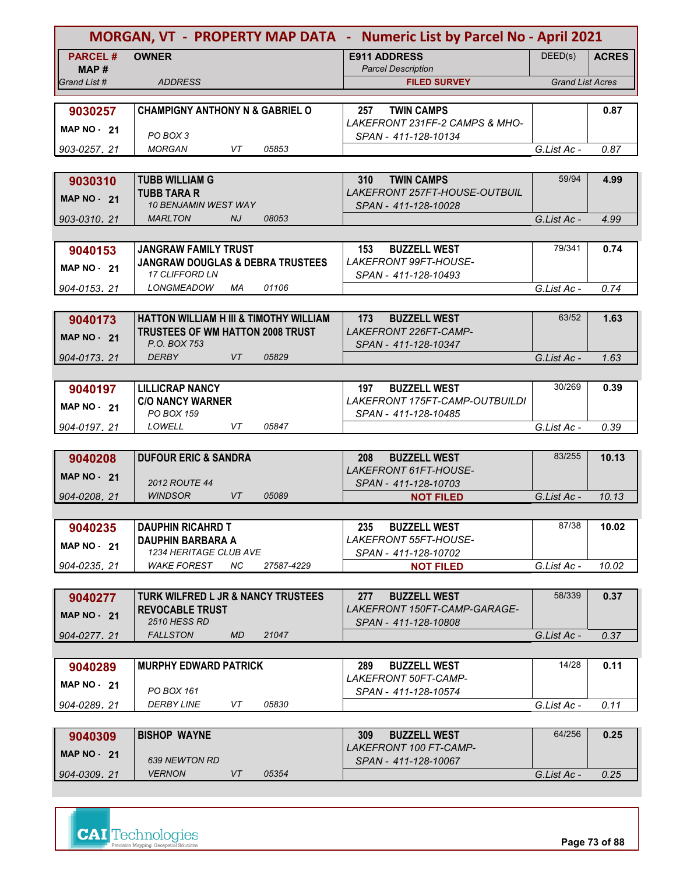|                    |                                                                                   |           |            | MORGAN, VT - PROPERTY MAP DATA - Numeric List by Parcel No - April 2021 |                         |              |
|--------------------|-----------------------------------------------------------------------------------|-----------|------------|-------------------------------------------------------------------------|-------------------------|--------------|
| <b>PARCEL#</b>     | <b>OWNER</b>                                                                      |           |            | <b>E911 ADDRESS</b>                                                     | DEED(s)                 | <b>ACRES</b> |
| MAP #              |                                                                                   |           |            | <b>Parcel Description</b>                                               |                         |              |
| Grand List #       | <b>ADDRESS</b>                                                                    |           |            | <b>FILED SURVEY</b>                                                     | <b>Grand List Acres</b> |              |
| 9030257            | <b>CHAMPIGNY ANTHONY N &amp; GABRIEL O</b>                                        |           |            | <b>TWIN CAMPS</b><br>257                                                |                         | 0.87         |
|                    |                                                                                   |           |            | LAKEFRONT 231FF-2 CAMPS & MHO-                                          |                         |              |
| <b>MAP NO - 21</b> | PO BOX 3                                                                          |           |            | SPAN - 411-128-10134                                                    |                         |              |
| 903-0257, 21       | <b>MORGAN</b>                                                                     | VT        | 05853      |                                                                         | G.List Ac -             | 0.87         |
|                    |                                                                                   |           |            |                                                                         |                         |              |
| 9030310            | <b>TUBB WILLIAM G</b>                                                             |           |            | 310<br><b>TWIN CAMPS</b>                                                | 59/94                   | 4.99         |
| <b>MAP NO - 21</b> | <b>TUBB TARA R</b><br><b>10 BENJAMIN WEST WAY</b>                                 |           |            | LAKEFRONT 257FT-HOUSE-OUTBUIL<br>SPAN - 411-128-10028                   |                         |              |
| 903-0310, 21       | <b>MARLTON</b>                                                                    | NJ        | 08053      |                                                                         | G.List Ac -             | 4.99         |
|                    |                                                                                   |           |            |                                                                         |                         |              |
| 9040153            | <b>JANGRAW FAMILY TRUST</b>                                                       |           |            | <b>BUZZELL WEST</b><br>153                                              | 79/341                  | 0.74         |
| <b>MAP NO - 21</b> | <b>JANGRAW DOUGLAS &amp; DEBRA TRUSTEES</b>                                       |           |            | LAKEFRONT 99FT-HOUSE-                                                   |                         |              |
|                    | <b>17 CLIFFORD LN</b>                                                             |           |            | SPAN - 411-128-10493                                                    |                         |              |
| 904-0153, 21       | <b>LONGMEADOW</b>                                                                 | МA        | 01106      |                                                                         | G.List Ac -             | 0.74         |
|                    |                                                                                   |           |            |                                                                         |                         |              |
| 9040173            | HATTON WILLIAM H III & TIMOTHY WILLIAM<br><b>TRUSTEES OF WM HATTON 2008 TRUST</b> |           |            | 173<br><b>BUZZELL WEST</b><br>LAKEFRONT 226FT-CAMP-                     | 63/52                   | 1.63         |
| <b>MAP NO - 21</b> | P.O. BOX 753                                                                      |           |            | SPAN - 411-128-10347                                                    |                         |              |
| 904-0173.21        | <b>DERBY</b>                                                                      | VT        | 05829      |                                                                         | G.List Ac -             | 1.63         |
|                    |                                                                                   |           |            |                                                                         |                         |              |
| 9040197            | <b>LILLICRAP NANCY</b>                                                            |           |            | <b>BUZZELL WEST</b><br>197                                              | 30/269                  | 0.39         |
| <b>MAP NO - 21</b> | <b>C/O NANCY WARNER</b>                                                           |           |            | LAKEFRONT 175FT-CAMP-OUTBUILDI                                          |                         |              |
|                    | PO BOX 159                                                                        |           |            | SPAN - 411-128-10485                                                    |                         |              |
| 904-0197, 21       | LOWELL                                                                            | VT        | 05847      |                                                                         | G.List Ac -             | 0.39         |
| 9040208            | <b>DUFOUR ERIC &amp; SANDRA</b>                                                   |           |            | <b>BUZZELL WEST</b><br>208                                              | 83/255                  | 10.13        |
|                    |                                                                                   |           |            | LAKEFRONT 61FT-HOUSE-                                                   |                         |              |
| MAP $NO - 21$      | <b>2012 ROUTE 44</b>                                                              |           |            | SPAN - 411-128-10703                                                    |                         |              |
| 904-0208, 21       | <b>WINDSOR</b>                                                                    | <b>VT</b> | 05089      | <b>NOT FILED</b>                                                        | G.List Ac -             | 10.13        |
|                    |                                                                                   |           |            |                                                                         |                         |              |
| 9040235            | <b>DAUPHIN RICAHRD T</b>                                                          |           |            | <b>BUZZELL WEST</b><br>235                                              | 87/38                   | 10.02        |
| <b>MAP NO - 21</b> | <b>DAUPHIN BARBARA A</b><br>1234 HERITAGE CLUB AVE                                |           |            | LAKEFRONT 55FT-HOUSE-<br>SPAN - 411-128-10702                           |                         |              |
| 904-0235.21        | <b>WAKE FOREST</b>                                                                | ΝC        | 27587-4229 | <b>NOT FILED</b>                                                        | G.List Ac -             | 10.02        |
|                    |                                                                                   |           |            |                                                                         |                         |              |
| 9040277            | TURK WILFRED L JR & NANCY TRUSTEES                                                |           |            | <b>BUZZELL WEST</b><br>277                                              | 58/339                  | 0.37         |
| <b>MAP NO - 21</b> | <b>REVOCABLE TRUST</b>                                                            |           |            | LAKEFRONT 150FT-CAMP-GARAGE-                                            |                         |              |
|                    | <b>2510 HESS RD</b>                                                               |           |            | SPAN - 411-128-10808                                                    |                         |              |
| 904-0277.21        | <b>FALLSTON</b>                                                                   | MD.       | 21047      |                                                                         | G.List Ac -             | 0.37         |
|                    |                                                                                   |           |            | 289                                                                     | 14/28                   | 0.11         |
| 9040289            | <b>MURPHY EDWARD PATRICK</b>                                                      |           |            | <b>BUZZELL WEST</b><br>LAKEFRONT 50FT-CAMP-                             |                         |              |
| <b>MAP NO - 21</b> | PO BOX 161                                                                        |           |            | SPAN - 411-128-10574                                                    |                         |              |
| 904-0289, 21       | <b>DERBY LINE</b>                                                                 | VT        | 05830      |                                                                         | G.List Ac -             | 0.11         |
|                    |                                                                                   |           |            |                                                                         |                         |              |
| 9040309            | <b>BISHOP WAYNE</b>                                                               |           |            | <b>BUZZELL WEST</b><br>309                                              | 64/256                  | 0.25         |
| <b>MAP NO - 21</b> | 639 NEWTON RD                                                                     |           |            | LAKEFRONT 100 FT-CAMP-<br>SPAN - 411-128-10067                          |                         |              |
| 904-0309.21        | <b>VERNON</b>                                                                     | VT        | 05354      |                                                                         | G.List Ac -             | 0.25         |

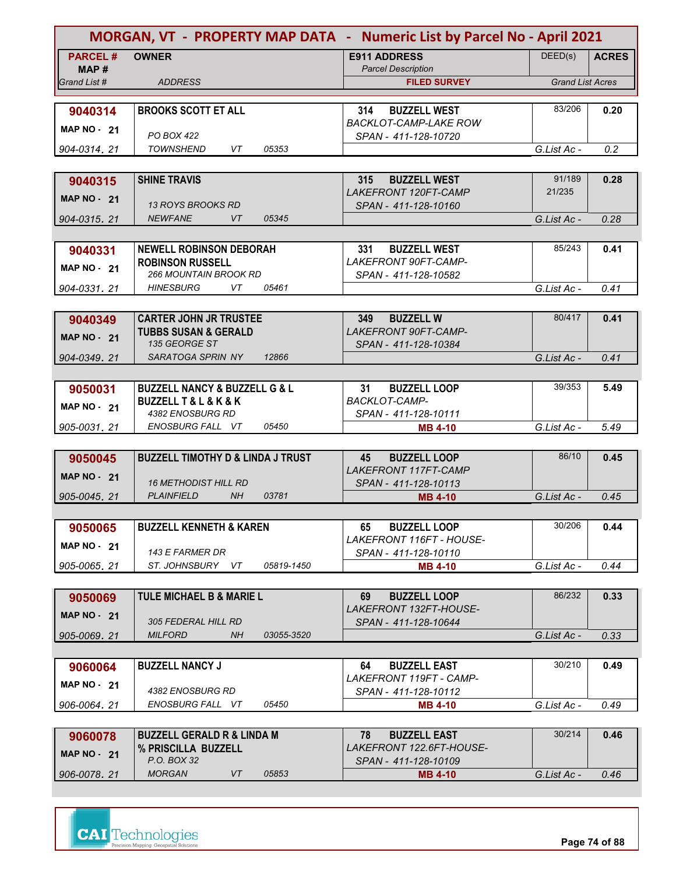|                       |                                                           | MORGAN, VT - PROPERTY MAP DATA - Numeric List by Parcel No - April 2021 |                         |              |
|-----------------------|-----------------------------------------------------------|-------------------------------------------------------------------------|-------------------------|--------------|
| <b>PARCEL#</b>        | <b>OWNER</b>                                              | <b>E911 ADDRESS</b>                                                     | DEED(s)                 | <b>ACRES</b> |
| MAP #<br>Grand List # | <b>ADDRESS</b>                                            | <b>Parcel Description</b><br><b>FILED SURVEY</b>                        | <b>Grand List Acres</b> |              |
|                       |                                                           |                                                                         |                         |              |
| 9040314               | <b>BROOKS SCOTT ET ALL</b>                                | <b>BUZZELL WEST</b><br>314                                              | 83/206                  | 0.20         |
| MAP $NO - 21$         |                                                           | <b>BACKLOT-CAMP-LAKE ROW</b>                                            |                         |              |
|                       | PO BOX 422                                                | SPAN - 411-128-10720                                                    |                         |              |
| 904-0314, 21          | <b>TOWNSHEND</b><br>VT<br>05353                           |                                                                         | G.List Ac -             | 0.2          |
| 9040315               | <b>SHINE TRAVIS</b>                                       | 315<br><b>BUZZELL WEST</b>                                              | 91/189                  | 0.28         |
|                       |                                                           | <b>LAKEFRONT 120FT-CAMP</b>                                             | 21/235                  |              |
| <b>MAP NO - 21</b>    | <i>13 ROYS BROOKS RD</i>                                  | SPAN - 411-128-10160                                                    |                         |              |
| 904-0315, 21          | <b>NEWFANE</b><br>VT<br>05345                             |                                                                         | G.List Ac -             | 0.28         |
|                       |                                                           |                                                                         |                         |              |
| 9040331               | <b>NEWELL ROBINSON DEBORAH</b><br><b>ROBINSON RUSSELL</b> | 331<br><b>BUZZELL WEST</b><br>LAKEFRONT 90FT-CAMP-                      | 85/243                  | 0.41         |
| <b>MAP NO - 21</b>    | 266 MOUNTAIN BROOK RD                                     | SPAN - 411-128-10582                                                    |                         |              |
| 904-0331.21           | <b>HINESBURG</b><br>VT<br>05461                           |                                                                         | G.List Ac -             | 0.41         |
|                       |                                                           |                                                                         |                         |              |
| 9040349               | <b>CARTER JOHN JR TRUSTEE</b>                             | 349<br><b>BUZZELL W</b>                                                 | 80/417                  | 0.41         |
| <b>MAP NO - 21</b>    | <b>TUBBS SUSAN &amp; GERALD</b><br>135 GEORGE ST          | <b>LAKEFRONT 90FT-CAMP-</b>                                             |                         |              |
| 904-0349.21           | SARATOGA SPRIN NY<br>12866                                | SPAN - 411-128-10384                                                    | G.List Ac -             | 0.41         |
|                       |                                                           |                                                                         |                         |              |
| 9050031               | <b>BUZZELL NANCY &amp; BUZZELL G &amp; L</b>              | 31<br><b>BUZZELL LOOP</b>                                               | 39/353                  | 5.49         |
| <b>MAP NO - 21</b>    | <b>BUZZELL T &amp; L &amp; K &amp; K</b>                  | <b>BACKLOT-CAMP-</b>                                                    |                         |              |
|                       | 4382 ENOSBURG RD                                          | SPAN - 411-128-10111                                                    |                         |              |
| 905-0031.21           | ENOSBURG FALL VT<br>05450                                 | <b>MB 4-10</b>                                                          | G.List Ac -             | 5.49         |
| 9050045               | <b>BUZZELL TIMOTHY D &amp; LINDA J TRUST</b>              | 45<br><b>BUZZELL LOOP</b>                                               | 86/10                   | 0.45         |
| MAP $NO - 21$         |                                                           | <b>LAKEFRONT 117FT-CAMP</b>                                             |                         |              |
|                       | <b>16 METHODIST HILL RD</b>                               | SPAN - 411-128-10113                                                    |                         |              |
| 905-0045, 21          | <b>PLAINFIELD</b><br><b>NH</b><br>03781                   | <b>MB 4-10</b>                                                          | G.List Ac -             | 0.45         |
|                       |                                                           |                                                                         |                         |              |
| 9050065               | <b>BUZZELL KENNETH &amp; KAREN</b>                        | <b>BUZZELL LOOP</b><br>65<br>LAKEFRONT 116FT - HOUSE-                   | 30/206                  | 0.44         |
| <b>MAP NO - 21</b>    | 143 E FARMER DR                                           | SPAN - 411-128-10110                                                    |                         |              |
| 905-0065, 21          | ST. JOHNSBURY VT<br>05819-1450                            | <b>MB 4-10</b>                                                          | G.List Ac -             | 0.44         |
|                       |                                                           |                                                                         |                         |              |
| 9050069               | <b>TULE MICHAEL B &amp; MARIE L</b>                       | <b>BUZZELL LOOP</b><br>69                                               | 86/232                  | 0.33         |
| <b>MAP NO - 21</b>    | 305 FEDERAL HILL RD                                       | LAKEFRONT 132FT-HOUSE-<br>SPAN - 411-128-10644                          |                         |              |
| 905-0069.21           | <b>MILFORD</b><br>NH<br>03055-3520                        |                                                                         | G.List Ac -             | 0.33         |
|                       |                                                           |                                                                         |                         |              |
| 9060064               | <b>BUZZELL NANCY J</b>                                    | <b>BUZZELL EAST</b><br>64                                               | 30/210                  | 0.49         |
| <b>MAP NO - 21</b>    |                                                           | LAKEFRONT 119FT - CAMP-                                                 |                         |              |
| 906-0064, 21          | 4382 ENOSBURG RD<br>ENOSBURG FALL VT<br>05450             | SPAN - 411-128-10112<br><b>MB 4-10</b>                                  | G.List Ac -             | 0.49         |
|                       |                                                           |                                                                         |                         |              |
| 9060078               | <b>BUZZELL GERALD R &amp; LINDA M</b>                     | 78<br><b>BUZZELL EAST</b>                                               | 30/214                  | 0.46         |
| <b>MAP NO - 21</b>    | % PRISCILLA BUZZELL                                       | LAKEFRONT 122.6FT-HOUSE-                                                |                         |              |
|                       | P.O. BOX 32                                               | SPAN - 411-128-10109                                                    |                         |              |
| 906-0078.21           | <b>MORGAN</b><br>VT<br>05853                              | <b>MB 4-10</b>                                                          | G.List Ac -             | 0.46         |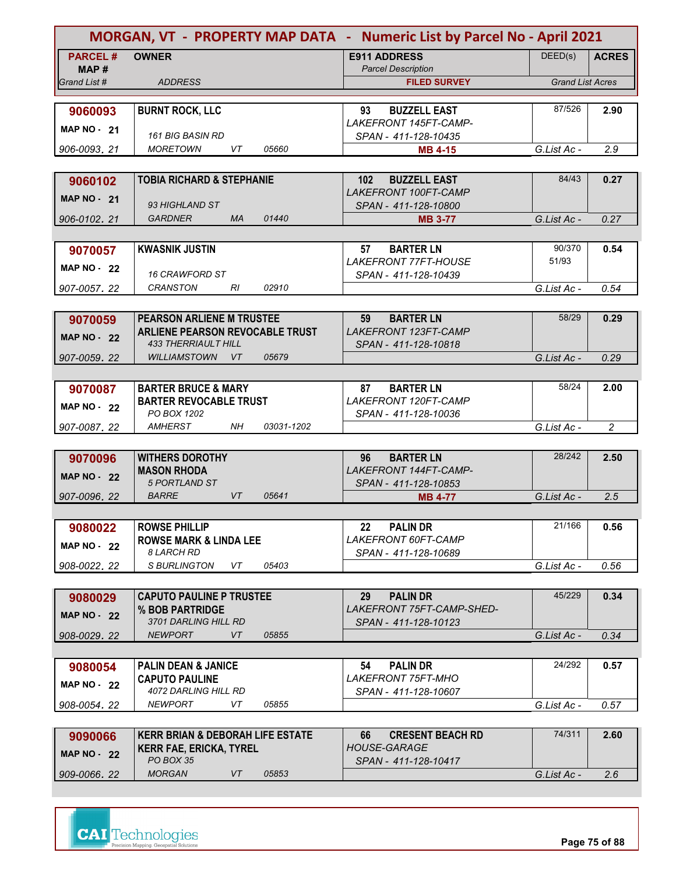|                       | MORGAN, VT - PROPERTY MAP DATA - Numeric List by Parcel No - April 2021 |                                                      |                         |                |
|-----------------------|-------------------------------------------------------------------------|------------------------------------------------------|-------------------------|----------------|
| <b>PARCEL#</b>        | <b>OWNER</b>                                                            | <b>E911 ADDRESS</b>                                  | DEED(s)                 | <b>ACRES</b>   |
| MAP #<br>Grand List # | <b>ADDRESS</b>                                                          | <b>Parcel Description</b><br><b>FILED SURVEY</b>     | <b>Grand List Acres</b> |                |
|                       |                                                                         |                                                      |                         |                |
| 9060093               | <b>BURNT ROCK, LLC</b>                                                  | <b>BUZZELL EAST</b><br>93                            | 87/526                  | 2.90           |
| <b>MAP NO - 21</b>    | <b>161 BIG BASIN RD</b>                                                 | LAKEFRONT 145FT-CAMP-<br>SPAN - 411-128-10435        |                         |                |
| 906-0093, 21          | <b>MORETOWN</b><br>VT<br>05660                                          | <b>MB 4-15</b>                                       | G.List Ac -             | 2.9            |
|                       |                                                                         |                                                      |                         |                |
| 9060102               | <b>TOBIA RICHARD &amp; STEPHANIE</b>                                    | <b>BUZZELL EAST</b><br>102 <sub>2</sub>              | 84/43                   | 0.27           |
| MAP $NO - 21$         |                                                                         | <b>LAKEFRONT 100FT-CAMP</b>                          |                         |                |
| 906-0102, 21          | 93 HIGHLAND ST<br>01440<br><b>GARDNER</b><br><b>MA</b>                  | SPAN - 411-128-10800<br><b>MB 3-77</b>               | G.List Ac -             | 0.27           |
|                       |                                                                         |                                                      |                         |                |
| 9070057               | <b>KWASNIK JUSTIN</b>                                                   | 57<br><b>BARTER LN</b>                               | 90/370                  | 0.54           |
| <b>MAP NO - 22</b>    |                                                                         | <b>LAKEFRONT 77FT-HOUSE</b>                          | 51/93                   |                |
| 907-0057.22           | <b>16 CRAWFORD ST</b><br><b>CRANSTON</b><br>02910<br>RI                 | SPAN - 411-128-10439                                 | G.List Ac -             | 0.54           |
|                       |                                                                         |                                                      |                         |                |
| 9070059               | PEARSON ARLIENE M TRUSTEE                                               | 59<br><b>BARTER LN</b>                               | 58/29                   | 0.29           |
| <b>MAP NO - 22</b>    | ARLIENE PEARSON REVOCABLE TRUST                                         | <b>LAKEFRONT 123FT-CAMP</b>                          |                         |                |
|                       | <b>433 THERRIAULT HILL</b><br><b>WILLIAMSTOWN</b><br>05679<br>VT        | SPAN - 411-128-10818                                 | G.List Ac -             | 0.29           |
| 907-0059.22           |                                                                         |                                                      |                         |                |
| 9070087               | <b>BARTER BRUCE &amp; MARY</b>                                          | <b>BARTER LN</b><br>87                               | 58/24                   | 2.00           |
| <b>MAP NO - 22</b>    | <b>BARTER REVOCABLE TRUST</b>                                           | LAKEFRONT 120FT-CAMP                                 |                         |                |
|                       | PO BOX 1202                                                             | SPAN - 411-128-10036                                 |                         |                |
| 907-0087, 22          | <b>AMHERST</b><br>NH.<br>03031-1202                                     |                                                      | G.List Ac -             | $\overline{c}$ |
| 9070096               | <b>WITHERS DOROTHY</b>                                                  | 96<br><b>BARTER LN</b>                               | 28/242                  | 2.50           |
| <b>MAP NO - 22</b>    | <b>MASON RHODA</b>                                                      | LAKEFRONT 144FT-CAMP-                                |                         |                |
|                       | <b>5 PORTLAND ST</b>                                                    | SPAN - 411-128-10853                                 |                         |                |
| 907-0096, 22          | <b>BARRE</b><br>VT<br>05641                                             | <b>MB 4-77</b>                                       | G.List Ac -             | 2.5            |
|                       | <b>ROWSE PHILLIP</b>                                                    | <b>PALIN DR</b><br>22                                | 21/166                  | 0.56           |
| 9080022               | <b>ROWSE MARK &amp; LINDA LEE</b>                                       | <b>LAKEFRONT 60FT-CAMP</b>                           |                         |                |
| <b>MAP NO - 22</b>    | <b>8 LARCH RD</b>                                                       | SPAN - 411-128-10689                                 |                         |                |
| 908-0022.22           | S BURLINGTON<br>VT<br>05403                                             |                                                      | G.List Ac -             | 0.56           |
|                       |                                                                         |                                                      | 45/229                  |                |
| 9080029               | <b>CAPUTO PAULINE P TRUSTEE</b><br>% BOB PARTRIDGE                      | <b>PALIN DR</b><br>29<br>LAKEFRONT 75FT-CAMP-SHED-   |                         | 0.34           |
| <b>MAP NO - 22</b>    | 3701 DARLING HILL RD                                                    | SPAN - 411-128-10123                                 |                         |                |
| 908-0029.22           | <b>NEWPORT</b><br>VT<br>05855                                           |                                                      | G.List Ac -             | 0.34           |
|                       |                                                                         |                                                      |                         |                |
| 9080054               | <b>PALIN DEAN &amp; JANICE</b><br><b>CAPUTO PAULINE</b>                 | 54<br><b>PALIN DR</b><br><i>LAKEFRONT 75FT-MHO</i>   | 24/292                  | 0.57           |
| <b>MAP NO - 22</b>    | 4072 DARLING HILL RD                                                    | SPAN - 411-128-10607                                 |                         |                |
| 908-0054, 22          | <b>NEWPORT</b><br>VT<br>05855                                           |                                                      | G.List Ac -             | 0.57           |
|                       |                                                                         |                                                      |                         |                |
| 9090066               | <b>KERR BRIAN &amp; DEBORAH LIFE ESTATE</b>                             | <b>CRESENT BEACH RD</b><br>66<br><b>HOUSE-GARAGE</b> | 74/311                  | 2.60           |
| <b>MAP NO - 22</b>    | <b>KERR FAE, ERICKA, TYREL</b><br>PO BOX 35                             | SPAN - 411-128-10417                                 |                         |                |
| 909-0066.22           | <b>MORGAN</b><br>05853<br>VT                                            |                                                      | G.List Ac -             | 2.6            |

**CAI** Technologies

**Page 75 of 88**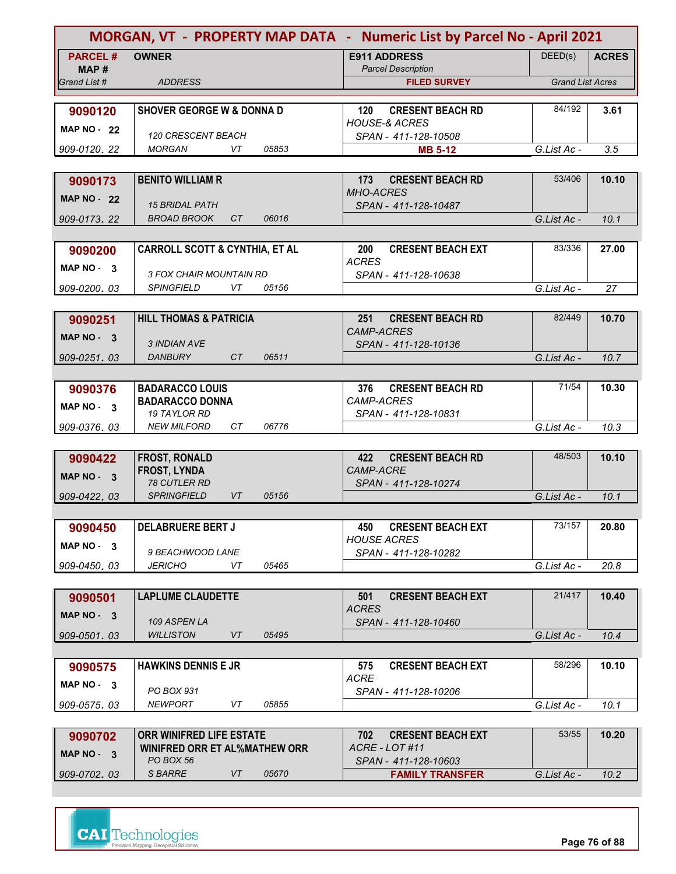|                    |                                            |       | MORGAN, VT - PROPERTY MAP DATA - Numeric List by Parcel No - April 2021 |                         |              |
|--------------------|--------------------------------------------|-------|-------------------------------------------------------------------------|-------------------------|--------------|
| <b>PARCEL#</b>     | <b>OWNER</b>                               |       | <b>E911 ADDRESS</b>                                                     | DEED(s)                 | <b>ACRES</b> |
| MAP #              |                                            |       | <b>Parcel Description</b>                                               |                         |              |
| Grand List #       | <b>ADDRESS</b>                             |       | <b>FILED SURVEY</b>                                                     | <b>Grand List Acres</b> |              |
|                    |                                            |       |                                                                         | 84/192                  |              |
| 9090120            | <b>SHOVER GEORGE W &amp; DONNA D</b>       |       | <b>CRESENT BEACH RD</b><br>120<br><b>HOUSE-&amp; ACRES</b>              |                         | 3.61         |
| <b>MAP NO - 22</b> | 120 CRESCENT BEACH                         |       | SPAN - 411-128-10508                                                    |                         |              |
| 909-0120, 22       | <b>MORGAN</b><br>VT                        | 05853 | <b>MB 5-12</b>                                                          | G.List Ac -             | 3.5          |
|                    |                                            |       |                                                                         |                         |              |
| 9090173            | <b>BENITO WILLIAM R</b>                    |       | <b>CRESENT BEACH RD</b><br>173                                          | 53/406                  | 10.10        |
| <b>MAP NO - 22</b> |                                            |       | <b>MHO-ACRES</b>                                                        |                         |              |
|                    | <b>15 BRIDAL PATH</b>                      |       | SPAN - 411-128-10487                                                    |                         |              |
| 909-0173, 22       | <b>BROAD BROOK</b><br>CT                   | 06016 |                                                                         | G.List Ac -             | 10.1         |
|                    |                                            |       |                                                                         |                         |              |
| 9090200            | <b>CARROLL SCOTT &amp; CYNTHIA, ET AL</b>  |       | <b>CRESENT BEACH EXT</b><br>200                                         | 83/336                  | 27.00        |
| MAP NO - 3         | <i>3 FOX CHAIR MOUNTAIN RD</i>             |       | <b>ACRES</b><br>SPAN - 411-128-10638                                    |                         |              |
| 909-0200.03        | <b>SPINGFIELD</b><br>VT                    | 05156 |                                                                         | G.List Ac -             | 27           |
|                    |                                            |       |                                                                         |                         |              |
| 9090251            | <b>HILL THOMAS &amp; PATRICIA</b>          |       | <b>CRESENT BEACH RD</b><br>251                                          | 82/449                  | 10.70        |
|                    |                                            |       | <b>CAMP-ACRES</b>                                                       |                         |              |
| MAP NO - 3         | 3 INDIAN AVE                               |       | SPAN - 411-128-10136                                                    |                         |              |
| 909-0251.03        | CT<br><b>DANBURY</b>                       | 06511 |                                                                         | G.List Ac -             | 10.7         |
|                    |                                            |       |                                                                         |                         |              |
| 9090376            | <b>BADARACCO LOUIS</b>                     |       | <b>CRESENT BEACH RD</b><br>376                                          | 71/54                   | 10.30        |
| MAP $NO - 3$       | <b>BADARACCO DONNA</b>                     |       | CAMP-ACRES                                                              |                         |              |
|                    | <b>19 TAYLOR RD</b>                        |       | SPAN - 411-128-10831                                                    |                         |              |
| 909-0376, 03       | <b>NEW MILFORD</b><br>CТ                   | 06776 |                                                                         | G.List Ac -             | 10.3         |
|                    |                                            |       |                                                                         |                         |              |
| 9090422            | <b>FROST, RONALD</b>                       |       | <b>CRESENT BEACH RD</b><br>422<br>CAMP-ACRE                             | 48/503                  | 10.10        |
| MAP NO - 3         | <b>FROST, LYNDA</b><br><b>78 CUTLER RD</b> |       | SPAN - 411-128-10274                                                    |                         |              |
| 909-0422.03        | <b>SPRINGFIELD</b><br><b>VT</b>            | 05156 |                                                                         | G.List Ac -             | 10.1         |
|                    |                                            |       |                                                                         |                         |              |
| 9090450            | <b>DELABRUERE BERT J</b>                   |       | <b>CRESENT BEACH EXT</b><br>450                                         | 73/157                  | 20.80        |
|                    |                                            |       | <b>HOUSE ACRES</b>                                                      |                         |              |
| $MAP NO - 3$       | 9 BEACHWOOD LANE                           |       | SPAN - 411-128-10282                                                    |                         |              |
| 909-0450.03        | <b>JERICHO</b><br>VT                       | 05465 |                                                                         | G.List Ac -             | 20.8         |
|                    |                                            |       |                                                                         |                         |              |
| 9090501            | <b>LAPLUME CLAUDETTE</b>                   |       | 501<br><b>CRESENT BEACH EXT</b>                                         | 21/417                  | 10.40        |
| $MAP NO - 3$       | 109 ASPEN LA                               |       | <b>ACRES</b>                                                            |                         |              |
| 909-0501.03        | <b>WILLISTON</b><br>VT                     | 05495 | SPAN - 411-128-10460                                                    | G.List Ac -             | 10.4         |
|                    |                                            |       |                                                                         |                         |              |
| 9090575            | <b>HAWKINS DENNIS E JR</b>                 |       | <b>CRESENT BEACH EXT</b><br>575                                         | 58/296                  | 10.10        |
|                    |                                            |       | <b>ACRE</b>                                                             |                         |              |
| MAP $NO - 3$       | PO BOX 931                                 |       | SPAN - 411-128-10206                                                    |                         |              |
| 909-0575, 03       | <b>NEWPORT</b><br>VT                       | 05855 |                                                                         | G.List Ac -             | 10.1         |
|                    |                                            |       |                                                                         |                         |              |
| 9090702            | ORR WINIFRED LIFE ESTATE                   |       | 702<br><b>CRESENT BEACH EXT</b>                                         | 53/55                   | 10.20        |
| MAP NO - 3         | <b>WINIFRED ORR ET AL%MATHEW ORR</b>       |       | ACRE - LOT #11                                                          |                         |              |
|                    | PO BOX 56<br>S BARRE<br>VT                 | 05670 | SPAN - 411-128-10603                                                    |                         |              |
| 909-0702.03        |                                            |       | <b>FAMILY TRANSFER</b>                                                  | G.List Ac -             | 10.2         |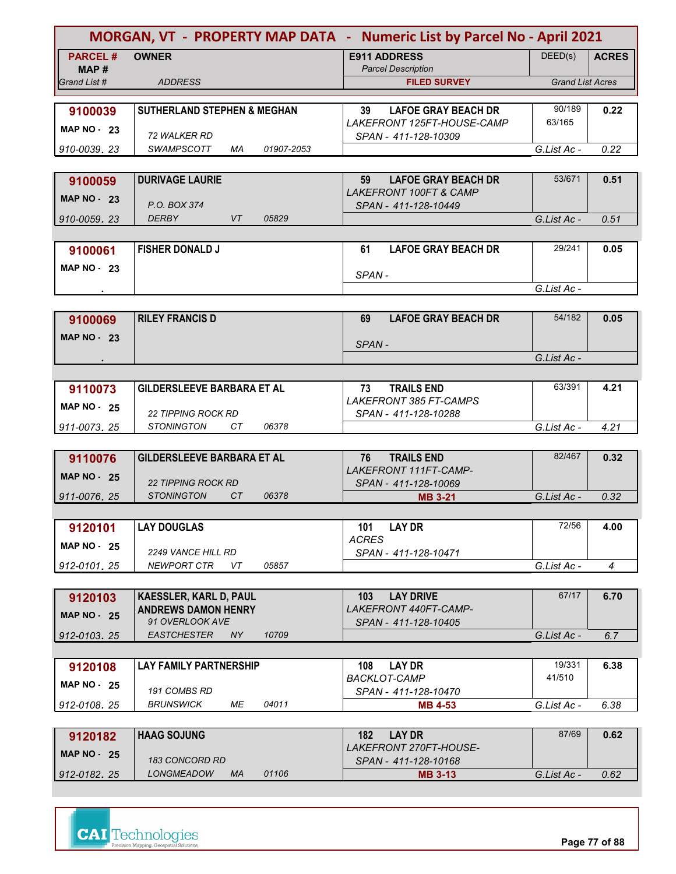|                    | MORGAN, VT - PROPERTY MAP DATA - Numeric List by Parcel No - April 2021 |                                                           |                         |                |
|--------------------|-------------------------------------------------------------------------|-----------------------------------------------------------|-------------------------|----------------|
| <b>PARCEL#</b>     | <b>OWNER</b>                                                            | <b>E911 ADDRESS</b>                                       | DEED(s)                 | <b>ACRES</b>   |
| MAP#               | <b>ADDRESS</b>                                                          | <b>Parcel Description</b>                                 |                         |                |
| Grand List #       |                                                                         | <b>FILED SURVEY</b>                                       | <b>Grand List Acres</b> |                |
| 9100039            | <b>SUTHERLAND STEPHEN &amp; MEGHAN</b>                                  | 39<br><b>LAFOE GRAY BEACH DR</b>                          | 90/189                  | 0.22           |
|                    |                                                                         | LAKEFRONT 125FT-HOUSE-CAMP                                | 63/165                  |                |
| <b>MAP NO - 23</b> | <b>72 WALKER RD</b>                                                     | SPAN - 411-128-10309                                      |                         |                |
| 910-0039.23        | <b>SWAMPSCOTT</b><br>МA<br>01907-2053                                   |                                                           | G.List Ac -             | 0.22           |
|                    |                                                                         |                                                           |                         |                |
| 9100059            | <b>DURIVAGE LAURIE</b>                                                  | 59<br><b>LAFOE GRAY BEACH DR</b>                          | 53/671                  | 0.51           |
| <b>MAP NO - 23</b> | P.O. BOX 374                                                            | <b>LAKEFRONT 100FT &amp; CAMP</b><br>SPAN - 411-128-10449 |                         |                |
| 910-0059.23        | <b>DERBY</b><br><b>VT</b><br>05829                                      |                                                           | G.List Ac -             | 0.51           |
|                    |                                                                         |                                                           |                         |                |
| 9100061            | <b>FISHER DONALD J</b>                                                  | 61<br><b>LAFOE GRAY BEACH DR</b>                          | 29/241                  | 0.05           |
| <b>MAP NO - 23</b> |                                                                         |                                                           |                         |                |
|                    |                                                                         | SPAN-                                                     |                         |                |
|                    |                                                                         |                                                           | G.List Ac -             |                |
|                    |                                                                         |                                                           |                         |                |
| 9100069            | <b>RILEY FRANCIS D</b>                                                  | <b>LAFOE GRAY BEACH DR</b><br>69                          | 54/182                  | 0.05           |
| <b>MAP NO - 23</b> |                                                                         | SPAN-                                                     |                         |                |
|                    |                                                                         |                                                           | G.List Ac -             |                |
|                    |                                                                         |                                                           |                         |                |
| 9110073            | <b>GILDERSLEEVE BARBARA ET AL</b>                                       | 73<br><b>TRAILS END</b>                                   | 63/391                  | 4.21           |
| <b>MAP NO - 25</b> |                                                                         | LAKEFRONT 385 FT-CAMPS                                    |                         |                |
|                    | 22 TIPPING ROCK RD                                                      | SPAN - 411-128-10288                                      |                         |                |
| 911-0073.25        | <b>STONINGTON</b><br>СT<br>06378                                        |                                                           | G.List Ac -             | 4.21           |
|                    |                                                                         |                                                           | 82/467                  | 0.32           |
| 9110076            | <b>GILDERSLEEVE BARBARA ET AL</b>                                       | 76<br><b>TRAILS END</b><br>LAKEFRONT 111FT-CAMP-          |                         |                |
| <b>MAP NO - 25</b> | <b>22 TIPPING ROCK RD</b>                                               | SPAN - 411-128-10069                                      |                         |                |
| 911-0076.25        | 06378<br><b>STONINGTON</b><br>CT                                        | <b>MB 3-21</b>                                            | G.List Ac -             | 0.32           |
|                    |                                                                         |                                                           |                         |                |
| 9120101            | <b>LAY DOUGLAS</b>                                                      | <b>LAY DR</b><br>101                                      | 72/56                   | 4.00           |
| <b>MAP NO - 25</b> |                                                                         | <b>ACRES</b>                                              |                         |                |
|                    | 2249 VANCE HILL RD<br><b>NEWPORT CTR</b><br>VT<br>05857                 | SPAN - 411-128-10471                                      |                         | $\overline{4}$ |
| 912-0101.25        |                                                                         |                                                           | G.List Ac -             |                |
|                    | <b>KAESSLER, KARL D, PAUL</b>                                           | <b>LAY DRIVE</b><br>103                                   | 67/17                   | 6.70           |
| 9120103            | <b>ANDREWS DAMON HENRY</b>                                              | LAKEFRONT 440FT-CAMP-                                     |                         |                |
| <b>MAP NO - 25</b> | 91 OVERLOOK AVE                                                         | SPAN - 411-128-10405                                      |                         |                |
| 912-0103.25        | <b>EASTCHESTER</b><br><b>NY</b><br>10709                                |                                                           | G.List Ac -             | 6.7            |
|                    |                                                                         |                                                           |                         |                |
| 9120108            | LAY FAMILY PARTNERSHIP                                                  | <b>LAY DR</b><br>108                                      | 19/331                  | 6.38           |
| <b>MAP NO - 25</b> |                                                                         | <b>BACKLOT-CAMP</b>                                       | 41/510                  |                |
| 912-0108.25        | 191 COMBS RD<br><b>BRUNSWICK</b><br>04011<br>МE                         | SPAN - 411-128-10470<br><b>MB 4-53</b>                    | G.List Ac -             | 6.38           |
|                    |                                                                         |                                                           |                         |                |
| 9120182            | <b>HAAG SOJUNG</b>                                                      | <b>LAY DR</b><br>182                                      | 87/69                   | 0.62           |
|                    |                                                                         | LAKEFRONT 270FT-HOUSE-                                    |                         |                |
| <b>MAP NO - 25</b> | <b>183 CONCORD RD</b>                                                   | SPAN - 411-128-10168                                      |                         |                |
| 912-0182.25        | 01106<br><b>LONGMEADOW</b><br>МA                                        | <b>MB 3-13</b>                                            | G.List Ac -             | 0.62           |

**CAI** Technologies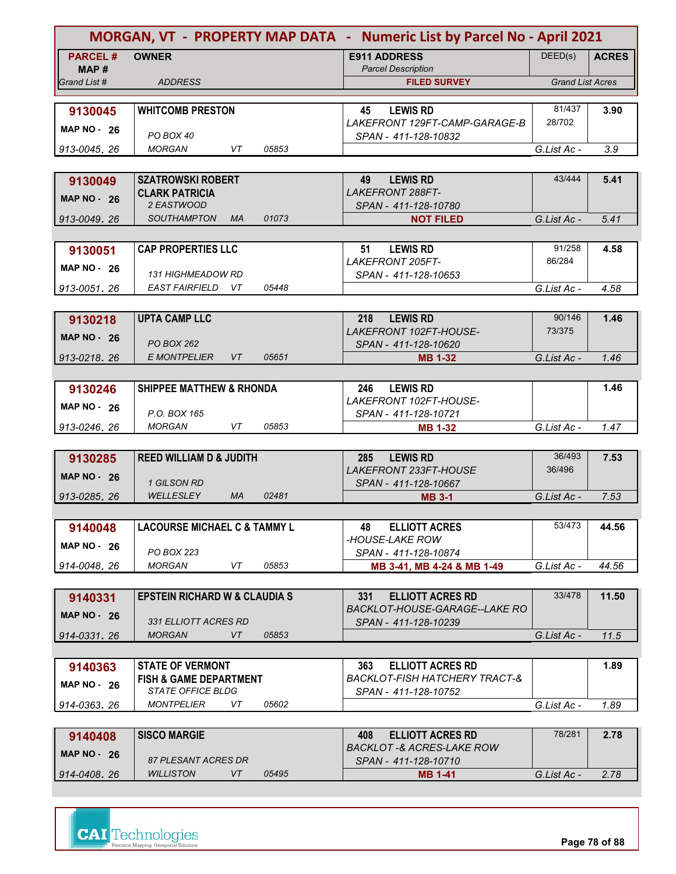|                         |                                               |       | MORGAN, VT - PROPERTY MAP DATA - Numeric List by Parcel No - April 2021 |                         |              |  |
|-------------------------|-----------------------------------------------|-------|-------------------------------------------------------------------------|-------------------------|--------------|--|
| <b>PARCEL#</b><br>MAP # | <b>OWNER</b>                                  |       | <b>E911 ADDRESS</b><br><b>Parcel Description</b>                        | DEED(s)                 | <b>ACRES</b> |  |
| Grand List #            | <b>ADDRESS</b>                                |       | <b>FILED SURVEY</b>                                                     | <b>Grand List Acres</b> |              |  |
|                         | <b>WHITCOMB PRESTON</b>                       |       | <b>LEWIS RD</b><br>45                                                   | 81/437                  | 3.90         |  |
| 9130045                 |                                               |       | LAKEFRONT 129FT-CAMP-GARAGE-B                                           | 28/702                  |              |  |
| <b>MAP NO - 26</b>      | PO BOX 40                                     |       | SPAN - 411-128-10832                                                    |                         |              |  |
| 913-0045, 26            | VT<br><b>MORGAN</b>                           | 05853 |                                                                         | G.List Ac -             | 3.9          |  |
|                         |                                               |       |                                                                         |                         |              |  |
| 9130049                 | <b>SZATROWSKI ROBERT</b>                      |       | <b>LEWIS RD</b><br>49<br><b>LAKEFRONT 288FT-</b>                        | 43/444                  | 5.41         |  |
| <b>MAP NO - 26</b>      | <b>CLARK PATRICIA</b><br>2 EASTWOOD           |       | SPAN - 411-128-10780                                                    |                         |              |  |
| 913-0049, 26            | <b>SOUTHAMPTON</b><br><b>MA</b>               | 01073 | <b>NOT FILED</b>                                                        | G.List Ac -             | 5.41         |  |
|                         |                                               |       |                                                                         |                         |              |  |
| 9130051                 | <b>CAP PROPERTIES LLC</b>                     |       | 51<br><b>LEWIS RD</b>                                                   | 91/258                  | 4.58         |  |
| MAP $NO - 26$           |                                               |       | <b>LAKEFRONT 205FT-</b>                                                 | 86/284                  |              |  |
| 913-0051.26             | <b>131 HIGHMEADOW RD</b><br>EAST FAIRFIELD VT | 05448 | SPAN - 411-128-10653                                                    | G.List Ac -             | 4.58         |  |
|                         |                                               |       |                                                                         |                         |              |  |
| 9130218                 | <b>UPTA CAMP LLC</b>                          |       | 218<br><b>LEWIS RD</b>                                                  | 90/146                  | 1.46         |  |
| <b>MAP NO - 26</b>      |                                               |       | LAKEFRONT 102FT-HOUSE-                                                  | 73/375                  |              |  |
|                         | PO BOX 262                                    |       | SPAN - 411-128-10620                                                    |                         |              |  |
| 913-0218.26             | <b>E MONTPELIER</b><br>VT                     | 05651 | <b>MB 1-32</b>                                                          | G.List Ac -             | 1.46         |  |
|                         | <b>SHIPPEE MATTHEW &amp; RHONDA</b>           |       | <b>LEWIS RD</b><br>246                                                  |                         | 1.46         |  |
| 9130246                 |                                               |       | LAKEFRONT 102FT-HOUSE-                                                  |                         |              |  |
| <b>MAP NO - 26</b>      | P.O. BOX 165                                  |       | SPAN - 411-128-10721                                                    |                         |              |  |
| 913-0246, 26            | <b>MORGAN</b><br>VT                           | 05853 | <b>MB 1-32</b>                                                          | G.List Ac -             | 1.47         |  |
|                         |                                               |       |                                                                         |                         |              |  |
| 9130285                 | <b>REED WILLIAM D &amp; JUDITH</b>            |       | 285<br><b>LEWIS RD</b><br><b>LAKEFRONT 233FT-HOUSE</b>                  | 36/493<br>36/496        | 7.53         |  |
| <b>MAP NO - 26</b>      | 1 GILSON RD                                   |       | SPAN - 411-128-10667                                                    |                         |              |  |
| 913-0285, 26            | <b>WELLESLEY</b><br><b>MA</b>                 | 02481 | <b>MB 3-1</b>                                                           | G.List Ac -             | 7.53         |  |
|                         |                                               |       |                                                                         |                         |              |  |
| 9140048                 | <b>LACOURSE MICHAEL C &amp; TAMMY L</b>       |       | 48<br><b>ELLIOTT ACRES</b>                                              | 53/473                  | 44.56        |  |
| <b>MAP NO - 26</b>      | PO BOX 223                                    |       | -HOUSE-LAKE ROW                                                         |                         |              |  |
| 914-0048.26             | <b>MORGAN</b><br>VT                           | 05853 | SPAN - 411-128-10874<br>MB 3-41, MB 4-24 & MB 1-49                      | G.List Ac -             | 44.56        |  |
|                         |                                               |       |                                                                         |                         |              |  |
| 9140331                 | <b>EPSTEIN RICHARD W &amp; CLAUDIA S</b>      |       | <b>ELLIOTT ACRES RD</b><br>331                                          | 33/478                  | 11.50        |  |
| <b>MAP NO - 26</b>      |                                               |       | BACKLOT-HOUSE-GARAGE--LAKE RO                                           |                         |              |  |
|                         | 331 ELLIOTT ACRES RD                          |       | SPAN - 411-128-10239                                                    |                         |              |  |
| 914-0331, 26            | <b>MORGAN</b><br>VT                           | 05853 |                                                                         | G.List Ac -             | 11.5         |  |
| 9140363                 | <b>STATE OF VERMONT</b>                       |       | <b>ELLIOTT ACRES RD</b><br>363                                          |                         | 1.89         |  |
|                         | FISH & GAME DEPARTMENT                        |       | BACKLOT-FISH HATCHERY TRACT-&                                           |                         |              |  |
| <b>MAP NO - 26</b>      | <b>STATE OFFICE BLDG</b>                      |       | SPAN - 411-128-10752                                                    |                         |              |  |
| 914-0363, 26            | <i>MONTPELIER</i><br>VT.                      | 05602 |                                                                         | G.List Ac -             | 1.89         |  |
|                         |                                               |       |                                                                         |                         |              |  |
| 9140408                 | <b>SISCO MARGIE</b>                           |       | 408<br><b>ELLIOTT ACRES RD</b><br>BACKLOT -& ACRES-LAKE ROW             | 78/281                  | 2.78         |  |
| <b>MAP NO - 26</b>      | <b>27 DI ECANIT ACDEC DD</b>                  |       | COAN 444 490 40740                                                      |                         |              |  |

| <b>WILLISTON</b><br>05495<br>914-0408.26<br>G.List Ac -<br><b>MB 1-41</b> |  |
|---------------------------------------------------------------------------|--|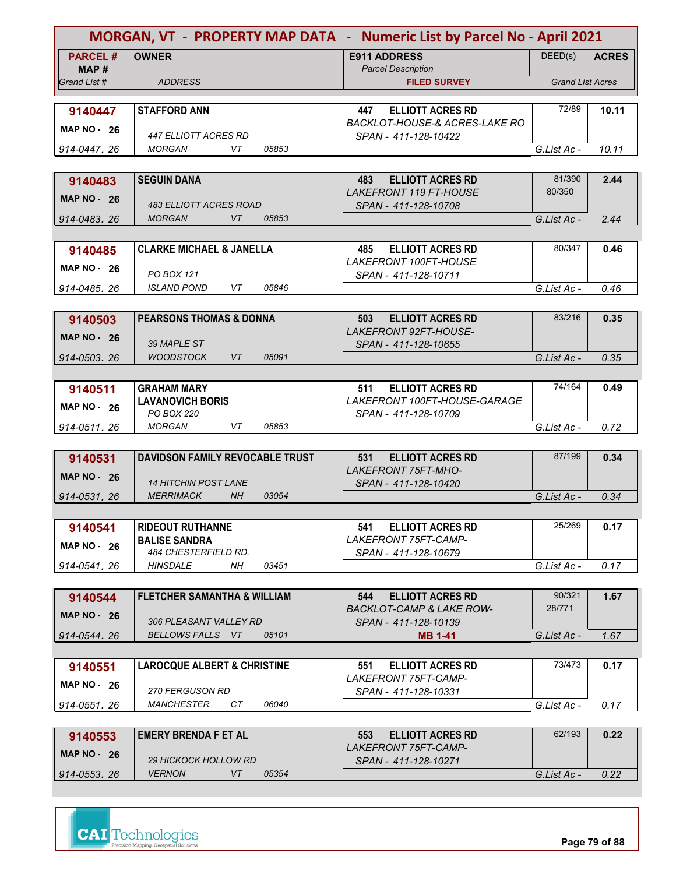|                      |                                                             | MORGAN, VT - PROPERTY MAP DATA - Numeric List by Parcel No - April 2021 |                         |              |
|----------------------|-------------------------------------------------------------|-------------------------------------------------------------------------|-------------------------|--------------|
| <b>PARCEL#</b>       | <b>OWNER</b>                                                | <b>E911 ADDRESS</b>                                                     | DEED(s)                 | <b>ACRES</b> |
| MAP#<br>Grand List # | <b>ADDRESS</b>                                              | <b>Parcel Description</b><br><b>FILED SURVEY</b>                        | <b>Grand List Acres</b> |              |
|                      |                                                             |                                                                         |                         |              |
| 9140447              | <b>STAFFORD ANN</b>                                         | <b>ELLIOTT ACRES RD</b><br>447                                          | 72/89                   | 10.11        |
| <b>MAP NO - 26</b>   |                                                             | <b>BACKLOT-HOUSE-&amp; ACRES-LAKE RO</b>                                |                         |              |
| 914-0447.26          | <i>447 ELLIOTT ACRES RD</i><br>VT<br><b>MORGAN</b><br>05853 | SPAN - 411-128-10422                                                    | G.List Ac -             | 10.11        |
|                      |                                                             |                                                                         |                         |              |
| 9140483              | <b>SEGUIN DANA</b>                                          | <b>ELLIOTT ACRES RD</b><br>483                                          | 81/390                  | 2.44         |
| <b>MAP NO - 26</b>   |                                                             | <b>LAKEFRONT 119 FT-HOUSE</b>                                           | 80/350                  |              |
|                      | 483 ELLIOTT ACRES ROAD                                      | SPAN - 411-128-10708                                                    |                         |              |
| 914-0483, 26         | <b>MORGAN</b><br>VT<br>05853                                |                                                                         | G.List Ac -             | 2.44         |
|                      |                                                             |                                                                         | 80/347                  |              |
| 9140485              | <b>CLARKE MICHAEL &amp; JANELLA</b>                         | <b>ELLIOTT ACRES RD</b><br>485<br>LAKEFRONT 100FT-HOUSE                 |                         | 0.46         |
| MAP $NO - 26$        | PO BOX 121                                                  | SPAN - 411-128-10711                                                    |                         |              |
| 914-0485.26          | ISI AND POND<br>VT.<br>05846                                |                                                                         | G.List Ac -             | 0.46         |
|                      |                                                             |                                                                         |                         |              |
| 9140503              | <b>PEARSONS THOMAS &amp; DONNA</b>                          | <b>ELLIOTT ACRES RD</b><br>503                                          | 83/216                  | 0.35         |
| <b>MAP NO - 26</b>   | 39 MAPLE ST                                                 | <b>LAKEFRONT 92FT-HOUSE-</b>                                            |                         |              |
| 914-0503.26          | <b>WOODSTOCK</b><br>05091<br>VT                             | SPAN - 411-128-10655                                                    | G.List Ac -             | 0.35         |
|                      |                                                             |                                                                         |                         |              |
| 9140511              | <b>GRAHAM MARY</b>                                          | <b>ELLIOTT ACRES RD</b><br>511                                          | 74/164                  | 0.49         |
| <b>MAP NO - 26</b>   | <b>LAVANOVICH BORIS</b>                                     | LAKEFRONT 100FT-HOUSE-GARAGE                                            |                         |              |
|                      | PO BOX 220                                                  | SPAN - 411-128-10709                                                    |                         |              |
| 914-0511, 26         | <b>MORGAN</b><br>VT<br>05853                                |                                                                         | G.List Ac -             | 0.72         |
|                      |                                                             |                                                                         |                         |              |
| 9140531              | <b>DAVIDSON FAMILY REVOCABLE TRUST</b>                      | <b>ELLIOTT ACRES RD</b><br>531<br><b>LAKEFRONT 75FT-MHO-</b>            | 87/199                  | 0.34         |
| <b>MAP NO - 26</b>   | <b>14 HITCHIN POST LANE</b>                                 | SPAN - 411-128-10420                                                    |                         |              |
| 914-0531, 26         | 03054<br><b>MERRIMACK</b><br><b>NH</b>                      |                                                                         | G.List Ac -             | 0.34         |
|                      |                                                             |                                                                         |                         |              |
| 9140541              | <b>RIDEOUT RUTHANNE</b>                                     | 541<br><b>ELLIOTT ACRES RD</b>                                          | 25/269                  | 0.17         |
| <b>MAP NO - 26</b>   | <b>BALISE SANDRA</b>                                        | <b>LAKEFRONT 75FT-CAMP-</b>                                             |                         |              |
| 914-0541.26          | 484 CHESTERFIELD RD.<br>HINSDALE<br>NH.<br>03451            | SPAN - 411-128-10679                                                    |                         | 0.17         |
|                      |                                                             |                                                                         | G.List Ac -             |              |
| 9140544              | <b>FLETCHER SAMANTHA &amp; WILLIAM</b>                      | <b>ELLIOTT ACRES RD</b><br>544                                          | 90/321                  | 1.67         |
| <b>MAP NO - 26</b>   |                                                             | <b>BACKLOT-CAMP &amp; LAKE ROW-</b>                                     | 28/771                  |              |
|                      | 306 PLEASANT VALLEY RD                                      | SPAN - 411-128-10139                                                    |                         |              |
| 914-0544.26          | BELLOWS FALLS VT<br>05101                                   | MB 1-41                                                                 | G.List Ac -             | 1.67         |
|                      |                                                             |                                                                         |                         |              |
| 9140551              | <b>LAROCQUE ALBERT &amp; CHRISTINE</b>                      | <b>ELLIOTT ACRES RD</b><br>551<br><b>LAKEFRONT 75FT-CAMP-</b>           | 73/473                  | 0.17         |
| <b>MAP NO - 26</b>   | 270 FERGUSON RD                                             | SPAN - 411-128-10331                                                    |                         |              |
| 914-0551.26          | MANCHESTER<br>CТ<br>06040                                   |                                                                         | G.List Ac -             | 0.17         |
|                      |                                                             |                                                                         |                         |              |
| 9140553              | <b>EMERY BRENDA F ET AL</b>                                 | <b>ELLIOTT ACRES RD</b><br>553                                          | 62/193                  | 0.22         |
| <b>MAP NO - 26</b>   | <i>29 HICKOCK HOLLOW RD</i>                                 | <b>LAKEFRONT 75FT-CAMP-</b>                                             |                         |              |
| 914-0553.26          | 05354<br><b>VERNON</b><br>VT                                | SPAN - 411-128-10271                                                    | G.List Ac -             | 0.22         |
|                      |                                                             |                                                                         |                         |              |

|                             |       | LANEFRUINT (OFT-CAMP- |             |      |
|-----------------------------|-------|-----------------------|-------------|------|
| <b>29 HICKOCK HOLLOW RD</b> |       | SPAN - 411-128-10271  |             |      |
| <b>VERNON</b>               | 05354 |                       | G.List Ac - | 0.22 |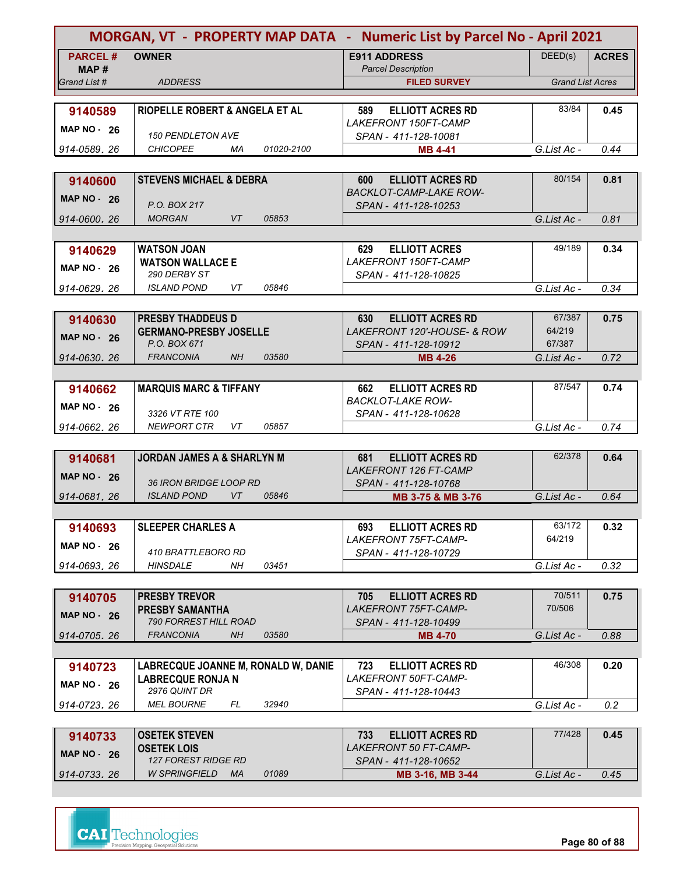|                         |                                           | MORGAN, VT - PROPERTY MAP DATA - Numeric List by Parcel No - April 2021 |                         |              |
|-------------------------|-------------------------------------------|-------------------------------------------------------------------------|-------------------------|--------------|
| <b>PARCEL#</b><br>MAP # | <b>OWNER</b>                              | <b>E911 ADDRESS</b><br><b>Parcel Description</b>                        | DEED(s)                 | <b>ACRES</b> |
| Grand List #            | <b>ADDRESS</b>                            | <b>FILED SURVEY</b>                                                     | <b>Grand List Acres</b> |              |
|                         |                                           |                                                                         |                         |              |
| 9140589                 | <b>RIOPELLE ROBERT &amp; ANGELA ET AL</b> | <b>ELLIOTT ACRES RD</b><br>589                                          | 83/84                   | 0.45         |
| <b>MAP NO - 26</b>      |                                           | LAKEFRONT 150FT-CAMP                                                    |                         |              |
|                         | <b>150 PENDLETON AVE</b>                  | SPAN - 411-128-10081                                                    |                         |              |
| 914-0589.26             | <b>CHICOPEE</b><br>01020-2100<br>МA       | <b>MB 4-41</b>                                                          | G.List Ac -             | 0.44         |
|                         |                                           |                                                                         |                         |              |
| 9140600                 | <b>STEVENS MICHAEL &amp; DEBRA</b>        | <b>ELLIOTT ACRES RD</b><br>600<br><b>BACKLOT-CAMP-LAKE ROW-</b>         | 80/154                  | 0.81         |
| <b>MAP NO - 26</b>      | P.O. BOX 217                              | SPAN - 411-128-10253                                                    |                         |              |
| 914-0600, 26            | <b>MORGAN</b><br>VT<br>05853              |                                                                         | G.List Ac -             | 0.81         |
|                         |                                           |                                                                         |                         |              |
| 9140629                 | <b>WATSON JOAN</b>                        | <b>ELLIOTT ACRES</b><br>629                                             | 49/189                  | 0.34         |
| <b>MAP NO - 26</b>      | <b>WATSON WALLACE E</b>                   | LAKEFRONT 150FT-CAMP                                                    |                         |              |
|                         | 290 DERBY ST                              | SPAN - 411-128-10825                                                    |                         |              |
| 914-0629, 26            | <b>ISLAND POND</b><br>VT.<br>05846        |                                                                         | G.List Ac -             | 0.34         |
|                         |                                           |                                                                         |                         |              |
| 9140630                 | <b>PRESBY THADDEUS D</b>                  | <b>ELLIOTT ACRES RD</b><br>630                                          | 67/387                  | 0.75         |
| <b>MAP NO - 26</b>      | <b>GERMANO-PRESBY JOSELLE</b>             | <b>LAKEFRONT 120'-HOUSE- &amp; ROW</b>                                  | 64/219                  |              |
|                         | P.O. BOX 671                              | SPAN - 411-128-10912                                                    | 67/387                  |              |
| 914-0630.26             | <b>FRANCONIA</b><br>NH<br>03580           | <b>MB 4-26</b>                                                          | G.List Ac -             | 0.72         |
|                         |                                           |                                                                         |                         |              |
| 9140662                 | <b>MARQUIS MARC &amp; TIFFANY</b>         | <b>ELLIOTT ACRES RD</b><br>662                                          | 87/547                  | 0.74         |
| <b>MAP NO - 26</b>      | 3326 VT RTE 100                           | <b>BACKLOT-LAKE ROW-</b><br>SPAN - 411-128-10628                        |                         |              |
| 914-0662, 26            | <b>NEWPORT CTR</b><br>VT<br>05857         |                                                                         | G.List Ac -             | 0.74         |
|                         |                                           |                                                                         |                         |              |
| 9140681                 | <b>JORDAN JAMES A &amp; SHARLYN M</b>     | <b>ELLIOTT ACRES RD</b><br>681                                          | 62/378                  | 0.64         |
|                         |                                           | <b>LAKEFRONT 126 FT-CAMP</b>                                            |                         |              |
| <b>MAP NO - 26</b>      | <i>36 IRON BRIDGE LOOP RD</i>             | SPAN - 411-128-10768                                                    |                         |              |
| 914-0681, 26            | <b>ISLAND POND</b><br>VT<br>05846         | MB 3-75 & MB 3-76                                                       | G.List Ac -             | 0.64         |
|                         |                                           |                                                                         |                         |              |
| 9140693                 | <b>SLEEPER CHARLES A</b>                  | 693<br><b>ELLIOTT ACRES RD</b>                                          | 63/172                  | 0.32         |
| <b>MAP NO - 26</b>      |                                           | LAKEFRONT 75FT-CAMP-                                                    | 64/219                  |              |
|                         | 410 BRATTLEBORO RD                        | SPAN - 411-128-10729                                                    |                         |              |
| 914-0693.26             | <b>HINSDALE</b><br>03451<br>NH.           |                                                                         | G.List Ac -             | 0.32         |
|                         |                                           |                                                                         |                         |              |
| 9140705                 | <b>PRESBY TREVOR</b>                      | 705<br><b>ELLIOTT ACRES RD</b>                                          | 70/511                  | 0.75         |
| <b>MAP NO - 26</b>      | <b>PRESBY SAMANTHA</b>                    | LAKEFRONT 75FT-CAMP-                                                    | 70/506                  |              |
|                         | 790 FORREST HILL ROAD                     | SPAN - 411-128-10499                                                    |                         |              |
| 914-0705.26             | <b>FRANCONIA</b><br>NΗ<br>03580           | <b>MB 4-70</b>                                                          | G.List Ac -             | 0.88         |
|                         |                                           |                                                                         |                         |              |
| 9140723                 | LABRECQUE JOANNE M, RONALD W, DANIE       | 723<br><b>ELLIOTT ACRES RD</b>                                          | 46/308                  | 0.20         |
| <b>MAP NO - 26</b>      | <b>LABRECQUE RONJA N</b><br>2976 QUINT DR | <i>LAKEFRONT 50FT-CAMP-</i><br>SPAN - 411-128-10443                     |                         |              |
| 914-0723, 26            | <i>MEL BOURNE</i><br>32940<br>FL          |                                                                         | G.List Ac -             | 0.2          |
|                         |                                           |                                                                         |                         |              |
| 9140733                 | <b>OSETEK STEVEN</b>                      | <b>ELLIOTT ACRES RD</b><br>733                                          | 77/428                  | 0.45         |
|                         | <b>OSETEK LOIS</b>                        | LAKEFRONT 50 FT-CAMP-                                                   |                         |              |

| 3140733       | <b>UULILIN JILVLIV</b>       | . טט<br>LLLIVI I AVILLY IN | .           | <b>v. Tu</b> |
|---------------|------------------------------|----------------------------|-------------|--------------|
| MAP $NO - 26$ | <b>OSETEK LOIS</b>           | LAKEFRONT 50 FT-CAMP-      |             |              |
|               | 127 FOREST RIDGE RD          | SPAN - 411-128-10652       |             |              |
| 914-0733.26   | 01089<br>W SPRINGFIELD<br>MA | MB 3-16, MB 3-44           | G.List Ac - | 0.45         |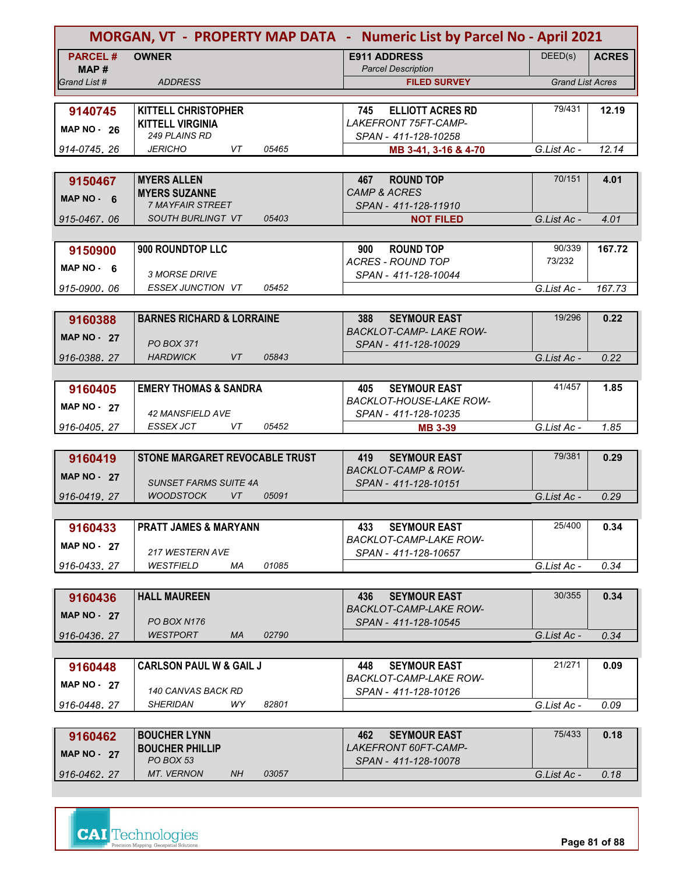|                        | MORGAN, VT - PROPERTY MAP DATA - Numeric List by Parcel No - April 2021 |                                                              |                         |              |
|------------------------|-------------------------------------------------------------------------|--------------------------------------------------------------|-------------------------|--------------|
| <b>PARCEL#</b><br>MAP# | <b>OWNER</b>                                                            | <b>E911 ADDRESS</b><br><b>Parcel Description</b>             | DEED(s)                 | <b>ACRES</b> |
| Grand List #           | <b>ADDRESS</b>                                                          | <b>FILED SURVEY</b>                                          | <b>Grand List Acres</b> |              |
|                        | <b>KITTELL CHRISTOPHER</b>                                              | 745                                                          | 79/431                  | 12.19        |
| 9140745                | <b>KITTELL VIRGINIA</b>                                                 | <b>ELLIOTT ACRES RD</b><br><b>LAKEFRONT 75FT-CAMP-</b>       |                         |              |
| <b>MAP NO - 26</b>     | <b>249 PLAINS RD</b>                                                    | SPAN - 411-128-10258                                         |                         |              |
| 914-0745.26            | <b>JERICHO</b><br>05465<br>VT                                           | MB 3-41, 3-16 & 4-70                                         | G.List Ac -             | 12.14        |
|                        |                                                                         |                                                              |                         |              |
| 9150467                | <b>MYERS ALLEN</b><br><b>MYERS SUZANNE</b>                              | <b>ROUND TOP</b><br>467<br><b>CAMP &amp; ACRES</b>           | 70/151                  | 4.01         |
| MAP NO $-6$            | <b>7 MAYFAIR STREET</b>                                                 | SPAN - 411-128-11910                                         |                         |              |
| 915-0467.06            | <b>SOUTH BURLINGT VT</b><br>05403                                       | <b>NOT FILED</b>                                             | G.List Ac -             | 4.01         |
|                        |                                                                         |                                                              |                         |              |
| 9150900                | 900 ROUNDTOP LLC                                                        | <b>ROUND TOP</b><br>900                                      | 90/339                  | 167.72       |
| $MAP NO - 6$           |                                                                         | <b>ACRES - ROUND TOP</b>                                     | 73/232                  |              |
| 915-0900, 06           | <b>3 MORSE DRIVE</b><br>ESSEX JUNCTION VT<br>05452                      | SPAN - 411-128-10044                                         | G.List Ac -             | 167.73       |
|                        |                                                                         |                                                              |                         |              |
| 9160388                | <b>BARNES RICHARD &amp; LORRAINE</b>                                    | <b>SEYMOUR EAST</b><br>388                                   | 19/296                  | 0.22         |
| <b>MAP NO - 27</b>     |                                                                         | <b>BACKLOT-CAMP-LAKE ROW-</b>                                |                         |              |
|                        | <b>PO BOX 371</b>                                                       | SPAN - 411-128-10029                                         |                         |              |
| 916-0388.27            | VT<br>05843<br><b>HARDWICK</b>                                          |                                                              | G.List Ac -             | 0.22         |
|                        |                                                                         |                                                              | 41/457                  |              |
| 9160405                | <b>EMERY THOMAS &amp; SANDRA</b>                                        | <b>SEYMOUR EAST</b><br>405<br><b>BACKLOT-HOUSE-LAKE ROW-</b> |                         | 1.85         |
| <b>MAP NO - 27</b>     | 42 MANSFIELD AVE                                                        | SPAN - 411-128-10235                                         |                         |              |
| 916-0405.27            | ESSEX JCT<br>VT<br>05452                                                | <b>MB 3-39</b>                                               | G.List Ac -             | 1.85         |
|                        |                                                                         |                                                              |                         |              |
| 9160419                | STONE MARGARET REVOCABLE TRUST                                          | <b>SEYMOUR EAST</b><br>419                                   | 79/381                  | 0.29         |
| MAP NO $-27$           | <b>SUNSET FARMS SUITE 4A</b>                                            | <b>BACKLOT-CAMP &amp; ROW-</b><br>SPAN - 411-128-10151       |                         |              |
| 916-0419.27            | <b>WOODSTOCK</b><br><b>VT</b><br>05091                                  |                                                              | G.List Ac -             | 0.29         |
|                        |                                                                         |                                                              |                         |              |
| 9160433                | <b>PRATT JAMES &amp; MARYANN</b>                                        | 433<br><b>SEYMOUR EAST</b>                                   | 25/400                  | 0.34         |
| <b>MAP NO - 27</b>     |                                                                         | BACKLOT-CAMP-LAKE ROW-                                       |                         |              |
|                        | 217 WESTERN AVE                                                         | SPAN - 411-128-10657                                         |                         |              |
| 916-0433.27            | WESTFIELD<br>01085<br>МA                                                |                                                              | G.List Ac -             | 0.34         |
|                        | <b>HALL MAUREEN</b>                                                     | 436<br><b>SEYMOUR EAST</b>                                   | 30/355                  | 0.34         |
| 9160436                |                                                                         | BACKLOT-CAMP-LAKE ROW-                                       |                         |              |
| <b>MAP NO - 27</b>     | <b>PO BOX N176</b>                                                      | SPAN - 411-128-10545                                         |                         |              |
| 916-0436.27            | WESTPORT<br><b>MA</b><br>02790                                          |                                                              | G.List Ac -             | 0.34         |
|                        |                                                                         |                                                              |                         |              |
| 9160448                | <b>CARLSON PAUL W &amp; GAIL J</b>                                      | <b>SEYMOUR EAST</b><br>448                                   | 21/271                  | 0.09         |
| <b>MAP NO - 27</b>     | 140 CANVAS BACK RD                                                      | BACKLOT-CAMP-LAKE ROW-<br>SPAN - 411-128-10126               |                         |              |
| 916-0448.27            | <i>SHERIDAN</i><br>WY.<br>82801                                         |                                                              | G.List Ac -             | 0.09         |
|                        |                                                                         |                                                              |                         |              |
| 9160462                | <b>BOUCHER LYNN</b>                                                     | <b>SEYMOUR EAST</b><br>462                                   | 75/433                  | 0.18         |
| <b>MAP NO - 27</b>     | <b>BOUCHER PHILLIP</b>                                                  | <i>LAKEFRONT 60FT-CAMP-</i>                                  |                         |              |
| 916-0462.27            | PO BOX 53<br>MT. VERNON<br>NH.<br>03057                                 | SPAN - 411-128-10078                                         | G.List Ac -             | 0.18         |
|                        |                                                                         |                                                              |                         |              |

| G.List Ac - | 0.18 |
|-------------|------|
|             |      |

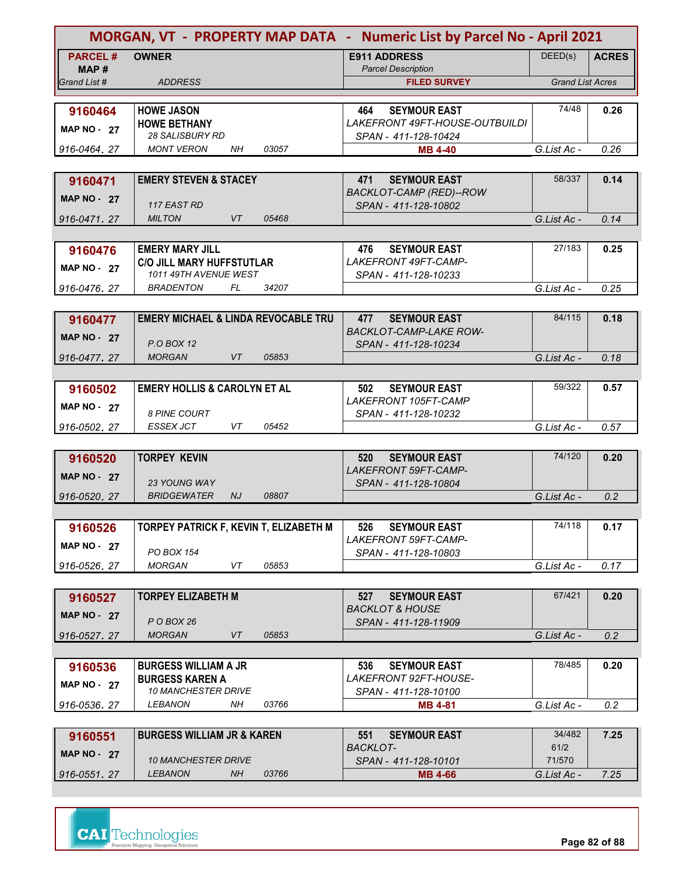| MORGAN, VT - PROPERTY MAP DATA - Numeric List by Parcel No - April 2021 |                                                             |                                                    |                         |              |
|-------------------------------------------------------------------------|-------------------------------------------------------------|----------------------------------------------------|-------------------------|--------------|
| <b>PARCEL#</b><br>MAP #                                                 | <b>OWNER</b>                                                | <b>E911 ADDRESS</b><br><b>Parcel Description</b>   | DEED(s)                 | <b>ACRES</b> |
| Grand List #                                                            | <b>ADDRESS</b>                                              | <b>FILED SURVEY</b>                                | <b>Grand List Acres</b> |              |
|                                                                         |                                                             |                                                    |                         |              |
| 9160464                                                                 | <b>HOWE JASON</b>                                           | <b>SEYMOUR EAST</b><br>464                         | 74/48                   | 0.26         |
| <b>MAP NO - 27</b>                                                      | <b>HOWE BETHANY</b>                                         | LAKEFRONT 49FT-HOUSE-OUTBUILDI                     |                         |              |
| 916-0464, 27                                                            | <b>28 SALISBURY RD</b><br><b>MONT VERON</b><br>NH.<br>03057 | SPAN - 411-128-10424<br><b>MB 4-40</b>             | G.List Ac -             | 0.26         |
|                                                                         |                                                             |                                                    |                         |              |
|                                                                         | <b>EMERY STEVEN &amp; STACEY</b>                            | 471<br><b>SEYMOUR EAST</b>                         | 58/337                  | 0.14         |
| 9160471                                                                 |                                                             | BACKLOT-CAMP (RED)--ROW                            |                         |              |
| <b>MAP NO - 27</b>                                                      | 117 EAST RD                                                 | SPAN - 411-128-10802                               |                         |              |
| 916-0471.27                                                             | <b>VT</b><br><b>MILTON</b><br>05468                         |                                                    | G.List Ac -             | 0.14         |
|                                                                         |                                                             |                                                    |                         |              |
| 9160476                                                                 | <b>EMERY MARY JILL</b>                                      | 476<br><b>SEYMOUR EAST</b>                         | 27/183                  | 0.25         |
| <b>MAP NO - 27</b>                                                      | <b>C/O JILL MARY HUFFSTUTLAR</b>                            | LAKEFRONT 49FT-CAMP-                               |                         |              |
|                                                                         | 1011 49TH AVENUE WEST                                       | SPAN - 411-128-10233                               |                         |              |
| 916-0476.27                                                             | <b>BRADENTON</b><br><b>FL</b><br>34207                      |                                                    | G.List Ac -             | 0.25         |
|                                                                         |                                                             |                                                    |                         |              |
| 9160477                                                                 | <b>EMERY MICHAEL &amp; LINDA REVOCABLE TRU</b>              | 477<br><b>SEYMOUR EAST</b>                         | 84/115                  | 0.18         |
| <b>MAP NO - 27</b>                                                      |                                                             | <b>BACKLOT-CAMP-LAKE ROW-</b>                      |                         |              |
|                                                                         | <b>P.O BOX 12</b><br><b>MORGAN</b><br><b>VT</b><br>05853    | SPAN - 411-128-10234                               |                         |              |
| 916-0477.27                                                             |                                                             |                                                    | G.List Ac -             | 0.18         |
|                                                                         |                                                             |                                                    | 59/322                  |              |
| 9160502                                                                 | <b>EMERY HOLLIS &amp; CAROLYN ET AL</b>                     | 502<br><b>SEYMOUR EAST</b><br>LAKEFRONT 105FT-CAMP |                         | 0.57         |
| <b>MAP NO - 27</b>                                                      | <b>8 PINE COURT</b>                                         | SPAN - 411-128-10232                               |                         |              |
| 916-0502, 27                                                            | <b>ESSEX JCT</b><br>VT<br>05452                             |                                                    | G.List Ac -             | 0.57         |
|                                                                         |                                                             |                                                    |                         |              |
| 9160520                                                                 | <b>TORPEY KEVIN</b>                                         | <b>SEYMOUR EAST</b><br>520                         | 74/120                  | 0.20         |
| <b>MAP NO - 27</b>                                                      |                                                             | <b>LAKEFRONT 59FT-CAMP-</b>                        |                         |              |
|                                                                         | <b>23 YOUNG WAY</b>                                         | SPAN - 411-128-10804                               |                         |              |
| 916-0520.27                                                             | <b>BRIDGEWATER</b><br>NJ<br>08807                           |                                                    | G.List Ac -             | 0.2          |
|                                                                         |                                                             |                                                    |                         |              |
| 9160526                                                                 | TORPEY PATRICK F, KEVIN T, ELIZABETH M                      | <b>SEYMOUR EAST</b><br>526                         | 74/118                  | 0.17         |
| <b>MAP NO - 27</b>                                                      | PO BOX 154                                                  | LAKEFRONT 59FT-CAMP-<br>SPAN - 411-128-10803       |                         |              |
| 916-0526.27                                                             | <b>MORGAN</b><br>VT<br>05853                                |                                                    | G.List Ac -             | 0.17         |
|                                                                         |                                                             |                                                    |                         |              |
| 9160527                                                                 | <b>TORPEY ELIZABETH M</b>                                   | <b>SEYMOUR EAST</b><br>527                         | 67/421                  | 0.20         |
|                                                                         |                                                             | <b>BACKLOT &amp; HOUSE</b>                         |                         |              |
| <b>MAP NO - 27</b>                                                      | POBOX 26                                                    | SPAN - 411-128-11909                               |                         |              |
| 916-0527.27                                                             | <b>MORGAN</b><br>VT<br>05853                                |                                                    | G.List Ac -             | 0.2          |
|                                                                         |                                                             |                                                    |                         |              |
| 9160536                                                                 | <b>BURGESS WILLIAM A JR</b>                                 | <b>SEYMOUR EAST</b><br>536                         | 78/485                  | 0.20         |
| <b>MAP NO - 27</b>                                                      | <b>BURGESS KAREN A</b>                                      | LAKEFRONT 92FT-HOUSE-                              |                         |              |
|                                                                         | <b>10 MANCHESTER DRIVE</b>                                  | SPAN - 411-128-10100                               |                         |              |
| 916-0536.27                                                             | LEBANON<br>NΗ<br>03766                                      | <b>MB 4-81</b>                                     | G.List Ac -             | 0.2          |
|                                                                         |                                                             |                                                    |                         |              |
| 9160551                                                                 | <b>BURGESS WILLIAM JR &amp; KAREN</b>                       | 551<br><b>SEYMOUR EAST</b>                         | 34/482                  | 7.25         |
| <b>MAP NO - 27</b>                                                      | <b>10 MANCHESTER DRIVE</b>                                  | <b>BACKLOT-</b><br>SPAN - 411-128-10101            | 61/2<br>71/570          |              |
| 916-0551.27                                                             | <b>LEBANON</b><br>NH<br>03766                               | <b>MB 4-66</b>                                     | G.List Ac -             | 7.25         |
|                                                                         |                                                             |                                                    |                         |              |



**Page 82 of 88**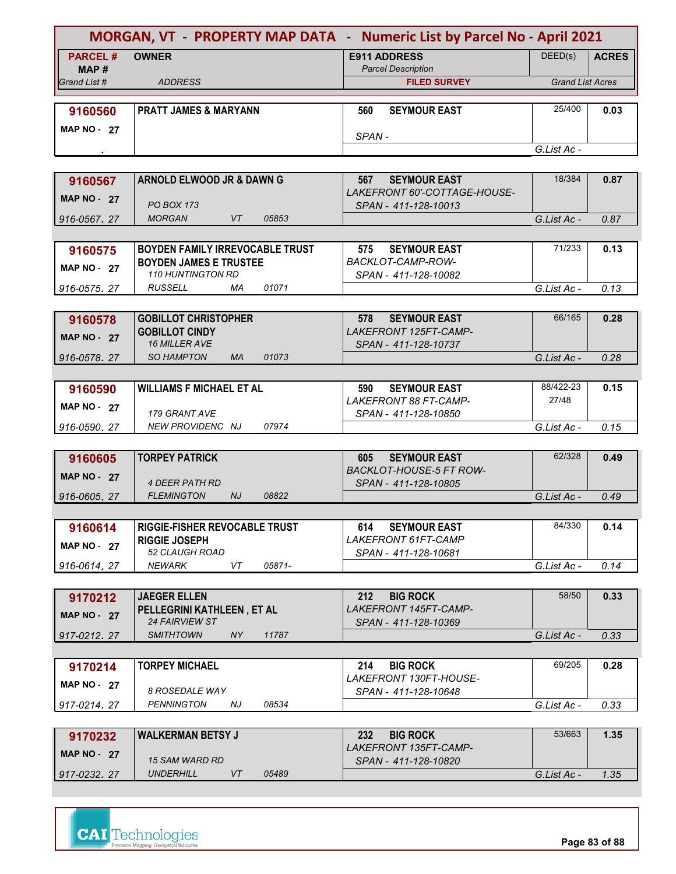| MORGAN, VT - PROPERTY MAP DATA - Numeric List by Parcel No - April 2021 |                                                       |                                                          |                         |              |
|-------------------------------------------------------------------------|-------------------------------------------------------|----------------------------------------------------------|-------------------------|--------------|
| <b>PARCEL#</b>                                                          | <b>OWNER</b>                                          | <b>E911 ADDRESS</b>                                      | DEED(s)                 | <b>ACRES</b> |
| MAP#                                                                    |                                                       | <b>Parcel Description</b>                                |                         |              |
| Grand List #                                                            | <b>ADDRESS</b>                                        | <b>FILED SURVEY</b>                                      | <b>Grand List Acres</b> |              |
|                                                                         |                                                       |                                                          |                         |              |
| 9160560                                                                 | <b>PRATT JAMES &amp; MARYANN</b>                      | <b>SEYMOUR EAST</b><br>560                               | 25/400                  | 0.03         |
| <b>MAP NO - 27</b>                                                      |                                                       | SPAN-                                                    |                         |              |
|                                                                         |                                                       |                                                          | G.List Ac -             |              |
|                                                                         |                                                       |                                                          |                         |              |
| 9160567                                                                 | ARNOLD ELWOOD JR & DAWN G                             | 567<br><b>SEYMOUR EAST</b>                               | 18/384                  | 0.87         |
|                                                                         |                                                       | LAKEFRONT 60'-COTTAGE-HOUSE-                             |                         |              |
| <b>MAP NO - 27</b>                                                      | <b>PO BOX 173</b>                                     | SPAN - 411-128-10013                                     |                         |              |
| 916-0567, 27                                                            | <b>VT</b><br><b>MORGAN</b><br>05853                   |                                                          | G.List Ac -             | 0.87         |
|                                                                         |                                                       |                                                          |                         |              |
| 9160575                                                                 | <b>BOYDEN FAMILY IRREVOCABLE TRUST</b>                | <b>SEYMOUR EAST</b><br>575                               | 71/233                  | 0.13         |
| <b>MAP NO - 27</b>                                                      | <b>BOYDEN JAMES E TRUSTEE</b>                         | BACKLOT-CAMP-ROW-                                        |                         |              |
|                                                                         | <b>110 HUNTINGTON RD</b>                              | SPAN - 411-128-10082                                     |                         |              |
| 916-0575.27                                                             | 01071<br>RUSSELL<br>МA                                |                                                          | G.List Ac -             | 0.13         |
|                                                                         |                                                       |                                                          |                         |              |
| 9160578                                                                 | <b>GOBILLOT CHRISTOPHER</b>                           | <b>SEYMOUR EAST</b><br>578                               | 66/165                  | 0.28         |
| <b>MAP NO - 27</b>                                                      | <b>GOBILLOT CINDY</b><br>16 MILLER AVE                | LAKEFRONT 125FT-CAMP-<br>SPAN - 411-128-10737            |                         |              |
| 916-0578.27                                                             | <b>SO HAMPTON</b><br><b>MA</b><br>01073               |                                                          | G.List Ac -             | 0.28         |
|                                                                         |                                                       |                                                          |                         |              |
| 9160590                                                                 | <b>WILLIAMS F MICHAEL ET AL</b>                       | <b>SEYMOUR EAST</b><br>590                               | 88/422-23               | 0.15         |
|                                                                         |                                                       | LAKEFRONT 88 FT-CAMP-                                    | 27/48                   |              |
| <b>MAP NO - 27</b>                                                      | 179 GRANT AVE                                         | SPAN - 411-128-10850                                     |                         |              |
| 916-0590, 27                                                            | NEW PROVIDENC NJ<br>07974                             |                                                          | G.List Ac -             | 0.15         |
|                                                                         |                                                       |                                                          |                         |              |
| 9160605                                                                 | <b>TORPEY PATRICK</b>                                 | <b>SEYMOUR EAST</b><br>605                               | 62/328                  | 0.49         |
| <b>MAP NO - 27</b>                                                      |                                                       | <b>BACKLOT-HOUSE-5 FT ROW-</b>                           |                         |              |
|                                                                         | <i>4 DEER PATH RD</i>                                 | SPAN - 411-128-10805                                     |                         |              |
| 916-0605, 27                                                            | <b>FLEMINGTON</b><br>NJ<br>08822                      |                                                          | G.List Ac -             | 0.49         |
|                                                                         |                                                       |                                                          |                         |              |
| 9160614                                                                 | RIGGIE-FISHER REVOCABLE TRUST<br><b>RIGGIE JOSEPH</b> | <b>SEYMOUR EAST</b><br>614<br><b>LAKEFRONT 61FT-CAMP</b> | 84/330                  | 0.14         |
| <b>MAP NO - 27</b>                                                      | 52 CLAUGH ROAD                                        | SPAN - 411-128-10681                                     |                         |              |
| 916-0614.27                                                             | 05871-<br>NEWARK<br>VT                                |                                                          | G.List Ac -             | 0.14         |
|                                                                         |                                                       |                                                          |                         |              |
| 9170212                                                                 | <b>JAEGER ELLEN</b>                                   | 212<br><b>BIG ROCK</b>                                   | 58/50                   | 0.33         |
|                                                                         | PELLEGRINI KATHLEEN, ET AL                            | LAKEFRONT 145FT-CAMP-                                    |                         |              |
| <b>MAP NO - 27</b>                                                      | 24 FAIRVIEW ST                                        | SPAN - 411-128-10369                                     |                         |              |
| 917-0212.27                                                             | <b>SMITHTOWN</b><br>NY.<br>11787                      |                                                          | G.List Ac -             | 0.33         |
|                                                                         |                                                       |                                                          |                         |              |
| 9170214                                                                 | <b>TORPEY MICHAEL</b>                                 | <b>BIG ROCK</b><br>214                                   | 69/205                  | 0.28         |
| <b>MAP NO - 27</b>                                                      |                                                       | LAKEFRONT 130FT-HOUSE-                                   |                         |              |
|                                                                         | 8 ROSEDALE WAY<br>08534<br><b>PENNINGTON</b>          | SPAN - 411-128-10648                                     |                         |              |
| 917-0214, 27                                                            | NJ                                                    |                                                          | G.List Ac -             | 0.33         |
|                                                                         |                                                       |                                                          | 53/663                  |              |
| 9170232                                                                 | <b>WALKERMAN BETSY J</b>                              | 232<br><b>BIG ROCK</b><br>LAKEFRONT 135FT-CAMP-          |                         | 1.35         |
| <b>MAP NO - 27</b>                                                      | <b>15 SAM WARD RD</b>                                 | SPAN - 411-128-10820                                     |                         |              |
| 917-0232, 27                                                            | <b>UNDERHILL</b><br>VT<br>05489                       |                                                          | G.List Ac -             | 1.35         |
|                                                                         |                                                       |                                                          |                         |              |



**Page 83 of 88**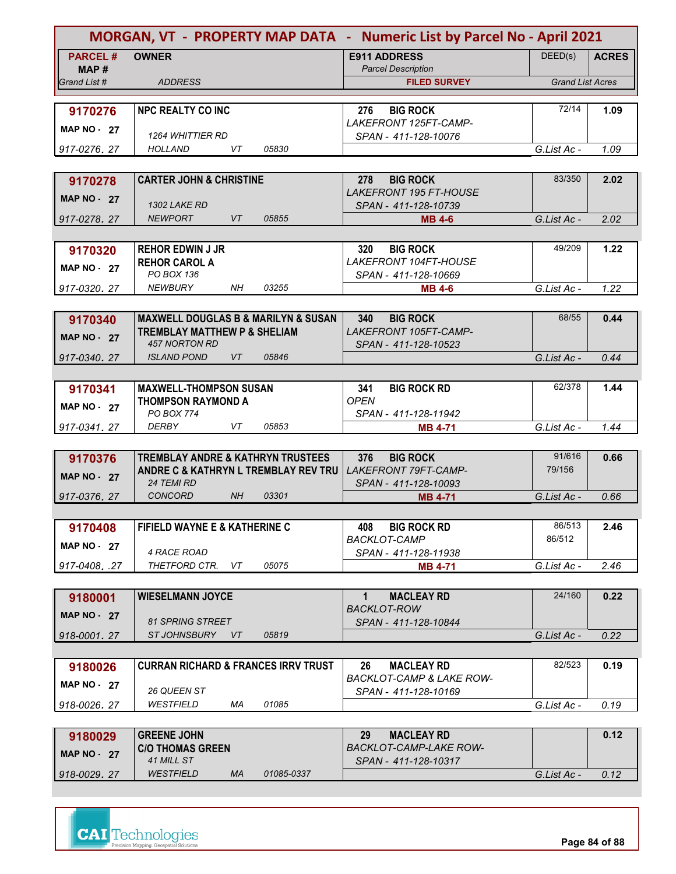| MORGAN, VT - PROPERTY MAP DATA - Numeric List by Parcel No - April 2021 |                                                               |                                                       |                         |              |
|-------------------------------------------------------------------------|---------------------------------------------------------------|-------------------------------------------------------|-------------------------|--------------|
| <b>PARCEL#</b>                                                          | <b>OWNER</b>                                                  | <b>E911 ADDRESS</b>                                   | DEED(s)                 | <b>ACRES</b> |
| MAP#                                                                    |                                                               | <b>Parcel Description</b>                             |                         |              |
| Grand List #                                                            | <b>ADDRESS</b>                                                | <b>FILED SURVEY</b>                                   | <b>Grand List Acres</b> |              |
| 9170276                                                                 | <b>NPC REALTY CO INC</b>                                      | <b>BIG ROCK</b><br>276                                | 72/14                   | 1.09         |
|                                                                         |                                                               | LAKEFRONT 125FT-CAMP-                                 |                         |              |
| <b>MAP NO - 27</b>                                                      | <b>1264 WHITTIER RD</b>                                       | SPAN - 411-128-10076                                  |                         |              |
| 917-0276.27                                                             | VT<br>HOLLAND<br>05830                                        |                                                       | G.List Ac -             | 1.09         |
|                                                                         |                                                               |                                                       |                         |              |
| 9170278                                                                 | <b>CARTER JOHN &amp; CHRISTINE</b>                            | <b>BIG ROCK</b><br>278                                | 83/350                  | 2.02         |
| <b>MAP NO - 27</b>                                                      |                                                               | <b>LAKEFRONT 195 FT-HOUSE</b>                         |                         |              |
| 917-0278.27                                                             | <b>1302 LAKE RD</b><br><b>NEWPORT</b><br><b>VT</b><br>05855   | SPAN - 411-128-10739<br><b>MB 4-6</b>                 | G.List Ac -             | 2.02         |
|                                                                         |                                                               |                                                       |                         |              |
| 9170320                                                                 | <b>REHOR EDWIN J JR</b>                                       | <b>BIG ROCK</b><br>320                                | 49/209                  | 1.22         |
|                                                                         | <b>REHOR CAROL A</b>                                          | LAKEFRONT 104FT-HOUSE                                 |                         |              |
| <b>MAP NO - 27</b>                                                      | PO BOX 136                                                    | SPAN - 411-128-10669                                  |                         |              |
| 917-0320.27                                                             | <b>NEWBURY</b><br>NH.<br>03255                                | <b>MB 4-6</b>                                         | G.List Ac -             | 1.22         |
|                                                                         |                                                               |                                                       |                         |              |
| 9170340                                                                 | <b>MAXWELL DOUGLAS B &amp; MARILYN &amp; SUSAN</b>            | 340<br><b>BIG ROCK</b>                                | 68/55                   | 0.44         |
| <b>MAP NO - 27</b>                                                      | <b>TREMBLAY MATTHEW P &amp; SHELIAM</b>                       | LAKEFRONT 105FT-CAMP-                                 |                         |              |
|                                                                         | <b>457 NORTON RD</b><br><b>ISLAND POND</b><br>05846<br>VT     | SPAN - 411-128-10523                                  | G.List Ac -             | 0.44         |
| 917-0340.27                                                             |                                                               |                                                       |                         |              |
| 9170341                                                                 | <b>MAXWELL-THOMPSON SUSAN</b>                                 | <b>BIG ROCK RD</b><br>341                             | 62/378                  | 1.44         |
|                                                                         | <b>THOMPSON RAYMOND A</b>                                     | <b>OPEN</b>                                           |                         |              |
| <b>MAP NO - 27</b>                                                      | PO BOX 774                                                    | SPAN - 411-128-11942                                  |                         |              |
| 917-0341.27                                                             | <b>DERBY</b><br>VT<br>05853                                   | <b>MB 4-71</b>                                        | G.List Ac -             | 1.44         |
|                                                                         |                                                               |                                                       |                         |              |
| 9170376                                                                 | <b>TREMBLAY ANDRE &amp; KATHRYN TRUSTEES</b>                  | <b>BIG ROCK</b><br>376                                | 91/616                  | 0.66         |
| <b>MAP NO - 27</b>                                                      | ANDRE C & KATHRYN L TREMBLAY REV TRU                          | <b>LAKEFRONT 79FT-CAMP-</b>                           | 79/156                  |              |
| 917-0376, 27                                                            | <b>24 TEMI RD</b><br>03301<br><b>CONCORD</b><br>NH            | SPAN - 411-128-10093<br><b>MB 4-71</b>                | G.List Ac -             | 0.66         |
|                                                                         |                                                               |                                                       |                         |              |
| 9170408                                                                 | <b>FIFIELD WAYNE E &amp; KATHERINE C</b>                      | 408<br><b>BIG ROCK RD</b>                             | 86/513                  | 2.46         |
|                                                                         |                                                               | BACKLOT-CAMP                                          | 86/512                  |              |
| <b>MAP NO - 27</b>                                                      | 4 RACE ROAD                                                   | SPAN - 411-128-11938                                  |                         |              |
| 917-0408. .27                                                           | THETFORD CTR.<br>VT<br>05075                                  | <b>MB 4-71</b>                                        | G.List Ac -             | 2.46         |
|                                                                         |                                                               |                                                       |                         |              |
| 9180001                                                                 | <b>WIESELMANN JOYCE</b>                                       | <b>MACLEAY RD</b><br>1                                | 24/160                  | 0.22         |
| <b>MAP NO - 27</b>                                                      |                                                               | <b>BACKLOT-ROW</b>                                    |                         |              |
| 918-0001.27                                                             | <b>81 SPRING STREET</b><br><b>ST JOHNSBURY</b><br>05819<br>VT | SPAN - 411-128-10844                                  | G.List Ac -             | 0.22         |
|                                                                         |                                                               |                                                       |                         |              |
| 9180026                                                                 | <b>CURRAN RICHARD &amp; FRANCES IRRV TRUST</b>                | 26<br><b>MACLEAY RD</b>                               | 82/523                  | 0.19         |
|                                                                         |                                                               | <b>BACKLOT-CAMP &amp; LAKE ROW-</b>                   |                         |              |
| <b>MAP NO - 27</b>                                                      | 26 QUEEN ST                                                   | SPAN - 411-128-10169                                  |                         |              |
| 918-0026, 27                                                            | WESTFIELD<br>МA<br>01085                                      |                                                       | G.List Ac -             | 0.19         |
|                                                                         |                                                               |                                                       |                         |              |
| 9180029                                                                 | <b>GREENE JOHN</b>                                            | 29<br><b>MACLEAY RD</b>                               |                         | 0.12         |
| <b>MAP NO - 27</b>                                                      | <b>C/O THOMAS GREEN</b><br><b>41 MILL ST</b>                  | <b>BACKLOT-CAMP-LAKE ROW-</b><br>SPAN - 411-128-10317 |                         |              |
|                                                                         |                                                               |                                                       |                         |              |

|    |            | SPAN - 411-128-10317 |             |      |
|----|------------|----------------------|-------------|------|
| МA | 01085-0337 |                      | G.List Ac - | 0.12 |
|    |            |                      |             |      |

*WESTFIELD* 

*918-0029 27 .*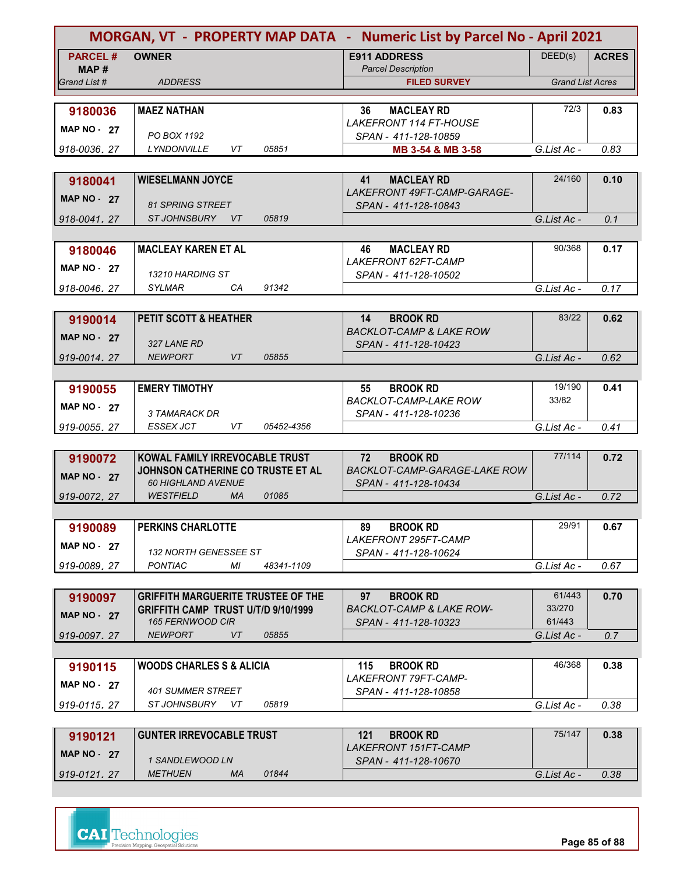| DEED(s)<br><b>PARCEL#</b><br><b>OWNER</b><br><b>E911 ADDRESS</b><br><b>ACRES</b><br><b>Parcel Description</b><br>MAP #<br><b>Grand List Acres</b><br>Grand List #<br><b>ADDRESS</b><br><b>FILED SURVEY</b><br>72/3<br><b>MACLEAY RD</b><br>0.83<br>9180036<br><b>MAEZ NATHAN</b><br>36<br><b>LAKEFRONT 114 FT-HOUSE</b><br><b>MAP NO - 27</b><br>PO BOX 1192<br>SPAN - 411-128-10859<br>05851<br>0.83<br><b>LYNDONVILLE</b><br>VT<br>G.List Ac -<br>918-0036.27<br>MB 3-54 & MB 3-58<br>24/160<br><b>WIESELMANN JOYCE</b><br><b>MACLEAY RD</b><br>0.10<br>9180041<br>41<br>LAKEFRONT 49FT-CAMP-GARAGE-<br><b>MAP NO - 27</b><br><b>81 SPRING STREET</b><br>SPAN - 411-128-10843<br><b>ST JOHNSBURY</b><br>VT<br>05819<br>G.List Ac -<br>0.1<br>918-0041.27<br>90/368<br><b>MACLEAY KAREN ET AL</b><br><b>MACLEAY RD</b><br>46<br>0.17<br>9180046<br>LAKEFRONT 62FT-CAMP<br><b>MAP NO - 27</b><br>13210 HARDING ST<br>SPAN - 411-128-10502<br>91342<br><b>SYLMAR</b><br>CA<br>0.17<br>G.List Ac -<br>918-0046, 27<br>83/22<br><b>PETIT SCOTT &amp; HEATHER</b><br><b>BROOK RD</b><br>0.62<br>14<br>9190014<br><b>BACKLOT-CAMP &amp; LAKE ROW</b><br><b>MAP NO - 27</b><br>327 LANE RD<br>SPAN - 411-128-10423<br><b>NEWPORT</b><br>VT<br>05855<br>G.List Ac -<br>0.62<br>919-0014.27<br>19/190<br><b>EMERY TIMOTHY</b><br>$55\,$<br><b>BROOK RD</b><br>0.41<br>9190055<br><b>BACKLOT-CAMP-LAKE ROW</b><br>33/82<br><b>MAP NO - 27</b><br>3 TAMARACK DR<br>SPAN - 411-128-10236<br><b>ESSEX JCT</b><br>VT<br>05452-4356<br>G.List Ac -<br>0.41<br>919-0055, 27<br>77/114<br>KOWAL FAMILY IRREVOCABLE TRUST<br>0.72<br>72<br><b>BROOK RD</b><br>9190072<br>JOHNSON CATHERINE CO TRUSTE ET AL<br>BACKLOT-CAMP-GARAGE-LAKE ROW<br><b>MAP NO - 27</b><br><b>60 HIGHLAND AVENUE</b><br>SPAN - 411-128-10434<br><b>WESTFIELD</b><br><b>MA</b><br>01085<br>G.List Ac -<br>0.72<br>919-0072, 27<br>29/91<br><b>PERKINS CHARLOTTE</b><br><b>BROOK RD</b><br>89<br>0.67<br>9190089<br>LAKEFRONT 295FT-CAMP<br><b>MAP NO - 27</b><br>132 NORTH GENESSEE ST<br>SPAN - 411-128-10624<br><b>PONTIAC</b><br>МI<br>48341-1109<br>0.67<br>919-0089.27<br>G.List Ac -<br>61/443<br>0.70<br><b>GRIFFITH MARGUERITE TRUSTEE OF THE</b><br>97<br><b>BROOK RD</b><br>9190097<br>33/270<br>GRIFFITH CAMP TRUST U/T/D 9/10/1999<br><b>BACKLOT-CAMP &amp; LAKE ROW-</b><br><b>MAP NO - 27</b><br>165 FERNWOOD CIR<br>61/443<br>SPAN - 411-128-10323<br><b>NEWPORT</b><br>VT<br>05855<br>G.List Ac -<br>919-0097, 27<br>0.7<br>46/368<br><b>WOODS CHARLES S &amp; ALICIA</b><br><b>BROOK RD</b><br>0.38<br>115<br>9190115<br><b>LAKEFRONT 79FT-CAMP-</b><br><b>MAP NO - 27</b><br><b>401 SUMMER STREET</b><br>SPAN - 411-128-10858<br>ST JOHNSBURY<br>05819<br>G.List Ac -<br>919-0115, 27<br>VT.<br>0.38<br>75/147<br><b>GUNTER IRREVOCABLE TRUST</b><br>121<br><b>BROOK RD</b><br>0.38<br>9190121<br>LAKEFRONT 151FT-CAMP<br>MAP $NO - 27$<br>1 SANDLEWOOD LN<br>SPAN - 411-128-10670<br><b>METHUEN</b><br>01844<br>MA.<br>919-0121.27<br>G.List Ac -<br>0.38 | MORGAN, VT - PROPERTY MAP DATA - Numeric List by Parcel No - April 2021 |  |  |
|-------------------------------------------------------------------------------------------------------------------------------------------------------------------------------------------------------------------------------------------------------------------------------------------------------------------------------------------------------------------------------------------------------------------------------------------------------------------------------------------------------------------------------------------------------------------------------------------------------------------------------------------------------------------------------------------------------------------------------------------------------------------------------------------------------------------------------------------------------------------------------------------------------------------------------------------------------------------------------------------------------------------------------------------------------------------------------------------------------------------------------------------------------------------------------------------------------------------------------------------------------------------------------------------------------------------------------------------------------------------------------------------------------------------------------------------------------------------------------------------------------------------------------------------------------------------------------------------------------------------------------------------------------------------------------------------------------------------------------------------------------------------------------------------------------------------------------------------------------------------------------------------------------------------------------------------------------------------------------------------------------------------------------------------------------------------------------------------------------------------------------------------------------------------------------------------------------------------------------------------------------------------------------------------------------------------------------------------------------------------------------------------------------------------------------------------------------------------------------------------------------------------------------------------------------------------------------------------------------------------------------------------------------------------------------------------------------------------------------------------------------------------------------------------------------------------------------------------------------------------------------------------------------------------------------------------------------------------------------------------------------------------------------------|-------------------------------------------------------------------------|--|--|
|                                                                                                                                                                                                                                                                                                                                                                                                                                                                                                                                                                                                                                                                                                                                                                                                                                                                                                                                                                                                                                                                                                                                                                                                                                                                                                                                                                                                                                                                                                                                                                                                                                                                                                                                                                                                                                                                                                                                                                                                                                                                                                                                                                                                                                                                                                                                                                                                                                                                                                                                                                                                                                                                                                                                                                                                                                                                                                                                                                                                                                     |                                                                         |  |  |
|                                                                                                                                                                                                                                                                                                                                                                                                                                                                                                                                                                                                                                                                                                                                                                                                                                                                                                                                                                                                                                                                                                                                                                                                                                                                                                                                                                                                                                                                                                                                                                                                                                                                                                                                                                                                                                                                                                                                                                                                                                                                                                                                                                                                                                                                                                                                                                                                                                                                                                                                                                                                                                                                                                                                                                                                                                                                                                                                                                                                                                     |                                                                         |  |  |
|                                                                                                                                                                                                                                                                                                                                                                                                                                                                                                                                                                                                                                                                                                                                                                                                                                                                                                                                                                                                                                                                                                                                                                                                                                                                                                                                                                                                                                                                                                                                                                                                                                                                                                                                                                                                                                                                                                                                                                                                                                                                                                                                                                                                                                                                                                                                                                                                                                                                                                                                                                                                                                                                                                                                                                                                                                                                                                                                                                                                                                     |                                                                         |  |  |
|                                                                                                                                                                                                                                                                                                                                                                                                                                                                                                                                                                                                                                                                                                                                                                                                                                                                                                                                                                                                                                                                                                                                                                                                                                                                                                                                                                                                                                                                                                                                                                                                                                                                                                                                                                                                                                                                                                                                                                                                                                                                                                                                                                                                                                                                                                                                                                                                                                                                                                                                                                                                                                                                                                                                                                                                                                                                                                                                                                                                                                     |                                                                         |  |  |
|                                                                                                                                                                                                                                                                                                                                                                                                                                                                                                                                                                                                                                                                                                                                                                                                                                                                                                                                                                                                                                                                                                                                                                                                                                                                                                                                                                                                                                                                                                                                                                                                                                                                                                                                                                                                                                                                                                                                                                                                                                                                                                                                                                                                                                                                                                                                                                                                                                                                                                                                                                                                                                                                                                                                                                                                                                                                                                                                                                                                                                     |                                                                         |  |  |
|                                                                                                                                                                                                                                                                                                                                                                                                                                                                                                                                                                                                                                                                                                                                                                                                                                                                                                                                                                                                                                                                                                                                                                                                                                                                                                                                                                                                                                                                                                                                                                                                                                                                                                                                                                                                                                                                                                                                                                                                                                                                                                                                                                                                                                                                                                                                                                                                                                                                                                                                                                                                                                                                                                                                                                                                                                                                                                                                                                                                                                     |                                                                         |  |  |
|                                                                                                                                                                                                                                                                                                                                                                                                                                                                                                                                                                                                                                                                                                                                                                                                                                                                                                                                                                                                                                                                                                                                                                                                                                                                                                                                                                                                                                                                                                                                                                                                                                                                                                                                                                                                                                                                                                                                                                                                                                                                                                                                                                                                                                                                                                                                                                                                                                                                                                                                                                                                                                                                                                                                                                                                                                                                                                                                                                                                                                     |                                                                         |  |  |
|                                                                                                                                                                                                                                                                                                                                                                                                                                                                                                                                                                                                                                                                                                                                                                                                                                                                                                                                                                                                                                                                                                                                                                                                                                                                                                                                                                                                                                                                                                                                                                                                                                                                                                                                                                                                                                                                                                                                                                                                                                                                                                                                                                                                                                                                                                                                                                                                                                                                                                                                                                                                                                                                                                                                                                                                                                                                                                                                                                                                                                     |                                                                         |  |  |
|                                                                                                                                                                                                                                                                                                                                                                                                                                                                                                                                                                                                                                                                                                                                                                                                                                                                                                                                                                                                                                                                                                                                                                                                                                                                                                                                                                                                                                                                                                                                                                                                                                                                                                                                                                                                                                                                                                                                                                                                                                                                                                                                                                                                                                                                                                                                                                                                                                                                                                                                                                                                                                                                                                                                                                                                                                                                                                                                                                                                                                     |                                                                         |  |  |
|                                                                                                                                                                                                                                                                                                                                                                                                                                                                                                                                                                                                                                                                                                                                                                                                                                                                                                                                                                                                                                                                                                                                                                                                                                                                                                                                                                                                                                                                                                                                                                                                                                                                                                                                                                                                                                                                                                                                                                                                                                                                                                                                                                                                                                                                                                                                                                                                                                                                                                                                                                                                                                                                                                                                                                                                                                                                                                                                                                                                                                     |                                                                         |  |  |
|                                                                                                                                                                                                                                                                                                                                                                                                                                                                                                                                                                                                                                                                                                                                                                                                                                                                                                                                                                                                                                                                                                                                                                                                                                                                                                                                                                                                                                                                                                                                                                                                                                                                                                                                                                                                                                                                                                                                                                                                                                                                                                                                                                                                                                                                                                                                                                                                                                                                                                                                                                                                                                                                                                                                                                                                                                                                                                                                                                                                                                     |                                                                         |  |  |
|                                                                                                                                                                                                                                                                                                                                                                                                                                                                                                                                                                                                                                                                                                                                                                                                                                                                                                                                                                                                                                                                                                                                                                                                                                                                                                                                                                                                                                                                                                                                                                                                                                                                                                                                                                                                                                                                                                                                                                                                                                                                                                                                                                                                                                                                                                                                                                                                                                                                                                                                                                                                                                                                                                                                                                                                                                                                                                                                                                                                                                     |                                                                         |  |  |
|                                                                                                                                                                                                                                                                                                                                                                                                                                                                                                                                                                                                                                                                                                                                                                                                                                                                                                                                                                                                                                                                                                                                                                                                                                                                                                                                                                                                                                                                                                                                                                                                                                                                                                                                                                                                                                                                                                                                                                                                                                                                                                                                                                                                                                                                                                                                                                                                                                                                                                                                                                                                                                                                                                                                                                                                                                                                                                                                                                                                                                     |                                                                         |  |  |
|                                                                                                                                                                                                                                                                                                                                                                                                                                                                                                                                                                                                                                                                                                                                                                                                                                                                                                                                                                                                                                                                                                                                                                                                                                                                                                                                                                                                                                                                                                                                                                                                                                                                                                                                                                                                                                                                                                                                                                                                                                                                                                                                                                                                                                                                                                                                                                                                                                                                                                                                                                                                                                                                                                                                                                                                                                                                                                                                                                                                                                     |                                                                         |  |  |
|                                                                                                                                                                                                                                                                                                                                                                                                                                                                                                                                                                                                                                                                                                                                                                                                                                                                                                                                                                                                                                                                                                                                                                                                                                                                                                                                                                                                                                                                                                                                                                                                                                                                                                                                                                                                                                                                                                                                                                                                                                                                                                                                                                                                                                                                                                                                                                                                                                                                                                                                                                                                                                                                                                                                                                                                                                                                                                                                                                                                                                     |                                                                         |  |  |
|                                                                                                                                                                                                                                                                                                                                                                                                                                                                                                                                                                                                                                                                                                                                                                                                                                                                                                                                                                                                                                                                                                                                                                                                                                                                                                                                                                                                                                                                                                                                                                                                                                                                                                                                                                                                                                                                                                                                                                                                                                                                                                                                                                                                                                                                                                                                                                                                                                                                                                                                                                                                                                                                                                                                                                                                                                                                                                                                                                                                                                     |                                                                         |  |  |
|                                                                                                                                                                                                                                                                                                                                                                                                                                                                                                                                                                                                                                                                                                                                                                                                                                                                                                                                                                                                                                                                                                                                                                                                                                                                                                                                                                                                                                                                                                                                                                                                                                                                                                                                                                                                                                                                                                                                                                                                                                                                                                                                                                                                                                                                                                                                                                                                                                                                                                                                                                                                                                                                                                                                                                                                                                                                                                                                                                                                                                     |                                                                         |  |  |
|                                                                                                                                                                                                                                                                                                                                                                                                                                                                                                                                                                                                                                                                                                                                                                                                                                                                                                                                                                                                                                                                                                                                                                                                                                                                                                                                                                                                                                                                                                                                                                                                                                                                                                                                                                                                                                                                                                                                                                                                                                                                                                                                                                                                                                                                                                                                                                                                                                                                                                                                                                                                                                                                                                                                                                                                                                                                                                                                                                                                                                     |                                                                         |  |  |
|                                                                                                                                                                                                                                                                                                                                                                                                                                                                                                                                                                                                                                                                                                                                                                                                                                                                                                                                                                                                                                                                                                                                                                                                                                                                                                                                                                                                                                                                                                                                                                                                                                                                                                                                                                                                                                                                                                                                                                                                                                                                                                                                                                                                                                                                                                                                                                                                                                                                                                                                                                                                                                                                                                                                                                                                                                                                                                                                                                                                                                     |                                                                         |  |  |
|                                                                                                                                                                                                                                                                                                                                                                                                                                                                                                                                                                                                                                                                                                                                                                                                                                                                                                                                                                                                                                                                                                                                                                                                                                                                                                                                                                                                                                                                                                                                                                                                                                                                                                                                                                                                                                                                                                                                                                                                                                                                                                                                                                                                                                                                                                                                                                                                                                                                                                                                                                                                                                                                                                                                                                                                                                                                                                                                                                                                                                     |                                                                         |  |  |
|                                                                                                                                                                                                                                                                                                                                                                                                                                                                                                                                                                                                                                                                                                                                                                                                                                                                                                                                                                                                                                                                                                                                                                                                                                                                                                                                                                                                                                                                                                                                                                                                                                                                                                                                                                                                                                                                                                                                                                                                                                                                                                                                                                                                                                                                                                                                                                                                                                                                                                                                                                                                                                                                                                                                                                                                                                                                                                                                                                                                                                     |                                                                         |  |  |
|                                                                                                                                                                                                                                                                                                                                                                                                                                                                                                                                                                                                                                                                                                                                                                                                                                                                                                                                                                                                                                                                                                                                                                                                                                                                                                                                                                                                                                                                                                                                                                                                                                                                                                                                                                                                                                                                                                                                                                                                                                                                                                                                                                                                                                                                                                                                                                                                                                                                                                                                                                                                                                                                                                                                                                                                                                                                                                                                                                                                                                     |                                                                         |  |  |
|                                                                                                                                                                                                                                                                                                                                                                                                                                                                                                                                                                                                                                                                                                                                                                                                                                                                                                                                                                                                                                                                                                                                                                                                                                                                                                                                                                                                                                                                                                                                                                                                                                                                                                                                                                                                                                                                                                                                                                                                                                                                                                                                                                                                                                                                                                                                                                                                                                                                                                                                                                                                                                                                                                                                                                                                                                                                                                                                                                                                                                     |                                                                         |  |  |
|                                                                                                                                                                                                                                                                                                                                                                                                                                                                                                                                                                                                                                                                                                                                                                                                                                                                                                                                                                                                                                                                                                                                                                                                                                                                                                                                                                                                                                                                                                                                                                                                                                                                                                                                                                                                                                                                                                                                                                                                                                                                                                                                                                                                                                                                                                                                                                                                                                                                                                                                                                                                                                                                                                                                                                                                                                                                                                                                                                                                                                     |                                                                         |  |  |
|                                                                                                                                                                                                                                                                                                                                                                                                                                                                                                                                                                                                                                                                                                                                                                                                                                                                                                                                                                                                                                                                                                                                                                                                                                                                                                                                                                                                                                                                                                                                                                                                                                                                                                                                                                                                                                                                                                                                                                                                                                                                                                                                                                                                                                                                                                                                                                                                                                                                                                                                                                                                                                                                                                                                                                                                                                                                                                                                                                                                                                     |                                                                         |  |  |
|                                                                                                                                                                                                                                                                                                                                                                                                                                                                                                                                                                                                                                                                                                                                                                                                                                                                                                                                                                                                                                                                                                                                                                                                                                                                                                                                                                                                                                                                                                                                                                                                                                                                                                                                                                                                                                                                                                                                                                                                                                                                                                                                                                                                                                                                                                                                                                                                                                                                                                                                                                                                                                                                                                                                                                                                                                                                                                                                                                                                                                     |                                                                         |  |  |
|                                                                                                                                                                                                                                                                                                                                                                                                                                                                                                                                                                                                                                                                                                                                                                                                                                                                                                                                                                                                                                                                                                                                                                                                                                                                                                                                                                                                                                                                                                                                                                                                                                                                                                                                                                                                                                                                                                                                                                                                                                                                                                                                                                                                                                                                                                                                                                                                                                                                                                                                                                                                                                                                                                                                                                                                                                                                                                                                                                                                                                     |                                                                         |  |  |
|                                                                                                                                                                                                                                                                                                                                                                                                                                                                                                                                                                                                                                                                                                                                                                                                                                                                                                                                                                                                                                                                                                                                                                                                                                                                                                                                                                                                                                                                                                                                                                                                                                                                                                                                                                                                                                                                                                                                                                                                                                                                                                                                                                                                                                                                                                                                                                                                                                                                                                                                                                                                                                                                                                                                                                                                                                                                                                                                                                                                                                     |                                                                         |  |  |
|                                                                                                                                                                                                                                                                                                                                                                                                                                                                                                                                                                                                                                                                                                                                                                                                                                                                                                                                                                                                                                                                                                                                                                                                                                                                                                                                                                                                                                                                                                                                                                                                                                                                                                                                                                                                                                                                                                                                                                                                                                                                                                                                                                                                                                                                                                                                                                                                                                                                                                                                                                                                                                                                                                                                                                                                                                                                                                                                                                                                                                     |                                                                         |  |  |
|                                                                                                                                                                                                                                                                                                                                                                                                                                                                                                                                                                                                                                                                                                                                                                                                                                                                                                                                                                                                                                                                                                                                                                                                                                                                                                                                                                                                                                                                                                                                                                                                                                                                                                                                                                                                                                                                                                                                                                                                                                                                                                                                                                                                                                                                                                                                                                                                                                                                                                                                                                                                                                                                                                                                                                                                                                                                                                                                                                                                                                     |                                                                         |  |  |
|                                                                                                                                                                                                                                                                                                                                                                                                                                                                                                                                                                                                                                                                                                                                                                                                                                                                                                                                                                                                                                                                                                                                                                                                                                                                                                                                                                                                                                                                                                                                                                                                                                                                                                                                                                                                                                                                                                                                                                                                                                                                                                                                                                                                                                                                                                                                                                                                                                                                                                                                                                                                                                                                                                                                                                                                                                                                                                                                                                                                                                     |                                                                         |  |  |
|                                                                                                                                                                                                                                                                                                                                                                                                                                                                                                                                                                                                                                                                                                                                                                                                                                                                                                                                                                                                                                                                                                                                                                                                                                                                                                                                                                                                                                                                                                                                                                                                                                                                                                                                                                                                                                                                                                                                                                                                                                                                                                                                                                                                                                                                                                                                                                                                                                                                                                                                                                                                                                                                                                                                                                                                                                                                                                                                                                                                                                     |                                                                         |  |  |
|                                                                                                                                                                                                                                                                                                                                                                                                                                                                                                                                                                                                                                                                                                                                                                                                                                                                                                                                                                                                                                                                                                                                                                                                                                                                                                                                                                                                                                                                                                                                                                                                                                                                                                                                                                                                                                                                                                                                                                                                                                                                                                                                                                                                                                                                                                                                                                                                                                                                                                                                                                                                                                                                                                                                                                                                                                                                                                                                                                                                                                     |                                                                         |  |  |
|                                                                                                                                                                                                                                                                                                                                                                                                                                                                                                                                                                                                                                                                                                                                                                                                                                                                                                                                                                                                                                                                                                                                                                                                                                                                                                                                                                                                                                                                                                                                                                                                                                                                                                                                                                                                                                                                                                                                                                                                                                                                                                                                                                                                                                                                                                                                                                                                                                                                                                                                                                                                                                                                                                                                                                                                                                                                                                                                                                                                                                     |                                                                         |  |  |
|                                                                                                                                                                                                                                                                                                                                                                                                                                                                                                                                                                                                                                                                                                                                                                                                                                                                                                                                                                                                                                                                                                                                                                                                                                                                                                                                                                                                                                                                                                                                                                                                                                                                                                                                                                                                                                                                                                                                                                                                                                                                                                                                                                                                                                                                                                                                                                                                                                                                                                                                                                                                                                                                                                                                                                                                                                                                                                                                                                                                                                     |                                                                         |  |  |
|                                                                                                                                                                                                                                                                                                                                                                                                                                                                                                                                                                                                                                                                                                                                                                                                                                                                                                                                                                                                                                                                                                                                                                                                                                                                                                                                                                                                                                                                                                                                                                                                                                                                                                                                                                                                                                                                                                                                                                                                                                                                                                                                                                                                                                                                                                                                                                                                                                                                                                                                                                                                                                                                                                                                                                                                                                                                                                                                                                                                                                     |                                                                         |  |  |
|                                                                                                                                                                                                                                                                                                                                                                                                                                                                                                                                                                                                                                                                                                                                                                                                                                                                                                                                                                                                                                                                                                                                                                                                                                                                                                                                                                                                                                                                                                                                                                                                                                                                                                                                                                                                                                                                                                                                                                                                                                                                                                                                                                                                                                                                                                                                                                                                                                                                                                                                                                                                                                                                                                                                                                                                                                                                                                                                                                                                                                     |                                                                         |  |  |
|                                                                                                                                                                                                                                                                                                                                                                                                                                                                                                                                                                                                                                                                                                                                                                                                                                                                                                                                                                                                                                                                                                                                                                                                                                                                                                                                                                                                                                                                                                                                                                                                                                                                                                                                                                                                                                                                                                                                                                                                                                                                                                                                                                                                                                                                                                                                                                                                                                                                                                                                                                                                                                                                                                                                                                                                                                                                                                                                                                                                                                     |                                                                         |  |  |
|                                                                                                                                                                                                                                                                                                                                                                                                                                                                                                                                                                                                                                                                                                                                                                                                                                                                                                                                                                                                                                                                                                                                                                                                                                                                                                                                                                                                                                                                                                                                                                                                                                                                                                                                                                                                                                                                                                                                                                                                                                                                                                                                                                                                                                                                                                                                                                                                                                                                                                                                                                                                                                                                                                                                                                                                                                                                                                                                                                                                                                     |                                                                         |  |  |
|                                                                                                                                                                                                                                                                                                                                                                                                                                                                                                                                                                                                                                                                                                                                                                                                                                                                                                                                                                                                                                                                                                                                                                                                                                                                                                                                                                                                                                                                                                                                                                                                                                                                                                                                                                                                                                                                                                                                                                                                                                                                                                                                                                                                                                                                                                                                                                                                                                                                                                                                                                                                                                                                                                                                                                                                                                                                                                                                                                                                                                     |                                                                         |  |  |
|                                                                                                                                                                                                                                                                                                                                                                                                                                                                                                                                                                                                                                                                                                                                                                                                                                                                                                                                                                                                                                                                                                                                                                                                                                                                                                                                                                                                                                                                                                                                                                                                                                                                                                                                                                                                                                                                                                                                                                                                                                                                                                                                                                                                                                                                                                                                                                                                                                                                                                                                                                                                                                                                                                                                                                                                                                                                                                                                                                                                                                     |                                                                         |  |  |
|                                                                                                                                                                                                                                                                                                                                                                                                                                                                                                                                                                                                                                                                                                                                                                                                                                                                                                                                                                                                                                                                                                                                                                                                                                                                                                                                                                                                                                                                                                                                                                                                                                                                                                                                                                                                                                                                                                                                                                                                                                                                                                                                                                                                                                                                                                                                                                                                                                                                                                                                                                                                                                                                                                                                                                                                                                                                                                                                                                                                                                     |                                                                         |  |  |
|                                                                                                                                                                                                                                                                                                                                                                                                                                                                                                                                                                                                                                                                                                                                                                                                                                                                                                                                                                                                                                                                                                                                                                                                                                                                                                                                                                                                                                                                                                                                                                                                                                                                                                                                                                                                                                                                                                                                                                                                                                                                                                                                                                                                                                                                                                                                                                                                                                                                                                                                                                                                                                                                                                                                                                                                                                                                                                                                                                                                                                     |                                                                         |  |  |
|                                                                                                                                                                                                                                                                                                                                                                                                                                                                                                                                                                                                                                                                                                                                                                                                                                                                                                                                                                                                                                                                                                                                                                                                                                                                                                                                                                                                                                                                                                                                                                                                                                                                                                                                                                                                                                                                                                                                                                                                                                                                                                                                                                                                                                                                                                                                                                                                                                                                                                                                                                                                                                                                                                                                                                                                                                                                                                                                                                                                                                     |                                                                         |  |  |
|                                                                                                                                                                                                                                                                                                                                                                                                                                                                                                                                                                                                                                                                                                                                                                                                                                                                                                                                                                                                                                                                                                                                                                                                                                                                                                                                                                                                                                                                                                                                                                                                                                                                                                                                                                                                                                                                                                                                                                                                                                                                                                                                                                                                                                                                                                                                                                                                                                                                                                                                                                                                                                                                                                                                                                                                                                                                                                                                                                                                                                     |                                                                         |  |  |
|                                                                                                                                                                                                                                                                                                                                                                                                                                                                                                                                                                                                                                                                                                                                                                                                                                                                                                                                                                                                                                                                                                                                                                                                                                                                                                                                                                                                                                                                                                                                                                                                                                                                                                                                                                                                                                                                                                                                                                                                                                                                                                                                                                                                                                                                                                                                                                                                                                                                                                                                                                                                                                                                                                                                                                                                                                                                                                                                                                                                                                     |                                                                         |  |  |
|                                                                                                                                                                                                                                                                                                                                                                                                                                                                                                                                                                                                                                                                                                                                                                                                                                                                                                                                                                                                                                                                                                                                                                                                                                                                                                                                                                                                                                                                                                                                                                                                                                                                                                                                                                                                                                                                                                                                                                                                                                                                                                                                                                                                                                                                                                                                                                                                                                                                                                                                                                                                                                                                                                                                                                                                                                                                                                                                                                                                                                     |                                                                         |  |  |

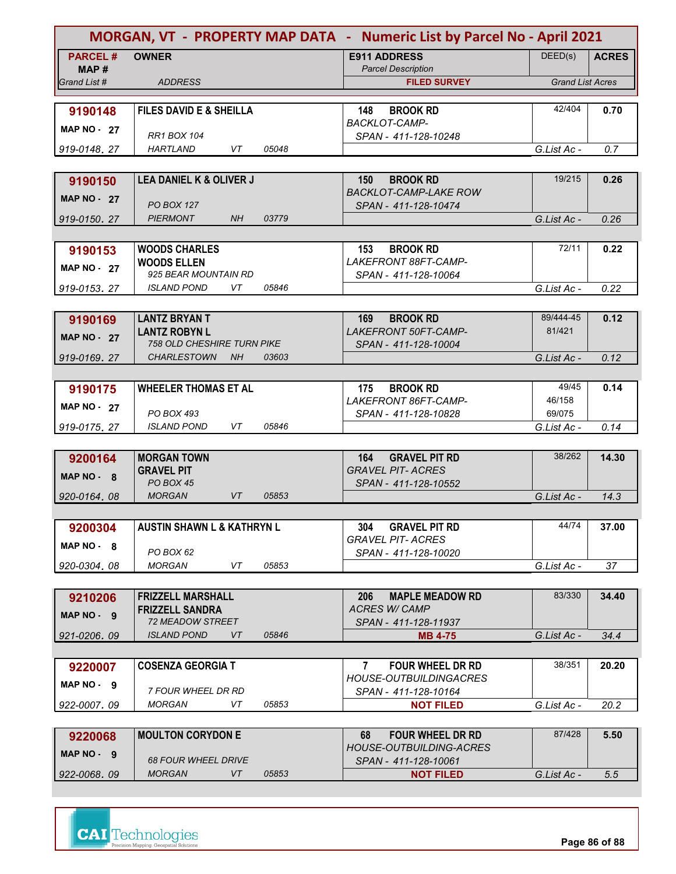|                    |                                            |       | MORGAN, VT - PROPERTY MAP DATA - Numeric List by Parcel No - April 2021 |                         |              |
|--------------------|--------------------------------------------|-------|-------------------------------------------------------------------------|-------------------------|--------------|
| <b>PARCEL#</b>     | <b>OWNER</b>                               |       | <b>E911 ADDRESS</b>                                                     | DEED(s)                 | <b>ACRES</b> |
| MAP#               |                                            |       | <b>Parcel Description</b>                                               |                         |              |
| Grand List #       | <b>ADDRESS</b>                             |       | <b>FILED SURVEY</b>                                                     | <b>Grand List Acres</b> |              |
|                    |                                            |       |                                                                         |                         |              |
| 9190148            | <b>FILES DAVID E &amp; SHEILLA</b>         |       | <b>BROOK RD</b><br>148<br><b>BACKLOT-CAMP-</b>                          | 42/404                  | 0.70         |
| <b>MAP NO - 27</b> | <b>RR1 BOX 104</b>                         |       | SPAN - 411-128-10248                                                    |                         |              |
| 919-0148.27        | <b>HARTLAND</b><br>VT                      | 05048 |                                                                         | G.List Ac -             | 0.7          |
|                    |                                            |       |                                                                         |                         |              |
| 9190150            | LEA DANIEL K & OLIVER J                    |       | 150<br><b>BROOK RD</b>                                                  | 19/215                  | 0.26         |
| <b>MAP NO - 27</b> |                                            |       | <b>BACKLOT-CAMP-LAKE ROW</b>                                            |                         |              |
|                    | <b>PO BOX 127</b>                          |       | SPAN - 411-128-10474                                                    |                         |              |
| 919-0150, 27       | <b>PIERMONT</b><br><b>NH</b>               | 03779 |                                                                         | G.List Ac -             | 0.26         |
|                    |                                            |       |                                                                         |                         |              |
| 9190153            | <b>WOODS CHARLES</b>                       |       | 153<br><b>BROOK RD</b><br>LAKEFRONT 88FT-CAMP-                          | 72/11                   | 0.22         |
| <b>MAP NO - 27</b> | <b>WOODS ELLEN</b><br>925 BEAR MOUNTAIN RD |       | SPAN - 411-128-10064                                                    |                         |              |
| 919-0153.27        | <i><b>ISLAND POND</b></i><br>VT            | 05846 |                                                                         | G.List Ac -             | 0.22         |
|                    |                                            |       |                                                                         |                         |              |
| 9190169            | <b>LANTZ BRYAN T</b>                       |       | 169<br><b>BROOK RD</b>                                                  | 89/444-45               | 0.12         |
| <b>MAP NO - 27</b> | <b>LANTZ ROBYN L</b>                       |       | <b>LAKEFRONT 50FT-CAMP-</b>                                             | 81/421                  |              |
|                    | <b>758 OLD CHESHIRE TURN PIKE</b>          |       | SPAN - 411-128-10004                                                    |                         |              |
| 919-0169.27        | <b>CHARLESTOWN</b><br><b>NH</b>            | 03603 |                                                                         | G.List Ac -             | 0.12         |
|                    |                                            |       |                                                                         |                         |              |
| 9190175            | <b>WHEELER THOMAS ET AL</b>                |       | 175<br><b>BROOK RD</b>                                                  | 49/45                   | 0.14         |
| MAP NO $-27$       | <b>PO BOX 493</b>                          |       | LAKEFRONT 86FT-CAMP-                                                    | 46/158<br>69/075        |              |
| 919-0175, 27       | VT<br><b>ISLAND POND</b>                   | 05846 | SPAN - 411-128-10828                                                    | G.List Ac -             | 0.14         |
|                    |                                            |       |                                                                         |                         |              |
| 9200164            | <b>MORGAN TOWN</b>                         |       | <b>GRAVEL PIT RD</b><br>164                                             | 38/262                  | 14.30        |
| MAP NO - 8         | <b>GRAVEL PIT</b>                          |       | <b>GRAVEL PIT- ACRES</b>                                                |                         |              |
|                    | PO BOX 45                                  |       | SPAN - 411-128-10552                                                    |                         |              |
| 920-0164.08        | <b>MORGAN</b><br><b>VT</b>                 | 05853 |                                                                         | G.List Ac -             | 14.3         |
|                    |                                            |       |                                                                         |                         |              |
| 9200304            | <b>AUSTIN SHAWN L &amp; KATHRYN L</b>      |       | <b>GRAVEL PIT RD</b><br>304                                             | 44/74                   | 37.00        |
| MAP NO - 8         | PO BOX 62                                  |       | <b>GRAVEL PIT- ACRES</b>                                                |                         |              |
| 920-0304.08        | <b>MORGAN</b><br>VT                        | 05853 | SPAN - 411-128-10020                                                    | G.List Ac -             | 37           |
|                    |                                            |       |                                                                         |                         |              |
| 9210206            | <b>FRIZZELL MARSHALL</b>                   |       | <b>MAPLE MEADOW RD</b><br>206                                           | 83/330                  | 34.40        |
|                    | <b>FRIZZELL SANDRA</b>                     |       | <b>ACRES W/ CAMP</b>                                                    |                         |              |
| $MAP NO - 9$       | <b>72 MEADOW STREET</b>                    |       | SPAN - 411-128-11937                                                    |                         |              |
| 921-0206.09        | <b>ISLAND POND</b><br><b>VT</b>            | 05846 | <b>MB 4-75</b>                                                          | G.List Ac -             | 34.4         |
|                    |                                            |       |                                                                         |                         |              |
| 9220007            | <b>COSENZA GEORGIA T</b>                   |       | <b>FOUR WHEEL DR RD</b><br>$\mathbf{7}$                                 | 38/351                  | 20.20        |
| $MAP NO - 9$       |                                            |       | <b>HOUSE-OUTBUILDINGACRES</b>                                           |                         |              |
| 922-0007, 09       | 7 FOUR WHEEL DR RD<br><b>MORGAN</b><br>VT  | 05853 | SPAN - 411-128-10164<br><b>NOT FILED</b>                                | G.List Ac -             | 20.2         |
|                    |                                            |       |                                                                         |                         |              |
| 9220068            | <b>MOULTON CORYDON E</b>                   |       | <b>FOUR WHEEL DR RD</b><br>68                                           | 87/428                  | 5.50         |
|                    |                                            |       | <b>HOUSE-OUTBUILDING-ACRES</b>                                          |                         |              |
| MAP NO - 9         | <b>68 FOUR WHEEL DRIVE</b>                 |       | SPAN - 411-128-10061                                                    |                         |              |
| 922-0068.09        | <b>MORGAN</b><br>VT                        | 05853 | <b>NOT FILED</b>                                                        | G.List Ac -             | 5.5          |

**CAI** Technologies

**Page 86 of 88**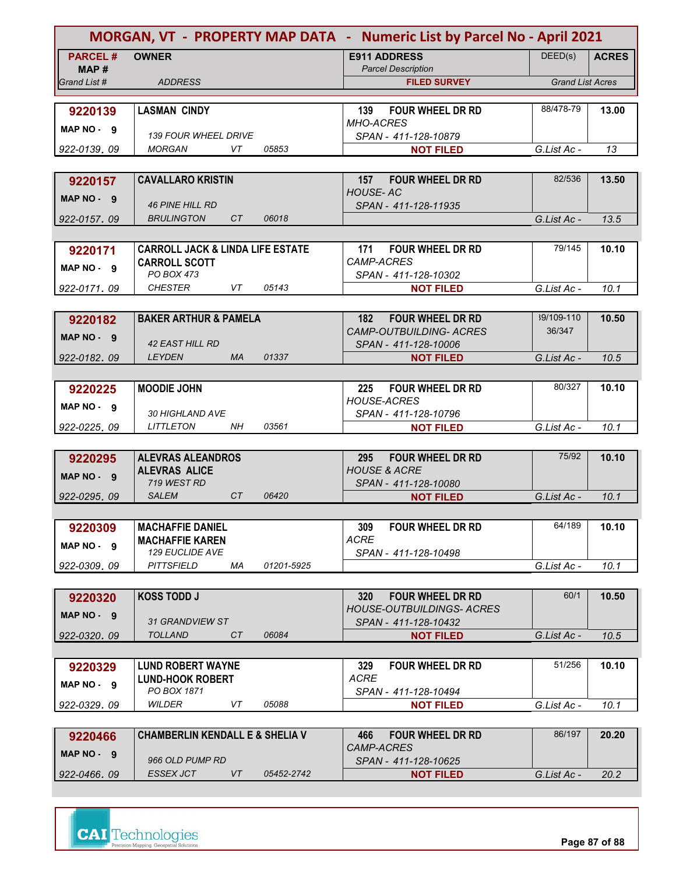| MORGAN, VT - PROPERTY MAP DATA - Numeric List by Parcel No - April 2021 |                                                   |            |                                                                  |                         |              |
|-------------------------------------------------------------------------|---------------------------------------------------|------------|------------------------------------------------------------------|-------------------------|--------------|
| <b>PARCEL#</b>                                                          | <b>OWNER</b>                                      |            | <b>E911 ADDRESS</b>                                              | DEED(s)                 | <b>ACRES</b> |
| MAP#                                                                    |                                                   |            | <b>Parcel Description</b>                                        |                         |              |
| Grand List #                                                            | <b>ADDRESS</b>                                    |            | <b>FILED SURVEY</b>                                              | <b>Grand List Acres</b> |              |
|                                                                         |                                                   |            |                                                                  |                         |              |
| 9220139                                                                 | <b>LASMAN CINDY</b>                               |            | 139<br><b>FOUR WHEEL DR RD</b><br><b>MHO-ACRES</b>               | 88/478-79               | 13.00        |
| MAP NO - 9                                                              | <b>139 FOUR WHEEL DRIVE</b>                       |            | SPAN - 411-128-10879                                             |                         |              |
| 922-0139, 09                                                            | <b>MORGAN</b><br>VT                               | 05853      | <b>NOT FILED</b>                                                 | G.List Ac -             | 13           |
|                                                                         |                                                   |            |                                                                  |                         |              |
| 9220157                                                                 | <b>CAVALLARO KRISTIN</b>                          |            | <b>FOUR WHEEL DR RD</b><br>157                                   | 82/536                  | 13.50        |
|                                                                         |                                                   |            | <b>HOUSE-AC</b>                                                  |                         |              |
| MAP NO - 9                                                              | <b>46 PINE HILL RD</b>                            |            | SPAN - 411-128-11935                                             |                         |              |
| 922-0157, 09                                                            | CT<br><b>BRULINGTON</b>                           | 06018      |                                                                  | G.List Ac -             | 13.5         |
|                                                                         |                                                   |            |                                                                  |                         |              |
| 9220171                                                                 | <b>CARROLL JACK &amp; LINDA LIFE ESTATE</b>       |            | 171<br><b>FOUR WHEEL DR RD</b>                                   | 79/145                  | 10.10        |
| MAP NO. 9                                                               | <b>CARROLL SCOTT</b>                              |            | CAMP-ACRES                                                       |                         |              |
|                                                                         | PO BOX 473                                        |            | SPAN - 411-128-10302                                             |                         |              |
| 922-0171.09                                                             | <b>CHESTER</b><br>VT                              | 05143      | <b>NOT FILED</b>                                                 | G.List Ac -             | 10.1         |
|                                                                         |                                                   |            |                                                                  | 39/109-110              |              |
| 9220182                                                                 | <b>BAKER ARTHUR &amp; PAMELA</b>                  |            | 182<br><b>FOUR WHEEL DR RD</b><br><b>CAMP-OUTBUILDING- ACRES</b> | 36/347                  | 10.50        |
| MAP NO - 9                                                              | <b>42 EAST HILL RD</b>                            |            | SPAN - 411-128-10006                                             |                         |              |
| 922-0182.09                                                             | <b>LEYDEN</b><br><b>MA</b>                        | 01337      | <b>NOT FILED</b>                                                 | G.List Ac -             | 10.5         |
|                                                                         |                                                   |            |                                                                  |                         |              |
| 9220225                                                                 | <b>MOODIE JOHN</b>                                |            | <b>FOUR WHEEL DR RD</b><br>225                                   | 80/327                  | 10.10        |
|                                                                         |                                                   |            | <b>HOUSE-ACRES</b>                                               |                         |              |
| $MAP NO - 9$                                                            | <b>30 HIGHLAND AVE</b>                            |            | SPAN - 411-128-10796                                             |                         |              |
| 922-0225, 09                                                            | <b>LITTLETON</b><br>NΗ                            | 03561      | <b>NOT FILED</b>                                                 | G.List Ac -             | 10.1         |
|                                                                         |                                                   |            |                                                                  |                         |              |
| 9220295                                                                 | <b>ALEVRAS ALEANDROS</b>                          |            | <b>FOUR WHEEL DR RD</b><br>295                                   | 75/92                   | 10.10        |
| MAP NO - 9                                                              | <b>ALEVRAS ALICE</b>                              |            | <b>HOUSE &amp; ACRE</b>                                          |                         |              |
|                                                                         | 719 WEST RD<br><b>SALEM</b><br>CT                 | 06420      | SPAN - 411-128-10080                                             | G.List Ac -             | 10.1         |
| 922-0295.09                                                             |                                                   |            | <b>NOT FILED</b>                                                 |                         |              |
|                                                                         |                                                   |            |                                                                  | 64/189                  |              |
| 9220309                                                                 | <b>MACHAFFIE DANIEL</b><br><b>MACHAFFIE KAREN</b> |            | FOUR WHEEL DR RD<br>309<br><b>ACRE</b>                           |                         | 10.10        |
| MAP NO - 9                                                              | 129 EUCLIDE AVE                                   |            | SPAN - 411-128-10498                                             |                         |              |
| 922-0309.09                                                             | <b>PITTSFIELD</b><br>ΜA                           | 01201-5925 |                                                                  | G.List Ac -             | 10.1         |
|                                                                         |                                                   |            |                                                                  |                         |              |
| 9220320                                                                 | <b>KOSS TODD J</b>                                |            | 320<br><b>FOUR WHEEL DR RD</b>                                   | 60/1                    | 10.50        |
| MAP NO. 9                                                               |                                                   |            | <b>HOUSE-OUTBUILDINGS- ACRES</b>                                 |                         |              |
|                                                                         | 31 GRANDVIEW ST                                   |            | SPAN - 411-128-10432                                             |                         |              |
| 922-0320, 09                                                            | <b>TOLLAND</b><br>CT                              | 06084      | <b>NOT FILED</b>                                                 | G.List Ac -             | 10.5         |
|                                                                         |                                                   |            |                                                                  |                         |              |
| 9220329                                                                 | <b>LUND ROBERT WAYNE</b>                          |            | 329<br><b>FOUR WHEEL DR RD</b>                                   | 51/256                  | 10.10        |
| MAP NO. 9                                                               | <b>LUND-HOOK ROBERT</b>                           |            | <b>ACRE</b>                                                      |                         |              |
|                                                                         | PO BOX 1871<br>WILDER<br>VT                       | 05088      | SPAN - 411-128-10494                                             |                         |              |
| 922-0329, 09                                                            |                                                   |            | <b>NOT FILED</b>                                                 | G.List Ac -             | 10.1         |
|                                                                         |                                                   |            |                                                                  | 86/197                  |              |
| 9220466                                                                 | <b>CHAMBERLIN KENDALL E &amp; SHELIA V</b>        |            | 466<br><b>FOUR WHEEL DR RD</b><br>CAMP-ACRES                     |                         | 20.20        |
| MAP NO. 9                                                               | 966 OLD PUMP RD                                   |            | SPAN - 411-128-10625                                             |                         |              |
| 922-0466.09                                                             | <b>ESSEX JCT</b><br>VT                            | 05452-2742 | <b>NOT FILED</b>                                                 | G.List Ac -             | 20.2         |